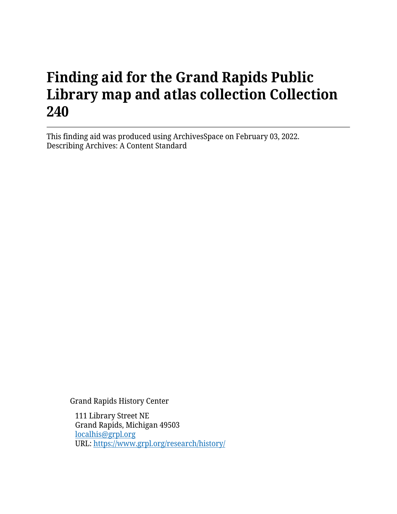# **Finding aid for the Grand Rapids Public Library map and atlas collection Collection 240**

This finding aid was produced using ArchivesSpace on February 03, 2022. Describing Archives: A Content Standard

Grand Rapids History Center

111 Library Street NE Grand Rapids, Michigan 49503 [localhis@grpl.org](mailto:localhis@grpl.org) URL:<https://www.grpl.org/research/history/>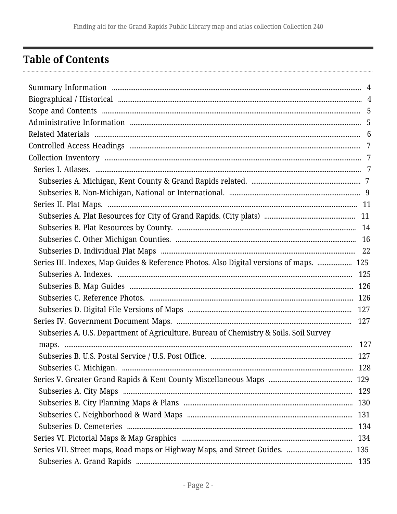## <span id="page-1-0"></span>**Table of Contents**

| Series III. Indexes, Map Guides & Reference Photos. Also Digital versions of maps.  125 |  |
|-----------------------------------------------------------------------------------------|--|
|                                                                                         |  |
|                                                                                         |  |
|                                                                                         |  |
|                                                                                         |  |
|                                                                                         |  |
| Subseries A. U.S. Department of Agriculture. Bureau of Chemistry & Soils. Soil Survey   |  |
|                                                                                         |  |
|                                                                                         |  |
|                                                                                         |  |
|                                                                                         |  |
|                                                                                         |  |
|                                                                                         |  |
|                                                                                         |  |
|                                                                                         |  |
|                                                                                         |  |
|                                                                                         |  |
|                                                                                         |  |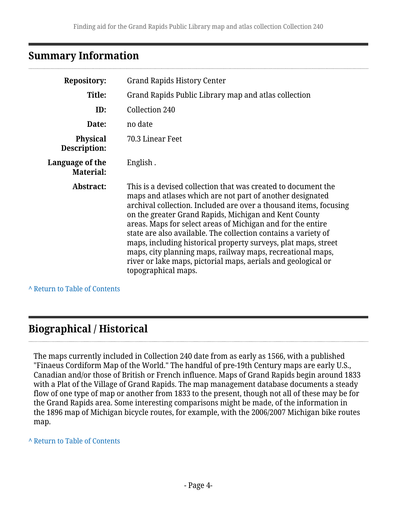## <span id="page-3-0"></span>**Summary Information**

| <b>Repository:</b>                  | <b>Grand Rapids History Center</b>                                                                                                                                                                                                                                                                                                                                                                                                                                                                                                                                                                                |
|-------------------------------------|-------------------------------------------------------------------------------------------------------------------------------------------------------------------------------------------------------------------------------------------------------------------------------------------------------------------------------------------------------------------------------------------------------------------------------------------------------------------------------------------------------------------------------------------------------------------------------------------------------------------|
| Title:                              | Grand Rapids Public Library map and atlas collection                                                                                                                                                                                                                                                                                                                                                                                                                                                                                                                                                              |
| ID:                                 | Collection 240                                                                                                                                                                                                                                                                                                                                                                                                                                                                                                                                                                                                    |
| Date:                               | no date                                                                                                                                                                                                                                                                                                                                                                                                                                                                                                                                                                                                           |
| <b>Physical</b><br>Description:     | 70.3 Linear Feet                                                                                                                                                                                                                                                                                                                                                                                                                                                                                                                                                                                                  |
| Language of the<br><b>Material:</b> | English.                                                                                                                                                                                                                                                                                                                                                                                                                                                                                                                                                                                                          |
| Abstract:                           | This is a devised collection that was created to document the<br>maps and atlases which are not part of another designated<br>archival collection. Included are over a thousand items, focusing<br>on the greater Grand Rapids, Michigan and Kent County<br>areas. Maps for select areas of Michigan and for the entire<br>state are also available. The collection contains a variety of<br>maps, including historical property surveys, plat maps, street<br>maps, city planning maps, railway maps, recreational maps,<br>river or lake maps, pictorial maps, aerials and geological or<br>topographical maps. |

#### **^** [Return to Table of Contents](#page-1-0)

## <span id="page-3-1"></span>**Biographical / Historical**

The maps currently included in Collection 240 date from as early as 1566, with a published "Finaeus Cordiform Map of the World." The handful of pre-19th Century maps are early U.S., Canadian and/or those of British or French influence. Maps of Grand Rapids begin around 1833 with a Plat of the Village of Grand Rapids. The map management database documents a steady flow of one type of map or another from 1833 to the present, though not all of these may be for the Grand Rapids area. Some interesting comparisons might be made, of the information in the 1896 map of Michigan bicycle routes, for example, with the 2006/2007 Michigan bike routes map.

#### **^** [Return to Table of Contents](#page-1-0)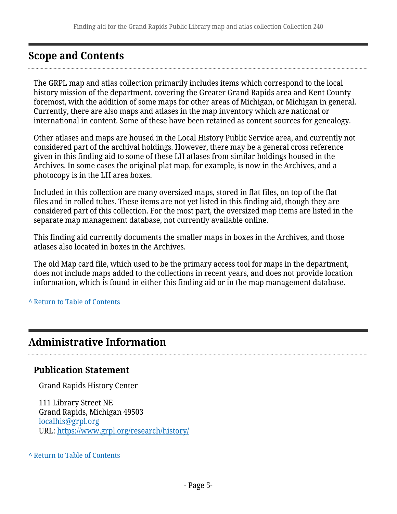## <span id="page-4-0"></span>**Scope and Contents**

The GRPL map and atlas collection primarily includes items which correspond to the local history mission of the department, covering the Greater Grand Rapids area and Kent County foremost, with the addition of some maps for other areas of Michigan, or Michigan in general. Currently, there are also maps and atlases in the map inventory which are national or international in content. Some of these have been retained as content sources for genealogy.

Other atlases and maps are housed in the Local History Public Service area, and currently not considered part of the archival holdings. However, there may be a general cross reference given in this finding aid to some of these LH atlases from similar holdings housed in the Archives. In some cases the original plat map, for example, is now in the Archives, and a photocopy is in the LH area boxes.

Included in this collection are many oversized maps, stored in flat files, on top of the flat files and in rolled tubes. These items are not yet listed in this finding aid, though they are considered part of this collection. For the most part, the oversized map items are listed in the separate map management database, not currently available online.

This finding aid currently documents the smaller maps in boxes in the Archives, and those atlases also located in boxes in the Archives.

The old Map card file, which used to be the primary access tool for maps in the department, does not include maps added to the collections in recent years, and does not provide location information, which is found in either this finding aid or in the map management database.

#### **^** [Return to Table of Contents](#page-1-0)

## <span id="page-4-1"></span>**Administrative Information**

### **Publication Statement**

Grand Rapids History Center

111 Library Street NE Grand Rapids, Michigan 49503 [localhis@grpl.org](mailto:localhis@grpl.org) URL:<https://www.grpl.org/research/history/>

#### **^** [Return to Table of Contents](#page-1-0)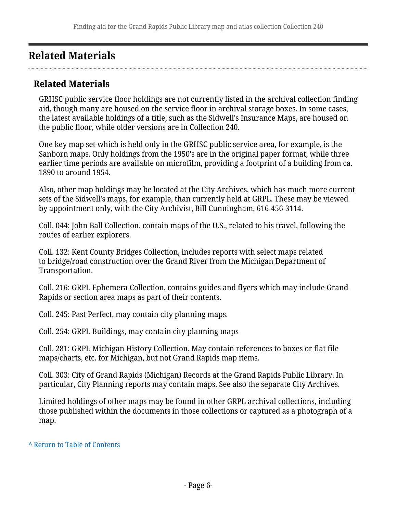## <span id="page-5-0"></span>**Related Materials**

### **Related Materials**

GRHSC public service floor holdings are not currently listed in the archival collection finding aid, though many are housed on the service floor in archival storage boxes. In some cases, the latest available holdings of a title, such as the Sidwell's Insurance Maps, are housed on the public floor, while older versions are in Collection 240.

One key map set which is held only in the GRHSC public service area, for example, is the Sanborn maps. Only holdings from the 1950's are in the original paper format, while three earlier time periods are available on microfilm, providing a footprint of a building from ca. 1890 to around 1954.

Also, other map holdings may be located at the City Archives, which has much more current sets of the Sidwell's maps, for example, than currently held at GRPL. These may be viewed by appointment only, with the City Archivist, Bill Cunningham, 616-456-3114.

Coll. 044: John Ball Collection, contain maps of the U.S., related to his travel, following the routes of earlier explorers.

Coll. 132: Kent County Bridges Collection, includes reports with select maps related to bridge/road construction over the Grand River from the Michigan Department of Transportation.

Coll. 216: GRPL Ephemera Collection, contains guides and flyers which may include Grand Rapids or section area maps as part of their contents.

Coll. 245: Past Perfect, may contain city planning maps.

Coll. 254: GRPL Buildings, may contain city planning maps

Coll. 281: GRPL Michigan History Collection. May contain references to boxes or flat file maps/charts, etc. for Michigan, but not Grand Rapids map items.

Coll. 303: City of Grand Rapids (Michigan) Records at the Grand Rapids Public Library. In particular, City Planning reports may contain maps. See also the separate City Archives.

Limited holdings of other maps may be found in other GRPL archival collections, including those published within the documents in those collections or captured as a photograph of a map.

#### **^** [Return to Table of Contents](#page-1-0)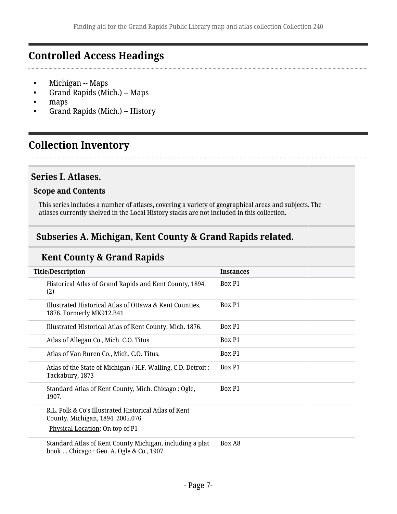## <span id="page-6-0"></span>**Controlled Access Headings**

- Michigan -- Maps
- Grand Rapids (Mich.) -- Maps
- maps
- Grand Rapids (Mich.) -- History

## <span id="page-6-1"></span>**Collection Inventory**

### <span id="page-6-2"></span>**Series I. Atlases.**

#### **Scope and Contents**

This series includes a number of atlases, covering a variety of geographical areas and subjects. The atlases currently shelved in the Local History stacks are not included in this collection.

## <span id="page-6-3"></span>**Subseries A. Michigan, Kent County & Grand Rapids related.**

### **Kent County & Grand Rapids**

| <b>Title/Description</b>                                                                       | <b>Instances</b> |
|------------------------------------------------------------------------------------------------|------------------|
| Historical Atlas of Grand Rapids and Kent County, 1894.<br>(2)                                 | Box P1           |
| Illustrated Historical Atlas of Ottawa & Kent Counties,<br>1876. Formerly MK912.B41            | Box P1           |
| Illustrated Historical Atlas of Kent County, Mich. 1876.                                       | Box P1           |
| Atlas of Allegan Co., Mich. C.O. Titus.                                                        | Box P1           |
| Atlas of Van Buren Co., Mich. C.O. Titus.                                                      | Box P1           |
| Atlas of the State of Michigan / H.F. Walling, C.D. Detroit :<br>Tackabury, 1873               | Box P1           |
| Standard Atlas of Kent County, Mich. Chicago: Ogle,<br>1907.                                   | Box P1           |
| R.L. Polk & Co's Illustrated Historical Atlas of Kent<br>County, Michigan, 1894. 2005.076      |                  |
| Physical Location: On top of P1                                                                |                  |
| Standard Atlas of Kent County Michigan, including a plat<br>hook Chicago: Coo A Oglo 8-Co 1007 | Box A8           |

book … Chicago : Geo. A. Ogle & Co., 1907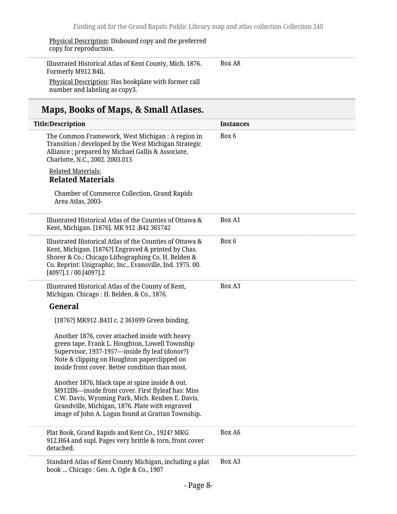Physical Description: Disbound copy and the preferred copy for reproduction.

Illustrated Historical Atlas of Kent County, Mich. 1876. Formerly M912 B4li. Box A8

Physical Description: Has bookplate with former call number and labeling as copy3.

## **Maps, Books of Maps, & Small Atlases.**

| <b>Title/Description</b>                                                                                                                                                                                                                                           | <b>Instances</b> |
|--------------------------------------------------------------------------------------------------------------------------------------------------------------------------------------------------------------------------------------------------------------------|------------------|
| The Common Framework, West Michigan : A region in<br>Transition / developed by the West Michigan Strategic<br>Alliance; prepared by Michael Gallis & Associate,<br>Charlotte, N.C., 2002. 2003.013                                                                 | Box 6            |
| <b>Related Materials:</b><br><b>Related Materials</b>                                                                                                                                                                                                              |                  |
| <b>Chamber of Commerce Collection, Grand Rapids</b><br>Area Atlas, 2003-                                                                                                                                                                                           |                  |
| Illustrated Historical Atlas of the Counties of Ottawa &<br>Kent, Michigan. [1876]. MK 912 .B42 365742                                                                                                                                                             | Box A1           |
| Illustrated Historical Atlas of the Counties of Ottawa &<br>Kent, Michigan. [1876?] Engraved & printed by Chas.<br>Shorer & Co.; Chicago Lithographing Co. H. Belden &<br>Co. Reprint: Unigraphic, Inc., Evansville, Ind. 1975. 00.<br>$[4097]$ .1 / 00.[4097].2   | Box 6            |
| Illustrated Historical Atlas of the County of Kent,<br>Michigan. Chicago: H. Belden. & Co., 1876.                                                                                                                                                                  | Box A3           |
| General                                                                                                                                                                                                                                                            |                  |
| [1876?] MK912 .B41I c. 2 361699 Green binding.                                                                                                                                                                                                                     |                  |
| Another 1876, cover attached inside with heavy<br>green tape. Frank L. Houghton, Lowell Township<br>Supervisor, 1937-1957—inside fly leaf (donor?)<br>Note & clipping on Houghton paperclipped on<br>inside front cover. Better condition than most.               |                  |
| Another 1876, black tape at spine inside & out.<br>M912Il6-inside front cover. First flyleaf has: Miss<br>C.W. Davis, Wyoming Park, Mich. Reuben E. Davis,<br>Grandville, Michigan, 1876. Plate with engraved<br>image of John A. Logan found at Grattan Township. |                  |
| Plat Book, Grand Rapids and Kent Co., 1924? MKG<br>912.H64 and supl. Pages very brittle & torn, front cover<br>detached.                                                                                                                                           | Box A6           |
| Standard Atlas of Kent County Michigan, including a plat<br>book  Chicago: Geo. A. Ogle & Co., 1907                                                                                                                                                                | Box A3           |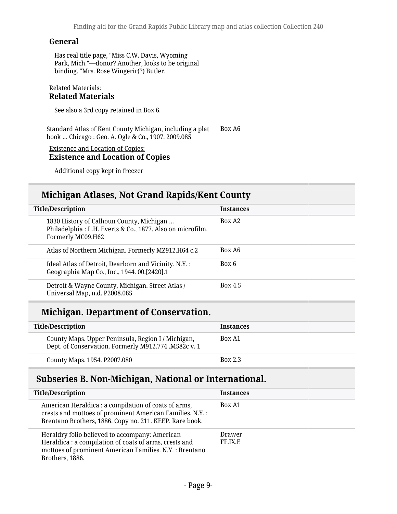Has real title page, "Miss C.W. Davis, Wyoming Park, Mich."—donor? Another, looks to be original binding. "Mrs. Rose Wingerir(?) Butler.

#### Related Materials: **Related Materials**

See also a 3rd copy retained in Box 6.

Standard Atlas of Kent County Michigan, including a plat book … Chicago : Geo. A. Ogle & Co., 1907. 2009.085 Box A6

#### Existence and Location of Copies: **Existence and Location of Copies**

Additional copy kept in freezer

### **Michigan Atlases, Not Grand Rapids/Kent County**

| <b>Title/Description</b>                                                                                                   | <b>Instances</b>   |
|----------------------------------------------------------------------------------------------------------------------------|--------------------|
| 1830 History of Calhoun County, Michigan<br>Philadelphia: L.H. Everts & Co., 1877. Also on microfilm.<br>Formerly MC09.H62 | Box A <sub>2</sub> |
| Atlas of Northern Michigan. Formerly MZ912.H64 c.2                                                                         | Box A <sub>6</sub> |
| Ideal Atlas of Detroit, Dearborn and Vicinity. N.Y. :<br>Geographia Map Co., Inc., 1944. 00.[2420].1                       | Box 6              |
| Detroit & Wayne County, Michigan. Street Atlas /<br>Universal Map, n.d. P2008.065                                          | Box 4.5            |

### **Michigan. Department of Conservation.**

| Title/Description                                                                                          | <b>Instances</b> |
|------------------------------------------------------------------------------------------------------------|------------------|
| County Maps. Upper Peninsula, Region I / Michigan,<br>Dept. of Conservation. Formerly M912.774 .M582c v. 1 | Box A1           |
| County Maps. 1954. P2007.080                                                                               | <b>Box 2.3</b>   |

### <span id="page-8-0"></span>**Subseries B. Non-Michigan, National or International.**

| <b>Title/Description</b>                                                                                                                                                               | <b>Instances</b>  |
|----------------------------------------------------------------------------------------------------------------------------------------------------------------------------------------|-------------------|
| American Heraldica : a compilation of coats of arms,<br>crests and mottoes of prominent American Families. N.Y. :<br>Brentano Brothers, 1886. Copy no. 211. KEEP. Rare book.           | Box A1            |
| Heraldry folio believed to accompany: American<br>Heraldica : a compilation of coats of arms, crests and<br>mottoes of prominent American Families. N.Y. : Brentano<br>Brothers, 1886. | Drawer<br>FF.IX.E |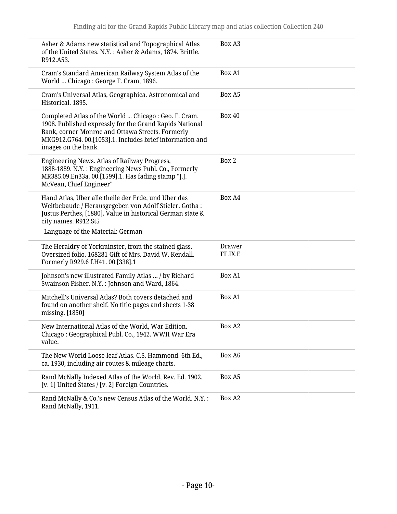| Asher & Adams new statistical and Topographical Atlas<br>of the United States. N.Y.: Asher & Adams, 1874. Brittle.<br>R912.A53.                                                                                                                        | Box A3            |
|--------------------------------------------------------------------------------------------------------------------------------------------------------------------------------------------------------------------------------------------------------|-------------------|
| Cram's Standard American Railway System Atlas of the<br>World  Chicago: George F. Cram, 1896.                                                                                                                                                          | Box A1            |
| Cram's Universal Atlas, Geographica. Astronomical and<br>Historical. 1895.                                                                                                                                                                             | Box A5            |
| Completed Atlas of the World  Chicago : Geo. F. Cram.<br>1908. Published expressly for the Grand Rapids National<br>Bank, corner Monroe and Ottawa Streets. Formerly<br>MKG912.G764.00.[1053].1. Includes brief information and<br>images on the bank. | <b>Box 40</b>     |
| Engineering News. Atlas of Railway Progress,<br>1888-1889. N.Y.: Engineering News Publ. Co., Formerly<br>MR385.09.En33a. 00.[1599].1. Has fading stamp "J.J.<br>McVean, Chief Engineer"                                                                | Box 2             |
| Hand Atlas, Uber alle theile der Erde, und Uber das<br>Weltbebaude / Herausgegeben von Adolf Stieler. Gotha :<br>Justus Perthes, [1880]. Value in historical German state &<br>city names. R912.St5<br>Language of the Material: German                | Box A4            |
| The Heraldry of Yorkminster, from the stained glass.<br>Oversized folio. 168281 Gift of Mrs. David W. Kendall.<br>Formerly R929.6 f.H41. 00.[338].1                                                                                                    | Drawer<br>FF.IX.E |
| Johnson's new illustrated Family Atlas  / by Richard<br>Swainson Fisher. N.Y. : Johnson and Ward, 1864.                                                                                                                                                | Box A1            |
| Mitchell's Universal Atlas? Both covers detached and<br>found on another shelf. No title pages and sheets 1-38<br>missing. [1850]                                                                                                                      | Box A1            |
| New International Atlas of the World, War Edition.<br>Chicago: Geographical Publ. Co., 1942. WWII War Era<br>value.                                                                                                                                    | Box A2            |
| The New World Loose-leaf Atlas. C.S. Hammond. 6th Ed.,<br>ca. 1930, including air routes & mileage charts.                                                                                                                                             | Box A6            |
| Rand McNally Indexed Atlas of the World, Rev. Ed. 1902.<br>[v. 1] United States / [v. 2] Foreign Countries.                                                                                                                                            | Box A5            |
| Rand McNally & Co.'s new Census Atlas of the World. N.Y. :<br>Rand McNally, 1911.                                                                                                                                                                      | Box A2            |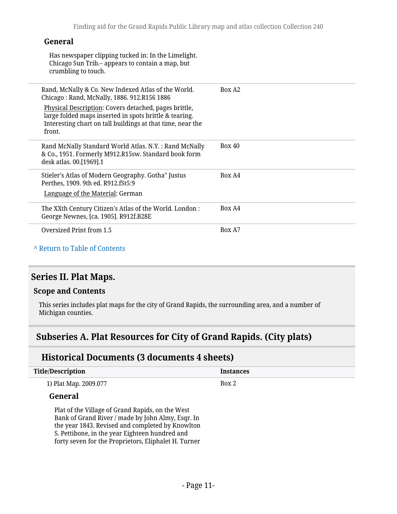Has newspaper clipping tucked in: In the Limelight. Chicago Sun Trib.– appears to contain a map, but crumbling to touch.

| Rand, McNally & Co. New Indexed Atlas of the World.<br>Chicago: Rand, McNally, 1886. 912.R156 1886<br>Physical Description: Covers detached, pages brittle,<br>large folded maps inserted in spots brittle & tearing.<br>Interesting chart on tall buildings at that time, near the<br>front. | Box A <sub>2</sub> |
|-----------------------------------------------------------------------------------------------------------------------------------------------------------------------------------------------------------------------------------------------------------------------------------------------|--------------------|
| Rand McNally Standard World Atlas. N.Y. : Rand McNally<br>& Co., 1951. Formerly M912.R15sw. Standard book form<br>desk atlas. 00.[1969].1                                                                                                                                                     | Box 40             |
| Stieler's Atlas of Modern Geography. Gotha" Justus<br>Perthes, 1909. 9th ed. R912.fSt5:9<br>Language of the Material: German                                                                                                                                                                  | Box A4             |
| The XXth Century Citizen's Atlas of the World. London:<br>George Newnes, [ca. 1905]. R912f.B28E                                                                                                                                                                                               | Box A4             |
| Oversized Print from 1.5                                                                                                                                                                                                                                                                      | Box A7             |

#### **^** [Return to Table of Contents](#page-1-0)

### <span id="page-10-0"></span>**Series II. Plat Maps.**

#### **Scope and Contents**

This series includes plat maps for the city of Grand Rapids, the surrounding area, and a number of Michigan counties.

### <span id="page-10-1"></span>**Subseries A. Plat Resources for City of Grand Rapids. (City plats)**

### **Historical Documents (3 documents 4 sheets)**

| <b>Title/Description</b>                                                                              | <b>Instances</b> |
|-------------------------------------------------------------------------------------------------------|------------------|
| 1) Plat Map. 2009.077                                                                                 | Box 2            |
| <b>General</b>                                                                                        |                  |
| Plat of the Village of Grand Rapids, on the West<br>Bank of Grand River / made by John Almy, Esqr. In |                  |

the year 1843. Revised and completed by Knowlton S. Pettibone, in the year Eighteen hundred and forty seven for the Proprietors, Eliphalet H. Turner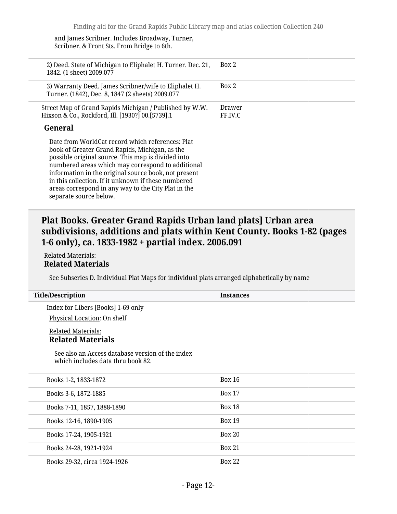and James Scribner. Includes Broadway, Turner, Scribner, & Front Sts. From Bridge to 6th.

| 2) Deed. State of Michigan to Eliphalet H. Turner. Dec. 21,<br>1842. (1 sheet) 2009.077                                                                                                                                                                                                                                                                                                                       | Box 2             |
|---------------------------------------------------------------------------------------------------------------------------------------------------------------------------------------------------------------------------------------------------------------------------------------------------------------------------------------------------------------------------------------------------------------|-------------------|
| 3) Warranty Deed. James Scribner/wife to Eliphalet H.<br>Turner. (1842), Dec. 8, 1847 (2 sheets) 2009.077                                                                                                                                                                                                                                                                                                     | Box 2             |
| Street Map of Grand Rapids Michigan / Published by W.W.<br>Hixson & Co., Rockford, Ill. [1930?] 00.[5739].1                                                                                                                                                                                                                                                                                                   | Drawer<br>FF.IV.C |
| General                                                                                                                                                                                                                                                                                                                                                                                                       |                   |
| Date from WorldCat record which references: Plat<br>book of Greater Grand Rapids, Michigan, as the<br>possible original source. This map is divided into<br>numbered areas which may correspond to additional<br>information in the original source book, not present<br>in this collection. If it unknown if these numbered<br>areas correspond in any way to the City Plat in the<br>separate source below. |                   |

### **Plat Books. Greater Grand Rapids Urban land plats] Urban area subdivisions, additions and plats within Kent County. Books 1-82 (pages 1-6 only), ca. 1833-1982 + partial index. 2006.091**

Related Materials: **Related Materials**

See Subseries D. Individual Plat Maps for individual plats arranged alphabetically by name

| <b>Title/Description</b>                                                              | <b>Instances</b> |
|---------------------------------------------------------------------------------------|------------------|
| Index for Libers [Books] 1-69 only                                                    |                  |
| Physical Location: On shelf<br><b>Related Materials:</b>                              |                  |
| <b>Related Materials</b>                                                              |                  |
| See also an Access database version of the index<br>which includes data thru book 82. |                  |
| Books 1-2, 1833-1872                                                                  | <b>Box 16</b>    |
| Books 3-6, 1872-1885                                                                  | <b>Box 17</b>    |
| Books 7-11, 1857, 1888-1890                                                           | <b>Box 18</b>    |
| Books 12-16, 1890-1905                                                                | <b>Box 19</b>    |
| Books 17-24, 1905-1921                                                                | <b>Box 20</b>    |
| Books 24-28, 1921-1924                                                                | <b>Box 21</b>    |
| Books 29-32, circa 1924-1926                                                          | <b>Box 22</b>    |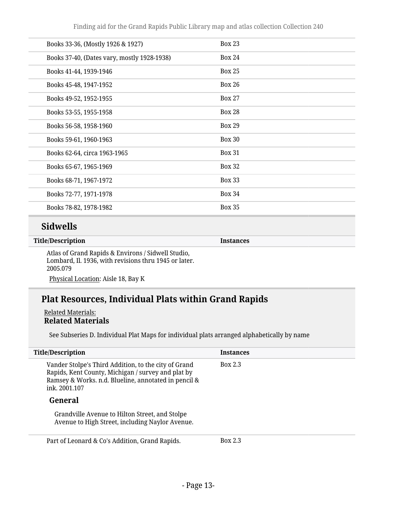| Books 33-36, (Mostly 1926 & 1927)           | <b>Box 23</b> |
|---------------------------------------------|---------------|
| Books 37-40, (Dates vary, mostly 1928-1938) | <b>Box 24</b> |
| Books 41-44, 1939-1946                      | <b>Box 25</b> |
| Books 45-48, 1947-1952                      | <b>Box 26</b> |
| Books 49-52, 1952-1955                      | <b>Box 27</b> |
| Books 53-55, 1955-1958                      | <b>Box 28</b> |
| Books 56-58, 1958-1960                      | <b>Box 29</b> |
| Books 59-61, 1960-1963                      | <b>Box 30</b> |
| Books 62-64, circa 1963-1965                | <b>Box 31</b> |
| Books 65-67, 1965-1969                      | <b>Box 32</b> |
| Books 68-71, 1967-1972                      | <b>Box 33</b> |
| Books 72-77, 1971-1978                      | <b>Box 34</b> |
| Books 78-82, 1978-1982                      | <b>Box 35</b> |
|                                             |               |

### **Sidwells**

**Title/Description Instances**

Atlas of Grand Rapids & Environs / Sidwell Studio, Lombard, Il. 1936, with revisions thru 1945 or later. 2005.079

Physical Location: Aisle 18, Bay K

### **Plat Resources, Individual Plats within Grand Rapids**

Related Materials: **Related Materials**

See Subseries D. Individual Plat Maps for individual plats arranged alphabetically by name

| <b>Title/Description</b>                                                                                                                                                            | <b>Instances</b> |
|-------------------------------------------------------------------------------------------------------------------------------------------------------------------------------------|------------------|
| Vander Stolpe's Third Addition, to the city of Grand<br>Rapids, Kent County, Michigan / survey and plat by<br>Ramsey & Works. n.d. Blueline, annotated in pencil &<br>ink. 2001.107 | <b>Box 2.3</b>   |
| General                                                                                                                                                                             |                  |
| Grandville Avenue to Hilton Street, and Stolpe<br>Avenue to High Street, including Naylor Avenue.                                                                                   |                  |
| Part of Leonard & Co's Addition, Grand Rapids.                                                                                                                                      | <b>Box 2.3</b>   |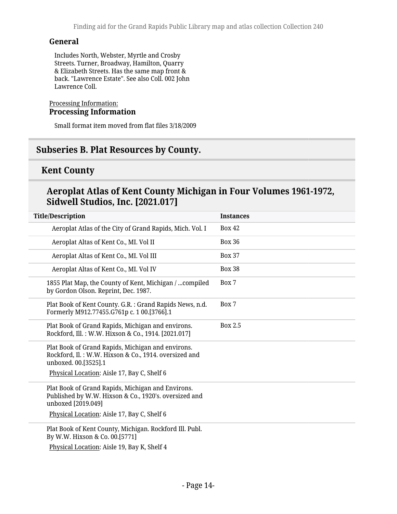Includes North, Webster, Myrtle and Crosby Streets. Turner, Broadway, Hamilton, Quarry & Elizabeth Streets. Has the same map front & back. "Lawrence Estate". See also Coll. 002 John Lawrence Coll.

#### Processing Information: **Processing Information**

Small format item moved from flat files 3/18/2009

### <span id="page-13-0"></span>**Subseries B. Plat Resources by County.**

### **Kent County**

### **Aeroplat Atlas of Kent County Michigan in Four Volumes 1961-1972, Sidwell Studios, Inc. [2021.017]**

| <b>Title/Description</b>                                                                                                           | <b>Instances</b> |
|------------------------------------------------------------------------------------------------------------------------------------|------------------|
| Aeroplat Atlas of the City of Grand Rapids, Mich. Vol. I                                                                           | <b>Box 42</b>    |
| Aeroplat Altas of Kent Co., MI. Vol II                                                                                             | <b>Box 36</b>    |
| Aeroplat Altas of Kent Co., MI. Vol III                                                                                            | <b>Box 37</b>    |
| Aeroplat Altas of Kent Co., MI. Vol IV                                                                                             | <b>Box 38</b>    |
| 1855 Plat Map, the County of Kent, Michigan /  compiled<br>by Gordon Olson. Reprint, Dec. 1987.                                    | Box 7            |
| Plat Book of Kent County. G.R.: Grand Rapids News, n.d.<br>Formerly M912.77455.G761p c. 1 00.[3766].1                              | Box 7            |
| Plat Book of Grand Rapids, Michigan and environs.<br>Rockford, Ill.: W.W. Hixson & Co., 1914. [2021.017]                           | Box 2.5          |
| Plat Book of Grand Rapids, Michigan and environs.<br>Rockford, Il.: W.W. Hixson & Co., 1914. oversized and<br>unboxed. 00.[3525].1 |                  |
| Physical Location: Aisle 17, Bay C, Shelf 6                                                                                        |                  |
| Plat Book of Grand Rapids, Michigan and Environs.<br>Published by W.W. Hixson & Co., 1920's. oversized and<br>unboxed [2019.049]   |                  |
| Physical Location: Aisle 17, Bay C, Shelf 6                                                                                        |                  |
| Plat Book of Kent County, Michigan. Rockford Ill. Publ.<br>By W.W. Hixson & Co. 00.[5771]                                          |                  |
| Physical Location: Aisle 19, Bay K, Shelf 4                                                                                        |                  |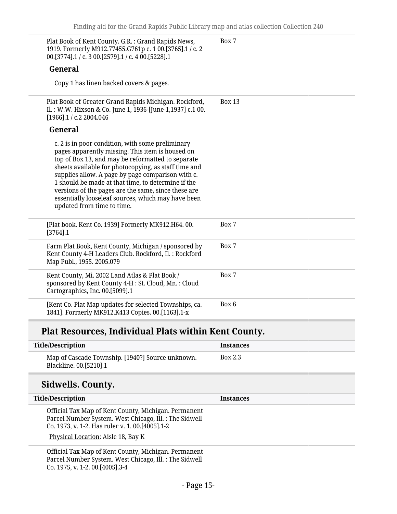| Plat Book of Kent County. G.R.: Grand Rapids News,<br>1919. Formerly M912.77455.G761p c. 1 00.[3765].1 / c. 2<br>00.[3774].1 / c. 3 00.[2579].1 / c. 4 00.[5228].1                                                                                                                                                                                                                                                                                                      | Box 7         |
|-------------------------------------------------------------------------------------------------------------------------------------------------------------------------------------------------------------------------------------------------------------------------------------------------------------------------------------------------------------------------------------------------------------------------------------------------------------------------|---------------|
| General                                                                                                                                                                                                                                                                                                                                                                                                                                                                 |               |
| Copy 1 has linen backed covers & pages.                                                                                                                                                                                                                                                                                                                                                                                                                                 |               |
| Plat Book of Greater Grand Rapids Michigan. Rockford,<br>Il.: W.W. Hixson & Co. June 1, 1936-[June-1,1937] c.1 00.<br>$[1966]$ .1 / c.2 2004.046                                                                                                                                                                                                                                                                                                                        | <b>Box 13</b> |
| General                                                                                                                                                                                                                                                                                                                                                                                                                                                                 |               |
| c. 2 is in poor condition, with some preliminary<br>pages apparently missing. This item is housed on<br>top of Box 13, and may be reformatted to separate<br>sheets available for photocopying, as staff time and<br>supplies allow. A page by page comparison with c.<br>1 should be made at that time, to determine if the<br>versions of the pages are the same, since these are<br>essentially looseleaf sources, which may have been<br>updated from time to time. |               |
| [Plat book. Kent Co. 1939] Formerly MK912.H64.00.<br>$[3764]$ .1                                                                                                                                                                                                                                                                                                                                                                                                        | Box 7         |
| Farm Plat Book, Kent County, Michigan / sponsored by<br>Kent County 4-H Leaders Club. Rockford, Il. : Rockford<br>Map Publ., 1955. 2005.079                                                                                                                                                                                                                                                                                                                             | Box 7         |
| Kent County, Mi. 2002 Land Atlas & Plat Book /<br>sponsored by Kent County 4-H : St. Cloud, Mn. : Cloud<br>Cartographics, Inc. 00.[5099].1                                                                                                                                                                                                                                                                                                                              | Box 7         |
| [Kent Co. Plat Map updates for selected Townships, ca.<br>1841]. Formerly MK912.K413 Copies. 00.[1163].1-x                                                                                                                                                                                                                                                                                                                                                              | Box 6         |
| Plat Resources, Individual Plats within Kent County.                                                                                                                                                                                                                                                                                                                                                                                                                    |               |

| <b>Title/Description</b>                                                                                                                                            | <b>Instances</b> |
|---------------------------------------------------------------------------------------------------------------------------------------------------------------------|------------------|
| Map of Cascade Township. [1940?] Source unknown.<br>Blackline. 00.[5210].1                                                                                          | <b>Box 2.3</b>   |
| Sidwells. County.                                                                                                                                                   |                  |
| <b>Title/Description</b>                                                                                                                                            | <b>Instances</b> |
| Official Tax Map of Kent County, Michigan. Permanent<br>Parcel Number System. West Chicago, Ill. : The Sidwell<br>Co. 1973, v. 1-2. Has ruler v. 1. 00. [4005]. 1-2 |                  |
| Physical Location: Aisle 18, Bay K                                                                                                                                  |                  |
| Official Tax Map of Kent County, Michigan. Permanent<br>Parcel Number System. West Chicago, Ill. : The Sidwell                                                      |                  |

Co. 1975, v. 1-2. 00.[4005].3-4

Ī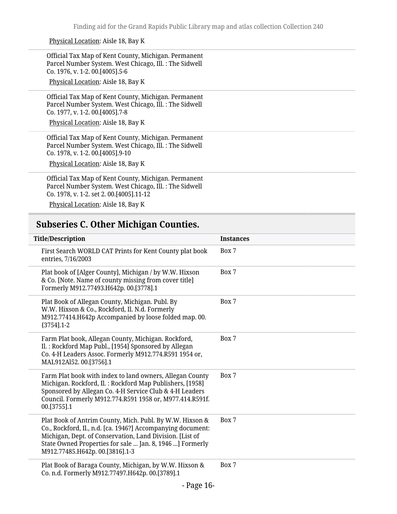Physical Location: Aisle 18, Bay K

Official Tax Map of Kent County, Michigan. Permanent Parcel Number System. West Chicago, Ill. : The Sidwell Co. 1976, v. 1-2. 00.[4005].5-6

Physical Location: Aisle 18, Bay K

Official Tax Map of Kent County, Michigan. Permanent Parcel Number System. West Chicago, Ill. : The Sidwell Co. 1977, v. 1-2. 00.[4005].7-8

Physical Location: Aisle 18, Bay K

Official Tax Map of Kent County, Michigan. Permanent Parcel Number System. West Chicago, Ill. : The Sidwell Co. 1978, v. 1-2. 00.[4005].9-10

Physical Location: Aisle 18, Bay K

Official Tax Map of Kent County, Michigan. Permanent Parcel Number System. West Chicago, Ill. : The Sidwell Co. 1978, v. 1-2. set 2. 00.[4005].11-12

Physical Location: Aisle 18, Bay K

### <span id="page-15-0"></span>**Subseries C. Other Michigan Counties.**

| <b>Title/Description</b>                                                                                                                                                                                                                                                           | <b>Instances</b> |  |
|------------------------------------------------------------------------------------------------------------------------------------------------------------------------------------------------------------------------------------------------------------------------------------|------------------|--|
| First Search WORLD CAT Prints for Kent County plat book<br>entries, 7/16/2003                                                                                                                                                                                                      | Box 7            |  |
| Plat book of [Alger County], Michigan / by W.W. Hixson<br>& Co. [Note. Name of county missing from cover title]<br>Formerly M912.77493.H642p. 00.[3778].1                                                                                                                          | Box 7            |  |
| Plat Book of Allegan County, Michigan. Publ. By<br>W.W. Hixson & Co., Rockford, Il. N.d. Formerly<br>M912.77414.H642p Accompanied by loose folded map. 00.<br>${3754}$ ].1-2                                                                                                       | Box 7            |  |
| Farm Plat book, Allegan County, Michigan. Rockford,<br>Il.: Rockford Map Publ., [1954] Sponsored by Allegan<br>Co. 4-H Leaders Assoc. Formerly M912.774.R591 1954 or,<br>MAL912Al52.00.[3756].1                                                                                    | Box 7            |  |
| Farm Plat book with index to land owners, Allegan County<br>Michigan. Rockford, Il.: Rockford Map Publishers, [1958]<br>Sponsored by Allegan Co. 4-H Service Club & 4-H Leaders<br>Council. Formerly M912.774.R591 1958 or, M977.414.R591f.<br>00.[3755].1                         | Box 7            |  |
| Plat Book of Antrim County, Mich. Publ. By W.W. Hixson &<br>Co., Rockford, Il., n.d. [ca. 1946?] Accompanying document:<br>Michigan, Dept. of Conservation, Land Division. [List of<br>State Owned Properties for sale  Jan. 8, 1946 ] Formerly<br>M912.77485.H642p. 00.[3816].1-3 | Box 7            |  |
| Plat Book of Baraga County, Michigan, by W.W. Hixson &<br>Co. n.d. Formerly M912.77497.H642p. 00.[3789].1                                                                                                                                                                          | Box 7            |  |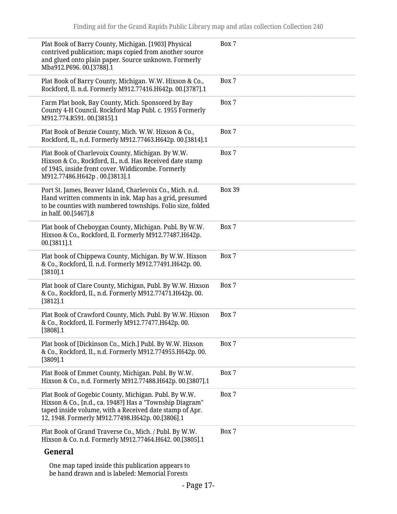| Plat Book of Barry County, Michigan. [1903] Physical<br>contrived publication; maps copied from another source<br>and glued onto plain paper. Source unknown. Formerly<br>Mba912.P696.00.[3788].1                               | Box 7         |
|---------------------------------------------------------------------------------------------------------------------------------------------------------------------------------------------------------------------------------|---------------|
| Plat Book of Barry County, Michigan. W.W. Hixson & Co.,<br>Rockford, Il. n.d. Formerly M912.77416.H642p. 00.[3787].1                                                                                                            | Box 7         |
| Farm Plat book, Bay County, Mich. Sponsored by Bay<br>County 4-H Council. Rockford Map Publ. c. 1955 Formerly<br>M912.774.R591.00.[3815].1                                                                                      | Box 7         |
| Plat Book of Benzie County, Mich. W.W. Hixson & Co.,<br>Rockford, Il., n.d. Formerly M912.77463.H642p. 00.[3814].1                                                                                                              | Box 7         |
| Plat Book of Charlevoix County, Michigan. By W.W.<br>Hixson & Co., Rockford, Il., n.d. Has Received date stamp<br>of 1945, inside front cover. Widdicombe. Formerly<br>M912.77486.H642p.00.[3813].1                             | Box 7         |
| Port St. James, Beaver Island, Charlevoix Co., Mich. n.d.<br>Hand written comments in ink. Map has a grid, presumed<br>to be counties with numbered townships. Folio size, folded<br>in half. 00.[5467].8                       | <b>Box 39</b> |
| Plat book of Cheboygan County, Michigan. Publ. By W.W.<br>Hixson & Co., Rockford, Il. Formerly M912.77487.H642p.<br>00.[3811].1                                                                                                 | Box 7         |
| Plat book of Chippewa County, Michigan. By W.W. Hixson<br>& Co., Rockford, Il. n.d. Formerly M912.77491.H642p. 00.<br>[3810].1                                                                                                  | Box 7         |
| Plat book of Clare County, Michigan, Publ. By W.W. Hixson<br>& Co., Rockford, Il., n.d. Formerly M912.77471.H642p. 00.<br>[3812] .1                                                                                             | Box 7         |
| Plat Book of Crawford County, Mich. Publ. By W.W. Hixson<br>& Co., Rockford, Il. Formerly M912.77477.H642p. 00.<br>[3808].1                                                                                                     | Box 7         |
| Plat book of [Dickinson Co., Mich.] Publ. By W.W. Hixson<br>& Co., Rockford, Il., n.d. Formerly M912.774955.H642p. 00.<br>$[3809]$ .1                                                                                           | Box 7         |
| Plat Book of Emmet County, Michigan. Publ. By W.W.<br>Hixson & Co., n.d. Formerly M912.77488.H642p. 00.[3807].1                                                                                                                 | Box 7         |
| Plat Book of Gogebic County, Michigan. Publ. By W.W.<br>Hixson & Co., [n.d., ca. 1948?] Has a "Township Diagram"<br>taped inside volume, with a Received date stamp of Apr.<br>12, 1948. Formerly M912.77498.H642p. 00.[3806].1 | Box 7         |
| Plat Book of Grand Traverse Co., Mich. / Publ. By W.W.<br>Hixson & Co. n.d. Formerly M912.77464.H642. 00.[3805].1                                                                                                               | Box 7         |
| General                                                                                                                                                                                                                         |               |
| One map taped inside this publication appears to                                                                                                                                                                                |               |

be hand drawn and is labeled: Memorial Forests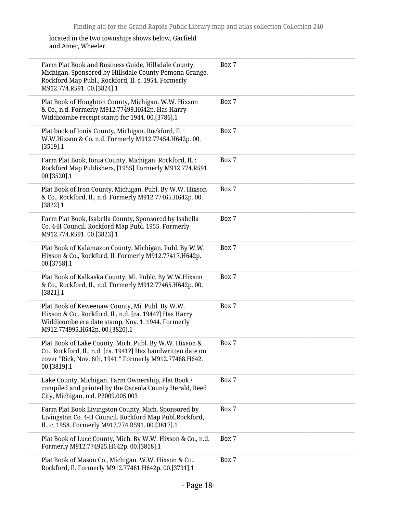located in the two townships shows below, Garfield and Amer, Wheeler.

| Farm Plat Book and Business Guide, Hillsdale County,<br>Michigan. Sponsored by Hillsdale County Pomona Grange.<br>Rockford Map Publ., Rockford, Il. c. 1954. Formerly<br>M912.774.R591.00.[3824].1 | Box 7 |
|----------------------------------------------------------------------------------------------------------------------------------------------------------------------------------------------------|-------|
| Plat Book of Houghton County, Michigan. W.W. Hixson<br>& Co., n.d. Formerly M912.77499.H642p. Has Harry<br>Widdicombe receipt stamp for 1944. 00.[3786].1                                          | Box 7 |
| Plat book of Ionia County, Michigan. Rockford, Il.:<br>W.W.Hixson & Co. n.d. Formerly M912.77454.H642p. 00.<br>[3519] .1                                                                           | Box 7 |
| Farm Plat Book, Ionia County, Michigan. Rockford, Il. :<br>Rockford Map Publishers, [1955] Formerly M912.774.R591.<br>00.[3520].1                                                                  | Box 7 |
| Plat Book of Iron County, Michigan. Publ. By W.W. Hixson<br>& Co., Rockford, Il., n.d. Formerly M912.77465.H642p. 00.<br>[3822] . 1                                                                | Box 7 |
| Farm Plat Book, Isabella County, Sponsored by Isabella<br>Co. 4-H Council. Rockford Map Publ. 1955. Formerly<br>M912.774.R591.00.[3823].1                                                          | Box 7 |
| Plat Book of Kalamazoo County, Michigan. Publ. By W.W.<br>Hixson & Co., Rockford, Il. Formerly M912.77417.H642p.<br>00.[3758].1                                                                    | Box 7 |
| Plat Book of Kalkaska County, Mi. Publc. By W.W.Hixson<br>& Co., Rockford, Il., n.d. Formerly M912.77465.H642p. 00.<br>$[3821]$ .1                                                                 | Box 7 |
| Plat Book of Keweenaw County, Mi. Publ. By W.W.<br>Hixson & Co., Rockford, Il., n.d. [ca. 1944?] Has Harry<br>Widdicombe era date stamp, Nov. 1, 1944. Formerly<br>M912.774995.H642p. 00.[3820].1  | Box 7 |
| Plat Book of Lake County, Mich. Publ. By W.W. Hixson &<br>Co., Rockford, Il., n.d. [ca. 1941?] Has handwritten date on<br>cover "Rick, Nov. 6th, 1941." Formerly M912.77468.H642.<br>00.[3819].1   | Box 7 |
| Lake County, Michigan, Farm Ownership, Plat Book /<br>compiled and printed by the Osceola County Herald, Reed<br>City, Michigan, n.d. P2009.005.003                                                | Box 7 |
| Farm Plat Book Livingston County, Mich. Sponsored by<br>Livingston Co. 4-H Council. Rockford Map Publ.Rockford,<br>Il., c. 1958. Formerly M912.774.R591. 00.[3817].1                               | Box 7 |
| Plat Book of Luce County, Mich. By W.W. Hixson & Co., n.d.<br>Formerly M912.774925.H642p. 00.[3818].1                                                                                              | Box 7 |
| Plat Book of Mason Co., Michigan. W.W. Hixson & Co.,<br>Rockford, Il. Formerly M912.77461.H642p. 00.[3791].1                                                                                       | Box 7 |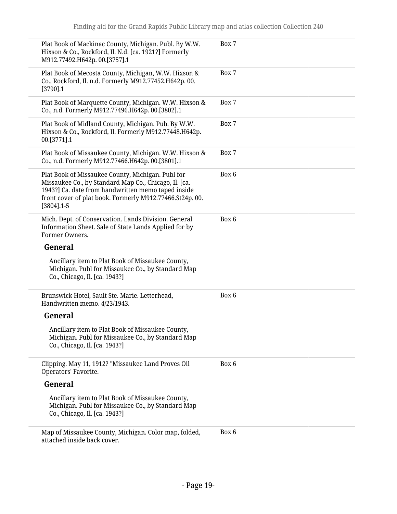| Plat Book of Mackinac County, Michigan. Publ. By W.W.<br>Hixson & Co., Rockford, Il. N.d. [ca. 1921?] Formerly<br>M912.77492.H642p. 00.[3757].1                                                                                               | Box 7 |
|-----------------------------------------------------------------------------------------------------------------------------------------------------------------------------------------------------------------------------------------------|-------|
| Plat Book of Mecosta County, Michigan, W.W. Hixson &<br>Co., Rockford, Il. n.d. Formerly M912.77452.H642p. 00.<br>$[3790]$ .1                                                                                                                 | Box 7 |
| Plat Book of Marquette County, Michigan. W.W. Hixson &<br>Co., n.d. Formerly M912.77496.H642p. 00.[3802].1                                                                                                                                    | Box 7 |
| Plat Book of Midland County, Michigan. Pub. By W.W.<br>Hixson & Co., Rockford, Il. Formerly M912.77448.H642p.<br>00.[3771].1                                                                                                                  | Box 7 |
| Plat Book of Missaukee County, Michigan. W.W. Hixson &<br>Co., n.d. Formerly M912.77466.H642p. 00.[3801].1                                                                                                                                    | Box 7 |
| Plat Book of Missaukee County, Michigan. Publ for<br>Missaukee Co., by Standard Map Co., Chicago, Il. [ca.<br>1943?] Ca. date from handwritten memo taped inside<br>front cover of plat book. Formerly M912.77466.St24p. 00.<br>$[3804]$ .1-5 | Box 6 |
| Mich. Dept. of Conservation. Lands Division. General<br>Information Sheet. Sale of State Lands Applied for by<br>Former Owners.                                                                                                               | Box 6 |
| General                                                                                                                                                                                                                                       |       |
| Ancillary item to Plat Book of Missaukee County,<br>Michigan. Publ for Missaukee Co., by Standard Map<br>Co., Chicago, Il. [ca. 1943?]                                                                                                        |       |
| Brunswick Hotel, Sault Ste. Marie. Letterhead,<br>Handwritten memo. 4/23/1943.                                                                                                                                                                | Box 6 |
| General                                                                                                                                                                                                                                       |       |
| Ancillary item to Plat Book of Missaukee County,<br>Michigan. Publ for Missaukee Co., by Standard Map<br>Co., Chicago, Il. [ca. 1943?]                                                                                                        |       |
| Clipping. May 11, 1912? "Missaukee Land Proves Oil<br>Operators' Favorite.                                                                                                                                                                    | Box 6 |
| General                                                                                                                                                                                                                                       |       |
| Ancillary item to Plat Book of Missaukee County,<br>Michigan. Publ for Missaukee Co., by Standard Map<br>Co., Chicago, Il. [ca. 1943?]                                                                                                        |       |
| Map of Missaukee County, Michigan. Color map, folded,<br>attached inside back cover.                                                                                                                                                          | Box 6 |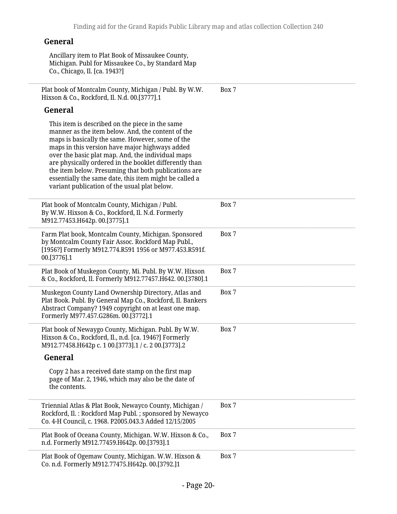Ancillary item to Plat Book of Missaukee County, Michigan. Publ for Missaukee Co., by Standard Map Co., Chicago, Il. [ca. 1943?]

Plat book of Montcalm County, Michigan / Publ. By W.W. Hixson & Co., Rockford, Il. N.d. 00.[3777].1 Box 7

#### **General**

| This item is described on the piece in the same<br>manner as the item below. And, the content of the<br>maps is basically the same. However, some of the<br>maps in this version have major highways added<br>over the basic plat map. And, the individual maps<br>are physically ordered in the booklet differently than<br>the item below. Presuming that both publications are<br>essentially the same date, this item might be called a<br>variant publication of the usual plat below. |       |
|---------------------------------------------------------------------------------------------------------------------------------------------------------------------------------------------------------------------------------------------------------------------------------------------------------------------------------------------------------------------------------------------------------------------------------------------------------------------------------------------|-------|
| Plat book of Montcalm County, Michigan / Publ.<br>By W.W. Hixson & Co., Rockford, Il. N.d. Formerly<br>M912.77453.H642p. 00.[3775].1                                                                                                                                                                                                                                                                                                                                                        | Box 7 |
| Farm Plat book, Montcalm County, Michigan. Sponsored<br>by Montcalm County Fair Assoc. Rockford Map Publ.,<br>[1956?] Formerly M912.774.R591 1956 or M977.453.R591f.<br>00.[3776].1                                                                                                                                                                                                                                                                                                         | Box 7 |
| Plat Book of Muskegon County, Mi. Publ. By W.W. Hixson<br>& Co., Rockford, Il. Formerly M912.77457.H642. 00.[3780].1                                                                                                                                                                                                                                                                                                                                                                        | Box 7 |
| Muskegon County Land Ownership Directory, Atlas and<br>Plat Book. Publ. By General Map Co., Rockford, Il. Bankers<br>Abstract Company? 1949 copyright on at least one map.<br>Formerly M977.457.G286m. 00.[3772].1                                                                                                                                                                                                                                                                          | Box 7 |
| Plat book of Newaygo County, Michigan. Publ. By W.W.<br>Hixson & Co., Rockford, Il., n.d. [ca. 1946?] Formerly<br>M912.77458.H642p c. 1 00.[3773].1 / c. 2 00.[3773].2                                                                                                                                                                                                                                                                                                                      | Box 7 |
| General                                                                                                                                                                                                                                                                                                                                                                                                                                                                                     |       |
| Copy 2 has a received date stamp on the first map<br>page of Mar. 2, 1946, which may also be the date of<br>the contents.                                                                                                                                                                                                                                                                                                                                                                   |       |
| Triennial Atlas & Plat Book, Newayco County, Michigan /<br>Rockford, Il.: Rockford Map Publ.; sponsored by Newayco<br>Co. 4-H Council, c. 1968. P2005.043.3 Added 12/15/2005                                                                                                                                                                                                                                                                                                                | Box 7 |
| Plat Book of Oceana County, Michigan. W.W. Hixson & Co.,<br>n.d. Formerly M912.77459.H642p. 00.[3793].1                                                                                                                                                                                                                                                                                                                                                                                     | Box 7 |
| Plat Book of Ogemaw County, Michigan. W.W. Hixson &<br>Co. n.d. Formerly M912.77475.H642p. 00.[3792.]1                                                                                                                                                                                                                                                                                                                                                                                      | Box 7 |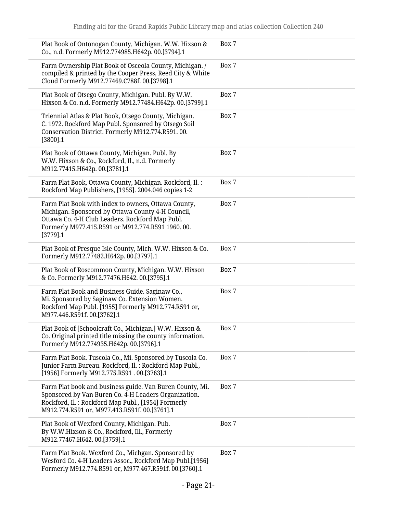| Plat Book of Ontonogan County, Michigan. W.W. Hixson &<br>Co., n.d. Formerly M912.774985.H642p. 00.[3794].1                                                                                                                    | Box 7 |
|--------------------------------------------------------------------------------------------------------------------------------------------------------------------------------------------------------------------------------|-------|
| Farm Ownership Plat Book of Osceola County, Michigan. /<br>compiled & printed by the Cooper Press, Reed City & White<br>Cloud Formerly M912.77469.C788f. 00.[3798].1                                                           | Box 7 |
| Plat Book of Otsego County, Michigan. Publ. By W.W.<br>Hixson & Co. n.d. Formerly M912.77484.H642p. 00.[3799].1                                                                                                                | Box 7 |
| Triennial Atlas & Plat Book, Otsego County, Michigan.<br>C. 1972. Rockford Map Publ. Sponsored by Otsego Soil<br>Conservation District. Formerly M912.774.R591.00.<br>$[3800]$ .1                                              | Box 7 |
| Plat Book of Ottawa County, Michigan. Publ. By<br>W.W. Hixson & Co., Rockford, Il., n.d. Formerly<br>M912.77415.H642p. 00.[3781].1                                                                                             | Box 7 |
| Farm Plat Book, Ottawa County, Michigan. Rockford, Il. :<br>Rockford Map Publishers, [1955]. 2004.046 copies 1-2                                                                                                               | Box 7 |
| Farm Plat Book with index to owners, Ottawa County,<br>Michigan. Sponsored by Ottawa County 4-H Council,<br>Ottawa Co. 4-H Club Leaders. Rockford Map Publ.<br>Formerly M977.415.R591 or M912.774.R591 1960.00.<br>$[3779]$ .1 | Box 7 |
| Plat Book of Presque Isle County, Mich. W.W. Hixson & Co.<br>Formerly M912.77482.H642p. 00.[3797].1                                                                                                                            | Box 7 |
| Plat Book of Roscommon County, Michigan. W.W. Hixson<br>& Co. Formerly M912.77476.H642. 00.[3795].1                                                                                                                            | Box 7 |
| Farm Plat Book and Business Guide. Saginaw Co.,<br>Mi. Sponsored by Saginaw Co. Extension Women.<br>Rockford Map Publ. [1955] Formerly M912.774.R591 or,<br>M977.446.R591f. 00.[3762].1                                        | Box 7 |
| Plat Book of [Schoolcraft Co., Michigan.] W.W. Hixson &<br>Co. Original printed title missing the county information.<br>Formerly M912.774935.H642p. 00.[3796].1                                                               | Box 7 |
| Farm Plat Book. Tuscola Co., Mi. Sponsored by Tuscola Co.<br>Junior Farm Bureau. Rockford, Il. : Rockford Map Publ.,<br>[1956] Formerly M912.775.R591.00.[3763].1                                                              | Box 7 |
| Farm Plat book and business guide. Van Buren County, Mi.<br>Sponsored by Van Buren Co. 4-H Leaders Organization.<br>Rockford, Il.: Rockford Map Publ., [1954] Formerly<br>M912.774.R591 or, M977.413.R591f. 00.[3761].1        | Box 7 |
| Plat Book of Wexford County, Michigan. Pub.<br>By W.W.Hixson & Co., Rockford, Ill., Formerly<br>M912.77467.H642.00.[3759].1                                                                                                    | Box 7 |
| Farm Plat Book. Wexford Co., Michgan. Sponsored by<br>Wesford Co. 4-H Leaders Assoc., Rockford Map Publ.[1956]<br>Formerly M912.774.R591 or, M977.467.R591f. 00.[3760].1                                                       | Box 7 |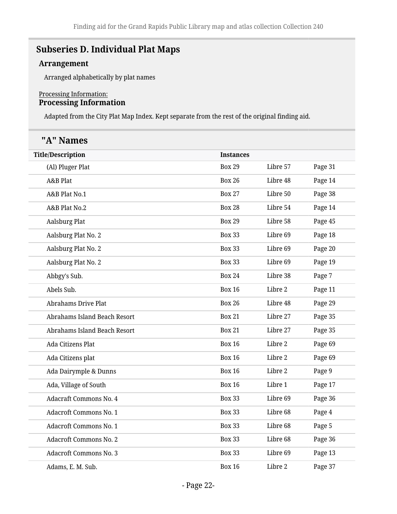## <span id="page-21-0"></span>**Subseries D. Individual Plat Maps**

#### **Arrangement**

Arranged alphabetically by plat names

#### Processing Information: **Processing Information**

Adapted from the City Plat Map Index. Kept separate from the rest of the original finding aid.

| "A" Names                     |                  |          |         |
|-------------------------------|------------------|----------|---------|
| <b>Title/Description</b>      | <b>Instances</b> |          |         |
| (Al) Pluger Plat              | <b>Box 29</b>    | Libre 57 | Page 31 |
| A&B Plat                      | <b>Box 26</b>    | Libre 48 | Page 14 |
| A&B Plat No.1                 | <b>Box 27</b>    | Libre 50 | Page 38 |
| A&B Plat No.2                 | <b>Box 28</b>    | Libre 54 | Page 14 |
| <b>Aalsburg Plat</b>          | <b>Box 29</b>    | Libre 58 | Page 45 |
| Aalsburg Plat No. 2           | <b>Box 33</b>    | Libre 69 | Page 18 |
| Aalsburg Plat No. 2           | <b>Box 33</b>    | Libre 69 | Page 20 |
| Aalsburg Plat No. 2           | <b>Box 33</b>    | Libre 69 | Page 19 |
| Abbgy's Sub.                  | <b>Box 24</b>    | Libre 38 | Page 7  |
| Abels Sub.                    | <b>Box 16</b>    | Libre 2  | Page 11 |
| <b>Abrahams Drive Plat</b>    | <b>Box 26</b>    | Libre 48 | Page 29 |
| Abrahams Island Beach Resort  | <b>Box 21</b>    | Libre 27 | Page 35 |
| Abrahams Island Beach Resort  | <b>Box 21</b>    | Libre 27 | Page 35 |
| Ada Citizens Plat             | <b>Box 16</b>    | Libre 2  | Page 69 |
| Ada Citizens plat             | <b>Box 16</b>    | Libre 2  | Page 69 |
| Ada Dairymple & Dunns         | <b>Box 16</b>    | Libre 2  | Page 9  |
| Ada, Village of South         | <b>Box 16</b>    | Libre 1  | Page 17 |
| <b>Adacraft Commons No. 4</b> | <b>Box 33</b>    | Libre 69 | Page 36 |
| <b>Adacroft Commons No. 1</b> | <b>Box 33</b>    | Libre 68 | Page 4  |
| <b>Adacroft Commons No. 1</b> | <b>Box 33</b>    | Libre 68 | Page 5  |
| <b>Adacroft Commons No. 2</b> | <b>Box 33</b>    | Libre 68 | Page 36 |
| <b>Adacroft Commons No. 3</b> | <b>Box 33</b>    | Libre 69 | Page 13 |
| Adams, E. M. Sub.             | <b>Box 16</b>    | Libre 2  | Page 37 |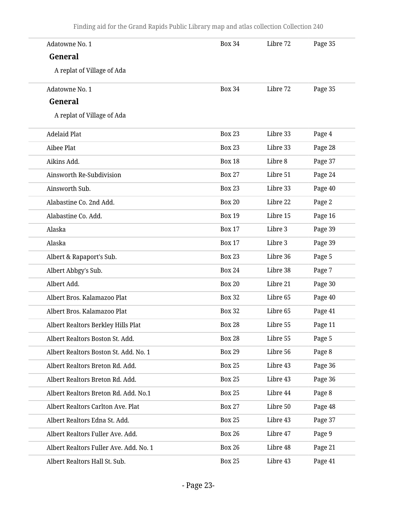| Adatowne No. 1                         | <b>Box 34</b> | Libre 72 | Page 35 |
|----------------------------------------|---------------|----------|---------|
| General                                |               |          |         |
| A replat of Village of Ada             |               |          |         |
| Adatowne No. 1                         | <b>Box 34</b> | Libre 72 | Page 35 |
| General                                |               |          |         |
| A replat of Village of Ada             |               |          |         |
| <b>Adelaid Plat</b>                    | <b>Box 23</b> | Libre 33 | Page 4  |
| Aibee Plat                             | <b>Box 23</b> | Libre 33 | Page 28 |
| Aikins Add.                            | <b>Box 18</b> | Libre 8  | Page 37 |
| Ainsworth Re-Subdivision               | <b>Box 27</b> | Libre 51 | Page 24 |
| Ainsworth Sub.                         | <b>Box 23</b> | Libre 33 | Page 40 |
| Alabastine Co. 2nd Add.                | <b>Box 20</b> | Libre 22 | Page 2  |
| Alabastine Co. Add.                    | <b>Box 19</b> | Libre 15 | Page 16 |
| Alaska                                 | <b>Box 17</b> | Libre 3  | Page 39 |
| Alaska                                 | <b>Box 17</b> | Libre 3  | Page 39 |
| Albert & Rapaport's Sub.               | <b>Box 23</b> | Libre 36 | Page 5  |
| Albert Abbgy's Sub.                    | <b>Box 24</b> | Libre 38 | Page 7  |
| Albert Add.                            | <b>Box 20</b> | Libre 21 | Page 30 |
| Albert Bros. Kalamazoo Plat            | <b>Box 32</b> | Libre 65 | Page 40 |
| Albert Bros. Kalamazoo Plat            | <b>Box 32</b> | Libre 65 | Page 41 |
| Albert Realtors Berkley Hills Plat     | <b>Box 28</b> | Libre 55 | Page 11 |
| Albert Realtors Boston St. Add.        | <b>Box 28</b> | Libre 55 | Page 5  |
| Albert Realtors Boston St. Add. No. 1  | <b>Box 29</b> | Libre 56 | Page 8  |
| Albert Realtors Breton Rd. Add.        | <b>Box 25</b> | Libre 43 | Page 36 |
| Albert Realtors Breton Rd. Add.        | <b>Box 25</b> | Libre 43 | Page 36 |
| Albert Realtors Breton Rd. Add. No.1   | <b>Box 25</b> | Libre 44 | Page 8  |
| Albert Realtors Carlton Ave. Plat      | <b>Box 27</b> | Libre 50 | Page 48 |
| Albert Realtors Edna St. Add.          | <b>Box 25</b> | Libre 43 | Page 37 |
| Albert Realtors Fuller Ave. Add.       | <b>Box 26</b> | Libre 47 | Page 9  |
| Albert Realtors Fuller Ave. Add. No. 1 | <b>Box 26</b> | Libre 48 | Page 21 |
| Albert Realtors Hall St. Sub.          | <b>Box 25</b> | Libre 43 | Page 41 |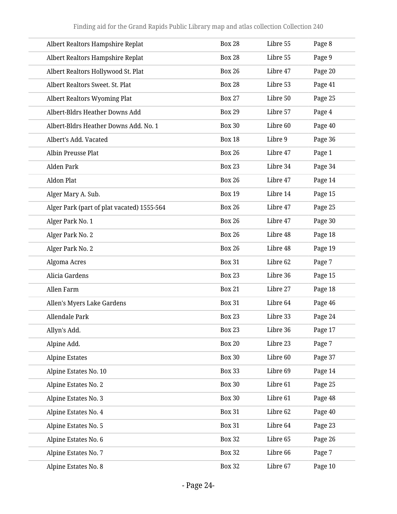| Albert Realtors Hampshire Replat           | <b>Box 28</b> | Libre 55 | Page 8  |
|--------------------------------------------|---------------|----------|---------|
| Albert Realtors Hampshire Replat           | <b>Box 28</b> | Libre 55 | Page 9  |
| Albert Realtors Hollywood St. Plat         | <b>Box 26</b> | Libre 47 | Page 20 |
| Albert Realtors Sweet. St. Plat            | <b>Box 28</b> | Libre 53 | Page 41 |
| Albert Realtors Wyoming Plat               | <b>Box 27</b> | Libre 50 | Page 25 |
| Albert-Bldrs Heather Downs Add             | <b>Box 29</b> | Libre 57 | Page 4  |
| Albert-Bldrs Heather Downs Add. No. 1      | <b>Box 30</b> | Libre 60 | Page 40 |
| Albert's Add. Vacated                      | <b>Box 18</b> | Libre 9  | Page 36 |
| Albin Preusse Plat                         | <b>Box 26</b> | Libre 47 | Page 1  |
| <b>Alden Park</b>                          | <b>Box 23</b> | Libre 34 | Page 34 |
| <b>Aldon Plat</b>                          | <b>Box 26</b> | Libre 47 | Page 14 |
| Alger Mary A. Sub.                         | <b>Box 19</b> | Libre 14 | Page 15 |
| Alger Park (part of plat vacated) 1555-564 | <b>Box 26</b> | Libre 47 | Page 25 |
| Alger Park No. 1                           | <b>Box 26</b> | Libre 47 | Page 30 |
| Alger Park No. 2                           | <b>Box 26</b> | Libre 48 | Page 18 |
| Alger Park No. 2                           | <b>Box 26</b> | Libre 48 | Page 19 |
| Algoma Acres                               | <b>Box 31</b> | Libre 62 | Page 7  |
| Alicia Gardens                             | <b>Box 23</b> | Libre 36 | Page 15 |
| Allen Farm                                 | <b>Box 21</b> | Libre 27 | Page 18 |
| Allen's Myers Lake Gardens                 | <b>Box 31</b> | Libre 64 | Page 46 |
| Allendale Park                             | <b>Box 23</b> | Libre 33 | Page 24 |
| Allyn's Add.                               | <b>Box 23</b> | Libre 36 | Page 17 |
| Alpine Add.                                | <b>Box 20</b> | Libre 23 | Page 7  |
| <b>Alpine Estates</b>                      | <b>Box 30</b> | Libre 60 | Page 37 |
| Alpine Estates No. 10                      | <b>Box 33</b> | Libre 69 | Page 14 |
| Alpine Estates No. 2                       | <b>Box 30</b> | Libre 61 | Page 25 |
| Alpine Estates No. 3                       | <b>Box 30</b> | Libre 61 | Page 48 |
| Alpine Estates No. 4                       | <b>Box 31</b> | Libre 62 | Page 40 |
| Alpine Estates No. 5                       | <b>Box 31</b> | Libre 64 | Page 23 |
| Alpine Estates No. 6                       | <b>Box 32</b> | Libre 65 | Page 26 |
| Alpine Estates No. 7                       | <b>Box 32</b> | Libre 66 | Page 7  |
| Alpine Estates No. 8                       | <b>Box 32</b> | Libre 67 | Page 10 |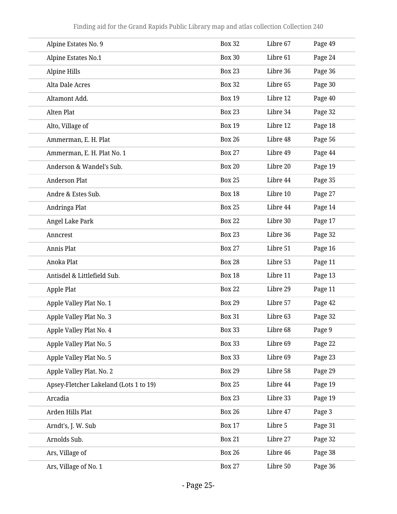| Alpine Estates No. 9                   | <b>Box 32</b> | Libre 67 | Page 49 |
|----------------------------------------|---------------|----------|---------|
| Alpine Estates No.1                    | <b>Box 30</b> | Libre 61 | Page 24 |
| Alpine Hills                           | <b>Box 23</b> | Libre 36 | Page 36 |
| Alta Dale Acres                        | <b>Box 32</b> | Libre 65 | Page 30 |
| Altamont Add.                          | <b>Box 19</b> | Libre 12 | Page 40 |
| Alten Plat                             | <b>Box 23</b> | Libre 34 | Page 32 |
| Alto, Village of                       | <b>Box 19</b> | Libre 12 | Page 18 |
| Ammerman, E. H. Plat                   | <b>Box 26</b> | Libre 48 | Page 56 |
| Ammerman, E. H. Plat No. 1             | <b>Box 27</b> | Libre 49 | Page 44 |
| Anderson & Wandel's Sub.               | <b>Box 20</b> | Libre 20 | Page 19 |
| <b>Anderson Plat</b>                   | <b>Box 25</b> | Libre 44 | Page 35 |
| Andre & Estes Sub.                     | <b>Box 18</b> | Libre 10 | Page 27 |
| Andringa Plat                          | <b>Box 25</b> | Libre 44 | Page 14 |
| Angel Lake Park                        | <b>Box 22</b> | Libre 30 | Page 17 |
| Anncrest                               | <b>Box 23</b> | Libre 36 | Page 32 |
| Annis Plat                             | <b>Box 27</b> | Libre 51 | Page 16 |
| Anoka Plat                             | <b>Box 28</b> | Libre 53 | Page 11 |
| Antisdel & Littlefield Sub.            | <b>Box 18</b> | Libre 11 | Page 13 |
| Apple Plat                             | <b>Box 22</b> | Libre 29 | Page 11 |
| Apple Valley Plat No. 1                | <b>Box 29</b> | Libre 57 | Page 42 |
| Apple Valley Plat No. 3                | <b>Box 31</b> | Libre 63 | Page 32 |
| Apple Valley Plat No. 4                | <b>Box 33</b> | Libre 68 | Page 9  |
| Apple Valley Plat No. 5                | <b>Box 33</b> | Libre 69 | Page 22 |
| Apple Valley Plat No. 5                | <b>Box 33</b> | Libre 69 | Page 23 |
| Apple Valley Plat. No. 2               | <b>Box 29</b> | Libre 58 | Page 29 |
| Apsey-Fletcher Lakeland (Lots 1 to 19) | <b>Box 25</b> | Libre 44 | Page 19 |
| Arcadia                                | <b>Box 23</b> | Libre 33 | Page 19 |
| Arden Hills Plat                       | <b>Box 26</b> | Libre 47 | Page 3  |
| Arndt's, J. W. Sub                     | <b>Box 17</b> | Libre 5  | Page 31 |
| Arnolds Sub.                           | <b>Box 21</b> | Libre 27 | Page 32 |
| Ars, Village of                        | <b>Box 26</b> | Libre 46 | Page 38 |
| Ars, Village of No. 1                  | <b>Box 27</b> | Libre 50 | Page 36 |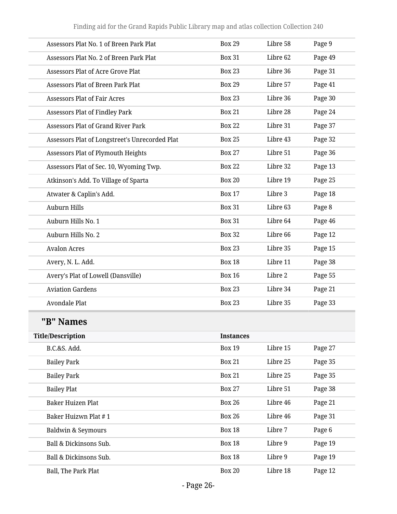| Assessors Plat No. 1 of Breen Park Plat        | <b>Box 29</b>    | Libre 58 | Page 9  |
|------------------------------------------------|------------------|----------|---------|
| Assessors Plat No. 2 of Breen Park Plat        | <b>Box 31</b>    | Libre 62 | Page 49 |
| <b>Assessors Plat of Acre Grove Plat</b>       | <b>Box 23</b>    | Libre 36 | Page 31 |
| <b>Assessors Plat of Breen Park Plat</b>       | <b>Box 29</b>    | Libre 57 | Page 41 |
| <b>Assessors Plat of Fair Acres</b>            | <b>Box 23</b>    | Libre 36 | Page 30 |
| <b>Assessors Plat of Findley Park</b>          | <b>Box 21</b>    | Libre 28 | Page 24 |
| <b>Assessors Plat of Grand River Park</b>      | <b>Box 22</b>    | Libre 31 | Page 37 |
| Assessors Plat of Longstreet's Unrecorded Plat | <b>Box 25</b>    | Libre 43 | Page 32 |
| Assessors Plat of Plymouth Heights             | <b>Box 27</b>    | Libre 51 | Page 36 |
| Assessors Plat of Sec. 10, Wyoming Twp.        | <b>Box 22</b>    | Libre 32 | Page 13 |
| Atkinson's Add. To Village of Sparta           | <b>Box 20</b>    | Libre 19 | Page 25 |
| Atwater & Caplin's Add.                        | <b>Box 17</b>    | Libre 3  | Page 18 |
| <b>Auburn Hills</b>                            | <b>Box 31</b>    | Libre 63 | Page 8  |
| Auburn Hills No. 1                             | <b>Box 31</b>    | Libre 64 | Page 46 |
| Auburn Hills No. 2                             | <b>Box 32</b>    | Libre 66 | Page 12 |
| <b>Avalon Acres</b>                            | <b>Box 23</b>    | Libre 35 | Page 15 |
| Avery, N. L. Add.                              | <b>Box 18</b>    | Libre 11 | Page 38 |
| Avery's Plat of Lowell (Dansville)             | <b>Box 16</b>    | Libre 2  | Page 55 |
| <b>Aviation Gardens</b>                        | <b>Box 23</b>    | Libre 34 | Page 21 |
| <b>Avondale Plat</b>                           | <b>Box 23</b>    | Libre 35 | Page 33 |
| "B" Names                                      |                  |          |         |
| <b>Title/Description</b>                       | <b>Instances</b> |          |         |
| B.C.&S. Add.                                   | <b>Box 19</b>    | Libre 15 | Page 27 |
| <b>Bailey Park</b>                             | <b>Box 21</b>    | Libre 25 | Page 35 |
| <b>Bailey Park</b>                             | <b>Box 21</b>    | Libre 25 | Page 35 |
| <b>Bailey Plat</b>                             | <b>Box 27</b>    | Libre 51 | Page 38 |
| <b>Baker Huizen Plat</b>                       | <b>Box 26</b>    | Libre 46 | Page 21 |
| Baker Huizwn Plat #1                           | <b>Box 26</b>    | Libre 46 | Page 31 |
| <b>Baldwin &amp; Seymours</b>                  | <b>Box 18</b>    | Libre 7  | Page 6  |
| Ball & Dickinsons Sub.                         | <b>Box 18</b>    | Libre 9  | Page 19 |
| Ball & Dickinsons Sub.                         | <b>Box 18</b>    | Libre 9  | Page 19 |
| Ball, The Park Plat                            | <b>Box 20</b>    | Libre 18 | Page 12 |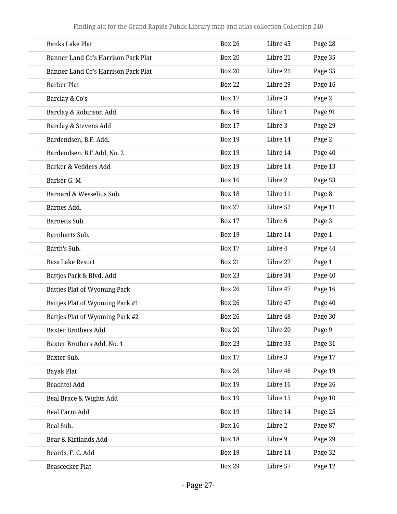| <b>Banks Lake Plat</b>                     | <b>Box 26</b> | Libre 45 | Page 28 |
|--------------------------------------------|---------------|----------|---------|
| Banner Land Co's Harrison Park Plat        | <b>Box 20</b> | Libre 21 | Page 35 |
| <b>Banner Land Co's Harrison Park Plat</b> | <b>Box 20</b> | Libre 21 | Page 35 |
| <b>Barber Plat</b>                         | <b>Box 22</b> | Libre 29 | Page 16 |
| Barclay & Co's                             | <b>Box 17</b> | Libre 3  | Page 2  |
| Barclay & Robinson Add.                    | <b>Box 16</b> | Libre 1  | Page 91 |
| Barclay & Stevens Add                      | <b>Box 17</b> | Libre 3  | Page 29 |
| Bardendsen, B.F. Add.                      | <b>Box 19</b> | Libre 14 | Page 2  |
| Bardendsen, B.F.Add, No. 2                 | <b>Box 19</b> | Libre 14 | Page 40 |
| Barker & Vedders Add                       | <b>Box 19</b> | Libre 14 | Page 13 |
| Barker G. M                                | <b>Box 16</b> | Libre 2  | Page 53 |
| Barnard & Wesselius Sub.                   | <b>Box 18</b> | Libre 11 | Page 8  |
| Barnes Add.                                | <b>Box 27</b> | Libre 52 | Page 11 |
| <b>Barnetts Sub.</b>                       | <b>Box 17</b> | Libre 6  | Page 3  |
| Barnharts Sub.                             | <b>Box 19</b> | Libre 14 | Page 1  |
| Barth's Sub.                               | <b>Box 17</b> | Libre 4  | Page 44 |
| <b>Bass Lake Resort</b>                    | <b>Box 21</b> | Libre 27 | Page 1  |
| Battjes Park & Blvd. Add                   | <b>Box 23</b> | Libre 34 | Page 40 |
| Battjes Plat of Wyoming Park               | <b>Box 26</b> | Libre 47 | Page 16 |
| Battjes Plat of Wyoming Park #1            | <b>Box 26</b> | Libre 47 | Page 40 |
| Battjes Plat of Wyoming Park #2            | <b>Box 26</b> | Libre 48 | Page 30 |
| Baxter Brothers Add.                       | <b>Box 20</b> | Libre 20 | Page 9  |
| Baxter Brothers Add. No. 1                 | <b>Box 23</b> | Libre 33 | Page 31 |
| Baxter Sub.                                | <b>Box 17</b> | Libre 3  | Page 17 |
| <b>Bayak Plat</b>                          | <b>Box 26</b> | Libre 46 | Page 19 |
| <b>Beachtel Add</b>                        | <b>Box 19</b> | Libre 16 | Page 26 |
| Beal Brace & Wights Add                    | <b>Box 19</b> | Libre 15 | Page 10 |
| Beal Farm Add                              | <b>Box 19</b> | Libre 14 | Page 25 |
| Beal Sub.                                  | <b>Box 16</b> | Libre 2  | Page 87 |
| Bear & Kirtlands Add                       | <b>Box 18</b> | Libre 9  | Page 29 |
| Beards, F. C. Add                          | <b>Box 19</b> | Libre 14 | Page 32 |
| <b>Beascecker Plat</b>                     | <b>Box 29</b> | Libre 57 | Page 12 |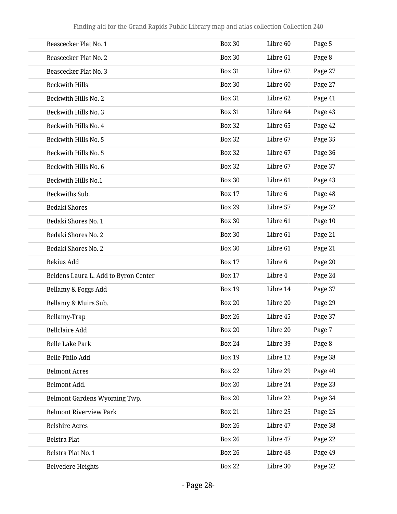| Beascecker Plat No. 1                | <b>Box 30</b> | Libre 60 | Page 5  |
|--------------------------------------|---------------|----------|---------|
| Beascecker Plat No. 2                | <b>Box 30</b> | Libre 61 | Page 8  |
| Beascecker Plat No. 3                | <b>Box 31</b> | Libre 62 | Page 27 |
| <b>Beckwith Hills</b>                | <b>Box 30</b> | Libre 60 | Page 27 |
| Beckwith Hills No. 2                 | <b>Box 31</b> | Libre 62 | Page 41 |
| Beckwith Hills No. 3                 | <b>Box 31</b> | Libre 64 | Page 43 |
| Beckwith Hills No. 4                 | <b>Box 32</b> | Libre 65 | Page 42 |
| Beckwith Hills No. 5                 | <b>Box 32</b> | Libre 67 | Page 35 |
| Beckwith Hills No. 5                 | <b>Box 32</b> | Libre 67 | Page 36 |
| Beckwith Hills No. 6                 | <b>Box 32</b> | Libre 67 | Page 37 |
| <b>Beckwith Hills No.1</b>           | <b>Box 30</b> | Libre 61 | Page 43 |
| Beckwiths Sub.                       | <b>Box 17</b> | Libre 6  | Page 48 |
| <b>Bedaki Shores</b>                 | <b>Box 29</b> | Libre 57 | Page 32 |
| Bedaki Shores No. 1                  | <b>Box 30</b> | Libre 61 | Page 10 |
| Bedaki Shores No. 2                  | <b>Box 30</b> | Libre 61 | Page 21 |
| Bedaki Shores No. 2                  | <b>Box 30</b> | Libre 61 | Page 21 |
| Bekius Add                           | <b>Box 17</b> | Libre 6  | Page 20 |
| Beldens Laura L. Add to Byron Center | <b>Box 17</b> | Libre 4  | Page 24 |
| Bellamy & Foggs Add                  | <b>Box 19</b> | Libre 14 | Page 37 |
| Bellamy & Muirs Sub.                 | <b>Box 20</b> | Libre 20 | Page 29 |
| Bellamy-Trap                         | <b>Box 26</b> | Libre 45 | Page 37 |
| <b>Bellclaire Add</b>                | <b>Box 20</b> | Libre 20 | Page 7  |
| <b>Belle Lake Park</b>               | <b>Box 24</b> | Libre 39 | Page 8  |
| Belle Philo Add                      | <b>Box 19</b> | Libre 12 | Page 38 |
| <b>Belmont Acres</b>                 | <b>Box 22</b> | Libre 29 | Page 40 |
| Belmont Add.                         | <b>Box 20</b> | Libre 24 | Page 23 |
| Belmont Gardens Wyoming Twp.         | <b>Box 20</b> | Libre 22 | Page 34 |
| <b>Belmont Riverview Park</b>        | <b>Box 21</b> | Libre 25 | Page 25 |
| <b>Belshire Acres</b>                | <b>Box 26</b> | Libre 47 | Page 38 |
| <b>Belstra Plat</b>                  | <b>Box 26</b> | Libre 47 | Page 22 |
| Belstra Plat No. 1                   | <b>Box 26</b> | Libre 48 | Page 49 |
| <b>Belvedere Heights</b>             | <b>Box 22</b> | Libre 30 | Page 32 |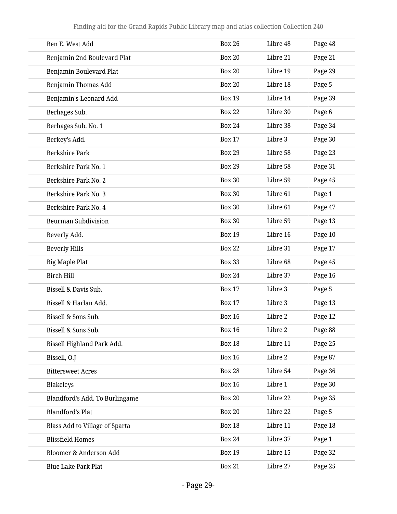| Ben E. West Add                | <b>Box 26</b> | Libre 48 | Page 48 |
|--------------------------------|---------------|----------|---------|
| Benjamin 2nd Boulevard Plat    | <b>Box 20</b> | Libre 21 | Page 21 |
| Benjamin Boulevard Plat        | <b>Box 20</b> | Libre 19 | Page 29 |
| Benjamin Thomas Add            | <b>Box 20</b> | Libre 18 | Page 5  |
| Benjamin's-Leonard Add         | <b>Box 19</b> | Libre 14 | Page 39 |
| Berhages Sub.                  | <b>Box 22</b> | Libre 30 | Page 6  |
| Berhages Sub. No. 1            | <b>Box 24</b> | Libre 38 | Page 34 |
| Berkey's Add.                  | <b>Box 17</b> | Libre 3  | Page 30 |
| <b>Berkshire Park</b>          | <b>Box 29</b> | Libre 58 | Page 23 |
| Berkshire Park No. 1           | <b>Box 29</b> | Libre 58 | Page 31 |
| Berkshire Park No. 2           | <b>Box 30</b> | Libre 59 | Page 45 |
| Berkshire Park No. 3           | <b>Box 30</b> | Libre 61 | Page 1  |
| Berkshire Park No. 4           | <b>Box 30</b> | Libre 61 | Page 47 |
| <b>Beurman Subdivision</b>     | <b>Box 30</b> | Libre 59 | Page 13 |
| Beverly Add.                   | <b>Box 19</b> | Libre 16 | Page 10 |
| <b>Beverly Hills</b>           | <b>Box 22</b> | Libre 31 | Page 17 |
| <b>Big Maple Plat</b>          | <b>Box 33</b> | Libre 68 | Page 45 |
| <b>Birch Hill</b>              | <b>Box 24</b> | Libre 37 | Page 16 |
| Bissell & Davis Sub.           | <b>Box 17</b> | Libre 3  | Page 5  |
| Bissell & Harlan Add.          | <b>Box 17</b> | Libre 3  | Page 13 |
| Bissell & Sons Sub.            | <b>Box 16</b> | Libre 2  | Page 12 |
| Bissell & Sons Sub.            | <b>Box 16</b> | Libre 2  | Page 88 |
| Bissell Highland Park Add.     | <b>Box 18</b> | Libre 11 | Page 25 |
| Bissell, O.J                   | <b>Box 16</b> | Libre 2  | Page 87 |
| <b>Bittersweet Acres</b>       | <b>Box 28</b> | Libre 54 | Page 36 |
| Blakeleys                      | <b>Box 16</b> | Libre 1  | Page 30 |
| Blandford's Add. To Burlingame | <b>Box 20</b> | Libre 22 | Page 35 |
| <b>Blandford's Plat</b>        | <b>Box 20</b> | Libre 22 | Page 5  |
| Blass Add to Village of Sparta | <b>Box 18</b> | Libre 11 | Page 18 |
| <b>Blissfield Homes</b>        | <b>Box 24</b> | Libre 37 | Page 1  |
| Bloomer & Anderson Add         | <b>Box 19</b> | Libre 15 | Page 32 |
| <b>Blue Lake Park Plat</b>     | <b>Box 21</b> | Libre 27 | Page 25 |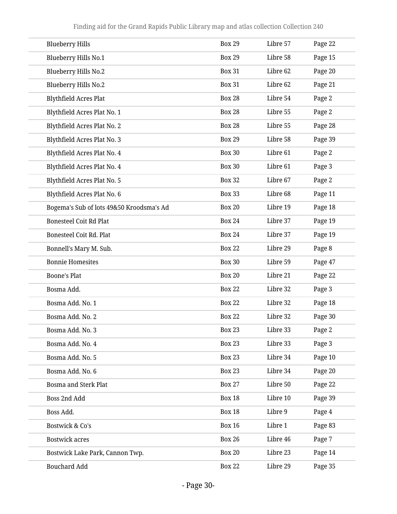| <b>Blueberry Hills</b>                   | <b>Box 29</b> | Libre 57 | Page 22 |
|------------------------------------------|---------------|----------|---------|
| Blueberry Hills No.1                     | <b>Box 29</b> | Libre 58 | Page 15 |
| Blueberry Hills No.2                     | <b>Box 31</b> | Libre 62 | Page 20 |
| Blueberry Hills No.2                     | <b>Box 31</b> | Libre 62 | Page 21 |
| <b>Blythfield Acres Plat</b>             | <b>Box 28</b> | Libre 54 | Page 2  |
| Blythfield Acres Plat No. 1              | <b>Box 28</b> | Libre 55 | Page 2  |
| Blythfield Acres Plat No. 2              | <b>Box 28</b> | Libre 55 | Page 28 |
| Blythfield Acres Plat No. 3              | <b>Box 29</b> | Libre 58 | Page 39 |
| Blythfield Acres Plat No. 4              | <b>Box 30</b> | Libre 61 | Page 2  |
| Blythfield Acres Plat No. 4              | <b>Box 30</b> | Libre 61 | Page 3  |
| Blythfield Acres Plat No. 5              | <b>Box 32</b> | Libre 67 | Page 2  |
| Blythfield Acres Plat No. 6              | <b>Box 33</b> | Libre 68 | Page 11 |
| Bogema's Sub of lots 49&50 Kroodsma's Ad | <b>Box 20</b> | Libre 19 | Page 18 |
| <b>Bonesteel Coit Rd Plat</b>            | <b>Box 24</b> | Libre 37 | Page 19 |
| <b>Bonesteel Coit Rd. Plat</b>           | <b>Box 24</b> | Libre 37 | Page 19 |
| Bonnell's Mary M. Sub.                   | <b>Box 22</b> | Libre 29 | Page 8  |
| <b>Bonnie Homesites</b>                  | <b>Box 30</b> | Libre 59 | Page 47 |
| <b>Boone's Plat</b>                      | <b>Box 20</b> | Libre 21 | Page 22 |
| Bosma Add.                               | <b>Box 22</b> | Libre 32 | Page 3  |
| Bosma Add. No. 1                         | <b>Box 22</b> | Libre 32 | Page 18 |
| Bosma Add. No. 2                         | <b>Box 22</b> | Libre 32 | Page 30 |
| Bosma Add. No. 3                         | <b>Box 23</b> | Libre 33 | Page 2  |
| Bosma Add. No. 4                         | <b>Box 23</b> | Libre 33 | Page 3  |
| Bosma Add. No. 5                         | <b>Box 23</b> | Libre 34 | Page 10 |
| Bosma Add. No. 6                         | <b>Box 23</b> | Libre 34 | Page 20 |
| <b>Bosma and Sterk Plat</b>              | <b>Box 27</b> | Libre 50 | Page 22 |
| Boss 2nd Add                             | <b>Box 18</b> | Libre 10 | Page 39 |
| Boss Add.                                | <b>Box 18</b> | Libre 9  | Page 4  |
| Bostwick & Co's                          | <b>Box 16</b> | Libre 1  | Page 83 |
| <b>Bostwick acres</b>                    | <b>Box 26</b> | Libre 46 | Page 7  |
| Bostwick Lake Park, Cannon Twp.          | <b>Box 20</b> | Libre 23 | Page 14 |
| <b>Bouchard Add</b>                      | <b>Box 22</b> | Libre 29 | Page 35 |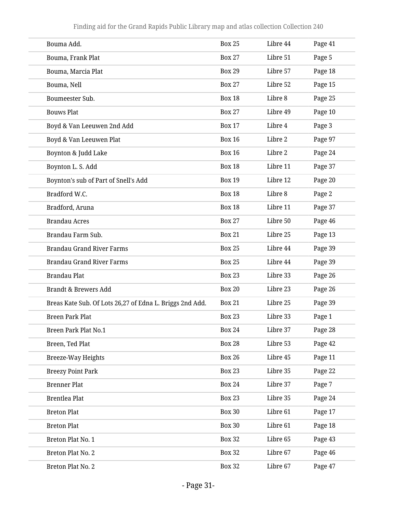| Bouma Add.                                               | <b>Box 25</b> | Libre 44 | Page 41 |
|----------------------------------------------------------|---------------|----------|---------|
| Bouma, Frank Plat                                        | <b>Box 27</b> | Libre 51 | Page 5  |
| Bouma, Marcia Plat                                       | <b>Box 29</b> | Libre 57 | Page 18 |
| Bouma, Nell                                              | <b>Box 27</b> | Libre 52 | Page 15 |
| Boumeester Sub.                                          | <b>Box 18</b> | Libre 8  | Page 25 |
| <b>Bouws Plat</b>                                        | <b>Box 27</b> | Libre 49 | Page 10 |
| Boyd & Van Leeuwen 2nd Add                               | <b>Box 17</b> | Libre 4  | Page 3  |
| Boyd & Van Leeuwen Plat                                  | <b>Box 16</b> | Libre 2  | Page 97 |
| Boynton & Judd Lake                                      | <b>Box 16</b> | Libre 2  | Page 24 |
| Boynton L. S. Add                                        | <b>Box 18</b> | Libre 11 | Page 37 |
| Boynton's sub of Part of Snell's Add                     | <b>Box 19</b> | Libre 12 | Page 20 |
| Bradford W.C.                                            | <b>Box 18</b> | Libre 8  | Page 2  |
| Bradford, Aruna                                          | <b>Box 18</b> | Libre 11 | Page 37 |
| <b>Brandau Acres</b>                                     | <b>Box 27</b> | Libre 50 | Page 46 |
| Brandau Farm Sub.                                        | <b>Box 21</b> | Libre 25 | Page 13 |
| <b>Brandau Grand River Farms</b>                         | <b>Box 25</b> | Libre 44 | Page 39 |
| <b>Brandau Grand River Farms</b>                         | <b>Box 25</b> | Libre 44 | Page 39 |
| <b>Brandau Plat</b>                                      | <b>Box 23</b> | Libre 33 | Page 26 |
| Brandt & Brewers Add                                     | <b>Box 20</b> | Libre 23 | Page 26 |
| Breas Kate Sub. Of Lots 26,27 of Edna L. Briggs 2nd Add. | <b>Box 21</b> | Libre 25 | Page 39 |
| <b>Breen Park Plat</b>                                   | <b>Box 23</b> | Libre 33 | Page 1  |
| Breen Park Plat No.1                                     | <b>Box 24</b> | Libre 37 | Page 28 |
| Breen, Ted Plat                                          | <b>Box 28</b> | Libre 53 | Page 42 |
| <b>Breeze-Way Heights</b>                                | <b>Box 26</b> | Libre 45 | Page 11 |
| <b>Breezy Point Park</b>                                 | <b>Box 23</b> | Libre 35 | Page 22 |
| <b>Brenner Plat</b>                                      | <b>Box 24</b> | Libre 37 | Page 7  |
| Brentlea Plat                                            | <b>Box 23</b> | Libre 35 | Page 24 |
| <b>Breton Plat</b>                                       | <b>Box 30</b> | Libre 61 | Page 17 |
| <b>Breton Plat</b>                                       | <b>Box 30</b> | Libre 61 | Page 18 |
| Breton Plat No. 1                                        | <b>Box 32</b> | Libre 65 | Page 43 |
| Breton Plat No. 2                                        | <b>Box 32</b> | Libre 67 | Page 46 |
| Breton Plat No. 2                                        | <b>Box 32</b> | Libre 67 | Page 47 |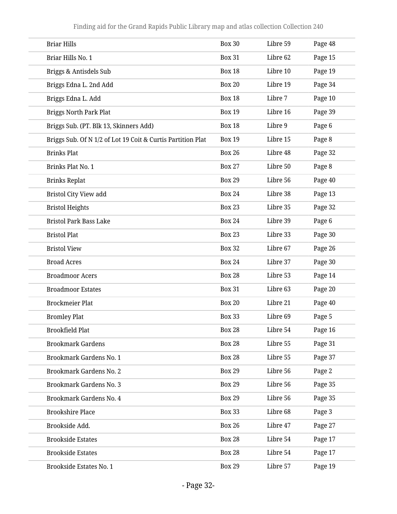| <b>Briar Hills</b>                                          | <b>Box 30</b> | Libre 59 | Page 48 |
|-------------------------------------------------------------|---------------|----------|---------|
| Briar Hills No. 1                                           | <b>Box 31</b> | Libre 62 | Page 15 |
| Briggs & Antisdels Sub                                      | <b>Box 18</b> | Libre 10 | Page 19 |
| Briggs Edna L. 2nd Add                                      | <b>Box 20</b> | Libre 19 | Page 34 |
| Briggs Edna L. Add                                          | <b>Box 18</b> | Libre 7  | Page 10 |
| <b>Briggs North Park Plat</b>                               | <b>Box 19</b> | Libre 16 | Page 39 |
| Briggs Sub. (PT. Blk 13, Skinners Add)                      | <b>Box 18</b> | Libre 9  | Page 6  |
| Briggs Sub. Of N 1/2 of Lot 19 Coit & Curtis Partition Plat | <b>Box 19</b> | Libre 15 | Page 8  |
| <b>Brinks Plat</b>                                          | <b>Box 26</b> | Libre 48 | Page 32 |
| Brinks Plat No. 1                                           | <b>Box 27</b> | Libre 50 | Page 8  |
| <b>Brinks Replat</b>                                        | <b>Box 29</b> | Libre 56 | Page 40 |
| Bristol City View add                                       | <b>Box 24</b> | Libre 38 | Page 13 |
| <b>Bristol Heights</b>                                      | <b>Box 23</b> | Libre 35 | Page 32 |
| <b>Bristol Park Bass Lake</b>                               | <b>Box 24</b> | Libre 39 | Page 6  |
| <b>Bristol Plat</b>                                         | <b>Box 23</b> | Libre 33 | Page 30 |
| <b>Bristol View</b>                                         | <b>Box 32</b> | Libre 67 | Page 26 |
| <b>Broad Acres</b>                                          | <b>Box 24</b> | Libre 37 | Page 30 |
| <b>Broadmoor Acers</b>                                      | <b>Box 28</b> | Libre 53 | Page 14 |
| <b>Broadmoor Estates</b>                                    | <b>Box 31</b> | Libre 63 | Page 20 |
| <b>Brockmeier Plat</b>                                      | <b>Box 20</b> | Libre 21 | Page 40 |
| <b>Bromley Plat</b>                                         | <b>Box 33</b> | Libre 69 | Page 5  |
| <b>Brookfield Plat</b>                                      | <b>Box 28</b> | Libre 54 | Page 16 |
| <b>Brookmark Gardens</b>                                    | <b>Box 28</b> | Libre 55 | Page 31 |
| <b>Brookmark Gardens No. 1</b>                              | <b>Box 28</b> | Libre 55 | Page 37 |
| <b>Brookmark Gardens No. 2</b>                              | <b>Box 29</b> | Libre 56 | Page 2  |
| <b>Brookmark Gardens No. 3</b>                              | <b>Box 29</b> | Libre 56 | Page 35 |
| Brookmark Gardens No. 4                                     | <b>Box 29</b> | Libre 56 | Page 35 |
| <b>Brookshire Place</b>                                     | <b>Box 33</b> | Libre 68 | Page 3  |
| Brookside Add.                                              | <b>Box 26</b> | Libre 47 | Page 27 |
| <b>Brookside Estates</b>                                    | <b>Box 28</b> | Libre 54 | Page 17 |
| <b>Brookside Estates</b>                                    | <b>Box 28</b> | Libre 54 | Page 17 |
| Brookside Estates No. 1                                     | <b>Box 29</b> | Libre 57 | Page 19 |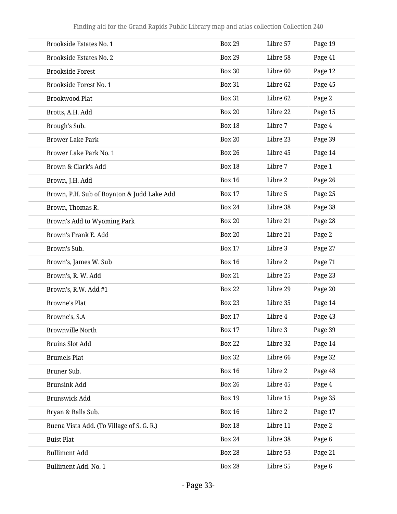| <b>Brookside Estates No. 1</b>             | <b>Box 29</b> | Libre 57 | Page 19 |
|--------------------------------------------|---------------|----------|---------|
| <b>Brookside Estates No. 2</b>             | <b>Box 29</b> | Libre 58 | Page 41 |
| <b>Brookside Forest</b>                    | <b>Box 30</b> | Libre 60 | Page 12 |
| Brookside Forest No. 1                     | <b>Box 31</b> | Libre 62 | Page 45 |
| <b>Brookwood Plat</b>                      | <b>Box 31</b> | Libre 62 | Page 2  |
| Brotts, A.H. Add                           | <b>Box 20</b> | Libre 22 | Page 15 |
| Brough's Sub.                              | <b>Box 18</b> | Libre 7  | Page 4  |
| <b>Brower Lake Park</b>                    | <b>Box 20</b> | Libre 23 | Page 39 |
| Brower Lake Park No. 1                     | <b>Box 26</b> | Libre 45 | Page 14 |
| Brown & Clark's Add                        | <b>Box 18</b> | Libre 7  | Page 1  |
| Brown, J.H. Add                            | <b>Box 16</b> | Libre 2  | Page 26 |
| Brown, P.H. Sub of Boynton & Judd Lake Add | <b>Box 17</b> | Libre 5  | Page 25 |
| Brown, Thomas R.                           | <b>Box 24</b> | Libre 38 | Page 38 |
| Brown's Add to Wyoming Park                | <b>Box 20</b> | Libre 21 | Page 28 |
| Brown's Frank E. Add                       | <b>Box 20</b> | Libre 21 | Page 2  |
| Brown's Sub.                               | <b>Box 17</b> | Libre 3  | Page 27 |
| Brown's, James W. Sub                      | <b>Box 16</b> | Libre 2  | Page 71 |
| Brown's, R. W. Add                         | <b>Box 21</b> | Libre 25 | Page 23 |
| Brown's, R.W. Add #1                       | <b>Box 22</b> | Libre 29 | Page 20 |
| <b>Browne's Plat</b>                       | <b>Box 23</b> | Libre 35 | Page 14 |
| Browne's, S.A                              | <b>Box 17</b> | Libre 4  | Page 43 |
| <b>Brownville North</b>                    | <b>Box 17</b> | Libre 3  | Page 39 |
| <b>Bruins Slot Add</b>                     | <b>Box 22</b> | Libre 32 | Page 14 |
| <b>Brumels Plat</b>                        | <b>Box 32</b> | Libre 66 | Page 32 |
| Bruner Sub.                                | <b>Box 16</b> | Libre 2  | Page 48 |
| <b>Brunsink Add</b>                        | <b>Box 26</b> | Libre 45 | Page 4  |
| <b>Brunswick Add</b>                       | <b>Box 19</b> | Libre 15 | Page 35 |
| Bryan & Balls Sub.                         | <b>Box 16</b> | Libre 2  | Page 17 |
| Buena Vista Add. (To Village of S. G. R.)  | <b>Box 18</b> | Libre 11 | Page 2  |
| <b>Buist Plat</b>                          | <b>Box 24</b> | Libre 38 | Page 6  |
| <b>Bulliment Add</b>                       | <b>Box 28</b> | Libre 53 | Page 21 |
| Bulliment Add. No. 1                       | <b>Box 28</b> | Libre 55 | Page 6  |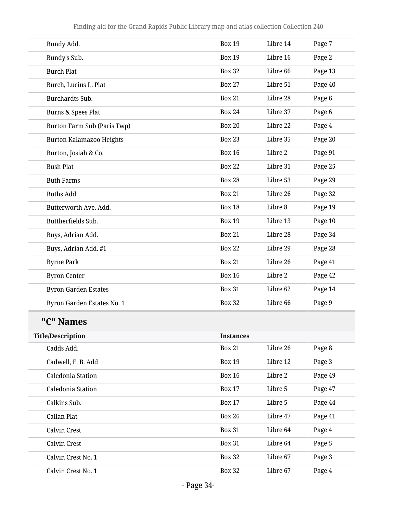| Bundy Add.                      | <b>Box 19</b>    | Libre 14 | Page 7  |
|---------------------------------|------------------|----------|---------|
| Bundy's Sub.                    | <b>Box 19</b>    | Libre 16 | Page 2  |
| <b>Burch Plat</b>               | <b>Box 32</b>    | Libre 66 | Page 13 |
| Burch, Lucius L. Plat           | <b>Box 27</b>    | Libre 51 | Page 40 |
| Burchardts Sub.                 | <b>Box 21</b>    | Libre 28 | Page 6  |
| Burns & Spees Plat              | <b>Box 24</b>    | Libre 37 | Page 6  |
| Burton Farm Sub (Paris Twp)     | <b>Box 20</b>    | Libre 22 | Page 4  |
| <b>Burton Kalamazoo Heights</b> | <b>Box 23</b>    | Libre 35 | Page 20 |
| Burton, Josiah & Co.            | <b>Box 16</b>    | Libre 2  | Page 91 |
| <b>Bush Plat</b>                | <b>Box 22</b>    | Libre 31 | Page 25 |
| <b>Buth Farms</b>               | <b>Box 28</b>    | Libre 53 | Page 29 |
| <b>Buths Add</b>                | <b>Box 21</b>    | Libre 26 | Page 32 |
| Butterworth Ave. Add.           | <b>Box 18</b>    | Libre 8  | Page 19 |
| Buttherfields Sub.              | <b>Box 19</b>    | Libre 13 | Page 10 |
| Buys, Adrian Add.               | <b>Box 21</b>    | Libre 28 | Page 34 |
| Buys, Adrian Add. #1            | <b>Box 22</b>    | Libre 29 | Page 28 |
| <b>Byrne Park</b>               | <b>Box 21</b>    | Libre 26 | Page 41 |
| <b>Byron Center</b>             | <b>Box 16</b>    | Libre 2  | Page 42 |
| <b>Byron Garden Estates</b>     | <b>Box 31</b>    | Libre 62 | Page 14 |
| Byron Garden Estates No. 1      | <b>Box 32</b>    | Libre 66 | Page 9  |
| "C" Names                       |                  |          |         |
| <b>Title/Description</b>        | <b>Instances</b> |          |         |
| Cadds Add.                      | <b>Box 21</b>    | Libre 26 | Page 8  |
| Cadwell, E. B. Add              | <b>Box 19</b>    | Libre 12 | Page 3  |
| Caledonia Station               | <b>Box 16</b>    | Libre 2  | Page 49 |
| Caledonia Station               | <b>Box 17</b>    | Libre 5  | Page 47 |
| Calkins Sub.                    | <b>Box 17</b>    | Libre 5  | Page 44 |
| Callan Plat                     | <b>Box 26</b>    | Libre 47 | Page 41 |
| Calvin Crest                    | <b>Box 31</b>    | Libre 64 | Page 4  |
| Calvin Crest                    | <b>Box 31</b>    | Libre 64 | Page 5  |
| Calvin Crest No. 1              | <b>Box 32</b>    | Libre 67 | Page 3  |
| Calvin Crest No. 1              | <b>Box 32</b>    | Libre 67 | Page 4  |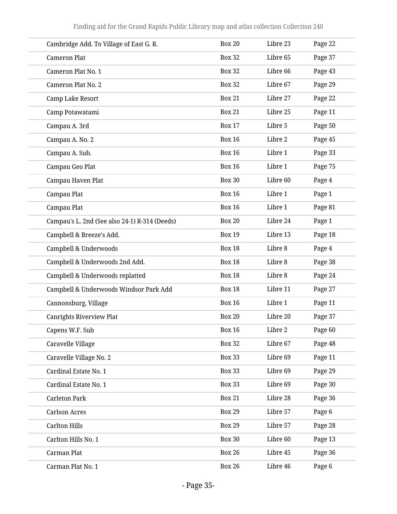| Cambridge Add. To Village of East G. R.       | <b>Box 20</b> | Libre 23 | Page 22 |
|-----------------------------------------------|---------------|----------|---------|
| <b>Cameron Plat</b>                           | <b>Box 32</b> | Libre 65 | Page 37 |
| Cameron Plat No. 1                            | <b>Box 32</b> | Libre 66 | Page 43 |
| Cameron Plat No. 2                            | <b>Box 32</b> | Libre 67 | Page 29 |
| Camp Lake Resort                              | <b>Box 21</b> | Libre 27 | Page 22 |
| Camp Potawatami                               | <b>Box 21</b> | Libre 25 | Page 11 |
| Campau A. 3rd                                 | <b>Box 17</b> | Libre 5  | Page 50 |
| Campau A. No. 2                               | <b>Box 16</b> | Libre 2  | Page 45 |
| Campau A. Sub.                                | <b>Box 16</b> | Libre 1  | Page 33 |
| Campau Geo Plat                               | <b>Box 16</b> | Libre 1  | Page 75 |
| Campau Haven Plat                             | <b>Box 30</b> | Libre 60 | Page 4  |
| Campau Plat                                   | <b>Box 16</b> | Libre 1  | Page 1  |
| Campau Plat                                   | <b>Box 16</b> | Libre 1  | Page 81 |
| Campau's L. 2nd (See also 24-1) R-314 (Deeds) | <b>Box 20</b> | Libre 24 | Page 1  |
| Campbell & Breeze's Add.                      | <b>Box 19</b> | Libre 13 | Page 18 |
| Campbell & Underwoods                         | <b>Box 18</b> | Libre 8  | Page 4  |
| Campbell & Underwoods 2nd Add.                | <b>Box 18</b> | Libre 8  | Page 38 |
| Campbell & Underwoods replatted               | <b>Box 18</b> | Libre 8  | Page 24 |
| Campbell & Underwoods Windsor Park Add        | <b>Box 18</b> | Libre 11 | Page 27 |
| Cannonsburg, Village                          | <b>Box 16</b> | Libre 1  | Page 11 |
| <b>Canrights Riverview Plat</b>               | <b>Box 20</b> | Libre 20 | Page 37 |
| Capens W.F. Sub                               | <b>Box 16</b> | Libre 2  | Page 60 |
| Caravelle Village                             | <b>Box 32</b> | Libre 67 | Page 48 |
| Caravelle Village No. 2                       | <b>Box 33</b> | Libre 69 | Page 11 |
| Cardinal Estate No. 1                         | <b>Box 33</b> | Libre 69 | Page 29 |
| Cardinal Estate No. 1                         | <b>Box 33</b> | Libre 69 | Page 30 |
| <b>Carleton Park</b>                          | <b>Box 21</b> | Libre 28 | Page 36 |
| <b>Carlson Acres</b>                          | <b>Box 29</b> | Libre 57 | Page 6  |
| <b>Carlton Hills</b>                          | <b>Box 29</b> | Libre 57 | Page 28 |
| Carlton Hills No. 1                           | <b>Box 30</b> | Libre 60 | Page 13 |
| Carman Plat                                   | <b>Box 26</b> | Libre 45 | Page 36 |
| Carman Plat No. 1                             | <b>Box 26</b> | Libre 46 | Page 6  |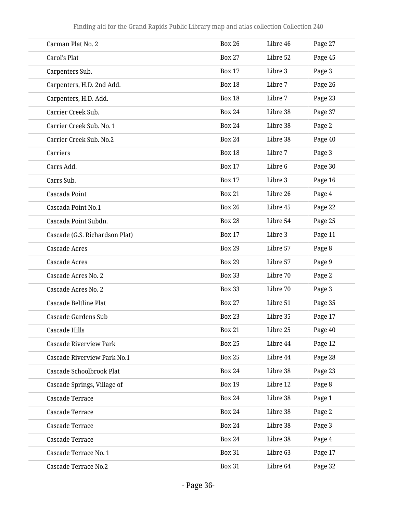| Carman Plat No. 2              | <b>Box 26</b> | Libre 46 | Page 27 |
|--------------------------------|---------------|----------|---------|
| Carol's Plat                   | <b>Box 27</b> | Libre 52 | Page 45 |
| Carpenters Sub.                | <b>Box 17</b> | Libre 3  | Page 3  |
| Carpenters, H.D. 2nd Add.      | <b>Box 18</b> | Libre 7  | Page 26 |
| Carpenters, H.D. Add.          | <b>Box 18</b> | Libre 7  | Page 23 |
| Carrier Creek Sub.             | <b>Box 24</b> | Libre 38 | Page 37 |
| Carrier Creek Sub. No. 1       | <b>Box 24</b> | Libre 38 | Page 2  |
| Carrier Creek Sub. No.2        | <b>Box 24</b> | Libre 38 | Page 40 |
| Carriers                       | <b>Box 18</b> | Libre 7  | Page 3  |
| Carrs Add.                     | <b>Box 17</b> | Libre 6  | Page 30 |
| Carrs Sub.                     | <b>Box 17</b> | Libre 3  | Page 16 |
| Cascada Point                  | <b>Box 21</b> | Libre 26 | Page 4  |
| Cascada Point No.1             | <b>Box 26</b> | Libre 45 | Page 22 |
| Cascada Point Subdn.           | <b>Box 28</b> | Libre 54 | Page 25 |
| Cascade (G.S. Richardson Plat) | <b>Box 17</b> | Libre 3  | Page 11 |
| <b>Cascade Acres</b>           | <b>Box 29</b> | Libre 57 | Page 8  |
| <b>Cascade Acres</b>           | <b>Box 29</b> | Libre 57 | Page 9  |
| Cascade Acres No. 2            | <b>Box 33</b> | Libre 70 | Page 2  |
| Cascade Acres No. 2            | <b>Box 33</b> | Libre 70 | Page 3  |
| Cascade Beltline Plat          | <b>Box 27</b> | Libre 51 | Page 35 |
| <b>Cascade Gardens Sub</b>     | <b>Box 23</b> | Libre 35 | Page 17 |
| <b>Cascade Hills</b>           | <b>Box 21</b> | Libre 25 | Page 40 |
| <b>Cascade Riverview Park</b>  | <b>Box 25</b> | Libre 44 | Page 12 |
| Cascade Riverview Park No.1    | <b>Box 25</b> | Libre 44 | Page 28 |
| Cascade Schoolbrook Plat       | <b>Box 24</b> | Libre 38 | Page 23 |
| Cascade Springs, Village of    | <b>Box 19</b> | Libre 12 | Page 8  |
| <b>Cascade Terrace</b>         | <b>Box 24</b> | Libre 38 | Page 1  |
| Cascade Terrace                | <b>Box 24</b> | Libre 38 | Page 2  |
| Cascade Terrace                | <b>Box 24</b> | Libre 38 | Page 3  |
| Cascade Terrace                | <b>Box 24</b> | Libre 38 | Page 4  |
| Cascade Terrace No. 1          | <b>Box 31</b> | Libre 63 | Page 17 |
| Cascade Terrace No.2           | <b>Box 31</b> | Libre 64 | Page 32 |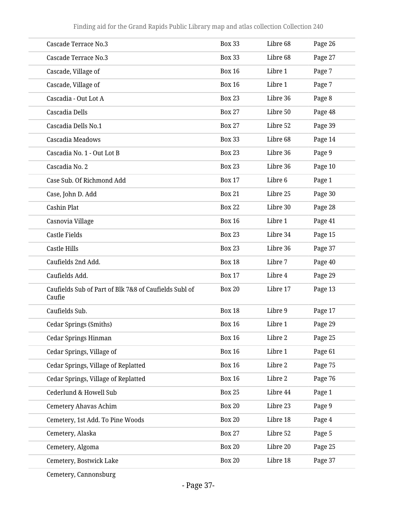| Cascade Terrace No.3                                            | <b>Box 33</b> | Libre 68 | Page 26 |
|-----------------------------------------------------------------|---------------|----------|---------|
| Cascade Terrace No.3                                            | <b>Box 33</b> | Libre 68 | Page 27 |
| Cascade, Village of                                             | <b>Box 16</b> | Libre 1  | Page 7  |
| Cascade, Village of                                             | <b>Box 16</b> | Libre 1  | Page 7  |
| Cascadia - Out Lot A                                            | <b>Box 23</b> | Libre 36 | Page 8  |
| Cascadia Dells                                                  | <b>Box 27</b> | Libre 50 | Page 48 |
| Cascadia Dells No.1                                             | <b>Box 27</b> | Libre 52 | Page 39 |
| Cascadia Meadows                                                | <b>Box 33</b> | Libre 68 | Page 14 |
| Cascadia No. 1 - Out Lot B                                      | <b>Box 23</b> | Libre 36 | Page 9  |
| Cascadia No. 2                                                  | <b>Box 23</b> | Libre 36 | Page 10 |
| Case Sub. Of Richmond Add                                       | <b>Box 17</b> | Libre 6  | Page 1  |
| Case, John D. Add                                               | <b>Box 21</b> | Libre 25 | Page 30 |
| Cashin Plat                                                     | <b>Box 22</b> | Libre 30 | Page 28 |
| Casnovia Village                                                | <b>Box 16</b> | Libre 1  | Page 41 |
| <b>Castle Fields</b>                                            | <b>Box 23</b> | Libre 34 | Page 15 |
| Castle Hills                                                    | <b>Box 23</b> | Libre 36 | Page 37 |
| Caufields 2nd Add.                                              | <b>Box 18</b> | Libre 7  | Page 40 |
| Caufields Add.                                                  | <b>Box 17</b> | Libre 4  | Page 29 |
| Caufields Sub of Part of Blk 7&8 of Caufields Subl of<br>Caufie | <b>Box 20</b> | Libre 17 | Page 13 |
| Caufields Sub.                                                  | <b>Box 18</b> | Libre 9  | Page 17 |
| Cedar Springs (Smiths)                                          | <b>Box 16</b> | Libre 1  | Page 29 |
| Cedar Springs Hinman                                            | <b>Box 16</b> | Libre 2  | Page 25 |
| Cedar Springs, Village of                                       | <b>Box 16</b> | Libre 1  | Page 61 |
| Cedar Springs, Village of Replatted                             | <b>Box 16</b> | Libre 2  | Page 75 |
| Cedar Springs, Village of Replatted                             | <b>Box 16</b> | Libre 2  | Page 76 |
| Cederlund & Howell Sub                                          | <b>Box 25</b> | Libre 44 | Page 1  |
| <b>Cemetery Ahavas Achim</b>                                    | <b>Box 20</b> | Libre 23 | Page 9  |
| Cemetery, 1st Add. To Pine Woods                                | <b>Box 20</b> | Libre 18 | Page 4  |
| Cemetery, Alaska                                                | <b>Box 27</b> | Libre 52 | Page 5  |
| Cemetery, Algoma                                                | <b>Box 20</b> | Libre 20 | Page 25 |
| Cemetery, Bostwick Lake                                         | <b>Box 20</b> | Libre 18 | Page 37 |
|                                                                 |               |          |         |

Cemetery, Cannonsburg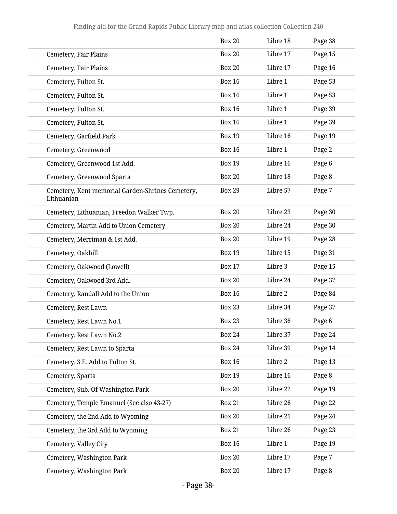|                                                                | <b>Box 20</b> | Libre 18 | Page 38 |
|----------------------------------------------------------------|---------------|----------|---------|
| Cemetery, Fair Plains                                          | <b>Box 20</b> | Libre 17 | Page 15 |
| Cemetery, Fair Plains                                          | <b>Box 20</b> | Libre 17 | Page 16 |
| Cemetery, Fulton St.                                           | <b>Box 16</b> | Libre 1  | Page 53 |
| Cemetery, Fulton St.                                           | <b>Box 16</b> | Libre 1  | Page 53 |
| Cemetery, Fulton St.                                           | <b>Box 16</b> | Libre 1  | Page 39 |
| Cemetery, Fulton St.                                           | <b>Box 16</b> | Libre 1  | Page 39 |
| Cemetery, Garfield Park                                        | <b>Box 19</b> | Libre 16 | Page 19 |
| Cemetery, Greenwood                                            | <b>Box 16</b> | Libre 1  | Page 2  |
| Cemetery, Greenwood 1st Add.                                   | <b>Box 19</b> | Libre 16 | Page 6  |
| Cemetery, Greenwood Sparta                                     | <b>Box 20</b> | Libre 18 | Page 8  |
| Cemetery, Kent memorial Garden-Shrines Cemetery,<br>Lithuanian | <b>Box 29</b> | Libre 57 | Page 7  |
| Cemetery, Lithuanian, Freedon Walker Twp.                      | <b>Box 20</b> | Libre 23 | Page 30 |
| Cemetery, Martin Add to Union Cemetery                         | <b>Box 20</b> | Libre 24 | Page 30 |
| Cemetery, Merriman & 1st Add.                                  | <b>Box 20</b> | Libre 19 | Page 28 |
| Cemetery, Oakhill                                              | <b>Box 19</b> | Libre 15 | Page 31 |
| Cemetery, Oakwood (Lowell)                                     | <b>Box 17</b> | Libre 3  | Page 15 |
| Cemetery, Oakwood 3rd Add.                                     | <b>Box 20</b> | Libre 24 | Page 37 |
| Cemetery, Randall Add to the Union                             | <b>Box 16</b> | Libre 2  | Page 84 |
| Cemetery, Rest Lawn                                            | <b>Box 23</b> | Libre 34 | Page 37 |
| Cemetery, Rest Lawn No.1                                       | <b>Box 23</b> | Libre 36 | Page 6  |
| Cemetery, Rest Lawn No.2                                       | <b>Box 24</b> | Libre 37 | Page 24 |
| Cemetery, Rest Lawn to Sparta                                  | <b>Box 24</b> | Libre 39 | Page 14 |
| Cemetery, S.E. Add to Fulton St.                               | <b>Box 16</b> | Libre 2  | Page 13 |
| Cemetery, Sparta                                               | <b>Box 19</b> | Libre 16 | Page 8  |
| Cemetery, Sub. Of Washington Park                              | <b>Box 20</b> | Libre 22 | Page 19 |
| Cemetery, Temple Emanuel (See also 43-27)                      | <b>Box 21</b> | Libre 26 | Page 22 |
| Cemetery, the 2nd Add to Wyoming                               | <b>Box 20</b> | Libre 21 | Page 24 |
| Cemetery, the 3rd Add to Wyoming                               | <b>Box 21</b> | Libre 26 | Page 23 |
| Cemetery, Valley City                                          | <b>Box 16</b> | Libre 1  | Page 19 |
| Cemetery, Washington Park                                      | <b>Box 20</b> | Libre 17 | Page 7  |
| Cemetery, Washington Park                                      | <b>Box 20</b> | Libre 17 | Page 8  |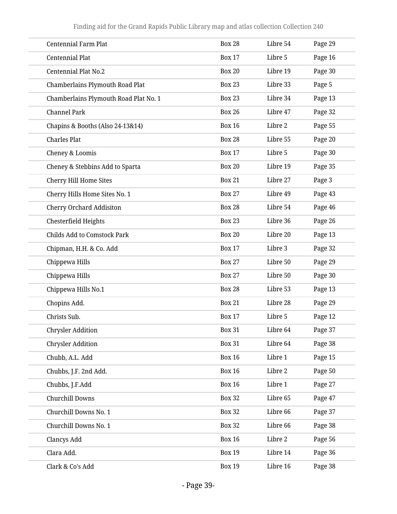| <b>Centennial Farm Plat</b>           | <b>Box 28</b> | Libre 54 | Page 29 |
|---------------------------------------|---------------|----------|---------|
| Centennial Plat                       | <b>Box 17</b> | Libre 5  | Page 16 |
| Centennial Plat No.2                  | <b>Box 20</b> | Libre 19 | Page 30 |
| Chamberlains Plymouth Road Plat       | <b>Box 23</b> | Libre 33 | Page 5  |
| Chamberlains Plymouth Road Plat No. 1 | <b>Box 23</b> | Libre 34 | Page 13 |
| <b>Channel Park</b>                   | <b>Box 26</b> | Libre 47 | Page 32 |
| Chapins & Booths (Also 24-13&14)      | <b>Box 16</b> | Libre 2  | Page 55 |
| <b>Charles Plat</b>                   | <b>Box 28</b> | Libre 55 | Page 20 |
| Cheney & Loomis                       | <b>Box 17</b> | Libre 5  | Page 30 |
| Cheney & Stebbins Add to Sparta       | <b>Box 20</b> | Libre 19 | Page 35 |
| Cherry Hill Home Sites                | <b>Box 21</b> | Libre 27 | Page 3  |
| Cherry Hills Home Sites No. 1         | <b>Box 27</b> | Libre 49 | Page 43 |
| Cherry Orchard Addisiton              | <b>Box 28</b> | Libre 54 | Page 46 |
| Chesterfield Heights                  | <b>Box 23</b> | Libre 36 | Page 26 |
| <b>Childs Add to Comstock Park</b>    | <b>Box 20</b> | Libre 20 | Page 13 |
| Chipman, H.H. & Co. Add               | <b>Box 17</b> | Libre 3  | Page 32 |
| Chippewa Hills                        | <b>Box 27</b> | Libre 50 | Page 29 |
| Chippewa Hills                        | <b>Box 27</b> | Libre 50 | Page 30 |
| Chippewa Hills No.1                   | <b>Box 28</b> | Libre 53 | Page 13 |
| Chopins Add.                          | <b>Box 21</b> | Libre 28 | Page 29 |
| Christs Sub.                          | <b>Box 17</b> | Libre 5  | Page 12 |
| <b>Chrysler Addition</b>              | <b>Box 31</b> | Libre 64 | Page 37 |
| <b>Chrysler Addition</b>              | <b>Box 31</b> | Libre 64 | Page 38 |
| Chubb, A.L. Add                       | <b>Box 16</b> | Libre 1  | Page 15 |
| Chubbs, J.F. 2nd Add.                 | <b>Box 16</b> | Libre 2  | Page 50 |
| Chubbs, J.F.Add                       | <b>Box 16</b> | Libre 1  | Page 27 |
| Churchill Downs                       | <b>Box 32</b> | Libre 65 | Page 47 |
| Churchill Downs No. 1                 | <b>Box 32</b> | Libre 66 | Page 37 |
| Churchill Downs No. 1                 | <b>Box 32</b> | Libre 66 | Page 38 |
| Clancys Add                           | <b>Box 16</b> | Libre 2  | Page 56 |
| Clara Add.                            | <b>Box 19</b> | Libre 14 | Page 36 |
| Clark & Co's Add                      | <b>Box 19</b> | Libre 16 | Page 38 |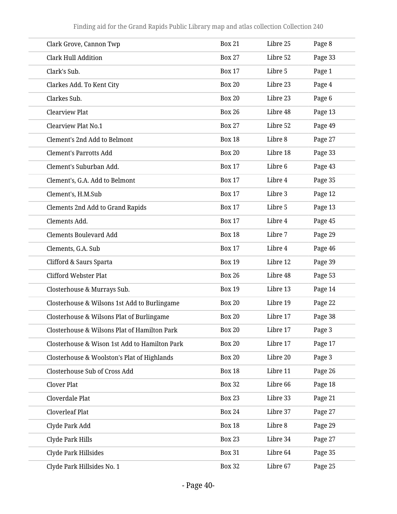| Clark Grove, Cannon Twp                       | <b>Box 21</b> | Libre 25 | Page 8  |
|-----------------------------------------------|---------------|----------|---------|
| <b>Clark Hull Addition</b>                    | <b>Box 27</b> | Libre 52 | Page 33 |
| Clark's Sub.                                  | <b>Box 17</b> | Libre 5  | Page 1  |
| Clarkes Add. To Kent City                     | <b>Box 20</b> | Libre 23 | Page 4  |
| Clarkes Sub.                                  | <b>Box 20</b> | Libre 23 | Page 6  |
| <b>Clearview Plat</b>                         | <b>Box 26</b> | Libre 48 | Page 13 |
| Clearview Plat No.1                           | <b>Box 27</b> | Libre 52 | Page 49 |
| Clement's 2nd Add to Belmont                  | <b>Box 18</b> | Libre 8  | Page 27 |
| <b>Clement's Parrotts Add</b>                 | <b>Box 20</b> | Libre 18 | Page 33 |
| Clement's Suburban Add.                       | <b>Box 17</b> | Libre 6  | Page 43 |
| Clement's, G.A. Add to Belmont                | <b>Box 17</b> | Libre 4  | Page 35 |
| Clement's, H.M.Sub                            | <b>Box 17</b> | Libre 3  | Page 12 |
| <b>Clements 2nd Add to Grand Rapids</b>       | <b>Box 17</b> | Libre 5  | Page 13 |
| Clements Add.                                 | <b>Box 17</b> | Libre 4  | Page 45 |
| <b>Clements Boulevard Add</b>                 | <b>Box 18</b> | Libre 7  | Page 29 |
| Clements, G.A. Sub                            | <b>Box 17</b> | Libre 4  | Page 46 |
| Clifford & Saurs Sparta                       | <b>Box 19</b> | Libre 12 | Page 39 |
| <b>Clifford Webster Plat</b>                  | <b>Box 26</b> | Libre 48 | Page 53 |
| Closterhouse & Murrays Sub.                   | <b>Box 19</b> | Libre 13 | Page 14 |
| Closterhouse & Wilsons 1st Add to Burlingame  | <b>Box 20</b> | Libre 19 | Page 22 |
| Closterhouse & Wilsons Plat of Burlingame     | <b>Box 20</b> | Libre 17 | Page 38 |
| Closterhouse & Wilsons Plat of Hamilton Park  | <b>Box 20</b> | Libre 17 | Page 3  |
| Closterhouse & Wison 1st Add to Hamilton Park | <b>Box 20</b> | Libre 17 | Page 17 |
| Closterhouse & Woolston's Plat of Highlands   | <b>Box 20</b> | Libre 20 | Page 3  |
| Closterhouse Sub of Cross Add                 | <b>Box 18</b> | Libre 11 | Page 26 |
| Clover Plat                                   | <b>Box 32</b> | Libre 66 | Page 18 |
| Cloverdale Plat                               | <b>Box 23</b> | Libre 33 | Page 21 |
| <b>Cloverleaf Plat</b>                        | <b>Box 24</b> | Libre 37 | Page 27 |
| Clyde Park Add                                | <b>Box 18</b> | Libre 8  | Page 29 |
| Clyde Park Hills                              | <b>Box 23</b> | Libre 34 | Page 27 |
| Clyde Park Hillsides                          | <b>Box 31</b> | Libre 64 | Page 35 |
| Clyde Park Hillsides No. 1                    | <b>Box 32</b> | Libre 67 | Page 25 |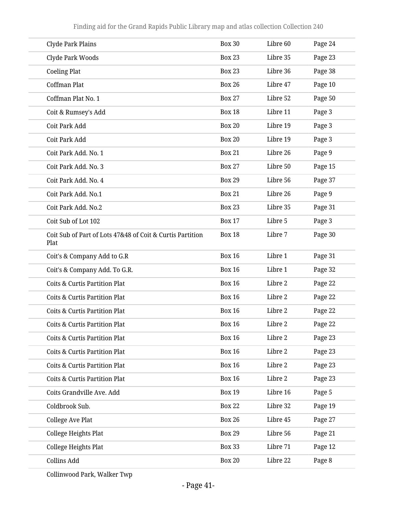| Clyde Park Plains                                                 | <b>Box 30</b> | Libre 60 | Page 24 |
|-------------------------------------------------------------------|---------------|----------|---------|
| Clyde Park Woods                                                  | <b>Box 23</b> | Libre 35 | Page 23 |
| <b>Coeling Plat</b>                                               | <b>Box 23</b> | Libre 36 | Page 38 |
| Coffman Plat                                                      | <b>Box 26</b> | Libre 47 | Page 10 |
| Coffman Plat No. 1                                                | <b>Box 27</b> | Libre 52 | Page 50 |
| Coit & Rumsey's Add                                               | <b>Box 18</b> | Libre 11 | Page 3  |
| Coit Park Add                                                     | <b>Box 20</b> | Libre 19 | Page 3  |
| Coit Park Add                                                     | <b>Box 20</b> | Libre 19 | Page 3  |
| Coit Park Add. No. 1                                              | <b>Box 21</b> | Libre 26 | Page 9  |
| Coit Park Add. No. 3                                              | <b>Box 27</b> | Libre 50 | Page 15 |
| Coit Park Add. No. 4                                              | <b>Box 29</b> | Libre 56 | Page 37 |
| Coit Park Add. No.1                                               | <b>Box 21</b> | Libre 26 | Page 9  |
| Coit Park Add. No.2                                               | <b>Box 23</b> | Libre 35 | Page 31 |
| Coit Sub of Lot 102                                               | <b>Box 17</b> | Libre 5  | Page 3  |
| Coit Sub of Part of Lots 47&48 of Coit & Curtis Partition<br>Plat | <b>Box 18</b> | Libre 7  | Page 30 |
| Coit's & Company Add to G.R                                       | <b>Box 16</b> | Libre 1  | Page 31 |
| Coit's & Company Add. To G.R.                                     | <b>Box 16</b> | Libre 1  | Page 32 |
| <b>Coits &amp; Curtis Partition Plat</b>                          | <b>Box 16</b> | Libre 2  | Page 22 |
| <b>Coits &amp; Curtis Partition Plat</b>                          | <b>Box 16</b> | Libre 2  | Page 22 |
| <b>Coits &amp; Curtis Partition Plat</b>                          | <b>Box 16</b> | Libre 2  | Page 22 |
| Coits & Curtis Partition Plat                                     | <b>Box 16</b> | Libre 2  | Page 22 |
| <b>Coits &amp; Curtis Partition Plat</b>                          | <b>Box 16</b> | Libre 2  | Page 23 |
| <b>Coits &amp; Curtis Partition Plat</b>                          | <b>Box 16</b> | Libre 2  | Page 23 |
| <b>Coits &amp; Curtis Partition Plat</b>                          | <b>Box 16</b> | Libre 2  | Page 23 |
| <b>Coits &amp; Curtis Partition Plat</b>                          | <b>Box 16</b> | Libre 2  | Page 23 |
| Coits Grandville Ave. Add                                         | <b>Box 19</b> | Libre 16 | Page 5  |
| Coldbrook Sub.                                                    | <b>Box 22</b> | Libre 32 | Page 19 |
| <b>College Ave Plat</b>                                           | <b>Box 26</b> | Libre 45 | Page 27 |
| <b>College Heights Plat</b>                                       | <b>Box 29</b> | Libre 56 | Page 21 |
| College Heights Plat                                              | <b>Box 33</b> | Libre 71 | Page 12 |
| Collins Add                                                       | <b>Box 20</b> | Libre 22 | Page 8  |
|                                                                   |               |          |         |

Collinwood Park, Walker Twp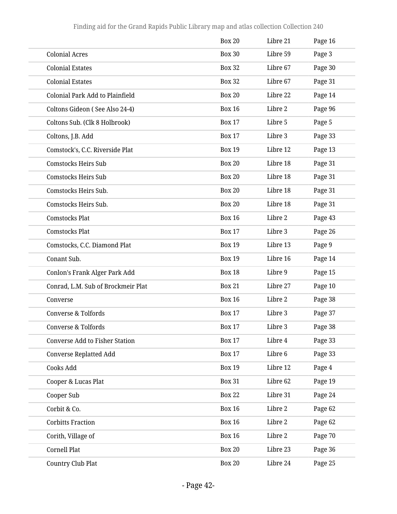|                                       | <b>Box 20</b> | Libre 21 | Page 16 |
|---------------------------------------|---------------|----------|---------|
| <b>Colonial Acres</b>                 | <b>Box 30</b> | Libre 59 | Page 3  |
| <b>Colonial Estates</b>               | <b>Box 32</b> | Libre 67 | Page 30 |
| <b>Colonial Estates</b>               | <b>Box 32</b> | Libre 67 | Page 31 |
| Colonial Park Add to Plainfield       | <b>Box 20</b> | Libre 22 | Page 14 |
| Coltons Gideon (See Also 24-4)        | <b>Box 16</b> | Libre 2  | Page 96 |
| Coltons Sub. (Clk 8 Holbrook)         | <b>Box 17</b> | Libre 5  | Page 5  |
| Coltons, J.B. Add                     | <b>Box 17</b> | Libre 3  | Page 33 |
| Comstock's, C.C. Riverside Plat       | <b>Box 19</b> | Libre 12 | Page 13 |
| <b>Comstocks Heirs Sub</b>            | <b>Box 20</b> | Libre 18 | Page 31 |
| <b>Comstocks Heirs Sub</b>            | <b>Box 20</b> | Libre 18 | Page 31 |
| Comstocks Heirs Sub.                  | <b>Box 20</b> | Libre 18 | Page 31 |
| Comstocks Heirs Sub.                  | <b>Box 20</b> | Libre 18 | Page 31 |
| <b>Comstocks Plat</b>                 | <b>Box 16</b> | Libre 2  | Page 43 |
| <b>Comstocks Plat</b>                 | <b>Box 17</b> | Libre 3  | Page 26 |
| Comstocks, C.C. Diamond Plat          | <b>Box 19</b> | Libre 13 | Page 9  |
| Conant Sub.                           | <b>Box 19</b> | Libre 16 | Page 14 |
| Conlon's Frank Alger Park Add         | <b>Box 18</b> | Libre 9  | Page 15 |
| Conrad, L.M. Sub of Brockmeir Plat    | <b>Box 21</b> | Libre 27 | Page 10 |
| Converse                              | <b>Box 16</b> | Libre 2  | Page 38 |
| <b>Converse &amp; Tolfords</b>        | <b>Box 17</b> | Libre 3  | Page 37 |
| <b>Converse &amp; Tolfords</b>        | <b>Box 17</b> | Libre 3  | Page 38 |
| <b>Converse Add to Fisher Station</b> | <b>Box 17</b> | Libre 4  | Page 33 |
| <b>Converse Replatted Add</b>         | <b>Box 17</b> | Libre 6  | Page 33 |
| Cooks Add                             | <b>Box 19</b> | Libre 12 | Page 4  |
| Cooper & Lucas Plat                   | <b>Box 31</b> | Libre 62 | Page 19 |
| Cooper Sub                            | <b>Box 22</b> | Libre 31 | Page 24 |
| Corbit & Co.                          | <b>Box 16</b> | Libre 2  | Page 62 |
| <b>Corbitts Fraction</b>              | <b>Box 16</b> | Libre 2  | Page 62 |
| Corith, Village of                    | <b>Box 16</b> | Libre 2  | Page 70 |
| Cornell Plat                          | <b>Box 20</b> | Libre 23 | Page 36 |
| Country Club Plat                     | <b>Box 20</b> | Libre 24 | Page 25 |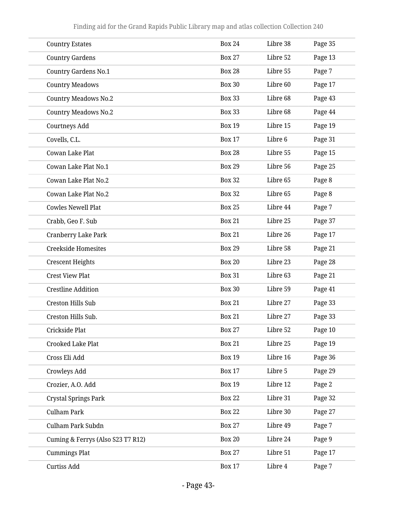| <b>Country Estates</b>            | <b>Box 24</b> | Libre 38 | Page 35 |  |
|-----------------------------------|---------------|----------|---------|--|
| <b>Country Gardens</b>            | <b>Box 27</b> | Libre 52 | Page 13 |  |
| <b>Country Gardens No.1</b>       | <b>Box 28</b> | Libre 55 | Page 7  |  |
| <b>Country Meadows</b>            | <b>Box 30</b> | Libre 60 | Page 17 |  |
| <b>Country Meadows No.2</b>       | <b>Box 33</b> | Libre 68 | Page 43 |  |
| <b>Country Meadows No.2</b>       | <b>Box 33</b> | Libre 68 | Page 44 |  |
| Courtneys Add                     | <b>Box 19</b> | Libre 15 | Page 19 |  |
| Covells, C.L.                     | <b>Box 17</b> | Libre 6  | Page 31 |  |
| Cowan Lake Plat                   | <b>Box 28</b> | Libre 55 | Page 15 |  |
| Cowan Lake Plat No.1              | <b>Box 29</b> | Libre 56 | Page 25 |  |
| Cowan Lake Plat No.2              | <b>Box 32</b> | Libre 65 | Page 8  |  |
| Cowan Lake Plat No.2              | <b>Box 32</b> | Libre 65 | Page 8  |  |
| <b>Cowles Newell Plat</b>         | <b>Box 25</b> | Libre 44 | Page 7  |  |
| Crabb, Geo F. Sub                 | <b>Box 21</b> | Libre 25 | Page 37 |  |
| <b>Cranberry Lake Park</b>        | <b>Box 21</b> | Libre 26 | Page 17 |  |
| <b>Creekside Homesites</b>        | <b>Box 29</b> | Libre 58 | Page 21 |  |
| <b>Crescent Heights</b>           | <b>Box 20</b> | Libre 23 | Page 28 |  |
| <b>Crest View Plat</b>            | <b>Box 31</b> | Libre 63 | Page 21 |  |
| <b>Crestline Addition</b>         | <b>Box 30</b> | Libre 59 | Page 41 |  |
| <b>Creston Hills Sub</b>          | <b>Box 21</b> | Libre 27 | Page 33 |  |
| Creston Hills Sub.                | <b>Box 21</b> | Libre 27 | Page 33 |  |
| Crickside Plat                    | <b>Box 27</b> | Libre 52 | Page 10 |  |
| <b>Crooked Lake Plat</b>          | <b>Box 21</b> | Libre 25 | Page 19 |  |
| Cross Eli Add                     | <b>Box 19</b> | Libre 16 | Page 36 |  |
| Crowleys Add                      | <b>Box 17</b> | Libre 5  | Page 29 |  |
| Crozier, A.O. Add                 | <b>Box 19</b> | Libre 12 | Page 2  |  |
| <b>Crystal Springs Park</b>       | <b>Box 22</b> | Libre 31 | Page 32 |  |
| Culham Park                       | <b>Box 22</b> | Libre 30 | Page 27 |  |
| Culham Park Subdn                 | <b>Box 27</b> | Libre 49 | Page 7  |  |
| Cuming & Ferrys (Also S23 T7 R12) | <b>Box 20</b> | Libre 24 | Page 9  |  |
| <b>Cummings Plat</b>              | <b>Box 27</b> | Libre 51 | Page 17 |  |
| Curtiss Add                       | <b>Box 17</b> | Libre 4  | Page 7  |  |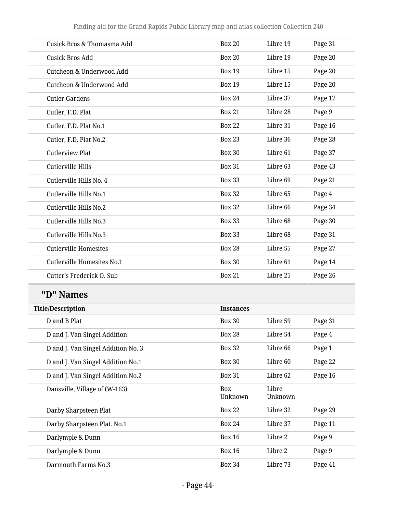| Cusick Bros & Thomasma Add        | <b>Box 20</b>    | Libre 19 | Page 31 |
|-----------------------------------|------------------|----------|---------|
| <b>Cusick Bros Add</b>            | <b>Box 20</b>    | Libre 19 | Page 20 |
| Cutcheon & Underwood Add          | <b>Box 19</b>    | Libre 15 | Page 20 |
| Cutcheon & Underwood Add          | <b>Box 19</b>    | Libre 15 | Page 20 |
| <b>Cutler Gardens</b>             | <b>Box 24</b>    | Libre 37 | Page 17 |
| Cutler, F.D. Plat                 | <b>Box 21</b>    | Libre 28 | Page 9  |
| Cutler, F.D. Plat No.1            | <b>Box 22</b>    | Libre 31 | Page 16 |
| Cutler, F.D. Plat No.2            | <b>Box 23</b>    | Libre 36 | Page 28 |
| <b>Cutlerview Plat</b>            | <b>Box 30</b>    | Libre 61 | Page 37 |
| Cutlerville Hills                 | <b>Box 31</b>    | Libre 63 | Page 43 |
| Cutlerville Hills No. 4           | <b>Box 33</b>    | Libre 69 | Page 21 |
| Cutlerville Hills No.1            | <b>Box 32</b>    | Libre 65 | Page 4  |
| Cutlerville Hills No.2            | <b>Box 32</b>    | Libre 66 | Page 34 |
| Cutlerville Hills No.3            | <b>Box 33</b>    | Libre 68 | Page 30 |
| Cutlerville Hills No.3            | <b>Box 33</b>    | Libre 68 | Page 31 |
| <b>Cutlerville Homesites</b>      | <b>Box 28</b>    | Libre 55 | Page 27 |
| <b>Cutlerville Homesites No.1</b> | <b>Box 30</b>    | Libre 61 | Page 14 |
| Cutter's Frederick O. Sub         | <b>Box 21</b>    | Libre 25 | Page 26 |
| "D" Names                         |                  |          |         |
| <b>Title/Description</b>          | <b>Instances</b> |          |         |
| D and B Plat                      | <b>Box 30</b>    | Libre 59 | Page 31 |

| D and B Plat                       | <b>Box 30</b>         | Libre 59         | Page 31 |
|------------------------------------|-----------------------|------------------|---------|
| D and J. Van Singel Addition       | <b>Box 28</b>         | Libre 54         | Page 4  |
| D and J. Van Singel Addition No. 3 | Box 32                | Libre 66         | Page 1  |
| D and J. Van Singel Addition No.1  | <b>Box 30</b>         | Libre 60         | Page 22 |
| D and J. Van Singel Addition No.2  | <b>Box 31</b>         | Libre 62         | Page 16 |
| Dansville, Village of (W-163)      | <b>Box</b><br>Unknown | Libre<br>Unknown |         |
| Darby Sharpsteen Plat              | <b>Box 22</b>         | Libre 32         | Page 29 |
| Darby Sharpsteen Plat. No.1        | Box 24                | Libre 37         | Page 11 |
| Darlymple & Dunn                   | <b>Box 16</b>         | Libre 2          | Page 9  |
| Darlymple & Dunn                   | <b>Box 16</b>         | Libre 2          | Page 9  |
| Darmouth Farms No.3                | <b>Box 34</b>         | Libre 73         | Page 41 |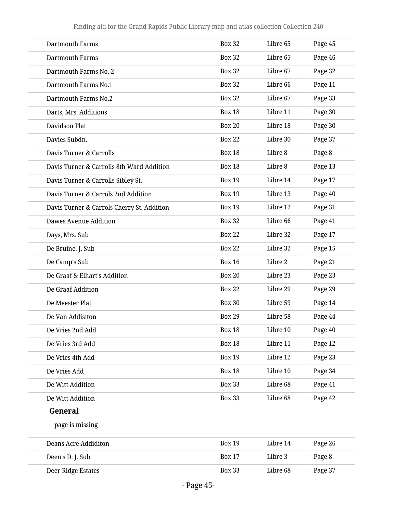| <b>Dartmouth Farms</b>                     | <b>Box 32</b> | Libre 65 | Page 45 |
|--------------------------------------------|---------------|----------|---------|
| <b>Dartmouth Farms</b>                     | <b>Box 32</b> | Libre 65 | Page 46 |
| Dartmouth Farms No. 2                      | <b>Box 32</b> | Libre 67 | Page 32 |
| Dartmouth Farms No.1                       | <b>Box 32</b> | Libre 66 | Page 11 |
| Dartmouth Farms No.2                       | <b>Box 32</b> | Libre 67 | Page 33 |
| Darts, Mrs. Additions                      | <b>Box 18</b> | Libre 11 | Page 30 |
| Davidson Plat                              | <b>Box 20</b> | Libre 18 | Page 30 |
| Davies Subdn.                              | <b>Box 22</b> | Libre 30 | Page 37 |
| Davis Turner & Carrolls                    | <b>Box 18</b> | Libre 8  | Page 8  |
| Davis Turner & Carrolls 8th Ward Addition  | <b>Box 18</b> | Libre 8  | Page 13 |
| Davis Turner & Carrolls Sibley St.         | <b>Box 19</b> | Libre 14 | Page 17 |
| Davis Turner & Carrols 2nd Addition        | <b>Box 19</b> | Libre 13 | Page 40 |
| Davis Turner & Carrols Cherry St. Addition | <b>Box 19</b> | Libre 12 | Page 31 |
| Dawes Avenue Addition                      | <b>Box 32</b> | Libre 66 | Page 41 |
| Days, Mrs. Sub                             | <b>Box 22</b> | Libre 32 | Page 17 |
| De Bruine, J. Sub                          | <b>Box 22</b> | Libre 32 | Page 15 |
| De Camp's Sub                              | <b>Box 16</b> | Libre 2  | Page 21 |
| De Graaf & Elhart's Addition               | <b>Box 20</b> | Libre 23 | Page 23 |
| De Graaf Addition                          | <b>Box 22</b> | Libre 29 | Page 29 |
| De Meester Plat                            | <b>Box 30</b> | Libre 59 | Page 14 |
| De Van Addisiton                           | <b>Box 29</b> | Libre 58 | Page 44 |
| De Vries 2nd Add                           | <b>Box 18</b> | Libre 10 | Page 40 |
| De Vries 3rd Add                           | <b>Box 18</b> | Libre 11 | Page 12 |
| De Vries 4th Add                           | <b>Box 19</b> | Libre 12 | Page 23 |
| De Vries Add                               | <b>Box 18</b> | Libre 10 | Page 34 |
| De Witt Addition                           | <b>Box 33</b> | Libre 68 | Page 41 |
| De Witt Addition                           | <b>Box 33</b> | Libre 68 | Page 42 |
| General                                    |               |          |         |
| page is missing                            |               |          |         |
| <b>Deans Acre Addiditon</b>                | <b>Box 19</b> | Libre 14 | Page 26 |
| Deen's D. J. Sub                           | <b>Box 17</b> | Libre 3  | Page 8  |
| Deer Ridge Estates                         | <b>Box 33</b> | Libre 68 | Page 37 |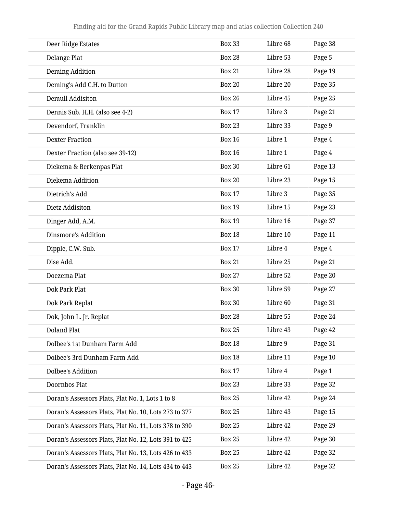| Deer Ridge Estates                                    | <b>Box 33</b> | Libre 68 | Page 38 |
|-------------------------------------------------------|---------------|----------|---------|
| Delange Plat                                          | <b>Box 28</b> | Libre 53 | Page 5  |
| Deming Addition                                       | <b>Box 21</b> | Libre 28 | Page 19 |
| Deming's Add C.H. to Dutton                           | <b>Box 20</b> | Libre 20 | Page 35 |
| <b>Demull Addisiton</b>                               | <b>Box 26</b> | Libre 45 | Page 25 |
| Dennis Sub. H.H. (also see 4-2)                       | <b>Box 17</b> | Libre 3  | Page 21 |
| Devendorf, Franklin                                   | <b>Box 23</b> | Libre 33 | Page 9  |
| <b>Dexter Fraction</b>                                | <b>Box 16</b> | Libre 1  | Page 4  |
| Dexter Fraction (also see 39-12)                      | <b>Box 16</b> | Libre 1  | Page 4  |
| Diekema & Berkenpas Plat                              | <b>Box 30</b> | Libre 61 | Page 13 |
| Diekema Addition                                      | <b>Box 20</b> | Libre 23 | Page 15 |
| Dietrich's Add                                        | <b>Box 17</b> | Libre 3  | Page 35 |
| Dietz Addisiton                                       | <b>Box 19</b> | Libre 15 | Page 23 |
| Dinger Add, A.M.                                      | <b>Box 19</b> | Libre 16 | Page 37 |
| Dinsmore's Addition                                   | <b>Box 18</b> | Libre 10 | Page 11 |
| Dipple, C.W. Sub.                                     | <b>Box 17</b> | Libre 4  | Page 4  |
| Dise Add.                                             | <b>Box 21</b> | Libre 25 | Page 21 |
| Doezema Plat                                          | <b>Box 27</b> | Libre 52 | Page 20 |
| Dok Park Plat                                         | <b>Box 30</b> | Libre 59 | Page 27 |
| Dok Park Replat                                       | <b>Box 30</b> | Libre 60 | Page 31 |
| Dok, John L. Jr. Replat                               | <b>Box 28</b> | Libre 55 | Page 24 |
| <b>Doland Plat</b>                                    | <b>Box 25</b> | Libre 43 | Page 42 |
| Dolbee's 1st Dunham Farm Add                          | <b>Box 18</b> | Libre 9  | Page 31 |
| Dolbee's 3rd Dunham Farm Add                          | <b>Box 18</b> | Libre 11 | Page 10 |
| <b>Dolbee's Addition</b>                              | <b>Box 17</b> | Libre 4  | Page 1  |
| Doornbos Plat                                         | <b>Box 23</b> | Libre 33 | Page 32 |
| Doran's Assessors Plats, Plat No. 1, Lots 1 to 8      | <b>Box 25</b> | Libre 42 | Page 24 |
| Doran's Assessors Plats, Plat No. 10, Lots 273 to 377 | <b>Box 25</b> | Libre 43 | Page 15 |
| Doran's Assessors Plats, Plat No. 11, Lots 378 to 390 | <b>Box 25</b> | Libre 42 | Page 29 |
| Doran's Assessors Plats, Plat No. 12, Lots 391 to 425 | <b>Box 25</b> | Libre 42 | Page 30 |
| Doran's Assessors Plats, Plat No. 13, Lots 426 to 433 | <b>Box 25</b> | Libre 42 | Page 32 |
| Doran's Assessors Plats, Plat No. 14, Lots 434 to 443 | <b>Box 25</b> | Libre 42 | Page 32 |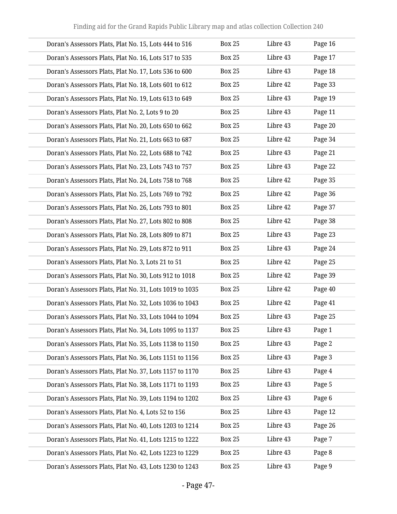| Doran's Assessors Plats, Plat No. 15, Lots 444 to 516   | <b>Box 25</b> | Libre 43 | Page 16 |
|---------------------------------------------------------|---------------|----------|---------|
| Doran's Assessors Plats, Plat No. 16, Lots 517 to 535   | <b>Box 25</b> | Libre 43 | Page 17 |
| Doran's Assessors Plats, Plat No. 17, Lots 536 to 600   | <b>Box 25</b> | Libre 43 | Page 18 |
| Doran's Assessors Plats, Plat No. 18, Lots 601 to 612   | <b>Box 25</b> | Libre 42 | Page 33 |
| Doran's Assessors Plats, Plat No. 19, Lots 613 to 649   | <b>Box 25</b> | Libre 43 | Page 19 |
| Doran's Assessors Plats, Plat No. 2, Lots 9 to 20       | <b>Box 25</b> | Libre 43 | Page 11 |
| Doran's Assessors Plats, Plat No. 20, Lots 650 to 662   | <b>Box 25</b> | Libre 43 | Page 20 |
| Doran's Assessors Plats, Plat No. 21, Lots 663 to 687   | <b>Box 25</b> | Libre 42 | Page 34 |
| Doran's Assessors Plats, Plat No. 22, Lots 688 to 742   | <b>Box 25</b> | Libre 43 | Page 21 |
| Doran's Assessors Plats, Plat No. 23, Lots 743 to 757   | <b>Box 25</b> | Libre 43 | Page 22 |
| Doran's Assessors Plats, Plat No. 24, Lots 758 to 768   | <b>Box 25</b> | Libre 42 | Page 35 |
| Doran's Assessors Plats, Plat No. 25, Lots 769 to 792   | <b>Box 25</b> | Libre 42 | Page 36 |
| Doran's Assessors Plats, Plat No. 26, Lots 793 to 801   | <b>Box 25</b> | Libre 42 | Page 37 |
| Doran's Assessors Plats, Plat No. 27, Lots 802 to 808   | <b>Box 25</b> | Libre 42 | Page 38 |
| Doran's Assessors Plats, Plat No. 28, Lots 809 to 871   | <b>Box 25</b> | Libre 43 | Page 23 |
| Doran's Assessors Plats, Plat No. 29, Lots 872 to 911   | <b>Box 25</b> | Libre 43 | Page 24 |
| Doran's Assessors Plats, Plat No. 3, Lots 21 to 51      | <b>Box 25</b> | Libre 42 | Page 25 |
| Doran's Assessors Plats, Plat No. 30, Lots 912 to 1018  | <b>Box 25</b> | Libre 42 | Page 39 |
| Doran's Assessors Plats, Plat No. 31, Lots 1019 to 1035 | <b>Box 25</b> | Libre 42 | Page 40 |
| Doran's Assessors Plats, Plat No. 32, Lots 1036 to 1043 | <b>Box 25</b> | Libre 42 | Page 41 |
| Doran's Assessors Plats, Plat No. 33, Lots 1044 to 1094 | <b>Box 25</b> | Libre 43 | Page 25 |
| Doran's Assessors Plats, Plat No. 34, Lots 1095 to 1137 | <b>Box 25</b> | Libre 43 | Page 1  |
| Doran's Assessors Plats, Plat No. 35, Lots 1138 to 1150 | <b>Box 25</b> | Libre 43 | Page 2  |
| Doran's Assessors Plats, Plat No. 36, Lots 1151 to 1156 | <b>Box 25</b> | Libre 43 | Page 3  |
| Doran's Assessors Plats, Plat No. 37, Lots 1157 to 1170 | <b>Box 25</b> | Libre 43 | Page 4  |
| Doran's Assessors Plats, Plat No. 38, Lots 1171 to 1193 | <b>Box 25</b> | Libre 43 | Page 5  |
| Doran's Assessors Plats, Plat No. 39, Lots 1194 to 1202 | <b>Box 25</b> | Libre 43 | Page 6  |
| Doran's Assessors Plats, Plat No. 4, Lots 52 to 156     | <b>Box 25</b> | Libre 43 | Page 12 |
| Doran's Assessors Plats, Plat No. 40, Lots 1203 to 1214 | <b>Box 25</b> | Libre 43 | Page 26 |
| Doran's Assessors Plats, Plat No. 41, Lots 1215 to 1222 | <b>Box 25</b> | Libre 43 | Page 7  |
| Doran's Assessors Plats, Plat No. 42, Lots 1223 to 1229 | <b>Box 25</b> | Libre 43 | Page 8  |
| Doran's Assessors Plats, Plat No. 43, Lots 1230 to 1243 | <b>Box 25</b> | Libre 43 | Page 9  |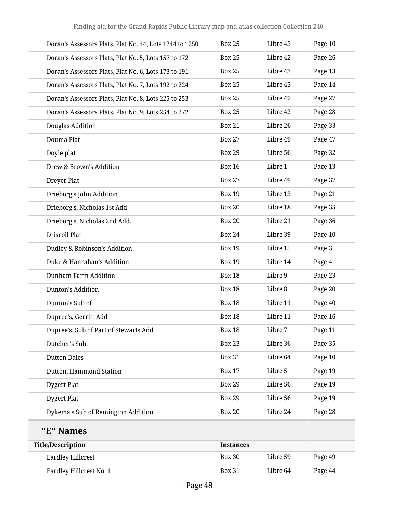| Doran's Assessors Plats, Plat No. 44, Lots 1244 to 1250 | <b>Box 25</b> | Libre 43 | Page 10 |
|---------------------------------------------------------|---------------|----------|---------|
| Doran's Assessors Plats, Plat No. 5, Lots 157 to 172    | <b>Box 25</b> | Libre 42 | Page 26 |
| Doran's Assessors Plats, Plat No. 6, Lots 173 to 191    | <b>Box 25</b> | Libre 43 | Page 13 |
| Doran's Assessors Plats, Plat No. 7, Lots 192 to 224    | <b>Box 25</b> | Libre 43 | Page 14 |
| Doran's Assessors Plats, Plat No. 8, Lots 225 to 253    | <b>Box 25</b> | Libre 42 | Page 27 |
| Doran's Assessors Plats, Plat No. 9, Lots 254 to 272    | <b>Box 25</b> | Libre 42 | Page 28 |
| Douglas Addition                                        | <b>Box 21</b> | Libre 26 | Page 33 |
| Douma Plat                                              | <b>Box 27</b> | Libre 49 | Page 47 |
| Doyle plat                                              | <b>Box 29</b> | Libre 56 | Page 32 |
| Drew & Brown's Addition                                 | <b>Box 16</b> | Libre 1  | Page 13 |
| Dreyer Plat                                             | <b>Box 27</b> | Libre 49 | Page 37 |
| Drieborg's John Addition                                | <b>Box 19</b> | Libre 13 | Page 21 |
| Drieborg's, Nicholas 1st Add                            | <b>Box 20</b> | Libre 18 | Page 35 |
| Drieborg's, Nicholas 2nd Add.                           | <b>Box 20</b> | Libre 21 | Page 36 |
| <b>Driscoll Plat</b>                                    | <b>Box 24</b> | Libre 39 | Page 10 |
| Dudley & Robinson's Addition                            | <b>Box 19</b> | Libre 15 | Page 3  |
| Duke & Hanrahan's Addition                              | <b>Box 19</b> | Libre 14 | Page 4  |
| <b>Dunham Farm Addition</b>                             | <b>Box 18</b> | Libre 9  | Page 23 |
| Dunton's Addition                                       | <b>Box 18</b> | Libre 8  | Page 20 |
| Dunton's Sub of                                         | <b>Box 18</b> | Libre 11 | Page 40 |
| Dupree's, Gerritt Add                                   | <b>Box 18</b> | Libre 11 | Page 16 |
| Dupree's, Sub of Part of Stewarts Add                   | <b>Box 18</b> | Libre 7  | Page 11 |
| Dutcher's Sub.                                          | <b>Box 23</b> | Libre 36 | Page 35 |
| <b>Dutton Dales</b>                                     | <b>Box 31</b> | Libre 64 | Page 10 |
| Dutton, Hammond Station                                 | <b>Box 17</b> | Libre 5  | Page 19 |
| Dygert Plat                                             | <b>Box 29</b> | Libre 56 | Page 19 |
| Dygert Plat                                             | <b>Box 29</b> | Libre 56 | Page 19 |
| Dykema's Sub of Remington Addition                      | <b>Box 20</b> | Libre 24 | Page 28 |

## **"E" Names**

| Title/Description       | <b>Instances</b> |          |         |
|-------------------------|------------------|----------|---------|
| Eardley Hillcrest       | <b>Box 30</b>    | Libre 59 | Page 49 |
| Eardley Hillcrest No. 1 | <b>Box 31</b>    | Libre 64 | Page 44 |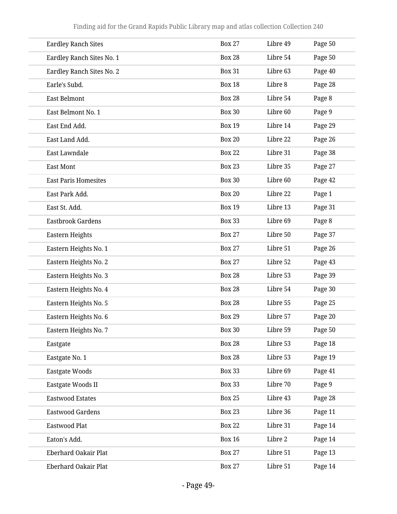| <b>Eardley Ranch Sites</b>  | <b>Box 27</b> | Libre 49 | Page 50 |
|-----------------------------|---------------|----------|---------|
| Eardley Ranch Sites No. 1   | <b>Box 28</b> | Libre 54 | Page 50 |
| Eardley Ranch Sites No. 2   | <b>Box 31</b> | Libre 63 | Page 40 |
| Earle's Subd.               | <b>Box 18</b> | Libre 8  | Page 28 |
| <b>East Belmont</b>         | <b>Box 28</b> | Libre 54 | Page 8  |
| East Belmont No. 1          | <b>Box 30</b> | Libre 60 | Page 9  |
| East End Add.               | <b>Box 19</b> | Libre 14 | Page 29 |
| East Land Add.              | <b>Box 20</b> | Libre 22 | Page 26 |
| East Lawndale               | <b>Box 22</b> | Libre 31 | Page 38 |
| <b>East Mont</b>            | <b>Box 23</b> | Libre 35 | Page 27 |
| <b>East Paris Homesites</b> | <b>Box 30</b> | Libre 60 | Page 42 |
| East Park Add.              | <b>Box 20</b> | Libre 22 | Page 1  |
| East St. Add.               | <b>Box 19</b> | Libre 13 | Page 31 |
| Eastbrook Gardens           | <b>Box 33</b> | Libre 69 | Page 8  |
| Eastern Heights             | <b>Box 27</b> | Libre 50 | Page 37 |
| Eastern Heights No. 1       | <b>Box 27</b> | Libre 51 | Page 26 |
| Eastern Heights No. 2       | <b>Box 27</b> | Libre 52 | Page 43 |
| Eastern Heights No. 3       | <b>Box 28</b> | Libre 53 | Page 39 |
| Eastern Heights No. 4       | <b>Box 28</b> | Libre 54 | Page 30 |
| Eastern Heights No. 5       | <b>Box 28</b> | Libre 55 | Page 25 |
| Eastern Heights No. 6       | <b>Box 29</b> | Libre 57 | Page 20 |
| Eastern Heights No. 7       | <b>Box 30</b> | Libre 59 | Page 50 |
| Eastgate                    | <b>Box 28</b> | Libre 53 | Page 18 |
| Eastgate No. 1              | <b>Box 28</b> | Libre 53 | Page 19 |
| <b>Eastgate Woods</b>       | <b>Box 33</b> | Libre 69 | Page 41 |
| Eastgate Woods II           | <b>Box 33</b> | Libre 70 | Page 9  |
| <b>Eastwood Estates</b>     | <b>Box 25</b> | Libre 43 | Page 28 |
| <b>Eastwood Gardens</b>     | <b>Box 23</b> | Libre 36 | Page 11 |
| Eastwood Plat               | <b>Box 22</b> | Libre 31 | Page 14 |
| Eaton's Add.                | <b>Box 16</b> | Libre 2  | Page 14 |
| <b>Eberhard Oakair Plat</b> | <b>Box 27</b> | Libre 51 | Page 13 |
| <b>Eberhard Oakair Plat</b> | <b>Box 27</b> | Libre 51 | Page 14 |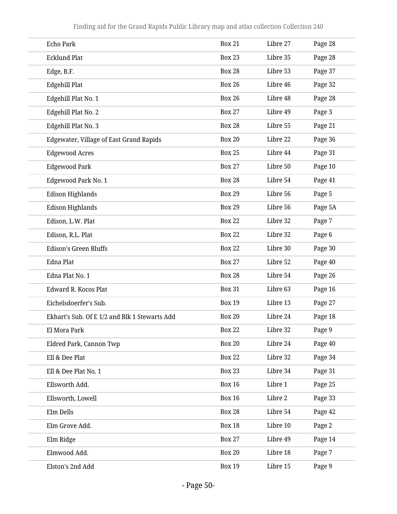| <b>Echo Park</b>                              | <b>Box 21</b> | Libre 27 | Page 28 |
|-----------------------------------------------|---------------|----------|---------|
| <b>Ecklund Plat</b>                           | <b>Box 23</b> | Libre 35 | Page 28 |
| Edge, B.F.                                    | <b>Box 28</b> | Libre 53 | Page 37 |
| Edgehill Plat                                 | <b>Box 26</b> | Libre 46 | Page 32 |
| Edgehill Plat No. 1                           | <b>Box 26</b> | Libre 48 | Page 28 |
| Edgehill Plat No. 2                           | <b>Box 27</b> | Libre 49 | Page 3  |
| Edgehill Plat No. 3                           | <b>Box 28</b> | Libre 55 | Page 21 |
| Edgewater, Village of East Grand Rapids       | <b>Box 20</b> | Libre 22 | Page 36 |
| <b>Edgewood Acres</b>                         | <b>Box 25</b> | Libre 44 | Page 31 |
| <b>Edgewood Park</b>                          | <b>Box 27</b> | Libre 50 | Page 10 |
| Edgewood Park No. 1                           | <b>Box 28</b> | Libre 54 | Page 41 |
| <b>Edison Highlands</b>                       | <b>Box 29</b> | Libre 56 | Page 5  |
| <b>Edison Highlands</b>                       | <b>Box 29</b> | Libre 56 | Page 5A |
| Edison, L.W. Plat                             | <b>Box 22</b> | Libre 32 | Page 7  |
| Edison, R.L. Plat                             | <b>Box 22</b> | Libre 32 | Page 6  |
| <b>Edison's Green Bluffs</b>                  | <b>Box 22</b> | Libre 30 | Page 30 |
| <b>Edna Plat</b>                              | <b>Box 27</b> | Libre 52 | Page 40 |
| Edna Plat No. 1                               | <b>Box 28</b> | Libre 54 | Page 26 |
| Edward R. Kocos Plat                          | <b>Box 31</b> | Libre 63 | Page 16 |
| Eichelsdoerfer's Sub.                         | <b>Box 19</b> | Libre 13 | Page 27 |
| Ekhart's Sub. Of E 1/2 and Blk 1 Stewarts Add | <b>Box 20</b> | Libre 24 | Page 18 |
| El Mora Park                                  | <b>Box 22</b> | Libre 32 | Page 9  |
| Eldred Park, Cannon Twp                       | <b>Box 20</b> | Libre 24 | Page 40 |
| Ell & Dee Plat                                | <b>Box 22</b> | Libre 32 | Page 34 |
| Ell & Dee Plat No. 1                          | <b>Box 23</b> | Libre 34 | Page 31 |
| Ellsworth Add.                                | <b>Box 16</b> | Libre 1  | Page 25 |
| Ellsworth, Lowell                             | <b>Box 16</b> | Libre 2  | Page 33 |
| Elm Dells                                     | <b>Box 28</b> | Libre 54 | Page 42 |
| Elm Grove Add.                                | <b>Box 18</b> | Libre 10 | Page 2  |
| Elm Ridge                                     | <b>Box 27</b> | Libre 49 | Page 14 |
| Elmwood Add.                                  | <b>Box 20</b> | Libre 18 | Page 7  |
| Elston's 2nd Add                              | <b>Box 19</b> | Libre 15 | Page 9  |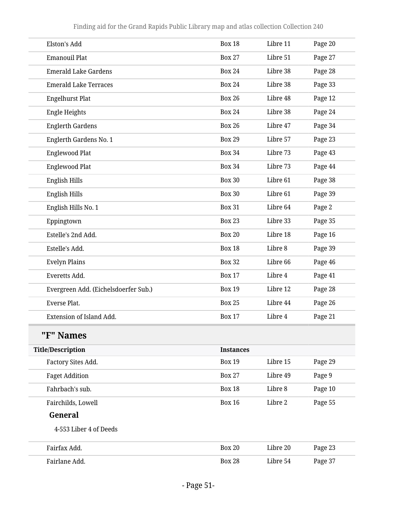| Elston's Add                         | <b>Box 18</b>    | Libre 11 | Page 20 |
|--------------------------------------|------------------|----------|---------|
| <b>Emanouil Plat</b>                 | <b>Box 27</b>    | Libre 51 | Page 27 |
| <b>Emerald Lake Gardens</b>          | <b>Box 24</b>    | Libre 38 | Page 28 |
| <b>Emerald Lake Terraces</b>         | <b>Box 24</b>    | Libre 38 | Page 33 |
| <b>Engelhurst Plat</b>               | <b>Box 26</b>    | Libre 48 | Page 12 |
| Engle Heights                        | <b>Box 24</b>    | Libre 38 | Page 24 |
| <b>Englerth Gardens</b>              | <b>Box 26</b>    | Libre 47 | Page 34 |
| Englerth Gardens No. 1               | <b>Box 29</b>    | Libre 57 | Page 23 |
| <b>Englewood Plat</b>                | <b>Box 34</b>    | Libre 73 | Page 43 |
| <b>Englewood Plat</b>                | <b>Box 34</b>    | Libre 73 | Page 44 |
| English Hills                        | <b>Box 30</b>    | Libre 61 | Page 38 |
| English Hills                        | <b>Box 30</b>    | Libre 61 | Page 39 |
| English Hills No. 1                  | <b>Box 31</b>    | Libre 64 | Page 2  |
| Eppingtown                           | <b>Box 23</b>    | Libre 33 | Page 35 |
| Estelle's 2nd Add.                   | <b>Box 20</b>    | Libre 18 | Page 16 |
| Estelle's Add.                       | <b>Box 18</b>    | Libre 8  | Page 39 |
| <b>Evelyn Plains</b>                 | <b>Box 32</b>    | Libre 66 | Page 46 |
| Everetts Add.                        | <b>Box 17</b>    | Libre 4  | Page 41 |
| Evergreen Add. (Eichelsdoerfer Sub.) | <b>Box 19</b>    | Libre 12 | Page 28 |
| Everse Plat.                         | <b>Box 25</b>    | Libre 44 | Page 26 |
| Extension of Island Add.             | <b>Box 17</b>    | Libre 4  | Page 21 |
| "F" Names                            |                  |          |         |
| <b>Title/Description</b>             | <b>Instances</b> |          |         |
| Factory Sites Add.                   | <b>Box 19</b>    | Libre 15 | Page 29 |
| <b>Faget Addition</b>                | <b>Box 27</b>    | Libre 49 | Page 9  |
| Fahrbach's sub.                      | <b>Box 18</b>    | Libre 8  | Page 10 |
| Fairchilds, Lowell                   | <b>Box 16</b>    | Libre 2  | Page 55 |
| General                              |                  |          |         |
| 4-553 Liber 4 of Deeds               |                  |          |         |

| Fairfax Add.  | <b>Box 20</b> | Libre 20 | Page 23 |  |
|---------------|---------------|----------|---------|--|
| Fairlane Add. | <b>Box 28</b> | Libre 54 | Page 37 |  |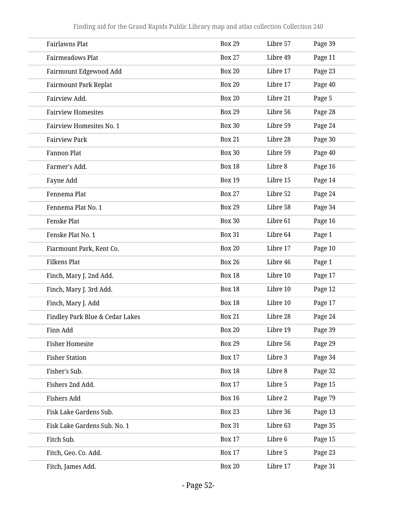| Fairlawns Plat                  | <b>Box 29</b> | Libre 57 | Page 39 |
|---------------------------------|---------------|----------|---------|
| <b>Fairmeadows Plat</b>         | <b>Box 27</b> | Libre 49 | Page 11 |
| Fairmount Edgewood Add          | <b>Box 20</b> | Libre 17 | Page 23 |
| <b>Fairmount Park Replat</b>    | <b>Box 20</b> | Libre 17 | Page 40 |
| Fairview Add.                   | <b>Box 20</b> | Libre 21 | Page 5  |
| <b>Fairview Homesites</b>       | <b>Box 29</b> | Libre 56 | Page 28 |
| <b>Fairview Homesites No. 1</b> | <b>Box 30</b> | Libre 59 | Page 24 |
| <b>Fairview Park</b>            | <b>Box 21</b> | Libre 28 | Page 30 |
| <b>Fannon Plat</b>              | <b>Box 30</b> | Libre 59 | Page 40 |
| Farmer's Add.                   | <b>Box 18</b> | Libre 8  | Page 16 |
| Fayne Add                       | <b>Box 19</b> | Libre 15 | Page 14 |
| Fennema Plat                    | <b>Box 27</b> | Libre 52 | Page 24 |
| Fennema Plat No. 1              | <b>Box 29</b> | Libre 58 | Page 34 |
| Fenske Plat                     | <b>Box 30</b> | Libre 61 | Page 16 |
| Fenske Plat No. 1               | <b>Box 31</b> | Libre 64 | Page 1  |
| Fiarmount Park, Kent Co.        | <b>Box 20</b> | Libre 17 | Page 10 |
| <b>Filkens Plat</b>             | <b>Box 26</b> | Libre 46 | Page 1  |
| Finch, Mary J. 2nd Add.         | <b>Box 18</b> | Libre 10 | Page 17 |
| Finch, Mary J. 3rd Add.         | <b>Box 18</b> | Libre 10 | Page 12 |
| Finch, Mary J. Add              | <b>Box 18</b> | Libre 10 | Page 17 |
| Findley Park Blue & Cedar Lakes | <b>Box 21</b> | Libre 28 | Page 24 |
| Finn Add                        | <b>Box 20</b> | Libre 19 | Page 39 |
| <b>Fisher Homesite</b>          | <b>Box 29</b> | Libre 56 | Page 29 |
| <b>Fisher Station</b>           | <b>Box 17</b> | Libre 3  | Page 34 |
| Fisher's Sub.                   | <b>Box 18</b> | Libre 8  | Page 32 |
| Fishers 2nd Add.                | <b>Box 17</b> | Libre 5  | Page 15 |
| <b>Fishers Add</b>              | <b>Box 16</b> | Libre 2  | Page 79 |
| Fisk Lake Gardens Sub.          | <b>Box 23</b> | Libre 36 | Page 13 |
| Fisk Lake Gardens Sub. No. 1    | <b>Box 31</b> | Libre 63 | Page 35 |
| Fitch Sub.                      | <b>Box 17</b> | Libre 6  | Page 15 |
| Fitch, Geo. Co. Add.            | <b>Box 17</b> | Libre 5  | Page 23 |
| Fitch, James Add.               | <b>Box 20</b> | Libre 17 | Page 31 |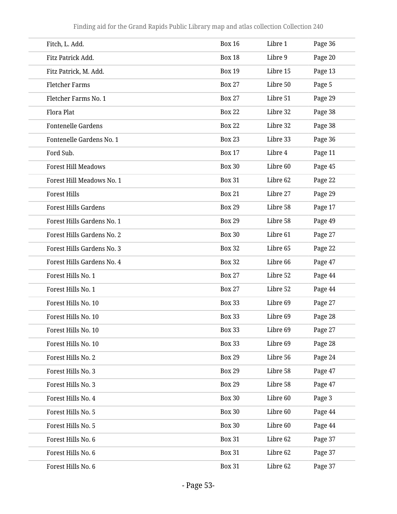| Fitch, L. Add.              | <b>Box 16</b> | Libre 1  | Page 36 |
|-----------------------------|---------------|----------|---------|
| Fitz Patrick Add.           | <b>Box 18</b> | Libre 9  | Page 20 |
| Fitz Patrick, M. Add.       | <b>Box 19</b> | Libre 15 | Page 13 |
| <b>Fletcher Farms</b>       | <b>Box 27</b> | Libre 50 | Page 5  |
| Fletcher Farms No. 1        | <b>Box 27</b> | Libre 51 | Page 29 |
| Flora Plat                  | <b>Box 22</b> | Libre 32 | Page 38 |
| <b>Fontenelle Gardens</b>   | <b>Box 22</b> | Libre 32 | Page 38 |
| Fontenelle Gardens No. 1    | <b>Box 23</b> | Libre 33 | Page 36 |
| Ford Sub.                   | <b>Box 17</b> | Libre 4  | Page 11 |
| <b>Forest Hill Meadows</b>  | <b>Box 30</b> | Libre 60 | Page 45 |
| Forest Hill Meadows No. 1   | <b>Box 31</b> | Libre 62 | Page 22 |
| <b>Forest Hills</b>         | <b>Box 21</b> | Libre 27 | Page 29 |
| <b>Forest Hills Gardens</b> | <b>Box 29</b> | Libre 58 | Page 17 |
| Forest Hills Gardens No. 1  | <b>Box 29</b> | Libre 58 | Page 49 |
| Forest Hills Gardens No. 2  | <b>Box 30</b> | Libre 61 | Page 27 |
| Forest Hills Gardens No. 3  | <b>Box 32</b> | Libre 65 | Page 22 |
| Forest Hills Gardens No. 4  | <b>Box 32</b> | Libre 66 | Page 47 |
| Forest Hills No. 1          | <b>Box 27</b> | Libre 52 | Page 44 |
| Forest Hills No. 1          | <b>Box 27</b> | Libre 52 | Page 44 |
| Forest Hills No. 10         | <b>Box 33</b> | Libre 69 | Page 27 |
| Forest Hills No. 10         | <b>Box 33</b> | Libre 69 | Page 28 |
| Forest Hills No. 10         | <b>Box 33</b> | Libre 69 | Page 27 |
| Forest Hills No. 10         | <b>Box 33</b> | Libre 69 | Page 28 |
| Forest Hills No. 2          | <b>Box 29</b> | Libre 56 | Page 24 |
| Forest Hills No. 3          | <b>Box 29</b> | Libre 58 | Page 47 |
| Forest Hills No. 3          | <b>Box 29</b> | Libre 58 | Page 47 |
| Forest Hills No. 4          | <b>Box 30</b> | Libre 60 | Page 3  |
| Forest Hills No. 5          | <b>Box 30</b> | Libre 60 | Page 44 |
| Forest Hills No. 5          | <b>Box 30</b> | Libre 60 | Page 44 |
| Forest Hills No. 6          | <b>Box 31</b> | Libre 62 | Page 37 |
| Forest Hills No. 6          | <b>Box 31</b> | Libre 62 | Page 37 |
| Forest Hills No. 6          | <b>Box 31</b> | Libre 62 | Page 37 |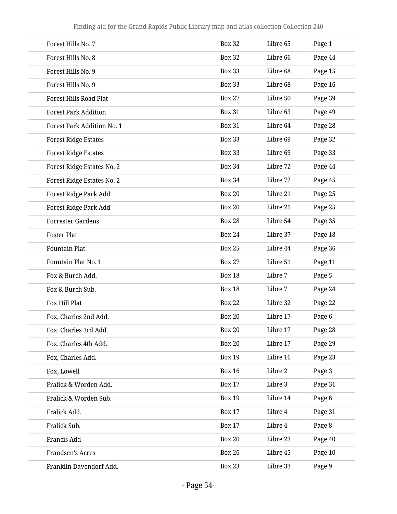| Forest Hills No. 7                | <b>Box 32</b> | Libre 65 | Page 1  |
|-----------------------------------|---------------|----------|---------|
| Forest Hills No. 8                | <b>Box 32</b> | Libre 66 | Page 44 |
| Forest Hills No. 9                | <b>Box 33</b> | Libre 68 | Page 15 |
| Forest Hills No. 9                | <b>Box 33</b> | Libre 68 | Page 16 |
| <b>Forest Hills Road Plat</b>     | <b>Box 27</b> | Libre 50 | Page 39 |
| <b>Forest Park Addition</b>       | <b>Box 31</b> | Libre 63 | Page 49 |
| <b>Forest Park Addition No. 1</b> | <b>Box 31</b> | Libre 64 | Page 28 |
| <b>Forest Ridge Estates</b>       | <b>Box 33</b> | Libre 69 | Page 32 |
| <b>Forest Ridge Estates</b>       | <b>Box 33</b> | Libre 69 | Page 33 |
| Forest Ridge Estates No. 2        | <b>Box 34</b> | Libre 72 | Page 44 |
| Forest Ridge Estates No. 2        | <b>Box 34</b> | Libre 72 | Page 45 |
| Forest Ridge Park Add             | <b>Box 20</b> | Libre 21 | Page 25 |
| Forest Ridge Park Add             | <b>Box 20</b> | Libre 21 | Page 25 |
| <b>Forrester Gardens</b>          | <b>Box 28</b> | Libre 54 | Page 35 |
| <b>Foster Plat</b>                | <b>Box 24</b> | Libre 37 | Page 18 |
| <b>Fountain Plat</b>              | <b>Box 25</b> | Libre 44 | Page 36 |
| Fountain Plat No. 1               | <b>Box 27</b> | Libre 51 | Page 11 |
| Fox & Burch Add.                  | <b>Box 18</b> | Libre 7  | Page 5  |
| Fox & Burch Sub.                  | <b>Box 18</b> | Libre 7  | Page 24 |
| Fox Hill Plat                     | <b>Box 22</b> | Libre 32 | Page 22 |
| Fox, Charles 2nd Add.             | <b>Box 20</b> | Libre 17 | Page 6  |
| Fox, Charles 3rd Add.             | <b>Box 20</b> | Libre 17 | Page 28 |
| Fox, Charles 4th Add.             | <b>Box 20</b> | Libre 17 | Page 29 |
| Fox, Charles Add.                 | <b>Box 19</b> | Libre 16 | Page 23 |
| Fox, Lowell                       | <b>Box 16</b> | Libre 2  | Page 3  |
| Fralick & Worden Add.             | <b>Box 17</b> | Libre 3  | Page 31 |
| Fralick & Worden Sub.             | <b>Box 19</b> | Libre 14 | Page 6  |
| Fralick Add.                      | <b>Box 17</b> | Libre 4  | Page 31 |
| Fralick Sub.                      | <b>Box 17</b> | Libre 4  | Page 8  |
| Francis Add                       | <b>Box 20</b> | Libre 23 | Page 40 |
| Frandsen's Acres                  | <b>Box 26</b> | Libre 45 | Page 10 |
| Franklin Davendorf Add.           | <b>Box 23</b> | Libre 33 | Page 9  |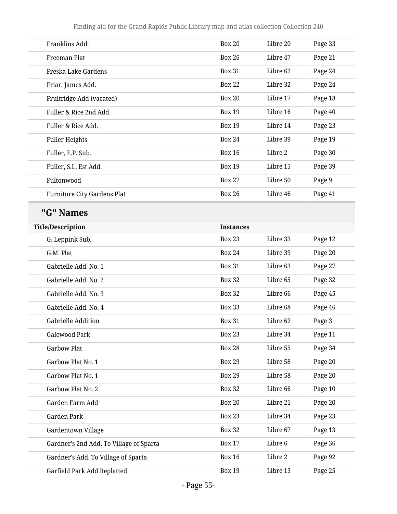| Franklins Add.                          | <b>Box 20</b>    | Libre 20 | Page 33 |
|-----------------------------------------|------------------|----------|---------|
| Freeman Plat                            | <b>Box 26</b>    | Libre 47 | Page 21 |
| Freska Lake Gardens                     | <b>Box 31</b>    | Libre 62 | Page 24 |
| Friar, James Add.                       | <b>Box 22</b>    | Libre 32 | Page 24 |
| Fruitridge Add (vacated)                | <b>Box 20</b>    | Libre 17 | Page 18 |
| Fuller & Rice 2nd Add.                  | <b>Box 19</b>    | Libre 16 | Page 40 |
| Fuller & Rice Add.                      | <b>Box 19</b>    | Libre 14 | Page 23 |
| <b>Fuller Heights</b>                   | <b>Box 24</b>    | Libre 39 | Page 19 |
| Fuller, E.P. Sub.                       | <b>Box 16</b>    | Libre 2  | Page 30 |
| Fuller, S.L. Est Add.                   | <b>Box 19</b>    | Libre 15 | Page 39 |
| Fultonwood                              | <b>Box 27</b>    | Libre 50 | Page 9  |
| <b>Furniture City Gardens Plat</b>      | <b>Box 26</b>    | Libre 46 | Page 41 |
| "G" Names                               |                  |          |         |
| <b>Title/Description</b>                | <b>Instances</b> |          |         |
| G. Leppink Sub.                         | <b>Box 23</b>    | Libre 33 | Page 12 |
| G.M. Plat                               | <b>Box 24</b>    | Libre 39 | Page 20 |
| Gabrielle Add. No. 1                    | <b>Box 31</b>    | Libre 63 | Page 27 |
| Gabrielle Add. No. 2                    | <b>Box 32</b>    | Libre 65 | Page 32 |
| Gabrielle Add. No. 3                    | <b>Box 32</b>    | Libre 66 | Page 45 |
| Gabrielle Add. No. 4                    | <b>Box 33</b>    | Libre 68 | Page 46 |
| <b>Gabrielle Addition</b>               | <b>Box 31</b>    | Libre 62 | Page 3  |
| <b>Galewood Park</b>                    | <b>Box 23</b>    | Libre 34 | Page 11 |
| <b>Garbow Plat</b>                      | <b>Box 28</b>    | Libre 55 | Page 34 |
| Garbow Plat No. 1                       | <b>Box 29</b>    | Libre 58 | Page 20 |
| Garbow Plat No. 1                       | <b>Box 29</b>    | Libre 58 | Page 20 |
| Garbow Plat No. 2                       | <b>Box 32</b>    | Libre 66 | Page 10 |
| Garden Farm Add                         | <b>Box 20</b>    | Libre 21 | Page 20 |
| Garden Park                             | <b>Box 23</b>    | Libre 34 | Page 23 |
| Gardentown Village                      | <b>Box 32</b>    | Libre 67 | Page 13 |
| Gardner's 2nd Add. To Village of Sparta | <b>Box 17</b>    | Libre 6  | Page 36 |
| Gardner's Add. To Village of Sparta     | <b>Box 16</b>    | Libre 2  | Page 92 |
| Garfield Park Add Replatted             | <b>Box 19</b>    | Libre 13 | Page 25 |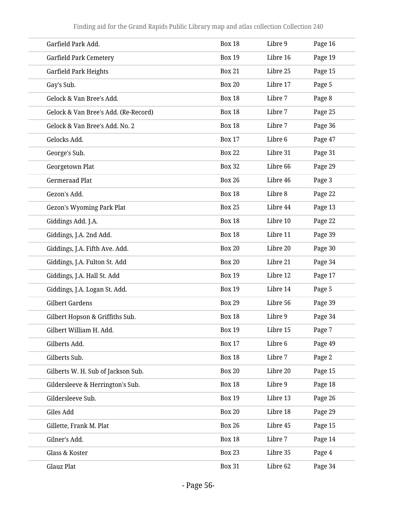| Garfield Park Add.                   | <b>Box 18</b> | Libre 9  | Page 16 |
|--------------------------------------|---------------|----------|---------|
| <b>Garfield Park Cemetery</b>        | <b>Box 19</b> | Libre 16 | Page 19 |
| Garfield Park Heights                | <b>Box 21</b> | Libre 25 | Page 15 |
| Gay's Sub.                           | <b>Box 20</b> | Libre 17 | Page 5  |
| Gelock & Van Bree's Add.             | <b>Box 18</b> | Libre 7  | Page 8  |
| Gelock & Van Bree's Add. (Re-Record) | <b>Box 18</b> | Libre 7  | Page 25 |
| Gelock & Van Bree's Add. No. 2       | <b>Box 18</b> | Libre 7  | Page 36 |
| Gelocks Add.                         | <b>Box 17</b> | Libre 6  | Page 47 |
| George's Sub.                        | <b>Box 22</b> | Libre 31 | Page 31 |
| Georgetown Plat                      | <b>Box 32</b> | Libre 66 | Page 29 |
| <b>Germeraad Plat</b>                | <b>Box 26</b> | Libre 46 | Page 3  |
| Gezon's Add.                         | <b>Box 18</b> | Libre 8  | Page 22 |
| <b>Gezon's Wyoming Park Plat</b>     | <b>Box 25</b> | Libre 44 | Page 13 |
| Giddings Add. J.A.                   | <b>Box 18</b> | Libre 10 | Page 22 |
| Giddings, J.A. 2nd Add.              | <b>Box 18</b> | Libre 11 | Page 39 |
| Giddings, J.A. Fifth Ave. Add.       | <b>Box 20</b> | Libre 20 | Page 30 |
| Giddings, J.A. Fulton St. Add        | <b>Box 20</b> | Libre 21 | Page 34 |
| Giddings, J.A. Hall St. Add          | <b>Box 19</b> | Libre 12 | Page 17 |
| Giddings, J.A. Logan St. Add.        | <b>Box 19</b> | Libre 14 | Page 5  |
| <b>Gilbert Gardens</b>               | <b>Box 29</b> | Libre 56 | Page 39 |
| Gilbert Hopson & Griffiths Sub.      | <b>Box 18</b> | Libre 9  | Page 34 |
| Gilbert William H. Add.              | <b>Box 19</b> | Libre 15 | Page 7  |
| Gilberts Add.                        | <b>Box 17</b> | Libre 6  | Page 49 |
| Gilberts Sub.                        | <b>Box 18</b> | Libre 7  | Page 2  |
| Gilberts W. H. Sub of Jackson Sub.   | <b>Box 20</b> | Libre 20 | Page 15 |
| Gildersleeve & Herrington's Sub.     | <b>Box 18</b> | Libre 9  | Page 18 |
| Gildersleeve Sub.                    | <b>Box 19</b> | Libre 13 | Page 26 |
| Giles Add                            | <b>Box 20</b> | Libre 18 | Page 29 |
| Gillette, Frank M. Plat              | <b>Box 26</b> | Libre 45 | Page 15 |
| Gilner's Add.                        | <b>Box 18</b> | Libre 7  | Page 14 |
| Glass & Koster                       | <b>Box 23</b> | Libre 35 | Page 4  |
| Glauz Plat                           | <b>Box 31</b> | Libre 62 | Page 34 |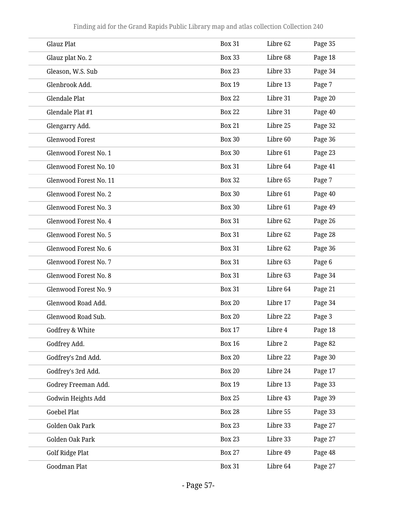| Glauz Plat                   | <b>Box 31</b> | Libre 62 | Page 35 |
|------------------------------|---------------|----------|---------|
| Glauz plat No. 2             | <b>Box 33</b> | Libre 68 | Page 18 |
| Gleason, W.S. Sub            | <b>Box 23</b> | Libre 33 | Page 34 |
| Glenbrook Add.               | <b>Box 19</b> | Libre 13 | Page 7  |
| Glendale Plat                | <b>Box 22</b> | Libre 31 | Page 20 |
| Glendale Plat #1             | <b>Box 22</b> | Libre 31 | Page 40 |
| Glengarry Add.               | <b>Box 21</b> | Libre 25 | Page 32 |
| <b>Glenwood Forest</b>       | <b>Box 30</b> | Libre 60 | Page 36 |
| Glenwood Forest No. 1        | <b>Box 30</b> | Libre 61 | Page 23 |
| Glenwood Forest No. 10       | <b>Box 31</b> | Libre 64 | Page 41 |
| Glenwood Forest No. 11       | <b>Box 32</b> | Libre 65 | Page 7  |
| Glenwood Forest No. 2        | <b>Box 30</b> | Libre 61 | Page 40 |
| <b>Glenwood Forest No. 3</b> | <b>Box 30</b> | Libre 61 | Page 49 |
| Glenwood Forest No. 4        | <b>Box 31</b> | Libre 62 | Page 26 |
| <b>Glenwood Forest No. 5</b> | <b>Box 31</b> | Libre 62 | Page 28 |
| Glenwood Forest No. 6        | <b>Box 31</b> | Libre 62 | Page 36 |
| Glenwood Forest No. 7        | <b>Box 31</b> | Libre 63 | Page 6  |
| Glenwood Forest No. 8        | <b>Box 31</b> | Libre 63 | Page 34 |
| Glenwood Forest No. 9        | <b>Box 31</b> | Libre 64 | Page 21 |
| Glenwood Road Add.           | <b>Box 20</b> | Libre 17 | Page 34 |
| Glenwood Road Sub.           | <b>Box 20</b> | Libre 22 | Page 3  |
| Godfrey & White              | <b>Box 17</b> | Libre 4  | Page 18 |
| Godfrey Add.                 | <b>Box 16</b> | Libre 2  | Page 82 |
| Godfrey's 2nd Add.           | <b>Box 20</b> | Libre 22 | Page 30 |
| Godfrey's 3rd Add.           | <b>Box 20</b> | Libre 24 | Page 17 |
| Godrey Freeman Add.          | <b>Box 19</b> | Libre 13 | Page 33 |
| Godwin Heights Add           | <b>Box 25</b> | Libre 43 | Page 39 |
| <b>Goebel Plat</b>           | <b>Box 28</b> | Libre 55 | Page 33 |
| <b>Golden Oak Park</b>       | <b>Box 23</b> | Libre 33 | Page 27 |
| Golden Oak Park              | <b>Box 23</b> | Libre 33 | Page 27 |
| Golf Ridge Plat              | <b>Box 27</b> | Libre 49 | Page 48 |
| Goodman Plat                 | <b>Box 31</b> | Libre 64 | Page 27 |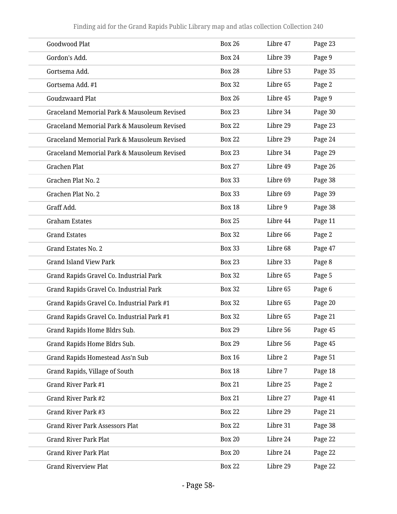| Goodwood Plat                               | <b>Box 26</b> | Libre 47 | Page 23 |  |
|---------------------------------------------|---------------|----------|---------|--|
| Gordon's Add.                               | <b>Box 24</b> | Libre 39 | Page 9  |  |
| Gortsema Add.                               | <b>Box 28</b> | Libre 53 | Page 35 |  |
| Gortsema Add. #1                            | <b>Box 32</b> | Libre 65 | Page 2  |  |
| <b>Goudzwaard Plat</b>                      | <b>Box 26</b> | Libre 45 | Page 9  |  |
| Graceland Memorial Park & Mausoleum Revised | <b>Box 23</b> | Libre 34 | Page 30 |  |
| Graceland Memorial Park & Mausoleum Revised | <b>Box 22</b> | Libre 29 | Page 23 |  |
| Graceland Memorial Park & Mausoleum Revised | <b>Box 22</b> | Libre 29 | Page 24 |  |
| Graceland Memorial Park & Mausoleum Revised | <b>Box 23</b> | Libre 34 | Page 29 |  |
| Grachen Plat                                | <b>Box 27</b> | Libre 49 | Page 26 |  |
| Grachen Plat No. 2                          | <b>Box 33</b> | Libre 69 | Page 38 |  |
| Grachen Plat No. 2                          | <b>Box 33</b> | Libre 69 | Page 39 |  |
| Graff Add.                                  | <b>Box 18</b> | Libre 9  | Page 38 |  |
| <b>Graham Estates</b>                       | <b>Box 25</b> | Libre 44 | Page 11 |  |
| <b>Grand Estates</b>                        | <b>Box 32</b> | Libre 66 | Page 2  |  |
| Grand Estates No. 2                         | <b>Box 33</b> | Libre 68 | Page 47 |  |
| <b>Grand Island View Park</b>               | <b>Box 23</b> | Libre 33 | Page 8  |  |
| Grand Rapids Gravel Co. Industrial Park     | <b>Box 32</b> | Libre 65 | Page 5  |  |
| Grand Rapids Gravel Co. Industrial Park     | <b>Box 32</b> | Libre 65 | Page 6  |  |
| Grand Rapids Gravel Co. Industrial Park #1  | <b>Box 32</b> | Libre 65 | Page 20 |  |
| Grand Rapids Gravel Co. Industrial Park #1  | <b>Box 32</b> | Libre 65 | Page 21 |  |
| Grand Rapids Home Bldrs Sub.                | <b>Box 29</b> | Libre 56 | Page 45 |  |
| Grand Rapids Home Bldrs Sub.                | <b>Box 29</b> | Libre 56 | Page 45 |  |
| Grand Rapids Homestead Ass'n Sub            | <b>Box 16</b> | Libre 2  | Page 51 |  |
| Grand Rapids, Village of South              | <b>Box 18</b> | Libre 7  | Page 18 |  |
| Grand River Park #1                         | <b>Box 21</b> | Libre 25 | Page 2  |  |
| Grand River Park #2                         | <b>Box 21</b> | Libre 27 | Page 41 |  |
| Grand River Park #3                         | <b>Box 22</b> | Libre 29 | Page 21 |  |
| <b>Grand River Park Assessors Plat</b>      | <b>Box 22</b> | Libre 31 | Page 38 |  |
| <b>Grand River Park Plat</b>                | <b>Box 20</b> | Libre 24 | Page 22 |  |
| <b>Grand River Park Plat</b>                | <b>Box 20</b> | Libre 24 | Page 22 |  |
| <b>Grand Riverview Plat</b>                 | <b>Box 22</b> | Libre 29 | Page 22 |  |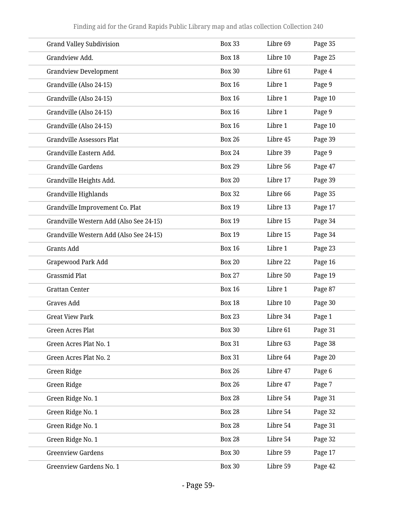| <b>Grand Valley Subdivision</b>         | <b>Box 33</b> | Libre 69 | Page 35 |
|-----------------------------------------|---------------|----------|---------|
| Grandview Add.                          | <b>Box 18</b> | Libre 10 | Page 25 |
| <b>Grandview Development</b>            | <b>Box 30</b> | Libre 61 | Page 4  |
| Grandville (Also 24-15)                 | <b>Box 16</b> | Libre 1  | Page 9  |
| Grandville (Also 24-15)                 | <b>Box 16</b> | Libre 1  | Page 10 |
| Grandville (Also 24-15)                 | <b>Box 16</b> | Libre 1  | Page 9  |
| Grandville (Also 24-15)                 | <b>Box 16</b> | Libre 1  | Page 10 |
| <b>Grandville Assessors Plat</b>        | <b>Box 26</b> | Libre 45 | Page 39 |
| Grandville Eastern Add.                 | <b>Box 24</b> | Libre 39 | Page 9  |
| <b>Grandville Gardens</b>               | <b>Box 29</b> | Libre 56 | Page 47 |
| Grandville Heights Add.                 | <b>Box 20</b> | Libre 17 | Page 39 |
| Grandville Highlands                    | <b>Box 32</b> | Libre 66 | Page 35 |
| Grandville Improvement Co. Plat         | <b>Box 19</b> | Libre 13 | Page 17 |
| Grandville Western Add (Also See 24-15) | <b>Box 19</b> | Libre 15 | Page 34 |
| Grandville Western Add (Also See 24-15) | <b>Box 19</b> | Libre 15 | Page 34 |
| <b>Grants Add</b>                       | <b>Box 16</b> | Libre 1  | Page 23 |
| Grapewood Park Add                      | <b>Box 20</b> | Libre 22 | Page 16 |
| <b>Grassmid Plat</b>                    | <b>Box 27</b> | Libre 50 | Page 19 |
| <b>Grattan Center</b>                   | <b>Box 16</b> | Libre 1  | Page 87 |
| Graves Add                              | <b>Box 18</b> | Libre 10 | Page 30 |
| <b>Great View Park</b>                  | <b>Box 23</b> | Libre 34 | Page 1  |
| <b>Green Acres Plat</b>                 | <b>Box 30</b> | Libre 61 | Page 31 |
| Green Acres Plat No. 1                  | <b>Box 31</b> | Libre 63 | Page 38 |
| Green Acres Plat No. 2                  | <b>Box 31</b> | Libre 64 | Page 20 |
| Green Ridge                             | <b>Box 26</b> | Libre 47 | Page 6  |
| Green Ridge                             | <b>Box 26</b> | Libre 47 | Page 7  |
| Green Ridge No. 1                       | <b>Box 28</b> | Libre 54 | Page 31 |
| Green Ridge No. 1                       | <b>Box 28</b> | Libre 54 | Page 32 |
| Green Ridge No. 1                       | <b>Box 28</b> | Libre 54 | Page 31 |
| Green Ridge No. 1                       | <b>Box 28</b> | Libre 54 | Page 32 |
| <b>Greenview Gardens</b>                | <b>Box 30</b> | Libre 59 | Page 17 |
| Greenview Gardens No. 1                 | <b>Box 30</b> | Libre 59 | Page 42 |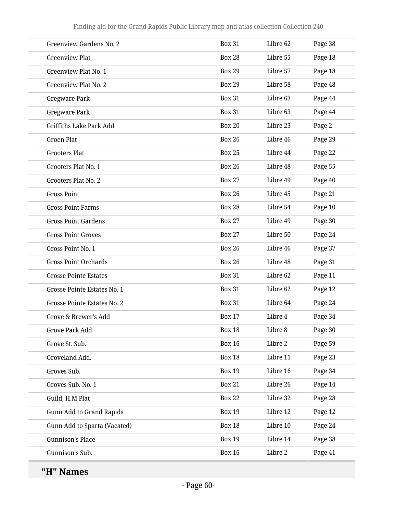| <b>Greenview Gardens No. 2</b> | <b>Box 31</b> | Libre 62 | Page 38 |
|--------------------------------|---------------|----------|---------|
| <b>Greenview Plat</b>          | <b>Box 28</b> | Libre 55 | Page 18 |
| Greenview Plat No. 1           | <b>Box 29</b> | Libre 57 | Page 18 |
| Greenview Plat No. 2           | <b>Box 29</b> | Libre 58 | Page 48 |
| <b>Gregware Park</b>           | <b>Box 31</b> | Libre 63 | Page 44 |
| <b>Gregware Park</b>           | <b>Box 31</b> | Libre 63 | Page 44 |
| <b>Griffiths Lake Park Add</b> | <b>Box 20</b> | Libre 23 | Page 2  |
| <b>Groen Plat</b>              | <b>Box 26</b> | Libre 46 | Page 29 |
| <b>Grooters Plat</b>           | <b>Box 25</b> | Libre 44 | Page 22 |
| Grooters Plat No. 1            | <b>Box 26</b> | Libre 48 | Page 55 |
| Grooters Plat No. 2            | <b>Box 27</b> | Libre 49 | Page 40 |
| <b>Gross Point</b>             | <b>Box 26</b> | Libre 45 | Page 21 |
| <b>Gross Point Farms</b>       | <b>Box 28</b> | Libre 54 | Page 10 |
| <b>Gross Point Gardens</b>     | <b>Box 27</b> | Libre 49 | Page 30 |
| <b>Gross Point Groves</b>      | <b>Box 27</b> | Libre 50 | Page 24 |
| Gross Point No. 1              | <b>Box 26</b> | Libre 46 | Page 37 |
| <b>Gross Point Orchards</b>    | <b>Box 26</b> | Libre 48 | Page 31 |
| <b>Grosse Pointe Estates</b>   | <b>Box 31</b> | Libre 62 | Page 11 |
| Grosse Pointe Estates No. 1    | <b>Box 31</b> | Libre 62 | Page 12 |
| Grosse Pointe Estates No. 2    | <b>Box 31</b> | Libre 64 | Page 24 |
| Grove & Brewer's Add           | <b>Box 17</b> | Libre 4  | Page 34 |
| Grove Park Add                 | <b>Box 18</b> | Libre 8  | Page 30 |
| Grove St. Sub.                 | <b>Box 16</b> | Libre 2  | Page 59 |
| Groveland Add.                 | <b>Box 18</b> | Libre 11 | Page 23 |
| Groves Sub.                    | <b>Box 19</b> | Libre 16 | Page 34 |
| Groves Sub. No. 1              | <b>Box 21</b> | Libre 26 | Page 14 |
| Guild, H.M Plat                | <b>Box 22</b> | Libre 32 | Page 28 |
| Gunn Add to Grand Rapids       | <b>Box 19</b> | Libre 12 | Page 12 |
| Gunn Add to Sparta (Vacated)   | <b>Box 18</b> | Libre 10 | Page 24 |
| <b>Gunnison's Place</b>        | <b>Box 19</b> | Libre 14 | Page 38 |
| Gunnison's Sub.                | <b>Box 16</b> | Libre 2  | Page 41 |
|                                |               |          |         |

**"H" Names**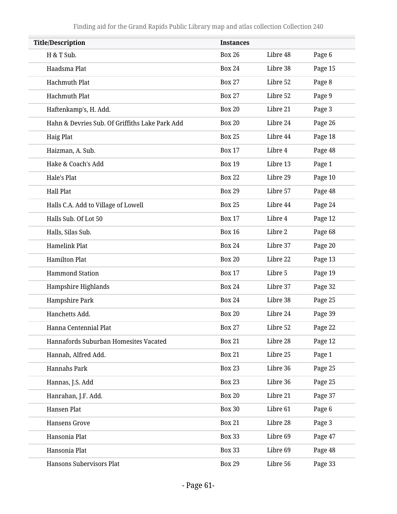| <b>Title/Description</b>                       | <b>Instances</b> |          |         |
|------------------------------------------------|------------------|----------|---------|
| H & T Sub.                                     | <b>Box 26</b>    | Libre 48 | Page 6  |
| Haadsma Plat                                   | <b>Box 24</b>    | Libre 38 | Page 15 |
| <b>Hachmuth Plat</b>                           | <b>Box 27</b>    | Libre 52 | Page 8  |
| <b>Hachmuth Plat</b>                           | <b>Box 27</b>    | Libre 52 | Page 9  |
| Haftenkamp's, H. Add.                          | <b>Box 20</b>    | Libre 21 | Page 3  |
| Hahn & Devries Sub. Of Griffiths Lake Park Add | <b>Box 20</b>    | Libre 24 | Page 26 |
| <b>Haig Plat</b>                               | <b>Box 25</b>    | Libre 44 | Page 18 |
| Haizman, A. Sub.                               | <b>Box 17</b>    | Libre 4  | Page 48 |
| Hake & Coach's Add                             | <b>Box 19</b>    | Libre 13 | Page 1  |
| Hale's Plat                                    | <b>Box 22</b>    | Libre 29 | Page 10 |
| <b>Hall Plat</b>                               | <b>Box 29</b>    | Libre 57 | Page 48 |
| Halls C.A. Add to Village of Lowell            | <b>Box 25</b>    | Libre 44 | Page 24 |
| Halls Sub. Of Lot 50                           | <b>Box 17</b>    | Libre 4  | Page 12 |
| Halls, Silas Sub.                              | <b>Box 16</b>    | Libre 2  | Page 68 |
| <b>Hamelink Plat</b>                           | <b>Box 24</b>    | Libre 37 | Page 20 |
| <b>Hamilton Plat</b>                           | <b>Box 20</b>    | Libre 22 | Page 13 |
| <b>Hammond Station</b>                         | <b>Box 17</b>    | Libre 5  | Page 19 |
| Hampshire Highlands                            | <b>Box 24</b>    | Libre 37 | Page 32 |
| Hampshire Park                                 | <b>Box 24</b>    | Libre 38 | Page 25 |
| Hanchetts Add.                                 | <b>Box 20</b>    | Libre 24 | Page 39 |
| Hanna Centennial Plat                          | <b>Box 27</b>    | Libre 52 | Page 22 |
| Hannafords Suburban Homesites Vacated          | <b>Box 21</b>    | Libre 28 | Page 12 |
| Hannah, Alfred Add.                            | <b>Box 21</b>    | Libre 25 | Page 1  |
| <b>Hannahs Park</b>                            | <b>Box 23</b>    | Libre 36 | Page 25 |
| Hannas, J.S. Add                               | <b>Box 23</b>    | Libre 36 | Page 25 |
| Hanrahan, J.F. Add.                            | <b>Box 20</b>    | Libre 21 | Page 37 |
| Hansen Plat                                    | <b>Box 30</b>    | Libre 61 | Page 6  |
| <b>Hansens Grove</b>                           | <b>Box 21</b>    | Libre 28 | Page 3  |
| Hansonia Plat                                  | <b>Box 33</b>    | Libre 69 | Page 47 |
| Hansonia Plat                                  | <b>Box 33</b>    | Libre 69 | Page 48 |
| Hansons Subervisors Plat                       | <b>Box 29</b>    | Libre 56 | Page 33 |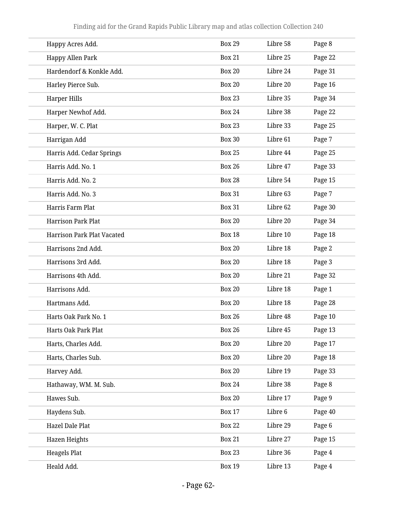| Happy Acres Add.                  | <b>Box 29</b> | Libre 58 | Page 8  |
|-----------------------------------|---------------|----------|---------|
| Happy Allen Park                  | <b>Box 21</b> | Libre 25 | Page 22 |
| Hardendorf & Konkle Add.          | <b>Box 20</b> | Libre 24 | Page 31 |
| Harley Pierce Sub.                | <b>Box 20</b> | Libre 20 | Page 16 |
| <b>Harper Hills</b>               | <b>Box 23</b> | Libre 35 | Page 34 |
| Harper Newhof Add.                | <b>Box 24</b> | Libre 38 | Page 22 |
| Harper, W. C. Plat                | <b>Box 23</b> | Libre 33 | Page 25 |
| Harrigan Add                      | <b>Box 30</b> | Libre 61 | Page 7  |
| Harris Add. Cedar Springs         | <b>Box 25</b> | Libre 44 | Page 25 |
| Harris Add. No. 1                 | <b>Box 26</b> | Libre 47 | Page 33 |
| Harris Add. No. 2                 | <b>Box 28</b> | Libre 54 | Page 15 |
| Harris Add. No. 3                 | <b>Box 31</b> | Libre 63 | Page 7  |
| Harris Farm Plat                  | <b>Box 31</b> | Libre 62 | Page 30 |
| <b>Harrison Park Plat</b>         | <b>Box 20</b> | Libre 20 | Page 34 |
| <b>Harrison Park Plat Vacated</b> | <b>Box 18</b> | Libre 10 | Page 18 |
| Harrisons 2nd Add.                | <b>Box 20</b> | Libre 18 | Page 2  |
| Harrisons 3rd Add.                | <b>Box 20</b> | Libre 18 | Page 3  |
| Harrisons 4th Add.                | <b>Box 20</b> | Libre 21 | Page 32 |
| Harrisons Add.                    | <b>Box 20</b> | Libre 18 | Page 1  |
| Hartmans Add.                     | <b>Box 20</b> | Libre 18 | Page 28 |
| Harts Oak Park No. 1              | <b>Box 26</b> | Libre 48 | Page 10 |
| Harts Oak Park Plat               | <b>Box 26</b> | Libre 45 | Page 13 |
| Harts, Charles Add.               | <b>Box 20</b> | Libre 20 | Page 17 |
| Harts, Charles Sub.               | <b>Box 20</b> | Libre 20 | Page 18 |
| Harvey Add.                       | <b>Box 20</b> | Libre 19 | Page 33 |
| Hathaway, WM. M. Sub.             | <b>Box 24</b> | Libre 38 | Page 8  |
| Hawes Sub.                        | <b>Box 20</b> | Libre 17 | Page 9  |
| Haydens Sub.                      | <b>Box 17</b> | Libre 6  | Page 40 |
| <b>Hazel Dale Plat</b>            | <b>Box 22</b> | Libre 29 | Page 6  |
| Hazen Heights                     | <b>Box 21</b> | Libre 27 | Page 15 |
| <b>Heagels Plat</b>               | <b>Box 23</b> | Libre 36 | Page 4  |
| Heald Add.                        | <b>Box 19</b> | Libre 13 | Page 4  |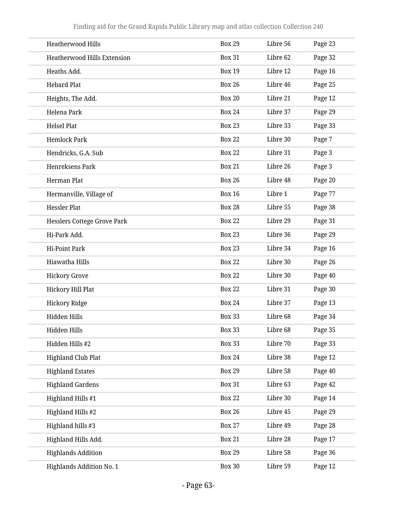| Heatherwood Hills                  | <b>Box 29</b> | Libre 56 | Page 23 |
|------------------------------------|---------------|----------|---------|
| <b>Heatherwood Hills Extension</b> | <b>Box 31</b> | Libre 62 | Page 32 |
| Heaths Add.                        | <b>Box 19</b> | Libre 12 | Page 16 |
| <b>Hebard Plat</b>                 | <b>Box 26</b> | Libre 46 | Page 25 |
| Heights, The Add.                  | <b>Box 20</b> | Libre 21 | Page 12 |
| Helena Park                        | <b>Box 24</b> | Libre 37 | Page 29 |
| <b>Helsel Plat</b>                 | <b>Box 23</b> | Libre 33 | Page 33 |
| <b>Hemlock Park</b>                | <b>Box 22</b> | Libre 30 | Page 7  |
| Hendricks, G.A. Sub                | <b>Box 22</b> | Libre 31 | Page 3  |
| Henreksens Park                    | <b>Box 21</b> | Libre 26 | Page 3  |
| Herman Plat                        | <b>Box 26</b> | Libre 48 | Page 20 |
| Hermanville, Village of            | <b>Box 16</b> | Libre 1  | Page 77 |
| <b>Hessler Plat</b>                | <b>Box 28</b> | Libre 55 | Page 38 |
| <b>Hesslers Cottege Grove Park</b> | <b>Box 22</b> | Libre 29 | Page 31 |
| Hi-Park Add.                       | <b>Box 23</b> | Libre 36 | Page 29 |
| <b>Hi-Point Park</b>               | <b>Box 23</b> | Libre 34 | Page 16 |
| Hiawatha Hills                     | <b>Box 22</b> | Libre 30 | Page 26 |
| <b>Hickory Grove</b>               | <b>Box 22</b> | Libre 30 | Page 40 |
| <b>Hickory Hill Plat</b>           | <b>Box 22</b> | Libre 31 | Page 30 |
| <b>Hickory Ridge</b>               | <b>Box 24</b> | Libre 37 | Page 13 |
| Hidden Hills                       | <b>Box 33</b> | Libre 68 | Page 34 |
| Hidden Hills                       | <b>Box 33</b> | Libre 68 | Page 35 |
| Hidden Hills #2                    | <b>Box 33</b> | Libre 70 | Page 33 |
| Highland Club Plat                 | <b>Box 24</b> | Libre 38 | Page 12 |
| <b>Highland Estates</b>            | <b>Box 29</b> | Libre 58 | Page 40 |
| <b>Highland Gardens</b>            | <b>Box 31</b> | Libre 63 | Page 42 |
| Highland Hills #1                  | <b>Box 22</b> | Libre 30 | Page 14 |
| Highland Hills #2                  | <b>Box 26</b> | Libre 45 | Page 29 |
| Highland hills #3                  | <b>Box 27</b> | Libre 49 | Page 28 |
| Highland Hills Add.                | <b>Box 21</b> | Libre 28 | Page 17 |
| <b>Highlands Addition</b>          | <b>Box 29</b> | Libre 58 | Page 36 |
| <b>Highlands Addition No. 1</b>    | <b>Box 30</b> | Libre 59 | Page 12 |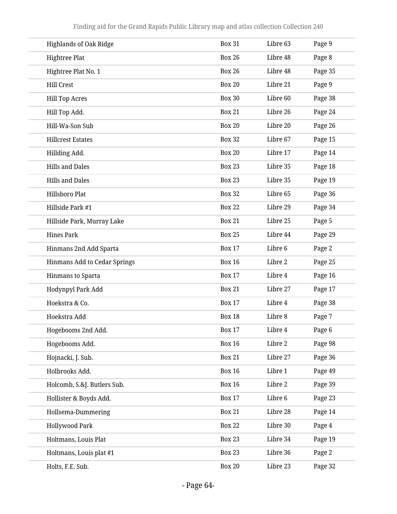| <b>Highlands of Oak Ridge</b> | <b>Box 31</b> | Libre 63 | Page 9  |
|-------------------------------|---------------|----------|---------|
| <b>Hightree Plat</b>          | <b>Box 26</b> | Libre 48 | Page 8  |
| Hightree Plat No. 1           | <b>Box 26</b> | Libre 48 | Page 35 |
| <b>Hill Crest</b>             | <b>Box 20</b> | Libre 21 | Page 9  |
| <b>Hill Top Acres</b>         | <b>Box 30</b> | Libre 60 | Page 38 |
| Hill Top Add.                 | <b>Box 21</b> | Libre 26 | Page 24 |
| Hill-Wa-Son Sub               | <b>Box 20</b> | Libre 20 | Page 26 |
| <b>Hillcrest Estates</b>      | <b>Box 32</b> | Libre 67 | Page 15 |
| Hillding Add.                 | <b>Box 20</b> | Libre 17 | Page 14 |
| <b>Hills and Dales</b>        | <b>Box 23</b> | Libre 35 | Page 18 |
| <b>Hills and Dales</b>        | <b>Box 23</b> | Libre 35 | Page 19 |
| Hillsboro Plat                | <b>Box 32</b> | Libre 65 | Page 36 |
| Hillside Park #1              | <b>Box 22</b> | Libre 29 | Page 34 |
| Hillside Park, Murray Lake    | <b>Box 21</b> | Libre 25 | Page 5  |
| <b>Hines Park</b>             | <b>Box 25</b> | Libre 44 | Page 29 |
| Hinmans 2nd Add Sparta        | <b>Box 17</b> | Libre 6  | Page 2  |
| Hinmans Add to Cedar Springs  | <b>Box 16</b> | Libre 2  | Page 25 |
| Hinmans to Sparta             | <b>Box 17</b> | Libre 4  | Page 16 |
| Hodynpyl Park Add             | <b>Box 21</b> | Libre 27 | Page 17 |
| Hoekstra & Co.                | <b>Box 17</b> | Libre 4  | Page 38 |
| Hoekstra Add                  | <b>Box 18</b> | Libre 8  | Page 7  |
| Hogebooms 2nd Add.            | <b>Box 17</b> | Libre 4  | Page 6  |
| Hogebooms Add.                | <b>Box 16</b> | Libre 2  | Page 98 |
| Hojnacki, J. Sub.             | <b>Box 21</b> | Libre 27 | Page 36 |
| Holbrooks Add.                | <b>Box 16</b> | Libre 1  | Page 49 |
| Holcomb, S.&J. Butlers Sub.   | <b>Box 16</b> | Libre 2  | Page 39 |
| Hollister & Boyds Add.        | <b>Box 17</b> | Libre 6  | Page 23 |
| Hollsema-Dummering            | <b>Box 21</b> | Libre 28 | Page 14 |
| <b>Hollywood Park</b>         | <b>Box 22</b> | Libre 30 | Page 4  |
| Holtmans, Louis Plat          | <b>Box 23</b> | Libre 34 | Page 19 |
| Holtmans, Louis plat #1       | <b>Box 23</b> | Libre 36 | Page 2  |
| Holts, F.E. Sub.              | <b>Box 20</b> | Libre 23 | Page 32 |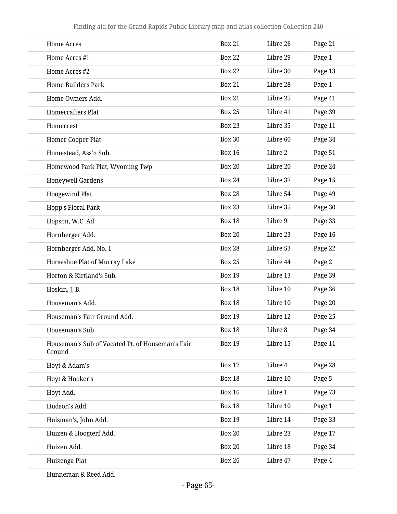| <b>Home Acres</b>                                          | <b>Box 21</b> | Libre 26 | Page 21 |
|------------------------------------------------------------|---------------|----------|---------|
| Home Acres #1                                              | <b>Box 22</b> | Libre 29 | Page 1  |
| Home Acres #2                                              | <b>Box 22</b> | Libre 30 | Page 13 |
| <b>Home Builders Park</b>                                  | <b>Box 21</b> | Libre 28 | Page 1  |
| Home Owners Add.                                           | <b>Box 21</b> | Libre 25 | Page 41 |
| <b>Homecrafters Plat</b>                                   | <b>Box 25</b> | Libre 41 | Page 39 |
| Homecrest                                                  | <b>Box 23</b> | Libre 35 | Page 11 |
| Homer Cooper Plat                                          | <b>Box 30</b> | Libre 60 | Page 34 |
| Homestead, Ass'n Sub.                                      | <b>Box 16</b> | Libre 2  | Page 51 |
| Homewood Park Plat, Wyoming Twp                            | <b>Box 20</b> | Libre 20 | Page 24 |
| <b>Honeywell Gardens</b>                                   | <b>Box 24</b> | Libre 37 | Page 15 |
| <b>Hoogewind Plat</b>                                      | <b>Box 28</b> | Libre 54 | Page 49 |
| Hopp's Floral Park                                         | <b>Box 23</b> | Libre 35 | Page 30 |
| Hopson, W.C. Ad.                                           | <b>Box 18</b> | Libre 9  | Page 33 |
| Hornberger Add.                                            | <b>Box 20</b> | Libre 23 | Page 16 |
| Hornberger Add. No. 1                                      | <b>Box 28</b> | Libre 53 | Page 22 |
| Horseshoe Plat of Murray Lake                              | <b>Box 25</b> | Libre 44 | Page 2  |
| Horton & Kirtland's Sub.                                   | <b>Box 19</b> | Libre 13 | Page 39 |
| Hoskin, J. B.                                              | <b>Box 18</b> | Libre 10 | Page 36 |
| Houseman's Add.                                            | <b>Box 18</b> | Libre 10 | Page 20 |
| Houseman's Fair Ground Add.                                | <b>Box 19</b> | Libre 12 | Page 25 |
| Houseman's Sub                                             | <b>Box 18</b> | Libre 8  | Page 34 |
| Houseman's Sub of Vacated Pt. of Houseman's Fair<br>Ground | <b>Box 19</b> | Libre 15 | Page 11 |
| Hoyt & Adam's                                              | <b>Box 17</b> | Libre 4  | Page 28 |
| Hoyt & Hooker's                                            | <b>Box 18</b> | Libre 10 | Page 5  |
| Hoyt Add.                                                  | <b>Box 16</b> | Libre 1  | Page 73 |
| Hudson's Add.                                              | <b>Box 18</b> | Libre 10 | Page 1  |
| Huisman's, John Add.                                       | <b>Box 19</b> | Libre 14 | Page 33 |
| Huizen & Hoogterf Add.                                     | <b>Box 20</b> | Libre 23 | Page 17 |
| Huizen Add.                                                | <b>Box 20</b> | Libre 18 | Page 34 |
| Huizenga Plat                                              | <b>Box 26</b> | Libre 47 | Page 4  |
|                                                            |               |          |         |

Hunneman & Reed Add.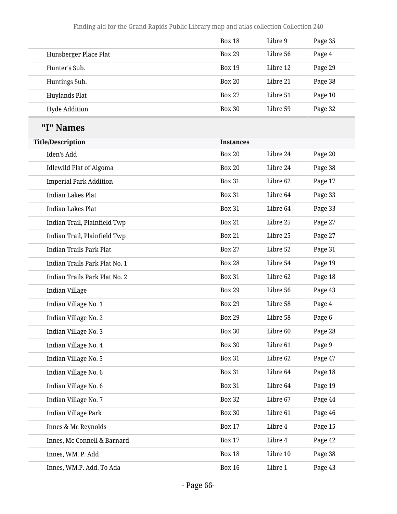|                                | <b>Box 18</b>    | Libre 9  | Page 35 |
|--------------------------------|------------------|----------|---------|
| Hunsberger Place Plat          | <b>Box 29</b>    | Libre 56 | Page 4  |
| Hunter's Sub.                  | <b>Box 19</b>    | Libre 12 | Page 29 |
| Huntings Sub.                  | <b>Box 20</b>    | Libre 21 | Page 38 |
| Huylands Plat                  | <b>Box 27</b>    | Libre 51 | Page 10 |
| <b>Hyde Addition</b>           | <b>Box 30</b>    | Libre 59 | Page 32 |
| "I" Names                      |                  |          |         |
| <b>Title/Description</b>       | <b>Instances</b> |          |         |
| Iden's Add                     | <b>Box 20</b>    | Libre 24 | Page 20 |
| <b>Idlewild Plat of Algoma</b> | <b>Box 20</b>    | Libre 24 | Page 38 |
| <b>Imperial Park Addition</b>  | <b>Box 31</b>    | Libre 62 | Page 17 |
| <b>Indian Lakes Plat</b>       | <b>Box 31</b>    | Libre 64 | Page 33 |
| <b>Indian Lakes Plat</b>       | <b>Box 31</b>    | Libre 64 | Page 33 |
| Indian Trail, Plainfield Twp   | <b>Box 21</b>    | Libre 25 | Page 27 |
| Indian Trail, Plainfield Twp   | <b>Box 21</b>    | Libre 25 | Page 27 |
| <b>Indian Trails Park Plat</b> | <b>Box 27</b>    | Libre 52 | Page 31 |
| Indian Trails Park Plat No. 1  | <b>Box 28</b>    | Libre 54 | Page 19 |
| Indian Trails Park Plat No. 2  | <b>Box 31</b>    | Libre 62 | Page 18 |
| Indian Village                 | <b>Box 29</b>    | Libre 56 | Page 43 |
| Indian Village No. 1           | <b>Box 29</b>    | Libre 58 | Page 4  |
| Indian Village No. 2           | <b>Box 29</b>    | Libre 58 | Page 6  |
| Indian Village No. 3           | <b>Box 30</b>    | Libre 60 | Page 28 |
| Indian Village No. 4           | <b>Box 30</b>    | Libre 61 | Page 9  |
| Indian Village No. 5           | <b>Box 31</b>    | Libre 62 | Page 47 |
| Indian Village No. 6           | <b>Box 31</b>    | Libre 64 | Page 18 |
| Indian Village No. 6           | <b>Box 31</b>    | Libre 64 | Page 19 |
| Indian Village No. 7           | <b>Box 32</b>    | Libre 67 | Page 44 |
| Indian Village Park            | <b>Box 30</b>    | Libre 61 | Page 46 |
| Innes & Mc Reynolds            | <b>Box 17</b>    | Libre 4  | Page 15 |
| Innes, Mc Connell & Barnard    | <b>Box 17</b>    | Libre 4  | Page 42 |
| Innes, WM. P. Add              | <b>Box 18</b>    | Libre 10 | Page 38 |
| Innes, WM.P. Add. To Ada       | <b>Box 16</b>    | Libre 1  | Page 43 |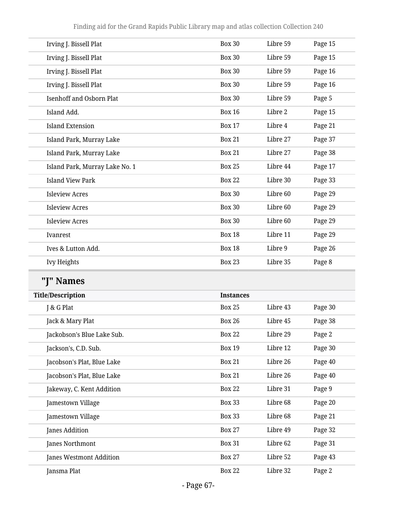| Irving J. Bissell Plat          | <b>Box 30</b> | Libre 59 | Page 15 |
|---------------------------------|---------------|----------|---------|
| Irving J. Bissell Plat          | <b>Box 30</b> | Libre 59 | Page 15 |
| Irving J. Bissell Plat          | <b>Box 30</b> | Libre 59 | Page 16 |
| Irving J. Bissell Plat          | <b>Box 30</b> | Libre 59 | Page 16 |
| <b>Isenhoff and Osborn Plat</b> | <b>Box 30</b> | Libre 59 | Page 5  |
| Island Add.                     | <b>Box 16</b> | Libre 2  | Page 15 |
| <b>Island Extension</b>         | <b>Box 17</b> | Libre 4  | Page 21 |
| Island Park, Murray Lake        | <b>Box 21</b> | Libre 27 | Page 37 |
| Island Park, Murray Lake        | <b>Box 21</b> | Libre 27 | Page 38 |
| Island Park, Murray Lake No. 1  | <b>Box 25</b> | Libre 44 | Page 17 |
| <b>Island View Park</b>         | <b>Box 22</b> | Libre 30 | Page 33 |
| <b>Isleview Acres</b>           | <b>Box 30</b> | Libre 60 | Page 29 |
| <b>Isleview Acres</b>           | <b>Box 30</b> | Libre 60 | Page 29 |
| <b>Isleview Acres</b>           | <b>Box 30</b> | Libre 60 | Page 29 |
| Ivanrest                        | <b>Box 18</b> | Libre 11 | Page 29 |
| Ives & Lutton Add.              | <b>Box 18</b> | Libre 9  | Page 26 |
| <b>Ivy Heights</b>              | <b>Box 23</b> | Libre 35 | Page 8  |
|                                 |               |          |         |

**"J" Names**

| <b>Title/Description</b>   | <b>Instances</b> |          |         |
|----------------------------|------------------|----------|---------|
| J & G Plat                 | <b>Box 25</b>    | Libre 43 | Page 30 |
| Jack & Mary Plat           | Box 26           | Libre 45 | Page 38 |
| Jackobson's Blue Lake Sub. | <b>Box 22</b>    | Libre 29 | Page 2  |
| Jackson's, C.D. Sub.       | <b>Box 19</b>    | Libre 12 | Page 30 |
| Jacobson's Plat, Blue Lake | <b>Box 21</b>    | Libre 26 | Page 40 |
| Jacobson's Plat, Blue Lake | <b>Box 21</b>    | Libre 26 | Page 40 |
| Jakeway, C. Kent Addition  | <b>Box 22</b>    | Libre 31 | Page 9  |
| Jamestown Village          | <b>Box 33</b>    | Libre 68 | Page 20 |
| Jamestown Village          | <b>Box 33</b>    | Libre 68 | Page 21 |
| Janes Addition             | <b>Box 27</b>    | Libre 49 | Page 32 |
| Janes Northmont            | <b>Box 31</b>    | Libre 62 | Page 31 |
| Janes Westmont Addition    | <b>Box 27</b>    | Libre 52 | Page 43 |
| Jansma Plat                | <b>Box 22</b>    | Libre 32 | Page 2  |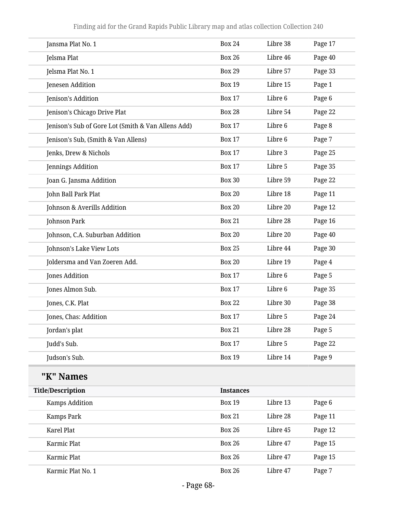| Jansma Plat No. 1                                  | <b>Box 24</b>    | Libre 38 | Page 17 |
|----------------------------------------------------|------------------|----------|---------|
| Jelsma Plat                                        | <b>Box 26</b>    | Libre 46 | Page 40 |
| Jelsma Plat No. 1                                  | <b>Box 29</b>    | Libre 57 | Page 33 |
| Jenesen Addition                                   | <b>Box 19</b>    | Libre 15 | Page 1  |
| Jenison's Addition                                 | <b>Box 17</b>    | Libre 6  | Page 6  |
| Jenison's Chicago Drive Plat                       | <b>Box 28</b>    | Libre 54 | Page 22 |
| Jenison's Sub of Gore Lot (Smith & Van Allens Add) | <b>Box 17</b>    | Libre 6  | Page 8  |
| Jenison's Sub, (Smith & Van Allens)                | <b>Box 17</b>    | Libre 6  | Page 7  |
| Jenks, Drew & Nichols                              | <b>Box 17</b>    | Libre 3  | Page 25 |
| Jennings Addition                                  | <b>Box 17</b>    | Libre 5  | Page 35 |
| Joan G. Jansma Addition                            | <b>Box 30</b>    | Libre 59 | Page 22 |
| John Ball Park Plat                                | <b>Box 20</b>    | Libre 18 | Page 11 |
| Johnson & Averills Addition                        | <b>Box 20</b>    | Libre 20 | Page 12 |
| Johnson Park                                       | <b>Box 21</b>    | Libre 28 | Page 16 |
| Johnson, C.A. Suburban Addition                    | <b>Box 20</b>    | Libre 20 | Page 40 |
| Johnson's Lake View Lots                           | <b>Box 25</b>    | Libre 44 | Page 30 |
| Joldersma and Van Zoeren Add.                      | <b>Box 20</b>    | Libre 19 | Page 4  |
| Jones Addition                                     | <b>Box 17</b>    | Libre 6  | Page 5  |
| Jones Almon Sub.                                   | <b>Box 17</b>    | Libre 6  | Page 35 |
| Jones, C.K. Plat                                   | <b>Box 22</b>    | Libre 30 | Page 38 |
| Jones, Chas: Addition                              | <b>Box 17</b>    | Libre 5  | Page 24 |
| Jordan's plat                                      | <b>Box 21</b>    | Libre 28 | Page 5  |
| Judd's Sub.                                        | <b>Box 17</b>    | Libre 5  | Page 22 |
| Judson's Sub.                                      | <b>Box 19</b>    | Libre 14 | Page 9  |
| "K" Names                                          |                  |          |         |
| <b>Title/Description</b>                           | <b>Instances</b> |          |         |
| Kamps Addition                                     | <b>Box 19</b>    | Libre 13 | Page 6  |
| Kamps Park                                         | <b>Box 21</b>    | Libre 28 | Page 11 |
| <b>Karel Plat</b>                                  | <b>Box 26</b>    | Libre 45 | Page 12 |
| Karmic Plat                                        | <b>Box 26</b>    | Libre 47 | Page 15 |
| Karmic Plat                                        | <b>Box 26</b>    | Libre 47 | Page 15 |

Karmic Plat No. 1 **Box 26** Libre 47 Page 7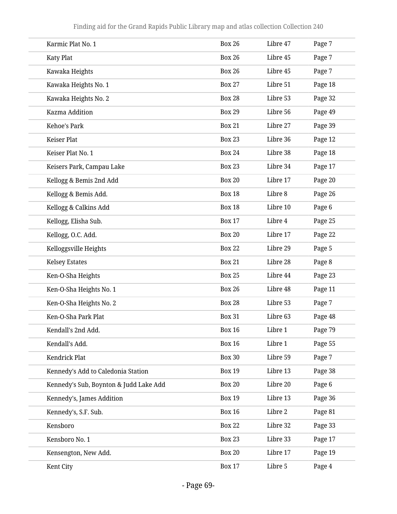| Karmic Plat No. 1                      | <b>Box 26</b> | Libre 47 | Page 7  |
|----------------------------------------|---------------|----------|---------|
| <b>Katy Plat</b>                       | <b>Box 26</b> | Libre 45 | Page 7  |
| Kawaka Heights                         | <b>Box 26</b> | Libre 45 | Page 7  |
| Kawaka Heights No. 1                   | <b>Box 27</b> | Libre 51 | Page 18 |
| Kawaka Heights No. 2                   | <b>Box 28</b> | Libre 53 | Page 32 |
| Kazma Addition                         | <b>Box 29</b> | Libre 56 | Page 49 |
| Kehoe's Park                           | <b>Box 21</b> | Libre 27 | Page 39 |
| Keiser Plat                            | <b>Box 23</b> | Libre 36 | Page 12 |
| Keiser Plat No. 1                      | <b>Box 24</b> | Libre 38 | Page 18 |
| Keisers Park, Campau Lake              | <b>Box 23</b> | Libre 34 | Page 17 |
| Kellogg & Bemis 2nd Add                | <b>Box 20</b> | Libre 17 | Page 20 |
| Kellogg & Bemis Add.                   | <b>Box 18</b> | Libre 8  | Page 26 |
| Kellogg & Calkins Add                  | <b>Box 18</b> | Libre 10 | Page 6  |
| Kellogg, Elisha Sub.                   | <b>Box 17</b> | Libre 4  | Page 25 |
| Kellogg, O.C. Add.                     | <b>Box 20</b> | Libre 17 | Page 22 |
| Kelloggsville Heights                  | <b>Box 22</b> | Libre 29 | Page 5  |
| <b>Kelsey Estates</b>                  | <b>Box 21</b> | Libre 28 | Page 8  |
| Ken-O-Sha Heights                      | <b>Box 25</b> | Libre 44 | Page 23 |
| Ken-O-Sha Heights No. 1                | <b>Box 26</b> | Libre 48 | Page 11 |
| Ken-O-Sha Heights No. 2                | <b>Box 28</b> | Libre 53 | Page 7  |
| Ken-O-Sha Park Plat                    | <b>Box 31</b> | Libre 63 | Page 48 |
| Kendall's 2nd Add.                     | <b>Box 16</b> | Libre 1  | Page 79 |
| Kendall's Add.                         | <b>Box 16</b> | Libre 1  | Page 55 |
| Kendrick Plat                          | <b>Box 30</b> | Libre 59 | Page 7  |
| Kennedy's Add to Caledonia Station     | <b>Box 19</b> | Libre 13 | Page 38 |
| Kennedy's Sub, Boynton & Judd Lake Add | <b>Box 20</b> | Libre 20 | Page 6  |
| Kennedy's, James Addition              | <b>Box 19</b> | Libre 13 | Page 36 |
| Kennedy's, S.F. Sub.                   | <b>Box 16</b> | Libre 2  | Page 81 |
| Kensboro                               | <b>Box 22</b> | Libre 32 | Page 33 |
| Kensboro No. 1                         | <b>Box 23</b> | Libre 33 | Page 17 |
| Kensengton, New Add.                   | <b>Box 20</b> | Libre 17 | Page 19 |
| Kent City                              | <b>Box 17</b> | Libre 5  | Page 4  |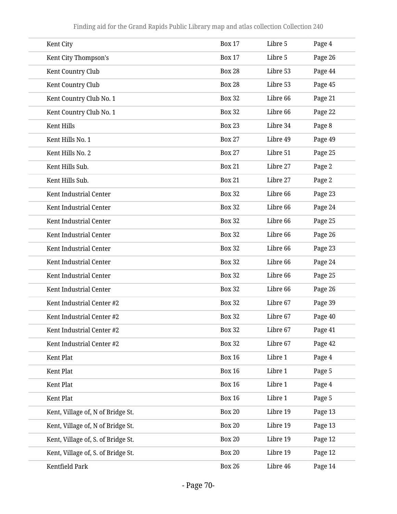| Kent City                          | <b>Box 17</b> | Libre 5  | Page 4  |
|------------------------------------|---------------|----------|---------|
| Kent City Thompson's               | <b>Box 17</b> | Libre 5  | Page 26 |
| Kent Country Club                  | <b>Box 28</b> | Libre 53 | Page 44 |
| Kent Country Club                  | <b>Box 28</b> | Libre 53 | Page 45 |
| Kent Country Club No. 1            | <b>Box 32</b> | Libre 66 | Page 21 |
| Kent Country Club No. 1            | <b>Box 32</b> | Libre 66 | Page 22 |
| Kent Hills                         | <b>Box 23</b> | Libre 34 | Page 8  |
| Kent Hills No. 1                   | <b>Box 27</b> | Libre 49 | Page 49 |
| Kent Hills No. 2                   | <b>Box 27</b> | Libre 51 | Page 25 |
| Kent Hills Sub.                    | <b>Box 21</b> | Libre 27 | Page 2  |
| Kent Hills Sub.                    | <b>Box 21</b> | Libre 27 | Page 2  |
| Kent Industrial Center             | <b>Box 32</b> | Libre 66 | Page 23 |
| Kent Industrial Center             | <b>Box 32</b> | Libre 66 | Page 24 |
| Kent Industrial Center             | <b>Box 32</b> | Libre 66 | Page 25 |
| Kent Industrial Center             | <b>Box 32</b> | Libre 66 | Page 26 |
| Kent Industrial Center             | <b>Box 32</b> | Libre 66 | Page 23 |
| Kent Industrial Center             | <b>Box 32</b> | Libre 66 | Page 24 |
| Kent Industrial Center             | <b>Box 32</b> | Libre 66 | Page 25 |
| Kent Industrial Center             | <b>Box 32</b> | Libre 66 | Page 26 |
| Kent Industrial Center #2          | <b>Box 32</b> | Libre 67 | Page 39 |
| Kent Industrial Center #2          | <b>Box 32</b> | Libre 67 | Page 40 |
| Kent Industrial Center #2          | <b>Box 32</b> | Libre 67 | Page 41 |
| Kent Industrial Center #2          | <b>Box 32</b> | Libre 67 | Page 42 |
| Kent Plat                          | <b>Box 16</b> | Libre 1  | Page 4  |
| Kent Plat                          | <b>Box 16</b> | Libre 1  | Page 5  |
| Kent Plat                          | <b>Box 16</b> | Libre 1  | Page 4  |
| Kent Plat                          | <b>Box 16</b> | Libre 1  | Page 5  |
| Kent, Village of, N of Bridge St.  | <b>Box 20</b> | Libre 19 | Page 13 |
| Kent, Village of, N of Bridge St.  | <b>Box 20</b> | Libre 19 | Page 13 |
| Kent, Village of, S. of Bridge St. | <b>Box 20</b> | Libre 19 | Page 12 |
| Kent, Village of, S. of Bridge St. | <b>Box 20</b> | Libre 19 | Page 12 |
| Kentfield Park                     | <b>Box 26</b> | Libre 46 | Page 14 |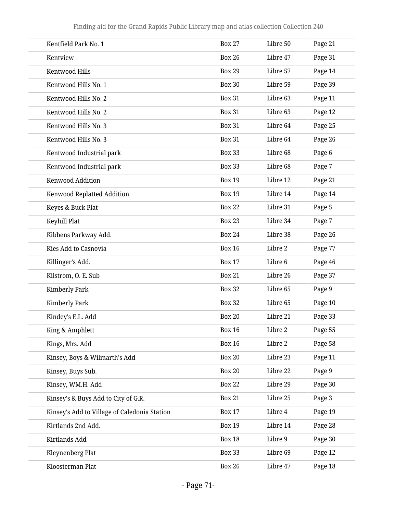| Kentfield Park No. 1                         | <b>Box 27</b> | Libre 50 | Page 21 |
|----------------------------------------------|---------------|----------|---------|
| Kentview                                     | <b>Box 26</b> | Libre 47 | Page 31 |
| Kentwood Hills                               | <b>Box 29</b> | Libre 57 | Page 14 |
| Kentwood Hills No. 1                         | <b>Box 30</b> | Libre 59 | Page 39 |
| Kentwood Hills No. 2                         | <b>Box 31</b> | Libre 63 | Page 11 |
| Kentwood Hills No. 2                         | <b>Box 31</b> | Libre 63 | Page 12 |
| Kentwood Hills No. 3                         | <b>Box 31</b> | Libre 64 | Page 25 |
| Kentwood Hills No. 3                         | <b>Box 31</b> | Libre 64 | Page 26 |
| Kentwood Industrial park                     | <b>Box 33</b> | Libre 68 | Page 6  |
| Kentwood Industrial park                     | <b>Box 33</b> | Libre 68 | Page 7  |
| Kenwood Addition                             | <b>Box 19</b> | Libre 12 | Page 21 |
| Kenwood Replatted Addition                   | <b>Box 19</b> | Libre 14 | Page 14 |
| Keyes & Buck Plat                            | <b>Box 22</b> | Libre 31 | Page 5  |
| Keyhill Plat                                 | <b>Box 23</b> | Libre 34 | Page 7  |
| Kibbens Parkway Add.                         | <b>Box 24</b> | Libre 38 | Page 26 |
| Kies Add to Casnovia                         | <b>Box 16</b> | Libre 2  | Page 77 |
| Killinger's Add.                             | <b>Box 17</b> | Libre 6  | Page 46 |
| Kilstrom, O. E. Sub                          | <b>Box 21</b> | Libre 26 | Page 37 |
| <b>Kimberly Park</b>                         | <b>Box 32</b> | Libre 65 | Page 9  |
| <b>Kimberly Park</b>                         | <b>Box 32</b> | Libre 65 | Page 10 |
| Kindey's E.L. Add                            | <b>Box 20</b> | Libre 21 | Page 33 |
| King & Amphlett                              | <b>Box 16</b> | Libre 2  | Page 55 |
| Kings, Mrs. Add                              | <b>Box 16</b> | Libre 2  | Page 58 |
| Kinsey, Boys & Wilmarth's Add                | <b>Box 20</b> | Libre 23 | Page 11 |
| Kinsey, Buys Sub.                            | <b>Box 20</b> | Libre 22 | Page 9  |
| Kinsey, WM.H. Add                            | <b>Box 22</b> | Libre 29 | Page 30 |
| Kinsey's & Buys Add to City of G.R.          | <b>Box 21</b> | Libre 25 | Page 3  |
| Kinsey's Add to Village of Caledonia Station | <b>Box 17</b> | Libre 4  | Page 19 |
| Kirtlands 2nd Add.                           | <b>Box 19</b> | Libre 14 | Page 28 |
| Kirtlands Add                                | <b>Box 18</b> | Libre 9  | Page 30 |
| Kleynenberg Plat                             | <b>Box 33</b> | Libre 69 | Page 12 |
| Kloosterman Plat                             | <b>Box 26</b> | Libre 47 | Page 18 |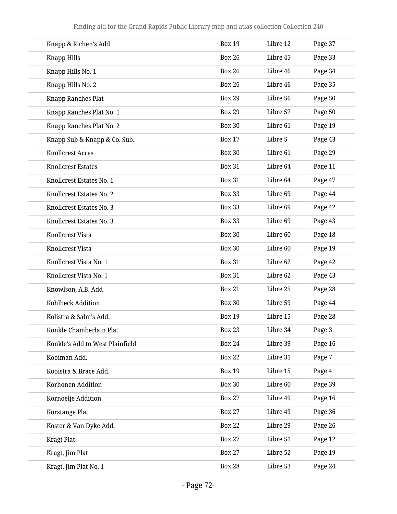| Knapp & Richen's Add            | <b>Box 19</b> | Libre 12 | Page 37 |
|---------------------------------|---------------|----------|---------|
| Knapp Hills                     | <b>Box 26</b> | Libre 45 | Page 33 |
| Knapp Hills No. 1               | <b>Box 26</b> | Libre 46 | Page 34 |
| Knapp Hills No. 2               | <b>Box 26</b> | Libre 46 | Page 35 |
| Knapp Ranches Plat              | <b>Box 29</b> | Libre 56 | Page 50 |
| Knapp Ranches Plat No. 1        | <b>Box 29</b> | Libre 57 | Page 50 |
| Knapp Ranches Plat No. 2        | <b>Box 30</b> | Libre 61 | Page 19 |
| Knapp Sub & Knapp & Co. Sub.    | <b>Box 17</b> | Libre 5  | Page 43 |
| <b>Knollcrest Acres</b>         | <b>Box 30</b> | Libre 61 | Page 29 |
| <b>Knollcrest Estates</b>       | <b>Box 31</b> | Libre 64 | Page 11 |
| Knollcrest Estates No. 1        | <b>Box 31</b> | Libre 64 | Page 47 |
| Knollcrest Estates No. 2        | <b>Box 33</b> | Libre 69 | Page 44 |
| Knollcrest Estates No. 3        | <b>Box 33</b> | Libre 69 | Page 42 |
| Knollcrest Estates No. 3        | <b>Box 33</b> | Libre 69 | Page 43 |
| Knollcrest Vista                | <b>Box 30</b> | Libre 60 | Page 18 |
| Knollcrest Vista                | <b>Box 30</b> | Libre 60 | Page 19 |
| Knollcrest Vista No. 1          | <b>Box 31</b> | Libre 62 | Page 42 |
| Knollcrest Vista No. 1          | <b>Box 31</b> | Libre 62 | Page 43 |
| Knowlson, A.B. Add              | <b>Box 21</b> | Libre 25 | Page 28 |
| Kohlbeck Addition               | <b>Box 30</b> | Libre 59 | Page 44 |
| Kolistra & Salm's Add.          | <b>Box 19</b> | Libre 15 | Page 28 |
| Konkle Chamberlain Plat         | <b>Box 23</b> | Libre 34 | Page 3  |
| Konkle's Add to West Plainfield | <b>Box 24</b> | Libre 39 | Page 16 |
| Kooiman Add.                    | <b>Box 22</b> | Libre 31 | Page 7  |
| Kooistra & Brace Add.           | <b>Box 19</b> | Libre 15 | Page 4  |
| Korhonen Addition               | <b>Box 30</b> | Libre 60 | Page 39 |
| Kornoelje Addition              | <b>Box 27</b> | Libre 49 | Page 16 |
| Korstange Plat                  | <b>Box 27</b> | Libre 49 | Page 36 |
| Koster & Van Dyke Add.          | <b>Box 22</b> | Libre 29 | Page 26 |
| <b>Kragt Plat</b>               | <b>Box 27</b> | Libre 51 | Page 12 |
| Kragt, Jim Plat                 | <b>Box 27</b> | Libre 52 | Page 19 |
| Kragt, Jim Plat No. 1           | <b>Box 28</b> | Libre 53 | Page 24 |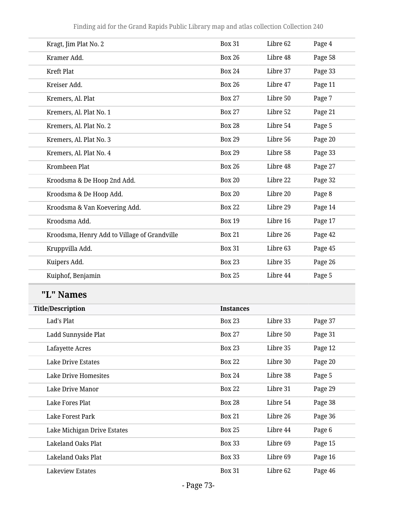| Kragt, Jim Plat No. 2                        | <b>Box 31</b>    | Libre 62 | Page 4  |
|----------------------------------------------|------------------|----------|---------|
| Kramer Add.                                  | <b>Box 26</b>    | Libre 48 | Page 58 |
| Kreft Plat                                   | <b>Box 24</b>    | Libre 37 | Page 33 |
| Kreiser Add.                                 | <b>Box 26</b>    | Libre 47 | Page 11 |
| Kremers, Al. Plat                            | <b>Box 27</b>    | Libre 50 | Page 7  |
| Kremers, Al. Plat No. 1                      | <b>Box 27</b>    | Libre 52 | Page 21 |
| Kremers, Al. Plat No. 2                      | <b>Box 28</b>    | Libre 54 | Page 5  |
| Kremers, Al. Plat No. 3                      | <b>Box 29</b>    | Libre 56 | Page 20 |
| Kremers, Al. Plat No. 4                      | <b>Box 29</b>    | Libre 58 | Page 33 |
| Krombeen Plat                                | <b>Box 26</b>    | Libre 48 | Page 27 |
| Kroodsma & De Hoop 2nd Add.                  | <b>Box 20</b>    | Libre 22 | Page 32 |
| Kroodsma & De Hoop Add.                      | <b>Box 20</b>    | Libre 20 | Page 8  |
| Kroodsma & Van Koevering Add.                | <b>Box 22</b>    | Libre 29 | Page 14 |
| Kroodsma Add.                                | <b>Box 19</b>    | Libre 16 | Page 17 |
| Kroodsma, Henry Add to Village of Grandville | <b>Box 21</b>    | Libre 26 | Page 42 |
| Kruppvilla Add.                              | <b>Box 31</b>    | Libre 63 | Page 45 |
| Kuipers Add.                                 | <b>Box 23</b>    | Libre 35 | Page 26 |
| Kuiphof, Benjamin                            | <b>Box 25</b>    | Libre 44 | Page 5  |
| "L" Names                                    |                  |          |         |
| <b>Title/Description</b>                     | <b>Instances</b> |          |         |
| Lad's Plat                                   | <b>Box 23</b>    | Libre 33 | Page 37 |
| Ladd Sunnyside Plat                          | <b>Box 27</b>    | Libre 50 | Page 31 |
| Lafayette Acres                              | <b>Box 23</b>    | Libre 35 | Page 12 |
| Lake Drive Estates                           | <b>Box 22</b>    | Libre 30 | Page 20 |
| <b>Lake Drive Homesites</b>                  | <b>Box 24</b>    | Libre 38 | Page 5  |
| Lake Drive Manor                             | <b>Box 22</b>    | Libre 31 | Page 29 |
| Lake Fores Plat                              | <b>Box 28</b>    | Libre 54 | Page 38 |
| Lake Forest Park                             | <b>Box 21</b>    | Libre 26 | Page 36 |
| Lake Michigan Drive Estates                  | <b>Box 25</b>    | Libre 44 | Page 6  |
| Lakeland Oaks Plat                           | <b>Box 33</b>    | Libre 69 | Page 15 |
| Lakeland Oaks Plat                           | <b>Box 33</b>    | Libre 69 | Page 16 |
| <b>Lakeview Estates</b>                      | <b>Box 31</b>    | Libre 62 | Page 46 |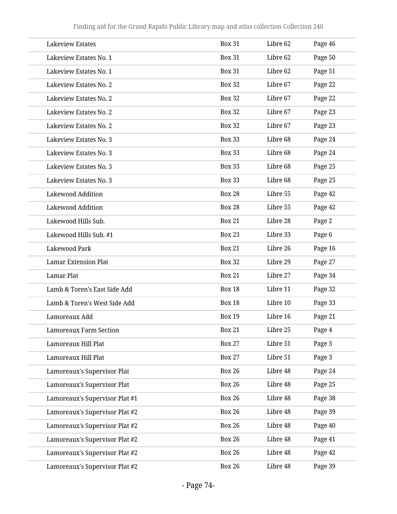| <b>Lakeview Estates</b>        | <b>Box 31</b> | Libre 62 | Page 46 |
|--------------------------------|---------------|----------|---------|
| Lakeview Estates No. 1         | <b>Box 31</b> | Libre 62 | Page 50 |
| Lakeview Estates No. 1         | <b>Box 31</b> | Libre 62 | Page 51 |
| Lakeview Estates No. 2         | <b>Box 32</b> | Libre 67 | Page 22 |
| Lakeview Estates No. 2         | <b>Box 32</b> | Libre 67 | Page 22 |
| Lakeview Estates No. 2         | <b>Box 32</b> | Libre 67 | Page 23 |
| Lakeview Estates No. 2         | <b>Box 32</b> | Libre 67 | Page 23 |
| Lakeview Estates No. 3         | <b>Box 33</b> | Libre 68 | Page 24 |
| Lakeview Estates No. 3         | <b>Box 33</b> | Libre 68 | Page 24 |
| Lakeview Estates No. 3         | <b>Box 33</b> | Libre 68 | Page 25 |
| Lakeview Estates No. 3         | <b>Box 33</b> | Libre 68 | Page 25 |
| <b>Lakewood Addition</b>       | <b>Box 28</b> | Libre 55 | Page 42 |
| <b>Lakewood Addition</b>       | <b>Box 28</b> | Libre 55 | Page 42 |
| Lakewood Hills Sub.            | <b>Box 21</b> | Libre 28 | Page 2  |
| Lakewood Hills Sub. #1         | <b>Box 23</b> | Libre 33 | Page 6  |
| Lakewood Park                  | <b>Box 21</b> | Libre 26 | Page 16 |
| <b>Lamar Extension Plat</b>    | <b>Box 32</b> | Libre 29 | Page 27 |
| Lamar Plat                     | <b>Box 21</b> | Libre 27 | Page 34 |
| Lamb & Toren's East Side Add   | <b>Box 18</b> | Libre 11 | Page 32 |
| Lamb & Toren's West Side Add   | <b>Box 18</b> | Libre 10 | Page 33 |
| Lamoreaux Add                  | <b>Box 19</b> | Libre 16 | Page 21 |
| <b>Lamoreaux Farm Section</b>  | <b>Box 21</b> | Libre 25 | Page 4  |
| Lamoreaux Hill Plat            | <b>Box 27</b> | Libre 51 | Page 3  |
| Lamoreaux Hill Plat            | <b>Box 27</b> | Libre 51 | Page 3  |
| Lamoreaux's Supervisor Plat    | <b>Box 26</b> | Libre 48 | Page 24 |
| Lamoreaux's Supervisor Plat    | <b>Box 26</b> | Libre 48 | Page 25 |
| Lamoreaux's Supervisor Plat #1 | <b>Box 26</b> | Libre 48 | Page 38 |
| Lamoreaux's Supervisor Plat #2 | <b>Box 26</b> | Libre 48 | Page 39 |
| Lamoreaux's Supervisor Plat #2 | <b>Box 26</b> | Libre 48 | Page 40 |
| Lamoreaux's Supervisor Plat #2 | <b>Box 26</b> | Libre 48 | Page 41 |
| Lamoreaux's Supervisor Plat #2 | <b>Box 26</b> | Libre 48 | Page 42 |
| Lamoreaux's Supervisor Plat #2 | <b>Box 26</b> | Libre 48 | Page 39 |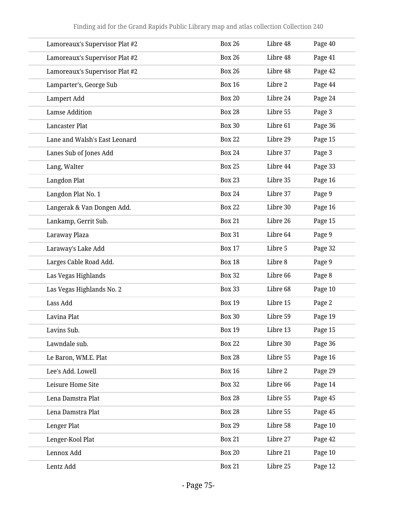| Lamoreaux's Supervisor Plat #2 | <b>Box 26</b> | Libre 48 | Page 40 |
|--------------------------------|---------------|----------|---------|
| Lamoreaux's Supervisor Plat #2 | <b>Box 26</b> | Libre 48 | Page 41 |
| Lamoreaux's Supervisor Plat #2 | <b>Box 26</b> | Libre 48 | Page 42 |
| Lamparter's, George Sub        | <b>Box 16</b> | Libre 2  | Page 44 |
| Lampert Add                    | <b>Box 20</b> | Libre 24 | Page 24 |
| <b>Lamse Addition</b>          | <b>Box 28</b> | Libre 55 | Page 3  |
| Lancaster Plat                 | <b>Box 30</b> | Libre 61 | Page 36 |
| Lane and Walsh's East Leonard  | <b>Box 22</b> | Libre 29 | Page 15 |
| Lanes Sub of Jones Add         | <b>Box 24</b> | Libre 37 | Page 3  |
| Lang, Walter                   | <b>Box 25</b> | Libre 44 | Page 33 |
| Langdon Plat                   | <b>Box 23</b> | Libre 35 | Page 16 |
| Langdon Plat No. 1             | <b>Box 24</b> | Libre 37 | Page 9  |
| Langerak & Van Dongen Add.     | <b>Box 22</b> | Libre 30 | Page 16 |
| Lankamp, Gerrit Sub.           | <b>Box 21</b> | Libre 26 | Page 15 |
| Laraway Plaza                  | <b>Box 31</b> | Libre 64 | Page 9  |
| Laraway's Lake Add             | <b>Box 17</b> | Libre 5  | Page 32 |
| Larges Cable Road Add.         | <b>Box 18</b> | Libre 8  | Page 9  |
| Las Vegas Highlands            | <b>Box 32</b> | Libre 66 | Page 8  |
| Las Vegas Highlands No. 2      | <b>Box 33</b> | Libre 68 | Page 10 |
| Lass Add                       | <b>Box 19</b> | Libre 15 | Page 2  |
| Lavina Plat                    | <b>Box 30</b> | Libre 59 | Page 19 |
| Lavins Sub.                    | <b>Box 19</b> | Libre 13 | Page 15 |
| Lawndale sub.                  | <b>Box 22</b> | Libre 30 | Page 36 |
| Le Baron, WM.E. Plat           | <b>Box 28</b> | Libre 55 | Page 16 |
| Lee's Add. Lowell              | <b>Box 16</b> | Libre 2  | Page 29 |
| Leisure Home Site              | <b>Box 32</b> | Libre 66 | Page 14 |
| Lena Damstra Plat              | <b>Box 28</b> | Libre 55 | Page 45 |
| Lena Damstra Plat              | <b>Box 28</b> | Libre 55 | Page 45 |
| Lenger Plat                    | <b>Box 29</b> | Libre 58 | Page 10 |
| Lenger-Kool Plat               | <b>Box 21</b> | Libre 27 | Page 42 |
| Lennox Add                     | <b>Box 20</b> | Libre 21 | Page 10 |
| Lentz Add                      | <b>Box 21</b> | Libre 25 | Page 12 |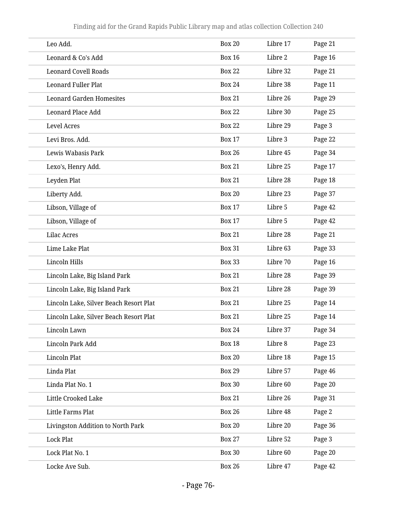| Leo Add.                               | <b>Box 20</b> | Libre 17 | Page 21 |
|----------------------------------------|---------------|----------|---------|
| Leonard & Co's Add                     | <b>Box 16</b> | Libre 2  | Page 16 |
| <b>Leonard Covell Roads</b>            | <b>Box 22</b> | Libre 32 | Page 21 |
| <b>Leonard Fuller Plat</b>             | <b>Box 24</b> | Libre 38 | Page 11 |
| <b>Leonard Garden Homesites</b>        | <b>Box 21</b> | Libre 26 | Page 29 |
| Leonard Place Add                      | <b>Box 22</b> | Libre 30 | Page 25 |
| <b>Level Acres</b>                     | <b>Box 22</b> | Libre 29 | Page 3  |
| Levi Bros. Add.                        | <b>Box 17</b> | Libre 3  | Page 22 |
| Lewis Wabasis Park                     | <b>Box 26</b> | Libre 45 | Page 34 |
| Lexo's, Henry Add.                     | <b>Box 21</b> | Libre 25 | Page 17 |
| Leyden Plat                            | <b>Box 21</b> | Libre 28 | Page 18 |
| Liberty Add.                           | <b>Box 20</b> | Libre 23 | Page 37 |
| Libson, Village of                     | <b>Box 17</b> | Libre 5  | Page 42 |
| Libson, Village of                     | <b>Box 17</b> | Libre 5  | Page 42 |
| <b>Lilac Acres</b>                     | <b>Box 21</b> | Libre 28 | Page 21 |
| Lime Lake Plat                         | <b>Box 31</b> | Libre 63 | Page 33 |
| Lincoln Hills                          | <b>Box 33</b> | Libre 70 | Page 16 |
| Lincoln Lake, Big Island Park          | <b>Box 21</b> | Libre 28 | Page 39 |
| Lincoln Lake, Big Island Park          | <b>Box 21</b> | Libre 28 | Page 39 |
| Lincoln Lake, Silver Beach Resort Plat | <b>Box 21</b> | Libre 25 | Page 14 |
| Lincoln Lake, Silver Beach Resort Plat | <b>Box 21</b> | Libre 25 | Page 14 |
| Lincoln Lawn                           | <b>Box 24</b> | Libre 37 | Page 34 |
| Lincoln Park Add                       | <b>Box 18</b> | Libre 8  | Page 23 |
| Lincoln Plat                           | <b>Box 20</b> | Libre 18 | Page 15 |
| Linda Plat                             | <b>Box 29</b> | Libre 57 | Page 46 |
| Linda Plat No. 1                       | <b>Box 30</b> | Libre 60 | Page 20 |
| Little Crooked Lake                    | <b>Box 21</b> | Libre 26 | Page 31 |
| Little Farms Plat                      | <b>Box 26</b> | Libre 48 | Page 2  |
| Livingston Addition to North Park      | <b>Box 20</b> | Libre 20 | Page 36 |
| <b>Lock Plat</b>                       | <b>Box 27</b> | Libre 52 | Page 3  |
| Lock Plat No. 1                        | <b>Box 30</b> | Libre 60 | Page 20 |
| Locke Ave Sub.                         | <b>Box 26</b> | Libre 47 | Page 42 |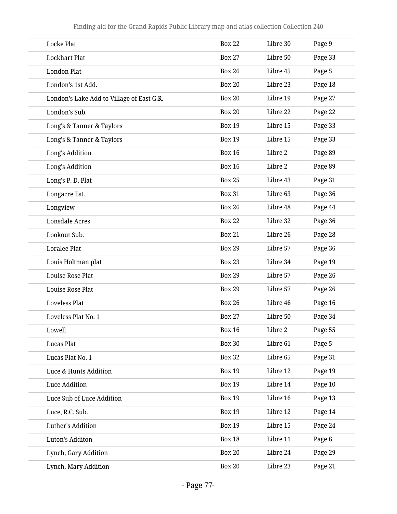| <b>Locke Plat</b>                         | <b>Box 22</b> | Libre 30 | Page 9  |
|-------------------------------------------|---------------|----------|---------|
| <b>Lockhart Plat</b>                      | <b>Box 27</b> | Libre 50 | Page 33 |
| <b>London Plat</b>                        | <b>Box 26</b> | Libre 45 | Page 5  |
| London's 1st Add.                         | <b>Box 20</b> | Libre 23 | Page 18 |
| London's Lake Add to Village of East G.R. | <b>Box 20</b> | Libre 19 | Page 27 |
| London's Sub.                             | <b>Box 20</b> | Libre 22 | Page 22 |
| Long's & Tanner & Taylors                 | <b>Box 19</b> | Libre 15 | Page 33 |
| Long's & Tanner & Taylors                 | <b>Box 19</b> | Libre 15 | Page 33 |
| Long's Addition                           | <b>Box 16</b> | Libre 2  | Page 89 |
| Long's Addition                           | <b>Box 16</b> | Libre 2  | Page 89 |
| Long's P. D. Plat                         | <b>Box 25</b> | Libre 43 | Page 31 |
| Longacre Est.                             | <b>Box 31</b> | Libre 63 | Page 36 |
| Longview                                  | <b>Box 26</b> | Libre 48 | Page 44 |
| <b>Lonsdale Acres</b>                     | <b>Box 22</b> | Libre 32 | Page 36 |
| Lookout Sub.                              | <b>Box 21</b> | Libre 26 | Page 28 |
| Loralee Plat                              | <b>Box 29</b> | Libre 57 | Page 36 |
| Louis Holtman plat                        | <b>Box 23</b> | Libre 34 | Page 19 |
| Louise Rose Plat                          | <b>Box 29</b> | Libre 57 | Page 26 |
| Louise Rose Plat                          | <b>Box 29</b> | Libre 57 | Page 26 |
| <b>Loveless Plat</b>                      | <b>Box 26</b> | Libre 46 | Page 16 |
| Loveless Plat No. 1                       | <b>Box 27</b> | Libre 50 | Page 34 |
| Lowell                                    | <b>Box 16</b> | Libre 2  | Page 55 |
| <b>Lucas Plat</b>                         | <b>Box 30</b> | Libre 61 | Page 5  |
| Lucas Plat No. 1                          | <b>Box 32</b> | Libre 65 | Page 31 |
| Luce & Hunts Addition                     | <b>Box 19</b> | Libre 12 | Page 19 |
| Luce Addition                             | <b>Box 19</b> | Libre 14 | Page 10 |
| Luce Sub of Luce Addition                 | <b>Box 19</b> | Libre 16 | Page 13 |
| Luce, R.C. Sub.                           | <b>Box 19</b> | Libre 12 | Page 14 |
| Luther's Addition                         | <b>Box 19</b> | Libre 15 | Page 24 |
| Luton's Additon                           | <b>Box 18</b> | Libre 11 | Page 6  |
| Lynch, Gary Addition                      | <b>Box 20</b> | Libre 24 | Page 29 |
| Lynch, Mary Addition                      | <b>Box 20</b> | Libre 23 | Page 21 |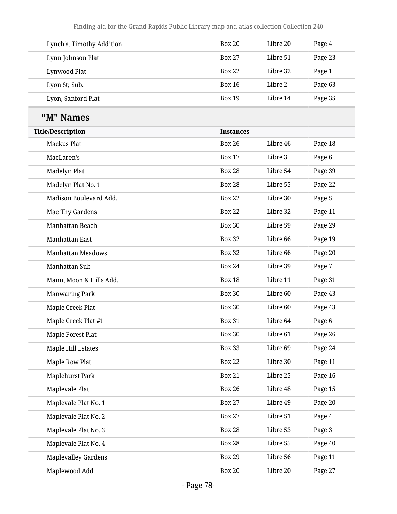| Lynch's, Timothy Addition | <b>Box 20</b> | Libre 20 | Page 4  |
|---------------------------|---------------|----------|---------|
| Lynn Johnson Plat         | <b>Box 27</b> | Libre 51 | Page 23 |
| Lynwood Plat              | <b>Box 22</b> | Libre 32 | Page 1  |
| Lyon St; Sub.             | <b>Box 16</b> | Libre 2  | Page 63 |
| Lyon, Sanford Plat        | <b>Box 19</b> | Libre 14 | Page 35 |

## **"M" Names**

| <b>Title/Description</b>   | <b>Instances</b> |          |         |
|----------------------------|------------------|----------|---------|
| <b>Mackus Plat</b>         | <b>Box 26</b>    | Libre 46 | Page 18 |
| MacLaren's                 | <b>Box 17</b>    | Libre 3  | Page 6  |
| Madelyn Plat               | <b>Box 28</b>    | Libre 54 | Page 39 |
| Madelyn Plat No. 1         | <b>Box 28</b>    | Libre 55 | Page 22 |
| Madison Boulevard Add.     | <b>Box 22</b>    | Libre 30 | Page 5  |
| Mae Thy Gardens            | <b>Box 22</b>    | Libre 32 | Page 11 |
| Manhattan Beach            | <b>Box 30</b>    | Libre 59 | Page 29 |
| Manhattan East             | <b>Box 32</b>    | Libre 66 | Page 19 |
| <b>Manhattan Meadows</b>   | <b>Box 32</b>    | Libre 66 | Page 20 |
| Manhattan Sub              | <b>Box 24</b>    | Libre 39 | Page 7  |
| Mann, Moon & Hills Add.    | <b>Box 18</b>    | Libre 11 | Page 31 |
| <b>Manwaring Park</b>      | <b>Box 30</b>    | Libre 60 | Page 43 |
| Maple Creek Plat           | <b>Box 30</b>    | Libre 60 | Page 43 |
| Maple Creek Plat #1        | <b>Box 31</b>    | Libre 64 | Page 6  |
| Maple Forest Plat          | <b>Box 30</b>    | Libre 61 | Page 26 |
| Maple Hill Estates         | <b>Box 33</b>    | Libre 69 | Page 24 |
| Maple Row Plat             | <b>Box 22</b>    | Libre 30 | Page 11 |
| <b>Maplehurst Park</b>     | <b>Box 21</b>    | Libre 25 | Page 16 |
| Maplevale Plat             | <b>Box 26</b>    | Libre 48 | Page 15 |
| Maplevale Plat No. 1       | <b>Box 27</b>    | Libre 49 | Page 20 |
| Maplevale Plat No. 2       | <b>Box 27</b>    | Libre 51 | Page 4  |
| Maplevale Plat No. 3       | <b>Box 28</b>    | Libre 53 | Page 3  |
| Maplevale Plat No. 4       | <b>Box 28</b>    | Libre 55 | Page 40 |
| <b>Maplevalley Gardens</b> | <b>Box 29</b>    | Libre 56 | Page 11 |
| Maplewood Add.             | <b>Box 20</b>    | Libre 20 | Page 27 |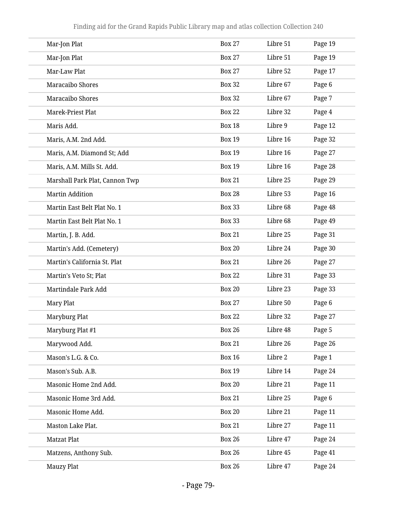| Mar-Jon Plat                   | <b>Box 27</b> | Libre 51 | Page 19 |
|--------------------------------|---------------|----------|---------|
| Mar-Jon Plat                   | <b>Box 27</b> | Libre 51 | Page 19 |
| Mar-Law Plat                   | <b>Box 27</b> | Libre 52 | Page 17 |
| Maracaibo Shores               | <b>Box 32</b> | Libre 67 | Page 6  |
| Maracaibo Shores               | <b>Box 32</b> | Libre 67 | Page 7  |
| Marek-Priest Plat              | <b>Box 22</b> | Libre 32 | Page 4  |
| Maris Add.                     | <b>Box 18</b> | Libre 9  | Page 12 |
| Maris, A.M. 2nd Add.           | <b>Box 19</b> | Libre 16 | Page 32 |
| Maris, A.M. Diamond St; Add    | <b>Box 19</b> | Libre 16 | Page 27 |
| Maris, A.M. Mills St. Add.     | <b>Box 19</b> | Libre 16 | Page 28 |
| Marshall Park Plat, Cannon Twp | <b>Box 21</b> | Libre 25 | Page 29 |
| <b>Martin Addition</b>         | <b>Box 28</b> | Libre 53 | Page 16 |
| Martin East Belt Plat No. 1    | <b>Box 33</b> | Libre 68 | Page 48 |
| Martin East Belt Plat No. 1    | <b>Box 33</b> | Libre 68 | Page 49 |
| Martin, J. B. Add.             | <b>Box 21</b> | Libre 25 | Page 31 |
| Martin's Add. (Cemetery)       | <b>Box 20</b> | Libre 24 | Page 30 |
| Martin's California St. Plat   | <b>Box 21</b> | Libre 26 | Page 27 |
| Martin's Veto St; Plat         | <b>Box 22</b> | Libre 31 | Page 33 |
| Martindale Park Add            | <b>Box 20</b> | Libre 23 | Page 33 |
| Mary Plat                      | <b>Box 27</b> | Libre 50 | Page 6  |
| Maryburg Plat                  | <b>Box 22</b> | Libre 32 | Page 27 |
| Maryburg Plat #1               | <b>Box 26</b> | Libre 48 | Page 5  |
| Marywood Add.                  | <b>Box 21</b> | Libre 26 | Page 26 |
| Mason's L.G. & Co.             | <b>Box 16</b> | Libre 2  | Page 1  |
| Mason's Sub. A.B.              | <b>Box 19</b> | Libre 14 | Page 24 |
| Masonic Home 2nd Add.          | <b>Box 20</b> | Libre 21 | Page 11 |
| Masonic Home 3rd Add.          | <b>Box 21</b> | Libre 25 | Page 6  |
| Masonic Home Add.              | <b>Box 20</b> | Libre 21 | Page 11 |
| Maston Lake Plat.              | <b>Box 21</b> | Libre 27 | Page 11 |
| <b>Matzat Plat</b>             | <b>Box 26</b> | Libre 47 | Page 24 |
| Matzens, Anthony Sub.          | <b>Box 26</b> | Libre 45 | Page 41 |
| Mauzy Plat                     | <b>Box 26</b> | Libre 47 | Page 24 |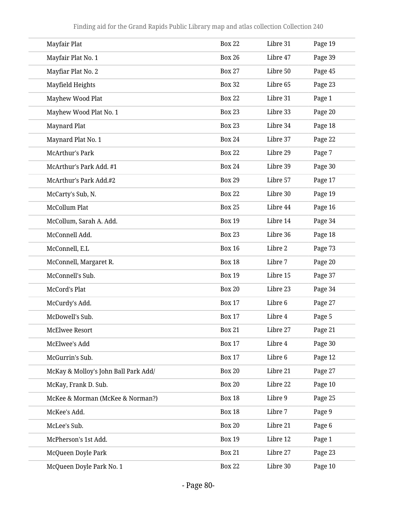| Mayfair Plat                         | <b>Box 22</b> | Libre 31 | Page 19 |
|--------------------------------------|---------------|----------|---------|
| Mayfair Plat No. 1                   | <b>Box 26</b> | Libre 47 | Page 39 |
| Mayfiar Plat No. 2                   | <b>Box 27</b> | Libre 50 | Page 45 |
| Mayfield Heights                     | <b>Box 32</b> | Libre 65 | Page 23 |
| Mayhew Wood Plat                     | <b>Box 22</b> | Libre 31 | Page 1  |
| Mayhew Wood Plat No. 1               | <b>Box 23</b> | Libre 33 | Page 20 |
| Maynard Plat                         | <b>Box 23</b> | Libre 34 | Page 18 |
| Maynard Plat No. 1                   | <b>Box 24</b> | Libre 37 | Page 22 |
| <b>McArthur's Park</b>               | <b>Box 22</b> | Libre 29 | Page 7  |
| McArthur's Park Add. #1              | <b>Box 24</b> | Libre 39 | Page 30 |
| McArthur's Park Add.#2               | <b>Box 29</b> | Libre 57 | Page 17 |
| McCarty's Sub, N.                    | <b>Box 22</b> | Libre 30 | Page 19 |
| <b>McCollum Plat</b>                 | <b>Box 25</b> | Libre 44 | Page 16 |
| McCollum, Sarah A. Add.              | <b>Box 19</b> | Libre 14 | Page 34 |
| McConnell Add.                       | <b>Box 23</b> | Libre 36 | Page 18 |
| McConnell, E.L                       | <b>Box 16</b> | Libre 2  | Page 73 |
| McConnell, Margaret R.               | <b>Box 18</b> | Libre 7  | Page 20 |
| McConnell's Sub.                     | <b>Box 19</b> | Libre 15 | Page 37 |
| McCord's Plat                        | <b>Box 20</b> | Libre 23 | Page 34 |
| McCurdy's Add.                       | <b>Box 17</b> | Libre 6  | Page 27 |
| McDowell's Sub.                      | <b>Box 17</b> | Libre 4  | Page 5  |
| McElwee Resort                       | <b>Box 21</b> | Libre 27 | Page 21 |
| McElwee's Add                        | <b>Box 17</b> | Libre 4  | Page 30 |
| McGurrin's Sub.                      | <b>Box 17</b> | Libre 6  | Page 12 |
| McKay & Molloy's John Ball Park Add/ | <b>Box 20</b> | Libre 21 | Page 27 |
| McKay, Frank D. Sub.                 | <b>Box 20</b> | Libre 22 | Page 10 |
| McKee & Morman (McKee & Norman?)     | <b>Box 18</b> | Libre 9  | Page 25 |
| McKee's Add.                         | <b>Box 18</b> | Libre 7  | Page 9  |
| McLee's Sub.                         | <b>Box 20</b> | Libre 21 | Page 6  |
| McPherson's 1st Add.                 | <b>Box 19</b> | Libre 12 | Page 1  |
| McQueen Doyle Park                   | <b>Box 21</b> | Libre 27 | Page 23 |
| McQueen Doyle Park No. 1             | <b>Box 22</b> | Libre 30 | Page 10 |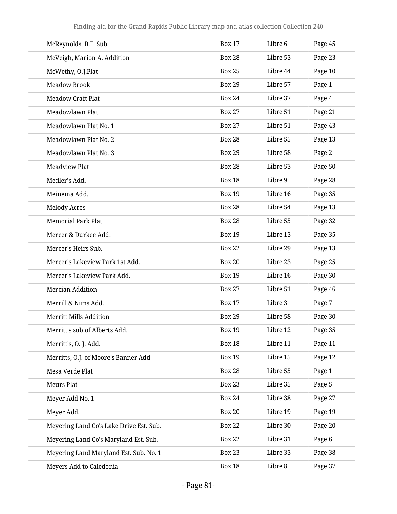| McReynolds, B.F. Sub.                   | <b>Box 17</b> | Libre 6  | Page 45 |
|-----------------------------------------|---------------|----------|---------|
| McVeigh, Marion A. Addition             | <b>Box 28</b> | Libre 53 | Page 23 |
| McWethy, O.J.Plat                       | <b>Box 25</b> | Libre 44 | Page 10 |
| <b>Meadow Brook</b>                     | <b>Box 29</b> | Libre 57 | Page 1  |
| <b>Meadow Craft Plat</b>                | <b>Box 24</b> | Libre 37 | Page 4  |
| Meadowlawn Plat                         | <b>Box 27</b> | Libre 51 | Page 21 |
| Meadowlawn Plat No. 1                   | <b>Box 27</b> | Libre 51 | Page 43 |
| Meadowlawn Plat No. 2                   | <b>Box 28</b> | Libre 55 | Page 13 |
| Meadowlawn Plat No. 3                   | <b>Box 29</b> | Libre 58 | Page 2  |
| <b>Meadview Plat</b>                    | <b>Box 28</b> | Libre 53 | Page 50 |
| Medler's Add.                           | <b>Box 18</b> | Libre 9  | Page 28 |
| Meinema Add.                            | <b>Box 19</b> | Libre 16 | Page 35 |
| <b>Melody Acres</b>                     | <b>Box 28</b> | Libre 54 | Page 13 |
| <b>Memorial Park Plat</b>               | <b>Box 28</b> | Libre 55 | Page 32 |
| Mercer & Durkee Add.                    | <b>Box 19</b> | Libre 13 | Page 35 |
| Mercer's Heirs Sub.                     | <b>Box 22</b> | Libre 29 | Page 13 |
| Mercer's Lakeview Park 1st Add.         | <b>Box 20</b> | Libre 23 | Page 25 |
| Mercer's Lakeview Park Add.             | <b>Box 19</b> | Libre 16 | Page 30 |
| <b>Mercian Addition</b>                 | <b>Box 27</b> | Libre 51 | Page 46 |
| Merrill & Nims Add.                     | <b>Box 17</b> | Libre 3  | Page 7  |
| <b>Merritt Mills Addition</b>           | <b>Box 29</b> | Libre 58 | Page 30 |
| Merritt's sub of Alberts Add.           | <b>Box 19</b> | Libre 12 | Page 35 |
| Merritt's, O. J. Add.                   | <b>Box 18</b> | Libre 11 | Page 11 |
| Merritts, O.J. of Moore's Banner Add    | <b>Box 19</b> | Libre 15 | Page 12 |
| Mesa Verde Plat                         | <b>Box 28</b> | Libre 55 | Page 1  |
| <b>Meurs Plat</b>                       | <b>Box 23</b> | Libre 35 | Page 5  |
| Meyer Add No. 1                         | <b>Box 24</b> | Libre 38 | Page 27 |
| Meyer Add.                              | <b>Box 20</b> | Libre 19 | Page 19 |
| Meyering Land Co's Lake Drive Est. Sub. | <b>Box 22</b> | Libre 30 | Page 20 |
| Meyering Land Co's Maryland Est. Sub.   | <b>Box 22</b> | Libre 31 | Page 6  |
| Meyering Land Maryland Est. Sub. No. 1  | <b>Box 23</b> | Libre 33 | Page 38 |
| Meyers Add to Caledonia                 | <b>Box 18</b> | Libre 8  | Page 37 |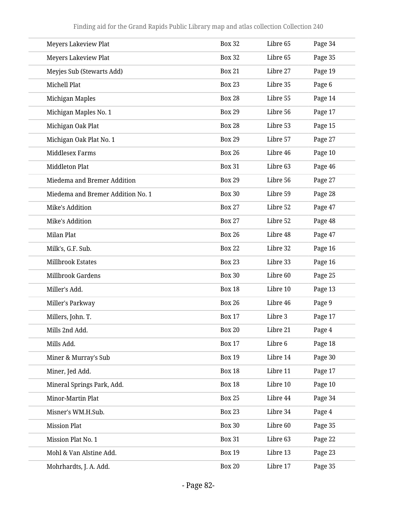| <b>Meyers Lakeview Plat</b>       | <b>Box 32</b> | Libre 65 | Page 34 |
|-----------------------------------|---------------|----------|---------|
| <b>Meyers Lakeview Plat</b>       | <b>Box 32</b> | Libre 65 | Page 35 |
| Meyjes Sub (Stewarts Add)         | <b>Box 21</b> | Libre 27 | Page 19 |
| Michell Plat                      | <b>Box 23</b> | Libre 35 | Page 6  |
| Michigan Maples                   | <b>Box 28</b> | Libre 55 | Page 14 |
| Michigan Maples No. 1             | <b>Box 29</b> | Libre 56 | Page 17 |
| Michigan Oak Plat                 | <b>Box 28</b> | Libre 53 | Page 15 |
| Michigan Oak Plat No. 1           | <b>Box 29</b> | Libre 57 | Page 27 |
| <b>Middlesex Farms</b>            | <b>Box 26</b> | Libre 46 | Page 10 |
| <b>Middleton Plat</b>             | <b>Box 31</b> | Libre 63 | Page 46 |
| Miedema and Bremer Addition       | <b>Box 29</b> | Libre 56 | Page 27 |
| Miedema and Bremer Addition No. 1 | <b>Box 30</b> | Libre 59 | Page 28 |
| Mike's Addition                   | <b>Box 27</b> | Libre 52 | Page 47 |
| Mike's Addition                   | <b>Box 27</b> | Libre 52 | Page 48 |
| Milan Plat                        | <b>Box 26</b> | Libre 48 | Page 47 |
| Milk's, G.F. Sub.                 | <b>Box 22</b> | Libre 32 | Page 16 |
| Millbrook Estates                 | <b>Box 23</b> | Libre 33 | Page 16 |
| Millbrook Gardens                 | <b>Box 30</b> | Libre 60 | Page 25 |
| Miller's Add.                     | <b>Box 18</b> | Libre 10 | Page 13 |
| Miller's Parkway                  | <b>Box 26</b> | Libre 46 | Page 9  |
| Millers, John. T.                 | <b>Box 17</b> | Libre 3  | Page 17 |
| Mills 2nd Add.                    | <b>Box 20</b> | Libre 21 | Page 4  |
| Mills Add.                        | <b>Box 17</b> | Libre 6  | Page 18 |
| Miner & Murray's Sub              | <b>Box 19</b> | Libre 14 | Page 30 |
| Miner, Jed Add.                   | <b>Box 18</b> | Libre 11 | Page 17 |
| Mineral Springs Park, Add.        | <b>Box 18</b> | Libre 10 | Page 10 |
| Minor-Martin Plat                 | <b>Box 25</b> | Libre 44 | Page 34 |
| Misner's WM.H.Sub.                | <b>Box 23</b> | Libre 34 | Page 4  |
| <b>Mission Plat</b>               | <b>Box 30</b> | Libre 60 | Page 35 |
| Mission Plat No. 1                | <b>Box 31</b> | Libre 63 | Page 22 |
| Mohl & Van Alstine Add.           | <b>Box 19</b> | Libre 13 | Page 23 |
| Mohrhardts, J. A. Add.            | <b>Box 20</b> | Libre 17 | Page 35 |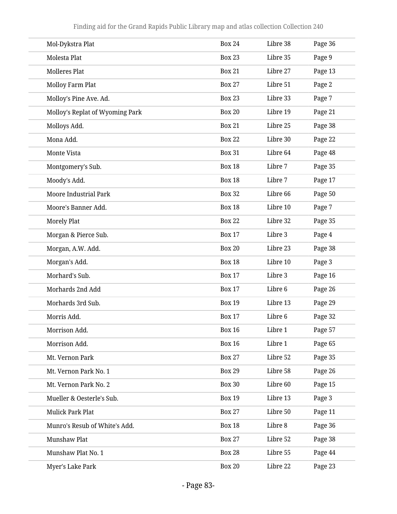| Mol-Dykstra Plat                | <b>Box 24</b> | Libre 38 | Page 36 |
|---------------------------------|---------------|----------|---------|
| Molesta Plat                    | <b>Box 23</b> | Libre 35 | Page 9  |
| <b>Molleres Plat</b>            | <b>Box 21</b> | Libre 27 | Page 13 |
| <b>Molloy Farm Plat</b>         | <b>Box 27</b> | Libre 51 | Page 2  |
| Molloy's Pine Ave. Ad.          | <b>Box 23</b> | Libre 33 | Page 7  |
| Molloy's Replat of Wyoming Park | <b>Box 20</b> | Libre 19 | Page 21 |
| Molloys Add.                    | <b>Box 21</b> | Libre 25 | Page 38 |
| Mona Add.                       | <b>Box 22</b> | Libre 30 | Page 22 |
| Monte Vista                     | <b>Box 31</b> | Libre 64 | Page 48 |
| Montgomery's Sub.               | <b>Box 18</b> | Libre 7  | Page 35 |
| Moody's Add.                    | <b>Box 18</b> | Libre 7  | Page 17 |
| <b>Moore Industrial Park</b>    | <b>Box 32</b> | Libre 66 | Page 50 |
| Moore's Banner Add.             | <b>Box 18</b> | Libre 10 | Page 7  |
| <b>Morely Plat</b>              | <b>Box 22</b> | Libre 32 | Page 35 |
| Morgan & Pierce Sub.            | <b>Box 17</b> | Libre 3  | Page 4  |
| Morgan, A.W. Add.               | <b>Box 20</b> | Libre 23 | Page 38 |
| Morgan's Add.                   | <b>Box 18</b> | Libre 10 | Page 3  |
| Morhard's Sub.                  | <b>Box 17</b> | Libre 3  | Page 16 |
| Morhards 2nd Add                | <b>Box 17</b> | Libre 6  | Page 26 |
| Morhards 3rd Sub.               | <b>Box 19</b> | Libre 13 | Page 29 |
| Morris Add.                     | <b>Box 17</b> | Libre 6  | Page 32 |
| Morrison Add.                   | <b>Box 16</b> | Libre 1  | Page 57 |
| Morrison Add.                   | <b>Box 16</b> | Libre 1  | Page 65 |
| Mt. Vernon Park                 | <b>Box 27</b> | Libre 52 | Page 35 |
| Mt. Vernon Park No. 1           | <b>Box 29</b> | Libre 58 | Page 26 |
| Mt. Vernon Park No. 2           | <b>Box 30</b> | Libre 60 | Page 15 |
| Mueller & Oesterle's Sub.       | <b>Box 19</b> | Libre 13 | Page 3  |
| Mulick Park Plat                | <b>Box 27</b> | Libre 50 | Page 11 |
| Munro's Resub of White's Add.   | <b>Box 18</b> | Libre 8  | Page 36 |
| Munshaw Plat                    | <b>Box 27</b> | Libre 52 | Page 38 |
| Munshaw Plat No. 1              | <b>Box 28</b> | Libre 55 | Page 44 |
| Myer's Lake Park                | <b>Box 20</b> | Libre 22 | Page 23 |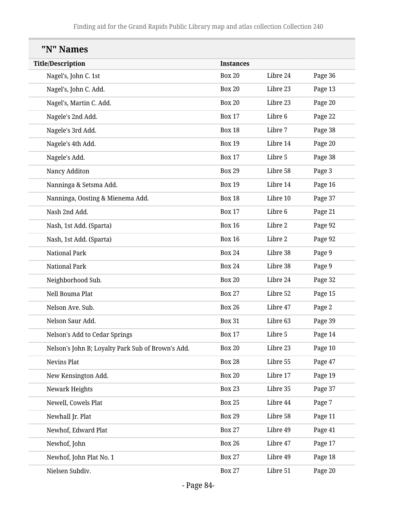| "N" Names                                         |                  |          |         |
|---------------------------------------------------|------------------|----------|---------|
| <b>Title/Description</b>                          | <b>Instances</b> |          |         |
| Nagel's, John C. 1st                              | <b>Box 20</b>    | Libre 24 | Page 36 |
| Nagel's, John C. Add.                             | <b>Box 20</b>    | Libre 23 | Page 13 |
| Nagel's, Martin C. Add.                           | <b>Box 20</b>    | Libre 23 | Page 20 |
| Nagele's 2nd Add.                                 | <b>Box 17</b>    | Libre 6  | Page 22 |
| Nagele's 3rd Add.                                 | <b>Box 18</b>    | Libre 7  | Page 38 |
| Nagele's 4th Add.                                 | <b>Box 19</b>    | Libre 14 | Page 20 |
| Nagele's Add.                                     | <b>Box 17</b>    | Libre 5  | Page 38 |
| Nancy Additon                                     | <b>Box 29</b>    | Libre 58 | Page 3  |
| Nanninga & Setsma Add.                            | <b>Box 19</b>    | Libre 14 | Page 16 |
| Nanninga, Oosting & Mienema Add.                  | <b>Box 18</b>    | Libre 10 | Page 37 |
| Nash 2nd Add.                                     | <b>Box 17</b>    | Libre 6  | Page 21 |
| Nash, 1st Add. (Sparta)                           | <b>Box 16</b>    | Libre 2  | Page 92 |
| Nash, 1st Add. (Sparta)                           | <b>Box 16</b>    | Libre 2  | Page 92 |
| <b>National Park</b>                              | <b>Box 24</b>    | Libre 38 | Page 9  |
| <b>National Park</b>                              | <b>Box 24</b>    | Libre 38 | Page 9  |
| Neighborhood Sub.                                 | <b>Box 20</b>    | Libre 24 | Page 32 |
| Nell Bouma Plat                                   | <b>Box 27</b>    | Libre 52 | Page 15 |
| Nelson Ave. Sub.                                  | <b>Box 26</b>    | Libre 47 | Page 2  |
| Nelson Saur Add.                                  | <b>Box 31</b>    | Libre 63 | Page 39 |
| Nelson's Add to Cedar Springs                     | <b>Box 17</b>    | Libre 5  | Page 14 |
| Nelson's John B; Loyalty Park Sub of Brown's Add. | <b>Box 20</b>    | Libre 23 | Page 10 |
| Nevins Plat                                       | <b>Box 28</b>    | Libre 55 | Page 47 |
| New Kensington Add.                               | <b>Box 20</b>    | Libre 17 | Page 19 |
| Newark Heights                                    | <b>Box 23</b>    | Libre 35 | Page 37 |
| Newell, Cowels Plat                               | <b>Box 25</b>    | Libre 44 | Page 7  |
| Newhall Jr. Plat                                  | <b>Box 29</b>    | Libre 58 | Page 11 |
| Newhof, Edward Plat                               | <b>Box 27</b>    | Libre 49 | Page 41 |
| Newhof, John                                      | <b>Box 26</b>    | Libre 47 | Page 17 |
| Newhof, John Plat No. 1                           | <b>Box 27</b>    | Libre 49 | Page 18 |
| Nielsen Subdiv.                                   | <b>Box 27</b>    | Libre 51 | Page 20 |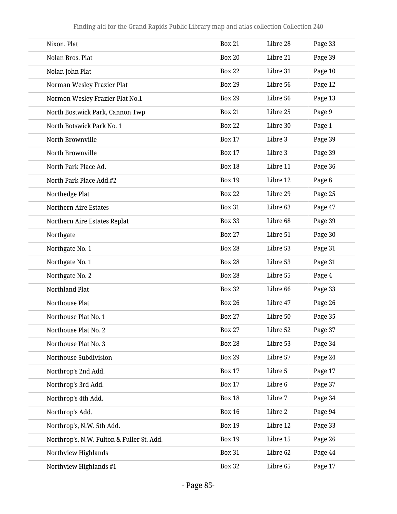| Nixon, Plat                               | <b>Box 21</b> | Libre 28 | Page 33 |
|-------------------------------------------|---------------|----------|---------|
| Nolan Bros. Plat                          | <b>Box 20</b> | Libre 21 | Page 39 |
| Nolan John Plat                           | <b>Box 22</b> | Libre 31 | Page 10 |
| Norman Wesley Frazier Plat                | <b>Box 29</b> | Libre 56 | Page 12 |
| Normon Wesley Frazier Plat No.1           | <b>Box 29</b> | Libre 56 | Page 13 |
| North Bostwick Park, Cannon Twp           | <b>Box 21</b> | Libre 25 | Page 9  |
| North Botswick Park No. 1                 | <b>Box 22</b> | Libre 30 | Page 1  |
| North Brownville                          | <b>Box 17</b> | Libre 3  | Page 39 |
| North Brownville                          | <b>Box 17</b> | Libre 3  | Page 39 |
| North Park Place Ad.                      | <b>Box 18</b> | Libre 11 | Page 36 |
| North Park Place Add.#2                   | <b>Box 19</b> | Libre 12 | Page 6  |
| Northedge Plat                            | <b>Box 22</b> | Libre 29 | Page 25 |
| Northern Aire Estates                     | <b>Box 31</b> | Libre 63 | Page 47 |
| Northern Aire Estates Replat              | <b>Box 33</b> | Libre 68 | Page 39 |
| Northgate                                 | <b>Box 27</b> | Libre 51 | Page 30 |
| Northgate No. 1                           | <b>Box 28</b> | Libre 53 | Page 31 |
| Northgate No. 1                           | <b>Box 28</b> | Libre 53 | Page 31 |
| Northgate No. 2                           | <b>Box 28</b> | Libre 55 | Page 4  |
| Northland Plat                            | <b>Box 32</b> | Libre 66 | Page 33 |
| Northouse Plat                            | <b>Box 26</b> | Libre 47 | Page 26 |
| Northouse Plat No. 1                      | <b>Box 27</b> | Libre 50 | Page 35 |
| Northouse Plat No. 2                      | <b>Box 27</b> | Libre 52 | Page 37 |
| Northouse Plat No. 3                      | <b>Box 28</b> | Libre 53 | Page 34 |
| Northouse Subdivision                     | <b>Box 29</b> | Libre 57 | Page 24 |
| Northrop's 2nd Add.                       | <b>Box 17</b> | Libre 5  | Page 17 |
| Northrop's 3rd Add.                       | <b>Box 17</b> | Libre 6  | Page 37 |
| Northrop's 4th Add.                       | <b>Box 18</b> | Libre 7  | Page 34 |
| Northrop's Add.                           | <b>Box 16</b> | Libre 2  | Page 94 |
| Northrop's, N.W. 5th Add.                 | <b>Box 19</b> | Libre 12 | Page 33 |
| Northrop's, N.W. Fulton & Fuller St. Add. | <b>Box 19</b> | Libre 15 | Page 26 |
| Northview Highlands                       | <b>Box 31</b> | Libre 62 | Page 44 |
| Northview Highlands #1                    | <b>Box 32</b> | Libre 65 | Page 17 |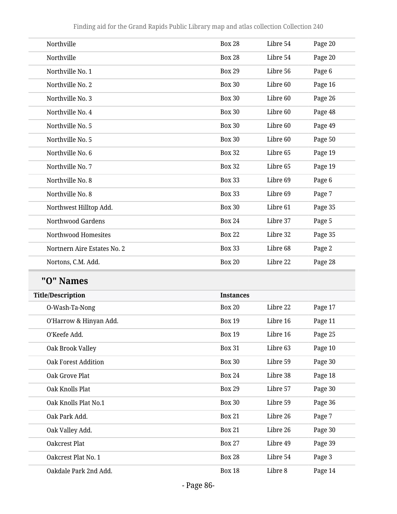| Northville                  | <b>Box 28</b> | Libre 54 | Page 20 |
|-----------------------------|---------------|----------|---------|
| Northville                  | <b>Box 28</b> | Libre 54 | Page 20 |
| Northville No. 1            | <b>Box 29</b> | Libre 56 | Page 6  |
| Northville No. 2            | <b>Box 30</b> | Libre 60 | Page 16 |
| Northville No. 3            | <b>Box 30</b> | Libre 60 | Page 26 |
| Northville No. 4            | <b>Box 30</b> | Libre 60 | Page 48 |
| Northville No. 5            | <b>Box 30</b> | Libre 60 | Page 49 |
| Northville No. 5            | <b>Box 30</b> | Libre 60 | Page 50 |
| Northville No. 6            | <b>Box 32</b> | Libre 65 | Page 19 |
| Northville No. 7            | <b>Box 32</b> | Libre 65 | Page 19 |
| Northville No. 8            | <b>Box 33</b> | Libre 69 | Page 6  |
| Northville No. 8            | <b>Box 33</b> | Libre 69 | Page 7  |
| Northwest Hilltop Add.      | <b>Box 30</b> | Libre 61 | Page 35 |
| <b>Northwood Gardens</b>    | <b>Box 24</b> | Libre 37 | Page 5  |
| Northwood Homesites         | <b>Box 22</b> | Libre 32 | Page 35 |
| Nortnern Aire Estates No. 2 | <b>Box 33</b> | Libre 68 | Page 2  |
| Nortons, C.M. Add.          | <b>Box 20</b> | Libre 22 | Page 28 |
|                             |               |          |         |

## **"O" Names**

| <b>Title/Description</b>   | <b>Instances</b> |          |         |
|----------------------------|------------------|----------|---------|
| O-Wash-Ta-Nong             | <b>Box 20</b>    | Libre 22 | Page 17 |
| O'Harrow & Hinyan Add.     | <b>Box 19</b>    | Libre 16 | Page 11 |
| O'Keefe Add.               | <b>Box 19</b>    | Libre 16 | Page 25 |
| Oak Brook Valley           | <b>Box 31</b>    | Libre 63 | Page 10 |
| <b>Oak Forest Addition</b> | <b>Box 30</b>    | Libre 59 | Page 30 |
| Oak Grove Plat             | <b>Box 24</b>    | Libre 38 | Page 18 |
| Oak Knolls Plat            | <b>Box 29</b>    | Libre 57 | Page 30 |
| Oak Knolls Plat No.1       | <b>Box 30</b>    | Libre 59 | Page 36 |
| Oak Park Add.              | <b>Box 21</b>    | Libre 26 | Page 7  |
| Oak Valley Add.            | <b>Box 21</b>    | Libre 26 | Page 30 |
| Oakcrest Plat              | <b>Box 27</b>    | Libre 49 | Page 39 |
| Oakcrest Plat No. 1        | <b>Box 28</b>    | Libre 54 | Page 3  |
| Oakdale Park 2nd Add.      | <b>Box 18</b>    | Libre 8  | Page 14 |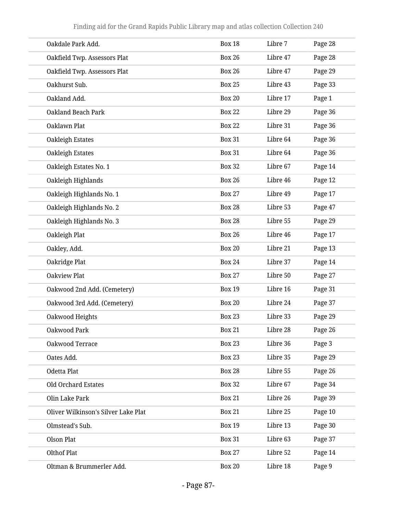| Oakdale Park Add.                   | <b>Box 18</b> | Libre 7  | Page 28 |
|-------------------------------------|---------------|----------|---------|
| Oakfield Twp. Assessors Plat        | <b>Box 26</b> | Libre 47 | Page 28 |
| Oakfield Twp. Assessors Plat        | <b>Box 26</b> | Libre 47 | Page 29 |
| Oakhurst Sub.                       | <b>Box 25</b> | Libre 43 | Page 33 |
| Oakland Add.                        | <b>Box 20</b> | Libre 17 | Page 1  |
| <b>Oakland Beach Park</b>           | <b>Box 22</b> | Libre 29 | Page 36 |
| Oaklawn Plat                        | <b>Box 22</b> | Libre 31 | Page 36 |
| Oakleigh Estates                    | <b>Box 31</b> | Libre 64 | Page 36 |
| Oakleigh Estates                    | <b>Box 31</b> | Libre 64 | Page 36 |
| Oakleigh Estates No. 1              | <b>Box 32</b> | Libre 67 | Page 14 |
| Oakleigh Highlands                  | <b>Box 26</b> | Libre 46 | Page 12 |
| Oakleigh Highlands No. 1            | <b>Box 27</b> | Libre 49 | Page 17 |
| Oakleigh Highlands No. 2            | <b>Box 28</b> | Libre 53 | Page 47 |
| Oakleigh Highlands No. 3            | <b>Box 28</b> | Libre 55 | Page 29 |
| Oakleigh Plat                       | <b>Box 26</b> | Libre 46 | Page 17 |
| Oakley, Add.                        | <b>Box 20</b> | Libre 21 | Page 13 |
| Oakridge Plat                       | <b>Box 24</b> | Libre 37 | Page 14 |
| <b>Oakview Plat</b>                 | <b>Box 27</b> | Libre 50 | Page 27 |
| Oakwood 2nd Add. (Cemetery)         | <b>Box 19</b> | Libre 16 | Page 31 |
| Oakwood 3rd Add. (Cemetery)         | <b>Box 20</b> | Libre 24 | Page 37 |
| Oakwood Heights                     | <b>Box 23</b> | Libre 33 | Page 29 |
| Oakwood Park                        | <b>Box 21</b> | Libre 28 | Page 26 |
| Oakwood Terrace                     | <b>Box 23</b> | Libre 36 | Page 3  |
| Oates Add.                          | <b>Box 23</b> | Libre 35 | Page 29 |
| Odetta Plat                         | <b>Box 28</b> | Libre 55 | Page 26 |
| <b>Old Orchard Estates</b>          | <b>Box 32</b> | Libre 67 | Page 34 |
| Olin Lake Park                      | <b>Box 21</b> | Libre 26 | Page 39 |
| Oliver Wilkinson's Silver Lake Plat | <b>Box 21</b> | Libre 25 | Page 10 |
| Olmstead's Sub.                     | <b>Box 19</b> | Libre 13 | Page 30 |
| Olson Plat                          | <b>Box 31</b> | Libre 63 | Page 37 |
| <b>Olthof Plat</b>                  | <b>Box 27</b> | Libre 52 | Page 14 |
| Oltman & Brummerler Add.            | <b>Box 20</b> | Libre 18 | Page 9  |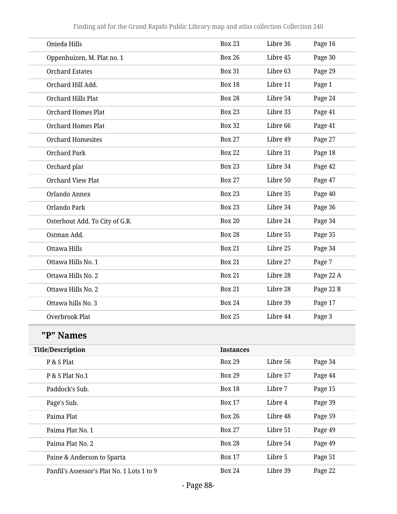| Onieda Hills                               | <b>Box 23</b>    | Libre 36 | Page 16   |
|--------------------------------------------|------------------|----------|-----------|
| Oppenhuizen, M. Plat no. 1                 | <b>Box 26</b>    | Libre 45 | Page 30   |
| <b>Orchard Estates</b>                     | <b>Box 31</b>    | Libre 63 | Page 29   |
| Orchard Hill Add.                          | <b>Box 18</b>    | Libre 11 | Page 1    |
| Orchard Hills Plat                         | <b>Box 28</b>    | Libre 54 | Page 24   |
| <b>Orchard Homes Plat</b>                  | <b>Box 23</b>    | Libre 33 | Page 41   |
| <b>Orchard Homes Plat</b>                  | <b>Box 32</b>    | Libre 66 | Page 41   |
| <b>Orchard Homesites</b>                   | <b>Box 27</b>    | Libre 49 | Page 27   |
| <b>Orchard Park</b>                        | <b>Box 22</b>    | Libre 31 | Page 18   |
| Orchard plat                               | <b>Box 23</b>    | Libre 34 | Page 42   |
| <b>Orchard View Plat</b>                   | <b>Box 27</b>    | Libre 50 | Page 47   |
| Orlando Annex                              | <b>Box 23</b>    | Libre 35 | Page 40   |
| Orlando Park                               | <b>Box 23</b>    | Libre 34 | Page 36   |
| Osterhout Add. To City of G.R.             | <b>Box 20</b>    | Libre 24 | Page 34   |
| Ostman Add.                                | <b>Box 28</b>    | Libre 55 | Page 35   |
| Ottawa Hills                               | <b>Box 21</b>    | Libre 25 | Page 34   |
| Ottawa Hills No. 1                         | <b>Box 21</b>    | Libre 27 | Page 7    |
| Ottawa Hills No. 2                         | <b>Box 21</b>    | Libre 28 | Page 22 A |
| Ottawa Hills No. 2                         | <b>Box 21</b>    | Libre 28 | Page 22 B |
| Ottawa hills No. 3                         | <b>Box 24</b>    | Libre 39 | Page 17   |
| <b>Overbrook Plat</b>                      | <b>Box 25</b>    | Libre 44 | Page 3    |
| "P" Names                                  |                  |          |           |
| <b>Title/Description</b>                   | <b>Instances</b> |          |           |
| P & S Plat                                 | <b>Box 29</b>    | Libre 56 | Page 34   |
| P & S Plat No.1                            | <b>Box 29</b>    | Libre 57 | Page 44   |
| Paddock's Sub.                             | <b>Box 18</b>    | Libre 7  | Page 15   |
| Page's Sub.                                | <b>Box 17</b>    | Libre 4  | Page 39   |
| Paima Plat                                 | <b>Box 26</b>    | Libre 48 | Page 59   |
| Paima Plat No. 1                           | <b>Box 27</b>    | Libre 51 | Page 49   |
| Paima Plat No. 2                           | <b>Box 28</b>    | Libre 54 | Page 49   |
| Paine & Anderson to Sparta                 | <b>Box 17</b>    | Libre 5  | Page 51   |
| Panfil's Assessor's Plat No. 1 Lots 1 to 9 | <b>Box 24</b>    | Libre 39 | Page 22   |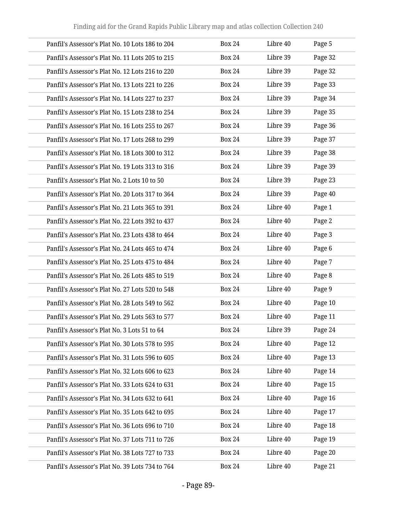| Panfil's Assessor's Plat No. 10 Lots 186 to 204 | <b>Box 24</b> | Libre 40 | Page 5  |
|-------------------------------------------------|---------------|----------|---------|
| Panfil's Assessor's Plat No. 11 Lots 205 to 215 | <b>Box 24</b> | Libre 39 | Page 32 |
| Panfil's Assessor's Plat No. 12 Lots 216 to 220 | <b>Box 24</b> | Libre 39 | Page 32 |
| Panfil's Assessor's Plat No. 13 Lots 221 to 226 | <b>Box 24</b> | Libre 39 | Page 33 |
| Panfil's Assessor's Plat No. 14 Lots 227 to 237 | <b>Box 24</b> | Libre 39 | Page 34 |
| Panfil's Assessor's Plat No. 15 Lots 238 to 254 | <b>Box 24</b> | Libre 39 | Page 35 |
| Panfil's Assessor's Plat No. 16 Lots 255 to 267 | <b>Box 24</b> | Libre 39 | Page 36 |
| Panfil's Assessor's Plat No. 17 Lots 268 to 299 | <b>Box 24</b> | Libre 39 | Page 37 |
| Panfil's Assessor's Plat No. 18 Lots 300 to 312 | <b>Box 24</b> | Libre 39 | Page 38 |
| Panfil's Assessor's Plat No. 19 Lots 313 to 316 | <b>Box 24</b> | Libre 39 | Page 39 |
| Panfil's Assessor's Plat No. 2 Lots 10 to 50    | <b>Box 24</b> | Libre 39 | Page 23 |
| Panfil's Assessor's Plat No. 20 Lots 317 to 364 | <b>Box 24</b> | Libre 39 | Page 40 |
| Panfil's Assessor's Plat No. 21 Lots 365 to 391 | <b>Box 24</b> | Libre 40 | Page 1  |
| Panfil's Assessor's Plat No. 22 Lots 392 to 437 | <b>Box 24</b> | Libre 40 | Page 2  |
| Panfil's Assessor's Plat No. 23 Lots 438 to 464 | <b>Box 24</b> | Libre 40 | Page 3  |
| Panfil's Assessor's Plat No. 24 Lots 465 to 474 | <b>Box 24</b> | Libre 40 | Page 6  |
| Panfil's Assessor's Plat No. 25 Lots 475 to 484 | <b>Box 24</b> | Libre 40 | Page 7  |
| Panfil's Assessor's Plat No. 26 Lots 485 to 519 | <b>Box 24</b> | Libre 40 | Page 8  |
| Panfil's Assessor's Plat No. 27 Lots 520 to 548 | <b>Box 24</b> | Libre 40 | Page 9  |
| Panfil's Assessor's Plat No. 28 Lots 549 to 562 | <b>Box 24</b> | Libre 40 | Page 10 |
| Panfil's Assessor's Plat No. 29 Lots 563 to 577 | <b>Box 24</b> | Libre 40 | Page 11 |
| Panfil's Assessor's Plat No. 3 Lots 51 to 64    | <b>Box 24</b> | Libre 39 | Page 24 |
| Panfil's Assessor's Plat No. 30 Lots 578 to 595 | <b>Box 24</b> | Libre 40 | Page 12 |
| Panfil's Assessor's Plat No. 31 Lots 596 to 605 | <b>Box 24</b> | Libre 40 | Page 13 |
| Panfil's Assessor's Plat No. 32 Lots 606 to 623 | <b>Box 24</b> | Libre 40 | Page 14 |
| Panfil's Assessor's Plat No. 33 Lots 624 to 631 | <b>Box 24</b> | Libre 40 | Page 15 |
| Panfil's Assessor's Plat No. 34 Lots 632 to 641 | <b>Box 24</b> | Libre 40 | Page 16 |
| Panfil's Assessor's Plat No. 35 Lots 642 to 695 | <b>Box 24</b> | Libre 40 | Page 17 |
| Panfil's Assessor's Plat No. 36 Lots 696 to 710 | <b>Box 24</b> | Libre 40 | Page 18 |
| Panfil's Assessor's Plat No. 37 Lots 711 to 726 | <b>Box 24</b> | Libre 40 | Page 19 |
| Panfil's Assessor's Plat No. 38 Lots 727 to 733 | <b>Box 24</b> | Libre 40 | Page 20 |
| Panfil's Assessor's Plat No. 39 Lots 734 to 764 | <b>Box 24</b> | Libre 40 | Page 21 |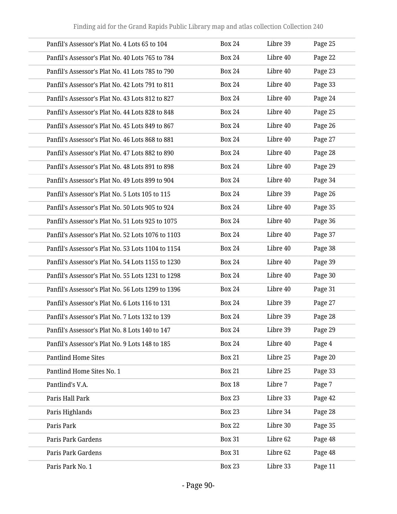| Panfil's Assessor's Plat No. 4 Lots 65 to 104     | <b>Box 24</b> | Libre 39 | Page 25 |
|---------------------------------------------------|---------------|----------|---------|
| Panfil's Assessor's Plat No. 40 Lots 765 to 784   | <b>Box 24</b> | Libre 40 | Page 22 |
| Panfil's Assessor's Plat No. 41 Lots 785 to 790   | <b>Box 24</b> | Libre 40 | Page 23 |
| Panfil's Assessor's Plat No. 42 Lots 791 to 811   | <b>Box 24</b> | Libre 40 | Page 33 |
| Panfil's Assessor's Plat No. 43 Lots 812 to 827   | <b>Box 24</b> | Libre 40 | Page 24 |
| Panfil's Assessor's Plat No. 44 Lots 828 to 848   | <b>Box 24</b> | Libre 40 | Page 25 |
| Panfil's Assessor's Plat No. 45 Lots 849 to 867   | <b>Box 24</b> | Libre 40 | Page 26 |
| Panfil's Assessor's Plat No. 46 Lots 868 to 881   | <b>Box 24</b> | Libre 40 | Page 27 |
| Panfil's Assessor's Plat No. 47 Lots 882 to 890   | <b>Box 24</b> | Libre 40 | Page 28 |
| Panfil's Assessor's Plat No. 48 Lots 891 to 898   | <b>Box 24</b> | Libre 40 | Page 29 |
| Panfil's Assessor's Plat No. 49 Lots 899 to 904   | <b>Box 24</b> | Libre 40 | Page 34 |
| Panfil's Assessor's Plat No. 5 Lots 105 to 115    | <b>Box 24</b> | Libre 39 | Page 26 |
| Panfil's Assessor's Plat No. 50 Lots 905 to 924   | <b>Box 24</b> | Libre 40 | Page 35 |
| Panfil's Assessor's Plat No. 51 Lots 925 to 1075  | <b>Box 24</b> | Libre 40 | Page 36 |
| Panfil's Assessor's Plat No. 52 Lots 1076 to 1103 | <b>Box 24</b> | Libre 40 | Page 37 |
| Panfil's Assessor's Plat No. 53 Lots 1104 to 1154 | <b>Box 24</b> | Libre 40 | Page 38 |
| Panfil's Assessor's Plat No. 54 Lots 1155 to 1230 | <b>Box 24</b> | Libre 40 | Page 39 |
| Panfil's Assessor's Plat No. 55 Lots 1231 to 1298 | <b>Box 24</b> | Libre 40 | Page 30 |
| Panfil's Assessor's Plat No. 56 Lots 1299 to 1396 | <b>Box 24</b> | Libre 40 | Page 31 |
| Panfil's Assessor's Plat No. 6 Lots 116 to 131    | <b>Box 24</b> | Libre 39 | Page 27 |
| Panfil's Assessor's Plat No. 7 Lots 132 to 139    | <b>Box 24</b> | Libre 39 | Page 28 |
| Panfil's Assessor's Plat No. 8 Lots 140 to 147    | <b>Box 24</b> | Libre 39 | Page 29 |
| Panfil's Assessor's Plat No. 9 Lots 148 to 185    | <b>Box 24</b> | Libre 40 | Page 4  |
| <b>Pantlind Home Sites</b>                        | <b>Box 21</b> | Libre 25 | Page 20 |
| Pantlind Home Sites No. 1                         | <b>Box 21</b> | Libre 25 | Page 33 |
| Pantlind's V.A.                                   | <b>Box 18</b> | Libre 7  | Page 7  |
| Paris Hall Park                                   | <b>Box 23</b> | Libre 33 | Page 42 |
| Paris Highlands                                   | <b>Box 23</b> | Libre 34 | Page 28 |
| Paris Park                                        | <b>Box 22</b> | Libre 30 | Page 35 |
| Paris Park Gardens                                | <b>Box 31</b> | Libre 62 | Page 48 |
| Paris Park Gardens                                | <b>Box 31</b> | Libre 62 | Page 48 |
| Paris Park No. 1                                  | <b>Box 23</b> | Libre 33 | Page 11 |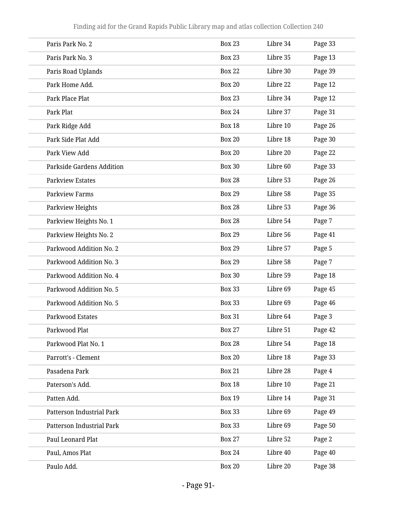| Paris Park No. 2                 | <b>Box 23</b> | Libre 34 | Page 33 |
|----------------------------------|---------------|----------|---------|
| Paris Park No. 3                 | <b>Box 23</b> | Libre 35 | Page 13 |
| Paris Road Uplands               | <b>Box 22</b> | Libre 30 | Page 39 |
| Park Home Add.                   | <b>Box 20</b> | Libre 22 | Page 12 |
| Park Place Plat                  | <b>Box 23</b> | Libre 34 | Page 12 |
| Park Plat                        | <b>Box 24</b> | Libre 37 | Page 31 |
| Park Ridge Add                   | <b>Box 18</b> | Libre 10 | Page 26 |
| Park Side Plat Add               | <b>Box 20</b> | Libre 18 | Page 30 |
| Park View Add                    | <b>Box 20</b> | Libre 20 | Page 22 |
| Parkside Gardens Addition        | <b>Box 30</b> | Libre 60 | Page 33 |
| <b>Parkview Estates</b>          | <b>Box 28</b> | Libre 53 | Page 26 |
| <b>Parkview Farms</b>            | <b>Box 29</b> | Libre 58 | Page 35 |
| Parkview Heights                 | <b>Box 28</b> | Libre 53 | Page 36 |
| Parkview Heights No. 1           | <b>Box 28</b> | Libre 54 | Page 7  |
| Parkview Heights No. 2           | <b>Box 29</b> | Libre 56 | Page 41 |
| Parkwood Addition No. 2          | <b>Box 29</b> | Libre 57 | Page 5  |
| Parkwood Addition No. 3          | <b>Box 29</b> | Libre 58 | Page 7  |
| Parkwood Addition No. 4          | <b>Box 30</b> | Libre 59 | Page 18 |
| Parkwood Addition No. 5          | <b>Box 33</b> | Libre 69 | Page 45 |
| Parkwood Addition No. 5          | <b>Box 33</b> | Libre 69 | Page 46 |
| Parkwood Estates                 | <b>Box 31</b> | Libre 64 | Page 3  |
| Parkwood Plat                    | <b>Box 27</b> | Libre 51 | Page 42 |
| Parkwood Plat No. 1              | <b>Box 28</b> | Libre 54 | Page 18 |
| Parrott's - Clement              | <b>Box 20</b> | Libre 18 | Page 33 |
| Pasadena Park                    | <b>Box 21</b> | Libre 28 | Page 4  |
| Paterson's Add.                  | <b>Box 18</b> | Libre 10 | Page 21 |
| Patten Add.                      | <b>Box 19</b> | Libre 14 | Page 31 |
| Patterson Industrial Park        | <b>Box 33</b> | Libre 69 | Page 49 |
| <b>Patterson Industrial Park</b> | <b>Box 33</b> | Libre 69 | Page 50 |
| Paul Leonard Plat                | <b>Box 27</b> | Libre 52 | Page 2  |
| Paul, Amos Plat                  | <b>Box 24</b> | Libre 40 | Page 40 |
| Paulo Add.                       | <b>Box 20</b> | Libre 20 | Page 38 |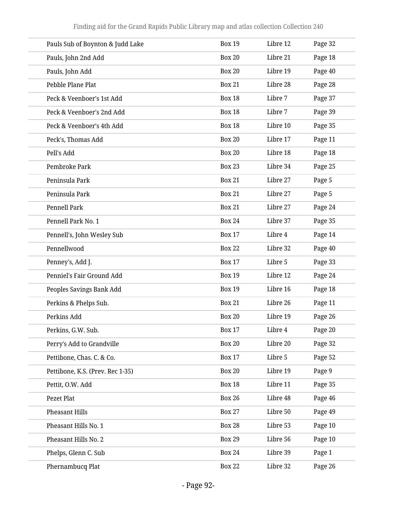| Pauls Sub of Boynton & Judd Lake | <b>Box 19</b> | Libre 12 | Page 32 |
|----------------------------------|---------------|----------|---------|
| Pauls, John 2nd Add              | <b>Box 20</b> | Libre 21 | Page 18 |
| Pauls, John Add                  | <b>Box 20</b> | Libre 19 | Page 40 |
| Pebble Plane Plat                | <b>Box 21</b> | Libre 28 | Page 28 |
| Peck & Veenboer's 1st Add        | <b>Box 18</b> | Libre 7  | Page 37 |
| Peck & Veenboer's 2nd Add        | <b>Box 18</b> | Libre 7  | Page 39 |
| Peck & Veenboer's 4th Add        | <b>Box 18</b> | Libre 10 | Page 35 |
| Peck's, Thomas Add               | <b>Box 20</b> | Libre 17 | Page 11 |
| Pell's Add                       | <b>Box 20</b> | Libre 18 | Page 18 |
| Pembroke Park                    | <b>Box 23</b> | Libre 34 | Page 25 |
| Peninsula Park                   | <b>Box 21</b> | Libre 27 | Page 5  |
| Peninsula Park                   | <b>Box 21</b> | Libre 27 | Page 5  |
| Pennell Park                     | <b>Box 21</b> | Libre 27 | Page 24 |
| Pennell Park No. 1               | <b>Box 24</b> | Libre 37 | Page 35 |
| Pennell's, John Wesley Sub       | <b>Box 17</b> | Libre 4  | Page 14 |
| Pennellwood                      | <b>Box 22</b> | Libre 32 | Page 40 |
| Penney's, Add J.                 | <b>Box 17</b> | Libre 5  | Page 33 |
| Penniel's Fair Ground Add        | <b>Box 19</b> | Libre 12 | Page 24 |
| Peoples Savings Bank Add         | <b>Box 19</b> | Libre 16 | Page 18 |
| Perkins & Phelps Sub.            | <b>Box 21</b> | Libre 26 | Page 11 |
| Perkins Add                      | <b>Box 20</b> | Libre 19 | Page 26 |
| Perkins, G.W. Sub.               | <b>Box 17</b> | Libre 4  | Page 20 |
| Perry's Add to Grandville        | <b>Box 20</b> | Libre 20 | Page 32 |
| Pettibone, Chas. C. & Co.        | <b>Box 17</b> | Libre 5  | Page 52 |
| Pettibone, K.S. (Prev. Rec 1-35) | <b>Box 20</b> | Libre 19 | Page 9  |
| Pettit, O.W. Add                 | <b>Box 18</b> | Libre 11 | Page 35 |
| Pezet Plat                       | <b>Box 26</b> | Libre 48 | Page 46 |
| Pheasant Hills                   | <b>Box 27</b> | Libre 50 | Page 49 |
| Pheasant Hills No. 1             | <b>Box 28</b> | Libre 53 | Page 10 |
| Pheasant Hills No. 2             | <b>Box 29</b> | Libre 56 | Page 10 |
| Phelps, Glenn C. Sub             | <b>Box 24</b> | Libre 39 | Page 1  |
| Phernambucq Plat                 | <b>Box 22</b> | Libre 32 | Page 26 |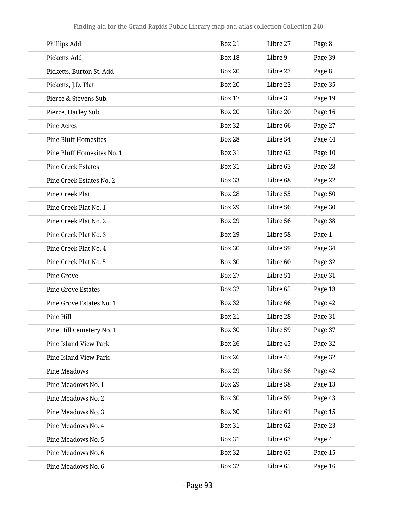| Phillips Add                | <b>Box 21</b> | Libre 27 | Page 8  |
|-----------------------------|---------------|----------|---------|
| Picketts Add                | <b>Box 18</b> | Libre 9  | Page 39 |
| Picketts, Burton St. Add    | <b>Box 20</b> | Libre 23 | Page 8  |
| Picketts, J.D. Plat         | <b>Box 20</b> | Libre 23 | Page 35 |
| Pierce & Stevens Sub.       | <b>Box 17</b> | Libre 3  | Page 19 |
| Pierce, Harley Sub          | <b>Box 20</b> | Libre 20 | Page 16 |
| <b>Pine Acres</b>           | <b>Box 32</b> | Libre 66 | Page 27 |
| <b>Pine Bluff Homesites</b> | <b>Box 28</b> | Libre 54 | Page 44 |
| Pine Bluff Homesites No. 1  | <b>Box 31</b> | Libre 62 | Page 10 |
| <b>Pine Creek Estates</b>   | <b>Box 31</b> | Libre 63 | Page 28 |
| Pine Creek Estates No. 2    | <b>Box 33</b> | Libre 68 | Page 22 |
| Pine Creek Plat             | <b>Box 28</b> | Libre 55 | Page 50 |
| Pine Creek Plat No. 1       | <b>Box 29</b> | Libre 56 | Page 30 |
| Pine Creek Plat No. 2       | <b>Box 29</b> | Libre 56 | Page 38 |
| Pine Creek Plat No. 3       | <b>Box 29</b> | Libre 58 | Page 1  |
| Pine Creek Plat No. 4       | <b>Box 30</b> | Libre 59 | Page 34 |
| Pine Creek Plat No. 5       | <b>Box 30</b> | Libre 60 | Page 32 |
| Pine Grove                  | <b>Box 27</b> | Libre 51 | Page 31 |
| <b>Pine Grove Estates</b>   | <b>Box 32</b> | Libre 65 | Page 18 |
| Pine Grove Estates No. 1    | <b>Box 32</b> | Libre 66 | Page 42 |
| Pine Hill                   | <b>Box 21</b> | Libre 28 | Page 31 |
| Pine Hill Cemetery No. 1    | <b>Box 30</b> | Libre 59 | Page 37 |
| Pine Island View Park       | <b>Box 26</b> | Libre 45 | Page 32 |
| Pine Island View Park       | <b>Box 26</b> | Libre 45 | Page 32 |
| Pine Meadows                | <b>Box 29</b> | Libre 56 | Page 42 |
| Pine Meadows No. 1          | <b>Box 29</b> | Libre 58 | Page 13 |
| Pine Meadows No. 2          | <b>Box 30</b> | Libre 59 | Page 43 |
| Pine Meadows No. 3          | <b>Box 30</b> | Libre 61 | Page 15 |
| Pine Meadows No. 4          | <b>Box 31</b> | Libre 62 | Page 23 |
| Pine Meadows No. 5          | <b>Box 31</b> | Libre 63 | Page 4  |
| Pine Meadows No. 6          | <b>Box 32</b> | Libre 65 | Page 15 |
| Pine Meadows No. 6          | <b>Box 32</b> | Libre 65 | Page 16 |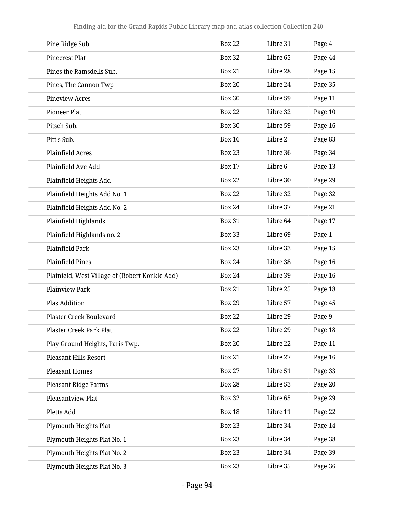| Pine Ridge Sub.                                | <b>Box 22</b> | Libre 31 | Page 4  |
|------------------------------------------------|---------------|----------|---------|
| <b>Pinecrest Plat</b>                          | <b>Box 32</b> | Libre 65 | Page 44 |
| Pines the Ramsdells Sub.                       | <b>Box 21</b> | Libre 28 | Page 15 |
| Pines, The Cannon Twp                          | <b>Box 20</b> | Libre 24 | Page 35 |
| <b>Pineview Acres</b>                          | <b>Box 30</b> | Libre 59 | Page 11 |
| <b>Pioneer Plat</b>                            | <b>Box 22</b> | Libre 32 | Page 10 |
| Pitsch Sub.                                    | <b>Box 30</b> | Libre 59 | Page 16 |
| Pitt's Sub.                                    | <b>Box 16</b> | Libre 2  | Page 83 |
| <b>Plainfield Acres</b>                        | <b>Box 23</b> | Libre 36 | Page 34 |
| Plainfield Ave Add                             | <b>Box 17</b> | Libre 6  | Page 13 |
| Plainfield Heights Add                         | <b>Box 22</b> | Libre 30 | Page 29 |
| Plainfield Heights Add No. 1                   | <b>Box 22</b> | Libre 32 | Page 32 |
| Plainfield Heights Add No. 2                   | <b>Box 24</b> | Libre 37 | Page 21 |
| Plainfield Highlands                           | <b>Box 31</b> | Libre 64 | Page 17 |
| Plainfield Highlands no. 2                     | <b>Box 33</b> | Libre 69 | Page 1  |
| Plainfield Park                                | <b>Box 23</b> | Libre 33 | Page 15 |
| <b>Plainfield Pines</b>                        | <b>Box 24</b> | Libre 38 | Page 16 |
| Plainield, West Village of (Robert Konkle Add) | <b>Box 24</b> | Libre 39 | Page 16 |
| <b>Plainview Park</b>                          | <b>Box 21</b> | Libre 25 | Page 18 |
| <b>Plas Addition</b>                           | <b>Box 29</b> | Libre 57 | Page 45 |
| <b>Plaster Creek Boulevard</b>                 | <b>Box 22</b> | Libre 29 | Page 9  |
| Plaster Creek Park Plat                        | <b>Box 22</b> | Libre 29 | Page 18 |
| Play Ground Heights, Paris Twp.                | <b>Box 20</b> | Libre 22 | Page 11 |
| <b>Pleasant Hills Resort</b>                   | <b>Box 21</b> | Libre 27 | Page 16 |
| <b>Pleasant Homes</b>                          | <b>Box 27</b> | Libre 51 | Page 33 |
| <b>Pleasant Ridge Farms</b>                    | <b>Box 28</b> | Libre 53 | Page 20 |
| Pleasantview Plat                              | <b>Box 32</b> | Libre 65 | Page 29 |
| Pletts Add                                     | <b>Box 18</b> | Libre 11 | Page 22 |
| Plymouth Heights Plat                          | <b>Box 23</b> | Libre 34 | Page 14 |
| Plymouth Heights Plat No. 1                    | <b>Box 23</b> | Libre 34 | Page 38 |
| Plymouth Heights Plat No. 2                    | <b>Box 23</b> | Libre 34 | Page 39 |
| Plymouth Heights Plat No. 3                    | <b>Box 23</b> | Libre 35 | Page 36 |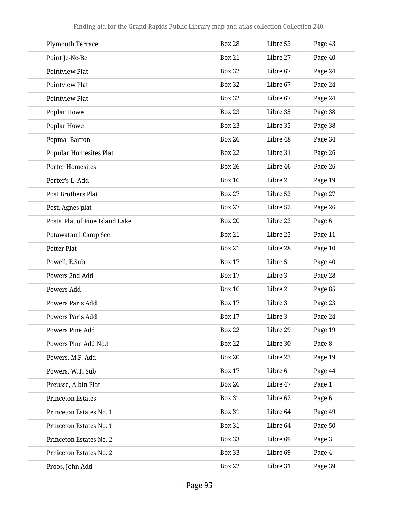| <b>Plymouth Terrace</b>         | <b>Box 28</b> | Libre 53 | Page 43 |
|---------------------------------|---------------|----------|---------|
| Point Je-Ne-Be                  | <b>Box 21</b> | Libre 27 | Page 40 |
| <b>Pointview Plat</b>           | <b>Box 32</b> | Libre 67 | Page 24 |
| <b>Pointview Plat</b>           | <b>Box 32</b> | Libre 67 | Page 24 |
| <b>Pointview Plat</b>           | <b>Box 32</b> | Libre 67 | Page 24 |
| Poplar Howe                     | <b>Box 23</b> | Libre 35 | Page 38 |
| Poplar Howe                     | <b>Box 23</b> | Libre 35 | Page 38 |
| Popma-Barron                    | <b>Box 26</b> | Libre 48 | Page 34 |
| <b>Popular Homesites Plat</b>   | <b>Box 22</b> | Libre 31 | Page 26 |
| <b>Porter Homesites</b>         | <b>Box 26</b> | Libre 46 | Page 26 |
| Porter's L. Add                 | <b>Box 16</b> | Libre 2  | Page 19 |
| Post Brothers Plat              | <b>Box 27</b> | Libre 52 | Page 27 |
| Post, Agnes plat                | <b>Box 27</b> | Libre 52 | Page 26 |
| Posts' Plat of Pine Island Lake | <b>Box 20</b> | Libre 22 | Page 6  |
| Potawatami Camp Sec             | <b>Box 21</b> | Libre 25 | Page 11 |
| Potter Plat                     | <b>Box 21</b> | Libre 28 | Page 10 |
| Powell, E.Sub                   | <b>Box 17</b> | Libre 5  | Page 40 |
| Powers 2nd Add                  | <b>Box 17</b> | Libre 3  | Page 28 |
| Powers Add                      | <b>Box 16</b> | Libre 2  | Page 85 |
| Powers Paris Add                | <b>Box 17</b> | Libre 3  | Page 23 |
| Powers Paris Add                | <b>Box 17</b> | Libre 3  | Page 24 |
| Powers Pine Add                 | <b>Box 22</b> | Libre 29 | Page 19 |
| Powers Pine Add No.1            | <b>Box 22</b> | Libre 30 | Page 8  |
| Powers, M.F. Add                | <b>Box 20</b> | Libre 23 | Page 19 |
| Powers, W.T. Sub.               | <b>Box 17</b> | Libre 6  | Page 44 |
| Preusse, Albin Plat             | <b>Box 26</b> | Libre 47 | Page 1  |
| <b>Princeton Estates</b>        | <b>Box 31</b> | Libre 62 | Page 6  |
| Princeton Estates No. 1         | <b>Box 31</b> | Libre 64 | Page 49 |
| Princeton Estates No. 1         | <b>Box 31</b> | Libre 64 | Page 50 |
| Princeton Estates No. 2         | <b>Box 33</b> | Libre 69 | Page 3  |
| Prniceton Estates No. 2         | <b>Box 33</b> | Libre 69 | Page 4  |
| Proos, John Add                 | <b>Box 22</b> | Libre 31 | Page 39 |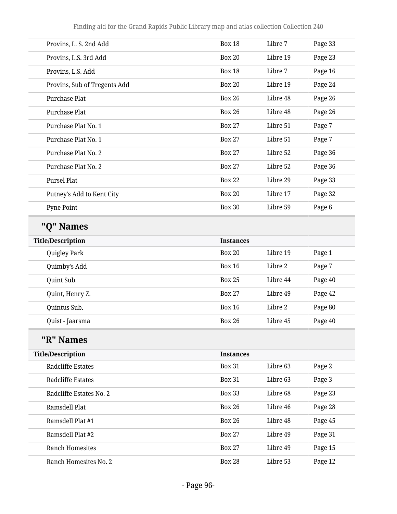Finding aid for the Grand Rapids Public Library map and atlas collection Collection 240

| Provins, L. S. 2nd Add       | <b>Box 18</b>    | Libre 7  | Page 33 |
|------------------------------|------------------|----------|---------|
| Provins, L.S. 3rd Add        | <b>Box 20</b>    | Libre 19 | Page 23 |
| Provins, L.S. Add            | <b>Box 18</b>    | Libre 7  | Page 16 |
| Provins, Sub of Tregents Add | <b>Box 20</b>    | Libre 19 | Page 24 |
| <b>Purchase Plat</b>         | <b>Box 26</b>    | Libre 48 | Page 26 |
| Purchase Plat                | <b>Box 26</b>    | Libre 48 | Page 26 |
| Purchase Plat No. 1          | <b>Box 27</b>    | Libre 51 | Page 7  |
| Purchase Plat No. 1          | <b>Box 27</b>    | Libre 51 | Page 7  |
| Purchase Plat No. 2          | <b>Box 27</b>    | Libre 52 | Page 36 |
| Purchase Plat No. 2          | <b>Box 27</b>    | Libre 52 | Page 36 |
| <b>Pursel Plat</b>           | <b>Box 22</b>    | Libre 29 | Page 33 |
| Putney's Add to Kent City    | <b>Box 20</b>    | Libre 17 | Page 32 |
| Pyne Point                   | <b>Box 30</b>    | Libre 59 | Page 6  |
| "Q" Names                    |                  |          |         |
| <b>Title/Description</b>     | <b>Instances</b> |          |         |
| Quigley Park                 | <b>Box 20</b>    | Libre 19 | Page 1  |
| Quimby's Add                 | <b>Box 16</b>    | Libre 2  | Page 7  |
| Quint Sub.                   | <b>Box 25</b>    | Libre 44 | Page 40 |
| Quint, Henry Z.              | <b>Box 27</b>    | Libre 49 | Page 42 |
| Quintus Sub.                 | <b>Box 16</b>    | Libre 2  | Page 80 |
| Quist - Jaarsma              | <b>Box 26</b>    | Libre 45 | Page 40 |
| "R" Names                    |                  |          |         |
| <b>Title/Description</b>     | <b>Instances</b> |          |         |
| <b>Radcliffe Estates</b>     | <b>Box 31</b>    | Libre 63 | Page 2  |
| <b>Radcliffe Estates</b>     | <b>Box 31</b>    | Libre 63 | Page 3  |
| Radcliffe Estates No. 2      | <b>Box 33</b>    | Libre 68 | Page 23 |
| Ramsdell Plat                | <b>Box 26</b>    | Libre 46 | Page 28 |
| Ramsdell Plat #1             | <b>Box 26</b>    | Libre 48 | Page 45 |
| Ramsdell Plat #2             | <b>Box 27</b>    | Libre 49 | Page 31 |
| <b>Ranch Homesites</b>       | <b>Box 27</b>    | Libre 49 | Page 15 |
| Ranch Homesites No. 2        | <b>Box 28</b>    | Libre 53 | Page 12 |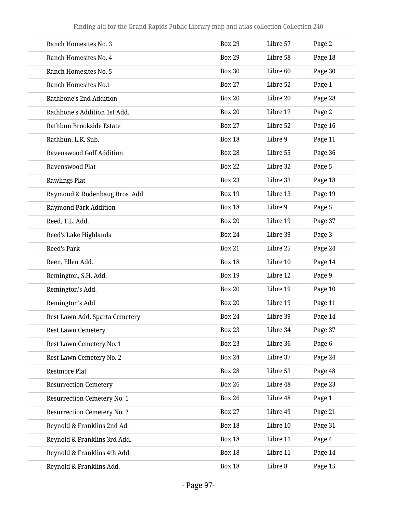| Ranch Homesites No. 3              | <b>Box 29</b> | Libre 57 | Page 2  |
|------------------------------------|---------------|----------|---------|
| Ranch Homesites No. 4              | <b>Box 29</b> | Libre 58 | Page 18 |
| Ranch Homesites No. 5              | <b>Box 30</b> | Libre 60 | Page 30 |
| Ranch Homesites No.1               | <b>Box 27</b> | Libre 52 | Page 1  |
| Rathbone's 2nd Addition            | <b>Box 20</b> | Libre 20 | Page 28 |
| Rathbone's Addition 1st Add.       | <b>Box 20</b> | Libre 17 | Page 2  |
| Rathbun Brookside Estate           | <b>Box 27</b> | Libre 52 | Page 16 |
| Rathbun, L.K. Sub.                 | <b>Box 18</b> | Libre 9  | Page 11 |
| <b>Ravenswood Golf Addition</b>    | <b>Box 28</b> | Libre 55 | Page 36 |
| Ravenswood Plat                    | <b>Box 22</b> | Libre 32 | Page 5  |
| <b>Rawlings Plat</b>               | <b>Box 23</b> | Libre 33 | Page 18 |
| Raymond & Rodenbaug Bros. Add.     | <b>Box 19</b> | Libre 13 | Page 19 |
| <b>Raymond Park Addition</b>       | <b>Box 18</b> | Libre 9  | Page 5  |
| Reed, T.E. Add.                    | <b>Box 20</b> | Libre 19 | Page 37 |
| Reed's Lake Highlands              | <b>Box 24</b> | Libre 39 | Page 3  |
| <b>Reed's Park</b>                 | <b>Box 21</b> | Libre 25 | Page 24 |
| Reen, Ellen Add.                   | <b>Box 18</b> | Libre 10 | Page 14 |
| Remington, S.H. Add.               | <b>Box 19</b> | Libre 12 | Page 9  |
| Remington's Add.                   | <b>Box 20</b> | Libre 19 | Page 10 |
| Remington's Add.                   | <b>Box 20</b> | Libre 19 | Page 11 |
| Rest Lawn Add. Sparta Cemetery     | <b>Box 24</b> | Libre 39 | Page 14 |
| <b>Rest Lawn Cemetery</b>          | <b>Box 23</b> | Libre 34 | Page 37 |
| Rest Lawn Cemetery No. 1           | <b>Box 23</b> | Libre 36 | Page 6  |
| Rest Lawn Cemetery No. 2           | <b>Box 24</b> | Libre 37 | Page 24 |
| <b>Restmore Plat</b>               | <b>Box 28</b> | Libre 53 | Page 48 |
| <b>Resurrection Cemetery</b>       | <b>Box 26</b> | Libre 48 | Page 23 |
| <b>Resurrection Cemetery No. 1</b> | <b>Box 26</b> | Libre 48 | Page 1  |
| <b>Resurrection Cemetery No. 2</b> | <b>Box 27</b> | Libre 49 | Page 21 |
| Reynold & Franklins 2nd Ad.        | <b>Box 18</b> | Libre 10 | Page 31 |
| Reynold & Franklins 3rd Add.       | <b>Box 18</b> | Libre 11 | Page 4  |
| Reynold & Franklins 4th Add.       | <b>Box 18</b> | Libre 11 | Page 14 |
| Reynold & Franklins Add.           | <b>Box 18</b> | Libre 8  | Page 15 |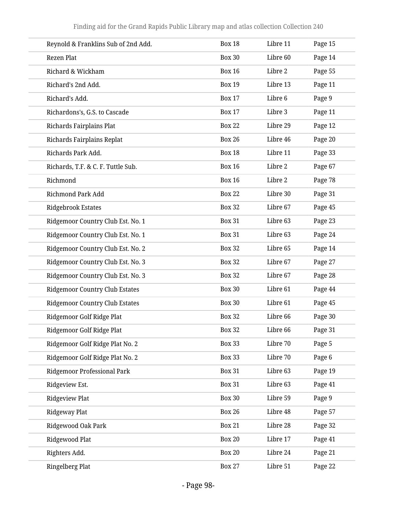| Reynold & Franklins Sub of 2nd Add.   | <b>Box 18</b> | Libre 11 | Page 15 |
|---------------------------------------|---------------|----------|---------|
| Rezen Plat                            | <b>Box 30</b> | Libre 60 | Page 14 |
| Richard & Wickham                     | <b>Box 16</b> | Libre 2  | Page 55 |
| Richard's 2nd Add.                    | <b>Box 19</b> | Libre 13 | Page 11 |
| Richard's Add.                        | <b>Box 17</b> | Libre 6  | Page 9  |
| Richardons's, G.S. to Cascade         | <b>Box 17</b> | Libre 3  | Page 11 |
| Richards Fairplains Plat              | <b>Box 22</b> | Libre 29 | Page 12 |
| Richards Fairplains Replat            | <b>Box 26</b> | Libre 46 | Page 20 |
| Richards Park Add.                    | <b>Box 18</b> | Libre 11 | Page 33 |
| Richards, T.F. & C.F. Tuttle Sub.     | <b>Box 16</b> | Libre 2  | Page 67 |
| Richmond                              | <b>Box 16</b> | Libre 2  | Page 78 |
| <b>Richmond Park Add</b>              | <b>Box 22</b> | Libre 30 | Page 31 |
| <b>Ridgebrook Estates</b>             | <b>Box 32</b> | Libre 67 | Page 45 |
| Ridgemoor Country Club Est. No. 1     | <b>Box 31</b> | Libre 63 | Page 23 |
| Ridgemoor Country Club Est. No. 1     | <b>Box 31</b> | Libre 63 | Page 24 |
| Ridgemoor Country Club Est. No. 2     | <b>Box 32</b> | Libre 65 | Page 14 |
| Ridgemoor Country Club Est. No. 3     | <b>Box 32</b> | Libre 67 | Page 27 |
| Ridgemoor Country Club Est. No. 3     | <b>Box 32</b> | Libre 67 | Page 28 |
| <b>Ridgemoor Country Club Estates</b> | <b>Box 30</b> | Libre 61 | Page 44 |
| <b>Ridgemoor Country Club Estates</b> | <b>Box 30</b> | Libre 61 | Page 45 |
| Ridgemoor Golf Ridge Plat             | <b>Box 32</b> | Libre 66 | Page 30 |
| Ridgemoor Golf Ridge Plat             | <b>Box 32</b> | Libre 66 | Page 31 |
| Ridgemoor Golf Ridge Plat No. 2       | <b>Box 33</b> | Libre 70 | Page 5  |
| Ridgemoor Golf Ridge Plat No. 2       | <b>Box 33</b> | Libre 70 | Page 6  |
| Ridgemoor Professional Park           | <b>Box 31</b> | Libre 63 | Page 19 |
| Ridgeview Est.                        | <b>Box 31</b> | Libre 63 | Page 41 |
| <b>Ridgeview Plat</b>                 | <b>Box 30</b> | Libre 59 | Page 9  |
| Ridgeway Plat                         | <b>Box 26</b> | Libre 48 | Page 57 |
| Ridgewood Oak Park                    | <b>Box 21</b> | Libre 28 | Page 32 |
| Ridgewood Plat                        | <b>Box 20</b> | Libre 17 | Page 41 |
| Righters Add.                         | <b>Box 20</b> | Libre 24 | Page 21 |
| <b>Ringelberg Plat</b>                | <b>Box 27</b> | Libre 51 | Page 22 |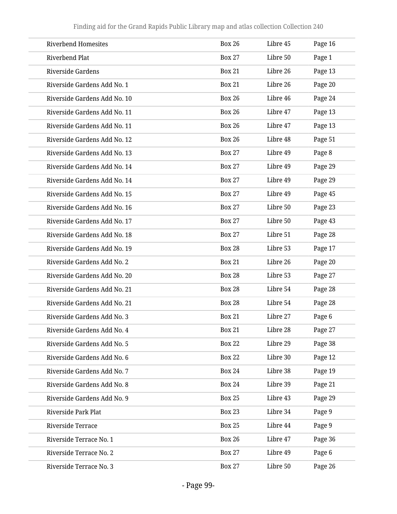| <b>Riverbend Homesites</b>   | <b>Box 26</b> | Libre 45 | Page 16 |
|------------------------------|---------------|----------|---------|
| Riverbend Plat               | <b>Box 27</b> | Libre 50 | Page 1  |
| <b>Riverside Gardens</b>     | <b>Box 21</b> | Libre 26 | Page 13 |
| Riverside Gardens Add No. 1  | <b>Box 21</b> | Libre 26 | Page 20 |
| Riverside Gardens Add No. 10 | <b>Box 26</b> | Libre 46 | Page 24 |
| Riverside Gardens Add No. 11 | <b>Box 26</b> | Libre 47 | Page 13 |
| Riverside Gardens Add No. 11 | <b>Box 26</b> | Libre 47 | Page 13 |
| Riverside Gardens Add No. 12 | <b>Box 26</b> | Libre 48 | Page 51 |
| Riverside Gardens Add No. 13 | <b>Box 27</b> | Libre 49 | Page 8  |
| Riverside Gardens Add No. 14 | <b>Box 27</b> | Libre 49 | Page 29 |
| Riverside Gardens Add No. 14 | <b>Box 27</b> | Libre 49 | Page 29 |
| Riverside Gardens Add No. 15 | <b>Box 27</b> | Libre 49 | Page 45 |
| Riverside Gardens Add No. 16 | <b>Box 27</b> | Libre 50 | Page 23 |
| Riverside Gardens Add No. 17 | <b>Box 27</b> | Libre 50 | Page 43 |
| Riverside Gardens Add No. 18 | <b>Box 27</b> | Libre 51 | Page 28 |
| Riverside Gardens Add No. 19 | <b>Box 28</b> | Libre 53 | Page 17 |
| Riverside Gardens Add No. 2  | <b>Box 21</b> | Libre 26 | Page 20 |
| Riverside Gardens Add No. 20 | <b>Box 28</b> | Libre 53 | Page 27 |
| Riverside Gardens Add No. 21 | <b>Box 28</b> | Libre 54 | Page 28 |
| Riverside Gardens Add No. 21 | <b>Box 28</b> | Libre 54 | Page 28 |
| Riverside Gardens Add No. 3  | <b>Box 21</b> | Libre 27 | Page 6  |
| Riverside Gardens Add No. 4  | <b>Box 21</b> | Libre 28 | Page 27 |
| Riverside Gardens Add No. 5  | <b>Box 22</b> | Libre 29 | Page 38 |
| Riverside Gardens Add No. 6  | <b>Box 22</b> | Libre 30 | Page 12 |
| Riverside Gardens Add No. 7  | <b>Box 24</b> | Libre 38 | Page 19 |
| Riverside Gardens Add No. 8  | <b>Box 24</b> | Libre 39 | Page 21 |
| Riverside Gardens Add No. 9  | <b>Box 25</b> | Libre 43 | Page 29 |
| Riverside Park Plat          | <b>Box 23</b> | Libre 34 | Page 9  |
| Riverside Terrace            | <b>Box 25</b> | Libre 44 | Page 9  |
| Riverside Terrace No. 1      | <b>Box 26</b> | Libre 47 | Page 36 |
| Riverside Terrace No. 2      | <b>Box 27</b> | Libre 49 | Page 6  |
| Riverside Terrace No. 3      | <b>Box 27</b> | Libre 50 | Page 26 |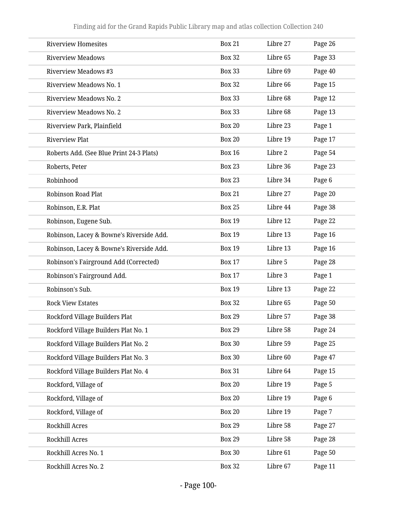| <b>Riverview Homesites</b>               | <b>Box 21</b> | Libre 27 | Page 26 |
|------------------------------------------|---------------|----------|---------|
| <b>Riverview Meadows</b>                 | <b>Box 32</b> | Libre 65 | Page 33 |
| <b>Riverview Meadows #3</b>              | <b>Box 33</b> | Libre 69 | Page 40 |
| Riverview Meadows No. 1                  | <b>Box 32</b> | Libre 66 | Page 15 |
| Riverview Meadows No. 2                  | <b>Box 33</b> | Libre 68 | Page 12 |
| Riverview Meadows No. 2                  | <b>Box 33</b> | Libre 68 | Page 13 |
| Riverview Park, Plainfield               | <b>Box 20</b> | Libre 23 | Page 1  |
| <b>Riverview Plat</b>                    | <b>Box 20</b> | Libre 19 | Page 17 |
| Roberts Add. (See Blue Print 24-3 Plats) | <b>Box 16</b> | Libre 2  | Page 54 |
| Roberts, Peter                           | <b>Box 23</b> | Libre 36 | Page 23 |
| Robinhood                                | <b>Box 23</b> | Libre 34 | Page 6  |
| <b>Robinson Road Plat</b>                | <b>Box 21</b> | Libre 27 | Page 20 |
| Robinson, E.R. Plat                      | <b>Box 25</b> | Libre 44 | Page 38 |
| Robinson, Eugene Sub.                    | <b>Box 19</b> | Libre 12 | Page 22 |
| Robinson, Lacey & Bowne's Riverside Add. | <b>Box 19</b> | Libre 13 | Page 16 |
| Robinson, Lacey & Bowne's Riverside Add. | <b>Box 19</b> | Libre 13 | Page 16 |
| Robinson's Fairground Add (Corrected)    | <b>Box 17</b> | Libre 5  | Page 28 |
| Robinson's Fairground Add.               | <b>Box 17</b> | Libre 3  | Page 1  |
| Robinson's Sub.                          | <b>Box 19</b> | Libre 13 | Page 22 |
| <b>Rock View Estates</b>                 | <b>Box 32</b> | Libre 65 | Page 50 |
| Rockford Village Builders Plat           | <b>Box 29</b> | Libre 57 | Page 38 |
| Rockford Village Builders Plat No. 1     | <b>Box 29</b> | Libre 58 | Page 24 |
| Rockford Village Builders Plat No. 2     | <b>Box 30</b> | Libre 59 | Page 25 |
| Rockford Village Builders Plat No. 3     | <b>Box 30</b> | Libre 60 | Page 47 |
| Rockford Village Builders Plat No. 4     | <b>Box 31</b> | Libre 64 | Page 15 |
| Rockford, Village of                     | <b>Box 20</b> | Libre 19 | Page 5  |
| Rockford, Village of                     | <b>Box 20</b> | Libre 19 | Page 6  |
| Rockford, Village of                     | <b>Box 20</b> | Libre 19 | Page 7  |
| Rockhill Acres                           | <b>Box 29</b> | Libre 58 | Page 27 |
| Rockhill Acres                           | <b>Box 29</b> | Libre 58 | Page 28 |
| Rockhill Acres No. 1                     | <b>Box 30</b> | Libre 61 | Page 50 |
| Rockhill Acres No. 2                     | <b>Box 32</b> | Libre 67 | Page 11 |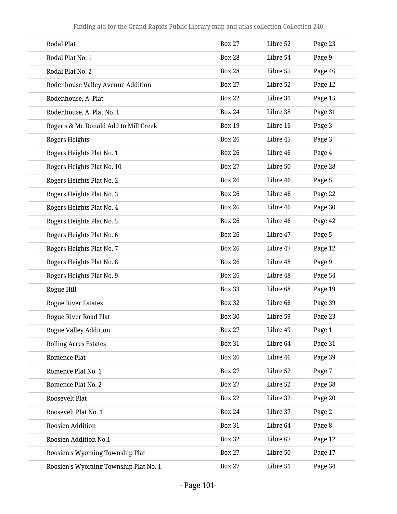| <b>Rodal Plat</b>                     | <b>Box 27</b> | Libre 52 | Page 23 |
|---------------------------------------|---------------|----------|---------|
| Rodal Plat No. 1                      | <b>Box 28</b> | Libre 54 | Page 9  |
| Rodal Plat No. 2                      | <b>Box 28</b> | Libre 55 | Page 46 |
| Rodenhouse Valley Avenue Addition     | <b>Box 27</b> | Libre 52 | Page 12 |
| Rodenhouse, A. Plat                   | <b>Box 22</b> | Libre 31 | Page 15 |
| Rodenhouse, A. Plat No. 1             | <b>Box 24</b> | Libre 38 | Page 31 |
| Roger's & Mc Donald Add to Mill Creek | <b>Box 19</b> | Libre 16 | Page 3  |
| Rogers Heights                        | <b>Box 26</b> | Libre 45 | Page 3  |
| Rogers Heights Plat No. 1             | <b>Box 26</b> | Libre 46 | Page 4  |
| Rogers Heights Plat No. 10            | <b>Box 27</b> | Libre 50 | Page 28 |
| Rogers Heights Plat No. 2             | <b>Box 26</b> | Libre 46 | Page 5  |
| Rogers Heights Plat No. 3             | <b>Box 26</b> | Libre 46 | Page 22 |
| Rogers Heights Plat No. 4             | <b>Box 26</b> | Libre 46 | Page 30 |
| Rogers Heights Plat No. 5             | <b>Box 26</b> | Libre 46 | Page 42 |
| Rogers Heights Plat No. 6             | <b>Box 26</b> | Libre 47 | Page 5  |
| Rogers Heights Plat No. 7             | <b>Box 26</b> | Libre 47 | Page 12 |
| Rogers Heights Plat No. 8             | <b>Box 26</b> | Libre 48 | Page 9  |
| Rogers Heights Plat No. 9             | <b>Box 26</b> | Libre 48 | Page 54 |
| Rogue Hill                            | <b>Box 33</b> | Libre 68 | Page 19 |
| <b>Rogue River Estates</b>            | <b>Box 32</b> | Libre 66 | Page 39 |
| <b>Rogue River Road Plat</b>          | <b>Box 30</b> | Libre 59 | Page 23 |
| <b>Rogue Valley Addition</b>          | <b>Box 27</b> | Libre 49 | Page 1  |
| <b>Rolling Acres Estates</b>          | <b>Box 31</b> | Libre 64 | Page 31 |
| Romence Plat                          | <b>Box 26</b> | Libre 46 | Page 39 |
| Romence Plat No. 1                    | <b>Box 27</b> | Libre 52 | Page 7  |
| Romence Plat No. 2                    | <b>Box 27</b> | Libre 52 | Page 38 |
| Roosevelt Plat                        | <b>Box 22</b> | Libre 32 | Page 20 |
| Roosevelt Plat No. 1                  | <b>Box 24</b> | Libre 37 | Page 2  |
| Roosien Addition                      | <b>Box 31</b> | Libre 64 | Page 8  |
| Roosien Addition No.1                 | <b>Box 32</b> | Libre 67 | Page 12 |
| Roosien's Wyoming Township Plat       | <b>Box 27</b> | Libre 50 | Page 17 |
| Roosien's Wyoming Township Plat No. 1 | <b>Box 27</b> | Libre 51 | Page 34 |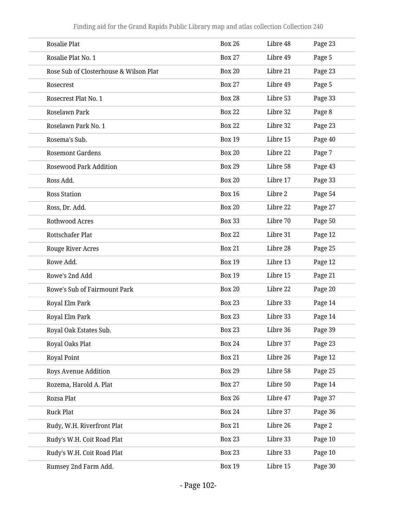| Rosalie Plat                           | <b>Box 26</b> | Libre 48 | Page 23 |
|----------------------------------------|---------------|----------|---------|
| Rosalie Plat No. 1                     | <b>Box 27</b> | Libre 49 | Page 5  |
| Rose Sub of Closterhouse & Wilson Plat | <b>Box 20</b> | Libre 21 | Page 23 |
| Rosecrest                              | <b>Box 27</b> | Libre 49 | Page 5  |
| Rosecrest Plat No. 1                   | <b>Box 28</b> | Libre 53 | Page 33 |
| Roselawn Park                          | <b>Box 22</b> | Libre 32 | Page 8  |
| Roselawn Park No. 1                    | <b>Box 22</b> | Libre 32 | Page 23 |
| Rosema's Sub.                          | <b>Box 19</b> | Libre 15 | Page 40 |
| <b>Rosemont Gardens</b>                | <b>Box 20</b> | Libre 22 | Page 7  |
| <b>Rosewood Park Addition</b>          | <b>Box 29</b> | Libre 58 | Page 43 |
| Ross Add.                              | <b>Box 20</b> | Libre 17 | Page 33 |
| <b>Ross Station</b>                    | <b>Box 16</b> | Libre 2  | Page 54 |
| Ross, Dr. Add.                         | <b>Box 20</b> | Libre 22 | Page 27 |
| <b>Rothwood Acres</b>                  | <b>Box 33</b> | Libre 70 | Page 50 |
| Rottschafer Plat                       | <b>Box 22</b> | Libre 31 | Page 12 |
| Rouge River Acres                      | <b>Box 21</b> | Libre 28 | Page 25 |
| Rowe Add.                              | <b>Box 19</b> | Libre 13 | Page 12 |
| Rowe's 2nd Add                         | <b>Box 19</b> | Libre 15 | Page 21 |
| Rowe's Sub of Fairmount Park           | <b>Box 20</b> | Libre 22 | Page 20 |
| Royal Elm Park                         | <b>Box 23</b> | Libre 33 | Page 14 |
| Royal Elm Park                         | <b>Box 23</b> | Libre 33 | Page 14 |
| Royal Oak Estates Sub.                 | <b>Box 23</b> | Libre 36 | Page 39 |
| Royal Oaks Plat                        | <b>Box 24</b> | Libre 37 | Page 23 |
| Royal Point                            | <b>Box 21</b> | Libre 26 | Page 12 |
| Roys Avenue Addition                   | <b>Box 29</b> | Libre 58 | Page 25 |
| Rozema, Harold A. Plat                 | <b>Box 27</b> | Libre 50 | Page 14 |
| Rozsa Plat                             | <b>Box 26</b> | Libre 47 | Page 37 |
| Ruck Plat                              | <b>Box 24</b> | Libre 37 | Page 36 |
| Rudy, W.H. Riverfront Plat             | <b>Box 21</b> | Libre 26 | Page 2  |
| Rudy's W.H. Coit Road Plat             | <b>Box 23</b> | Libre 33 | Page 10 |
| Rudy's W.H. Coit Road Plat             | <b>Box 23</b> | Libre 33 | Page 10 |
| Rumsey 2nd Farm Add.                   | <b>Box 19</b> | Libre 15 | Page 30 |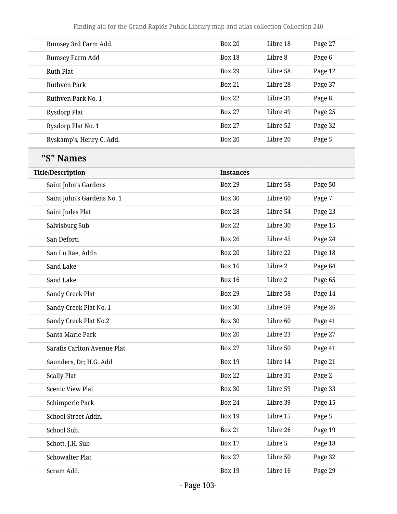| Rumsey 3rd Farm Add.        | <b>Box 20</b>    | Libre 18 | Page 27 |
|-----------------------------|------------------|----------|---------|
| Rumsey Farm Add             | <b>Box 18</b>    | Libre 8  | Page 6  |
| <b>Ruth Plat</b>            | <b>Box 29</b>    | Libre 58 | Page 12 |
| Ruthven Park                | <b>Box 21</b>    | Libre 28 | Page 37 |
| Ruthven Park No. 1          | <b>Box 22</b>    | Libre 31 | Page 8  |
| <b>Rysdorp Plat</b>         | <b>Box 27</b>    | Libre 49 | Page 25 |
| Rysdorp Plat No. 1          | <b>Box 27</b>    | Libre 52 | Page 32 |
| Ryskamp's, Henry C. Add.    | <b>Box 20</b>    | Libre 20 | Page 5  |
| "S" Names                   |                  |          |         |
| <b>Title/Description</b>    | <b>Instances</b> |          |         |
| Saint John's Gardens        | <b>Box 29</b>    | Libre 58 | Page 50 |
| Saint John's Gardens No. 1  | <b>Box 30</b>    | Libre 60 | Page 7  |
| Saint Judes Plat            | <b>Box 28</b>    | Libre 54 | Page 23 |
| Salvisburg Sub              | <b>Box 22</b>    | Libre 30 | Page 15 |
| San Deforti                 | <b>Box 26</b>    | Libre 45 | Page 24 |
| San Lu Rae, Addn            | <b>Box 20</b>    | Libre 22 | Page 18 |
| Sand Lake                   | <b>Box 16</b>    | Libre 2  | Page 64 |
| Sand Lake                   | <b>Box 16</b>    | Libre 2  | Page 65 |
| Sandy Creek Plat            | <b>Box 29</b>    | Libre 58 | Page 14 |
| Sandy Creek Plat No. 1      | <b>Box 30</b>    | Libre 59 | Page 26 |
| Sandy Creek Plat No.2       | <b>Box 30</b>    | Libre 60 | Page 41 |
| Santa Marie Park            | <b>Box 20</b>    | Libre 23 | Page 27 |
| Sarafis Carlton Avenue Plat | <b>Box 27</b>    | Libre 50 | Page 41 |
| Saunders, Dr; H.G. Add      | <b>Box 19</b>    | Libre 14 | Page 21 |
| <b>Scally Plat</b>          | <b>Box 22</b>    | Libre 31 | Page 2  |
| <b>Scenic View Plat</b>     | <b>Box 30</b>    | Libre 59 | Page 33 |
| Schimperle Park             | <b>Box 24</b>    | Libre 39 | Page 15 |
| School Street Addn.         | <b>Box 19</b>    | Libre 15 | Page 5  |
| School Sub.                 | <b>Box 21</b>    | Libre 26 | Page 19 |
| Schott, J.H. Sub            | <b>Box 17</b>    | Libre 5  | Page 18 |
| <b>Schowalter Plat</b>      | <b>Box 27</b>    | Libre 50 | Page 32 |
| Scram Add.                  | <b>Box 19</b>    | Libre 16 | Page 29 |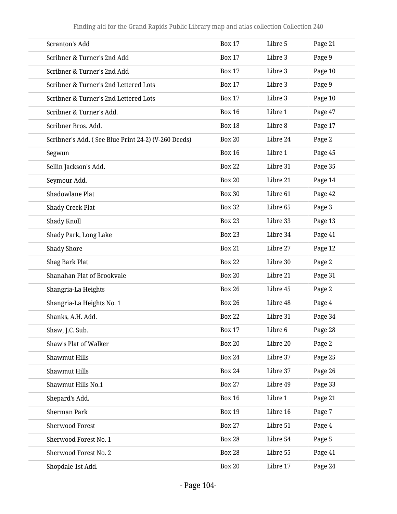| Scranton's Add                                      | <b>Box 17</b> | Libre 5  | Page 21 |
|-----------------------------------------------------|---------------|----------|---------|
| Scribner & Turner's 2nd Add                         | <b>Box 17</b> | Libre 3  | Page 9  |
| Scribner & Turner's 2nd Add                         | <b>Box 17</b> | Libre 3  | Page 10 |
| Scribner & Turner's 2nd Lettered Lots               | <b>Box 17</b> | Libre 3  | Page 9  |
| Scribner & Turner's 2nd Lettered Lots               | <b>Box 17</b> | Libre 3  | Page 10 |
| Scribner & Turner's Add.                            | <b>Box 16</b> | Libre 1  | Page 47 |
| Scribner Bros. Add.                                 | <b>Box 18</b> | Libre 8  | Page 17 |
| Scribner's Add. (See Blue Print 24-2) (V-260 Deeds) | <b>Box 20</b> | Libre 24 | Page 2  |
| Segwun                                              | <b>Box 16</b> | Libre 1  | Page 45 |
| Sellin Jackson's Add.                               | <b>Box 22</b> | Libre 31 | Page 35 |
| Seymour Add.                                        | <b>Box 20</b> | Libre 21 | Page 14 |
| Shadowlane Plat                                     | <b>Box 30</b> | Libre 61 | Page 42 |
| <b>Shady Creek Plat</b>                             | <b>Box 32</b> | Libre 65 | Page 3  |
| Shady Knoll                                         | <b>Box 23</b> | Libre 33 | Page 13 |
| Shady Park, Long Lake                               | <b>Box 23</b> | Libre 34 | Page 41 |
| <b>Shady Shore</b>                                  | <b>Box 21</b> | Libre 27 | Page 12 |
| Shag Bark Plat                                      | <b>Box 22</b> | Libre 30 | Page 2  |
| Shanahan Plat of Brookvale                          | <b>Box 20</b> | Libre 21 | Page 31 |
| Shangria-La Heights                                 | <b>Box 26</b> | Libre 45 | Page 2  |
| Shangria-La Heights No. 1                           | <b>Box 26</b> | Libre 48 | Page 4  |
| Shanks, A.H. Add.                                   | <b>Box 22</b> | Libre 31 | Page 34 |
| Shaw, J.C. Sub.                                     | <b>Box 17</b> | Libre 6  | Page 28 |
| Shaw's Plat of Walker                               | <b>Box 20</b> | Libre 20 | Page 2  |
| Shawmut Hills                                       | <b>Box 24</b> | Libre 37 | Page 25 |
| <b>Shawmut Hills</b>                                | <b>Box 24</b> | Libre 37 | Page 26 |
| Shawmut Hills No.1                                  | <b>Box 27</b> | Libre 49 | Page 33 |
| Shepard's Add.                                      | <b>Box 16</b> | Libre 1  | Page 21 |
| <b>Sherman Park</b>                                 | <b>Box 19</b> | Libre 16 | Page 7  |
| <b>Sherwood Forest</b>                              | <b>Box 27</b> | Libre 51 | Page 4  |
| Sherwood Forest No. 1                               | <b>Box 28</b> | Libre 54 | Page 5  |
| Sherwood Forest No. 2                               | <b>Box 28</b> | Libre 55 | Page 41 |
| Shopdale 1st Add.                                   | <b>Box 20</b> | Libre 17 | Page 24 |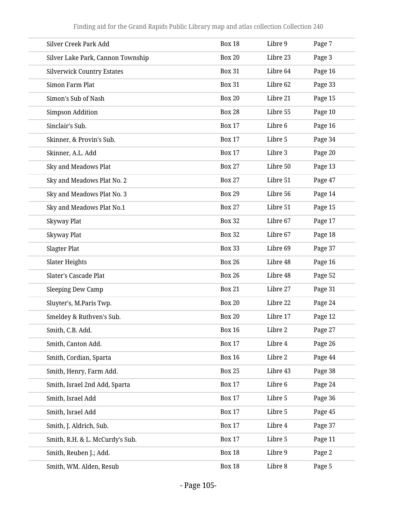| Silver Creek Park Add             | <b>Box 18</b> | Libre 9  | Page 7  |
|-----------------------------------|---------------|----------|---------|
| Silver Lake Park, Cannon Township | <b>Box 20</b> | Libre 23 | Page 3  |
| <b>Silverwick Country Estates</b> | <b>Box 31</b> | Libre 64 | Page 16 |
| Simon Farm Plat                   | <b>Box 31</b> | Libre 62 | Page 33 |
| Simon's Sub of Nash               | <b>Box 20</b> | Libre 21 | Page 15 |
| <b>Simpson Addition</b>           | <b>Box 28</b> | Libre 55 | Page 10 |
| Sinclair's Sub.                   | <b>Box 17</b> | Libre 6  | Page 16 |
| Skinner, & Provin's Sub.          | <b>Box 17</b> | Libre 5  | Page 34 |
| Skinner, A.L. Add                 | <b>Box 17</b> | Libre 3  | Page 20 |
| Sky and Meadows Plat              | <b>Box 27</b> | Libre 50 | Page 13 |
| Sky and Meadows Plat No. 2        | <b>Box 27</b> | Libre 51 | Page 47 |
| Sky and Meadows Plat No. 3        | <b>Box 29</b> | Libre 56 | Page 14 |
| Sky and Meadows Plat No.1         | <b>Box 27</b> | Libre 51 | Page 15 |
| Skyway Plat                       | <b>Box 32</b> | Libre 67 | Page 17 |
| Skyway Plat                       | <b>Box 32</b> | Libre 67 | Page 18 |
| Slagter Plat                      | <b>Box 33</b> | Libre 69 | Page 37 |
| Slater Heights                    | <b>Box 26</b> | Libre 48 | Page 16 |
| <b>Slater's Cascade Plat</b>      | <b>Box 26</b> | Libre 48 | Page 52 |
| Sleeping Dew Camp                 | <b>Box 21</b> | Libre 27 | Page 31 |
| Sluyter's, M.Paris Twp.           | <b>Box 20</b> | Libre 22 | Page 24 |
| Smeldey & Ruthven's Sub.          | <b>Box 20</b> | Libre 17 | Page 12 |
| Smith, C.B. Add.                  | <b>Box 16</b> | Libre 2  | Page 27 |
| Smith, Canton Add.                | <b>Box 17</b> | Libre 4  | Page 26 |
| Smith, Cordian, Sparta            | <b>Box 16</b> | Libre 2  | Page 44 |
| Smith, Henry, Farm Add.           | <b>Box 25</b> | Libre 43 | Page 38 |
| Smith, Israel 2nd Add, Sparta     | <b>Box 17</b> | Libre 6  | Page 24 |
| Smith, Israel Add                 | <b>Box 17</b> | Libre 5  | Page 36 |
| Smith, Israel Add                 | <b>Box 17</b> | Libre 5  | Page 45 |
| Smith, J. Aldrich, Sub.           | <b>Box 17</b> | Libre 4  | Page 37 |
| Smith, R.H. & L. McCurdy's Sub.   | <b>Box 17</b> | Libre 5  | Page 11 |
| Smith, Reuben J.; Add.            | <b>Box 18</b> | Libre 9  | Page 2  |
| Smith, WM. Alden, Resub           | <b>Box 18</b> | Libre 8  | Page 5  |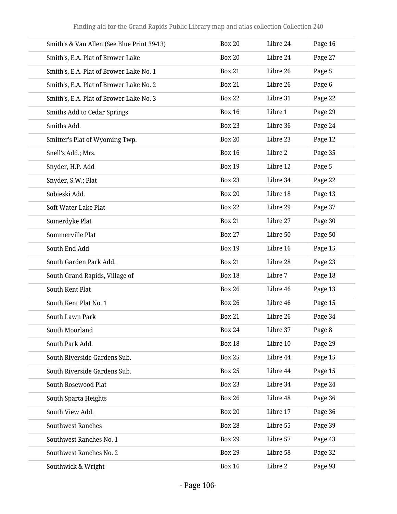| Smith's & Van Allen (See Blue Print 39-13) | <b>Box 20</b> | Libre 24 | Page 16 |
|--------------------------------------------|---------------|----------|---------|
| Smith's, E.A. Plat of Brower Lake          | <b>Box 20</b> | Libre 24 | Page 27 |
| Smith's, E.A. Plat of Brower Lake No. 1    | <b>Box 21</b> | Libre 26 | Page 5  |
| Smith's, E.A. Plat of Brower Lake No. 2    | <b>Box 21</b> | Libre 26 | Page 6  |
| Smith's, E.A. Plat of Brower Lake No. 3    | <b>Box 22</b> | Libre 31 | Page 22 |
| <b>Smiths Add to Cedar Springs</b>         | <b>Box 16</b> | Libre 1  | Page 29 |
| Smiths Add.                                | <b>Box 23</b> | Libre 36 | Page 24 |
| Smitter's Plat of Wyoming Twp.             | <b>Box 20</b> | Libre 23 | Page 12 |
| Snell's Add.; Mrs.                         | <b>Box 16</b> | Libre 2  | Page 35 |
| Snyder, H.P. Add                           | <b>Box 19</b> | Libre 12 | Page 5  |
| Snyder, S.W.; Plat                         | <b>Box 23</b> | Libre 34 | Page 22 |
| Sobieski Add.                              | <b>Box 20</b> | Libre 18 | Page 13 |
| Soft Water Lake Plat                       | <b>Box 22</b> | Libre 29 | Page 37 |
| Somerdyke Plat                             | <b>Box 21</b> | Libre 27 | Page 30 |
| Sommerville Plat                           | <b>Box 27</b> | Libre 50 | Page 50 |
| South End Add                              | <b>Box 19</b> | Libre 16 | Page 15 |
| South Garden Park Add.                     | <b>Box 21</b> | Libre 28 | Page 23 |
| South Grand Rapids, Village of             | <b>Box 18</b> | Libre 7  | Page 18 |
| South Kent Plat                            | <b>Box 26</b> | Libre 46 | Page 13 |
| South Kent Plat No. 1                      | <b>Box 26</b> | Libre 46 | Page 15 |
| South Lawn Park                            | <b>Box 21</b> | Libre 26 | Page 34 |
| South Moorland                             | <b>Box 24</b> | Libre 37 | Page 8  |
| South Park Add.                            | <b>Box 18</b> | Libre 10 | Page 29 |
| South Riverside Gardens Sub.               | <b>Box 25</b> | Libre 44 | Page 15 |
| South Riverside Gardens Sub.               | <b>Box 25</b> | Libre 44 | Page 15 |
| South Rosewood Plat                        | <b>Box 23</b> | Libre 34 | Page 24 |
| South Sparta Heights                       | <b>Box 26</b> | Libre 48 | Page 36 |
| South View Add.                            | <b>Box 20</b> | Libre 17 | Page 36 |
| <b>Southwest Ranches</b>                   | <b>Box 28</b> | Libre 55 | Page 39 |
| Southwest Ranches No. 1                    | <b>Box 29</b> | Libre 57 | Page 43 |
| Southwest Ranches No. 2                    | <b>Box 29</b> | Libre 58 | Page 32 |
| Southwick & Wright                         | <b>Box 16</b> | Libre 2  | Page 93 |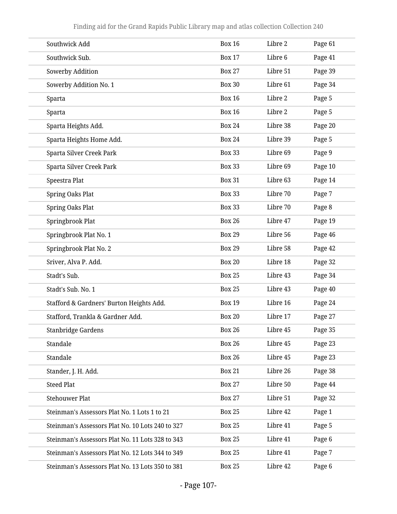| Southwick Add                                    | <b>Box 16</b> | Libre 2  | Page 61 |
|--------------------------------------------------|---------------|----------|---------|
| Southwick Sub.                                   | <b>Box 17</b> | Libre 6  | Page 41 |
| Sowerby Addition                                 | <b>Box 27</b> | Libre 51 | Page 39 |
| Sowerby Addition No. 1                           | <b>Box 30</b> | Libre 61 | Page 34 |
| Sparta                                           | <b>Box 16</b> | Libre 2  | Page 5  |
| Sparta                                           | <b>Box 16</b> | Libre 2  | Page 5  |
| Sparta Heights Add.                              | <b>Box 24</b> | Libre 38 | Page 20 |
| Sparta Heights Home Add.                         | <b>Box 24</b> | Libre 39 | Page 5  |
| Sparta Silver Creek Park                         | <b>Box 33</b> | Libre 69 | Page 9  |
| Sparta Silver Creek Park                         | <b>Box 33</b> | Libre 69 | Page 10 |
| Speestra Plat                                    | <b>Box 31</b> | Libre 63 | Page 14 |
| <b>Spring Oaks Plat</b>                          | <b>Box 33</b> | Libre 70 | Page 7  |
| <b>Spring Oaks Plat</b>                          | <b>Box 33</b> | Libre 70 | Page 8  |
| Springbrook Plat                                 | <b>Box 26</b> | Libre 47 | Page 19 |
| Springbrook Plat No. 1                           | <b>Box 29</b> | Libre 56 | Page 46 |
| Springbrook Plat No. 2                           | <b>Box 29</b> | Libre 58 | Page 42 |
| Sriver, Alva P. Add.                             | <b>Box 20</b> | Libre 18 | Page 32 |
| Stadt's Sub.                                     | <b>Box 25</b> | Libre 43 | Page 34 |
| Stadt's Sub. No. 1                               | <b>Box 25</b> | Libre 43 | Page 40 |
| Stafford & Gardners' Burton Heights Add.         | <b>Box 19</b> | Libre 16 | Page 24 |
| Stafford, Trankla & Gardner Add.                 | <b>Box 20</b> | Libre 17 | Page 27 |
| Stanbridge Gardens                               | <b>Box 26</b> | Libre 45 | Page 35 |
| Standale                                         | <b>Box 26</b> | Libre 45 | Page 23 |
| Standale                                         | <b>Box 26</b> | Libre 45 | Page 23 |
| Stander, J. H. Add.                              | <b>Box 21</b> | Libre 26 | Page 38 |
| <b>Steed Plat</b>                                | <b>Box 27</b> | Libre 50 | Page 44 |
| <b>Stehouwer Plat</b>                            | <b>Box 27</b> | Libre 51 | Page 32 |
| Steinman's Assessors Plat No. 1 Lots 1 to 21     | <b>Box 25</b> | Libre 42 | Page 1  |
| Steinman's Assessors Plat No. 10 Lots 240 to 327 | <b>Box 25</b> | Libre 41 | Page 5  |
| Steinman's Assessors Plat No. 11 Lots 328 to 343 | <b>Box 25</b> | Libre 41 | Page 6  |
| Steinman's Assessors Plat No. 12 Lots 344 to 349 | <b>Box 25</b> | Libre 41 | Page 7  |
| Steinman's Assessors Plat No. 13 Lots 350 to 381 | <b>Box 25</b> | Libre 42 | Page 6  |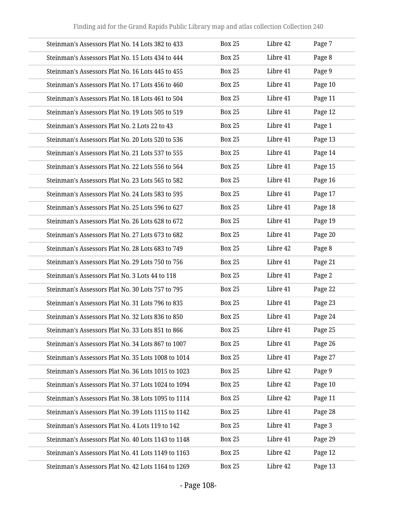| Steinman's Assessors Plat No. 14 Lots 382 to 433   | <b>Box 25</b> | Libre 42 | Page 7  |
|----------------------------------------------------|---------------|----------|---------|
| Steinman's Assessors Plat No. 15 Lots 434 to 444   | <b>Box 25</b> | Libre 41 | Page 8  |
| Steinman's Assessors Plat No. 16 Lots 445 to 455   | <b>Box 25</b> | Libre 41 | Page 9  |
| Steinman's Assessors Plat No. 17 Lots 456 to 460   | <b>Box 25</b> | Libre 41 | Page 10 |
| Steinman's Assessors Plat No. 18 Lots 461 to 504   | <b>Box 25</b> | Libre 41 | Page 11 |
| Steinman's Assessors Plat No. 19 Lots 505 to 519   | <b>Box 25</b> | Libre 41 | Page 12 |
| Steinman's Assessors Plat No. 2 Lots 22 to 43      | <b>Box 25</b> | Libre 41 | Page 1  |
| Steinman's Assessors Plat No. 20 Lots 520 to 536   | <b>Box 25</b> | Libre 41 | Page 13 |
| Steinman's Assessors Plat No. 21 Lots 537 to 555   | <b>Box 25</b> | Libre 41 | Page 14 |
| Steinman's Assessors Plat No. 22 Lots 556 to 564   | <b>Box 25</b> | Libre 41 | Page 15 |
| Steinman's Assessors Plat No. 23 Lots 565 to 582   | <b>Box 25</b> | Libre 41 | Page 16 |
| Steinman's Assessors Plat No. 24 Lots 583 to 595   | <b>Box 25</b> | Libre 41 | Page 17 |
| Steinman's Assessors Plat No. 25 Lots 596 to 627   | <b>Box 25</b> | Libre 41 | Page 18 |
| Steinman's Assessors Plat No. 26 Lots 628 to 672   | <b>Box 25</b> | Libre 41 | Page 19 |
| Steinman's Assessors Plat No. 27 Lots 673 to 682   | <b>Box 25</b> | Libre 41 | Page 20 |
| Steinman's Assessors Plat No. 28 Lots 683 to 749   | <b>Box 25</b> | Libre 42 | Page 8  |
| Steinman's Assessors Plat No. 29 Lots 750 to 756   | <b>Box 25</b> | Libre 41 | Page 21 |
| Steinman's Assessors Plat No. 3 Lots 44 to 118     | <b>Box 25</b> | Libre 41 | Page 2  |
| Steinman's Assessors Plat No. 30 Lots 757 to 795   | <b>Box 25</b> | Libre 41 | Page 22 |
| Steinman's Assessors Plat No. 31 Lots 796 to 835   | <b>Box 25</b> | Libre 41 | Page 23 |
| Steinman's Assessors Plat No. 32 Lots 836 to 850   | <b>Box 25</b> | Libre 41 | Page 24 |
| Steinman's Assessors Plat No. 33 Lots 851 to 866   | <b>Box 25</b> | Libre 41 | Page 25 |
| Steinman's Assessors Plat No. 34 Lots 867 to 1007  | <b>Box 25</b> | Libre 41 | Page 26 |
| Steinman's Assessors Plat No. 35 Lots 1008 to 1014 | <b>Box 25</b> | Libre 41 | Page 27 |
| Steinman's Assessors Plat No. 36 Lots 1015 to 1023 | <b>Box 25</b> | Libre 42 | Page 9  |
| Steinman's Assessors Plat No. 37 Lots 1024 to 1094 | <b>Box 25</b> | Libre 42 | Page 10 |
| Steinman's Assessors Plat No. 38 Lots 1095 to 1114 | <b>Box 25</b> | Libre 42 | Page 11 |
| Steinman's Assessors Plat No. 39 Lots 1115 to 1142 | <b>Box 25</b> | Libre 41 | Page 28 |
| Steinman's Assessors Plat No. 4 Lots 119 to 142    | <b>Box 25</b> | Libre 41 | Page 3  |
| Steinman's Assessors Plat No. 40 Lots 1143 to 1148 | <b>Box 25</b> | Libre 41 | Page 29 |
| Steinman's Assessors Plat No. 41 Lots 1149 to 1163 | <b>Box 25</b> | Libre 42 | Page 12 |
| Steinman's Assessors Plat No. 42 Lots 1164 to 1269 | <b>Box 25</b> | Libre 42 | Page 13 |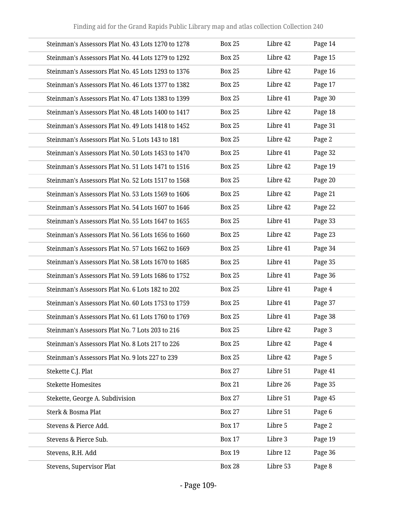| Steinman's Assessors Plat No. 43 Lots 1270 to 1278 | <b>Box 25</b> | Libre 42 | Page 14 |
|----------------------------------------------------|---------------|----------|---------|
| Steinman's Assessors Plat No. 44 Lots 1279 to 1292 | <b>Box 25</b> | Libre 42 | Page 15 |
| Steinman's Assessors Plat No. 45 Lots 1293 to 1376 | <b>Box 25</b> | Libre 42 | Page 16 |
| Steinman's Assessors Plat No. 46 Lots 1377 to 1382 | <b>Box 25</b> | Libre 42 | Page 17 |
| Steinman's Assessors Plat No. 47 Lots 1383 to 1399 | <b>Box 25</b> | Libre 41 | Page 30 |
| Steinman's Assessors Plat No. 48 Lots 1400 to 1417 | <b>Box 25</b> | Libre 42 | Page 18 |
| Steinman's Assessors Plat No. 49 Lots 1418 to 1452 | <b>Box 25</b> | Libre 41 | Page 31 |
| Steinman's Assessors Plat No. 5 Lots 143 to 181    | <b>Box 25</b> | Libre 42 | Page 2  |
| Steinman's Assessors Plat No. 50 Lots 1453 to 1470 | <b>Box 25</b> | Libre 41 | Page 32 |
| Steinman's Assessors Plat No. 51 Lots 1471 to 1516 | <b>Box 25</b> | Libre 42 | Page 19 |
| Steinman's Assessors Plat No. 52 Lots 1517 to 1568 | <b>Box 25</b> | Libre 42 | Page 20 |
| Steinman's Assessors Plat No. 53 Lots 1569 to 1606 | <b>Box 25</b> | Libre 42 | Page 21 |
| Steinman's Assessors Plat No. 54 Lots 1607 to 1646 | <b>Box 25</b> | Libre 42 | Page 22 |
| Steinman's Assessors Plat No. 55 Lots 1647 to 1655 | <b>Box 25</b> | Libre 41 | Page 33 |
| Steinman's Assessors Plat No. 56 Lots 1656 to 1660 | <b>Box 25</b> | Libre 42 | Page 23 |
| Steinman's Assessors Plat No. 57 Lots 1662 to 1669 | <b>Box 25</b> | Libre 41 | Page 34 |
| Steinman's Assessors Plat No. 58 Lots 1670 to 1685 | <b>Box 25</b> | Libre 41 | Page 35 |
| Steinman's Assessors Plat No. 59 Lots 1686 to 1752 | <b>Box 25</b> | Libre 41 | Page 36 |
| Steinman's Assessors Plat No. 6 Lots 182 to 202    | <b>Box 25</b> | Libre 41 | Page 4  |
| Steinman's Assessors Plat No. 60 Lots 1753 to 1759 | <b>Box 25</b> | Libre 41 | Page 37 |
| Steinman's Assessors Plat No. 61 Lots 1760 to 1769 | <b>Box 25</b> | Libre 41 | Page 38 |
| Steinman's Assessors Plat No. 7 Lots 203 to 216    | <b>Box 25</b> | Libre 42 | Page 3  |
| Steinman's Assessors Plat No. 8 Lots 217 to 226    | <b>Box 25</b> | Libre 42 | Page 4  |
| Steinman's Assessors Plat No. 9 lots 227 to 239    | <b>Box 25</b> | Libre 42 | Page 5  |
| Stekette C.J. Plat                                 | <b>Box 27</b> | Libre 51 | Page 41 |
| <b>Stekette Homesites</b>                          | <b>Box 21</b> | Libre 26 | Page 35 |
| Stekette, George A. Subdivision                    | <b>Box 27</b> | Libre 51 | Page 45 |
| Sterk & Bosma Plat                                 | <b>Box 27</b> | Libre 51 | Page 6  |
| Stevens & Pierce Add.                              | <b>Box 17</b> | Libre 5  | Page 2  |
| Stevens & Pierce Sub.                              | <b>Box 17</b> | Libre 3  | Page 19 |
| Stevens, R.H. Add                                  | <b>Box 19</b> | Libre 12 | Page 36 |
| Stevens, Supervisor Plat                           | <b>Box 28</b> | Libre 53 | Page 8  |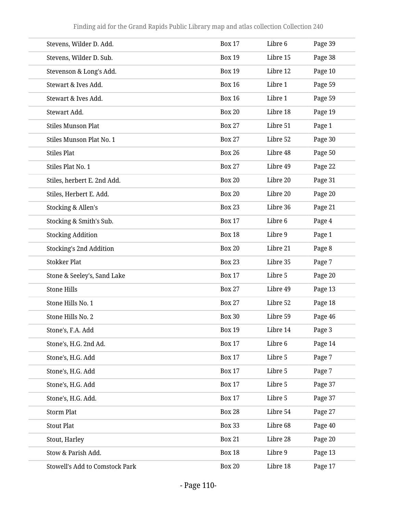| Stevens, Wilder D. Add.               | <b>Box 17</b> | Libre 6  | Page 39 |
|---------------------------------------|---------------|----------|---------|
| Stevens, Wilder D. Sub.               | <b>Box 19</b> | Libre 15 | Page 38 |
| Stevenson & Long's Add.               | <b>Box 19</b> | Libre 12 | Page 10 |
| Stewart & Ives Add.                   | <b>Box 16</b> | Libre 1  | Page 59 |
| Stewart & Ives Add.                   | <b>Box 16</b> | Libre 1  | Page 59 |
| Stewart Add.                          | <b>Box 20</b> | Libre 18 | Page 19 |
| <b>Stiles Munson Plat</b>             | <b>Box 27</b> | Libre 51 | Page 1  |
| Stiles Munson Plat No. 1              | <b>Box 27</b> | Libre 52 | Page 30 |
| <b>Stiles Plat</b>                    | <b>Box 26</b> | Libre 48 | Page 50 |
| Stiles Plat No. 1                     | <b>Box 27</b> | Libre 49 | Page 22 |
| Stiles, herbert E. 2nd Add.           | <b>Box 20</b> | Libre 20 | Page 31 |
| Stiles, Herbert E. Add.               | <b>Box 20</b> | Libre 20 | Page 20 |
| Stocking & Allen's                    | <b>Box 23</b> | Libre 36 | Page 21 |
| Stocking & Smith's Sub.               | <b>Box 17</b> | Libre 6  | Page 4  |
| <b>Stocking Addition</b>              | <b>Box 18</b> | Libre 9  | Page 1  |
| <b>Stocking's 2nd Addition</b>        | <b>Box 20</b> | Libre 21 | Page 8  |
| <b>Stokker Plat</b>                   | <b>Box 23</b> | Libre 35 | Page 7  |
| Stone & Seeley's, Sand Lake           | <b>Box 17</b> | Libre 5  | Page 20 |
| <b>Stone Hills</b>                    | <b>Box 27</b> | Libre 49 | Page 13 |
| Stone Hills No. 1                     | <b>Box 27</b> | Libre 52 | Page 18 |
| Stone Hills No. 2                     | <b>Box 30</b> | Libre 59 | Page 46 |
| Stone's, F.A. Add                     | <b>Box 19</b> | Libre 14 | Page 3  |
| Stone's, H.G. 2nd Ad.                 | <b>Box 17</b> | Libre 6  | Page 14 |
| Stone's, H.G. Add                     | <b>Box 17</b> | Libre 5  | Page 7  |
| Stone's, H.G. Add                     | <b>Box 17</b> | Libre 5  | Page 7  |
| Stone's, H.G. Add                     | <b>Box 17</b> | Libre 5  | Page 37 |
| Stone's, H.G. Add.                    | <b>Box 17</b> | Libre 5  | Page 37 |
| <b>Storm Plat</b>                     | <b>Box 28</b> | Libre 54 | Page 27 |
| <b>Stout Plat</b>                     | <b>Box 33</b> | Libre 68 | Page 40 |
| Stout, Harley                         | <b>Box 21</b> | Libre 28 | Page 20 |
| Stow & Parish Add.                    | <b>Box 18</b> | Libre 9  | Page 13 |
| <b>Stowell's Add to Comstock Park</b> | <b>Box 20</b> | Libre 18 | Page 17 |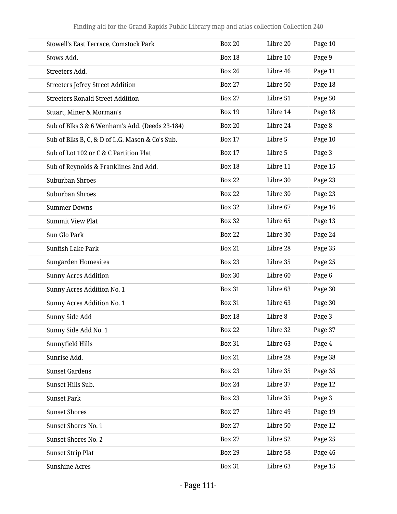| Stowell's East Terrace, Comstock Park           | <b>Box 20</b> | Libre 20 | Page 10 |
|-------------------------------------------------|---------------|----------|---------|
| Stows Add.                                      | <b>Box 18</b> | Libre 10 | Page 9  |
| Streeters Add.                                  | <b>Box 26</b> | Libre 46 | Page 11 |
| <b>Streeters Jefrey Street Addition</b>         | <b>Box 27</b> | Libre 50 | Page 18 |
| <b>Streeters Ronald Street Addition</b>         | <b>Box 27</b> | Libre 51 | Page 50 |
| Stuart, Miner & Morman's                        | <b>Box 19</b> | Libre 14 | Page 18 |
| Sub of Blks 3 & 6 Wenham's Add. (Deeds 23-184)  | <b>Box 20</b> | Libre 24 | Page 8  |
| Sub of Blks B, C, & D of L.G. Mason & Co's Sub. | <b>Box 17</b> | Libre 5  | Page 10 |
| Sub of Lot 102 or C & C Partition Plat          | <b>Box 17</b> | Libre 5  | Page 3  |
| Sub of Reynolds & Franklines 2nd Add.           | <b>Box 18</b> | Libre 11 | Page 15 |
| Suburban Shroes                                 | <b>Box 22</b> | Libre 30 | Page 23 |
| Suburban Shroes                                 | <b>Box 22</b> | Libre 30 | Page 23 |
| <b>Summer Downs</b>                             | <b>Box 32</b> | Libre 67 | Page 16 |
| <b>Summit View Plat</b>                         | <b>Box 32</b> | Libre 65 | Page 13 |
| Sun Glo Park                                    | <b>Box 22</b> | Libre 30 | Page 24 |
| Sunfish Lake Park                               | <b>Box 21</b> | Libre 28 | Page 35 |
| <b>Sungarden Homesites</b>                      | <b>Box 23</b> | Libre 35 | Page 25 |
| <b>Sunny Acres Addition</b>                     | <b>Box 30</b> | Libre 60 | Page 6  |
| Sunny Acres Addition No. 1                      | <b>Box 31</b> | Libre 63 | Page 30 |
| Sunny Acres Addition No. 1                      | <b>Box 31</b> | Libre 63 | Page 30 |
| Sunny Side Add                                  | <b>Box 18</b> | Libre 8  | Page 3  |
| Sunny Side Add No. 1                            | <b>Box 22</b> | Libre 32 | Page 37 |
| Sunnyfield Hills                                | <b>Box 31</b> | Libre 63 | Page 4  |
| Sunrise Add.                                    | <b>Box 21</b> | Libre 28 | Page 38 |
| <b>Sunset Gardens</b>                           | <b>Box 23</b> | Libre 35 | Page 35 |
| Sunset Hills Sub.                               | <b>Box 24</b> | Libre 37 | Page 12 |
| <b>Sunset Park</b>                              | <b>Box 23</b> | Libre 35 | Page 3  |
| <b>Sunset Shores</b>                            | <b>Box 27</b> | Libre 49 | Page 19 |
| Sunset Shores No. 1                             | <b>Box 27</b> | Libre 50 | Page 12 |
| Sunset Shores No. 2                             | <b>Box 27</b> | Libre 52 | Page 25 |
| <b>Sunset Strip Plat</b>                        | <b>Box 29</b> | Libre 58 | Page 46 |
| <b>Sunshine Acres</b>                           | <b>Box 31</b> | Libre 63 | Page 15 |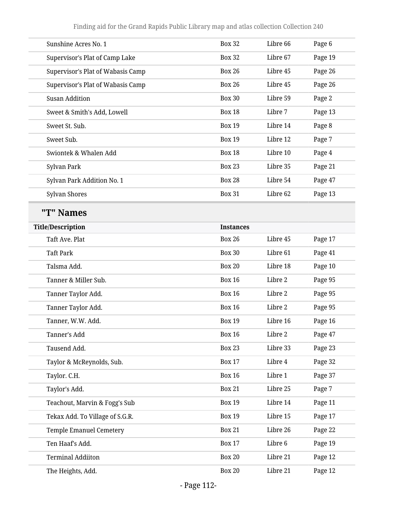| Sunshine Acres No. 1              | <b>Box 32</b>    | Libre 66 | Page 6  |
|-----------------------------------|------------------|----------|---------|
| Supervisor's Plat of Camp Lake    | <b>Box 32</b>    | Libre 67 | Page 19 |
| Supervisor's Plat of Wabasis Camp | <b>Box 26</b>    | Libre 45 | Page 26 |
| Supervisor's Plat of Wabasis Camp | <b>Box 26</b>    | Libre 45 | Page 26 |
| <b>Susan Addition</b>             | <b>Box 30</b>    | Libre 59 | Page 2  |
| Sweet & Smith's Add, Lowell       | <b>Box 18</b>    | Libre 7  | Page 13 |
| Sweet St. Sub.                    | <b>Box 19</b>    | Libre 14 | Page 8  |
| Sweet Sub.                        | <b>Box 19</b>    | Libre 12 | Page 7  |
| Swiontek & Whalen Add             | <b>Box 18</b>    | Libre 10 | Page 4  |
| Sylvan Park                       | <b>Box 23</b>    | Libre 35 | Page 21 |
| Sylvan Park Addition No. 1        | <b>Box 28</b>    | Libre 54 | Page 47 |
| Sylvan Shores                     | <b>Box 31</b>    | Libre 62 | Page 13 |
| "T" Names                         |                  |          |         |
| <b>Title/Description</b>          | <b>Instances</b> |          |         |
| Taft Ave. Plat                    | <b>Box 26</b>    | Libre 45 | Page 17 |
| <b>Taft Park</b>                  | <b>Box 30</b>    | Libre 61 | Page 41 |
| Talsma Add.                       | <b>Box 20</b>    | Libre 18 | Page 10 |
| Tanner & Miller Sub.              | <b>Box 16</b>    | Libre 2  | Page 95 |
| Tanner Taylor Add.                | <b>Box 16</b>    | Libre 2  | Page 95 |
| Tanner Taylor Add.                | <b>Box 16</b>    | Libre 2  | Page 95 |
| Tanner, W.W. Add.                 | <b>Box 19</b>    | Libre 16 | Page 16 |
| Tanner's Add                      | <b>Box 16</b>    | Libre 2  | Page 47 |
| Tausend Add.                      | <b>Box 23</b>    | Libre 33 | Page 23 |
| Taylor & McReynolds, Sub.         | <b>Box 17</b>    | Libre 4  | Page 32 |
| Taylor. C.H.                      | <b>Box 16</b>    | Libre 1  | Page 37 |
| Taylor's Add.                     | <b>Box 21</b>    | Libre 25 | Page 7  |
| Teachout, Marvin & Fogg's Sub     | <b>Box 19</b>    | Libre 14 | Page 11 |
| Tekax Add. To Village of S.G.R.   | <b>Box 19</b>    | Libre 15 | Page 17 |
| <b>Temple Emanuel Cemetery</b>    | <b>Box 21</b>    | Libre 26 | Page 22 |
| Ten Haaf's Add.                   | <b>Box 17</b>    | Libre 6  | Page 19 |
| <b>Terminal Addiiton</b>          | <b>Box 20</b>    | Libre 21 | Page 12 |
| The Heights, Add.                 | <b>Box 20</b>    | Libre 21 | Page 12 |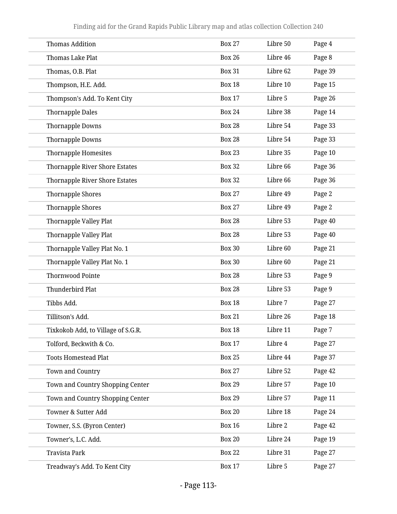| <b>Thomas Addition</b>             | <b>Box 27</b> | Libre 50 | Page 4  |
|------------------------------------|---------------|----------|---------|
| Thomas Lake Plat                   | <b>Box 26</b> | Libre 46 | Page 8  |
| Thomas, O.B. Plat                  | <b>Box 31</b> | Libre 62 | Page 39 |
| Thompson, H.E. Add.                | <b>Box 18</b> | Libre 10 | Page 15 |
| Thompson's Add. To Kent City       | <b>Box 17</b> | Libre 5  | Page 26 |
| <b>Thornapple Dales</b>            | <b>Box 24</b> | Libre 38 | Page 14 |
| Thornapple Downs                   | <b>Box 28</b> | Libre 54 | Page 33 |
| Thornapple Downs                   | <b>Box 28</b> | Libre 54 | Page 33 |
| Thornapple Homesites               | <b>Box 23</b> | Libre 35 | Page 10 |
| Thornapple River Shore Estates     | <b>Box 32</b> | Libre 66 | Page 36 |
| Thornapple River Shore Estates     | <b>Box 32</b> | Libre 66 | Page 36 |
| Thornapple Shores                  | <b>Box 27</b> | Libre 49 | Page 2  |
| Thornapple Shores                  | <b>Box 27</b> | Libre 49 | Page 2  |
| Thornapple Valley Plat             | <b>Box 28</b> | Libre 53 | Page 40 |
| Thornapple Valley Plat             | <b>Box 28</b> | Libre 53 | Page 40 |
| Thornapple Valley Plat No. 1       | <b>Box 30</b> | Libre 60 | Page 21 |
| Thornapple Valley Plat No. 1       | <b>Box 30</b> | Libre 60 | Page 21 |
| <b>Thornwood Pointe</b>            | <b>Box 28</b> | Libre 53 | Page 9  |
| Thunderbird Plat                   | <b>Box 28</b> | Libre 53 | Page 9  |
| Tibbs Add.                         | <b>Box 18</b> | Libre 7  | Page 27 |
| Tillitson's Add.                   | <b>Box 21</b> | Libre 26 | Page 18 |
| Tixkokob Add, to Village of S.G.R. | <b>Box 18</b> | Libre 11 | Page 7  |
| Tolford, Beckwith & Co.            | <b>Box 17</b> | Libre 4  | Page 27 |
| <b>Toots Homestead Plat</b>        | <b>Box 25</b> | Libre 44 | Page 37 |
| Town and Country                   | <b>Box 27</b> | Libre 52 | Page 42 |
| Town and Country Shopping Center   | <b>Box 29</b> | Libre 57 | Page 10 |
| Town and Country Shopping Center   | <b>Box 29</b> | Libre 57 | Page 11 |
| Towner & Sutter Add                | <b>Box 20</b> | Libre 18 | Page 24 |
| Towner, S.S. (Byron Center)        | <b>Box 16</b> | Libre 2  | Page 42 |
| Towner's, L.C. Add.                | <b>Box 20</b> | Libre 24 | Page 19 |
| Travista Park                      | <b>Box 22</b> | Libre 31 | Page 27 |
| Treadway's Add. To Kent City       | <b>Box 17</b> | Libre 5  | Page 27 |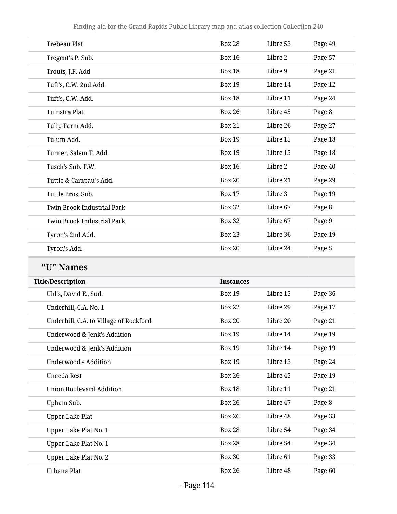Finding aid for the Grand Rapids Public Library map and atlas collection Collection 240

| <b>Trebeau Plat</b>               | <b>Box 28</b> | Libre 53 | Page 49 |
|-----------------------------------|---------------|----------|---------|
| Tregent's P. Sub.                 | <b>Box 16</b> | Libre 2  | Page 57 |
| Trouts, J.F. Add                  | <b>Box 18</b> | Libre 9  | Page 21 |
| Tuft's, C.W. 2nd Add.             | <b>Box 19</b> | Libre 14 | Page 12 |
| Tuft's, C.W. Add.                 | <b>Box 18</b> | Libre 11 | Page 24 |
| Tuinstra Plat                     | <b>Box 26</b> | Libre 45 | Page 8  |
| Tulip Farm Add.                   | <b>Box 21</b> | Libre 26 | Page 27 |
| Tulum Add.                        | <b>Box 19</b> | Libre 15 | Page 18 |
| Turner, Salem T. Add.             | <b>Box 19</b> | Libre 15 | Page 18 |
| Tusch's Sub. F.W.                 | <b>Box 16</b> | Libre 2  | Page 40 |
| Tuttle & Campau's Add.            | <b>Box 20</b> | Libre 21 | Page 29 |
| Tuttle Bros. Sub.                 | <b>Box 17</b> | Libre 3  | Page 19 |
| <b>Twin Brook Industrial Park</b> | <b>Box 32</b> | Libre 67 | Page 8  |
| <b>Twin Brook Industrial Park</b> | <b>Box 32</b> | Libre 67 | Page 9  |
| Tyron's 2nd Add.                  | <b>Box 23</b> | Libre 36 | Page 19 |
| Tyron's Add.                      | <b>Box 20</b> | Libre 24 | Page 5  |
|                                   |               |          |         |

# **"U" Names**

| <b>Title/Description</b>               | <b>Instances</b> |          |         |
|----------------------------------------|------------------|----------|---------|
| Uhl's, David E., Sud.                  | <b>Box 19</b>    | Libre 15 | Page 36 |
| Underhill, C.A. No. 1                  | <b>Box 22</b>    | Libre 29 | Page 17 |
| Underhill, C.A. to Village of Rockford | <b>Box 20</b>    | Libre 20 | Page 21 |
| Underwood & Jenk's Addition            | <b>Box 19</b>    | Libre 14 | Page 19 |
| Underwood & Jenk's Addition            | <b>Box 19</b>    | Libre 14 | Page 19 |
| Underwood's Addition                   | <b>Box 19</b>    | Libre 13 | Page 24 |
| Uneeda Rest                            | <b>Box 26</b>    | Libre 45 | Page 19 |
| Union Boulevard Addition               | <b>Box 18</b>    | Libre 11 | Page 21 |
| Upham Sub.                             | <b>Box 26</b>    | Libre 47 | Page 8  |
| <b>Upper Lake Plat</b>                 | <b>Box 26</b>    | Libre 48 | Page 33 |
| Upper Lake Plat No. 1                  | <b>Box 28</b>    | Libre 54 | Page 34 |
| Upper Lake Plat No. 1                  | <b>Box 28</b>    | Libre 54 | Page 34 |
| Upper Lake Plat No. 2                  | <b>Box 30</b>    | Libre 61 | Page 33 |
| Urbana Plat                            | <b>Box 26</b>    | Libre 48 | Page 60 |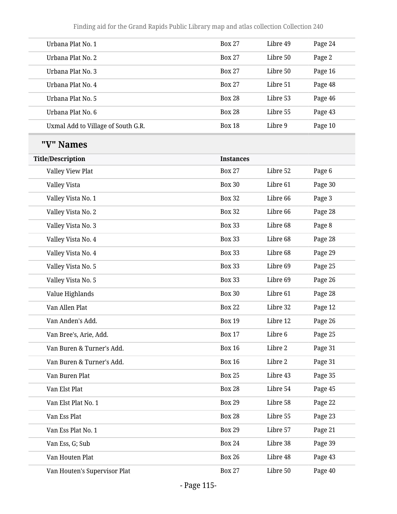| Urbana Plat No. 1                  | <b>Box 27</b>    | Libre 49 | Page 24 |
|------------------------------------|------------------|----------|---------|
| Urbana Plat No. 2                  | <b>Box 27</b>    | Libre 50 | Page 2  |
| Urbana Plat No. 3                  | <b>Box 27</b>    | Libre 50 | Page 16 |
| Urbana Plat No. 4                  | <b>Box 27</b>    | Libre 51 | Page 48 |
| Urbana Plat No. 5                  | <b>Box 28</b>    | Libre 53 | Page 46 |
| Urbana Plat No. 6                  | <b>Box 28</b>    | Libre 55 | Page 43 |
| Uxmal Add to Village of South G.R. | <b>Box 18</b>    | Libre 9  | Page 10 |
| "V" Names                          |                  |          |         |
| <b>Title/Description</b>           | <b>Instances</b> |          |         |
| Valley View Plat                   | <b>Box 27</b>    | Libre 52 | Page 6  |
| Valley Vista                       | <b>Box 30</b>    | Libre 61 | Page 30 |
| Valley Vista No. 1                 | <b>Box 32</b>    | Libre 66 | Page 3  |
| Valley Vista No. 2                 | <b>Box 32</b>    | Libre 66 | Page 28 |
| Valley Vista No. 3                 | <b>Box 33</b>    | Libre 68 | Page 8  |
| Valley Vista No. 4                 | <b>Box 33</b>    | Libre 68 | Page 28 |
| Valley Vista No. 4                 | <b>Box 33</b>    | Libre 68 | Page 29 |
| Valley Vista No. 5                 | <b>Box 33</b>    | Libre 69 | Page 25 |
| Valley Vista No. 5                 | <b>Box 33</b>    | Libre 69 | Page 26 |
| Value Highlands                    | <b>Box 30</b>    | Libre 61 | Page 28 |
| Van Allen Plat                     | <b>Box 22</b>    | Libre 32 | Page 12 |
| Van Anden's Add.                   | <b>Box 19</b>    | Libre 12 | Page 26 |
| Van Bree's, Arie, Add.             | <b>Box 17</b>    | Libre 6  | Page 25 |
| Van Buren & Turner's Add.          | <b>Box 16</b>    | Libre 2  | Page 31 |
| Van Buren & Turner's Add.          | <b>Box 16</b>    | Libre 2  | Page 31 |
| Van Buren Plat                     | <b>Box 25</b>    | Libre 43 | Page 35 |
| Van Elst Plat                      | <b>Box 28</b>    | Libre 54 | Page 45 |
| Van Elst Plat No. 1                | <b>Box 29</b>    | Libre 58 | Page 22 |
| Van Ess Plat                       | <b>Box 28</b>    | Libre 55 | Page 23 |
| Van Ess Plat No. 1                 | <b>Box 29</b>    | Libre 57 | Page 21 |
| Van Ess, G; Sub                    | <b>Box 24</b>    | Libre 38 | Page 39 |
| Van Houten Plat                    | <b>Box 26</b>    | Libre 48 | Page 43 |
| Van Houten's Supervisor Plat       | <b>Box 27</b>    | Libre 50 | Page 40 |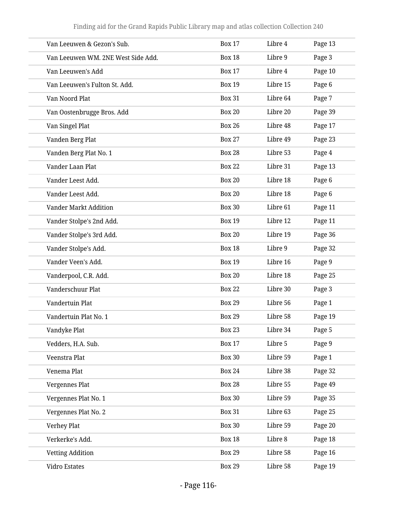| Van Leeuwen & Gezon's Sub.         | <b>Box 17</b> | Libre 4  | Page 13 |
|------------------------------------|---------------|----------|---------|
| Van Leeuwen WM. 2NE West Side Add. | <b>Box 18</b> | Libre 9  | Page 3  |
| Van Leeuwen's Add                  | <b>Box 17</b> | Libre 4  | Page 10 |
| Van Leeuwen's Fulton St. Add.      | <b>Box 19</b> | Libre 15 | Page 6  |
| Van Noord Plat                     | <b>Box 31</b> | Libre 64 | Page 7  |
| Van Oostenbrugge Bros. Add         | <b>Box 20</b> | Libre 20 | Page 39 |
| Van Singel Plat                    | <b>Box 26</b> | Libre 48 | Page 17 |
| Vanden Berg Plat                   | <b>Box 27</b> | Libre 49 | Page 23 |
| Vanden Berg Plat No. 1             | <b>Box 28</b> | Libre 53 | Page 4  |
| Vander Laan Plat                   | <b>Box 22</b> | Libre 31 | Page 13 |
| Vander Leest Add.                  | <b>Box 20</b> | Libre 18 | Page 6  |
| Vander Leest Add.                  | <b>Box 20</b> | Libre 18 | Page 6  |
| <b>Vander Markt Addition</b>       | <b>Box 30</b> | Libre 61 | Page 11 |
| Vander Stolpe's 2nd Add.           | <b>Box 19</b> | Libre 12 | Page 11 |
| Vander Stolpe's 3rd Add.           | <b>Box 20</b> | Libre 19 | Page 36 |
| Vander Stolpe's Add.               | <b>Box 18</b> | Libre 9  | Page 32 |
| Vander Veen's Add.                 | <b>Box 19</b> | Libre 16 | Page 9  |
| Vanderpool, C.R. Add.              | <b>Box 20</b> | Libre 18 | Page 25 |
| Vanderschuur Plat                  | <b>Box 22</b> | Libre 30 | Page 3  |
| Vandertuin Plat                    | <b>Box 29</b> | Libre 56 | Page 1  |
| Vandertuin Plat No. 1              | <b>Box 29</b> | Libre 58 | Page 19 |
| Vandyke Plat                       | <b>Box 23</b> | Libre 34 | Page 5  |
| Vedders, H.A. Sub.                 | <b>Box 17</b> | Libre 5  | Page 9  |
| Veenstra Plat                      | <b>Box 30</b> | Libre 59 | Page 1  |
| Venema Plat                        | <b>Box 24</b> | Libre 38 | Page 32 |
| Vergennes Plat                     | <b>Box 28</b> | Libre 55 | Page 49 |
| Vergennes Plat No. 1               | <b>Box 30</b> | Libre 59 | Page 35 |
| Vergennes Plat No. 2               | <b>Box 31</b> | Libre 63 | Page 25 |
| Verhey Plat                        | <b>Box 30</b> | Libre 59 | Page 20 |
| Verkerke's Add.                    | <b>Box 18</b> | Libre 8  | Page 18 |
| <b>Vetting Addition</b>            | <b>Box 29</b> | Libre 58 | Page 16 |
| Vidro Estates                      | <b>Box 29</b> | Libre 58 | Page 19 |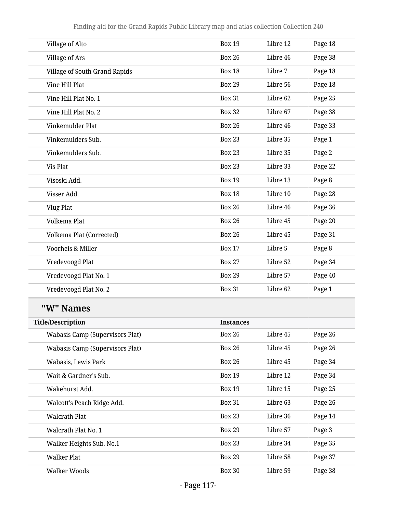| Village of Alto                        | <b>Box 19</b>    | Libre 12 | Page 18 |
|----------------------------------------|------------------|----------|---------|
| Village of Ars                         | <b>Box 26</b>    | Libre 46 | Page 38 |
| <b>Village of South Grand Rapids</b>   | <b>Box 18</b>    | Libre 7  | Page 18 |
| Vine Hill Plat                         | <b>Box 29</b>    | Libre 56 | Page 18 |
| Vine Hill Plat No. 1                   | <b>Box 31</b>    | Libre 62 | Page 25 |
| Vine Hill Plat No. 2                   | <b>Box 32</b>    | Libre 67 | Page 38 |
| Vinkemulder Plat                       | <b>Box 26</b>    | Libre 46 | Page 33 |
| Vinkemulders Sub.                      | <b>Box 23</b>    | Libre 35 | Page 1  |
| Vinkemulders Sub.                      | <b>Box 23</b>    | Libre 35 | Page 2  |
| Vis Plat                               | <b>Box 23</b>    | Libre 33 | Page 22 |
| Visoski Add.                           | <b>Box 19</b>    | Libre 13 | Page 8  |
| Visser Add.                            | <b>Box 18</b>    | Libre 10 | Page 28 |
| <b>Vlug Plat</b>                       | <b>Box 26</b>    | Libre 46 | Page 36 |
| Volkema Plat                           | <b>Box 26</b>    | Libre 45 | Page 20 |
| Volkema Plat (Corrected)               | <b>Box 26</b>    | Libre 45 | Page 31 |
| Voorheis & Miller                      | <b>Box 17</b>    | Libre 5  | Page 8  |
| Vredevoogd Plat                        | <b>Box 27</b>    | Libre 52 | Page 34 |
| Vredevoogd Plat No. 1                  | <b>Box 29</b>    | Libre 57 | Page 40 |
| Vredevoogd Plat No. 2                  | <b>Box 31</b>    | Libre 62 | Page 1  |
| "W" Names                              |                  |          |         |
| <b>Title/Description</b>               | <b>Instances</b> |          |         |
| <b>Wabasis Camp (Supervisors Plat)</b> | <b>Box 26</b>    | Libre 45 | Page 26 |
| <b>Wabasis Camp (Supervisors Plat)</b> | <b>Box 26</b>    | Libre 45 | Page 26 |
| Wabasis, Lewis Park                    | <b>Box 26</b>    | Libre 45 | Page 34 |
| Wait & Gardner's Sub.                  | <b>Box 19</b>    | Libre 12 | Page 34 |
| Wakehurst Add.                         | <b>Box 19</b>    | Libre 15 | Page 25 |
| Walcott's Peach Ridge Add.             | <b>Box 31</b>    | Libre 63 | Page 26 |
| <b>Walcrath Plat</b>                   | <b>Box 23</b>    | Libre 36 | Page 14 |
| Walcrath Plat No. 1                    | <b>Box 29</b>    | Libre 57 | Page 3  |
| Walker Heights Sub. No.1               | <b>Box 23</b>    | Libre 34 | Page 35 |
| <b>Walker Plat</b>                     | <b>Box 29</b>    | Libre 58 | Page 37 |
| Walker Woods                           | <b>Box 30</b>    | Libre 59 | Page 38 |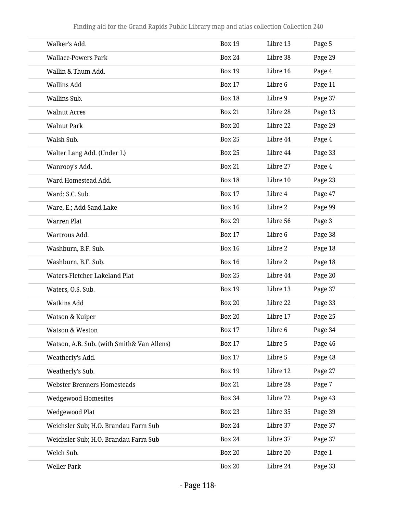| Walker's Add.                              | <b>Box 19</b> | Libre 13 | Page 5  |
|--------------------------------------------|---------------|----------|---------|
| <b>Wallace-Powers Park</b>                 | <b>Box 24</b> | Libre 38 | Page 29 |
| Wallin & Thum Add.                         | <b>Box 19</b> | Libre 16 | Page 4  |
| <b>Wallins Add</b>                         | <b>Box 17</b> | Libre 6  | Page 11 |
| Wallins Sub.                               | <b>Box 18</b> | Libre 9  | Page 37 |
| <b>Walnut Acres</b>                        | <b>Box 21</b> | Libre 28 | Page 13 |
| <b>Walnut Park</b>                         | <b>Box 20</b> | Libre 22 | Page 29 |
| Walsh Sub.                                 | <b>Box 25</b> | Libre 44 | Page 4  |
| Walter Lang Add. (Under L)                 | <b>Box 25</b> | Libre 44 | Page 33 |
| Wanrooy's Add.                             | <b>Box 21</b> | Libre 27 | Page 4  |
| Ward Homestead Add.                        | <b>Box 18</b> | Libre 10 | Page 23 |
| Ward; S.C. Sub.                            | <b>Box 17</b> | Libre 4  | Page 47 |
| Ware, E.; Add-Sand Lake                    | <b>Box 16</b> | Libre 2  | Page 99 |
| <b>Warren Plat</b>                         | <b>Box 29</b> | Libre 56 | Page 3  |
| Wartrous Add.                              | <b>Box 17</b> | Libre 6  | Page 38 |
| Washburn, B.F. Sub.                        | <b>Box 16</b> | Libre 2  | Page 18 |
| Washburn, B.F. Sub.                        | <b>Box 16</b> | Libre 2  | Page 18 |
| Waters-Fletcher Lakeland Plat              | <b>Box 25</b> | Libre 44 | Page 20 |
| Waters, O.S. Sub.                          | <b>Box 19</b> | Libre 13 | Page 37 |
| <b>Watkins Add</b>                         | <b>Box 20</b> | Libre 22 | Page 33 |
| Watson & Kuiper                            | <b>Box 20</b> | Libre 17 | Page 25 |
| Watson & Weston                            | <b>Box 17</b> | Libre 6  | Page 34 |
| Watson, A.B. Sub. (with Smith& Van Allens) | <b>Box 17</b> | Libre 5  | Page 46 |
| Weatherly's Add.                           | <b>Box 17</b> | Libre 5  | Page 48 |
| Weatherly's Sub.                           | <b>Box 19</b> | Libre 12 | Page 27 |
| <b>Webster Brenners Homesteads</b>         | <b>Box 21</b> | Libre 28 | Page 7  |
| <b>Wedgewood Homesites</b>                 | <b>Box 34</b> | Libre 72 | Page 43 |
| <b>Wedgewood Plat</b>                      | <b>Box 23</b> | Libre 35 | Page 39 |
| Weichsler Sub; H.O. Brandau Farm Sub       | <b>Box 24</b> | Libre 37 | Page 37 |
| Weichsler Sub; H.O. Brandau Farm Sub       | <b>Box 24</b> | Libre 37 | Page 37 |
| Welch Sub.                                 | <b>Box 20</b> | Libre 20 | Page 1  |
| <b>Weller Park</b>                         | <b>Box 20</b> | Libre 24 | Page 33 |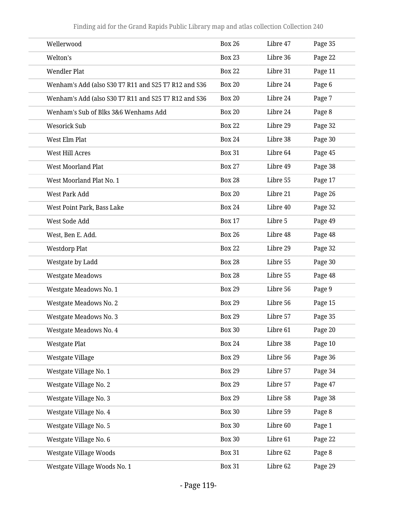| Wellerwood                                           | <b>Box 26</b> | Libre 47 | Page 35 |
|------------------------------------------------------|---------------|----------|---------|
| Welton's                                             | <b>Box 23</b> | Libre 36 | Page 22 |
| <b>Wendler Plat</b>                                  | <b>Box 22</b> | Libre 31 | Page 11 |
| Wenham's Add (also S30 T7 R11 and S25 T7 R12 and S36 | <b>Box 20</b> | Libre 24 | Page 6  |
| Wenham's Add (also S30 T7 R11 and S25 T7 R12 and S36 | <b>Box 20</b> | Libre 24 | Page 7  |
| Wenham's Sub of Blks 3&6 Wenhams Add                 | <b>Box 20</b> | Libre 24 | Page 8  |
| <b>Wesorick Sub</b>                                  | <b>Box 22</b> | Libre 29 | Page 32 |
| West Elm Plat                                        | <b>Box 24</b> | Libre 38 | Page 30 |
| West Hill Acres                                      | <b>Box 31</b> | Libre 64 | Page 45 |
| <b>West Moorland Plat</b>                            | <b>Box 27</b> | Libre 49 | Page 38 |
| West Moorland Plat No. 1                             | <b>Box 28</b> | Libre 55 | Page 17 |
| West Park Add                                        | <b>Box 20</b> | Libre 21 | Page 26 |
| West Point Park, Bass Lake                           | <b>Box 24</b> | Libre 40 | Page 32 |
| West Sode Add                                        | <b>Box 17</b> | Libre 5  | Page 49 |
| West, Ben E. Add.                                    | <b>Box 26</b> | Libre 48 | Page 48 |
| <b>Westdorp Plat</b>                                 | <b>Box 22</b> | Libre 29 | Page 32 |
| Westgate by Ladd                                     | <b>Box 28</b> | Libre 55 | Page 30 |
| <b>Westgate Meadows</b>                              | <b>Box 28</b> | Libre 55 | Page 48 |
| Westgate Meadows No. 1                               | <b>Box 29</b> | Libre 56 | Page 9  |
| Westgate Meadows No. 2                               | <b>Box 29</b> | Libre 56 | Page 15 |
| Westgate Meadows No. 3                               | <b>Box 29</b> | Libre 57 | Page 35 |
| Westgate Meadows No. 4                               | <b>Box 30</b> | Libre 61 | Page 20 |
| <b>Westgate Plat</b>                                 | <b>Box 24</b> | Libre 38 | Page 10 |
| Westgate Village                                     | <b>Box 29</b> | Libre 56 | Page 36 |
| Westgate Village No. 1                               | <b>Box 29</b> | Libre 57 | Page 34 |
| Westgate Village No. 2                               | <b>Box 29</b> | Libre 57 | Page 47 |
| Westgate Village No. 3                               | <b>Box 29</b> | Libre 58 | Page 38 |
| Westgate Village No. 4                               | <b>Box 30</b> | Libre 59 | Page 8  |
| Westgate Village No. 5                               | <b>Box 30</b> | Libre 60 | Page 1  |
| Westgate Village No. 6                               | <b>Box 30</b> | Libre 61 | Page 22 |
| Westgate Village Woods                               | <b>Box 31</b> | Libre 62 | Page 8  |
| Westgate Village Woods No. 1                         | <b>Box 31</b> | Libre 62 | Page 29 |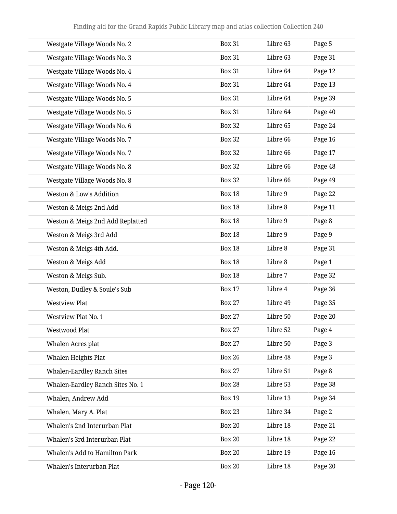| Westgate Village Woods No. 2      | <b>Box 31</b> | Libre 63 | Page 5  |
|-----------------------------------|---------------|----------|---------|
| Westgate Village Woods No. 3      | <b>Box 31</b> | Libre 63 | Page 31 |
| Westgate Village Woods No. 4      | <b>Box 31</b> | Libre 64 | Page 12 |
| Westgate Village Woods No. 4      | <b>Box 31</b> | Libre 64 | Page 13 |
| Westgate Village Woods No. 5      | <b>Box 31</b> | Libre 64 | Page 39 |
| Westgate Village Woods No. 5      | <b>Box 31</b> | Libre 64 | Page 40 |
| Westgate Village Woods No. 6      | <b>Box 32</b> | Libre 65 | Page 24 |
| Westgate Village Woods No. 7      | <b>Box 32</b> | Libre 66 | Page 16 |
| Westgate Village Woods No. 7      | <b>Box 32</b> | Libre 66 | Page 17 |
| Westgate Village Woods No. 8      | <b>Box 32</b> | Libre 66 | Page 48 |
| Westgate Village Woods No. 8      | <b>Box 32</b> | Libre 66 | Page 49 |
| Weston & Low's Addition           | <b>Box 18</b> | Libre 9  | Page 22 |
| Weston & Meigs 2nd Add            | <b>Box 18</b> | Libre 8  | Page 11 |
| Weston & Meigs 2nd Add Replatted  | <b>Box 18</b> | Libre 9  | Page 8  |
| Weston & Meigs 3rd Add            | <b>Box 18</b> | Libre 9  | Page 9  |
| Weston & Meigs 4th Add.           | <b>Box 18</b> | Libre 8  | Page 31 |
| Weston & Meigs Add                | <b>Box 18</b> | Libre 8  | Page 1  |
| Weston & Meigs Sub.               | <b>Box 18</b> | Libre 7  | Page 32 |
| Weston, Dudley & Soule's Sub      | <b>Box 17</b> | Libre 4  | Page 36 |
| <b>Westview Plat</b>              | <b>Box 27</b> | Libre 49 | Page 35 |
| Westview Plat No. 1               | <b>Box 27</b> | Libre 50 | Page 20 |
| Westwood Plat                     | <b>Box 27</b> | Libre 52 | Page 4  |
| Whalen Acres plat                 | <b>Box 27</b> | Libre 50 | Page 3  |
| Whalen Heights Plat               | <b>Box 26</b> | Libre 48 | Page 3  |
| <b>Whalen-Eardley Ranch Sites</b> | <b>Box 27</b> | Libre 51 | Page 8  |
| Whalen-Eardley Ranch Sites No. 1  | <b>Box 28</b> | Libre 53 | Page 38 |
| Whalen, Andrew Add                | <b>Box 19</b> | Libre 13 | Page 34 |
| Whalen, Mary A. Plat              | <b>Box 23</b> | Libre 34 | Page 2  |
| Whalen's 2nd Interurban Plat      | <b>Box 20</b> | Libre 18 | Page 21 |
| Whalen's 3rd Interurban Plat      | <b>Box 20</b> | Libre 18 | Page 22 |
| Whalen's Add to Hamilton Park     | <b>Box 20</b> | Libre 19 | Page 16 |
| Whalen's Interurban Plat          | <b>Box 20</b> | Libre 18 | Page 20 |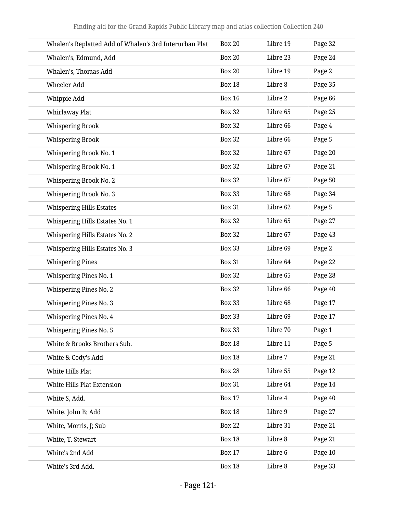| Whalen's Replatted Add of Whalen's 3rd Interurban Plat | <b>Box 20</b> | Libre 19 | Page 32 |
|--------------------------------------------------------|---------------|----------|---------|
| Whalen's, Edmund, Add                                  | <b>Box 20</b> | Libre 23 | Page 24 |
| Whalen's, Thomas Add                                   | <b>Box 20</b> | Libre 19 | Page 2  |
| Wheeler Add                                            | <b>Box 18</b> | Libre 8  | Page 35 |
| Whippie Add                                            | <b>Box 16</b> | Libre 2  | Page 66 |
| Whirlaway Plat                                         | <b>Box 32</b> | Libre 65 | Page 25 |
| <b>Whispering Brook</b>                                | <b>Box 32</b> | Libre 66 | Page 4  |
| <b>Whispering Brook</b>                                | <b>Box 32</b> | Libre 66 | Page 5  |
| Whispering Brook No. 1                                 | <b>Box 32</b> | Libre 67 | Page 20 |
| Whispering Brook No. 1                                 | <b>Box 32</b> | Libre 67 | Page 21 |
| Whispering Brook No. 2                                 | <b>Box 32</b> | Libre 67 | Page 50 |
| Whispering Brook No. 3                                 | <b>Box 33</b> | Libre 68 | Page 34 |
| <b>Whispering Hills Estates</b>                        | <b>Box 31</b> | Libre 62 | Page 5  |
| Whispering Hills Estates No. 1                         | <b>Box 32</b> | Libre 65 | Page 27 |
| Whispering Hills Estates No. 2                         | <b>Box 32</b> | Libre 67 | Page 43 |
| Whispering Hills Estates No. 3                         | <b>Box 33</b> | Libre 69 | Page 2  |
| <b>Whispering Pines</b>                                | <b>Box 31</b> | Libre 64 | Page 22 |
| <b>Whispering Pines No. 1</b>                          | <b>Box 32</b> | Libre 65 | Page 28 |
| <b>Whispering Pines No. 2</b>                          | <b>Box 32</b> | Libre 66 | Page 40 |
| <b>Whispering Pines No. 3</b>                          | <b>Box 33</b> | Libre 68 | Page 17 |
| Whispering Pines No. 4                                 | <b>Box 33</b> | Libre 69 | Page 17 |
| <b>Whispering Pines No. 5</b>                          | <b>Box 33</b> | Libre 70 | Page 1  |
| White & Brooks Brothers Sub.                           | <b>Box 18</b> | Libre 11 | Page 5  |
| White & Cody's Add                                     | <b>Box 18</b> | Libre 7  | Page 21 |
| White Hills Plat                                       | <b>Box 28</b> | Libre 55 | Page 12 |
| White Hills Plat Extension                             | <b>Box 31</b> | Libre 64 | Page 14 |
| White S, Add.                                          | <b>Box 17</b> | Libre 4  | Page 40 |
| White, John B; Add                                     | <b>Box 18</b> | Libre 9  | Page 27 |
| White, Morris, J; Sub                                  | <b>Box 22</b> | Libre 31 | Page 21 |
| White, T. Stewart                                      | <b>Box 18</b> | Libre 8  | Page 21 |
| White's 2nd Add                                        | <b>Box 17</b> | Libre 6  | Page 10 |
| White's 3rd Add.                                       | <b>Box 18</b> | Libre 8  | Page 33 |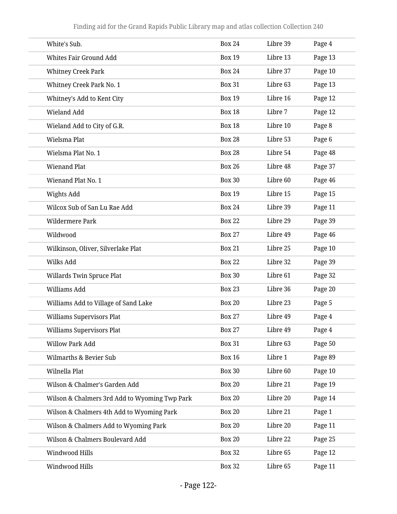| White's Sub.                                  | <b>Box 24</b> | Libre 39 | Page 4  |
|-----------------------------------------------|---------------|----------|---------|
| Whites Fair Ground Add                        | <b>Box 19</b> | Libre 13 | Page 13 |
| <b>Whitney Creek Park</b>                     | <b>Box 24</b> | Libre 37 | Page 10 |
| Whitney Creek Park No. 1                      | <b>Box 31</b> | Libre 63 | Page 13 |
| Whitney's Add to Kent City                    | <b>Box 19</b> | Libre 16 | Page 12 |
| Wieland Add                                   | <b>Box 18</b> | Libre 7  | Page 12 |
| Wieland Add to City of G.R.                   | <b>Box 18</b> | Libre 10 | Page 8  |
| Wielsma Plat                                  | <b>Box 28</b> | Libre 53 | Page 6  |
| Wielsma Plat No. 1                            | <b>Box 28</b> | Libre 54 | Page 48 |
| <b>Wienand Plat</b>                           | <b>Box 26</b> | Libre 48 | Page 37 |
| Wienand Plat No. 1                            | <b>Box 30</b> | Libre 60 | Page 46 |
| Wights Add                                    | <b>Box 19</b> | Libre 15 | Page 15 |
| Wilcox Sub of San Lu Rae Add                  | <b>Box 24</b> | Libre 39 | Page 11 |
| Wildermere Park                               | <b>Box 22</b> | Libre 29 | Page 39 |
| Wildwood                                      | <b>Box 27</b> | Libre 49 | Page 46 |
| Wilkinson, Oliver, Silverlake Plat            | <b>Box 21</b> | Libre 25 | Page 10 |
| Wilks Add                                     | <b>Box 22</b> | Libre 32 | Page 39 |
| Willards Twin Spruce Plat                     | <b>Box 30</b> | Libre 61 | Page 32 |
| Williams Add                                  | <b>Box 23</b> | Libre 36 | Page 20 |
| Williams Add to Village of Sand Lake          | <b>Box 20</b> | Libre 23 | Page 5  |
| Williams Supervisors Plat                     | <b>Box 27</b> | Libre 49 | Page 4  |
| <b>Williams Supervisors Plat</b>              | <b>Box 27</b> | Libre 49 | Page 4  |
| <b>Willow Park Add</b>                        | <b>Box 31</b> | Libre 63 | Page 50 |
| Wilmarths & Bevier Sub                        | <b>Box 16</b> | Libre 1  | Page 89 |
| Wilnella Plat                                 | <b>Box 30</b> | Libre 60 | Page 10 |
| Wilson & Chalmer's Garden Add                 | <b>Box 20</b> | Libre 21 | Page 19 |
| Wilson & Chalmers 3rd Add to Wyoming Twp Park | <b>Box 20</b> | Libre 20 | Page 14 |
| Wilson & Chalmers 4th Add to Wyoming Park     | <b>Box 20</b> | Libre 21 | Page 1  |
| Wilson & Chalmers Add to Wyoming Park         | <b>Box 20</b> | Libre 20 | Page 11 |
| Wilson & Chalmers Boulevard Add               | <b>Box 20</b> | Libre 22 | Page 25 |
| Windwood Hills                                | <b>Box 32</b> | Libre 65 | Page 12 |
| Windwood Hills                                | <b>Box 32</b> | Libre 65 | Page 11 |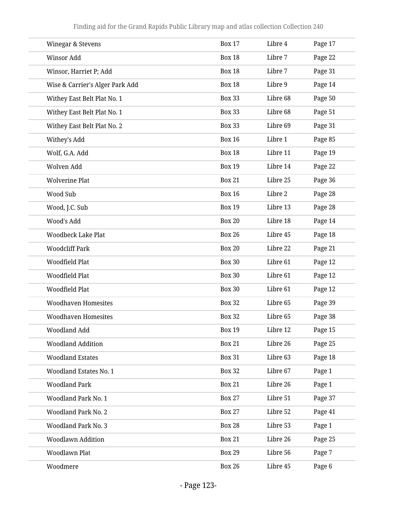| Winegar & Stevens               | <b>Box 17</b> | Libre 4  | Page 17 |
|---------------------------------|---------------|----------|---------|
| Winsor Add                      | <b>Box 18</b> | Libre 7  | Page 22 |
| Winsor, Harriet P; Add          | <b>Box 18</b> | Libre 7  | Page 31 |
| Wise & Carrier's Alger Park Add | <b>Box 18</b> | Libre 9  | Page 14 |
| Withey East Belt Plat No. 1     | <b>Box 33</b> | Libre 68 | Page 50 |
| Withey East Belt Plat No. 1     | <b>Box 33</b> | Libre 68 | Page 51 |
| Withey East Belt Plat No. 2     | <b>Box 33</b> | Libre 69 | Page 31 |
| Withey's Add                    | <b>Box 16</b> | Libre 1  | Page 85 |
| Wolf, G.A. Add                  | <b>Box 18</b> | Libre 11 | Page 19 |
| Wolven Add                      | <b>Box 19</b> | Libre 14 | Page 22 |
| <b>Wolverine Plat</b>           | <b>Box 21</b> | Libre 25 | Page 36 |
| Wood Sub                        | <b>Box 16</b> | Libre 2  | Page 28 |
| Wood, J.C. Sub                  | <b>Box 19</b> | Libre 13 | Page 28 |
| Wood's Add                      | <b>Box 20</b> | Libre 18 | Page 14 |
| <b>Woodbeck Lake Plat</b>       | <b>Box 26</b> | Libre 45 | Page 18 |
| <b>Woodcliff Park</b>           | <b>Box 20</b> | Libre 22 | Page 21 |
| Woodfield Plat                  | <b>Box 30</b> | Libre 61 | Page 12 |
| Woodfield Plat                  | <b>Box 30</b> | Libre 61 | Page 12 |
| Woodfield Plat                  | <b>Box 30</b> | Libre 61 | Page 12 |
| <b>Woodhaven Homesites</b>      | <b>Box 32</b> | Libre 65 | Page 39 |
| <b>Woodhaven Homesites</b>      | <b>Box 32</b> | Libre 65 | Page 38 |
| Woodland Add                    | <b>Box 19</b> | Libre 12 | Page 15 |
| <b>Woodland Addition</b>        | <b>Box 21</b> | Libre 26 | Page 25 |
| <b>Woodland Estates</b>         | <b>Box 31</b> | Libre 63 | Page 18 |
| <b>Woodland Estates No. 1</b>   | <b>Box 32</b> | Libre 67 | Page 1  |
| <b>Woodland Park</b>            | <b>Box 21</b> | Libre 26 | Page 1  |
| <b>Woodland Park No. 1</b>      | <b>Box 27</b> | Libre 51 | Page 37 |
| <b>Woodland Park No. 2</b>      | <b>Box 27</b> | Libre 52 | Page 41 |
| <b>Woodland Park No. 3</b>      | <b>Box 28</b> | Libre 53 | Page 1  |
| <b>Woodlawn Addition</b>        | <b>Box 21</b> | Libre 26 | Page 25 |
| Woodlawn Plat                   | <b>Box 29</b> | Libre 56 | Page 7  |
| Woodmere                        | <b>Box 26</b> | Libre 45 | Page 6  |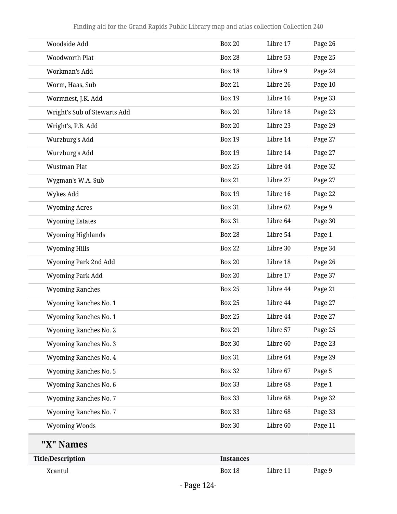|                                                      | $Dog \sim 1.24$  |          |                    |
|------------------------------------------------------|------------------|----------|--------------------|
| Xcantul                                              | <b>Box 18</b>    | Libre 11 | Page 9             |
| "X" Names<br><b>Title/Description</b>                | <b>Instances</b> |          |                    |
|                                                      |                  |          |                    |
| <b>Wyoming Ranches No. 7</b><br><b>Wyoming Woods</b> | <b>Box 30</b>    | Libre 60 | Page 33<br>Page 11 |
|                                                      | <b>Box 33</b>    | Libre 68 |                    |
| <b>Wyoming Ranches No. 7</b>                         | <b>Box 33</b>    | Libre 68 | Page 32            |
| Wyoming Ranches No. 6                                | <b>Box 33</b>    | Libre 68 | Page 1             |
| <b>Wyoming Ranches No. 5</b>                         | <b>Box 32</b>    | Libre 67 | Page 5             |
| Wyoming Ranches No. 4                                | <b>Box 31</b>    | Libre 64 | Page 29            |
| <b>Wyoming Ranches No. 3</b>                         | <b>Box 30</b>    | Libre 60 | Page 23            |
| <b>Wyoming Ranches No. 2</b>                         | <b>Box 29</b>    | Libre 57 | Page 25            |
| <b>Wyoming Ranches No. 1</b>                         | <b>Box 25</b>    | Libre 44 | Page 27            |
| <b>Wyoming Ranches No. 1</b>                         | <b>Box 25</b>    | Libre 44 | Page 27            |
| <b>Wyoming Ranches</b>                               | <b>Box 25</b>    | Libre 44 | Page 21            |
| Wyoming Park Add                                     | <b>Box 20</b>    | Libre 17 | Page 37            |
| Wyoming Park 2nd Add                                 | <b>Box 20</b>    | Libre 18 | Page 26            |
| <b>Wyoming Hills</b>                                 | <b>Box 22</b>    | Libre 30 | Page 34            |
| <b>Wyoming Highlands</b>                             | <b>Box 28</b>    | Libre 54 | Page 1             |
| <b>Wyoming Estates</b>                               | <b>Box 31</b>    | Libre 64 | Page 30            |
| <b>Wyoming Acres</b>                                 | <b>Box 31</b>    | Libre 62 | Page 9             |
| Wykes Add                                            | <b>Box 19</b>    | Libre 16 | Page 22            |
| Wygman's W.A. Sub                                    | <b>Box 21</b>    | Libre 27 | Page 27            |
| <b>Wustman Plat</b>                                  | <b>Box 25</b>    | Libre 44 | Page 32            |
| Wurzburg's Add                                       | <b>Box 19</b>    | Libre 14 | Page 27            |
| Wurzburg's Add                                       | <b>Box 19</b>    | Libre 14 | Page 27            |
| Wright's, P.B. Add                                   | <b>Box 20</b>    | Libre 23 | Page 29            |
| Wright's Sub of Stewarts Add                         | <b>Box 20</b>    | Libre 18 | Page 23            |
| Wormnest, J.K. Add                                   | <b>Box 19</b>    | Libre 16 | Page 33            |
| Worm, Haas, Sub                                      | <b>Box 21</b>    | Libre 26 | Page 10            |
| Workman's Add                                        | <b>Box 18</b>    | Libre 9  | Page 24            |
| Woodworth Plat                                       | <b>Box 28</b>    | Libre 53 | Page 25            |
| Woodside Add                                         | <b>Box 20</b>    | Libre 17 | Page 26            |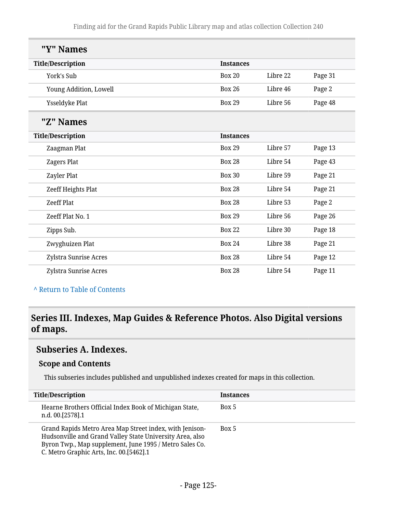| "Y" Names                |                  |          |         |
|--------------------------|------------------|----------|---------|
| <b>Title/Description</b> | <b>Instances</b> |          |         |
| York's Sub               | <b>Box 20</b>    | Libre 22 | Page 31 |
| Young Addition, Lowell   | <b>Box 26</b>    | Libre 46 | Page 2  |
| Ysseldyke Plat           | <b>Box 29</b>    | Libre 56 | Page 48 |
| "Z" Names                |                  |          |         |
| <b>Title/Description</b> | <b>Instances</b> |          |         |
| Zaagman Plat             | <b>Box 29</b>    | Libre 57 | Page 13 |
| Zagers Plat              | <b>Box 28</b>    | Libre 54 | Page 43 |
| Zayler Plat              | <b>Box 30</b>    | Libre 59 | Page 21 |
| Zeeff Heights Plat       | <b>Box 28</b>    | Libre 54 | Page 21 |
| <b>Zeeff Plat</b>        | <b>Box 28</b>    | Libre 53 | Page 2  |
| Zeeff Plat No. 1         | <b>Box 29</b>    | Libre 56 | Page 26 |
| Zipps Sub.               | <b>Box 22</b>    | Libre 30 | Page 18 |
| Zwyghuizen Plat          | <b>Box 24</b>    | Libre 38 | Page 21 |
| Zylstra Sunrise Acres    | <b>Box 28</b>    | Libre 54 | Page 12 |
| Zylstra Sunrise Acres    | <b>Box 28</b>    | Libre 54 | Page 11 |

**^** [Return to Table of Contents](#page-1-0)

## **Series III. Indexes, Map Guides & Reference Photos. Also Digital versions of maps.**

### **Subseries A. Indexes.**

#### **Scope and Contents**

This subseries includes published and unpublished indexes created for maps in this collection.

| <b>Title/Description</b>                                                                                                                                                                                                  | <b>Instances</b> |
|---------------------------------------------------------------------------------------------------------------------------------------------------------------------------------------------------------------------------|------------------|
| Hearne Brothers Official Index Book of Michigan State,<br>n.d. 00.[2578].1                                                                                                                                                | Box 5            |
| Grand Rapids Metro Area Map Street index, with Jenison-<br>Hudsonville and Grand Valley State University Area, also<br>Byron Twp., Map supplement, June 1995 / Metro Sales Co.<br>C. Metro Graphic Arts, Inc. 00.[5462].1 | Box 5            |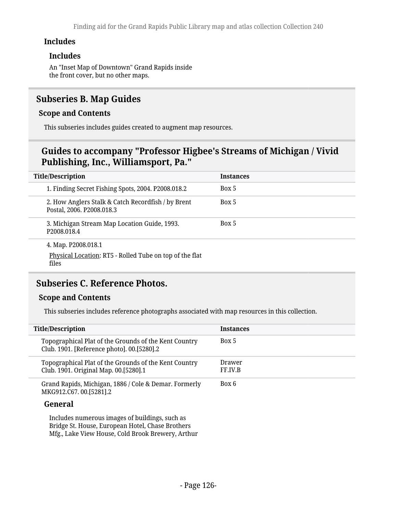#### **Includes**

#### **Includes**

An "Inset Map of Downtown" Grand Rapids inside the front cover, but no other maps.

### **Subseries B. Map Guides**

#### **Scope and Contents**

This subseries includes guides created to augment map resources.

## **Guides to accompany "Professor Higbee's Streams of Michigan / Vivid Publishing, Inc., Williamsport, Pa."**

| <b>Title/Description</b> |                                                                                         | <b>Instances</b> |
|--------------------------|-----------------------------------------------------------------------------------------|------------------|
|                          | 1. Finding Secret Fishing Spots, 2004. P2008.018.2                                      | Box 5            |
|                          | 2. How Anglers Stalk & Catch Recordfish / by Brent<br>Postal, 2006. P2008.018.3         | Box 5            |
|                          | 3. Michigan Stream Map Location Guide, 1993.<br>P2008.018.4                             | Box 5            |
|                          | 4. Map. P2008.018.1<br>Physical Location: RT5 - Rolled Tube on top of the flat<br>files |                  |

### **Subseries C. Reference Photos.**

#### **Scope and Contents**

This subseries includes reference photographs associated with map resources in this collection.

| <b>Title/Description</b>                                                                            | <b>Instances</b>  |
|-----------------------------------------------------------------------------------------------------|-------------------|
| Topographical Plat of the Grounds of the Kent Country<br>Club. 1901. [Reference photo]. 00.[5280].2 | Box 5             |
| Topographical Plat of the Grounds of the Kent Country<br>Club. 1901. Original Map. 00.[5280].1      | Drawer<br>FF.IV.B |
| Grand Rapids, Michigan, 1886 / Cole & Demar. Formerly<br>MKG912.C67.00.[5281].2                     | Box 6             |

#### **General**

Includes numerous images of buildings, such as Bridge St. House, European Hotel, Chase Brothers Mfg., Lake View House, Cold Brook Brewery, Arthur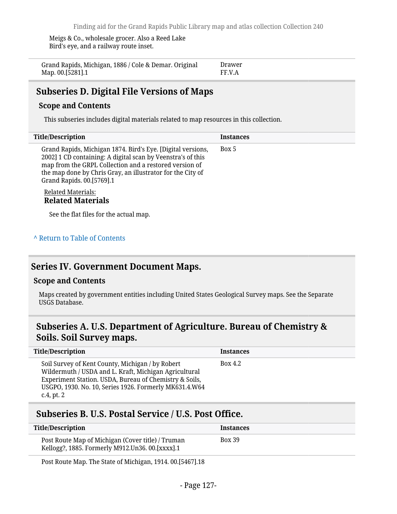Meigs & Co., wholesale grocer. Also a Reed Lake Bird's eye, and a railway route inset.

| Grand Rapids, Michigan, 1886 / Cole & Demar. Original | Drawer |
|-------------------------------------------------------|--------|
| Map. 00.[5281].1                                      | FF.V.A |

### **Subseries D. Digital File Versions of Maps**

#### **Scope and Contents**

This subseries includes digital materials related to map resources in this collection.

| <b>Title/Description</b>                                                                                                                                                                                                                                                        | <b>Instances</b> |
|---------------------------------------------------------------------------------------------------------------------------------------------------------------------------------------------------------------------------------------------------------------------------------|------------------|
| Grand Rapids, Michigan 1874. Bird's Eye. [Digital versions,<br>2002] 1 CD containing: A digital scan by Veenstra's of this<br>map from the GRPL Collection and a restored version of<br>the map done by Chris Gray, an illustrator for the City of<br>Grand Rapids. 00.[5769].1 | Box 5            |
| <b>Related Materials:</b><br><b>Related Materials</b>                                                                                                                                                                                                                           |                  |

See the flat files for the actual map.

#### **^** [Return to Table of Contents](#page-1-0)

### **Series IV. Government Document Maps.**

#### **Scope and Contents**

Maps created by government entities including United States Geological Survey maps. See the Separate USGS Database.

## **Subseries A. U.S. Department of Agriculture. Bureau of Chemistry & Soils. Soil Survey maps.**

| <b>Title/Description</b>                                                                                                                                                                                                                       | <b>Instances</b> |
|------------------------------------------------------------------------------------------------------------------------------------------------------------------------------------------------------------------------------------------------|------------------|
| Soil Survey of Kent County, Michigan / by Robert<br>Wildermuth / USDA and L. Kraft, Michigan Agricultural<br>Experiment Station. USDA, Bureau of Chemistry & Soils,<br>USGPO, 1930. No. 10, Series 1926. Formerly MK631.4.W64<br>$c.4$ , pt. 2 | Box 4.2          |

### **Subseries B. U.S. Postal Service / U.S. Post Office.**

| Title/Description                                                                                    | Instances     |
|------------------------------------------------------------------------------------------------------|---------------|
| Post Route Map of Michigan (Cover title) / Truman<br>Kellogg?, 1885. Formerly M912.Un36. 00.[xxxx].1 | <b>Box 39</b> |

Post Route Map. The State of Michigan, 1914. 00.[5467].18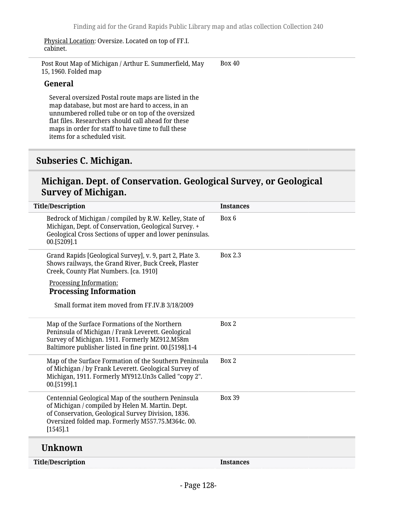Physical Location: Oversize. Located on top of FF.I. cabinet.

Post Rout Map of Michigan / Arthur E. Summerfield, May 15, 1960. Folded map Box 40

#### **General**

Several oversized Postal route maps are listed in the map database, but most are hard to access, in an unnumbered rolled tube or on top of the oversized flat files. Researchers should call ahead for these maps in order for staff to have time to full these items for a scheduled visit.

### **Subseries C. Michigan.**

### **Michigan. Dept. of Conservation. Geological Survey, or Geological Survey of Michigan.**

| <b>Title/Description</b>                                                                                                                                                                                                          | <b>Instances</b> |
|-----------------------------------------------------------------------------------------------------------------------------------------------------------------------------------------------------------------------------------|------------------|
| Bedrock of Michigan / compiled by R.W. Kelley, State of<br>Michigan, Dept. of Conservation, Geological Survey. +<br>Geological Cross Sections of upper and lower peninsulas.<br>00.[5209].1                                       | Box 6            |
| Grand Rapids [Geological Survey], v. 9, part 2, Plate 3.<br>Shows railways, the Grand River, Buck Creek, Plaster<br>Creek, County Plat Numbers. [ca. 1910]                                                                        | Box 2.3          |
| Processing Information:<br><b>Processing Information</b>                                                                                                                                                                          |                  |
| Small format item moved from FF.IV.B 3/18/2009                                                                                                                                                                                    |                  |
| Map of the Surface Formations of the Northern<br>Peninsula of Michigan / Frank Leverett. Geological<br>Survey of Michigan. 1911. Formerly MZ912.M58m<br>Baltimore publisher listed in fine print. 00.[5198].1-4                   | Box 2            |
| Map of the Surface Formation of the Southern Peninsula<br>of Michigan / by Frank Leverett. Geological Survey of<br>Michigan, 1911. Formerly MY912.Un3s Called "copy 2".<br>00.[5199].1                                            | Box 2            |
| Centennial Geological Map of the southern Peninsula<br>of Michigan / compiled by Helen M. Martin. Dept.<br>of Conservation, Geological Survey Division, 1836.<br>Oversized folded map. Formerly M557.75.M364c. 00.<br>$[1545]$ .1 | <b>Box 39</b>    |
| <b>Unknown</b>                                                                                                                                                                                                                    |                  |
| <b>Title/Description</b>                                                                                                                                                                                                          | <b>Instances</b> |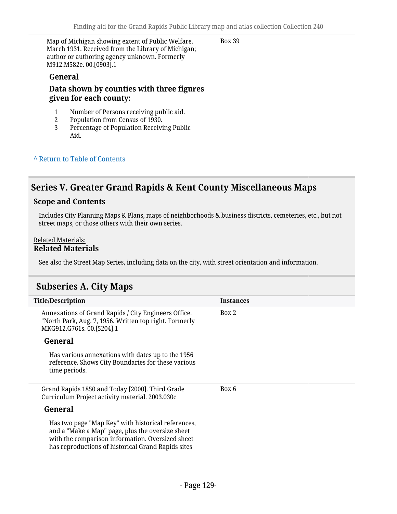Map of Michigan showing extent of Public Welfare. March 1931. Received from the Library of Michigan; author or authoring agency unknown. Formerly M912.M582e. 00.[0903].1

Box 39

#### **General**

#### **Data shown by counties with three figures given for each county:**

- 1 Number of Persons receiving public aid.<br>2 Population from Census of 1930.
- 2 Population from Census of 1930.
- 3 Percentage of Population Receiving Public Aid.

#### **^** [Return to Table of Contents](#page-1-0)

### **Series V. Greater Grand Rapids & Kent County Miscellaneous Maps**

#### **Scope and Contents**

Includes City Planning Maps & Plans, maps of neighborhoods & business districts, cemeteries, etc., but not street maps, or those others with their own series.

#### Related Materials: **Related Materials**

See also the Street Map Series, including data on the city, with street orientation and information.

### **Subseries A. City Maps**

| <b>Title/Description</b>                                                                                                                                                                                         | <b>Instances</b> |
|------------------------------------------------------------------------------------------------------------------------------------------------------------------------------------------------------------------|------------------|
| Annexations of Grand Rapids / City Engineers Office.<br>"North Park, Aug. 7, 1956. Written top right. Formerly<br>MKG912.G761s. 00.[5204].1                                                                      | Box 2            |
| General                                                                                                                                                                                                          |                  |
| Has various annexations with dates up to the 1956<br>reference. Shows City Boundaries for these various<br>time periods.                                                                                         |                  |
| Grand Rapids 1850 and Today [2000]. Third Grade<br>Curriculum Project activity material. 2003.030c                                                                                                               | Box 6            |
| General                                                                                                                                                                                                          |                  |
| Has two page "Map Key" with historical references,<br>and a "Make a Map" page, plus the oversize sheet<br>with the comparison information. Oversized sheet<br>has reproductions of historical Grand Rapids sites |                  |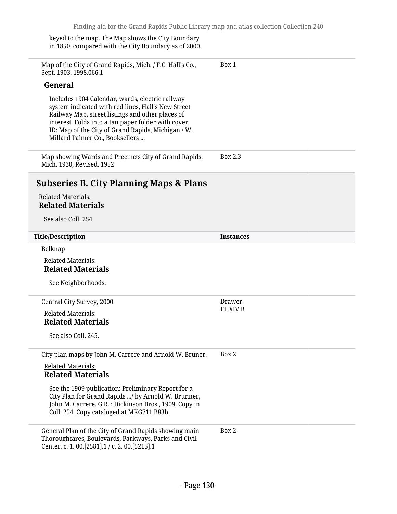keyed to the map. The Map shows the City Boundary in 1850, compared with the City Boundary as of 2000.

Map of the City of Grand Rapids, Mich. / F.C. Hall's Co., Sept. 1903. 1998.066.1 **General** Includes 1904 Calendar, wards, electric railway system indicated with red lines, Hall's New Street Railway Map, street listings and other places of interest. Folds into a tan paper folder with cover ID: Map of the City of Grand Rapids, Michigan / W. Millard Palmer Co., Booksellers ... Box 1 Map showing Wards and Precincts City of Grand Rapids, Mich. 1930, Revised, 1952 Box 2.3 **Subseries B. City Planning Maps & Plans** Related Materials: **Related Materials** See also Coll. 254 **Title/Description Instances** Belknap Related Materials: **Related Materials** See Neighborhoods. Central City Survey, 2000. Related Materials: **Related Materials** See also Coll. 245. Drawer FF.XIV.B City plan maps by John M. Carrere and Arnold W. Bruner. Related Materials: **Related Materials** See the 1909 publication: Preliminary Report for a City Plan for Grand Rapids .../ by Arnold W. Brunner, John M. Carrere. G.R. : Dickinson Bros., 1909. Copy in Coll. 254. Copy cataloged at MKG711.B83b Box 2 General Plan of the City of Grand Rapids showing main Thoroughfares, Boulevards, Parkways, Parks and Civil Center. c. 1. 00.[2581].1 / c. 2. 00.[5215].1 Box 2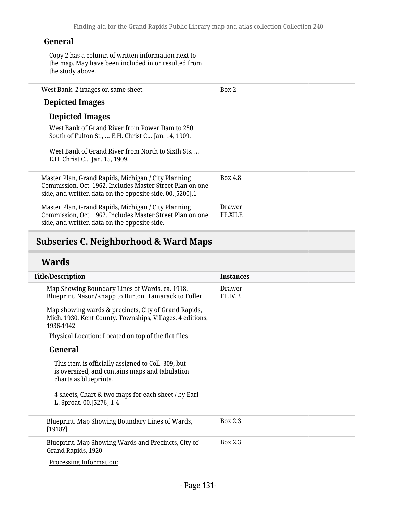### **General**

Copy 2 has a column of written information next to the map. May have been included in or resulted from the study above.

| West Bank. 2 images on same sheet.                                                                                                                                           | Box 2              |
|------------------------------------------------------------------------------------------------------------------------------------------------------------------------------|--------------------|
| <b>Depicted Images</b>                                                                                                                                                       |                    |
| <b>Depicted Images</b>                                                                                                                                                       |                    |
| West Bank of Grand River from Power Dam to 250<br>South of Fulton St.,  E.H. Christ C Jan. 14, 1909.                                                                         |                    |
| West Bank of Grand River from North to Sixth Sts.<br>E.H. Christ C Jan. 15, 1909.                                                                                            |                    |
| Master Plan, Grand Rapids, Michigan / City Planning<br>Commission, Oct. 1962. Includes Master Street Plan on one<br>side, and written data on the opposite side. 00.[5200].1 | Box 4.8            |
| Master Plan, Grand Rapids, Michigan / City Planning<br>Commission, Oct. 1962. Includes Master Street Plan on one<br>side, and written data on the opposite side.             | Drawer<br>FF.XII.E |
|                                                                                                                                                                              |                    |

# **Subseries C. Neighborhood & Ward Maps**

# **Wards**

| <b>Title/Description</b>                                                                                                                                                              | <b>Instances</b>  |
|---------------------------------------------------------------------------------------------------------------------------------------------------------------------------------------|-------------------|
| Map Showing Boundary Lines of Wards. ca. 1918.<br>Blueprint. Nason/Knapp to Burton. Tamarack to Fuller.                                                                               | Drawer<br>FF.IV.B |
| Map showing wards & precincts, City of Grand Rapids,<br>Mich. 1930. Kent County. Townships, Villages. 4 editions,<br>1936-1942<br>Physical Location: Located on top of the flat files |                   |
| General                                                                                                                                                                               |                   |
| This item is officially assigned to Coll. 309, but<br>is oversized, and contains maps and tabulation<br>charts as blueprints.                                                         |                   |
| 4 sheets, Chart & two maps for each sheet / by Earl<br>L. Sproat. 00.[5276].1-4                                                                                                       |                   |
| Blueprint. Map Showing Boundary Lines of Wards,<br>[1918]                                                                                                                             | Box 2.3           |
| Blueprint. Map Showing Wards and Precincts, City of<br>Grand Rapids, 1920                                                                                                             | <b>Box 2.3</b>    |
| Processing Information:                                                                                                                                                               |                   |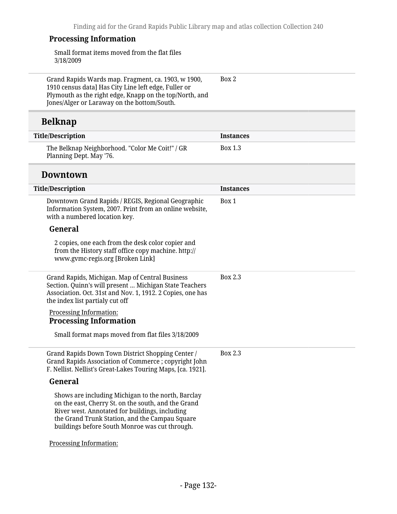### **Processing Information**

Small format items moved from the flat files 3/18/2009

Grand Rapids Wards map. Fragment, ca. 1903, w 1900, 1910 census data] Has City Line left edge, Fuller or Plymouth as the right edge, Knapp on the top/North, and Jones/Alger or Laraway on the bottom/South. Box 2

### **Belknap**

| Title/Description                                                          | Instances |
|----------------------------------------------------------------------------|-----------|
| The Belknap Neighborhood. "Color Me Coit!" / GR<br>Planning Dept. May '76. | Box 1.3   |

#### **Downtown**

| <b>Title/Description</b>                                                                                                                                                                                                                                        | <b>Instances</b> |
|-----------------------------------------------------------------------------------------------------------------------------------------------------------------------------------------------------------------------------------------------------------------|------------------|
| Downtown Grand Rapids / REGIS, Regional Geographic<br>Information System, 2007. Print from an online website,<br>with a numbered location key.                                                                                                                  | Box 1            |
| General                                                                                                                                                                                                                                                         |                  |
| 2 copies, one each from the desk color copier and<br>from the History staff office copy machine. http://<br>www.gvmc-regis.org [Broken Link]                                                                                                                    |                  |
| Grand Rapids, Michigan. Map of Central Business<br>Section. Quinn's will present  Michigan State Teachers<br>Association. Oct. 31st and Nov. 1, 1912. 2 Copies, one has<br>the index list partialy cut off                                                      | <b>Box 2.3</b>   |
| Processing Information:<br><b>Processing Information</b>                                                                                                                                                                                                        |                  |
| Small format maps moved from flat files 3/18/2009                                                                                                                                                                                                               |                  |
| Grand Rapids Down Town District Shopping Center /<br>Grand Rapids Association of Commerce ; copyright John<br>F. Nellist. Nellist's Great-Lakes Touring Maps, [ca. 1921].                                                                                       | Box 2.3          |
| General                                                                                                                                                                                                                                                         |                  |
| Shows are including Michigan to the north, Barclay<br>on the east, Cherry St. on the south, and the Grand<br>River west. Annotated for buildings, including<br>the Grand Trunk Station, and the Campau Square<br>buildings before South Monroe was cut through. |                  |
| Processing Information:                                                                                                                                                                                                                                         |                  |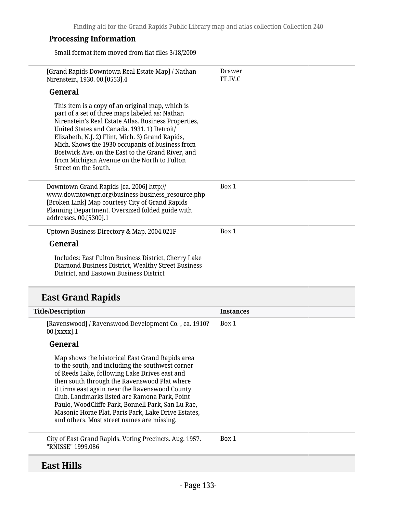#### **Processing Information**

Small format item moved from flat files 3/18/2009

| [Grand Rapids Downtown Real Estate Map] / Nathan<br>Nirenstein, 1930. 00.[0553].4                                                                                                                                                                                                                                                                                                                                                                                | Drawer<br>FF.IV.C |
|------------------------------------------------------------------------------------------------------------------------------------------------------------------------------------------------------------------------------------------------------------------------------------------------------------------------------------------------------------------------------------------------------------------------------------------------------------------|-------------------|
| General                                                                                                                                                                                                                                                                                                                                                                                                                                                          |                   |
| This item is a copy of an original map, which is<br>part of a set of three maps labeled as: Nathan<br>Nirenstein's Real Estate Atlas. Business Properties,<br>United States and Canada. 1931. 1) Detroit/<br>Elizabeth, N.J. 2) Flint, Mich. 3) Grand Rapids,<br>Mich. Shows the 1930 occupants of business from<br>Bostwick Ave. on the East to the Grand River, and<br>from Michigan Avenue on the North to Fulton<br>Street on the South.                     |                   |
| Downtown Grand Rapids [ca. 2006] http://<br>www.downtowngr.org/business-business_resource.php<br>[Broken Link] Map courtesy City of Grand Rapids<br>Planning Department. Oversized folded guide with<br>addresses. 00.[5300].1                                                                                                                                                                                                                                   | Box 1             |
| Uptown Business Directory & Map. 2004.021F                                                                                                                                                                                                                                                                                                                                                                                                                       | Box 1             |
| General                                                                                                                                                                                                                                                                                                                                                                                                                                                          |                   |
| Includes: East Fulton Business District, Cherry Lake<br>Diamond Business District, Wealthy Street Business<br>District, and Eastown Business District                                                                                                                                                                                                                                                                                                            |                   |
| <b>East Grand Rapids</b>                                                                                                                                                                                                                                                                                                                                                                                                                                         |                   |
| <b>Title/Description</b>                                                                                                                                                                                                                                                                                                                                                                                                                                         | <b>Instances</b>  |
| [Ravenswood] / Ravenswood Development Co., ca. 1910?<br>00.[XXXX].1                                                                                                                                                                                                                                                                                                                                                                                              | Box 1             |
| General                                                                                                                                                                                                                                                                                                                                                                                                                                                          |                   |
| Map shows the historical East Grand Rapids area<br>to the south, and including the southwest corner<br>of Reeds Lake, following Lake Drives east and<br>then south through the Ravenswood Plat where<br>it tirms east again near the Ravenswood County<br>Club. Landmarks listed are Ramona Park, Point<br>Paulo, WoodCliffe Park, Bonnell Park, San Lu Rae,<br>Masonic Home Plat, Paris Park, Lake Drive Estates,<br>and others. Most street names are missing. |                   |

City of East Grand Rapids. Voting Precincts. Aug. 1957. "RNISSE" 1999.086 Box 1

### **East Hills**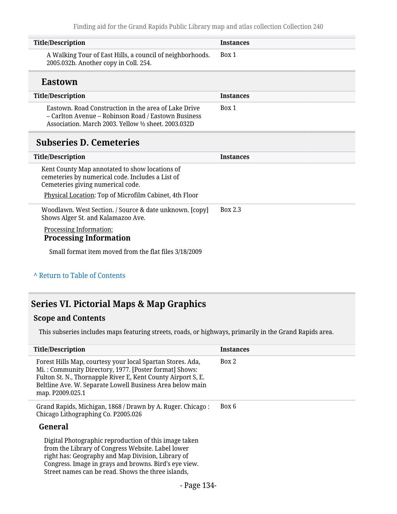|                                                                                                                                                                     | <b>Instances</b> |
|---------------------------------------------------------------------------------------------------------------------------------------------------------------------|------------------|
| <b>Title/Description</b>                                                                                                                                            |                  |
| A Walking Tour of East Hills, a council of neighborhoods.<br>2005.032b. Another copy in Coll. 254.                                                                  | Box 1            |
| <b>Eastown</b>                                                                                                                                                      |                  |
| <b>Title/Description</b>                                                                                                                                            | <b>Instances</b> |
| Eastown, Road Construction in the area of Lake Drive<br>- Carlton Avenue - Robinson Road / Eastown Business<br>Association. March 2003. Yellow 1/2 sheet. 2003.032D | Box 1            |
| <b>Subseries D. Cemeteries</b>                                                                                                                                      |                  |
| <b>Title/Description</b>                                                                                                                                            | <b>Instances</b> |
| Kent County Map annotated to show locations of<br>cemeteries by numerical code. Includes a List of                                                                  |                  |
| Cemeteries giving numerical code.                                                                                                                                   |                  |
| Physical Location: Top of Microfilm Cabinet, 4th Floor                                                                                                              |                  |
| Woodlawn. West Section. / Source & date unknown. [copy]<br>Shows Alger St. and Kalamazoo Ave.                                                                       | Box 2.3          |
| <b>Processing Information:</b><br><b>Processing Information</b>                                                                                                     |                  |

### **^** [Return to Table of Contents](#page-1-0)

# **Series VI. Pictorial Maps & Map Graphics**

### **Scope and Contents**

L

This subseries includes maps featuring streets, roads, or highways, primarily in the Grand Rapids area.

| <b>Title/Description</b>                                                                                                                                                                                                                                                       | Instances |
|--------------------------------------------------------------------------------------------------------------------------------------------------------------------------------------------------------------------------------------------------------------------------------|-----------|
| Forest Hills Map, courtesy your local Spartan Stores. Ada,<br>Mi.: Community Directory, 1977. [Poster format] Shows:<br>Fulton St. N., Thornapple River E, Kent County Airport S, E.<br>Beltline Ave. W. Separate Lowell Business Area below main<br>map. P2009.025.1          | Box 2     |
| Grand Rapids, Michigan, 1868 / Drawn by A. Ruger. Chicago:<br>Chicago Lithographing Co. P2005.026                                                                                                                                                                              | Box 6     |
| General                                                                                                                                                                                                                                                                        |           |
| Digital Photographic reproduction of this image taken<br>from the Library of Congress Website. Label lower<br>right has: Geography and Map Division, Library of<br>Congress. Image in grays and browns. Bird's eye view.<br>Street names can be read. Shows the three islands, |           |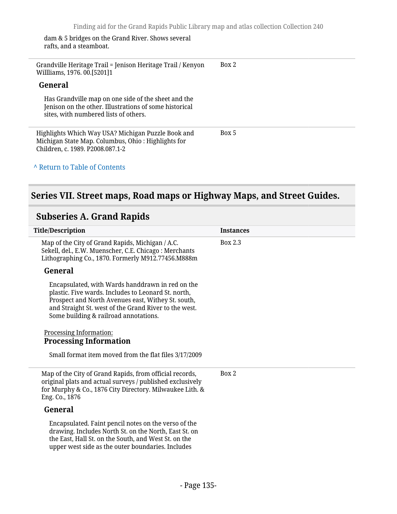dam & 5 bridges on the Grand River. Shows several rafts, and a steamboat.

Grandville Heritage Trail = Jenison Heritage Trail / Kenyon Willliams, 1976. 00.[5201]1 Box 2

#### **General**

Has Grandville map on one side of the sheet and the Jenison on the other. Illustrations of some historical sites, with numbered lists of others.

Highlights Which Way USA? Michigan Puzzle Book and Michigan State Map. Columbus, Ohio : Highlights for Children, c. 1989. P2008.087.1-2 Box 5

#### **^** [Return to Table of Contents](#page-1-0)

### **Series VII. Street maps, Road maps or Highway Maps, and Street Guides.**

### **Subseries A. Grand Rapids**

| <b>Title/Description</b>                                                                                                                                                                                                                                        | <b>Instances</b> |
|-----------------------------------------------------------------------------------------------------------------------------------------------------------------------------------------------------------------------------------------------------------------|------------------|
| Map of the City of Grand Rapids, Michigan / A.C.<br>Sekell, del., E.W. Muenscher, C.E. Chicago: Merchants<br>Lithographing Co., 1870. Formerly M912.77456.M888m                                                                                                 | Box 2.3          |
| General                                                                                                                                                                                                                                                         |                  |
| Encapsulated, with Wards handdrawn in red on the<br>plastic. Five wards. Includes to Leonard St. north,<br>Prospect and North Avenues east, Withey St. south,<br>and Straight St. west of the Grand River to the west.<br>Some building & railroad annotations. |                  |
| <b>Processing Information:</b><br><b>Processing Information</b>                                                                                                                                                                                                 |                  |
| Small format item moved from the flat files 3/17/2009                                                                                                                                                                                                           |                  |
| Map of the City of Grand Rapids, from official records,<br>original plats and actual surveys / published exclusively<br>for Murphy & Co., 1876 City Directory. Milwaukee Lith. &<br>Eng. Co., 1876                                                              | Box 2            |
| General                                                                                                                                                                                                                                                         |                  |
| Encapsulated. Faint pencil notes on the verso of the<br>drawing. Includes North St. on the North, East St. on<br>the East, Hall St. on the South, and West St. on the<br>upper west side as the outer boundaries. Includes                                      |                  |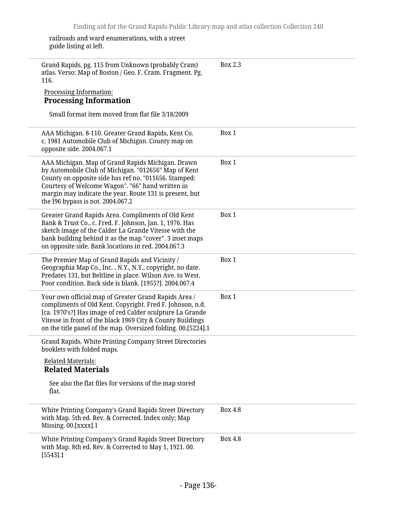railroads and ward enumerations, with a street guide listing at left.

| Grand Rapids, pg. 115 from Unknown (probably Cram)<br>atlas. Verso: Map of Boston / Geo. F. Cram. Fragment. Pg.<br>116.<br>Processing Information:<br><b>Processing Information</b>                                                                                                                                    | Box 2.3 |
|------------------------------------------------------------------------------------------------------------------------------------------------------------------------------------------------------------------------------------------------------------------------------------------------------------------------|---------|
| Small format item moved from flat file 3/18/2009                                                                                                                                                                                                                                                                       |         |
| AAA Michigan. 8-110. Greater Grand Rapids, Kent Co.<br>c. 1981 Automobile Club of Michigan. County map on<br>opposite side. 2004.067.1                                                                                                                                                                                 | Box 1   |
| AAA Michigan. Map of Grand Rapids Michigan. Drawn<br>by Automobile Club of Michigan. "012656" Map of Kent<br>County on opposite side has ref no. "011656. Stamped:<br>Courtesy of Welcome Wagon". "66" hand written in<br>margin may indicate the year. Route 131 is present, but<br>the I96 bypass is not. 2004.067.2 | Box 1   |
| Greater Grand Rapids Area. Compliments of Old Kent<br>Bank & Trust Co., c. Fred. F. Johnson, Jan. 1, 1976. Has<br>sketch image of the Calder La Grande Vitesse with the<br>bank building behind it as the map "cover". 3 inset maps<br>on opposite side. Bank locations in red. 2004.067.3                             | Box 1   |
| The Premier Map of Grand Rapids and Vicinity /<br>Geographia Map Co., Inc., N.Y., N.Y., copyright, no date.<br>Predates 131, but Beltline in place. Wilson Ave. to West.<br>Poor condition. Back side is blank. [1955?]. 2004.067.4                                                                                    | Box 1   |
| Your own official map of Greater Grand Rapids Area /<br>compliments of Old Kent. Copyright. Fred F. Johnson, n.d.<br>[ca. 1970's?] Has image of red Calder sculpture La Grande<br>Vitesse in front of the black 1969 City & County Buildings<br>on the title panel of the map. Oversized folding. 00.[5224].1          | Box 1   |
| Grand Rapids. White Printing Company Street Directories<br>booklets with folded maps.<br><b>Related Materials:</b>                                                                                                                                                                                                     |         |
| <b>Related Materials</b><br>See also the flat files for versions of the map stored<br>flat.                                                                                                                                                                                                                            |         |
| White Printing Company's Grand Rapids Street Directory<br>with Map. 5th ed. Rev. & Corrected. Index only; Map<br>Missing. 00.[xxxx].1                                                                                                                                                                                  | Box 4.8 |
| White Printing Company's Grand Rapids Street Directory<br>with Map. 8th ed. Rev. & Corrected to May 1, 1921. 00.<br>[5543] .1                                                                                                                                                                                          | Box 4.8 |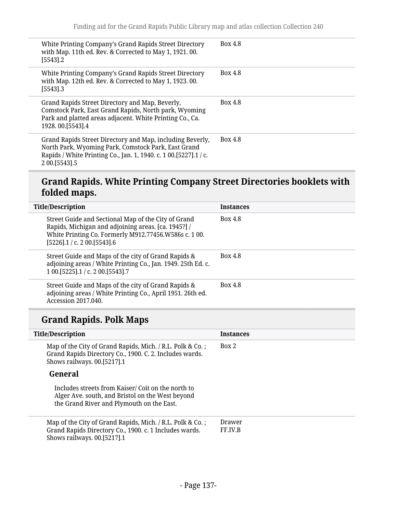| White Printing Company's Grand Rapids Street Directory<br>with Map. 11th ed. Rev. & Corrected to May 1, 1921. 00.<br>$[5543]$ .2                                                                          | <b>Box 4.8</b> |
|-----------------------------------------------------------------------------------------------------------------------------------------------------------------------------------------------------------|----------------|
| White Printing Company's Grand Rapids Street Directory<br>with Map. 12th ed. Rev. & Corrected to May 1, 1923.00.<br>$[5543]$ .3                                                                           | Box 4.8        |
| Grand Rapids Street Directory and Map, Beverly,<br>Comstock Park, East Grand Rapids, North park, Wyoming<br>Park and platted areas adjacent. White Printing Co., Ca.<br>1928.00. [5543]. 4                | <b>Box 4.8</b> |
| Grand Rapids Street Directory and Map, including Beverly,<br>North Park, Wyoming Park, Comstock Park, East Grand<br>Rapids / White Printing Co., Jan. 1, 1940. c. 1 00. [5227]. 1 / c.<br>2 00. [5543] .5 | Box 4.8        |

# **Grand Rapids. White Printing Company Street Directories booklets with folded maps.**

| <b>Title/Description</b>                                                                                                                                                                             | <b>Instances</b> |  |
|------------------------------------------------------------------------------------------------------------------------------------------------------------------------------------------------------|------------------|--|
| Street Guide and Sectional Map of the City of Grand<br>Rapids, Michigan and adjoining areas. [ca. 1945?] /<br>White Printing Co. Formerly M912.77456.W586s c. 100.<br>$[5226]$ .1 / c. 2 00.[5543].6 | <b>Box 4.8</b>   |  |
| Street Guide and Maps of the city of Grand Rapids &<br>adjoining areas / White Printing Co., Jan. 1949. 25th Ed. c.<br>1 00. [5225] . 1 / c. 2 00. [5543] . 7                                        | <b>Box 4.8</b>   |  |
| Street Guide and Maps of the city of Grand Rapids &<br>adjoining areas / White Printing Co., April 1951. 26th ed.<br>Accession 2017.040.                                                             | Box 4.8          |  |

# **Grand Rapids. Polk Maps**

| <b>Title/Description</b>                                                                                                                            | <b>Instances</b>  |
|-----------------------------------------------------------------------------------------------------------------------------------------------------|-------------------|
| Map of the City of Grand Rapids, Mich. / R.L. Polk & Co.;<br>Grand Rapids Directory Co., 1900. C. 2. Includes wards.<br>Shows railways. 00.[5217].1 | Box 2             |
| General                                                                                                                                             |                   |
| Includes streets from Kaiser/Coit on the north to<br>Alger Ave. south, and Bristol on the West beyond<br>the Grand River and Plymouth on the East.  |                   |
| Map of the City of Grand Rapids, Mich. / R.L. Polk & Co.;<br>Grand Rapids Directory Co., 1900. c. 1 Includes wards.<br>Shows railways. 00.[5217].1  | Drawer<br>FF.IV.B |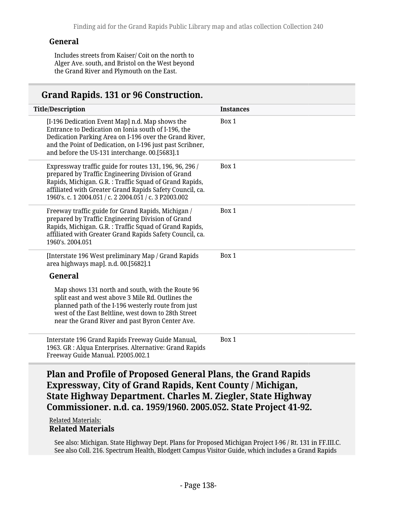#### **General**

Includes streets from Kaiser/ Coit on the north to Alger Ave. south, and Bristol on the West beyond the Grand River and Plymouth on the East.

### **Grand Rapids. 131 or 96 Construction.**

| <b>Title/Description</b>                                                                                                                                                                                                                                                                                                                                                        | <b>Instances</b> |
|---------------------------------------------------------------------------------------------------------------------------------------------------------------------------------------------------------------------------------------------------------------------------------------------------------------------------------------------------------------------------------|------------------|
| [I-196 Dedication Event Map] n.d. Map shows the<br>Entrance to Dedication on Ionia south of I-196, the<br>Dedication Parking Area on I-196 over the Grand River,<br>and the Point of Dedication, on I-196 just past Scribner,<br>and before the US-131 interchange. 00.[5683].1                                                                                                 | Box 1            |
| Expressway traffic guide for routes 131, 196, 96, 296 /<br>prepared by Traffic Engineering Division of Grand<br>Rapids, Michigan. G.R.: Traffic Squad of Grand Rapids,<br>affiliated with Greater Grand Rapids Safety Council, ca.<br>1960's. c. 1 2004.051 / c. 2 2004.051 / c. 3 P2003.002                                                                                    | Box 1            |
| Freeway traffic guide for Grand Rapids, Michigan /<br>prepared by Traffic Engineering Division of Grand<br>Rapids, Michigan. G.R.: Traffic Squad of Grand Rapids,<br>affiliated with Greater Grand Rapids Safety Council, ca.<br>1960's. 2004.051                                                                                                                               | Box 1            |
| [Interstate 196 West preliminary Map / Grand Rapids<br>area highways map]. n.d. 00.[5682].1<br>General<br>Map shows 131 north and south, with the Route 96<br>split east and west above 3 Mile Rd. Outlines the<br>planned path of the I-196 westerly route from just<br>west of the East Beltline, west down to 28th Street<br>near the Grand River and past Byron Center Ave. | Box 1            |
| Interstate 196 Grand Rapids Freeway Guide Manual,<br>1963. GR : Alqua Enterprises. Alternative: Grand Rapids<br>Freeway Guide Manual. P2005.002.1                                                                                                                                                                                                                               | Box 1            |

**Plan and Profile of Proposed General Plans, the Grand Rapids Expressway, City of Grand Rapids, Kent County / Michigan, State Highway Department. Charles M. Ziegler, State Highway Commissioner. n.d. ca. 1959/1960. 2005.052. State Project 41-92.**

#### Related Materials: **Related Materials**

See also: Michigan. State Highway Dept. Plans for Proposed Michigan Project I-96 / Rt. 131 in FF.III.C. See also Coll. 216. Spectrum Health, Blodgett Campus Visitor Guide, which includes a Grand Rapids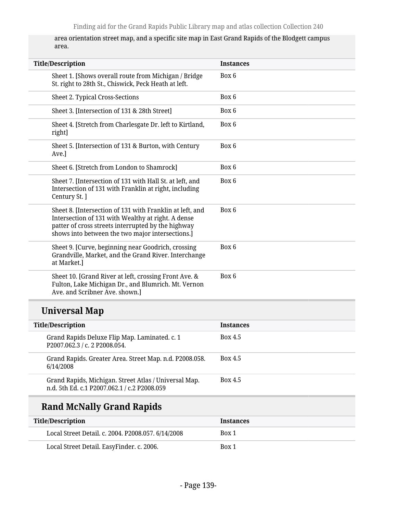area orientation street map, and a specific site map in East Grand Rapids of the Blodgett campus area.

| <b>Title/Description</b>                                                                                                                                                                                                 | <b>Instances</b> |
|--------------------------------------------------------------------------------------------------------------------------------------------------------------------------------------------------------------------------|------------------|
| Sheet 1. [Shows overall route from Michigan / Bridge<br>St. right to 28th St., Chiswick, Peck Heath at left.                                                                                                             | Box 6            |
| Sheet 2. Typical Cross-Sections                                                                                                                                                                                          | Box 6            |
| Sheet 3. [Intersection of 131 & 28th Street]                                                                                                                                                                             | Box 6            |
| Sheet 4. [Stretch from Charlesgate Dr. left to Kirtland,<br>right]                                                                                                                                                       | Box 6            |
| Sheet 5. [Intersection of 131 & Burton, with Century<br>Ave.]                                                                                                                                                            | Box 6            |
| Sheet 6. [Stretch from London to Shamrock]                                                                                                                                                                               | Box 6            |
| Sheet 7. [Intersection of 131 with Hall St. at left, and<br>Intersection of 131 with Franklin at right, including<br>Century St. ]                                                                                       | Box 6            |
| Sheet 8. [Intersection of 131 with Franklin at left, and<br>Intersection of 131 with Wealthy at right. A dense<br>patter of cross streets interrupted by the highway<br>shows into between the two major intersections.] | Box 6            |
| Sheet 9. [Curve, beginning near Goodrich, crossing<br>Grandville, Market, and the Grand River. Interchange<br>at Market.]                                                                                                | Box 6            |
| Sheet 10. [Grand River at left, crossing Front Ave. &<br>Fulton, Lake Michigan Dr., and Blumrich. Mt. Vernon<br>Ave. and Scribner Ave. shown.]                                                                           | Box 6            |
| <b>Universal Map</b>                                                                                                                                                                                                     |                  |
| <b>Title/Description</b>                                                                                                                                                                                                 | <b>Instances</b> |
|                                                                                                                                                                                                                          |                  |

| THE DESCRIPTION                              |                                                         | mstances       |
|----------------------------------------------|---------------------------------------------------------|----------------|
| P2007.062.3 / c. 2 P2008.054.                | Grand Rapids Deluxe Flip Map. Laminated. c. 1           | Box 4.5        |
| 6/14/2008                                    | Grand Rapids. Greater Area. Street Map. n.d. P2008.058. | <b>Box 4.5</b> |
| n.d. 5th Ed. c.1 P2007.062.1 / c.2 P2008.059 | Grand Rapids, Michigan. Street Atlas / Universal Map.   | Box 4.5        |

# **Rand McNally Grand Rapids**

| Title/Description                                  | <b>Instances</b> |
|----------------------------------------------------|------------------|
| Local Street Detail. c. 2004. P2008.057. 6/14/2008 | Box 1            |
| Local Street Detail. EasyFinder. c. 2006.          | Box 1            |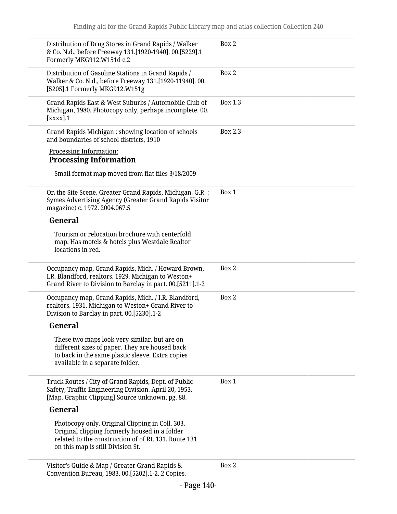| Distribution of Drug Stores in Grand Rapids / Walker<br>& Co. N.d., before Freeway 131.[1920-1940]. 00.[5229].1<br>Formerly MKG912.W151d c.2                                                  | Box 2   |
|-----------------------------------------------------------------------------------------------------------------------------------------------------------------------------------------------|---------|
| Distribution of Gasoline Stations in Grand Rapids /<br>Walker & Co. N.d., before Freeway 131.[1920-11940]. 00.<br>[5205].1 Formerly MKG912.W151g                                              | Box 2   |
| Grand Rapids East & West Suburbs / Automobile Club of<br>Michigan, 1980. Photocopy only, perhaps incomplete. 00.<br>[xxxx].1                                                                  | Box 1.3 |
| Grand Rapids Michigan: showing location of schools<br>and boundaries of school districts, 1910                                                                                                | Box 2.3 |
| <b>Processing Information:</b><br><b>Processing Information</b>                                                                                                                               |         |
| Small format map moved from flat files 3/18/2009                                                                                                                                              |         |
| On the Site Scene. Greater Grand Rapids, Michigan. G.R. :<br>Symes Advertising Agency (Greater Grand Rapids Visitor<br>magazine) c. 1972. 2004.067.5                                          | Box 1   |
| General                                                                                                                                                                                       |         |
| Tourism or relocation brochure with centerfold<br>map. Has motels & hotels plus Westdale Realtor<br>locations in red.                                                                         |         |
| Occupancy map, Grand Rapids, Mich. / Howard Brown,<br>I.R. Blandford, realtors. 1929. Michigan to Weston+<br>Grand River to Division to Barclay in part. 00.[5211].1-2                        | Box 2   |
| Occupancy map, Grand Rapids, Mich. / I.R. Blandford,<br>realtors. 1931. Michigan to Weston+ Grand River to<br>Division to Barclay in part. 00.[5230].1-2                                      | Box 2   |
| General                                                                                                                                                                                       |         |
| These two maps look very similar, but are on<br>different sizes of paper. They are housed back<br>to back in the same plastic sleeve. Extra copies<br>available in a separate folder.         |         |
| Truck Routes / City of Grand Rapids, Dept. of Public<br>Safety, Traffic Engineering Division. April 20, 1953.<br>[Map. Graphic Clipping] Source unknown, pg. 88.                              | Box 1   |
| General                                                                                                                                                                                       |         |
| Photocopy only. Original Clipping in Coll. 303.<br>Original clipping formerly housed in a folder<br>related to the construction of of Rt. 131. Route 131<br>on this map is still Division St. |         |
| Visitor's Guide & Map / Greater Grand Rapids &<br>Convention Bureau, 1983. 00.[5202].1-2. 2 Copies.                                                                                           | Box 2   |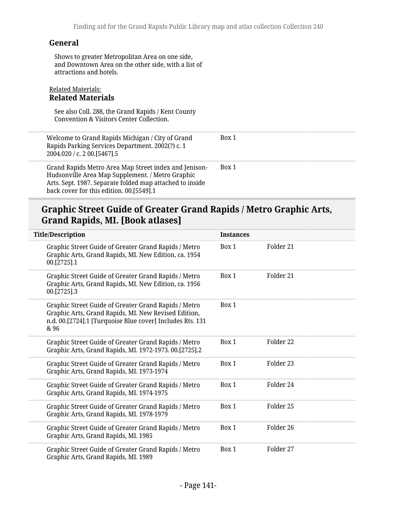#### **General**

Shows to greater Metropolitan Area on one side, and Downtown Area on the other side, with a list of attractions and hotels.

#### Related Materials: **Related Materials**

See also Coll. 288, the Grand Rapids / Kent County Convention & Visitors Center Collection.

| Welcome to Grand Rapids Michigan / City of Grand<br>Rapids Parking Services Department. 2002(?) c. 1<br>2004.020 / c. 2 00.[5467].5                                                                               | Box 1 |
|-------------------------------------------------------------------------------------------------------------------------------------------------------------------------------------------------------------------|-------|
| Grand Rapids Metro Area Map Street index and Jenison-<br>Hudsonville Area Map Supplement. / Metro Graphic<br>Arts. Sept. 1987. Separate folded map attached to inside<br>back cover for this edition. 00.[5549].1 | Box 1 |

### **Graphic Street Guide of Greater Grand Rapids / Metro Graphic Arts, Grand Rapids, MI. [Book atlases]**

| <b>Title/Description</b>                                                                                                                                                          | <b>Instances</b> |           |
|-----------------------------------------------------------------------------------------------------------------------------------------------------------------------------------|------------------|-----------|
| Graphic Street Guide of Greater Grand Rapids / Metro<br>Graphic Arts, Grand Rapids, MI. New Edition, ca. 1954<br>00.[2725].1                                                      | Box 1            | Folder 21 |
| Graphic Street Guide of Greater Grand Rapids / Metro<br>Graphic Arts, Grand Rapids, MI. New Edition, ca. 1956<br>00.[2725].3                                                      | Box 1            | Folder 21 |
| Graphic Street Guide of Greater Grand Rapids / Metro<br>Graphic Arts, Grand Rapids, MI. New Revised Edition,<br>n.d. 00.[2724].1 [Turquoise Blue cover] Includes Rts. 131<br>& 96 | Box 1            |           |
| Graphic Street Guide of Greater Grand Rapids / Metro<br>Graphic Arts, Grand Rapids, MI. 1972-1973. 00.[2725].2                                                                    | Box 1            | Folder 22 |
| Graphic Street Guide of Greater Grand Rapids / Metro<br>Graphic Arts, Grand Rapids, MI. 1973-1974                                                                                 | Box 1            | Folder 23 |
| Graphic Street Guide of Greater Grand Rapids / Metro<br>Graphic Arts, Grand Rapids, MI. 1974-1975                                                                                 | Box 1            | Folder 24 |
| Graphic Street Guide of Greater Grand Rapids / Metro<br>Graphic Arts, Grand Rapids, MI. 1978-1979                                                                                 | Box 1            | Folder 25 |
| Graphic Street Guide of Greater Grand Rapids / Metro<br>Graphic Arts, Grand Rapids, MI. 1985                                                                                      | Box 1            | Folder 26 |
| Graphic Street Guide of Greater Grand Rapids / Metro<br>Graphic Arts, Grand Rapids, MI. 1989                                                                                      | Box 1            | Folder 27 |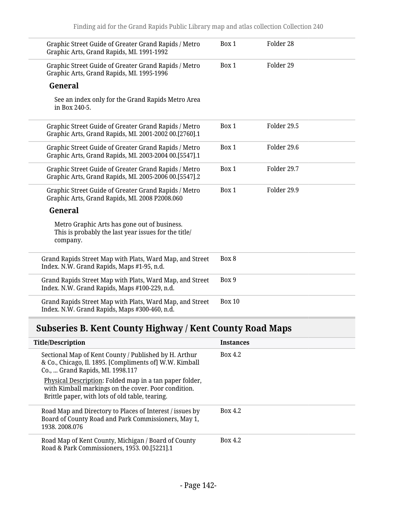| Graphic Street Guide of Greater Grand Rapids / Metro<br>Graphic Arts, Grand Rapids, MI. 1991-1992                | Box 1         | Folder 28   |  |
|------------------------------------------------------------------------------------------------------------------|---------------|-------------|--|
| Graphic Street Guide of Greater Grand Rapids / Metro<br>Graphic Arts, Grand Rapids, MI. 1995-1996                | Box 1         | Folder 29   |  |
| General                                                                                                          |               |             |  |
| See an index only for the Grand Rapids Metro Area<br>in Box 240-5.                                               |               |             |  |
| Graphic Street Guide of Greater Grand Rapids / Metro<br>Graphic Arts, Grand Rapids, MI. 2001-2002 00.[2760].1    | Box 1         | Folder 29.5 |  |
| Graphic Street Guide of Greater Grand Rapids / Metro<br>Graphic Arts, Grand Rapids, MI. 2003-2004 00.[5547].1    | Box 1         | Folder 29.6 |  |
| Graphic Street Guide of Greater Grand Rapids / Metro<br>Graphic Arts, Grand Rapids, MI. 2005-2006 00.[5547].2    | Box 1         | Folder 29.7 |  |
| Graphic Street Guide of Greater Grand Rapids / Metro<br>Graphic Arts, Grand Rapids, MI. 2008 P2008.060           | Box 1         | Folder 29.9 |  |
| General                                                                                                          |               |             |  |
| Metro Graphic Arts has gone out of business.<br>This is probably the last year issues for the title/<br>company. |               |             |  |
| Grand Rapids Street Map with Plats, Ward Map, and Street<br>Index. N.W. Grand Rapids, Maps #1-95, n.d.           | Box 8         |             |  |
| Grand Rapids Street Map with Plats, Ward Map, and Street<br>Index. N.W. Grand Rapids, Maps #100-229, n.d.        | Box 9         |             |  |
| Grand Rapids Street Map with Plats, Ward Map, and Street<br>Index. N.W. Grand Rapids, Maps #300-460, n.d.        | <b>Box 10</b> |             |  |

# **Subseries B. Kent County Highway / Kent County Road Maps**

| <b>Title/Description</b>                                                                                                                                          | <b>Instances</b> |
|-------------------------------------------------------------------------------------------------------------------------------------------------------------------|------------------|
| Sectional Map of Kent County / Published by H. Arthur<br>& Co., Chicago, Il. 1895. [Compliments of] W.W. Kimball<br>Co.,  Grand Rapids, MI. 1998.117              | Box 4.2          |
| Physical Description: Folded map in a tan paper folder,<br>with Kimball markings on the cover. Poor condition.<br>Brittle paper, with lots of old table, tearing. |                  |
| Road Map and Directory to Places of Interest / issues by<br>Board of County Road and Park Commissioners, May 1,<br>1938.2008.076                                  | Box 4.2          |
| Road Map of Kent County, Michigan / Board of County<br>Road & Park Commissioners, 1953. 00.[5221].1                                                               | Box 4.2          |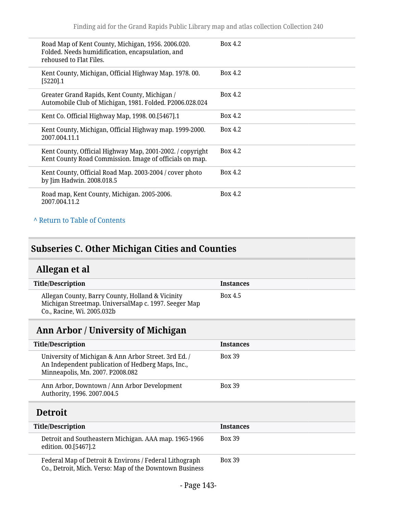| Road Map of Kent County, Michigan, 1956. 2006.020.<br>Folded. Needs humidification, encapsulation, and<br>rehoused to Flat Files. | Box 4.2 |
|-----------------------------------------------------------------------------------------------------------------------------------|---------|
| Kent County, Michigan, Official Highway Map. 1978.00.<br>$[5220]$ .1                                                              | Box 4.2 |
| Greater Grand Rapids, Kent County, Michigan /<br>Automobile Club of Michigan, 1981. Folded. P2006.028.024                         | Box 4.2 |
| Kent Co. Official Highway Map, 1998. 00.[5467].1                                                                                  | Box 4.2 |
| Kent County, Michigan, Official Highway map. 1999-2000.<br>2007.004.11.1                                                          | Box 4.2 |
| Kent County, Official Highway Map, 2001-2002. / copyright<br>Kent County Road Commission. Image of officials on map.              | Box 4.2 |
| Kent County, Official Road Map. 2003-2004 / cover photo<br>by Jim Hadwin. 2008.018.5                                              | Box 4.2 |
| Road map, Kent County, Michigan. 2005-2006.<br>2007.004.11.2                                                                      | Box 4.2 |

#### **^** [Return to Table of Contents](#page-1-0)

# **Subseries C. Other Michigan Cities and Counties**

# **Allegan et al**

| <b>Title/Description</b>                                                                                                               | <b>Instances</b> |
|----------------------------------------------------------------------------------------------------------------------------------------|------------------|
| Allegan County, Barry County, Holland & Vicinity<br>Michigan Streetmap. UniversalMap c. 1997. Seeger Map<br>Co., Racine, Wi. 2005.032b | Box 4.5          |

# **Ann Arbor / University of Michigan**

| <b>Title/Description</b>                                                                                                                      | <b>Instances</b> |
|-----------------------------------------------------------------------------------------------------------------------------------------------|------------------|
| University of Michigan & Ann Arbor Street. 3rd Ed. /<br>An Independent publication of Hedberg Maps, Inc.,<br>Minneapolis, Mn. 2007. P2008.082 | <b>Box 39</b>    |
| Ann Arbor, Downtown / Ann Arbor Development<br>Authority, 1996. 2007.004.5                                                                    | <b>Box 39</b>    |
| <b>Detroit</b>                                                                                                                                |                  |
| <b>Title/Description</b>                                                                                                                      | <b>Instances</b> |
| Detroit and Southeastern Michigan. AAA map. 1965-1966<br>edition. 00.[5467].2                                                                 | <b>Box 39</b>    |
|                                                                                                                                               |                  |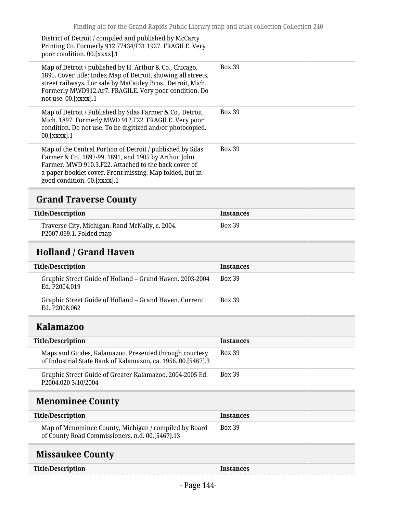District of Detroit / compiled and published by McCarty Printing Co. Formerly 912.77434/F31 1927. FRAGILE. Very poor condition. 00.[xxxx].1

| Map of Detroit / published by H. Arthur & Co., Chicago,<br>1895. Cover title: Index Map of Detroit, showing all streets,<br>street railways. For sale by MaCauley Bros., Detroit, Mich.<br>Formerly MWD912.Ar7. FRAGILE. Very poor condition. Do<br>not use. 00.[xxxx].1 | <b>Box 39</b> |
|--------------------------------------------------------------------------------------------------------------------------------------------------------------------------------------------------------------------------------------------------------------------------|---------------|
| Map of Detroit / Published by Silas Farmer & Co., Detroit,<br>Mich. 1897. Formerly MWD 912.F22. FRAGILE. Very poor<br>condition. Do not use. To be digitized and/or photocopied.<br>$00.[\text{XXX}].1$                                                                  | <b>Box 39</b> |
| Map of the Central Portion of Detroit / published by Silas<br>Farmer & Co., 1897-99, 1891, and 1905 by Arthur John<br>Farmer. MWD 910.3.F22. Attached to the back cover of<br>a paper booklet cover. Front missing. Map folded, but in<br>good condition. 00.[xxxx].1    | <b>Box 39</b> |

# **Grand Traverse County**

| Title/Description                                                          | <b>Instances</b> |
|----------------------------------------------------------------------------|------------------|
| Traverse City, Michigan. Rand McNally, c. 2004.<br>P2007.069.1. Folded map | <b>Box 39</b>    |

# **Holland / Grand Haven**

| <b>Title/Description</b>                                                  | <b>Instances</b> |
|---------------------------------------------------------------------------|------------------|
| Graphic Street Guide of Holland – Grand Haven. 2003-2004<br>Ed. P2004.019 | <b>Box 39</b>    |
| Graphic Street Guide of Holland – Grand Haven. Current<br>Ed. P2008.062   | <b>Box 39</b>    |

### **Kalamazoo**

| <b>Title/Description</b>                                                                                               | <b>Instances</b> |
|------------------------------------------------------------------------------------------------------------------------|------------------|
| Maps and Guides, Kalamazoo. Presented through courtesy<br>of Industrial State Bank of Kalamazoo, ca. 1956. 00.[5467].3 | <b>Box 39</b>    |
| Graphic Street Guide of Greater Kalamazoo. 2004-2005 Ed.<br>P2004.020 3/10/2004                                        | <b>Box 39</b>    |

# **Menominee County**

| Title/Description                                                                                        | <b>Instances</b> |
|----------------------------------------------------------------------------------------------------------|------------------|
| Map of Menominee County, Michigan / compiled by Board<br>of County Road Commissioners. n.d. 00.[5467].13 | <b>Box 39</b>    |

# **Missaukee County**

| <b>Title/Descriptior</b> |  |
|--------------------------|--|
|                          |  |

**Title/Instances**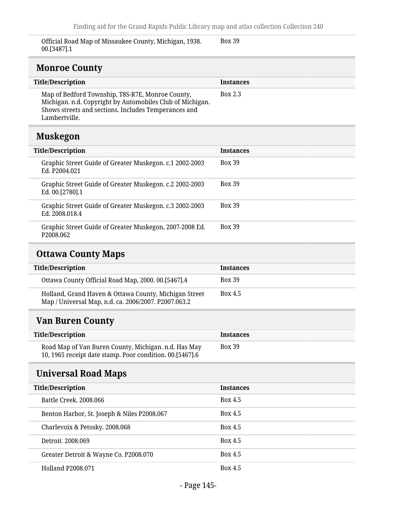Official Road Map of Missaukee County, Michigan, 1938. 00.[3487].1

Box 39

## **Monroe County**

| <b>Title/Description</b>                                                                                                                                                               | <b>Instances</b> |
|----------------------------------------------------------------------------------------------------------------------------------------------------------------------------------------|------------------|
| Map of Bedford Township, T8S-R7E, Monroe County,<br>Michigan. n.d. Copyright by Automobiles Club of Michigan.<br>Shows streets and sections. Includes Temperances and<br>Lambertville. | Box 2.3          |
|                                                                                                                                                                                        |                  |
|                                                                                                                                                                                        |                  |

## **Muskegon**

| <b>Title/Description</b>                                                         | <b>Instances</b> |
|----------------------------------------------------------------------------------|------------------|
| Graphic Street Guide of Greater Muskegon. c.1 2002-2003<br>Ed. P2004.021         | <b>Box 39</b>    |
| Graphic Street Guide of Greater Muskegon. c.2 2002-2003<br>Ed. 00.[2780].1       | <b>Box 39</b>    |
| Graphic Street Guide of Greater Muskegon. c.3 2002-2003<br>Ed. 2008.018.4        | <b>Box 39</b>    |
| Graphic Street Guide of Greater Muskegon, 2007-2008 Ed.<br>P <sub>2008.062</sub> | <b>Box 39</b>    |

## **Ottawa County Maps**

| <b>Instances</b> |
|------------------|
| <b>Box 39</b>    |
| <b>Box 4.5</b>   |
|                  |

## **Van Buren County**

| <b>Title/Description</b>                                                                                           | <b>Instances</b> |
|--------------------------------------------------------------------------------------------------------------------|------------------|
| Road Map of Van Buren County, Michigan. n.d. Has May<br>10, 1965 receipt date stamp. Poor condition. 00. [5467]. 6 | <b>Box 39</b>    |

## **Universal Road Maps**

| <b>Title/Description</b>                    | <b>Instances</b> |
|---------------------------------------------|------------------|
| Battle Creek, 2008,066                      | Box 4.5          |
| Benton Harbor, St. Joseph & Niles P2008.067 | <b>Box 4.5</b>   |
| Charlevoix & Petosky. 2008.068              | Box 4.5          |
| Detroit, 2008.069                           | Box 4.5          |
| Greater Detroit & Wayne Co. P2008.070       | Box 4.5          |
| <b>Holland P2008.071</b>                    | Box 4.5          |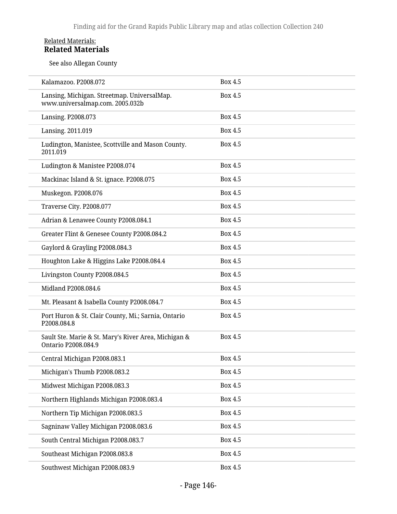### Related Materials: **Related Materials**

See also Allegan County

| Kalamazoo. P2008.072                                                           | Box 4.5        |
|--------------------------------------------------------------------------------|----------------|
| Lansing, Michigan. Streetmap. UniversalMap.<br>www.universalmap.com. 2005.032b | Box 4.5        |
| Lansing. P2008.073                                                             | Box 4.5        |
| Lansing. 2011.019                                                              | Box 4.5        |
| Ludington, Manistee, Scottville and Mason County.<br>2011.019                  | Box 4.5        |
| Ludington & Manistee P2008.074                                                 | Box 4.5        |
| Mackinac Island & St. ignace. P2008.075                                        | Box 4.5        |
| Muskegon. P2008.076                                                            | <b>Box 4.5</b> |
| Traverse City. P2008.077                                                       | Box 4.5        |
| Adrian & Lenawee County P2008.084.1                                            | Box 4.5        |
| Greater Flint & Genesee County P2008.084.2                                     | Box 4.5        |
| Gaylord & Grayling P2008.084.3                                                 | Box 4.5        |
| Houghton Lake & Higgins Lake P2008.084.4                                       | Box 4.5        |
| Livingston County P2008.084.5                                                  | Box 4.5        |
| Midland P2008.084.6                                                            | Box 4.5        |
| Mt. Pleasant & Isabella County P2008.084.7                                     | Box 4.5        |
| Port Huron & St. Clair County, Mi.; Sarnia, Ontario<br>P2008.084.8             | Box 4.5        |
| Sault Ste. Marie & St. Mary's River Area, Michigan &<br>Ontario P2008.084.9    | <b>Box 4.5</b> |
| Central Michigan P2008.083.1                                                   | Box 4.5        |
| Michigan's Thumb P2008.083.2                                                   | <b>Box 4.5</b> |
| Midwest Michigan P2008.083.3                                                   | Box 4.5        |
| Northern Highlands Michigan P2008.083.4                                        | <b>Box 4.5</b> |
| Northern Tip Michigan P2008.083.5                                              | Box 4.5        |
| Sagninaw Valley Michigan P2008.083.6                                           | Box 4.5        |
| South Central Michigan P2008.083.7                                             | Box 4.5        |
| Southeast Michigan P2008.083.8                                                 | Box 4.5        |
| Southwest Michigan P2008.083.9                                                 | Box 4.5        |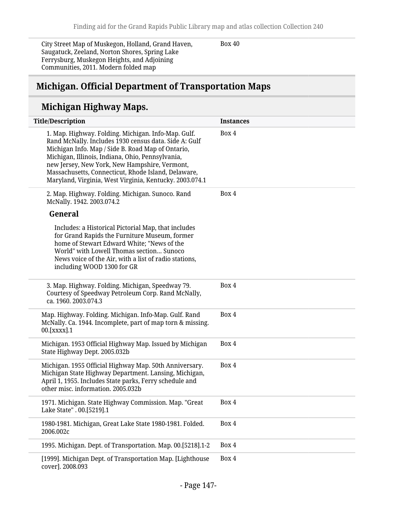City Street Map of Muskegon, Holland, Grand Haven, Saugatuck, Zeeland, Norton Shores, Spring Lake Ferrysburg, Muskegon Heights, and Adjoining Communities, 2011. Modern folded map

Box 40

## **Michigan. Official Department of Transportation Maps**

## **Michigan Highway Maps.**

| <b>Title/Description</b>                                                                                                                                                                                                                                                                                                                                                                 | <b>Instances</b> |
|------------------------------------------------------------------------------------------------------------------------------------------------------------------------------------------------------------------------------------------------------------------------------------------------------------------------------------------------------------------------------------------|------------------|
| 1. Map. Highway. Folding. Michigan. Info-Map. Gulf.<br>Rand McNally. Includes 1930 census data. Side A: Gulf<br>Michigan Info. Map / Side B. Road Map of Ontario,<br>Michigan, Illinois, Indiana, Ohio, Pennsylvania,<br>new Jersey, New York, New Hampshire, Vermont,<br>Massachusetts, Connecticut, Rhode Island, Delaware,<br>Maryland, Virginia, West Virginia, Kentucky. 2003.074.1 | Box 4            |
| 2. Map. Highway. Folding. Michigan. Sunoco. Rand<br>McNally. 1942. 2003.074.2<br>General                                                                                                                                                                                                                                                                                                 | Box 4            |
| Includes: a Historical Pictorial Map, that includes<br>for Grand Rapids the Furniture Museum, former<br>home of Stewart Edward White; "News of the<br>World" with Lowell Thomas section Sunoco<br>News voice of the Air, with a list of radio stations,<br>including WOOD 1300 for GR                                                                                                    |                  |
| 3. Map. Highway. Folding. Michigan, Speedway 79.<br>Courtesy of Speedway Petroleum Corp. Rand McNally,<br>ca. 1960. 2003.074.3                                                                                                                                                                                                                                                           | Box 4            |
| Map. Highway. Folding. Michigan. Info-Map. Gulf. Rand<br>McNally. Ca. 1944. Incomplete, part of map torn & missing.<br>00.[XXXX].1                                                                                                                                                                                                                                                       | Box 4            |
| Michigan. 1953 Official Highway Map. Issued by Michigan<br>State Highway Dept. 2005.032b                                                                                                                                                                                                                                                                                                 | Box 4            |
| Michigan. 1955 Official Highway Map. 50th Anniversary.<br>Michigan State Highway Department. Lansing, Michigan,<br>April 1, 1955. Includes State parks, Ferry schedule and<br>other misc. information. 2005.032b                                                                                                                                                                         | Box 4            |
| 1971. Michigan. State Highway Commission. Map. "Great<br>Lake State" . 00.[5219].1                                                                                                                                                                                                                                                                                                       | Box 4            |
| 1980-1981. Michigan, Great Lake State 1980-1981. Folded.<br>2006.002c                                                                                                                                                                                                                                                                                                                    | Box 4            |
| 1995. Michigan. Dept. of Transportation. Map. 00.[5218].1-2                                                                                                                                                                                                                                                                                                                              | Box 4            |
| [1999]. Michigan Dept. of Transportation Map. [Lighthouse<br>cover]. 2008.093                                                                                                                                                                                                                                                                                                            | Box 4            |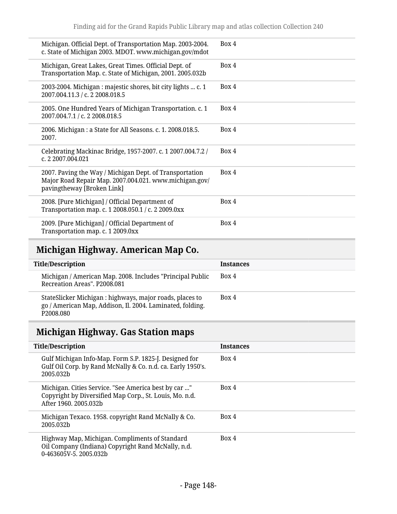| Michigan. Official Dept. of Transportation Map. 2003-2004.<br>c. State of Michigan 2003. MDOT. www.michigan.gov/mdot                            | Box 4 |
|-------------------------------------------------------------------------------------------------------------------------------------------------|-------|
| Michigan, Great Lakes, Great Times. Official Dept. of<br>Transportation Map. c. State of Michigan, 2001. 2005.032b                              | Box 4 |
| 2003-2004. Michigan : majestic shores, bit city lights  c. 1<br>2007.004.11.3 / c. 2 2008.018.5                                                 | Box 4 |
| 2005. One Hundred Years of Michigan Transportation. c. 1<br>2007.004.7.1 / c. 2 2008.018.5                                                      | Box 4 |
| 2006. Michigan : a State for All Seasons. c. 1. 2008.018.5.<br>2007.                                                                            | Box 4 |
| Celebrating Mackinac Bridge, 1957-2007. c. 1 2007.004.7.2 /<br>c. 2 2007.004.021                                                                | Box 4 |
| 2007. Paving the Way / Michigan Dept. of Transportation<br>Major Road Repair Map. 2007.004.021. www.michigan.gov/<br>pavingtheway [Broken Link] | Box 4 |
| 2008. [Pure Michigan] / Official Department of<br>Transportation map. c. 1 2008.050.1 / c. 2 2009.0xx                                           | Box 4 |
| 2009. [Pure Michigan] / Official Department of<br>Transportation map. c. 1 2009.0xx                                                             | Box 4 |

# **Michigan Highway. American Map Co.**

| <b>Title/Description</b>                                                                                                           | <b>Instances</b> |
|------------------------------------------------------------------------------------------------------------------------------------|------------------|
| Michigan / American Map. 2008. Includes "Principal Public<br>Recreation Areas", P2008.081                                          | Box 4            |
| StateSlicker Michigan : highways, major roads, places to<br>go / American Map, Addison, Il. 2004. Laminated, folding.<br>P2008.080 | Box 4            |

# **Michigan Highway. Gas Station maps**

| <b>Title/Description</b>                                                                                                                 | <b>Instances</b> |
|------------------------------------------------------------------------------------------------------------------------------------------|------------------|
| Gulf Michigan Info-Map. Form S.P. 1825-J. Designed for<br>Gulf Oil Corp. by Rand McNally & Co. n.d. ca. Early 1950's.<br>2005.032b       | Box 4            |
| Michigan. Cities Service. "See America best by car "<br>Copyright by Diversified Map Corp., St. Louis, Mo. n.d.<br>After 1960, 2005.032b | Box 4            |
| Michigan Texaco. 1958. copyright Rand McNally & Co.<br>2005.032b                                                                         | Box 4            |
| Highway Map, Michigan. Compliments of Standard<br>Oil Company (Indiana) Copyright Rand McNally, n.d.<br>0-463605V-5, 2005.032b           | Box 4            |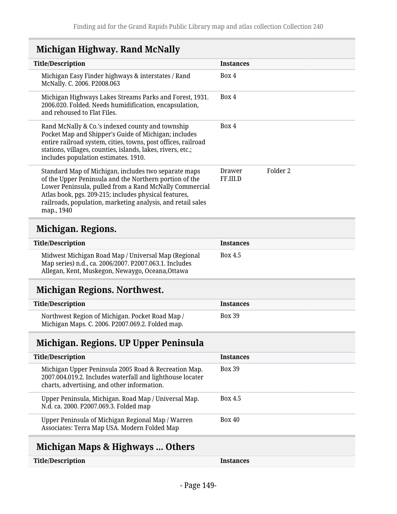# **Michigan Highway. Rand McNally**

| <b>Title/Description</b>                                                                                                                                                                                                                                                                                       | <b>Instances</b>                                 |
|----------------------------------------------------------------------------------------------------------------------------------------------------------------------------------------------------------------------------------------------------------------------------------------------------------------|--------------------------------------------------|
| Michigan Easy Finder highways & interstates / Rand<br>McNally. C. 2006. P2008.063                                                                                                                                                                                                                              | Box 4                                            |
| Michigan Highways Lakes Streams Parks and Forest, 1931.<br>2006.020. Folded. Needs humidification, encapsulation,<br>and rehoused to Flat Files.                                                                                                                                                               | Box 4                                            |
| Rand McNally & Co.'s indexed county and township<br>Pocket Map and Shipper's Guide of Michigan; includes<br>entire railroad system, cities, towns, post offices, railroad<br>stations, villages, counties, islands, lakes, rivers, etc.;<br>includes population estimates. 1910.                               | Box 4                                            |
| Standard Map of Michigan, includes two separate maps<br>of the Upper Peninsula and the Northern portion of the<br>Lower Peninsula, pulled from a Rand McNally Commercial<br>Atlas book, pgs. 209-215; includes physical features,<br>railroads, population, marketing analysis, and retail sales<br>map., 1940 | Folder <sub>2</sub><br><b>Drawer</b><br>FF.III.D |
| Michigan. Regions.                                                                                                                                                                                                                                                                                             |                                                  |
| <b>Title/Description</b>                                                                                                                                                                                                                                                                                       | <b>Instances</b>                                 |
| Midwest Michigan Road Map / Universal Map (Regional<br>Map series) n.d., ca. 2006/2007. P2007.063.1. Includes<br>Allegan, Kent, Muskegon, Newaygo, Oceana, Ottawa                                                                                                                                              | Box 4.5                                          |
| <b>Michigan Regions. Northwest.</b>                                                                                                                                                                                                                                                                            |                                                  |
| <b>Title/Description</b>                                                                                                                                                                                                                                                                                       | <b>Instances</b>                                 |
| Northwest Region of Michigan. Pocket Road Map /                                                                                                                                                                                                                                                                | <b>Box 39</b>                                    |

Michigan Maps. C. 2006. P2007.069.2. Folded map.

## **Michigan. Regions. UP Upper Peninsula**

| <b>Title/Description</b>                                                                                                                                         | <b>Instances</b> |
|------------------------------------------------------------------------------------------------------------------------------------------------------------------|------------------|
| Michigan Upper Peninsula 2005 Road & Recreation Map.<br>2007.004.019.2. Includes waterfall and lighthouse locater<br>charts, advertising, and other information. | <b>Box 39</b>    |
| Upper Peninsula, Michigan. Road Map / Universal Map.<br>N.d. ca. 2000. P2007.069.3. Folded map                                                                   | <b>Box 4.5</b>   |
| Upper Peninsula of Michigan Regional Map / Warren<br>Associates: Terra Map USA. Modern Folded Map                                                                | <b>Box 40</b>    |
|                                                                                                                                                                  |                  |

# **Michigan Maps & Highways ... Others**

| Title/Description | <b>Instances</b> |
|-------------------|------------------|
|-------------------|------------------|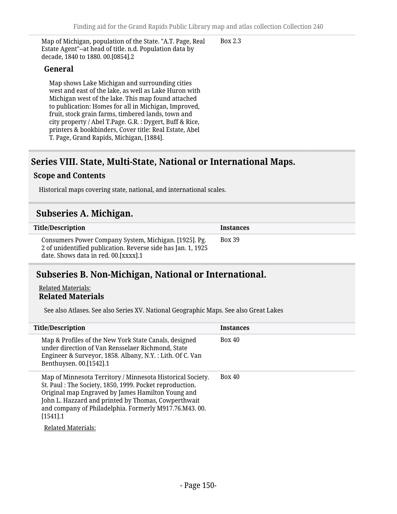Map of Michigan, population of the State. "A.T. Page, Real Estate Agent"--at head of title. n.d. Population data by decade, 1840 to 1880. 00.[0854].2

### **General**

Map shows Lake Michigan and surrounding cities west and east of the lake, as well as Lake Huron with Michigan west of the lake. This map found attached to publication: Homes for all in Michigan, Improved, fruit, stock grain farms, timbered lands, town and city property / Abel T.Page. G.R. : Dygert, Buff & Rice, printers & bookbinders, Cover title: Real Estate, Abel T. Page, Grand Rapids, Michigan, [1884].

## **Series VIII. State, Multi-State, National or International Maps.**

#### **Scope and Contents**

Historical maps covering state, national, and international scales.

### **Subseries A. Michigan.**

| <b>Title/Description</b>                                                                                                                                        | <b>Instances</b> |
|-----------------------------------------------------------------------------------------------------------------------------------------------------------------|------------------|
| Consumers Power Company System, Michigan. [1925]. Pg.<br>2 of unidentified publication. Reverse side has Jan. 1, 1925<br>date. Shows data in red. 00. [XXXX]. 1 | <b>Box 39</b>    |

## **Subseries B. Non-Michigan, National or International.**

#### Related Materials: **Related Materials**

See also Atlases. See also Series XV. National Geographic Maps. See also Great Lakes

| <b>Title/Description</b>                                                                                                                                                                                                                                                                                                               | <b>Instances</b> |
|----------------------------------------------------------------------------------------------------------------------------------------------------------------------------------------------------------------------------------------------------------------------------------------------------------------------------------------|------------------|
| Map & Profiles of the New York State Canals, designed<br>under direction of Van Rensselaer Richmond, State<br>Engineer & Surveyor, 1858. Albany, N.Y. : Lith. Of C. Van<br>Benthuysen. 00.[1542].1                                                                                                                                     | <b>Box 40</b>    |
| Map of Minnesota Territory / Minnesota Historical Society.<br>St. Paul: The Society, 1850, 1999. Pocket reproduction.<br>Original map Engraved by James Hamilton Young and<br>John L. Hazzard and printed by Thomas, Cowperthwait<br>and company of Philadelphia. Formerly M917.76.M43.00.<br>$[1541]$ .1<br><b>Related Materials:</b> | <b>Box 40</b>    |

Box 2.3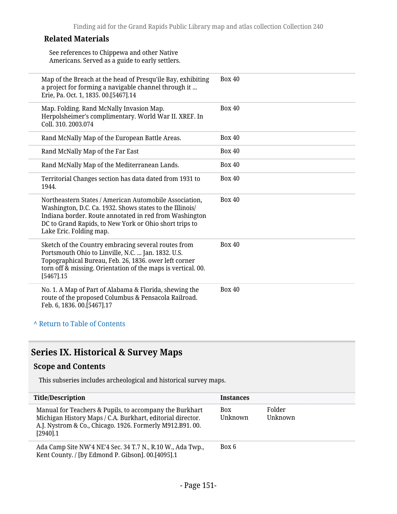### **Related Materials**

See references to Chippewa and other Native Americans. Served as a guide to early settlers.

| Map of the Breach at the head of Presqu'ile Bay, exhibiting<br>a project for forming a navigable channel through it<br>Erie, Pa. Oct. 1, 1835. 00.[5467].14                                                                                                       | <b>Box 40</b> |
|-------------------------------------------------------------------------------------------------------------------------------------------------------------------------------------------------------------------------------------------------------------------|---------------|
| Map. Folding. Rand McNally Invasion Map.<br>Herpolsheimer's complimentary. World War II. XREF. In<br>Coll. 310. 2003.074                                                                                                                                          | <b>Box 40</b> |
| Rand McNally Map of the European Battle Areas.                                                                                                                                                                                                                    | <b>Box 40</b> |
| Rand McNally Map of the Far East                                                                                                                                                                                                                                  | <b>Box 40</b> |
| Rand McNally Map of the Mediterranean Lands.                                                                                                                                                                                                                      | <b>Box 40</b> |
| Territorial Changes section has data dated from 1931 to<br>1944.                                                                                                                                                                                                  | <b>Box 40</b> |
| Northeastern States / American Automobile Association,<br>Washington, D.C. Ca. 1932. Shows states to the Illinois/<br>Indiana border. Route annotated in red from Washington<br>DC to Grand Rapids, to New York or Ohio short trips to<br>Lake Eric. Folding map. | <b>Box 40</b> |
| Sketch of the Country embracing several routes from<br>Portsmouth Ohio to Linville, N.C.  Jan. 1832. U.S.<br>Topographical Bureau, Feb. 26, 1836. ower left corner<br>torn off & missing. Orientation of the maps is vertical. 00.<br>$[5467]$ .15                | <b>Box 40</b> |
| No. 1. A Map of Part of Alabama & Florida, shewing the<br>route of the proposed Columbus & Pensacola Railroad.<br>Feb. 6, 1836. 00.[5467].17                                                                                                                      | <b>Box 40</b> |
| A Return to Table of Contents                                                                                                                                                                                                                                     |               |

## **Series IX. Historical & Survey Maps**

### **Scope and Contents**

This subseries includes archeological and historical survey maps.

| <b>Title/Description</b>                                                                                                                                                                         | <b>Instances</b> |                   |
|--------------------------------------------------------------------------------------------------------------------------------------------------------------------------------------------------|------------------|-------------------|
| Manual for Teachers & Pupils, to accompany the Burkhart<br>Michigan History Maps / C.A. Burkhart, editorial director.<br>A.J. Nystrom & Co., Chicago. 1926. Formerly M912.B91.00.<br>$[2940]$ .1 | Box<br>Unknown   | Folder<br>Unknown |
| Ada Camp Site NW'4 NE'4 Sec. 34 T.7 N., R.10 W., Ada Twp.,<br>Kent County. / [by Edmond P. Gibson]. 00.[4095].1                                                                                  | Box 6            |                   |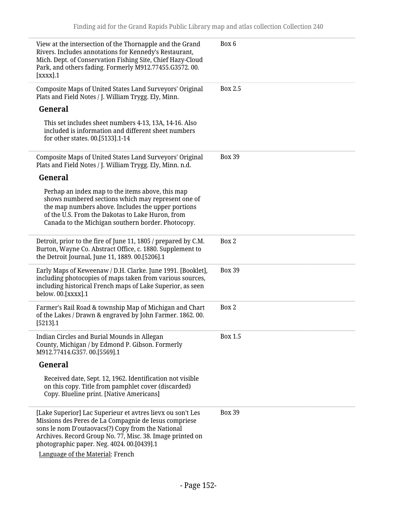| View at the intersection of the Thornapple and the Grand<br>Rivers. Includes annotations for Kennedy's Restaurant,<br>Mich. Dept. of Conservation Fishing Site, Chief Hazy-Cloud<br>Park, and others fading. Formerly M912.77455.G3572.00.<br>[xxxx].1                              | Box 6          |
|-------------------------------------------------------------------------------------------------------------------------------------------------------------------------------------------------------------------------------------------------------------------------------------|----------------|
| Composite Maps of United States Land Surveyors' Original<br>Plats and Field Notes / J. William Trygg. Ely, Minn.                                                                                                                                                                    | <b>Box 2.5</b> |
| General                                                                                                                                                                                                                                                                             |                |
| This set includes sheet numbers 4-13, 13A, 14-16. Also<br>included is information and different sheet numbers<br>for other states. 00.[5133].1-14                                                                                                                                   |                |
| Composite Maps of United States Land Surveyors' Original<br>Plats and Field Notes / J. William Trygg. Ely, Minn. n.d.                                                                                                                                                               | <b>Box 39</b>  |
| General                                                                                                                                                                                                                                                                             |                |
| Perhap an index map to the items above, this map<br>shows numbered sections which may represent one of<br>the map numbers above. Includes the upper portions<br>of the U.S. From the Dakotas to Lake Huron, from<br>Canada to the Michigan southern border. Photocopy.              |                |
| Detroit, prior to the fire of June 11, 1805 / prepared by C.M.<br>Burton, Wayne Co. Abstract Office, c. 1880. Supplement to<br>the Detroit Journal, June 11, 1889. 00.[5206].1                                                                                                      | Box 2          |
| Early Maps of Keweenaw / D.H. Clarke. June 1991. [Booklet],<br>including photocopies of maps taken from various sources,<br>including historical French maps of Lake Superior, as seen<br>below. 00.[XXXX].1                                                                        | <b>Box 39</b>  |
| Farmer's Rail Road & township Map of Michigan and Chart<br>of the Lakes / Drawn & engraved by John Farmer. 1862. 00.<br>[5213].1                                                                                                                                                    | Box 2          |
| Indian Circles and Burial Mounds in Allegan<br>County, Michigan / by Edmond P. Gibson. Formerly<br>M912.77414.G357.00.[5569].1                                                                                                                                                      | Box 1.5        |
| General                                                                                                                                                                                                                                                                             |                |
| Received date, Sept. 12, 1962. Identification not visible<br>on this copy. Title from pamphlet cover (discarded)<br>Copy. Blueline print. [Native Americans]                                                                                                                        |                |
| [Lake Superior] Lac Superieur et avtres lievx ou son't Les<br>Missions des Peres de La Compagnie de Iesus compriese<br>sons le nom D'outaovacs(?) Copy from the National<br>Archives. Record Group No. 77, Misc. 38. Image printed on<br>photographic paper. Neg. 4024. 00.[0439].1 | <b>Box 39</b>  |
| Language of the Material: French                                                                                                                                                                                                                                                    |                |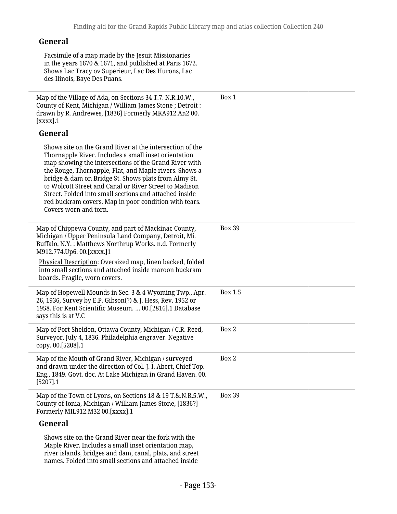### **General**

Facsimile of a map made by the Jesuit Missionaries in the years 1670 & 1671, and published at Paris 1672. Shows Lac Tracy ov Superieur, Lac Des Hurons, Lac des Ilinois, Baye Des Puans.

Map of the Village of Ada, on Sections 34 T.7. N.R.10.W., County of Kent, Michigan / William James Stone ; Detroit : drawn by R. Andrewes, [1836] Formerly MKA912.An2 00. [xxxx].1 **General** Shows site on the Grand River at the intersection of the Thornapple River. Includes a small inset orientation map showing the intersections of the Grand River with the Rouge, Thornapple, Flat, and Maple rivers. Shows a bridge & dam on Bridge St. Shows plats from Almy St. to Wolcott Street and Canal or River Street to Madison Street. Folded into small sections and attached inside red buckram covers. Map in poor condition with tears. Covers worn and torn. Box 1 Map of Chippewa County, and part of Mackinac County, Michigan / Upper Peninsula Land Company, Detroit, Mi. Buffalo, N.Y. : Matthews Northrup Works. n.d. Formerly M912.774.Up6. 00.[xxxx.]1 Physical Description: Oversized map, linen backed, folded into small sections and attached inside maroon buckram boards. Fragile, worn covers. Box 39 Map of Hopewell Mounds in Sec. 3 & 4 Wyoming Twp., Apr. 26, 1936, Survey by E.P. Gibson(?) & J. Hess, Rev. 1952 or 1958. For Kent Scientific Museum. … 00.[2816].1 Database says this is at V.C Box 1.5 Map of Port Sheldon, Ottawa County, Michigan / C.R. Reed, Surveyor, July 4, 1836. Philadelphia engraver. Negative copy. 00.[5208].1 Box 2 Map of the Mouth of Grand River, Michigan / surveyed Box 2

and drawn under the direction of Col. J. I. Abert, Chief Top. Eng., 1849. Govt. doc. At Lake Michigan in Grand Haven. 00. [5207].1 Map of the Town of Lyons, on Sections 18 & 19 T.&.N.R.5.W., County of Ionia, Michigan / William James Stone, [1836?] Box 39

Formerly MIL912.M32 00.[xxxx].1

### **General**

Shows site on the Grand River near the fork with the Maple River. Includes a small inset orientation map, river islands, bridges and dam, canal, plats, and street names. Folded into small sections and attached inside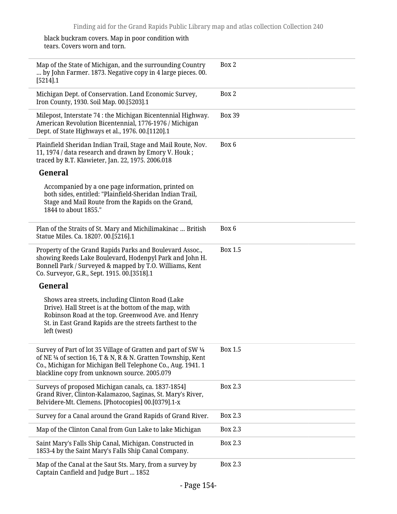#### black buckram covers. Map in poor condition with tears. Covers worn and torn.

L

| Map of the State of Michigan, and the surrounding Country<br>by John Farmer. 1873. Negative copy in 4 large pieces. 00.<br>$[5214]$ .1                                                                                                         | Box 2          |
|------------------------------------------------------------------------------------------------------------------------------------------------------------------------------------------------------------------------------------------------|----------------|
| Michigan Dept. of Conservation. Land Economic Survey,<br>Iron County, 1930. Soil Map. 00.[5203].1                                                                                                                                              | Box 2          |
| Milepost, Interstate 74 : the Michigan Bicentennial Highway.<br>American Revolution Bicentennial, 1776-1976 / Michigan<br>Dept. of State Highways et al., 1976. 00.[1120].1                                                                    | <b>Box 39</b>  |
| Plainfield Sheridan Indian Trail, Stage and Mail Route, Nov.<br>11, 1974 / data research and drawn by Emory V. Houk;<br>traced by R.T. Klawieter, Jan. 22, 1975. 2006.018                                                                      | Box 6          |
| General                                                                                                                                                                                                                                        |                |
| Accompanied by a one page information, printed on<br>both sides, entitled: "Plainfield-Sheridan Indian Trail,<br>Stage and Mail Route from the Rapids on the Grand,<br>1844 to about 1855."                                                    |                |
| Plan of the Straits of St. Mary and Michilimakinac  British<br>Statue Miles. Ca. 1820?. 00.[5216].1                                                                                                                                            | Box 6          |
| Property of the Grand Rapids Parks and Boulevard Assoc.,<br>showing Reeds Lake Boulevard, Hodenpyl Park and John H.<br>Bonnell Park / Surveyed & mapped by T.O. Williams, Kent<br>Co. Surveyor, G.R., Sept. 1915. 00.[3518].1                  | <b>Box 1.5</b> |
| General                                                                                                                                                                                                                                        |                |
| Shows area streets, including Clinton Road (Lake<br>Drive). Hall Street is at the bottom of the map, with<br>Robinson Road at the top. Greenwood Ave. and Henry<br>St. in East Grand Rapids are the streets farthest to the<br>left (west)     |                |
| Survey of Part of lot 35 Village of Gratten and part of SW 1/4<br>of NE 1/4 of section 16, T & N, R & N. Gratten Township, Kent<br>Co., Michigan for Michigan Bell Telephone Co., Aug. 1941. 1<br>blackline copy from unknown source. 2005.079 | Box 1.5        |
| Surveys of proposed Michigan canals, ca. 1837-1854]<br>Grand River, Clinton-Kalamazoo, Saginas, St. Mary's River,<br>Belvidere-Mt. Clemens. [Photocopies] 00.[0379].1-x                                                                        | <b>Box 2.3</b> |
| Survey for a Canal around the Grand Rapids of Grand River.                                                                                                                                                                                     | Box 2.3        |
| Map of the Clinton Canal from Gun Lake to lake Michigan                                                                                                                                                                                        | Box 2.3        |
| Saint Mary's Falls Ship Canal, Michigan. Constructed in<br>1853-4 by the Saint Mary's Falls Ship Canal Company.                                                                                                                                | Box 2.3        |
| Map of the Canal at the Saut Sts. Mary, from a survey by<br>Captain Canfield and Judge Burt  1852                                                                                                                                              | <b>Box 2.3</b> |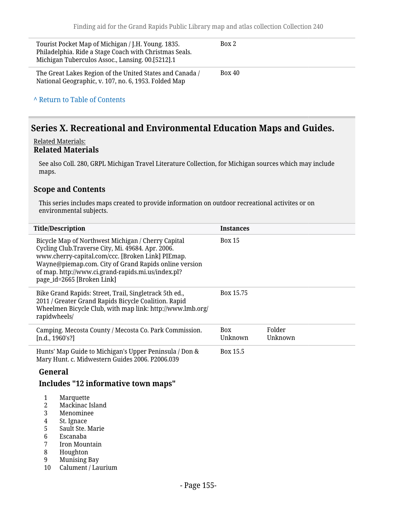| Tourist Pocket Map of Michigan / J.H. Young. 1835.<br>Philadelphia. Ride a Stage Coach with Christmas Seals.<br>Michigan Tuberculos Assoc., Lansing. 00.[5212].1 | Box 2         |
|------------------------------------------------------------------------------------------------------------------------------------------------------------------|---------------|
| The Great Lakes Region of the United States and Canada /<br>National Geographic, v. 107, no. 6, 1953. Folded Map                                                 | <b>Box 40</b> |
| A Return to Table of Contents                                                                                                                                    |               |

## **Series X. Recreational and Environmental Education Maps and Guides.**

#### Related Materials: **Related Materials**

See also Coll. 280, GRPL Michigan Travel Literature Collection, for Michigan sources which may include maps.

### **Scope and Contents**

This series includes maps created to provide information on outdoor recreational activites or on environmental subjects.

| <b>Title/Description</b>                                                                                                                                                                                                                                                                                  | <b>Instances</b>      |                   |
|-----------------------------------------------------------------------------------------------------------------------------------------------------------------------------------------------------------------------------------------------------------------------------------------------------------|-----------------------|-------------------|
| Bicycle Map of Northwest Michigan / Cherry Capital<br>Cycling Club.Traverse City, Mi. 49684. Apr. 2006.<br>www.cherry-capital.com/ccc. [Broken Link] PIEmap.<br>Wayne@piemap.com. City of Grand Rapids online version<br>of map. http://www.ci.grand-rapids.mi.us/index.pl?<br>page_id=2665 [Broken Link] | <b>Box 15</b>         |                   |
| Bike Grand Rapids: Street, Trail, Singletrack 5th ed.,<br>2011 / Greater Grand Rapids Bicycle Coalition. Rapid<br>Wheelmen Bicycle Club, with map link: http://www.lmb.org/<br>rapidwheels/                                                                                                               | Box 15.75             |                   |
| Camping. Mecosta County / Mecosta Co. Park Commission.<br>[n.d., 1960's!]                                                                                                                                                                                                                                 | <b>Box</b><br>Unknown | Folder<br>Unknown |
| Hunts' Map Guide to Michigan's Upper Peninsula / Don &<br>Mary Hunt. c. Midwestern Guides 2006. P2006.039                                                                                                                                                                                                 | Box 15.5              |                   |
| General                                                                                                                                                                                                                                                                                                   |                       |                   |
| Includes "12 informative town maps"                                                                                                                                                                                                                                                                       |                       |                   |

- 
- 1 Marquette<br>2 Mackinac I Mackinac Island
- 3 Menominee<br>4 St. Ignace
- 4 St. Ignace<br>5 Sault Ste. 1
- 5 Sault Ste. Marie
- 6 Escanaba
- Iron Mountain
- 8 Houghton<br>9 Munising I
- Munising Bay
- 10 Calument / Laurium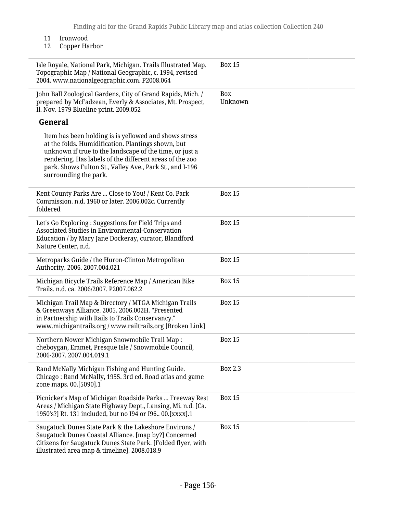11 Ironwood<br>12 Copper Ha

L

Copper Harbor

| Isle Royale, National Park, Michigan. Trails Illustrated Map.<br>Topographic Map / National Geographic, c. 1994, revised<br>2004. www.nationalgeographic.com. P2008.064                                                                                                                                                | <b>Box 15</b>  |
|------------------------------------------------------------------------------------------------------------------------------------------------------------------------------------------------------------------------------------------------------------------------------------------------------------------------|----------------|
| John Ball Zoological Gardens, City of Grand Rapids, Mich. /<br>prepared by McFadzean, Everly & Associates, Mt. Prospect,<br>Il. Nov. 1979 Blueline print. 2009.052                                                                                                                                                     | Box<br>Unknown |
| General                                                                                                                                                                                                                                                                                                                |                |
| Item has been holding is is yellowed and shows stress<br>at the folds. Humidification. Plantings shown, but<br>unknown if true to the landscape of the time, or just a<br>rendering. Has labels of the different areas of the zoo<br>park. Shows Fulton St., Valley Ave., Park St., and I-196<br>surrounding the park. |                |
| Kent County Parks Are  Close to You! / Kent Co. Park<br>Commission. n.d. 1960 or later. 2006.002c. Currently<br>foldered                                                                                                                                                                                               | <b>Box 15</b>  |
| Let's Go Exploring : Suggestions for Field Trips and<br>Associated Studies in Environmental-Conservation<br>Education / by Mary Jane Dockeray, curator, Blandford<br>Nature Center, n.d.                                                                                                                               | <b>Box 15</b>  |
| Metroparks Guide / the Huron-Clinton Metropolitan<br>Authority. 2006. 2007.004.021                                                                                                                                                                                                                                     | <b>Box 15</b>  |
| Michigan Bicycle Trails Reference Map / American Bike<br>Trails. n.d. ca. 2006/2007. P2007.062.2                                                                                                                                                                                                                       | <b>Box 15</b>  |
| Michigan Trail Map & Directory / MTGA Michigan Trails<br>& Greenways Alliance. 2005. 2006.002H. "Presented<br>in Partnership with Rails to Trails Conservancy."<br>www.michigantrails.org / www.railtrails.org [Broken Link]                                                                                           | <b>Box 15</b>  |
| Northern Nower Michigan Snowmobile Trail Map:<br>cheboygan, Emmet, Presque Isle / Snowmobile Council<br>2006-2007.2007.004.019.1                                                                                                                                                                                       | <b>Box 15</b>  |
| Rand McNally Michigan Fishing and Hunting Guide.<br>Chicago: Rand McNally, 1955. 3rd ed. Road atlas and game<br>zone maps. 00.[5090].1                                                                                                                                                                                 | Box 2.3        |
| Picnicker's Map of Michigan Roadside Parks  Freeway Rest<br>Areas / Michigan State Highway Dept., Lansing, Mi. n.d. [Ca.<br>1950's?] Rt. 131 included, but no I94 or I96 00.[XXXX].1                                                                                                                                   | <b>Box 15</b>  |
| Saugatuck Dunes State Park & the Lakeshore Environs /<br>Saugatuck Dunes Coastal Alliance. [map by?] Concerned<br>Citizens for Saugatuck Dunes State Park. [Folded flyer, with<br>illustrated area map & timeline]. 2008.018.9                                                                                         | <b>Box 15</b>  |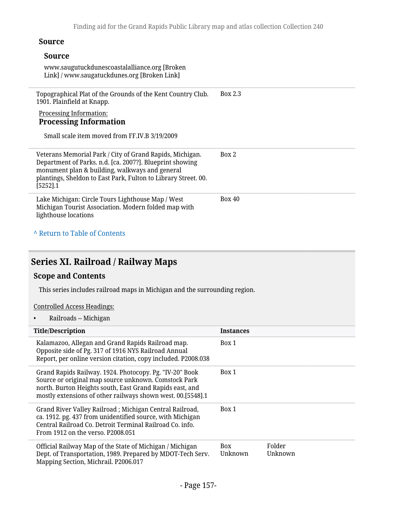### **Source**

| Source<br>www.saugutuckdunescoastalalliance.org [Broken]<br>Link] / www.saugatuckdunes.org [Broken Link]                                                                                                                                                |               |
|---------------------------------------------------------------------------------------------------------------------------------------------------------------------------------------------------------------------------------------------------------|---------------|
| Topographical Plat of the Grounds of the Kent Country Club.<br>1901. Plainfield at Knapp.<br><b>Processing Information:</b><br><b>Processing Information</b><br>Small scale item moved from FF.IV.B 3/19/2009                                           | Box 2.3       |
| Veterans Memorial Park / City of Grand Rapids, Michigan.<br>Department of Parks. n.d. [ca. 2007?]. Blueprint showing<br>monument plan & building, walkways and general<br>plantings, Sheldon to East Park, Fulton to Library Street. 00.<br>$[5252]$ .1 | Box 2         |
| Lake Michigan: Circle Tours Lighthouse Map / West<br>Michigan Tourist Association. Modern folded map with<br>lighthouse locations                                                                                                                       | <b>Box 40</b> |

## **^** [Return to Table of Contents](#page-1-0)

## **Series XI. Railroad / Railway Maps**

## **Scope and Contents**

This series includes railroad maps in Michigan and the surrounding region.

#### Controlled Access Headings:

• Railroads -- Michigan

| <b>Title/Description</b>                                                                                                                                                                                                                   | Instances             |                   |
|--------------------------------------------------------------------------------------------------------------------------------------------------------------------------------------------------------------------------------------------|-----------------------|-------------------|
| Kalamazoo, Allegan and Grand Rapids Railroad map.<br>Opposite side of Pg. 317 of 1916 NYS Railroad Annual<br>Report, per online version citation, copy included. P2008.038                                                                 | Box 1                 |                   |
| Grand Rapids Railway. 1924. Photocopy. Pg. "IV-20" Book<br>Source or original map source unknown. Comstock Park<br>north. Burton Heights south, East Grand Rapids east, and<br>mostly extensions of other railways shown west. 00.[5548].1 | Box 1                 |                   |
| Grand River Valley Railroad; Michigan Central Railroad,<br>ca. 1912. pg. 437 from unidentified source, with Michigan<br>Central Railroad Co. Detroit Terminal Railroad Co. info.<br>From 1912 on the verso, P2008.051                      | Box 1                 |                   |
| Official Railway Map of the State of Michigan / Michigan<br>Dept. of Transportation, 1989. Prepared by MDOT-Tech Serv.<br>Mapping Section, Michrail. P2006.017                                                                             | <b>Box</b><br>Unknown | Folder<br>Unknown |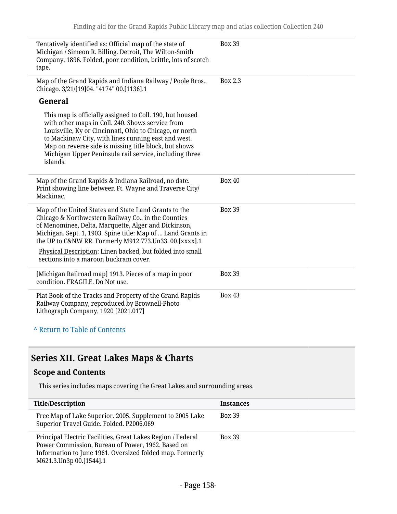| Tentatively identified as: Official map of the state of<br>Michigan / Simeon R. Billing. Detroit, The Wilton-Smith<br>Company, 1896. Folded, poor condition, brittle, lots of scotch<br>tape.                                                                                                                                                                                                       | <b>Box 39</b>  |
|-----------------------------------------------------------------------------------------------------------------------------------------------------------------------------------------------------------------------------------------------------------------------------------------------------------------------------------------------------------------------------------------------------|----------------|
| Map of the Grand Rapids and Indiana Railway / Poole Bros.,<br>Chicago. 3/21/[19]04. "4174" 00.[1136].1                                                                                                                                                                                                                                                                                              | <b>Box 2.3</b> |
| General                                                                                                                                                                                                                                                                                                                                                                                             |                |
| This map is officially assigned to Coll. 190, but housed<br>with other maps in Coll. 240. Shows service from<br>Louisville, Ky or Cincinnati, Ohio to Chicago, or north<br>to Mackinaw City, with lines running east and west.<br>Map on reverse side is missing title block, but shows<br>Michigan Upper Peninsula rail service, including three<br>islands.                                       |                |
| Map of the Grand Rapids & Indiana Railroad, no date.<br>Print showing line between Ft. Wayne and Traverse City/<br>Mackinac.                                                                                                                                                                                                                                                                        | <b>Box 40</b>  |
| Map of the United States and State Land Grants to the<br>Chicago & Northwestern Railway Co., in the Counties<br>of Menominee, Delta, Marquette, Alger and Dickinson,<br>Michigan. Sept. 1, 1903. Spine title: Map of  Land Grants in<br>the UP to C&NW RR. Formerly M912.773.Un33.00.[XXXX].1<br>Physical Description: Linen backed, but folded into small<br>sections into a maroon buckram cover. | <b>Box 39</b>  |
| [Michigan Railroad map] 1913. Pieces of a map in poor<br>condition. FRAGILE. Do Not use.                                                                                                                                                                                                                                                                                                            | <b>Box 39</b>  |
| Plat Book of the Tracks and Property of the Grand Rapids<br>Railway Company, reproduced by Brownell-Photo<br>Lithograph Company, 1920 [2021.017]                                                                                                                                                                                                                                                    | <b>Box 43</b>  |
| A Return to Table of Contents                                                                                                                                                                                                                                                                                                                                                                       |                |

## **Series XII. Great Lakes Maps & Charts**

### **Scope and Contents**

This series includes maps covering the Great Lakes and surrounding areas.

| <b>Title/Description</b>                                                                                                                                                                                | Instances     |
|---------------------------------------------------------------------------------------------------------------------------------------------------------------------------------------------------------|---------------|
| Free Map of Lake Superior. 2005. Supplement to 2005 Lake<br>Superior Travel Guide. Folded. P2006.069                                                                                                    | <b>Box 39</b> |
| Principal Electric Facilities, Great Lakes Region / Federal<br>Power Commission, Bureau of Power, 1962. Based on<br>Information to June 1961. Oversized folded map. Formerly<br>M621.3.Un3p 00.[1544].1 | <b>Box 39</b> |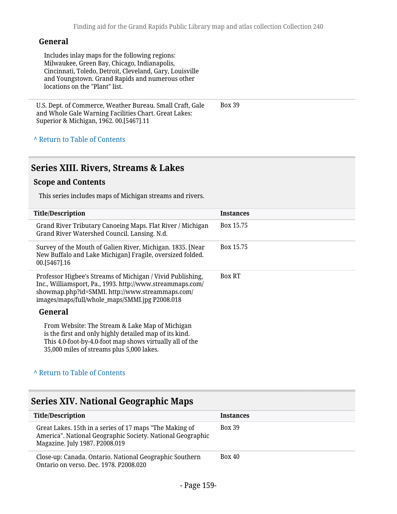#### **General**

Includes inlay maps for the following regions: Milwaukee, Green Bay, Chicago, Indianapolis, Cincinnati, Toledo, Detroit, Cleveland, Gary, Louisville and Youngstown. Grand Rapids and numerous other locations on the "Plant" list.

U.S. Dept. of Commerce, Weather Bureau. Small Craft, Gale and Whole Gale Warning Facilities Chart. Great Lakes: Superior & Michigan, 1962. 00.[5467].11 Box 39

**^** [Return to Table of Contents](#page-1-0)

## **Series XIII. Rivers, Streams & Lakes**

#### **Scope and Contents**

This series includes maps of Michigan streams and rivers.

| <b>Title/Description</b>                                                                                                                                                                                                     | Instances     |
|------------------------------------------------------------------------------------------------------------------------------------------------------------------------------------------------------------------------------|---------------|
| Grand River Tributary Canoeing Maps. Flat River / Michigan<br>Grand River Watershed Council. Lansing. N.d.                                                                                                                   | Box 15.75     |
| Survey of the Mouth of Galien River, Michigan. 1835. [Near<br>New Buffalo and Lake Michigan] Fragile, oversized folded.<br>00.[5467].16                                                                                      | Box 15.75     |
| Professor Higbee's Streams of Michigan / Vivid Publishing,<br>Inc., Williamsport, Pa., 1993. http://www.streammaps.com/<br>showmap.php?id=SMMI. http://www.streammaps.com/<br>images/maps/full/whole_maps/SMMI.jpg P2008.018 | <b>Box RT</b> |
| General                                                                                                                                                                                                                      |               |
| From Website: The Stream & Lake Map of Michigan<br>is the first and only highly detailed map of its kind.<br>This 4.0-foot-by-4.0-foot map shows virtually all of the<br>35,000 miles of streams plus 5,000 lakes.           |               |

#### **^** [Return to Table of Contents](#page-1-0)

## **Series XIV. National Geographic Maps**

| <b>Title/Description</b>                                                                                                                                | <b>Instances</b> |
|---------------------------------------------------------------------------------------------------------------------------------------------------------|------------------|
| Great Lakes. 15th in a series of 17 maps "The Making of<br>America". National Geographic Society. National Geographic<br>Magazine. July 1987. P2008.019 | <b>Box 39</b>    |
| Close-up: Canada. Ontario. National Geographic Southern<br>Ontario on verso, Dec. 1978, P2008,020                                                       | <b>Box 40</b>    |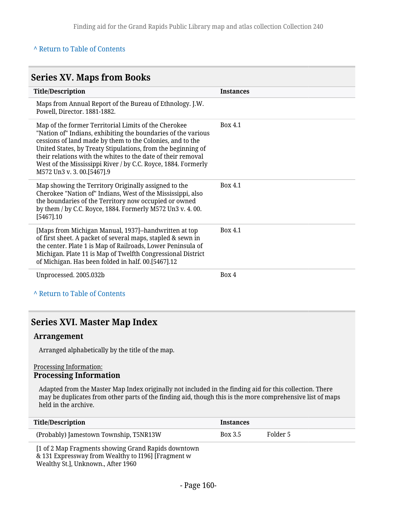#### **^** [Return to Table of Contents](#page-1-0)

#### **Series XV. Maps from Books Title/Description Instances** Maps from Annual Report of the Bureau of Ethnology. J.W. Powell, Director. 1881-1882. Map of the former Territorial Limits of the Cherokee "Nation of" Indians, exhibiting the boundaries of the various cessions of land made by them to the Colonies, and to the United States, by Treaty Stipulations, from the beginning of their relations with the whites to the date of their removal West of the Mississippi River / by C.C. Royce, 1884. Formerly M572 Un3 v. 3. 00.[5467].9 Box 4.1 Map showing the Territory Originally assigned to the Cherokee "Nation of" Indians, West of the Mississippi, also the boundaries of the Territory now occupied or owned by them / by C.C. Royce, 1884. Formerly M572 Un3 v. 4. 00. [5467].10 Box 4.1 [Maps from Michigan Manual, 1937]--handwritten at top of first sheet. A packet of several maps, stapled & sewn in the center. Plate 1 is Map of Railroads, Lower Peninsula of Michigan. Plate 11 is Map of Twelfth Congressional District of Michigan. Has been folded in half. 00.[5467].12 Box 4.1 Unprocessed. 2005.032b Box 4

**^** [Return to Table of Contents](#page-1-0)

## **Series XVI. Master Map Index**

#### **Arrangement**

Arranged alphabetically by the title of the map.

#### Processing Information: **Processing Information**

Adapted from the Master Map Index originally not included in the finding aid for this collection. There may be duplicates from other parts of the finding aid, though this is the more comprehensive list of maps held in the archive.

| Title/Description                                                                                         | <b>Instances</b> |          |  |
|-----------------------------------------------------------------------------------------------------------|------------------|----------|--|
| (Probably) Jamestown Township, T5NR13W                                                                    | Box 3.5          | Folder 5 |  |
| [1 of 2 Map Fragments showing Grand Rapids downtown<br>& 131 Expressway from Wealthy to I196] [Fragment w |                  |          |  |

Wealthy St.], Unknown., After 1960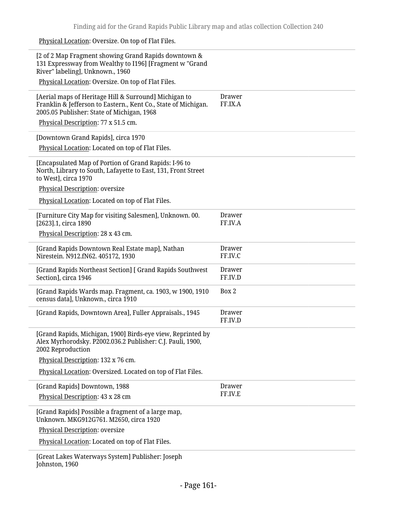Physical Location: Oversize. On top of Flat Files.

 $\overline{a}$ 

| [2 of 2 Map Fragment showing Grand Rapids downtown &<br>131 Expressway from Wealthy to I196] [Fragment w "Grand<br>River" labeling], Unknown., 1960                                                          |                          |
|--------------------------------------------------------------------------------------------------------------------------------------------------------------------------------------------------------------|--------------------------|
| Physical Location: Oversize. On top of Flat Files.                                                                                                                                                           |                          |
| [Aerial maps of Heritage Hill & Surround] Michigan to<br>Franklin & Jefferson to Eastern., Kent Co., State of Michigan.<br>2005.05 Publisher: State of Michigan, 1968<br>Physical Description: 77 x 51.5 cm. | <b>Drawer</b><br>FF.IX.A |
|                                                                                                                                                                                                              |                          |
| [Downtown Grand Rapids], circa 1970                                                                                                                                                                          |                          |
| Physical Location: Located on top of Flat Files.                                                                                                                                                             |                          |
| [Encapsulated Map of Portion of Grand Rapids: I-96 to<br>North, Library to South, Lafayette to East, 131, Front Street<br>to West], circa 1970                                                               |                          |
| <b>Physical Description: oversize</b>                                                                                                                                                                        |                          |
| Physical Location: Located on top of Flat Files.                                                                                                                                                             |                          |
| [Furniture City Map for visiting Salesmen], Unknown. 00.<br>[2623].1, circa 1890                                                                                                                             | Drawer<br>FF.IV.A        |
| Physical Description: 28 x 43 cm.                                                                                                                                                                            |                          |
| [Grand Rapids Downtown Real Estate map], Nathan<br>Nirestein. N912.fN62. 405172, 1930                                                                                                                        | Drawer<br>FF.IV.C        |
| [Grand Rapids Northeast Section] [ Grand Rapids Southwest<br>Section], circa 1946                                                                                                                            | Drawer<br>FF.IV.D        |
| [Grand Rapids Wards map. Fragment, ca. 1903, w 1900, 1910<br>census data], Unknown., circa 1910                                                                                                              | Box 2                    |
| [Grand Rapids, Downtown Area], Fuller Appraisals., 1945                                                                                                                                                      | Drawer<br>FF.IV.D        |
| [Grand Rapids, Michigan, 1900] Birds-eye view, Reprinted by<br>Alex Myrhorodsky. P2002.036.2 Publisher: C.J. Pauli, 1900,<br>2002 Reproduction                                                               |                          |
| Physical Description: 132 x 76 cm.                                                                                                                                                                           |                          |
| Physical Location: Oversized. Located on top of Flat Files.                                                                                                                                                  |                          |
| [Grand Rapids] Downtown, 1988                                                                                                                                                                                | Drawer                   |
| Physical Description: 43 x 28 cm                                                                                                                                                                             | FF.IV.E                  |
| [Grand Rapids] Possible a fragment of a large map,                                                                                                                                                           |                          |
| Unknown. MKG912G761. M2650, circa 1920<br>Physical Description: oversize                                                                                                                                     |                          |
| Physical Location: Located on top of Flat Files.                                                                                                                                                             |                          |
|                                                                                                                                                                                                              |                          |
| [Great Lakes Waterways System] Publisher: Joseph<br>Johnston, 1960                                                                                                                                           |                          |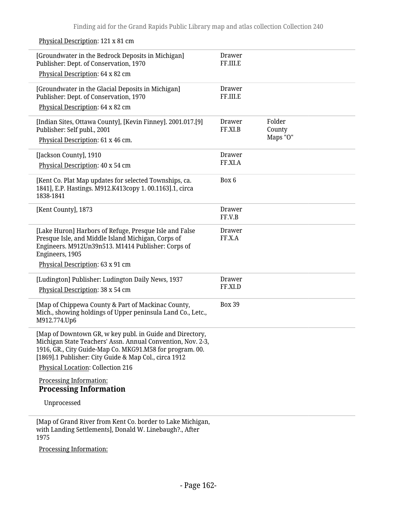Physical Description: 121 x 81 cm [Groundwater in the Bedrock Deposits in Michigan] Publisher: Dept. of Conservation, 1970 Physical Description: 64 x 82 cm Drawer FF.III.E [Groundwater in the Glacial Deposits in Michigan] Publisher: Dept. of Conservation, 1970 Physical Description: 64 x 82 cm Drawer FF.III.E [Indian Sites, Ottawa County], [Kevin Finney]. 2001.017.[9] Publisher: Self publ., 2001 Physical Description: 61 x 46 cm. Drawer FF.XI.B Folder County Maps "O" [Jackson County], 1910 Physical Description: 40 x 54 cm Drawer FF.XI.A [Kent Co. Plat Map updates for selected Townships, ca. 1841], E.P. Hastings. M912.K413copy 1. 00.1163].1, circa 1838-1841 Box 6 [Kent County], 1873 Drawer FF.V.B [Lake Huron] Harbors of Refuge, Presque Isle and False Presque Isle, and Middle Island Michigan, Corps of Engineers. M912Un39n513. M1414 Publisher: Corps of Engineers, 1905 Physical Description: 63 x 91 cm Drawer FF.X.A [Ludington] Publisher: Ludington Daily News, 1937 Physical Description: 38 x 54 cm Drawer FF.XI.D [Map of Chippewa County & Part of Mackinac County, Mich., showing holdings of Upper peninsula Land Co., Letc., M912.774.Up6 Box 39 [Map of Downtown GR, w key publ. in Guide and Directory, Michigan State Teachers' Assn. Annual Convention, Nov. 2-3, 1916, GR., City Guide-Map Co. MKG91.M58 for program. 00. [1869].1 Publisher: City Guide & Map Col., circa 1912 Physical Location: Collection 216 Processing Information: **Processing Information** Unprocessed [Map of Grand River from Kent Co. border to Lake Michigan,

with Landing Settlements], Donald W. Linebaugh?., After 1975

Processing Information: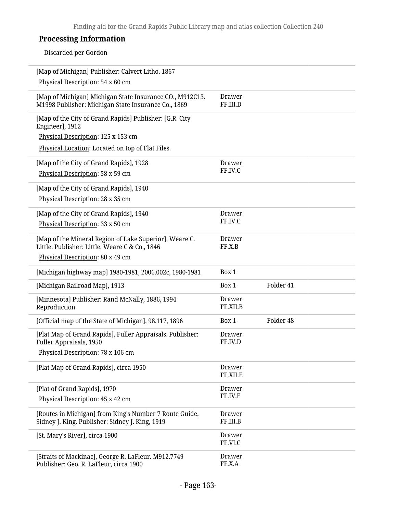## **Processing Information**

Discarded per Gordon

| [Map of Michigan] Publisher: Calvert Litho, 1867<br>Physical Description: 54 x 60 cm                            |                           |           |  |
|-----------------------------------------------------------------------------------------------------------------|---------------------------|-----------|--|
| [Map of Michigan] Michigan State Insurance CO., M912C13.<br>M1998 Publisher: Michigan State Insurance Co., 1869 | <b>Drawer</b><br>FF.III.D |           |  |
| [Map of the City of Grand Rapids] Publisher: [G.R. City<br>Engineer], 1912                                      |                           |           |  |
| Physical Description: 125 x 153 cm                                                                              |                           |           |  |
| Physical Location: Located on top of Flat Files.                                                                |                           |           |  |
| [Map of the City of Grand Rapids], 1928                                                                         | Drawer                    |           |  |
| Physical Description: 58 x 59 cm                                                                                | FF.IV.C                   |           |  |
| [Map of the City of Grand Rapids], 1940                                                                         |                           |           |  |
| Physical Description: 28 x 35 cm                                                                                |                           |           |  |
| [Map of the City of Grand Rapids], 1940                                                                         | <b>Drawer</b>             |           |  |
| Physical Description: 33 x 50 cm                                                                                | FF.IV.C                   |           |  |
| [Map of the Mineral Region of Lake Superior], Weare C.                                                          | <b>Drawer</b>             |           |  |
| Little. Publisher: Little, Weare C & Co., 1846                                                                  | FF.X.B                    |           |  |
| Physical Description: 80 x 49 cm                                                                                |                           |           |  |
| [Michigan highway map] 1980-1981, 2006.002c, 1980-1981                                                          | Box 1                     |           |  |
| [Michigan Railroad Map], 1913                                                                                   | Box 1                     | Folder 41 |  |
| [Minnesota] Publisher: Rand McNally, 1886, 1994                                                                 | Drawer                    |           |  |
| Reproduction                                                                                                    | FF.XII.B                  |           |  |
| [Official map of the State of Michigan], 98.117, 1896                                                           | Box 1                     | Folder 48 |  |
| [Plat Map of Grand Rapids], Fuller Appraisals. Publisher:<br>Fuller Appraisals, 1950                            | Drawer<br>FF.IV.D         |           |  |
| Physical Description: 78 x 106 cm                                                                               |                           |           |  |
| [Plat Map of Grand Rapids], circa 1950                                                                          | <b>Drawer</b>             |           |  |
|                                                                                                                 | FF.XII.E                  |           |  |
| [Plat of Grand Rapids], 1970                                                                                    | <b>Drawer</b>             |           |  |
| Physical Description: 45 x 42 cm                                                                                | FF.IV.E                   |           |  |
| [Routes in Michigan] from King's Number 7 Route Guide,                                                          | <b>Drawer</b>             |           |  |
| Sidney J. King. Publisher: Sidney J. King, 1919                                                                 | FF.III.B                  |           |  |
| [St. Mary's River], circa 1900                                                                                  | <b>Drawer</b>             |           |  |
|                                                                                                                 | FF.VI.C                   |           |  |
| [Straits of Mackinac], George R. LaFleur. M912.7749                                                             | <b>Drawer</b>             |           |  |
| Publisher: Geo. R. LaFleur, circa 1900                                                                          | FF.X.A                    |           |  |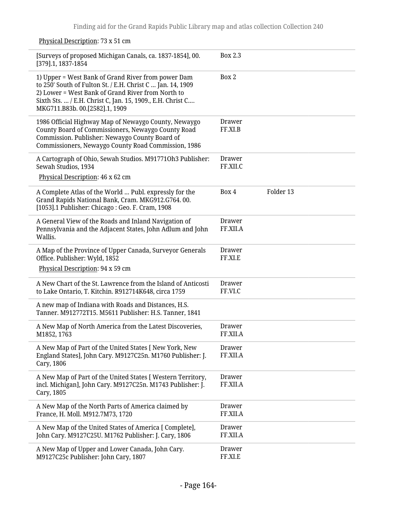Physical Description: 73 x 51 cm [Surveys of proposed Michigan Canals, ca. 1837-1854], 00. [379].1, 1837-1854 Box 2.3 1) Upper = West Bank of Grand River from power Dam to 250' South of Fulton St. / E.H. Christ C … Jan. 14, 1909 2) Lower = West Bank of Grand River from North to Sixth Sts. … / E.H. Christ C, Jan. 15, 1909., E.H. Christ C…. MKG711.B83b. 00.[2582].1, 1909 Box 2 1986 Official Highway Map of Newaygo County, Newaygo County Board of Commissioners, Newaygo County Road Commission. Publisher: Newaygo County Board of Commissioners, Newaygo County Road Commission, 1986 Drawer FF.XI.B A Cartograph of Ohio, Sewah Studios. M91771Oh3 Publisher: Sewah Studios, 1934 Physical Description: 46 x 62 cm Drawer FF.XII.C A Complete Atlas of the World … Publ. expressly for the Grand Rapids National Bank, Cram. MKG912.G764. 00. [1053].1 Publisher: Chicago : Geo. F. Cram, 1908 Box 4 Folder 13 A General View of the Roads and Inland Navigation of Pennsylvania and the Adjacent States, John Adlum and John Wallis. Drawer FF.XII.A A Map of the Province of Upper Canada, Surveyor Generals Office. Publisher: Wyld, 1852 Physical Description: 94 x 59 cm Drawer FF.XI.E A New Chart of the St. Lawrence from the Island of Anticosti to Lake Ontario, T. Kitchin. R912714K648, circa 1759 Drawer FF.VI.C A new map of Indiana with Roads and Distances, H.S. Tanner. M912772T15. M5611 Publisher: H.S. Tanner, 1841 A New Map of North America from the Latest Discoveries, M1852, 1763 Drawer FF.XII.A A New Map of Part of the United States [ New York, New England States], John Cary. M9127C25n. M1760 Publisher: J. Cary, 1806 Drawer FF.XII.A A New Map of Part of the United States [ Western Territory, incl. Michigan], John Cary. M9127C25n. M1743 Publisher: J. Cary, 1805 Drawer FF.XII.A A New Map of the North Parts of America claimed by France, H. Moll. M912.7M73, 1720 Drawer FF.XII.A A New Map of the United States of America [ Complete], John Cary. M9127C25U. M1762 Publisher: J. Cary, 1806 Drawer FF.XII.A A New Map of Upper and Lower Canada, John Cary. M9127C25c Publisher: John Cary, 1807 Drawer FF.XI.E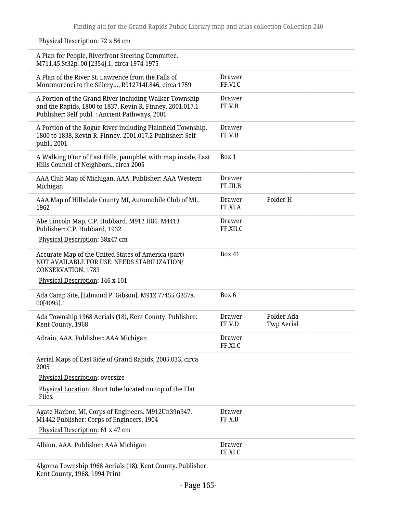| A Plan for People, Riverfront Steering Committee.<br>M711.45.St32p. 00.[2354].1, circa 1974-1975                                                                      |                           |                                 |
|-----------------------------------------------------------------------------------------------------------------------------------------------------------------------|---------------------------|---------------------------------|
| A Plan of the River St. Lawrence from the Falls of<br>Montmorenci to the Sillery, R912714L846, circa 1759                                                             | <b>Drawer</b><br>FF.VI.C  |                                 |
| A Portion of the Grand River including Walker Township<br>and the Rapids, 1800 to 1837, Kevin R. Finney. 2001.017.1<br>Publisher: Self publ. : Ancient Pathways, 2001 | <b>Drawer</b><br>FF.V.B   |                                 |
| A Portion of the Rogue River including Plainfield Township,<br>1800 to 1838, Kevin R. Finney. 2001.017.2 Publisher: Self<br>publ., 2001                               | <b>Drawer</b><br>FF.V.B   |                                 |
| A Walking tOur of East Hills, pamphlet with map inside, East<br>Hills Council of Neighbors., circa 2005                                                               | Box 1                     |                                 |
| AAA Club Map of Michigan, AAA. Publisher: AAA Western<br>Michigan                                                                                                     | <b>Drawer</b><br>FF.III.B |                                 |
| AAA Map of Hillsdale County MI, Automobile Club of MI.,<br>1962                                                                                                       | <b>Drawer</b><br>FF.XI.A  | Folder H                        |
| Abe Lincoln Map, C.P. Hubbard. M912 H86. M4413<br>Publisher: C.P. Hubbard, 1932                                                                                       | <b>Drawer</b><br>FF.XII.C |                                 |
| Physical Description: 38x47 cm                                                                                                                                        |                           |                                 |
| Accurate Map of the United States of America (part)<br>NOT AVAILABLE FOR USE. NEEDS STABILIZATION/<br>CONSERVATION, 1783                                              | <b>Box 41</b>             |                                 |
| Physical Description: 146 x 101                                                                                                                                       |                           |                                 |
| Ada Camp Site, [Edmond P. Gibson]. M912.77455 G357a.<br>00[4095].1                                                                                                    | Box 6                     |                                 |
| Ada Township 1968 Aerials (18), Kent County. Publisher:<br>Kent County, 1968                                                                                          | <b>Drawer</b><br>FF.V.D   | Folder Ada<br><b>Twp Aerial</b> |
| Adrain, AAA. Publisher: AAA Michigan                                                                                                                                  | Drawer<br>FF.XI.C         |                                 |
| Aerial Maps of East Side of Grand Rapids, 2005.033, circa<br>2005                                                                                                     |                           |                                 |
| Physical Description: oversize                                                                                                                                        |                           |                                 |
| Physical Location: Short tube located on top of the Flat<br>Files.                                                                                                    |                           |                                 |
| Agate Harbor, MI, Corps of Engineers. M912Un39n947.<br>M1442 Publisher: Corps of Engineers, 1904                                                                      | Drawer<br>FF.X.B          |                                 |
| Physical Description: 61 x 47 cm                                                                                                                                      |                           |                                 |
| Albion, AAA. Publisher: AAA Michigan                                                                                                                                  | <b>Drawer</b><br>FF.XI.C  |                                 |
| Algoma Townshin 1968 Aerials (18) Kent County Publisher                                                                                                               |                           |                                 |

### Physical Description: 72 x 56 cm

Algoma Township 1968 Aerials (18), Kent County. Publisher: Kent County, 1968, 1994 Print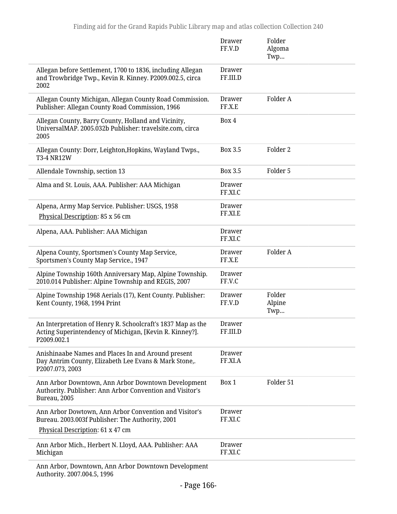|                                                                                                                                       | Drawer<br>FF.V.D         | Folder<br>Algoma<br>Twp |
|---------------------------------------------------------------------------------------------------------------------------------------|--------------------------|-------------------------|
| Allegan before Settlement, 1700 to 1836, including Allegan<br>and Trowbridge Twp., Kevin R. Kinney. P2009.002.5, circa<br>2002        | Drawer<br>FF.III.D       |                         |
| Allegan County Michigan, Allegan County Road Commission.<br>Publisher: Allegan County Road Commission, 1966                           | <b>Drawer</b><br>FF.X.E  | Folder A                |
| Allegan County, Barry County, Holland and Vicinity,<br>UniversalMAP. 2005.032b Publisher: travelsite.com, circa<br>2005               | Box 4                    |                         |
| Allegan County: Dorr, Leighton, Hopkins, Wayland Twps.,<br><b>T3-4 NR12W</b>                                                          | Box 3.5                  | Folder <sub>2</sub>     |
| Allendale Township, section 13                                                                                                        | Box 3.5                  | Folder 5                |
| Alma and St. Louis, AAA. Publisher: AAA Michigan                                                                                      | <b>Drawer</b><br>FF.XI.C |                         |
| Alpena, Army Map Service. Publisher: USGS, 1958<br>Physical Description: 85 x 56 cm                                                   | Drawer<br>FF.XI.E        |                         |
| Alpena, AAA. Publisher: AAA Michigan                                                                                                  | <b>Drawer</b><br>FF.XI.C |                         |
| Alpena County, Sportsmen's County Map Service,<br>Sportsmen's County Map Service., 1947                                               | Drawer<br>FF.X.E         | Folder A                |
| Alpine Township 160th Anniversary Map, Alpine Township.<br>2010.014 Publisher: Alpine Township and REGIS, 2007                        | <b>Drawer</b><br>FF.V.C  |                         |
| Alpine Township 1968 Aerials (17), Kent County. Publisher:<br>Kent County, 1968, 1994 Print                                           | Drawer<br>FF.V.D         | Folder<br>Alpine<br>Twp |
| An Interpretation of Henry R. Schoolcraft's 1837 Map as the<br>Acting Superintendency of Michigan, [Kevin R. Kinney?].<br>P2009.002.1 | Drawer<br>FF.III.D       |                         |
| Anishinaabe Names and Places In and Around present<br>Day Antrim County, Elizabeth Lee Evans & Mark Stone,.<br>P2007.073, 2003        | Drawer<br>FF.XI.A        |                         |
| Ann Arbor Downtown, Ann Arbor Downtown Development<br>Authority. Publisher: Ann Arbor Convention and Visitor's<br>Bureau, 2005        | Box 1                    | Folder 51               |
| Ann Arbor Dowtown, Ann Arbor Convention and Visitor's<br>Bureau. 2003.003f Publisher: The Authority, 2001                             | Drawer<br>FF.XI.C        |                         |
| Physical Description: 61 x 47 cm                                                                                                      |                          |                         |
| Ann Arbor Mich., Herbert N. Lloyd, AAA. Publisher: AAA<br>Michigan                                                                    | <b>Drawer</b><br>FF.XI.C |                         |
| Ann Arbor, Downtown, Ann Arbor Downtown Development<br>Authority. 2007.004.5, 1996                                                    |                          |                         |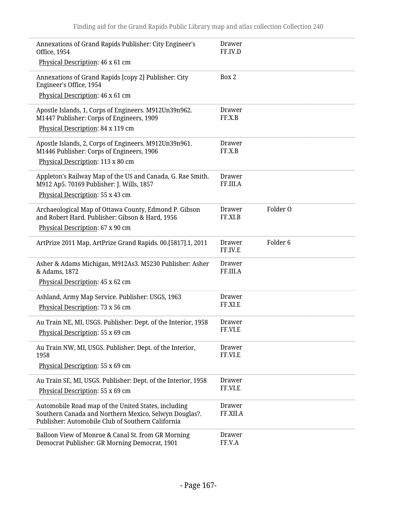| Annexations of Grand Rapids Publisher: City Engineer's<br>Office, 1954                                                                                            | Drawer<br>FF.IV.D                        |  |
|-------------------------------------------------------------------------------------------------------------------------------------------------------------------|------------------------------------------|--|
| Physical Description: 46 x 61 cm                                                                                                                                  |                                          |  |
| Annexations of Grand Rapids [copy 2] Publisher: City<br>Engineer's Office, 1954                                                                                   | Box 2                                    |  |
| Physical Description: 46 x 61 cm                                                                                                                                  |                                          |  |
| Apostle Islands, 1, Corps of Engineers. M912Un39n962.<br>M1447 Publisher: Corps of Engineers, 1909                                                                | <b>Drawer</b><br>FF.X.B                  |  |
| Physical Description: 84 x 119 cm                                                                                                                                 |                                          |  |
| Apostle Islands, 2, Corps of Engineers. M912Un39n961.<br>M1446 Publisher: Corps of Engineers, 1906<br>Physical Description: 113 x 80 cm                           | <b>Drawer</b><br>FF.X.B                  |  |
| Appleton's Railway Map of the US and Canada, G. Rae Smith.<br>M912 Ap5. 70169 Publisher: J. Wills, 1857                                                           | <b>Drawer</b><br>FF.III.A                |  |
| Physical Description: 55 x 43 cm                                                                                                                                  |                                          |  |
| Archaeological Map of Ottawa County, Edmond P. Gibson<br>and Robert Hard. Publisher: Gibson & Hard, 1956                                                          | Folder O<br><b>Drawer</b><br>FF.XI.B     |  |
| Physical Description: 67 x 90 cm                                                                                                                                  |                                          |  |
| ArtPrize 2011 Map, ArtPrize Grand Rapids. 00.[5817].1, 2011                                                                                                       | Folder <sub>6</sub><br>Drawer<br>FF.IV.E |  |
| Asher & Adams Michigan, M912As3. M5230 Publisher: Asher<br>& Adams, 1872                                                                                          | <b>Drawer</b><br>FF.III.A                |  |
| Physical Description: 45 x 62 cm                                                                                                                                  |                                          |  |
| Ashland, Army Map Service. Publisher: USGS, 1963<br>Physical Description: 73 x 56 cm                                                                              | Drawer<br>FF.XI.E                        |  |
| Au Train NE, MI, USGS. Publisher: Dept. of the Interior, 1958                                                                                                     | Drawer<br>FF.VI.E                        |  |
| Physical Description: 55 x 69 cm                                                                                                                                  |                                          |  |
| Au Train NW, MI, USGS. Publisher: Dept. of the Interior,<br>1958                                                                                                  | <b>Drawer</b><br>FF.VI.E                 |  |
| Physical Description: 55 x 69 cm                                                                                                                                  |                                          |  |
| Au Train SE, MI, USGS. Publisher: Dept. of the Interior, 1958<br>Physical Description: 55 x 69 cm                                                                 | <b>Drawer</b><br>FF.VI.E                 |  |
| Automobile Road map of the United States, including<br>Southern Canada and Northern Mexico, Selwyn Douglas?.<br>Publisher: Automobile Club of Southern California | Drawer<br>FF.XII.A                       |  |
| Balloon View of Monroe & Canal St. from GR Morning<br>Democrat Publisher: GR Morning Democrat, 1901                                                               | <b>Drawer</b><br>FF.V.A                  |  |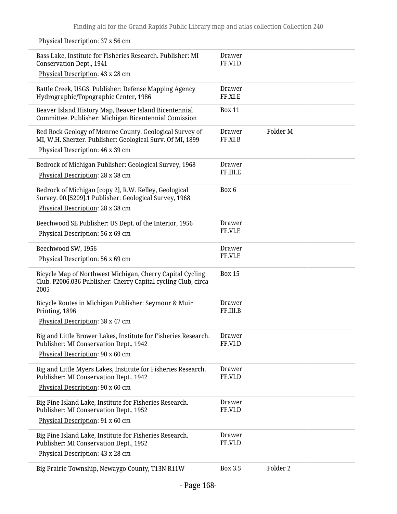Bass Lake, Institute for Fisheries Research. Publisher: MI Conservation Dept., 1941 Physical Description: 43 x 28 cm Drawer FF.VI.D Battle Creek, USGS. Publisher: Defense Mapping Agency Hydrographic/Topographic Center, 1986 Drawer FF.XI.E Beaver Island History Map, Beaver Island Bicentennial Committee. Publisher: Michigan Bicentennial Comission Box 11 Bed Rock Geology of Monroe County, Geological Survey of MI, W.H. Sherzer. Publisher: Geological Surv. Of MI, 1899 Physical Description: 46 x 39 cm Drawer FF.XI.B Folder M Bedrock of Michigan Publisher: Geological Survey, 1968 Physical Description: 28 x 38 cm Drawer FF.III.E Bedrock of Michigan [copy 2], R.W. Kelley, Geological Survey. 00.[5209].1 Publisher: Geological Survey, 1968 Physical Description: 28 x 38 cm Box 6 Beechwood SE Publisher: US Dept. of the Interior, 1956 Physical Description: 56 x 69 cm Drawer FF.VI.E Beechwood SW, 1956 Physical Description: 56 x 69 cm Drawer FF.VI.E Bicycle Map of Northwest Michigan, Cherry Capital Cycling Club. P2006.036 Publisher: Cherry Capital cycling Club, circa 2005 Box 15 Bicycle Routes in Michigan Publisher: Seymour & Muir Printing, 1896 Physical Description: 38 x 47 cm Drawer FF.III.B Big and Little Brower Lakes, Institute for Fisheries Research. Publisher: MI Conservation Dept., 1942 Physical Description: 90 x 60 cm Drawer FF.VI.D Big and Little Myers Lakes, Institute for Fisheries Research. Publisher: MI Conservation Dept., 1942 Physical Description: 90 x 60 cm Drawer FF.VI.D Big Pine Island Lake, Institute for Fisheries Research. Publisher: MI Conservation Dept., 1952 Physical Description: 91 x 60 cm Drawer FF.VI.D Big Pine Island Lake, Institute for Fisheries Research. Publisher: MI Conservation Dept., 1952 Physical Description: 43 x 28 cm Drawer FF.VI.D Big Prairie Township, Newaygo County, T13N R11W Box 3.5 Folder 2

#### Physical Description: 37 x 56 cm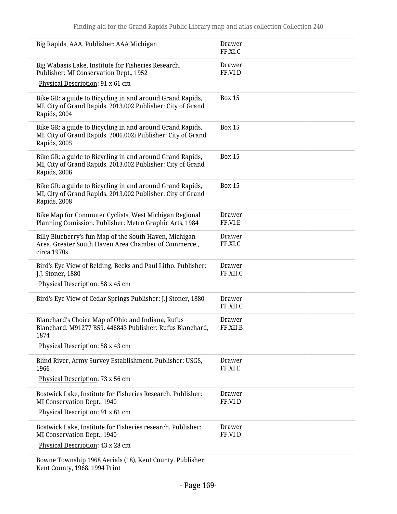| Big Rapids, AAA. Publisher: AAA Michigan                                                                                                  | <b>Drawer</b><br>FF.XI.C |
|-------------------------------------------------------------------------------------------------------------------------------------------|--------------------------|
| Big Wabasis Lake, Institute for Fisheries Research.<br>Publisher: MI Conservation Dept., 1952                                             | Drawer<br>FF.VI.D        |
| Physical Description: 91 x 61 cm                                                                                                          |                          |
| Bike GR: a guide to Bicycling in and around Grand Rapids,<br>MI, City of Grand Rapids. 2013.002 Publisher: City of Grand<br>Rapids, 2004  | <b>Box 15</b>            |
| Bike GR: a guide to Bicycling in and around Grand Rapids,<br>MI, City of Grand Rapids. 2006.002i Publisher: City of Grand<br>Rapids, 2005 | <b>Box 15</b>            |
| Bike GR: a guide to Bicycling in and around Grand Rapids,<br>MI, City of Grand Rapids. 2013.002 Publisher: City of Grand<br>Rapids, 2006  | <b>Box 15</b>            |
| Bike GR: a guide to Bicycling in and around Grand Rapids,<br>MI, City of Grand Rapids. 2013.002 Publisher: City of Grand<br>Rapids, 2008  | <b>Box 15</b>            |
| Bike Map for Commuter Cyclists, West Michigan Regional<br>Planning Comission. Publisher: Metro Graphic Arts, 1984                         | Drawer<br>FF.VI.E        |
| Billy Blueberry's fun Map of the South Haven, Michigan<br>Area, Greater South Haven Area Chamber of Commerce.,<br>circa 1970s             | Drawer<br>FF.XI.C        |
| Bird's Eye View of Belding, Becks and Paul Litho. Publisher:<br>J.J. Stoner, 1880<br>Physical Description: 58 x 45 cm                     | Drawer<br>FF.XII.C       |
| Bird's Eye View of Cedar Springs Publisher: J.J Stoner, 1880                                                                              | Drawer<br>FF.XII.C       |
| Blanchard's Choice Map of Ohio and Indiana, Rufus<br>Blanchard. M91277 B59. 446843 Publisher: Rufus Blanchard<br>1874                     | Drawer<br><b>FF.XILB</b> |
| Physical Description: 58 x 43 cm                                                                                                          |                          |
| Blind River, Army Survey Establishment. Publisher: USGS,<br>1966                                                                          | <b>Drawer</b><br>FF.XI.E |
| Physical Description: 73 x 56 cm                                                                                                          |                          |
| Bostwick Lake, Institute for Fisheries Research. Publisher:<br>MI Conservation Dept., 1940                                                | <b>Drawer</b><br>FF.VI.D |
| Physical Description: 91 x 61 cm                                                                                                          |                          |
| Bostwick Lake, Institute for Fisheries research. Publisher:<br>MI Conservation Dept., 1940<br>Physical Description: 43 x 28 cm            | <b>Drawer</b><br>FF.VI.D |

Bowne Township 1968 Aerials (18), Kent County. Publisher: Kent County, 1968, 1994 Print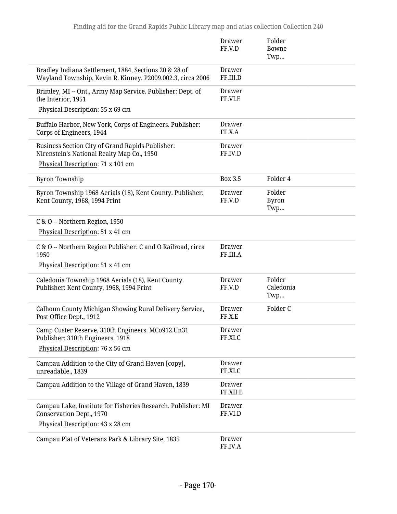|                                                                                                                      | <b>Drawer</b><br>FF.V.D   | Folder<br>Bowne<br>Twp        |
|----------------------------------------------------------------------------------------------------------------------|---------------------------|-------------------------------|
| Bradley Indiana Settlement, 1884, Sections 20 & 28 of<br>Wayland Township, Kevin R. Kinney. P2009.002.3, circa 2006  | <b>Drawer</b><br>FF.III.D |                               |
| Brimley, MI -- Ont., Army Map Service. Publisher: Dept. of<br>the Interior, 1951<br>Physical Description: 55 x 69 cm | <b>Drawer</b><br>FF.VI.E  |                               |
| Buffalo Harbor, New York, Corps of Engineers. Publisher:<br>Corps of Engineers, 1944                                 | <b>Drawer</b><br>FF.X.A   |                               |
| <b>Business Section City of Grand Rapids Publisher:</b><br>Nirenstein's National Realty Map Co., 1950                | <b>Drawer</b><br>FF.IV.D  |                               |
| Physical Description: 71 x 101 cm                                                                                    |                           |                               |
| <b>Byron Township</b>                                                                                                | <b>Box 3.5</b>            | Folder 4                      |
| Byron Township 1968 Aerials (18), Kent County. Publisher:<br>Kent County, 1968, 1994 Print                           | Drawer<br>FF.V.D          | Folder<br><b>Byron</b><br>Twp |
| C & O -- Northern Region, 1950                                                                                       |                           |                               |
| Physical Description: 51 x 41 cm                                                                                     |                           |                               |
| C & O -- Northern Region Publisher: C and O Railroad, circa<br>1950                                                  | <b>Drawer</b><br>FF.III.A |                               |
| Physical Description: 51 x 41 cm                                                                                     |                           |                               |
| Caledonia Township 1968 Aerials (18), Kent County.<br>Publisher: Kent County, 1968, 1994 Print                       | <b>Drawer</b><br>FF.V.D   | Folder<br>Caledonia<br>Twp    |
| Calhoun County Michigan Showing Rural Delivery Service,<br>Post Office Dept., 1912                                   | Drawer<br>FF.X.E          | Folder C                      |
| Camp Custer Reserve, 310th Engineers. MCo912.Un31<br>Publisher: 310th Engineers, 1918                                | Drawer<br>FF.XI.C         |                               |
| Physical Description: 76 x 56 cm                                                                                     |                           |                               |
| Campau Addition to the City of Grand Haven [copy],<br>unreadable., 1839                                              | Drawer<br>FF.XI.C         |                               |
| Campau Addition to the Village of Grand Haven, 1839                                                                  | <b>Drawer</b><br>FF.XII.E |                               |
| Campau Lake, Institute for Fisheries Research. Publisher: MI<br>Conservation Dept., 1970                             | <b>Drawer</b><br>FF.VI.D  |                               |
| Physical Description: 43 x 28 cm                                                                                     |                           |                               |
| Campau Plat of Veterans Park & Library Site, 1835                                                                    | <b>Drawer</b><br>FF.IV.A  |                               |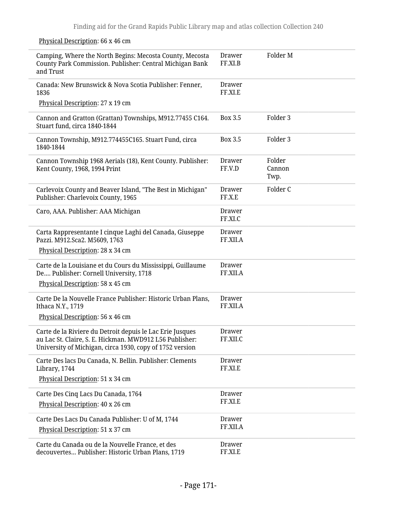### Physical Description: 66 x 46 cm

| Camping, Where the North Begins: Mecosta County, Mecosta<br>County Park Commission. Publisher: Central Michigan Bank<br>and Trust                                                | <b>Drawer</b><br>FF.XI.B  | Folder M                 |
|----------------------------------------------------------------------------------------------------------------------------------------------------------------------------------|---------------------------|--------------------------|
| Canada: New Brunswick & Nova Scotia Publisher: Fenner,<br>1836                                                                                                                   | Drawer<br>FF.XI.E         |                          |
| Physical Description: 27 x 19 cm                                                                                                                                                 |                           |                          |
| Cannon and Gratton (Grattan) Townships, M912.77455 C164.<br>Stuart fund, circa 1840-1844                                                                                         | <b>Box 3.5</b>            | Folder 3                 |
| Cannon Township, M912.774455C165. Stuart Fund, circa<br>1840-1844                                                                                                                | Box 3.5                   | Folder 3                 |
| Cannon Township 1968 Aerials (18), Kent County. Publisher:<br>Kent County, 1968, 1994 Print                                                                                      | <b>Drawer</b><br>FF.V.D   | Folder<br>Cannon<br>Twp. |
| Carlevoix County and Beaver Island, "The Best in Michigan"<br>Publisher: Charlevoix County, 1965                                                                                 | Drawer<br>FF.X.E          | Folder C                 |
| Caro, AAA. Publisher: AAA Michigan                                                                                                                                               | Drawer<br>FF.XI.C         |                          |
| Carta Rappresentante I cinque Laghi del Canada, Giuseppe<br>Pazzi. M912.Sca2. M5609, 1763                                                                                        | Drawer<br>FF.XII.A        |                          |
| Physical Description: 28 x 34 cm                                                                                                                                                 |                           |                          |
| Carte de la Louisiane et du Cours du Mississippi, Guillaume<br>De Publisher: Cornell University, 1718<br>Physical Description: 58 x 45 cm                                        | Drawer<br>FF.XII.A        |                          |
| Carte De la Nouvelle France Publisher: Historic Urban Plans,                                                                                                                     | Drawer                    |                          |
| Ithaca N.Y., 1719                                                                                                                                                                | FF.XII.A                  |                          |
| Physical Description: 56 x 46 cm                                                                                                                                                 |                           |                          |
| Carte de la Riviere du Detroit depuis le Lac Erie Jusques<br>au Lac St. Claire, S. E. Hickman. MWD912 L56 Publisher:<br>University of Michigan, circa 1930, copy of 1752 version | <b>Drawer</b><br>FF.XII.C |                          |
| Carte Des lacs Du Canada, N. Bellin. Publisher: Clements<br>Library, 1744                                                                                                        | Drawer<br>FF.XI.E         |                          |
| Physical Description: 51 x 34 cm                                                                                                                                                 |                           |                          |
| Carte Des Cinq Lacs Du Canada, 1764                                                                                                                                              | Drawer                    |                          |
| Physical Description: 40 x 26 cm                                                                                                                                                 | FF.XI.E                   |                          |
| Carte Des Lacs Du Canada Publisher: U of M, 1744                                                                                                                                 | Drawer<br>FF.XII.A        |                          |
| Physical Description: 51 x 37 cm                                                                                                                                                 |                           |                          |
| Carte du Canada ou de la Nouvelle France, et des<br>decouvertes Publisher: Historic Urban Plans, 1719                                                                            | Drawer<br>FF.XI.E         |                          |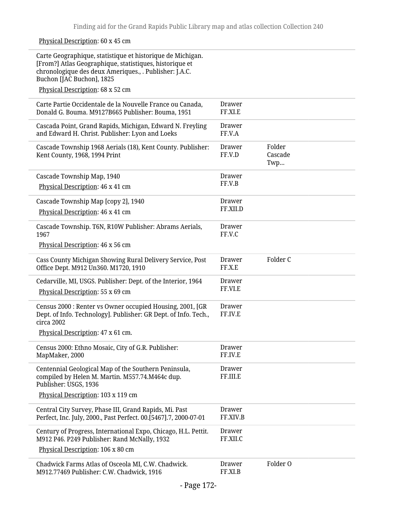Physical Description: 60 x 45 cm

| Carte Geographique, statistique et historique de Michigan.<br>[From?] Atlas Geographique, statistiques, historique et<br>chronologique des deux Ameriques., . Publisher: J.A.C.<br>Buchon [JAC Buchon], 1825<br>Physical Description: 68 x 52 cm |                           |                          |
|--------------------------------------------------------------------------------------------------------------------------------------------------------------------------------------------------------------------------------------------------|---------------------------|--------------------------|
| Carte Partie Occidentale de la Nouvelle France ou Canada,<br>Donald G. Bouma. M9127B665 Publisher: Bouma, 1951                                                                                                                                   | Drawer<br>FF.XI.E         |                          |
| Cascada Point, Grand Rapids, Michigan, Edward N. Freyling<br>and Edward H. Christ. Publisher: Lyon and Loeks                                                                                                                                     | <b>Drawer</b><br>FF.V.A   |                          |
| Cascade Township 1968 Aerials (18), Kent County. Publisher:<br>Kent County, 1968, 1994 Print                                                                                                                                                     | Drawer<br>FF.V.D          | Folder<br>Cascade<br>Twp |
| Cascade Township Map, 1940<br>Physical Description: 46 x 41 cm                                                                                                                                                                                   | Drawer<br>FF.V.B          |                          |
| Cascade Township Map [copy 2], 1940<br>Physical Description: 46 x 41 cm                                                                                                                                                                          | Drawer<br>FF.XII.D        |                          |
| Cascade Township. T6N, R10W Publisher: Abrams Aerials,<br>1967<br>Physical Description: 46 x 56 cm                                                                                                                                               | Drawer<br>FF.V.C          |                          |
| Cass County Michigan Showing Rural Delivery Service, Post<br>Office Dept. M912 Un360. M1720, 1910                                                                                                                                                | Drawer<br>FF.X.E          | Folder C                 |
| Cedarville, MI, USGS. Publisher: Dept. of the Interior, 1964<br>Physical Description: 55 x 69 cm                                                                                                                                                 | Drawer<br>FF.VI.E         |                          |
| Census 2000 : Renter vs Owner occupied Housing, 2001, [GR<br>Dept. of Info. Technology]. Publisher: GR Dept. of Info. Tech.,<br>circa 2002<br>Physical Description: 47 x 61 cm.                                                                  | Drawer<br>FF.IV.E         |                          |
| Census 2000: Ethno Mosaic, City of G.R. Publisher:<br>MapMaker, 2000                                                                                                                                                                             | <b>Drawer</b><br>FF.IV.E  |                          |
| Centennial Geological Map of the Southern Peninsula,<br>compiled by Helen M. Martin. M557.74.M464c dup.<br>Publisher: USGS, 1936<br>Physical Description: 103 x 119 cm                                                                           | Drawer<br>FF.III.E        |                          |
| Central City Survey, Phase III, Grand Rapids, Mi. Past<br>Perfect, Inc. July, 2000., Past Perfect. 00.[5467].7, 2000-07-01                                                                                                                       | <b>Drawer</b><br>FF.XIV.B |                          |
| Century of Progress, International Expo, Chicago, H.L. Pettit.<br>M912 P46. P249 Publisher: Rand McNally, 1932<br>Physical Description: 106 x 80 cm                                                                                              | <b>Drawer</b><br>FF.XII.C |                          |
| Chadwick Farms Atlas of Osceola MI, C.W. Chadwick.<br>M912.77469 Publisher: C.W. Chadwick, 1916                                                                                                                                                  | <b>Drawer</b><br>FF.XI.B  | Folder O                 |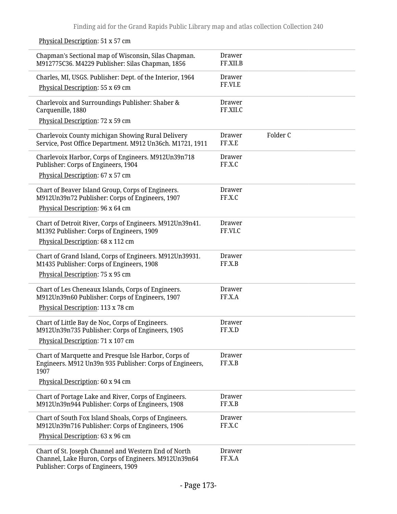Chapman's Sectional map of Wisconsin, Silas Chapman. M912775C36. M4229 Publisher: Silas Chapman, 1856 Drawer FF.XII.B Charles, MI, USGS. Publisher: Dept. of the Interior, 1964 Physical Description: 55 x 69 cm Drawer FF.VI.E Charlevoix and Surroundings Publisher: Shaber & Carquenille, 1880 Physical Description: 72 x 59 cm Drawer FF.XII.C Charlevoix County michigan Showing Rural Delivery Service, Post Office Department. M912 Un36ch. M1721, 1911 Drawer FF.X.E Folder C Charlevoix Harbor, Corps of Engineers. M912Un39n718 Publisher: Corps of Engineers, 1904 Physical Description: 67 x 57 cm Drawer FF.X.C Chart of Beaver Island Group, Corps of Engineers. M912Un39n72 Publisher: Corps of Engineers, 1907 Physical Description: 96 x 64 cm Drawer FF.X.C Chart of Detroit River, Corps of Engineers. M912Un39n41. M1392 Publisher: Corps of Engineers, 1909 Physical Description: 68 x 112 cm Drawer FF.VI.C Chart of Grand Island, Corps of Engineers. M912Un39931. M1435 Publisher: Corps of Engineers, 1908 Physical Description: 75 x 95 cm Drawer FF.X.B Chart of Les Cheneaux Islands, Corps of Engineers. M912Un39n60 Publisher: Corps of Engineers, 1907 Physical Description: 113 x 78 cm Drawer FF.X.A Chart of Little Bay de Noc, Corps of Engineers. M912Un39n735 Publisher: Corps of Engineers, 1905 Physical Description: 71 x 107 cm Drawer FF.X.D Chart of Marquette and Presque Isle Harbor, Corps of Engineers. M912 Un39n 935 Publisher: Corps of Engineers, 1907 Physical Description: 60 x 94 cm Drawer FF.X.B Chart of Portage Lake and River, Corps of Engineers. M912Un39n944 Publisher: Corps of Engineers, 1908 Drawer FF.X.B Chart of South Fox Island Shoals, Corps of Engineers. M912Un39n716 Publisher: Corps of Engineers, 1906 Physical Description: 63 x 96 cm Drawer FF.X.C Chart of St. Joseph Channel and Western End of North Channel, Lake Huron, Corps of Engineers. M912Un39n64 Publisher: Corps of Engineers, 1909 Drawer FF.X.A

#### Physical Description: 51 x 57 cm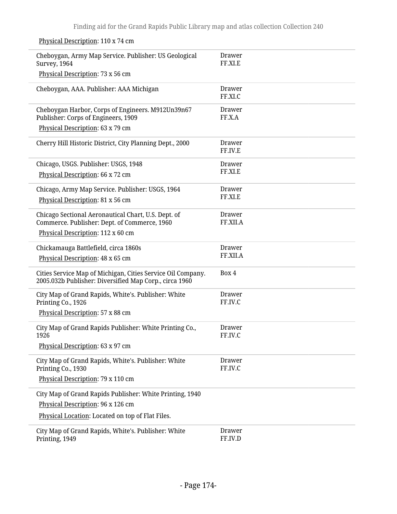Cheboygan, Army Map Service. Publisher: US Geological Survey, 1964 Physical Description: 73 x 56 cm Drawer FF.XI.E Cheboygan, AAA. Publisher: AAA Michigan Drawer FF.XI.C Cheboygan Harbor, Corps of Engineers. M912Un39n67 Publisher: Corps of Engineers, 1909 Physical Description: 63 x 79 cm Drawer FF.X.A Cherry Hill Historic District, City Planning Dept., 2000 Drawer FF.IV.E Chicago, USGS. Publisher: USGS, 1948 Physical Description: 66 x 72 cm Drawer FF.XI.E Chicago, Army Map Service. Publisher: USGS, 1964 Physical Description: 81 x 56 cm Drawer FF.XI.E Chicago Sectional Aeronautical Chart, U.S. Dept. of Commerce. Publisher: Dept. of Commerce, 1960 Physical Description: 112 x 60 cm Drawer FF.XII.A Chickamauga Battlefield, circa 1860s Physical Description: 48 x 65 cm Drawer FF.XII.A Cities Service Map of Michigan, Cities Service Oil Company. 2005.032b Publisher: Diversified Map Corp., circa 1960 Box 4 City Map of Grand Rapids, White's. Publisher: White Printing Co., 1926 Physical Description: 57 x 88 cm Drawer FF.IV.C City Map of Grand Rapids Publisher: White Printing Co., 1926 Physical Description: 63 x 97 cm Drawer FF.IV.C City Map of Grand Rapids, White's. Publisher: White Printing Co., 1930 Physical Description: 79 x 110 cm Drawer FF.IV.C City Map of Grand Rapids Publisher: White Printing, 1940 Physical Description: 96 x 126 cm Physical Location: Located on top of Flat Files. City Map of Grand Rapids, White's. Publisher: White Printing, 1949 Drawer FF.IV.D

Physical Description: 110 x 74 cm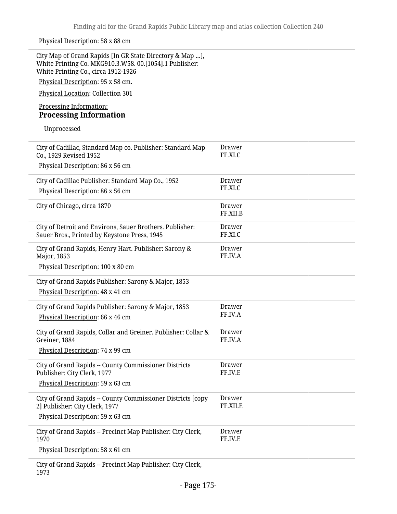### Physical Description: 58 x 88 cm

| City Map of Grand Rapids [In GR State Directory & Map ],<br>White Printing Co. MKG910.3.W58. 00.[1054].1 Publisher:<br>White Printing Co., circa 1912-1926<br>Physical Description: 95 x 58 cm. |                           |
|-------------------------------------------------------------------------------------------------------------------------------------------------------------------------------------------------|---------------------------|
| Physical Location: Collection 301                                                                                                                                                               |                           |
| Processing Information:<br><b>Processing Information</b>                                                                                                                                        |                           |
| Unprocessed                                                                                                                                                                                     |                           |
| City of Cadillac, Standard Map co. Publisher: Standard Map<br>Co., 1929 Revised 1952                                                                                                            | Drawer<br>FF.XI.C         |
| Physical Description: 86 x 56 cm                                                                                                                                                                |                           |
| City of Cadillac Publisher: Standard Map Co., 1952                                                                                                                                              | Drawer                    |
| Physical Description: 86 x 56 cm                                                                                                                                                                | FF.XI.C                   |
| City of Chicago, circa 1870                                                                                                                                                                     | <b>Drawer</b><br>FF.XII.B |
| City of Detroit and Environs, Sauer Brothers. Publisher:<br>Sauer Bros., Printed by Keystone Press, 1945                                                                                        | Drawer<br>FF.XI.C         |
| City of Grand Rapids, Henry Hart. Publisher: Sarony &<br>Major, 1853                                                                                                                            | <b>Drawer</b><br>FF.IV.A  |
| Physical Description: 100 x 80 cm                                                                                                                                                               |                           |
| City of Grand Rapids Publisher: Sarony & Major, 1853<br>Physical Description: 48 x 41 cm                                                                                                        |                           |
| City of Grand Rapids Publisher: Sarony & Major, 1853<br>Physical Description: 66 x 46 cm                                                                                                        | <b>Drawer</b><br>FF.IV.A  |
| City of Grand Rapids, Collar and Greiner. Publisher: Collar &<br>Greiner, 1884<br>Physical Description: 74 x 99 cm                                                                              | Drawer<br>FF.IV.A         |
| City of Grand Rapids -- County Commissioner Districts<br>Publisher: City Clerk, 1977<br>Physical Description: 59 x 63 cm                                                                        | <b>Drawer</b><br>FF.IV.E  |
| City of Grand Rapids -- County Commissioner Districts [copy<br>2] Publisher: City Clerk, 1977                                                                                                   | <b>Drawer</b><br>FF.XII.E |
| Physical Description: 59 x 63 cm                                                                                                                                                                |                           |
| City of Grand Rapids -- Precinct Map Publisher: City Clerk,<br>1970                                                                                                                             | <b>Drawer</b><br>FF.IV.E  |
| Physical Description: 58 x 61 cm                                                                                                                                                                |                           |
| City of Grand Rapids -- Precinct Map Publisher: City Clerk,<br>1973                                                                                                                             |                           |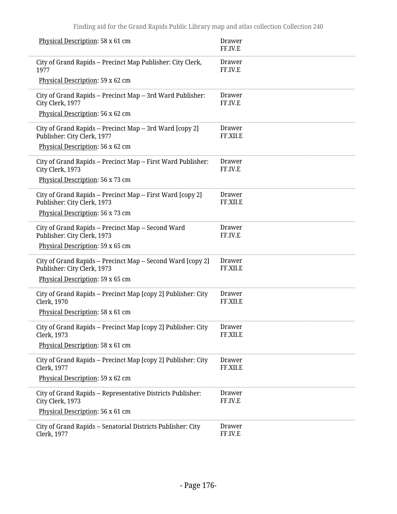| Physical Description: 58 x 61 cm                                                            | Drawer<br>FF.IV.E  |
|---------------------------------------------------------------------------------------------|--------------------|
| City of Grand Rapids -- Precinct Map Publisher: City Clerk,<br>1977                         | Drawer<br>FF.IV.E  |
| Physical Description: 59 x 62 cm                                                            |                    |
| City of Grand Rapids -- Precinct Map -- 3rd Ward Publisher:<br>City Clerk, 1977             | Drawer<br>FF.IV.E  |
| Physical Description: 56 x 62 cm                                                            |                    |
| City of Grand Rapids -- Precinct Map -- 3rd Ward [copy 2]<br>Publisher: City Clerk, 1977    | Drawer<br>FF.XII.E |
| Physical Description: 56 x 62 cm                                                            |                    |
| City of Grand Rapids -- Precinct Map -- First Ward Publisher:<br>City Clerk, 1973           | Drawer<br>FF.IV.E  |
| Physical Description: 56 x 73 cm                                                            |                    |
| City of Grand Rapids -- Precinct Map -- First Ward [copy 2]<br>Publisher: City Clerk, 1973  | Drawer<br>FF.XII.E |
| Physical Description: 56 x 73 cm                                                            |                    |
| City of Grand Rapids -- Precinct Map -- Second Ward<br>Publisher: City Clerk, 1973          | Drawer<br>FF.IV.E  |
| Physical Description: 59 x 65 cm                                                            |                    |
| City of Grand Rapids -- Precinct Map -- Second Ward [copy 2]<br>Publisher: City Clerk, 1973 | Drawer<br>FF.XII.E |
| Physical Description: 59 x 65 cm                                                            |                    |
| City of Grand Rapids -- Precinct Map [copy 2] Publisher: City<br><b>Clerk</b> , 1970        | Drawer<br>FF.XII.E |
| Physical Description: 58 x 61 cm                                                            |                    |
| City of Grand Rapids -- Precinct Map [copy 2] Publisher: City<br>Clerk, 1973                | Drawer<br>FF.XII.E |
| Physical Description: 58 x 61 cm                                                            |                    |
| City of Grand Rapids -- Precinct Map [copy 2] Publisher: City<br>Clerk, 1977                | Drawer<br>FF.XII.E |
| Physical Description: 59 x 62 cm                                                            |                    |
| City of Grand Rapids -- Representative Districts Publisher:<br>City Clerk, 1973             | Drawer<br>FF.IV.E  |
| Physical Description: 56 x 61 cm                                                            |                    |
| City of Grand Rapids -- Senatorial Districts Publisher: City<br>Clerk, 1977                 | Drawer<br>FF.IV.E  |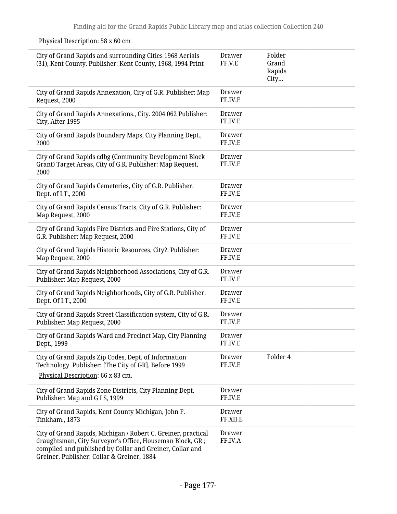| City of Grand Rapids and surrounding Cities 1968 Aerials<br>(31), Kent County. Publisher: Kent County, 1968, 1994 Print                                                                                                             | Drawer<br>FF.V.E   | Folder<br>Grand<br>Rapids<br>City |
|-------------------------------------------------------------------------------------------------------------------------------------------------------------------------------------------------------------------------------------|--------------------|-----------------------------------|
| City of Grand Rapids Annexation, City of G.R. Publisher: Map<br>Request, 2000                                                                                                                                                       | Drawer<br>FF.IV.E  |                                   |
| City of Grand Rapids Annexations., City. 2004.062 Publisher:<br>City, After 1995                                                                                                                                                    | Drawer<br>FF.IV.E  |                                   |
| City of Grand Rapids Boundary Maps, City Planning Dept.,<br>2000                                                                                                                                                                    | Drawer<br>FF.IV.E  |                                   |
| City of Grand Rapids cdbg (Community Development Block<br>Grant) Target Areas, City of G.R. Publisher: Map Request,<br>2000                                                                                                         | Drawer<br>FF.IV.E  |                                   |
| City of Grand Rapids Cemeteries, City of G.R. Publisher:<br>Dept. of I.T., 2000                                                                                                                                                     | Drawer<br>FF.IV.E  |                                   |
| City of Grand Rapids Census Tracts, City of G.R. Publisher:<br>Map Request, 2000                                                                                                                                                    | Drawer<br>FF.IV.E  |                                   |
| City of Grand Rapids Fire Districts and Fire Stations, City of<br>G.R. Publisher: Map Request, 2000                                                                                                                                 | Drawer<br>FF.IV.E  |                                   |
| City of Grand Rapids Historic Resources, City?. Publisher:<br>Map Request, 2000                                                                                                                                                     | Drawer<br>FF.IV.E  |                                   |
| City of Grand Rapids Neighborhood Associations, City of G.R.<br>Publisher: Map Request, 2000                                                                                                                                        | Drawer<br>FF.IV.E  |                                   |
| City of Grand Rapids Neighborhoods, City of G.R. Publisher:<br>Dept. Of I.T., 2000                                                                                                                                                  | Drawer<br>FF.IV.E  |                                   |
| City of Grand Rapids Street Classification system, City of G.R.<br>Publisher: Map Request, 2000                                                                                                                                     | Drawer<br>FF.IV.E  |                                   |
| City of Grand Rapids Ward and Precinct Map, City Planning<br>Dept., 1999                                                                                                                                                            | Drawer<br>FF.IV.E  |                                   |
| City of Grand Rapids Zip Codes, Dept. of Information<br>Technology. Publisher: [The City of GR], Before 1999<br>Physical Description: 66 x 83 cm.                                                                                   | Drawer<br>FF.IV.E  | Folder 4                          |
| City of Grand Rapids Zone Districts, City Planning Dept.<br>Publisher: Map and G I S, 1999                                                                                                                                          | Drawer<br>FF.IV.E  |                                   |
| City of Grand Rapids, Kent County Michigan, John F.<br>Tinkham., 1873                                                                                                                                                               | Drawer<br>FF.XII.E |                                   |
| City of Grand Rapids, Michigan / Robert C. Greiner, practical<br>draughtsman, City Surveyor's Office, Houseman Block, GR;<br>compiled and published by Collar and Greiner, Collar and<br>Greiner. Publisher: Collar & Greiner, 1884 | Drawer<br>FF.IV.A  |                                   |

### Physical Description: 58 x 60 cm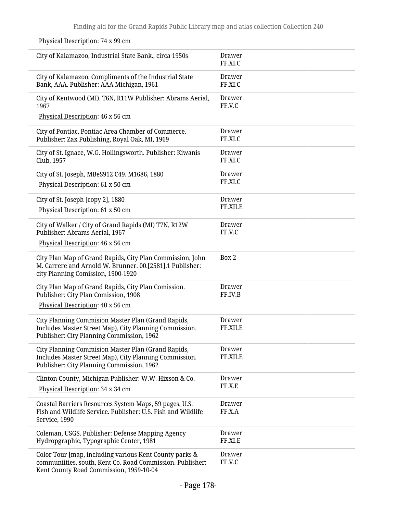City of Kalamazoo, Industrial State Bank., circa 1950s Drawer FF.XI.C City of Kalamazoo, Compliments of the Industrial State Bank, AAA. Publisher: AAA Michigan, 1961 Drawer FF.XI.C City of Kentwood (MI). T6N, R11W Publisher: Abrams Aerial, 1967 Physical Description: 46 x 56 cm Drawer FF.V.C City of Pontiac, Pontiac Area Chamber of Commerce. Publisher: Zax Publishing, Royal Oak, MI, 1969 Drawer FF.XI.C City of St. Ignace, W.G. Hollingsworth. Publisher: Kiwanis Club, 1957 Drawer FF.XI.C City of St. Joseph, MBeS912 C49. M1686, 1880 Physical Description: 61 x 50 cm Drawer FF.XI.C City of St. Joseph [copy 2], 1880 Physical Description: 61 x 50 cm Drawer FF.XII.E City of Walker / City of Grand Rapids (MI) T7N, R12W Publisher: Abrams Aerial, 1967 Physical Description: 46 x 56 cm Drawer FF.V.C City Plan Map of Grand Rapids, City Plan Commission, John M. Carrere and Arnold W. Brunner. 00.[2581].1 Publisher: city Planning Comission, 1900-1920 Box 2 City Plan Map of Grand Rapids, City Plan Comission. Publisher: City Plan Comission, 1908 Physical Description: 40 x 56 cm Drawer FF.IV.B City Planning Commision Master Plan (Grand Rapids, Includes Master Street Map), City Planning Commission. Publisher: City Planning Commission, 1962 Drawer FF.XII.E City Planning Commision Master Plan (Grand Rapids, Includes Master Street Map), City Planning Commission. Publisher: City Planning Commission, 1962 Drawer FF.XII.E Clinton County, Michigan Publisher: W.W. Hixson & Co. Physical Description: 34 x 34 cm Drawer FF.X.E Coastal Barriers Resources System Maps, 59 pages, U.S. Fish and Wildlife Service. Publisher: U.S. Fish and Wildlife Service, 1990 Drawer FF.X.A Coleman, USGS. Publisher: Defense Mapping Agency Hydropgraphic, Typographic Center, 1981 Drawer FF.XI.E Color Tour [map, including various Kent County parks & communiities, south, Kent Co. Road Commission. Publisher: Kent County Road Commission, 1959-10-04 Drawer FF.V.C

Physical Description: 74 x 99 cm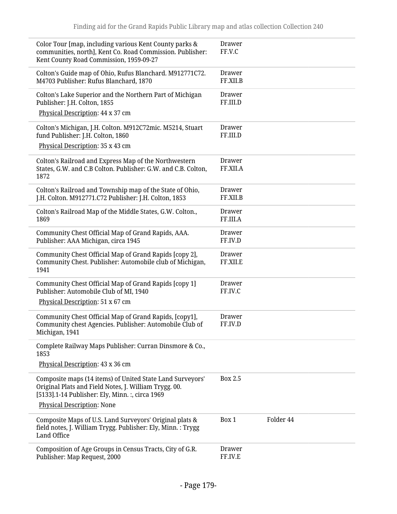| Color Tour [map, including various Kent County parks &<br>communities, north], Kent Co. Road Commission. Publisher:<br>Kent County Road Commission, 1959-09-27        | Drawer<br>FF.V.C          |
|-----------------------------------------------------------------------------------------------------------------------------------------------------------------------|---------------------------|
| Colton's Guide map of Ohio, Rufus Blanchard. M912771C72.<br>M4703 Publisher: Rufus Blanchard, 1870                                                                    | Drawer<br>FF.XII.B        |
| Colton's Lake Superior and the Northern Part of Michigan<br>Publisher: J.H. Colton, 1855                                                                              | Drawer<br>FF.III.D        |
| Physical Description: 44 x 37 cm                                                                                                                                      |                           |
| Colton's Michigan, J.H. Colton. M912C72mic. M5214, Stuart<br>fund Publisher: J.H. Colton, 1860                                                                        | Drawer<br>FF.III.D        |
| Physical Description: 35 x 43 cm                                                                                                                                      |                           |
| Colton's Railroad and Express Map of the Northwestern<br>States, G.W. and C.B Colton. Publisher: G.W. and C.B. Colton,<br>1872                                        | <b>Drawer</b><br>FF.XII.A |
| Colton's Railroad and Township map of the State of Ohio,<br>J.H. Colton. M912771.C72 Publisher: J.H. Colton, 1853                                                     | Drawer<br>FF.XII.B        |
| Colton's Railroad Map of the Middle States, G.W. Colton.,<br>1869                                                                                                     | <b>Drawer</b><br>FF.III.A |
| Community Chest Official Map of Grand Rapids, AAA.<br>Publisher: AAA Michigan, circa 1945                                                                             | Drawer<br>FF.IV.D         |
| Community Chest Official Map of Grand Rapids [copy 2],<br>Community Chest. Publisher: Automobile club of Michigan,<br>1941                                            | <b>Drawer</b><br>FF.XII.E |
| Community Chest Official Map of Grand Rapids [copy 1]<br>Publisher: Automobile Club of MI, 1940                                                                       | Drawer<br>FF.IV.C         |
| Physical Description: 51 x 67 cm                                                                                                                                      |                           |
| Community Chest Official Map of Grand Rapids, [copy1],<br>Community chest Agencies. Publisher: Automobile Club of<br>Michigan, 1941                                   | Drawer<br>FF.IV.D         |
| Complete Railway Maps Publisher: Curran Dinsmore & Co.,<br>1853                                                                                                       |                           |
| Physical Description: 43 x 36 cm                                                                                                                                      |                           |
| Composite maps (14 items) of United State Land Surveyors'<br>Original Plats and Field Notes, J. William Trygg. 00.<br>[5133].1-14 Publisher: Ely, Minn. :, circa 1969 | Box 2.5                   |
| <b>Physical Description: None</b>                                                                                                                                     |                           |
| Composite Maps of U.S. Land Surveyors' Original plats &<br>field notes, J. William Trygg. Publisher: Ely, Minn. : Trygg<br>Land Office                                | Folder 44<br>Box 1        |
| Composition of Age Groups in Census Tracts, City of G.R.<br>Publisher: Map Request, 2000                                                                              | Drawer<br>FF.IV.E         |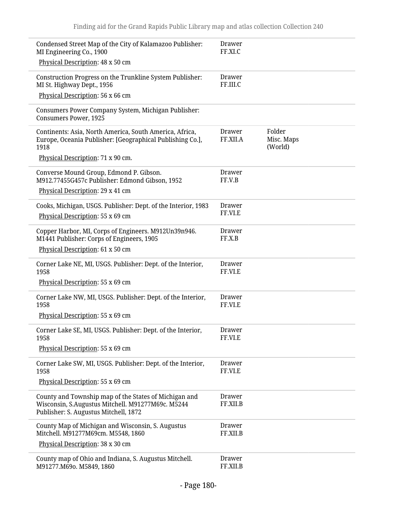| Condensed Street Map of the City of Kalamazoo Publisher:<br>MI Engineering Co., 1900                                                                | Drawer<br>FF.XI.C         |                                 |
|-----------------------------------------------------------------------------------------------------------------------------------------------------|---------------------------|---------------------------------|
| Physical Description: 48 x 50 cm                                                                                                                    |                           |                                 |
| Construction Progress on the Trunkline System Publisher:<br>MI St. Highway Dept., 1956<br>Physical Description: 56 x 66 cm                          | Drawer<br>FF.III.C        |                                 |
|                                                                                                                                                     |                           |                                 |
| Consumers Power Company System, Michigan Publisher:<br><b>Consumers Power, 1925</b>                                                                 |                           |                                 |
| Continents: Asia, North America, South America, Africa,<br>Europe, Oceania Publisher: [Geographical Publishing Co.],<br>1918                        | Drawer<br>FF.XII.A        | Folder<br>Misc. Maps<br>(World) |
| Physical Description: 71 x 90 cm.                                                                                                                   |                           |                                 |
| Converse Mound Group, Edmond P. Gibson.<br>M912.77455G457c Publisher: Edmond Gibson, 1952<br>Physical Description: 29 x 41 cm                       | Drawer<br>FF.V.B          |                                 |
| Cooks, Michigan, USGS. Publisher: Dept. of the Interior, 1983<br>Physical Description: 55 x 69 cm                                                   | <b>Drawer</b><br>FF.VI.E  |                                 |
| Copper Harbor, MI, Corps of Engineers. M912Un39n946.<br>M1441 Publisher: Corps of Engineers, 1905<br>Physical Description: 61 x 50 cm               | Drawer<br>FF.X.B          |                                 |
| Corner Lake NE, MI, USGS. Publisher: Dept. of the Interior,<br>1958                                                                                 | <b>Drawer</b><br>FF.VI.E  |                                 |
| Physical Description: 55 x 69 cm                                                                                                                    |                           |                                 |
| Corner Lake NW, MI, USGS. Publisher: Dept. of the Interior,<br>1958                                                                                 | <b>Drawer</b><br>FF.VI.E  |                                 |
| Physical Description: 55 x 69 cm                                                                                                                    |                           |                                 |
| Corner Lake SE, MI, USGS. Publisher: Dept. of the Interior,<br>1958                                                                                 | Drawer<br>FF.VI.E         |                                 |
| Physical Description: 55 x 69 cm                                                                                                                    |                           |                                 |
| Corner Lake SW, MI, USGS. Publisher: Dept. of the Interior,<br>1958                                                                                 | Drawer<br>FF.VI.E         |                                 |
| Physical Description: 55 x 69 cm                                                                                                                    |                           |                                 |
| County and Township map of the States of Michigan and<br>Wisconsin, S.Augustus Mitchell. M91277M69c. M5244<br>Publisher: S. Augustus Mitchell, 1872 | <b>Drawer</b><br>FF.XII.B |                                 |
| County Map of Michigan and Wisconsin, S. Augustus<br>Mitchell. M91277M69cm. M5548, 1860                                                             | <b>Drawer</b><br>FF.XII.B |                                 |
| Physical Description: 38 x 30 cm                                                                                                                    |                           |                                 |
| County map of Ohio and Indiana, S. Augustus Mitchell.<br>M91277.M69o. M5849, 1860                                                                   | <b>Drawer</b><br>FF.XII.B |                                 |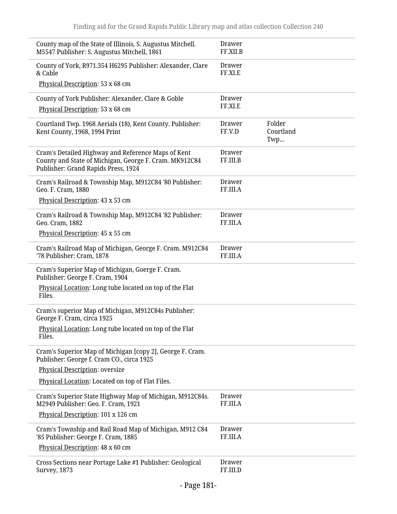| County map of the State of Illinois, S. Augustus Mitchell.<br>M5547 Publisher: S. Augustus Mitchell, 1861                                           | Drawer<br>FF.XII.B        |                            |
|-----------------------------------------------------------------------------------------------------------------------------------------------------|---------------------------|----------------------------|
| County of York, R971.354 H6295 Publisher: Alexander, Clare<br>& Cable                                                                               | Drawer<br>FF.XI.E         |                            |
| Physical Description: 53 x 68 cm                                                                                                                    |                           |                            |
| County of York Publisher: Alexander, Clare & Goble                                                                                                  | Drawer                    |                            |
| Physical Description: 53 x 68 cm                                                                                                                    | FF.XI.E                   |                            |
| Courtland Twp. 1968 Aerials (18), Kent County. Publisher:<br>Kent County, 1968, 1994 Print                                                          | Drawer<br>FF.V.D          | Folder<br>Courtland<br>Twp |
| Cram's Detailed Highway and Reference Maps of Kent<br>County and State of Michigan, George F. Cram. MK912C84<br>Publisher: Grand Rapids Press, 1924 | Drawer<br>FF.III.B        |                            |
| Cram's Railroad & Township Map, M912C84 '80 Publisher:<br>Geo. F. Cram, 1880                                                                        | Drawer<br>FF.III.A        |                            |
| Physical Description: 43 x 53 cm                                                                                                                    |                           |                            |
| Cram's Railroad & Township Map, M912C84 '82 Publisher:<br>Geo. Cram, 1882                                                                           | Drawer<br>FF.III.A        |                            |
| Physical Description: 45 x 55 cm                                                                                                                    |                           |                            |
| Cram's Railroad Map of Michigan, George F. Cram. M912C84<br>'78 Publisher: Cram, 1878                                                               | Drawer<br>FF.III.A        |                            |
| Cram's Superior Map of Michigan, Goerge F. Cram.<br>Publisher: George F. Cram, 1904                                                                 |                           |                            |
| Physical Location: Long tube located on top of the Flat<br>Files.                                                                                   |                           |                            |
| Cram's superior Map of Michigan, M912C84s Publisher:<br>George F. Cram, circa 1925                                                                  |                           |                            |
| Physical Location: Long tube located on top of the Flat<br>Files.                                                                                   |                           |                            |
| Cram's Superior Map of Michigan [copy 2], George F. Cram.<br>Publisher: George f. Cram CO., circa 1925                                              |                           |                            |
| Physical Description: oversize                                                                                                                      |                           |                            |
| Physical Location: Located on top of Flat Files.                                                                                                    |                           |                            |
| Cram's Superior State Highway Map of Michigan, M912C84s.<br>M2949 Publisher: Geo. F. Cram, 1921                                                     | <b>Drawer</b><br>FF.III.A |                            |
| Physical Description: 101 x 126 cm                                                                                                                  |                           |                            |
| Cram's Township and Rail Road Map of Michigan, M912 C84<br>'85 Publisher: George F. Cram, 1885                                                      | Drawer<br>FF.III.A        |                            |
| Physical Description: 48 x 60 cm                                                                                                                    |                           |                            |
| Cross Sections near Portage Lake #1 Publisher: Geological<br><b>Survey</b> , 1873                                                                   | Drawer<br>FF.III.D        |                            |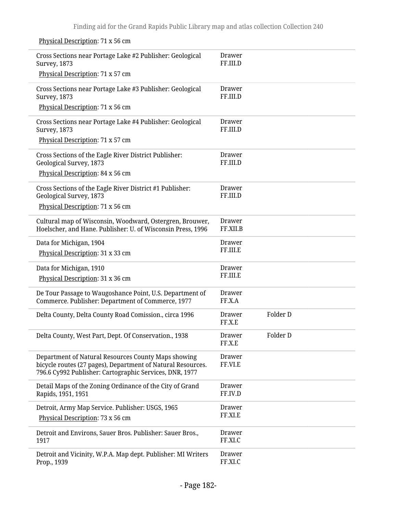Physical Description: 71 x 56 cm

| Cross Sections near Portage Lake #2 Publisher: Geological<br><b>Survey</b> , 1873                                                                                             | Drawer<br>FF.III.D        |          |  |
|-------------------------------------------------------------------------------------------------------------------------------------------------------------------------------|---------------------------|----------|--|
| Physical Description: 71 x 57 cm                                                                                                                                              |                           |          |  |
| Cross Sections near Portage Lake #3 Publisher: Geological<br><b>Survey, 1873</b>                                                                                              | Drawer<br>FF.III.D        |          |  |
| Physical Description: 71 x 56 cm                                                                                                                                              |                           |          |  |
| Cross Sections near Portage Lake #4 Publisher: Geological<br><b>Survey</b> , 1873                                                                                             | Drawer<br>FF.III.D        |          |  |
| Physical Description: 71 x 57 cm                                                                                                                                              |                           |          |  |
| Cross Sections of the Eagle River District Publisher:<br>Geological Survey, 1873                                                                                              | <b>Drawer</b><br>FF.III.D |          |  |
| Physical Description: 84 x 56 cm                                                                                                                                              |                           |          |  |
| Cross Sections of the Eagle River District #1 Publisher:<br>Geological Survey, 1873                                                                                           | Drawer<br>FF.III.D        |          |  |
| Physical Description: 71 x 56 cm                                                                                                                                              |                           |          |  |
| Cultural map of Wisconsin, Woodward, Ostergren, Brouwer,<br>Hoelscher, and Hane. Publisher: U. of Wisconsin Press, 1996                                                       | Drawer<br>FF.XII.B        |          |  |
| Data for Michigan, 1904                                                                                                                                                       | <b>Drawer</b>             |          |  |
| Physical Description: 31 x 33 cm                                                                                                                                              | FF.III.E                  |          |  |
| Data for Michigan, 1910                                                                                                                                                       | Drawer                    |          |  |
| Physical Description: 31 x 36 cm                                                                                                                                              | FF.III.E                  |          |  |
| De Tour Passage to Waugoshance Point, U.S. Department of<br>Commerce. Publisher: Department of Commerce, 1977                                                                 | <b>Drawer</b><br>FF.X.A   |          |  |
| Delta County, Delta County Road Comission., circa 1996                                                                                                                        | <b>Drawer</b><br>FF.X.E   | Folder D |  |
| Delta County, West Part, Dept. Of Conservation., 1938                                                                                                                         | Drawer<br>FF.X.E          | Folder D |  |
| Department of Natural Resources County Maps showing<br>bicycle routes (27 pages), Department of Natural Resources.<br>796.6 Cy992 Publisher: Cartographic Services, DNR, 1977 | <b>Drawer</b><br>FF.VI.E  |          |  |
| Detail Maps of the Zoning Ordinance of the City of Grand<br>Rapids, 1951, 1951                                                                                                | <b>Drawer</b><br>FF.IV.D  |          |  |
| Detroit, Army Map Service. Publisher: USGS, 1965<br>Physical Description: 73 x 56 cm                                                                                          | <b>Drawer</b><br>FF.XI.E  |          |  |
| Detroit and Environs, Sauer Bros. Publisher: Sauer Bros.,<br>1917                                                                                                             | <b>Drawer</b><br>FF.XI.C  |          |  |
| Detroit and Vicinity, W.P.A. Map dept. Publisher: MI Writers<br>Prop., 1939                                                                                                   | <b>Drawer</b><br>FF.XI.C  |          |  |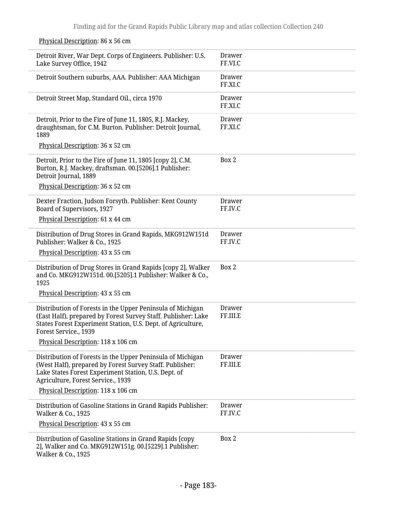| Detroit River, War Dept. Corps of Engineers. Publisher: U.S.<br>Lake Survey Office, 1942                                                                                                                             | <b>Drawer</b><br>FF.VI.C |
|----------------------------------------------------------------------------------------------------------------------------------------------------------------------------------------------------------------------|--------------------------|
| Detroit Southern suburbs, AAA. Publisher: AAA Michigan                                                                                                                                                               | <b>Drawer</b><br>FF.XI.C |
| Detroit Street Map, Standard Oil., circa 1970                                                                                                                                                                        | <b>Drawer</b><br>FF.XI.C |
| Detroit, Prior to the Fire of June 11, 1805, R.J. Mackey,<br>draughtsman, for C.M. Burton. Publisher: Detroit Journal,<br>1889                                                                                       | <b>Drawer</b><br>FF.XI.C |
| Physical Description: 36 x 52 cm                                                                                                                                                                                     |                          |
| Detroit, Prior to the Fire of June 11, 1805 [copy 2], C.M.<br>Burton, R.J. Mackey, draftsman. 00.[5206].1 Publisher:<br>Detroit Journal, 1889                                                                        | Box 2                    |
| Physical Description: 36 x 52 cm                                                                                                                                                                                     |                          |
| Dexter Fraction, Judson Forsyth. Publisher: Kent County<br>Board of Supervisors, 1927                                                                                                                                | Drawer<br>FF.IV.C        |
| Physical Description: 61 x 44 cm                                                                                                                                                                                     |                          |
| Distribution of Drug Stores in Grand Rapids, MKG912W151d<br>Publisher: Walker & Co., 1925                                                                                                                            | <b>Drawer</b><br>FF.IV.C |
| Physical Description: 43 x 55 cm                                                                                                                                                                                     |                          |
| Distribution of Drug Stores in Grand Rapids [copy 2], Walker<br>and Co. MKG912W151d. 00.[5205].1 Publisher: Walker & Co.,<br>1925                                                                                    | Box 2                    |
| Physical Description: 43 x 55 cm                                                                                                                                                                                     |                          |
| Distribution of Forests in the Upper Peninsula of Michigan<br>(East Half), prepared by Forest Survey Staff. Publisher: Lake<br>States Forest Experiment Station, U.S. Dept. of Agriculture,<br>Forest Service., 1939 | Drawer<br>FF.III.E       |
| Physical Description: 118 x 106 cm                                                                                                                                                                                   |                          |
| Distribution of Forests in the Upper Peninsula of Michigan<br>(West Half), prepared by Forest Survey Staff. Publisher:<br>Lake States Forest Experiment Station, U.S. Dept. of<br>Agriculture, Forest Service., 1939 | Drawer<br>FF.III.E       |
| Physical Description: 118 x 106 cm                                                                                                                                                                                   |                          |
| Distribution of Gasoline Stations in Grand Rapids Publisher:<br>Walker & Co., 1925                                                                                                                                   | <b>Drawer</b><br>FF.IV.C |
| Physical Description: 43 x 55 cm                                                                                                                                                                                     |                          |
| Distribution of Gasoline Stations in Grand Rapids [copy<br>2], Walker and Co. MKG912W151g. 00.[5229].1 Publisher:<br>Walker & Co., 1925                                                                              | Box 2                    |

## Physical Description: 86 x 56 cm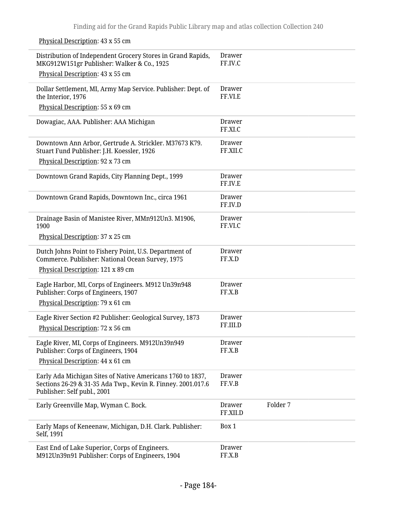Physical Description: 43 x 55 cm

| Distribution of Independent Grocery Stores in Grand Rapids,<br>MKG912W151gr Publisher: Walker & Co., 1925                                                 | <b>Drawer</b><br>FF.IV.C  |          |  |
|-----------------------------------------------------------------------------------------------------------------------------------------------------------|---------------------------|----------|--|
| Physical Description: 43 x 55 cm                                                                                                                          |                           |          |  |
| Dollar Settlement, MI, Army Map Service. Publisher: Dept. of<br>the Interior, 1976                                                                        | <b>Drawer</b><br>FF.VI.E  |          |  |
| Physical Description: 55 x 69 cm                                                                                                                          |                           |          |  |
| Dowagiac, AAA. Publisher: AAA Michigan                                                                                                                    | <b>Drawer</b><br>FF.XI.C  |          |  |
| Downtown Ann Arbor, Gertrude A. Strickler. M37673 K79.<br>Stuart Fund Publisher: J.H. Koessler, 1926                                                      | Drawer<br>FF.XII.C        |          |  |
| Physical Description: 92 x 73 cm                                                                                                                          |                           |          |  |
| Downtown Grand Rapids, City Planning Dept., 1999                                                                                                          | Drawer<br>FF.IV.E         |          |  |
| Downtown Grand Rapids, Downtown Inc., circa 1961                                                                                                          | <b>Drawer</b><br>FF.IV.D  |          |  |
| Drainage Basin of Manistee River, MMn912Un3. M1906,<br>1900                                                                                               | <b>Drawer</b><br>FF.VI.C  |          |  |
| Physical Description: 37 x 25 cm                                                                                                                          |                           |          |  |
| Dutch Johns Point to Fishery Point, U.S. Department of<br>Commerce. Publisher: National Ocean Survey, 1975                                                | <b>Drawer</b><br>FF.X.D   |          |  |
| Physical Description: 121 x 89 cm                                                                                                                         |                           |          |  |
| Eagle Harbor, MI, Corps of Engineers. M912 Un39n948<br>Publisher: Corps of Engineers, 1907                                                                | Drawer<br>FF.X.B          |          |  |
| Physical Description: 79 x 61 cm                                                                                                                          |                           |          |  |
| Eagle River Section #2 Publisher: Geological Survey, 1873<br>Physical Description: 72 x 56 cm                                                             | <b>Drawer</b><br>FF.III.D |          |  |
| Eagle River, MI, Corps of Engineers. M912Un39n949<br>Publisher: Corps of Engineers, 1904                                                                  | Drawer<br>FF.X.B          |          |  |
| Physical Description: 44 x 61 cm                                                                                                                          |                           |          |  |
| Early Ada Michigan Sites of Native Americans 1760 to 1837,<br>Sections 26-29 & 31-35 Ada Twp., Kevin R. Finney. 2001.017.6<br>Publisher: Self publ., 2001 | <b>Drawer</b><br>FF.V.B   |          |  |
| Early Greenville Map, Wyman C. Bock.                                                                                                                      | <b>Drawer</b><br>FF.XII.D | Folder 7 |  |
| Early Maps of Keneenaw, Michigan, D.H. Clark. Publisher:<br>Self, 1991                                                                                    | Box 1                     |          |  |
| East End of Lake Superior, Corps of Engineers.<br>M912Un39n91 Publisher: Corps of Engineers, 1904                                                         | <b>Drawer</b><br>FF.X.B   |          |  |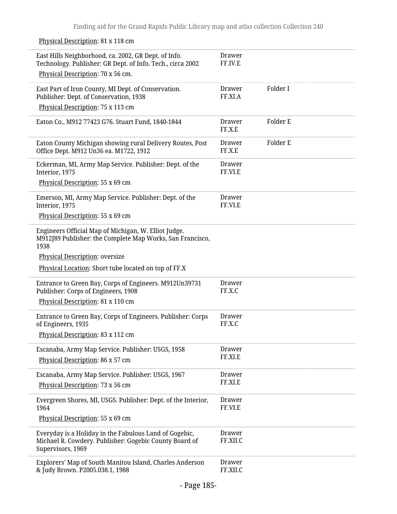Physical Description: 81 x 118 cm

| East Hills Neighborhood, ca. 2002, GR Dept. of Info.<br>Technology. Publisher: GR Dept. of Info. Tech., circa 2002                    | Drawer<br>FF.IV.E        |          |
|---------------------------------------------------------------------------------------------------------------------------------------|--------------------------|----------|
| Physical Description: 70 x 56 cm.                                                                                                     |                          |          |
| East Part of Iron County, MI Dept. of Conservation.<br>Publisher: Dept. of Conservation, 1938<br>Physical Description: 75 x 113 cm    | Drawer<br>FF.XI.A        | Folder I |
| Eaton Co., M912 77423 G76. Stuart Fund, 1840-1844                                                                                     | Drawer<br>FF.X.E         | Folder E |
| Eaton County Michigan showing rural Delivery Routes, Post<br>Office Dept. M912 Un36 ea. M1722, 1912                                   | Drawer<br>FF.X.E         | Folder E |
| Eckerman, MI, Army Map Service. Publisher: Dept. of the<br>Interior, 1975                                                             | <b>Drawer</b><br>FF.VI.E |          |
| Physical Description: 55 x 69 cm                                                                                                      |                          |          |
| Emerson, MI, Army Map Service. Publisher: Dept. of the<br>Interior, 1975                                                              | <b>Drawer</b><br>FF.VI.E |          |
| Physical Description: 55 x 69 cm                                                                                                      |                          |          |
| Engineers Official Map of Michigan, W. Elliot Judge.<br>M912J89 Publisher: the Complete Map Works, San Francisco,<br>1938             |                          |          |
| Physical Description: oversize                                                                                                        |                          |          |
| Physical Location: Short tube located on top of FF.X                                                                                  |                          |          |
| Entrance to Green Bay, Corps of Engineers. M912Un39731<br>Publisher: Corps of Engineers, 1908                                         | Drawer<br>FF.X.C         |          |
| Physical Description: 81 x 110 cm                                                                                                     |                          |          |
| Entrance to Green Bay, Corps of Engineers. Publisher: Corps<br>of Engineers, 1935                                                     | Drawer<br>FF.X.C         |          |
| Physical Description: 83 x 112 cm                                                                                                     |                          |          |
| Escanaba, Army Map Service. Publisher: USGS, 1958                                                                                     | Drawer                   |          |
| Physical Description: 86 x 57 cm                                                                                                      | FF.XI.E                  |          |
|                                                                                                                                       | <b>Drawer</b>            |          |
| Escanaba, Army Map Service. Publisher: USGS, 1967<br>Physical Description: 73 x 56 cm                                                 | FF.XI.E                  |          |
| Evergreen Shores, MI, USGS. Publisher: Dept. of the Interior,<br>1964                                                                 | <b>Drawer</b><br>FF.VI.E |          |
| Physical Description: 55 x 69 cm                                                                                                      |                          |          |
| Everyday is a Holiday in the Fabulous Land of Gogebic,<br>Michael R. Cowdery. Publisher: Gogebic County Board of<br>Supervisors, 1969 | Drawer<br>FF.XII.C       |          |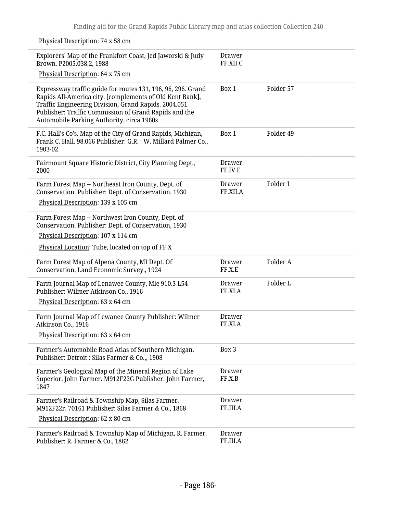Physical Description: 74 x 58 cm Explorers' Map of the Frankfort Coast, Jed Jaworski & Judy Brown. P2005.038.2, 1988 Physical Description: 64 x 75 cm Drawer FF.XII.C Expressway traffic guide for routes 131, 196, 96, 296. Grand Rapids All-America city. [complements of Old Kent Bank], Traffic Engineering Division, Grand Rapids. 2004.051 Publisher: Traffic Commission of Grand Rapids and the Automobile Parking Authority, circa 1960s Box 1 Folder 57 F.C. Hall's Co's. Map of the City of Grand Rapids, Michigan, Frank C. Hall. 98.066 Publisher: G.R. : W. Millard Palmer Co., 1903-02 Box 1 Folder 49 Fairmount Square Historic District, City Planning Dept., 2000 Drawer FF.IV.E Farm Forest Map -- Northeast Iron County, Dept. of Conservation. Publisher: Dept. of Conservation, 1930 Physical Description: 139 x 105 cm Drawer FF.XII.A Folder I Farm Forest Map -- Northwest Iron County, Dept. of Conservation. Publisher: Dept. of Conservation, 1930 Physical Description: 107 x 114 cm Physical Location: Tube, located on top of FF.X Farm Forest Map of Alpena County, MI Dept. Of Conservation, Land Economic Survey., 1924 Drawer FF.X.E Folder A Farm Journal Map of Lenawee County, Mle 910.3 L54 Publisher: Wilmer Atkinson Co., 1916 Physical Description: 63 x 64 cm Drawer FF.XI.A Folder L Farm Journal Map of Lewanee County Publisher: Wilmer Atkinson Co., 1916 Physical Description: 63 x 64 cm Drawer FF.XI.A Farmer's Automobile Road Atlas of Southern Michigan. Publisher: Detroit : Silas Farmer & Co.,, 1908 Box 3 Farmer's Geological Map of the Mineral Region of Lake Superior, John Farmer. M912F22G Publisher: John Farmer, 1847 Drawer FF.X.B Farmer's Railroad & Township Map, Silas Farmer. M912F22r. 70161 Publisher: Silas Farmer & Co., 1868 Physical Description: 62 x 80 cm Drawer FF.III.A Farmer's Railroad & Township Map of Michigan, R. Farmer. Publisher: R. Farmer & Co., 1862 Drawer FF.III.A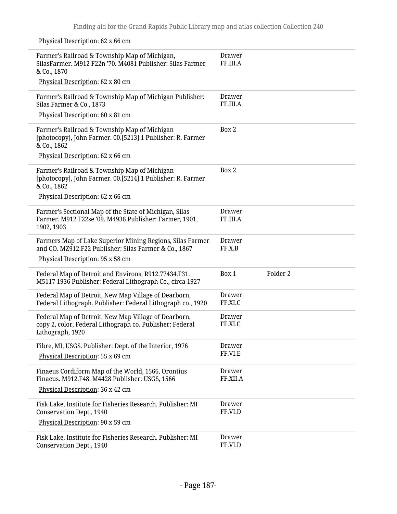Physical Description: 62 x 66 cm

| Farmer's Railroad & Township Map of Michigan,<br>SilasFarmer. M912 F22n '70. M4081 Publisher: Silas Farmer<br>& Co., 1870            | Drawer<br>FF.III.A        |                     |
|--------------------------------------------------------------------------------------------------------------------------------------|---------------------------|---------------------|
| Physical Description: 62 x 80 cm                                                                                                     |                           |                     |
| Farmer's Railroad & Township Map of Michigan Publisher:<br>Silas Farmer & Co., 1873                                                  | <b>Drawer</b><br>FF.III.A |                     |
| Physical Description: 60 x 81 cm                                                                                                     |                           |                     |
| Farmer's Railroad & Township Map of Michigan<br>[photocopy], John Farmer. 00.[5213].1 Publisher: R. Farmer<br>& Co., 1862            | Box 2                     |                     |
| Physical Description: 62 x 66 cm                                                                                                     |                           |                     |
| Farmer's Railroad & Township Map of Michigan<br>[photocopy], John Farmer. 00.[5214].1 Publisher: R. Farmer<br>& Co., 1862            | Box 2                     |                     |
| Physical Description: 62 x 66 cm                                                                                                     |                           |                     |
| Farmer's Sectional Map of the State of Michigan, Silas<br>Farmer. M912 F22se '09. M4936 Publisher: Farmer, 1901,<br>1902, 1903       | Drawer<br>FF.III.A        |                     |
| Farmers Map of Lake Superior Mining Regions, Silas Farmer<br>and CO. MZ912.F22 Publisher: Silas Farmer & Co., 1867                   | <b>Drawer</b><br>FF.X.B   |                     |
| Physical Description: 95 x 58 cm                                                                                                     |                           |                     |
| Federal Map of Detroit and Environs, R912.77434.F31.<br>M5117 1936 Publisher: Federal Lithograph Co., circa 1927                     | Box 1                     | Folder <sub>2</sub> |
| Federal Map of Detroit, New Map Village of Dearborn,<br>Federal Lithograph. Publisher: Federal Lithograph co., 1920                  | <b>Drawer</b><br>FF.XI.C  |                     |
| Federal Map of Detroit, New Map Village of Dearborn,<br>copy 2, color, Federal Lithograph co. Publisher: Federal<br>Lithograph, 1920 | Drawer<br>FF.XI.C         |                     |
| Fibre, MI, USGS. Publisher: Dept. of the Interior, 1976<br>Physical Description: 55 x 69 cm                                          | Drawer<br>FF.VI.E         |                     |
| Finaeus Cordiform Map of the World, 1566, Orontius<br>Finaeus. M912.F48. M4428 Publisher: USGS, 1566                                 | Drawer<br>FF.XII.A        |                     |
| Physical Description: 36 x 42 cm                                                                                                     |                           |                     |
| Fisk Lake, Institute for Fisheries Research. Publisher: MI<br><b>Conservation Dept., 1940</b>                                        | Drawer<br>FF.VI.D         |                     |
| Physical Description: 90 x 59 cm                                                                                                     |                           |                     |
| Fisk Lake, Institute for Fisheries Research. Publisher: MI<br>Conservation Dept., 1940                                               | Drawer<br>FF.VI.D         |                     |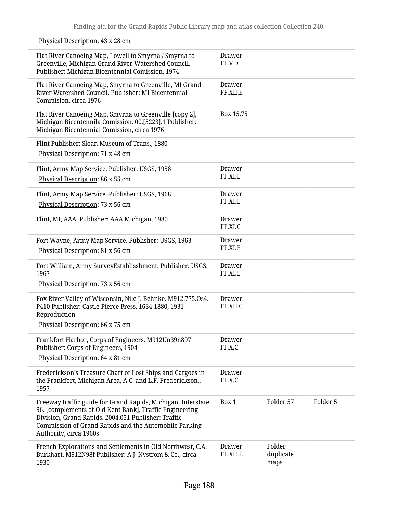|  | Physical Description: 43 x 28 cm |  |  |  |
|--|----------------------------------|--|--|--|
|  |                                  |  |  |  |

| Flat River Canoeing Map, Lowell to Smyrna / Smyrna to<br>Greenville, Michigan Grand River Watershed Council.<br>Publisher: Michigan Bicentennial Comission, 1974                                                                                                  | <b>Drawer</b><br>FF.VI.C  |                             |          |
|-------------------------------------------------------------------------------------------------------------------------------------------------------------------------------------------------------------------------------------------------------------------|---------------------------|-----------------------------|----------|
| Flat River Canoeing Map, Smyrna to Greenville, MI Grand<br>River Watershed Council. Publisher: MI Bicentennial<br>Commision, circa 1976                                                                                                                           | <b>Drawer</b><br>FF.XII.E |                             |          |
| Flat River Canoeing Map, Smyrna to Greenville [copy 2],<br>Michigan Bicentennila Comission. 00.[5223].1 Publisher:<br>Michigan Bicentennial Comission, circa 1976                                                                                                 | Box 15.75                 |                             |          |
| Flint Publisher: Sloan Museum of Trans., 1880<br>Physical Description: 71 x 48 cm                                                                                                                                                                                 |                           |                             |          |
| Flint, Army Map Service. Publisher: USGS, 1958<br>Physical Description: 86 x 55 cm                                                                                                                                                                                | <b>Drawer</b><br>FF.XI.E  |                             |          |
| Flint, Army Map Service. Publisher: USGS, 1968<br>Physical Description: 73 x 56 cm                                                                                                                                                                                | Drawer<br>FF.XI.E         |                             |          |
| Flint, MI, AAA. Publisher: AAA Michigan, 1980                                                                                                                                                                                                                     | Drawer<br>FF.XI.C         |                             |          |
| Fort Wayne, Army Map Service. Publisher: USGS, 1963<br>Physical Description: 81 x 56 cm                                                                                                                                                                           | Drawer<br>FF.XI.E         |                             |          |
| Fort William, Army SurveyEstablisshment. Publisher: USGS,<br>1967                                                                                                                                                                                                 | Drawer<br>FF.XI.E         |                             |          |
| Physical Description: 73 x 56 cm                                                                                                                                                                                                                                  |                           |                             |          |
| Fox River Valley of Wisconsin, Nile J. Behnke. M912.775.0s4.<br>P410 Publisher: Castle-Pierce Press, 1634-1880, 1931<br>Reproduction<br>Physical Description: 66 x 75 cm                                                                                          | <b>Drawer</b><br>FF.XII.C |                             |          |
| Frankfort Harbor, Corps of Engineers. M912Un39n897<br>Publisher: Corps of Engineers, 1904<br>Physical Description: 64 x 81 cm                                                                                                                                     | Drawer<br>FF.X.C          |                             |          |
| Frederickson's Treasure Chart of Lost Ships and Cargoes in<br>the Frankfort, Michigan Area, A.C. and L.F. Frederickson.,<br>1957                                                                                                                                  | Drawer<br>FF.X.C          |                             |          |
| Freeway traffic guide for Grand Rapids, Michigan. Interstate<br>96. [complements of Old Kent Bank], Traffic Engineering<br>Division, Grand Rapids. 2004.051 Publisher: Traffic<br>Commission of Grand Rapids and the Automobile Parking<br>Authority, circa 1960s | Box 1                     | Folder 57                   | Folder 5 |
| French Explorations and Settlements in Old Northwest, C.A.<br>Burkhart. M912N98f Publisher: A.J. Nystrom & Co., circa<br>1930                                                                                                                                     | Drawer<br>FF.XII.E        | Folder<br>duplicate<br>maps |          |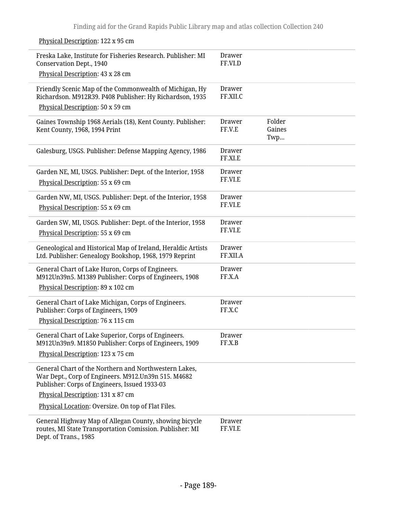Physical Description: 122 x 95 cm

| Freska Lake, Institute for Fisheries Research. Publisher: MI<br>Conservation Dept., 1940<br>Physical Description: 43 x 28 cm                                  | Drawer<br>FF.VI.D         |                         |
|---------------------------------------------------------------------------------------------------------------------------------------------------------------|---------------------------|-------------------------|
|                                                                                                                                                               |                           |                         |
| Friendly Scenic Map of the Commonwealth of Michigan, Hy<br>Richardson. M912R39. P408 Publisher: Hy Richardson, 1935                                           | <b>Drawer</b><br>FF.XII.C |                         |
| Physical Description: 50 x 59 cm                                                                                                                              |                           |                         |
| Gaines Township 1968 Aerials (18), Kent County. Publisher:<br>Kent County, 1968, 1994 Print                                                                   | Drawer<br>FF.V.E          | Folder<br>Gaines<br>Twp |
| Galesburg, USGS. Publisher: Defense Mapping Agency, 1986                                                                                                      | Drawer<br>FF.XI.E         |                         |
| Garden NE, MI, USGS. Publisher: Dept. of the Interior, 1958                                                                                                   | <b>Drawer</b>             |                         |
| Physical Description: 55 x 69 cm                                                                                                                              | FF.VI.E                   |                         |
| Garden NW, MI, USGS. Publisher: Dept. of the Interior, 1958                                                                                                   | <b>Drawer</b>             |                         |
| Physical Description: 55 x 69 cm                                                                                                                              | FF.VI.E                   |                         |
| Garden SW, MI, USGS. Publisher: Dept. of the Interior, 1958                                                                                                   | <b>Drawer</b>             |                         |
| Physical Description: 55 x 69 cm                                                                                                                              | FF.VI.E                   |                         |
| Geneological and Historical Map of Ireland, Heraldic Artists<br>Ltd. Publisher: Genealogy Bookshop, 1968, 1979 Reprint                                        | Drawer<br>FF.XII.A        |                         |
| General Chart of Lake Huron, Corps of Engineers.<br>M912Un39n5. M1389 Publisher: Corps of Engineers, 1908                                                     | <b>Drawer</b><br>FF.X.A   |                         |
| Physical Description: 89 x 102 cm                                                                                                                             |                           |                         |
| General Chart of Lake Michigan, Corps of Engineers.<br>Publisher: Corps of Engineers, 1909                                                                    | <b>Drawer</b><br>FF.X.C   |                         |
| Physical Description: 76 x 115 cm                                                                                                                             |                           |                         |
|                                                                                                                                                               |                           |                         |
| General Chart of Lake Superior, Corps of Engineers.<br>M912Un39n9. M1850 Publisher: Corps of Engineers, 1909                                                  | <b>Drawer</b><br>FF.X.B   |                         |
| Physical Description: 123 x 75 cm                                                                                                                             |                           |                         |
| General Chart of the Northern and Northwestern Lakes,<br>War Dept., Corp of Engineers. M912.Un39n 515. M4682<br>Publisher: Corps of Engineers, Issued 1933-03 |                           |                         |
| Physical Description: 131 x 87 cm                                                                                                                             |                           |                         |
| Physical Location: Oversize. On top of Flat Files.                                                                                                            |                           |                         |
| General Highway Map of Allegan County, showing bicycle<br>routes, MI State Transportation Comission. Publisher: MI<br>Dept. of Trans., 1985                   | <b>Drawer</b><br>FF.VI.E  |                         |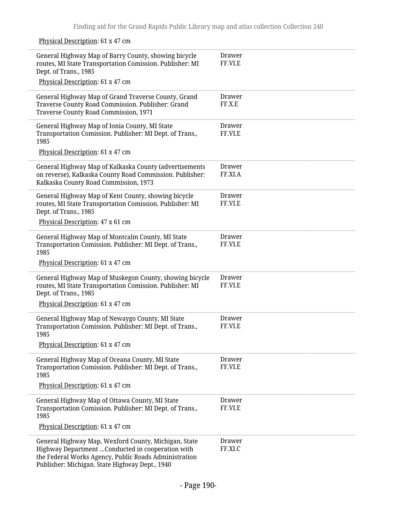Physical Description: 61 x 47 cm General Highway Map of Barry County, showing bicycle routes, MI State Transportation Comission. Publisher: MI Dept. of Trans., 1985 Physical Description: 61 x 47 cm Drawer FF.VI.E General Highway Map of Grand Traverse County, Grand Traverse County Road Commission. Publisher: Grand Traverse County Road Commission, 1971 Drawer FF.X.E General Highway Map of Ionia County, MI State Transportation Comission. Publisher: MI Dept. of Trans., 1985 Physical Description: 61 x 47 cm Drawer FF.VI.E General Highway Map of Kalkaska County (advertisements on reverse), Kalkaska County Road Commission. Publisher: Kalkaska County Road Commission, 1973 Drawer FF.XI.A General Highway Map of Kent County, showing bicycle routes, MI State Transportation Comission. Publisher: MI Dept. of Trans., 1985 Physical Description: 47 x 61 cm Drawer FF.VI.E General Highway Map of Montcalm County, MI State Transportation Comission. Publisher: MI Dept. of Trans., 1985 Physical Description: 61 x 47 cm Drawer FF.VI.E General Highway Map of Muskegon County, showing bicycle routes, MI State Transportation Comission. Publisher: MI Dept. of Trans., 1985 Physical Description: 61 x 47 cm Drawer FF.VI.E General Highway Map of Newaygo County, MI State Transportation Comission. Publisher: MI Dept. of Trans., 1985 Physical Description: 61 x 47 cm Drawer FF.VI.E General Highway Map of Oceana County, MI State Transportation Comission. Publisher: MI Dept. of Trans., 1985 Physical Description: 61 x 47 cm Drawer FF.VI.E General Highway Map of Ottawa County, MI State Transportation Comission. Publisher: MI Dept. of Trans., 1985 Physical Description: 61 x 47 cm Drawer FF.VI.E General Highway Map, Wexford County, Michigan, State Highway Department …Conducted in cooperation with the Federal Works Agency, Public Roads Administration Publisher: Michigan. State Highway Dept., 1940 Drawer FF.XI.C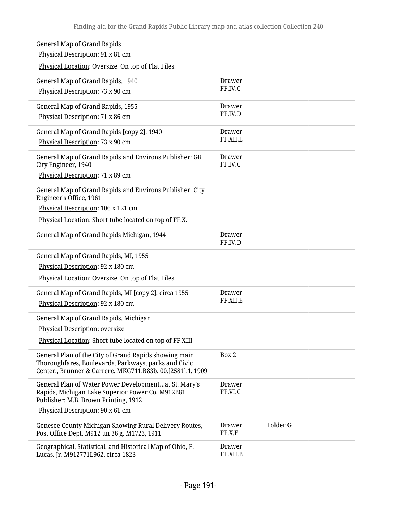| <b>General Map of Grand Rapids</b>                                                                            |                           |          |
|---------------------------------------------------------------------------------------------------------------|---------------------------|----------|
| Physical Description: 91 x 81 cm                                                                              |                           |          |
| Physical Location: Oversize. On top of Flat Files.                                                            |                           |          |
| General Map of Grand Rapids, 1940                                                                             | Drawer                    |          |
| Physical Description: 73 x 90 cm                                                                              | FF.IV.C                   |          |
| General Map of Grand Rapids, 1955                                                                             | Drawer                    |          |
| Physical Description: 71 x 86 cm                                                                              | FF.IV.D                   |          |
| General Map of Grand Rapids [copy 2], 1940                                                                    | <b>Drawer</b>             |          |
| Physical Description: 73 x 90 cm                                                                              | FF.XII.E                  |          |
| General Map of Grand Rapids and Environs Publisher: GR<br>City Engineer, 1940                                 | Drawer<br>FF.IV.C         |          |
| Physical Description: 71 x 89 cm                                                                              |                           |          |
| General Map of Grand Rapids and Environs Publisher: City<br>Engineer's Office, 1961                           |                           |          |
| Physical Description: 106 x 121 cm                                                                            |                           |          |
| Physical Location: Short tube located on top of FF.X.                                                         |                           |          |
| General Map of Grand Rapids Michigan, 1944                                                                    | Drawer<br>FF.IV.D         |          |
| General Map of Grand Rapids, MI, 1955                                                                         |                           |          |
| Physical Description: 92 x 180 cm                                                                             |                           |          |
| Physical Location: Oversize. On top of Flat Files.                                                            |                           |          |
| General Map of Grand Rapids, MI [copy 2], circa 1955                                                          | Drawer                    |          |
| Physical Description: 92 x 180 cm                                                                             | FF.XII.E                  |          |
| General Map of Grand Rapids, Michigan                                                                         |                           |          |
| Physical Description: oversize                                                                                |                           |          |
| Physical Location: Short tube located on top of FF.XIII                                                       |                           |          |
| General Plan of the City of Grand Rapids showing main<br>Thoroughfares, Boulevards, Parkways, parks and Civic | Box 2                     |          |
| Center., Brunner & Carrere. MKG711.B83b. 00.[2581].1, 1909                                                    |                           |          |
| General Plan of Water Power Developmentat St. Mary's                                                          | <b>Drawer</b>             |          |
| Rapids, Michigan Lake Superior Power Co. M912B81<br>Publisher: M.B. Brown Printing, 1912                      | FF.VI.C                   |          |
| Physical Description: 90 x 61 cm                                                                              |                           |          |
| Genesee County Michigan Showing Rural Delivery Routes,                                                        | <b>Drawer</b>             | Folder G |
| Post Office Dept. M912 un 36 g. M1723, 1911                                                                   | FF.X.E                    |          |
| Geographical, Statistical, and Historical Map of Ohio, F.<br>Lucas. Jr. M912771L962, circa 1823               | <b>Drawer</b><br>FF.XII.B |          |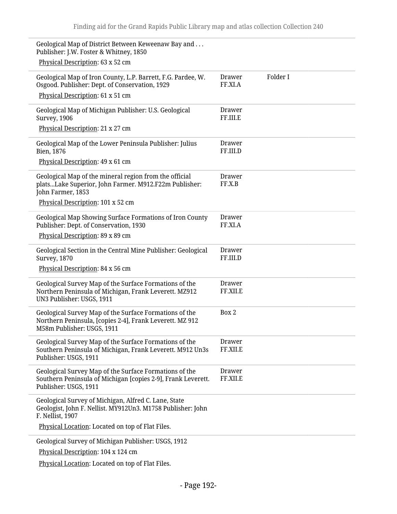| Geological Map of District Between Keweenaw Bay and<br>Publisher: J.W. Foster & Whitney, 1850                                                    |                           |          |
|--------------------------------------------------------------------------------------------------------------------------------------------------|---------------------------|----------|
| Physical Description: 63 x 52 cm                                                                                                                 |                           |          |
| Geological Map of Iron County, L.P. Barrett, F.G. Pardee, W.<br>Osgood. Publisher: Dept. of Conservation, 1929                                   | Drawer<br>FF.XI.A         | Folder I |
| Physical Description: 61 x 51 cm                                                                                                                 |                           |          |
| Geological Map of Michigan Publisher: U.S. Geological<br>Survey, 1906                                                                            | Drawer<br>FF.III.E        |          |
| Physical Description: 21 x 27 cm                                                                                                                 |                           |          |
| Geological Map of the Lower Peninsula Publisher: Julius<br>Bien, 1876                                                                            | Drawer<br>FF.III.D        |          |
| Physical Description: 49 x 61 cm                                                                                                                 |                           |          |
| Geological Map of the mineral region from the official<br>platsLake Superior, John Farmer. M912.F22m Publisher:<br>John Farmer, 1853             | Drawer<br>FF.X.B          |          |
| Physical Description: 101 x 52 cm                                                                                                                |                           |          |
| Geological Map Showing Surface Formations of Iron County<br>Publisher: Dept. of Conservation, 1930                                               | Drawer<br>FF.XI.A         |          |
| Physical Description: 89 x 89 cm                                                                                                                 |                           |          |
| Geological Section in the Central Mine Publisher: Geological<br><b>Survey, 1870</b>                                                              | <b>Drawer</b><br>FF.III.D |          |
| Physical Description: 84 x 56 cm                                                                                                                 |                           |          |
| Geological Survey Map of the Surface Formations of the<br>Northern Peninsula of Michigan, Frank Leverett. MZ912<br>UN3 Publisher: USGS, 1911     | <b>Drawer</b><br>FF.XII.E |          |
| Geological Survey Map of the Surface Formations of the<br>Northern Peninsula, [copies 2-4], Frank Leverett. MZ 912<br>M58m Publisher: USGS, 1911 | Box 2                     |          |
| Geological Survey Map of the Surface Formations of the<br>Southern Peninsula of Michigan, Frank Leverett. M912 Un3s<br>Publisher: USGS, 1911     | <b>Drawer</b><br>FF.XII.E |          |
| Geological Survey Map of the Surface Formations of the<br>Southern Peninsula of Michigan [copies 2-9], Frank Leverett.<br>Publisher: USGS, 1911  | Drawer<br>FF.XII.E        |          |
| Geological Survey of Michigan, Alfred C. Lane, State<br>Geologist, John F. Nellist. MY912Un3. M1758 Publisher: John<br>F. Nellist, 1907          |                           |          |
| Physical Location: Located on top of Flat Files.                                                                                                 |                           |          |
| Geological Survey of Michigan Publisher: USGS, 1912                                                                                              |                           |          |
| Physical Description: 104 x 124 cm                                                                                                               |                           |          |
| Physical Location: Located on top of Flat Files.                                                                                                 |                           |          |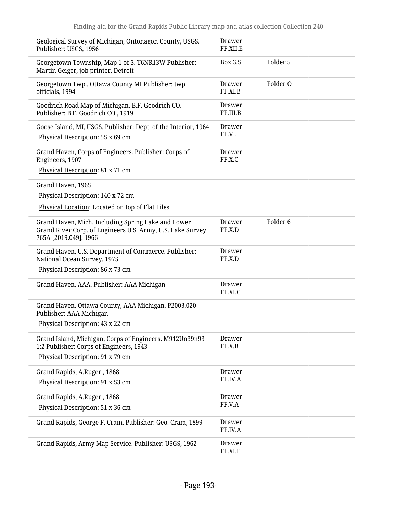| Geological Survey of Michigan, Ontonagon County, USGS.<br>Publisher: USGS, 1956                                                           | Drawer<br>FF.XII.E        |                     |
|-------------------------------------------------------------------------------------------------------------------------------------------|---------------------------|---------------------|
| Georgetown Township, Map 1 of 3. T6NR13W Publisher:<br>Martin Geiger, job printer, Detroit                                                | Box 3.5                   | Folder 5            |
| Georgetown Twp., Ottawa County MI Publisher: twp<br>officials, 1994                                                                       | Drawer<br>FF.XI.B         | Folder O            |
| Goodrich Road Map of Michigan, B.F. Goodrich CO.<br>Publisher: B.F. Goodrich CO., 1919                                                    | <b>Drawer</b><br>FF.III.B |                     |
| Goose Island, MI, USGS. Publisher: Dept. of the Interior, 1964<br>Physical Description: 55 x 69 cm                                        | <b>Drawer</b><br>FF.VI.E  |                     |
| Grand Haven, Corps of Engineers. Publisher: Corps of<br>Engineers, 1907<br>Physical Description: 81 x 71 cm                               | Drawer<br>FF.X.C          |                     |
| Grand Haven, 1965<br>Physical Description: 140 x 72 cm<br>Physical Location: Located on top of Flat Files.                                |                           |                     |
| Grand Haven, Mich. Including Spring Lake and Lower<br>Grand River Corp. of Engineers U.S. Army, U.S. Lake Survey<br>765A [2019.049], 1966 | Drawer<br>FF.X.D          | Folder <sub>6</sub> |
| Grand Haven, U.S. Department of Commerce. Publisher:<br>National Ocean Survey, 1975                                                       | Drawer<br>FF.X.D          |                     |
| Physical Description: 86 x 73 cm                                                                                                          |                           |                     |
| Grand Haven, AAA. Publisher: AAA Michigan                                                                                                 | <b>Drawer</b><br>FF.XI.C  |                     |
| Grand Haven, Ottawa County, AAA Michigan. P2003.020<br>Publisher: AAA Michigan                                                            |                           |                     |
| Physical Description: 43 x 22 cm                                                                                                          |                           |                     |
| Grand Island, Michigan, Corps of Engineers. M912Un39n93<br>1:2 Publisher: Corps of Engineers, 1943<br>Physical Description: 91 x 79 cm    | <b>Drawer</b><br>FF.X.B   |                     |
|                                                                                                                                           |                           |                     |
| Grand Rapids, A.Ruger., 1868<br>Physical Description: 91 x 53 cm                                                                          | <b>Drawer</b><br>FF.IV.A  |                     |
|                                                                                                                                           |                           |                     |
| Grand Rapids, A.Ruger., 1868<br>Physical Description: 51 x 36 cm                                                                          | <b>Drawer</b><br>FF.V.A   |                     |
|                                                                                                                                           |                           |                     |
| Grand Rapids, George F. Cram. Publisher: Geo. Cram, 1899                                                                                  | <b>Drawer</b><br>FF.IV.A  |                     |
| Grand Rapids, Army Map Service. Publisher: USGS, 1962                                                                                     | <b>Drawer</b><br>FF.XI.E  |                     |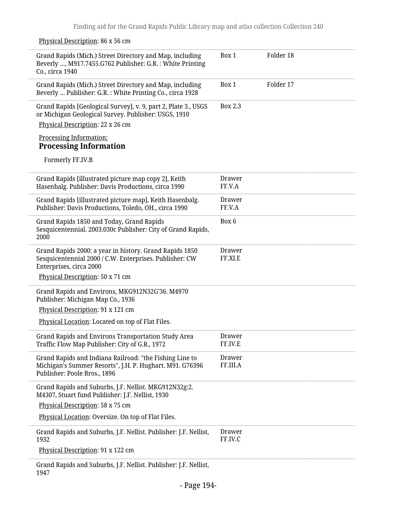## Physical Description: 86 x 56 cm Grand Rapids (Mich.) Street Directory and Map, including Beverly …, M917.7455.G762 Publisher: G.R. : White Printing Co., circa 1940 Box 1 Folder 18 Grand Rapids (Mich.) Street Directory and Map, including Beverly … Publisher: G.R. : White Printing Co., circa 1928 Box 1 Folder 17 Grand Rapids [Geological Survey], v. 9, part 2, Plate 3., USGS or Michigan Geological Survey. Publisher: USGS, 1910 Physical Description: 22 x 26 cm Processing Information: **Processing Information** Formerly FF.IV.B Box 2.3 Grand Rapids [illustrated picture map copy 2], Keith Hasenbalg. Publisher: Davis Productions, circa 1990 Drawer FF.V.A Grand Rapids [illustrated picture map], Keith Hasenbalg. Publisher: Davis Productions, Toledo, OH., circa 1990 Drawer FF.V.A Grand Rapids 1850 and Today, Grand Rapids Sesquicentennial. 2003.030c Publisher: City of Grand Rapids, 2000 Box 6 Grand Rapids 2000: a year in history. Grand Rapids 1850 Sesquicentennial 2000 / C.W. Enterprises. Publisher: CW Enterprises, circa 2000 Physical Description: 50 x 71 cm Drawer FF.XI.E Grand Rapids and Environs, MKG912N32G'36. M4970 Publisher: Michigan Map Co., 1936 Physical Description: 91 x 121 cm Physical Location: Located on top of Flat Files. Grand Rapids and Environs Transportation Study Area Traffic Flow Map Publisher: City of G.R., 1972 Drawer FF.IV.E Grand Rapids and Indiana Railroad: "the Fishing Line to Michigan's Summer Resorts", J.H. P. Hughart. M91. G76396 Publisher: Poole Bros., 1896 Drawer FF.III.A Grand Rapids and Suburbs, J.F. Nellist. MKG912N32g:2. M4307, Stuart fund Publisher: J.F. Nellist, 1930 Physical Description: 58 x 75 cm Physical Location: Oversize. On top of Flat Files. Grand Rapids and Suburbs, J.F. Nellist. Publisher: J.F. Nellist, 1932 Physical Description: 91 x 122 cm Drawer FF.IV.C

Grand Rapids and Suburbs, J.F. Nellist. Publisher: J.F. Nellist, 1947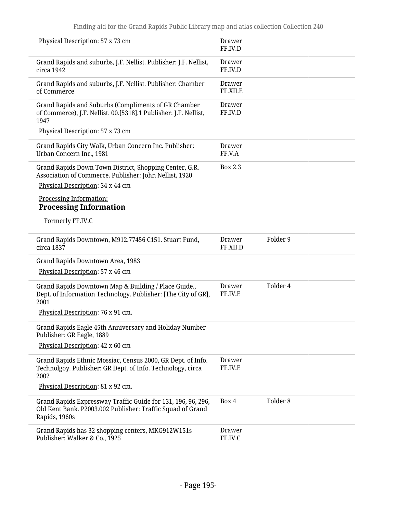| Physical Description: 57 x 73 cm                                                                                                                                                                                                     | Drawer<br>FF.IV.D        |                     |
|--------------------------------------------------------------------------------------------------------------------------------------------------------------------------------------------------------------------------------------|--------------------------|---------------------|
| Grand Rapids and suburbs, J.F. Nellist. Publisher: J.F. Nellist,<br>circa 1942                                                                                                                                                       | Drawer<br>FF.IV.D        |                     |
| Grand Rapids and suburbs, J.F. Nellist. Publisher: Chamber<br>of Commerce                                                                                                                                                            | Drawer<br>FF.XII.E       |                     |
| Grand Rapids and Suburbs (Compliments of GR Chamber<br>of Commerce), J.F. Nellist. 00.[5318].1 Publisher: J.F. Nellist,<br>1947<br>Physical Description: 57 x 73 cm                                                                  | <b>Drawer</b><br>FF.IV.D |                     |
| Grand Rapids City Walk, Urban Concern Inc. Publisher:<br>Urban Concern Inc., 1981                                                                                                                                                    | Drawer<br>FF.V.A         |                     |
| Grand Rapids Down Town District, Shopping Center, G.R.<br>Association of Commerce. Publisher: John Nellist, 1920<br>Physical Description: 34 x 44 cm<br>Processing Information:<br><b>Processing Information</b><br>Formerly FF.IV.C | <b>Box 2.3</b>           |                     |
| Grand Rapids Downtown, M912.77456 C151. Stuart Fund,<br>circa 1837                                                                                                                                                                   | Drawer<br>FF.XII.D       | Folder 9            |
| Grand Rapids Downtown Area, 1983<br>Physical Description: 57 x 46 cm                                                                                                                                                                 |                          |                     |
| Grand Rapids Downtown Map & Building / Place Guide.,<br>Dept. of Information Technology. Publisher: [The City of GR],<br>2001<br>Physical Description: 76 x 91 cm.                                                                   | Drawer<br>FF.IV.E        | Folder 4            |
| Grand Rapids Eagle 45th Anniversary and Holiday Number<br>Publisher: GR Eagle, 1889<br>Physical Description: 42 x 60 cm                                                                                                              |                          |                     |
| Grand Rapids Ethnic Mossiac, Census 2000, GR Dept. of Info.<br>Technolgoy. Publisher: GR Dept. of Info. Technology, circa<br>2002                                                                                                    | <b>Drawer</b><br>FF.IV.E |                     |
| Physical Description: 81 x 92 cm.<br>Grand Rapids Expressway Traffic Guide for 131, 196, 96, 296,<br>Old Kent Bank. P2003.002 Publisher: Traffic Squad of Grand<br>Rapids, 1960s                                                     | Box 4                    | Folder <sub>8</sub> |
| Grand Rapids has 32 shopping centers, MKG912W151s<br>Publisher: Walker & Co., 1925                                                                                                                                                   | Drawer<br>FF.IV.C        |                     |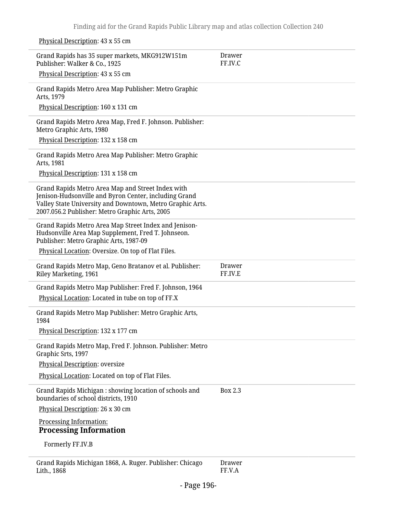Physical Description: 43 x 55 cm

| Grand Rapids has 35 super markets, MKG912W151m<br>Publisher: Walker & Co., 1925                                                                                                                                           | Drawer<br>FF.IV.C |
|---------------------------------------------------------------------------------------------------------------------------------------------------------------------------------------------------------------------------|-------------------|
| Physical Description: 43 x 55 cm                                                                                                                                                                                          |                   |
| Grand Rapids Metro Area Map Publisher: Metro Graphic<br>Arts, 1979                                                                                                                                                        |                   |
| Physical Description: 160 x 131 cm                                                                                                                                                                                        |                   |
| Grand Rapids Metro Area Map, Fred F. Johnson. Publisher:<br>Metro Graphic Arts, 1980                                                                                                                                      |                   |
| Physical Description: 132 x 158 cm                                                                                                                                                                                        |                   |
| Grand Rapids Metro Area Map Publisher: Metro Graphic<br>Arts, 1981                                                                                                                                                        |                   |
| Physical Description: 131 x 158 cm                                                                                                                                                                                        |                   |
| Grand Rapids Metro Area Map and Street Index with<br>Jenison-Hudsonville and Byron Center, including Grand<br>Valley State University and Downtown, Metro Graphic Arts.<br>2007.056.2 Publisher: Metro Graphic Arts, 2005 |                   |
| Grand Rapids Metro Area Map Street Index and Jenison-<br>Hudsonville Area Map Supplement, Fred T. Johnseon.<br>Publisher: Metro Graphic Arts, 1987-09                                                                     |                   |
| Physical Location: Oversize. On top of Flat Files.                                                                                                                                                                        |                   |
| Grand Rapids Metro Map, Geno Bratanov et al. Publisher:<br>Riley Marketing, 1961                                                                                                                                          | Drawer<br>FF.IV.E |
| Grand Rapids Metro Map Publisher: Fred F. Johnson, 1964                                                                                                                                                                   |                   |
| Physical Location: Located in tube on top of FF.X                                                                                                                                                                         |                   |
| Grand Rapids Metro Map Publisher: Metro Graphic Arts,<br>1984                                                                                                                                                             |                   |
| Physical Description: 132 x 177 cm                                                                                                                                                                                        |                   |
| Grand Rapids Metro Map, Fred F. Johnson. Publisher: Metro<br>Graphic Srts, 1997                                                                                                                                           |                   |
| Physical Description: oversize                                                                                                                                                                                            |                   |
| Physical Location: Located on top of Flat Files.                                                                                                                                                                          |                   |
| Grand Rapids Michigan: showing location of schools and<br>boundaries of school districts, 1910                                                                                                                            | Box 2.3           |
| Physical Description: 26 x 30 cm                                                                                                                                                                                          |                   |
| Processing Information:<br><b>Processing Information</b>                                                                                                                                                                  |                   |
| Formerly FF.IV.B                                                                                                                                                                                                          |                   |
| Grand Rapids Michigan 1868, A. Ruger. Publisher: Chicago<br>Lith., 1868                                                                                                                                                   | Drawer<br>FF.V.A  |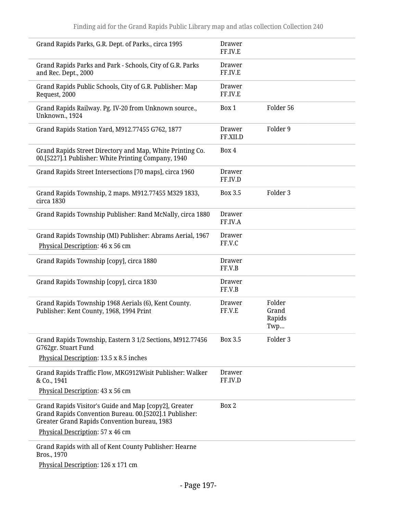| Grand Rapids Parks, G.R. Dept. of Parks., circa 1995                                                                                                            | <b>Drawer</b><br>FF.IV.E  |                                  |
|-----------------------------------------------------------------------------------------------------------------------------------------------------------------|---------------------------|----------------------------------|
| Grand Rapids Parks and Park - Schools, City of G.R. Parks<br>and Rec. Dept., 2000                                                                               | <b>Drawer</b><br>FF.IV.E  |                                  |
| Grand Rapids Public Schools, City of G.R. Publisher: Map<br>Request, 2000                                                                                       | Drawer<br>FF.IV.E         |                                  |
| Grand Rapids Railway. Pg. IV-20 from Unknown source.,<br>Unknown., 1924                                                                                         | Box 1                     | Folder 56                        |
| Grand Rapids Station Yard, M912.77455 G762, 1877                                                                                                                | <b>Drawer</b><br>FF.XII.D | Folder 9                         |
| Grand Rapids Street Directory and Map, White Printing Co.<br>00.[5227].1 Publisher: White Printing Company, 1940                                                | Box 4                     |                                  |
| Grand Rapids Street Intersections [70 maps], circa 1960                                                                                                         | <b>Drawer</b><br>FF.IV.D  |                                  |
| Grand Rapids Township, 2 maps. M912.77455 M329 1833,<br>circa 1830                                                                                              | <b>Box 3.5</b>            | Folder <sub>3</sub>              |
| Grand Rapids Township Publisher: Rand McNally, circa 1880                                                                                                       | <b>Drawer</b><br>FF.IV.A  |                                  |
| Grand Rapids Township (MI) Publisher: Abrams Aerial, 1967<br>Physical Description: 46 x 56 cm                                                                   | <b>Drawer</b><br>FF.V.C   |                                  |
| Grand Rapids Township [copy], circa 1880                                                                                                                        | <b>Drawer</b><br>FF.V.B   |                                  |
| Grand Rapids Township [copy], circa 1830                                                                                                                        | Drawer<br>FF.V.B          |                                  |
| Grand Rapids Township 1968 Aerials (6), Kent County.<br>Publisher: Kent County, 1968, 1994 Print                                                                | <b>Drawer</b><br>FF.V.E   | Folder<br>Grand<br>Rapids<br>Twp |
| Grand Rapids Township, Eastern 3 1/2 Sections, M912.77456<br>G762gr. Stuart Fund                                                                                | <b>Box 3.5</b>            | Folder 3                         |
| Physical Description: 13.5 x 8.5 inches                                                                                                                         |                           |                                  |
| Grand Rapids Traffic Flow, MKG912Wisit Publisher: Walker<br>& Co., 1941                                                                                         | <b>Drawer</b><br>FF.IV.D  |                                  |
| Physical Description: 43 x 56 cm                                                                                                                                |                           |                                  |
| Grand Rapids Visitor's Guide and Map [copy2], Greater<br>Grand Rapids Convention Bureau. 00.[5202].1 Publisher:<br>Greater Grand Rapids Convention bureau, 1983 | Box 2                     |                                  |
| Physical Description: 57 x 46 cm                                                                                                                                |                           |                                  |
| Grand Rapids with all of Kent County Publisher: Hearne<br>Bros., 1970                                                                                           |                           |                                  |

Physical Description: 126 x 171 cm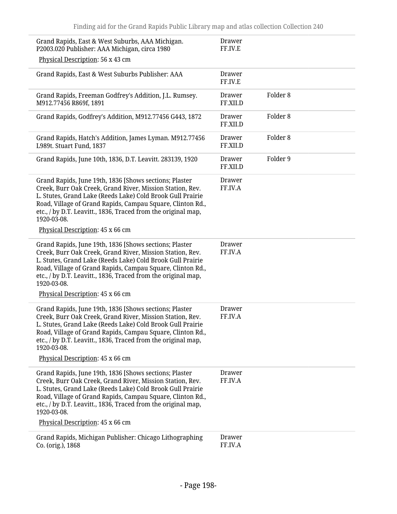| Grand Rapids, East & West Suburbs, AAA Michigan.<br>P2003.020 Publisher: AAA Michigan, circa 1980                                                                                                                                                                                                                               | <b>Drawer</b><br>FF.IV.E  |                     |
|---------------------------------------------------------------------------------------------------------------------------------------------------------------------------------------------------------------------------------------------------------------------------------------------------------------------------------|---------------------------|---------------------|
| Physical Description: 56 x 43 cm                                                                                                                                                                                                                                                                                                |                           |                     |
| Grand Rapids, East & West Suburbs Publisher: AAA                                                                                                                                                                                                                                                                                | Drawer<br>FF.IV.E         |                     |
| Grand Rapids, Freeman Godfrey's Addition, J.L. Rumsey.<br>M912.77456 R869f, 1891                                                                                                                                                                                                                                                | <b>Drawer</b><br>FF.XII.D | Folder <sub>8</sub> |
| Grand Rapids, Godfrey's Addition, M912.77456 G443, 1872                                                                                                                                                                                                                                                                         | <b>Drawer</b><br>FF.XII.D | Folder <sub>8</sub> |
| Grand Rapids, Hatch's Addition, James Lyman. M912.77456<br>L989t. Stuart Fund, 1837                                                                                                                                                                                                                                             | <b>Drawer</b><br>FF.XII.D | Folder <sub>8</sub> |
| Grand Rapids, June 10th, 1836, D.T. Leavitt. 283139, 1920                                                                                                                                                                                                                                                                       | <b>Drawer</b><br>FF.XII.D | Folder 9            |
| Grand Rapids, June 19th, 1836 [Shows sections; Plaster<br>Creek, Burr Oak Creek, Grand River, Mission Station, Rev.<br>L. Stutes, Grand Lake (Reeds Lake) Cold Brook Gull Prairie<br>Road, Village of Grand Rapids, Campau Square, Clinton Rd.,<br>etc., / by D.T. Leavitt., 1836, Traced from the original map,<br>1920-03-08. | <b>Drawer</b><br>FF.IV.A  |                     |
| Physical Description: 45 x 66 cm                                                                                                                                                                                                                                                                                                |                           |                     |
| Grand Rapids, June 19th, 1836 [Shows sections; Plaster<br>Creek, Burr Oak Creek, Grand River, Mission Station, Rev.<br>L. Stutes, Grand Lake (Reeds Lake) Cold Brook Gull Prairie<br>Road, Village of Grand Rapids, Campau Square, Clinton Rd.,<br>etc., / by D.T. Leavitt., 1836, Traced from the original map,<br>1920-03-08. | <b>Drawer</b><br>FF.IV.A  |                     |
| Physical Description: 45 x 66 cm                                                                                                                                                                                                                                                                                                |                           |                     |
| Grand Rapids, June 19th, 1836 [Shows sections; Plaster<br>Creek, Burr Oak Creek, Grand River, Mission Station, Rev.<br>L. Stutes, Grand Lake (Reeds Lake) Cold Brook Gull Prairie<br>Road, Village of Grand Rapids, Campau Square, Clinton Rd.,<br>etc., / by D.T. Leavitt., 1836, Traced from the original map,<br>1920-03-08. | <b>Drawer</b><br>FF.IV.A  |                     |
| Physical Description: 45 x 66 cm                                                                                                                                                                                                                                                                                                |                           |                     |
| Grand Rapids, June 19th, 1836 [Shows sections; Plaster<br>Creek, Burr Oak Creek, Grand River, Mission Station, Rev.<br>L. Stutes, Grand Lake (Reeds Lake) Cold Brook Gull Prairie<br>Road, Village of Grand Rapids, Campau Square, Clinton Rd.,<br>etc., / by D.T. Leavitt., 1836, Traced from the original map,<br>1920-03-08. | <b>Drawer</b><br>FF.IV.A  |                     |
| Physical Description: 45 x 66 cm                                                                                                                                                                                                                                                                                                |                           |                     |
| Grand Rapids, Michigan Publisher: Chicago Lithographing<br>Co. (orig.), 1868                                                                                                                                                                                                                                                    | <b>Drawer</b><br>FF.IV.A  |                     |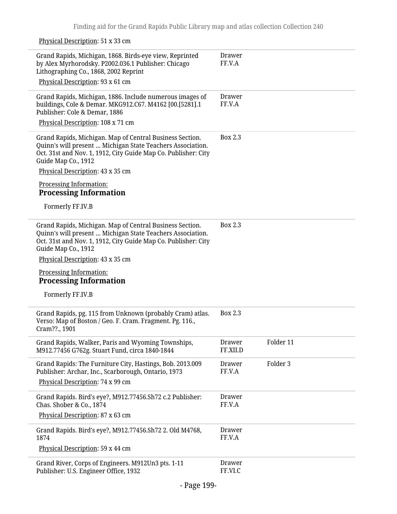Physical Description: 51 x 33 cm Grand Rapids, Michigan, 1868. Birds-eye view, Reprinted by Alex Myrhorodsky. P2002.036.1 Publisher: Chicago Lithographing Co., 1868, 2002 Reprint Physical Description: 93 x 61 cm Drawer FF.V.A Grand Rapids, Michigan, 1886. Include numerous images of buildings, Cole & Demar. MKG912.C67. M4162 [00.[5281].1 Publisher: Cole & Demar, 1886 Physical Description: 108 x 71 cm Drawer FF.V.A Grand Rapids, Michigan. Map of Central Business Section. Quinn's will present … Michigan State Teachers Association. Oct. 31st and Nov. 1, 1912, City Guide Map Co. Publisher: City Guide Map Co., 1912 Physical Description: 43 x 35 cm Processing Information: **Processing Information** Formerly FF.IV.B Box 2.3 Grand Rapids, Michigan. Map of Central Business Section. Quinn's will present … Michigan State Teachers Association. Oct. 31st and Nov. 1, 1912, City Guide Map Co. Publisher: City Guide Map Co., 1912 Physical Description: 43 x 35 cm Processing Information: **Processing Information** Formerly FF.IV.B Box 2.3 Grand Rapids, pg. 115 from Unknown (probably Cram) atlas. Verso: Map of Boston / Geo. F. Cram. Fragment. Pg. 116., Cram??., 1901 Box 2.3 Grand Rapids, Walker, Paris and Wyoming Townships, M912.77456 G762g. Stuart Fund, circa 1840-1844 Drawer FF.XII.D Folder 11 Grand Rapids: The Furniture City, Hastings, Bob. 2013.009 Publisher: Archar, Inc., Scarborough, Ontario, 1973 Physical Description: 74 x 99 cm Drawer FF.V.A Folder 3 Grand Rapids. Bird's eye?, M912.77456.Sh72 c.2 Publisher: Chas. Shober & Co., 1874 Physical Description: 87 x 63 cm Drawer FF.V.A Grand Rapids. Bird's eye?, M912.77456.Sh72 2. Old M4768, 1874 Physical Description: 59 x 44 cm Drawer FF.V.A Grand River, Corps of Engineers. M912Un3 pts. 1-11 Publisher: U.S. Engineer Office, 1932 Drawer FF.VI.C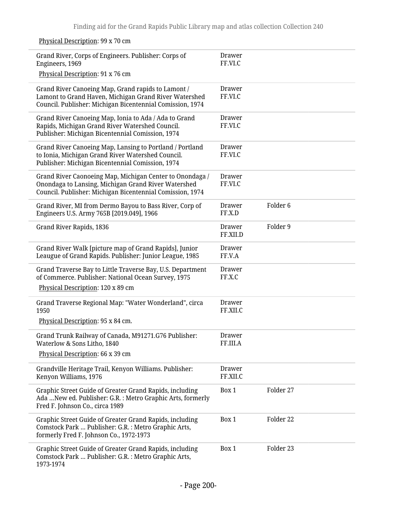| Grand River, Corps of Engineers. Publisher: Corps of<br>Engineers, 1969                                                                                                      | <b>Drawer</b><br>FF.VI.C  |                     |
|------------------------------------------------------------------------------------------------------------------------------------------------------------------------------|---------------------------|---------------------|
| Physical Description: 91 x 76 cm                                                                                                                                             |                           |                     |
| Grand River Canoeing Map, Grand rapids to Lamont /<br>Lamont to Grand Haven, Michigan Grand River Watershed<br>Council. Publisher: Michigan Bicentennial Comission, 1974     | <b>Drawer</b><br>FF.VI.C  |                     |
| Grand River Canoeing Map, Ionia to Ada / Ada to Grand<br>Rapids, Michigan Grand River Watershed Council.<br>Publisher: Michigan Bicentennial Comission, 1974                 | <b>Drawer</b><br>FF.VI.C  |                     |
| Grand River Canoeing Map, Lansing to Portland / Portland<br>to Ionia, Michigan Grand River Watershed Council.<br>Publisher: Michigan Bicentennial Comission, 1974            | Drawer<br>FF.VI.C         |                     |
| Grand River Caonoeing Map, Michigan Center to Onondaga /<br>Onondaga to Lansing, Michigan Grand River Watershed<br>Council. Publisher: Michigan Bicentennial Comission, 1974 | <b>Drawer</b><br>FF.VI.C  |                     |
| Grand River, MI from Dermo Bayou to Bass River, Corp of<br>Engineers U.S. Army 765B [2019.049], 1966                                                                         | Drawer<br>FF.X.D          | Folder <sub>6</sub> |
| Grand River Rapids, 1836                                                                                                                                                     | <b>Drawer</b><br>FF.XII.D | Folder 9            |
| Grand River Walk [picture map of Grand Rapids], Junior<br>Leaugue of Grand Rapids. Publisher: Junior League, 1985                                                            | <b>Drawer</b><br>FF.V.A   |                     |
| Grand Traverse Bay to Little Traverse Bay, U.S. Department<br>of Commerce. Publisher: National Ocean Survey, 1975                                                            | <b>Drawer</b><br>FF.X.C   |                     |
| Physical Description: 120 x 89 cm                                                                                                                                            |                           |                     |
| Grand Traverse Regional Map: "Water Wonderland", circa<br>1950                                                                                                               | <b>Drawer</b><br>FF.XII.C |                     |
| Physical Description: 95 x 84 cm.                                                                                                                                            |                           |                     |
| Grand Trunk Railway of Canada, M91271.G76 Publisher:<br>Waterlow & Sons Litho, 1840                                                                                          | Drawer<br>FF.III.A        |                     |
| Physical Description: 66 x 39 cm                                                                                                                                             |                           |                     |
| Grandville Heritage Trail, Kenyon Williams. Publisher:<br>Kenyon Williams, 1976                                                                                              | <b>Drawer</b><br>FF.XII.C |                     |
| Graphic Street Guide of Greater Grand Rapids, including<br>Ada  New ed. Publisher: G.R. : Metro Graphic Arts, formerly<br>Fred F. Johnson Co., circa 1989                    | Box 1                     | Folder 27           |
| Graphic Street Guide of Greater Grand Rapids, including<br>Comstock Park  Publisher: G.R. : Metro Graphic Arts,<br>formerly Fred F. Johnson Co., 1972-1973                   | Box 1                     | Folder 22           |
| Graphic Street Guide of Greater Grand Rapids, including<br>Comstock Park  Publisher: G.R. : Metro Graphic Arts,<br>1973-1974                                                 | Box 1                     | Folder 23           |

Physical Description: 99 x 70 cm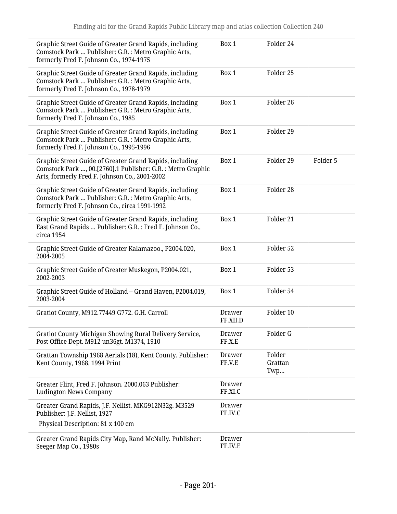| Graphic Street Guide of Greater Grand Rapids, including<br>Comstock Park  Publisher: G.R. : Metro Graphic Arts,<br>formerly Fred F. Johnson Co., 1974-1975              | Box 1                    | Folder 24                |          |
|-------------------------------------------------------------------------------------------------------------------------------------------------------------------------|--------------------------|--------------------------|----------|
| Graphic Street Guide of Greater Grand Rapids, including<br>Comstock Park  Publisher: G.R. : Metro Graphic Arts,<br>formerly Fred F. Johnson Co., 1978-1979              | Box 1                    | Folder <sub>25</sub>     |          |
| Graphic Street Guide of Greater Grand Rapids, including<br>Comstock Park  Publisher: G.R. : Metro Graphic Arts,<br>formerly Fred F. Johnson Co., 1985                   | Box 1                    | Folder 26                |          |
| Graphic Street Guide of Greater Grand Rapids, including<br>Comstock Park  Publisher: G.R. : Metro Graphic Arts,<br>formerly Fred F. Johnson Co., 1995-1996              | Box 1                    | Folder 29                |          |
| Graphic Street Guide of Greater Grand Rapids, including<br>Comstock Park , 00.[2760].1 Publisher: G.R. : Metro Graphic<br>Arts, formerly Fred F. Johnson Co., 2001-2002 | Box 1                    | Folder 29                | Folder 5 |
| Graphic Street Guide of Greater Grand Rapids, including<br>Comstock Park  Publisher: G.R. : Metro Graphic Arts,<br>formerly Fred F. Johnson Co., circa 1991-1992        | Box 1                    | Folder 28                |          |
| Graphic Street Guide of Greater Grand Rapids, including<br>East Grand Rapids  Publisher: G.R. : Fred F. Johnson Co.,<br>circa 1954                                      | Box 1                    | Folder 21                |          |
| Graphic Street Guide of Greater Kalamazoo., P2004.020,<br>2004-2005                                                                                                     | Box 1                    | Folder 52                |          |
| Graphic Street Guide of Greater Muskegon, P2004.021,<br>2002-2003                                                                                                       | Box 1                    | Folder 53                |          |
| Graphic Street Guide of Holland - Grand Haven, P2004.019,<br>2003-2004                                                                                                  | Box 1                    | Folder 54                |          |
| Gratiot County, M912.77449 G772. G.H. Carroll                                                                                                                           | Drawer<br>FF.XII.D       | Folder 10                |          |
| Gratiot County Michigan Showing Rural Delivery Service,<br>Post Office Dept. M912 un36gt. M1374, 1910                                                                   | <b>Drawer</b><br>FF.X.E  | Folder G                 |          |
| Grattan Township 1968 Aerials (18), Kent County. Publisher:<br>Kent County, 1968, 1994 Print                                                                            | Drawer<br>FF.V.E         | Folder<br>Grattan<br>Twp |          |
| Greater Flint, Fred F. Johnson. 2000.063 Publisher:<br><b>Ludington News Company</b>                                                                                    | <b>Drawer</b><br>FF.XI.C |                          |          |
| Greater Grand Rapids, J.F. Nellist. MKG912N32g. M3529<br>Publisher: J.F. Nellist, 1927<br>Physical Description: 81 x 100 cm                                             | <b>Drawer</b><br>FF.IV.C |                          |          |
| Greater Grand Rapids City Map, Rand McNally. Publisher:<br>Seeger Map Co., 1980s                                                                                        | <b>Drawer</b><br>FF.IV.E |                          |          |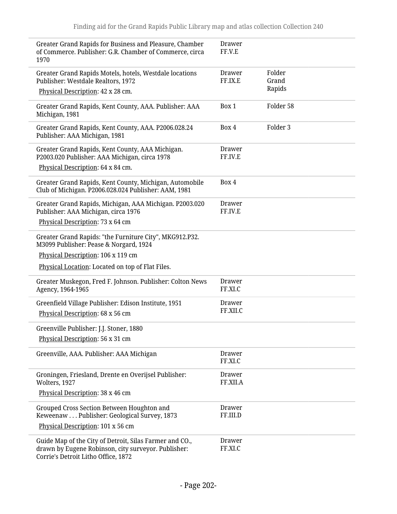| Greater Grand Rapids for Business and Pleasure, Chamber<br>of Commerce. Publisher: G.R. Chamber of Commerce, circa<br>1970                            | Drawer<br>FF.V.E          |                 |
|-------------------------------------------------------------------------------------------------------------------------------------------------------|---------------------------|-----------------|
| Greater Grand Rapids Motels, hotels, Westdale locations<br>Publisher: Westdale Realtors, 1972                                                         | Drawer<br>FF.IX.E         | Folder<br>Grand |
| Physical Description: 42 x 28 cm.                                                                                                                     |                           | Rapids          |
| Greater Grand Rapids, Kent County, AAA. Publisher: AAA<br>Michigan, 1981                                                                              | Box 1                     | Folder 58       |
| Greater Grand Rapids, Kent County, AAA. P2006.028.24<br>Publisher: AAA Michigan, 1981                                                                 | Box 4                     | Folder 3        |
| Greater Grand Rapids, Kent County, AAA Michigan.<br>P2003.020 Publisher: AAA Michigan, circa 1978                                                     | Drawer<br>FF.IV.E         |                 |
| Physical Description: 64 x 84 cm.                                                                                                                     |                           |                 |
| Greater Grand Rapids, Kent County, Michigan, Automobile<br>Club of Michigan. P2006.028.024 Publisher: AAM, 1981                                       | Box 4                     |                 |
| Greater Grand Rapids, Michigan, AAA Michigan. P2003.020<br>Publisher: AAA Michigan, circa 1976                                                        | Drawer<br>FF.IV.E         |                 |
| Physical Description: 73 x 64 cm                                                                                                                      |                           |                 |
| Greater Grand Rapids: "the Furniture City", MKG912.P32.<br>M3099 Publisher: Pease & Norgard, 1924                                                     |                           |                 |
| Physical Description: 106 x 119 cm                                                                                                                    |                           |                 |
| Physical Location: Located on top of Flat Files.                                                                                                      |                           |                 |
| Greater Muskegon, Fred F. Johnson. Publisher: Colton News<br>Agency, 1964-1965                                                                        | Drawer<br>FF.XI.C         |                 |
| Greenfield Village Publisher: Edison Institute, 1951<br>Physical Description: 68 x 56 cm                                                              | Drawer<br>FF.XII.C        |                 |
| Greenville Publisher: J.J. Stoner, 1880                                                                                                               |                           |                 |
| Physical Description: 56 x 31 cm                                                                                                                      |                           |                 |
| Greenville, AAA. Publisher: AAA Michigan                                                                                                              | <b>Drawer</b><br>FF.XI.C  |                 |
| Groningen, Friesland, Drente en Overijsel Publisher:<br>Wolters, 1927                                                                                 | <b>Drawer</b><br>FF.XII.A |                 |
| Physical Description: 38 x 46 cm                                                                                                                      |                           |                 |
| Grouped Cross Section Between Houghton and<br>Keweenaw Publisher: Geological Survey, 1873                                                             | <b>Drawer</b><br>FF.III.D |                 |
| Physical Description: 101 x 56 cm                                                                                                                     |                           |                 |
| Guide Map of the City of Detroit, Silas Farmer and CO.,<br>drawn by Eugene Robinson, city surveyor. Publisher:<br>Corrie's Detroit Litho Office, 1872 | <b>Drawer</b><br>FF.XI.C  |                 |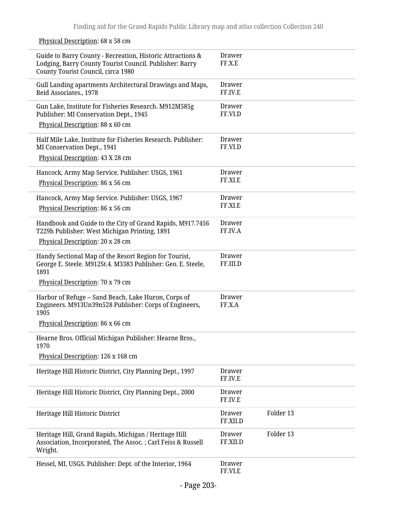Guide to Barry County - Recreation, Historic Attractions & Lodging, Barry County Tourist Council. Publisher: Barry County Tourist Council, circa 1980 Drawer FF.X.E Gull Landing apartments Architectural Drawings and Maps, Reid Associates., 1978 Drawer FF.IV.E Gun Lake, Institute for Fisheries Research. M912M585g Publisher: MI Conservation Dept., 1945 Physical Description: 88 x 60 cm Drawer FF.VI.D Half Mile Lake, Institute for Fisheries Research. Publisher: MI Conservation Dept., 1941 Physical Description: 43 X 28 cm Drawer FF.VI.D Hancock, Army Map Service. Publisher: USGS, 1961 Physical Description: 86 x 56 cm Drawer FF.XI.E Hancock, Army Map Service. Publisher: USGS, 1967 Physical Description: 86 x 56 cm Drawer FF.XI.E Handbook and Guide to the City of Grand Rapids, M917.7456 T229h Publisher: West Michigan Printing, 1891 Physical Description: 20 x 28 cm Drawer FF.IV.A Handy Sectional Map of the Resort Region for Tourist, George E. Steele. M912St.4. M3383 Publisher: Geo. E. Steele, 1891 Physical Description: 70 x 79 cm Drawer FF.III.D Harbor of Refuge -- Sand Beach, Lake Huron, Corps of Engineers. M913Un39n528 Publisher: Corps of Engineers, 1905 Physical Description: 86 x 66 cm Drawer FF.X.A Hearne Bros. Official Michigan Publisher: Hearne Bros., 1970 Physical Description: 126 x 168 cm Heritage Hill Historic District, City Planning Dept., 1997 Drawer FF.IV.E Heritage Hill Historic District, City Planning Dept., 2000 Drawer FF.IV.E Heritage Hill Historic District Drawer FF.XII.D Folder 13 Heritage Hill, Grand Rapids, Michigan / Heritage Hill Association, Incorporated, The Assoc. ; Carl Feiss & Russell Wright. Drawer FF.XII.D Folder 13 Hessel, MI, USGS. Publisher: Dept. of the Interior, 1964 Drawer FF.VI.E

## Physical Description: 68 x 58 cm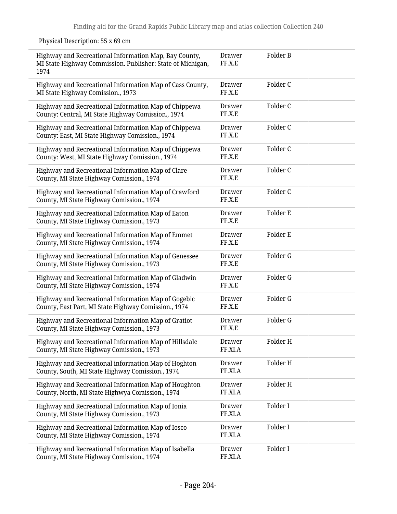Physical Description: 55 x 69 cm

| Highway and Recreational Information Map, Bay County,<br>MI State Highway Commission. Publisher: State of Michigan,<br>1974 | Drawer<br>FF.X.E  | Folder B |
|-----------------------------------------------------------------------------------------------------------------------------|-------------------|----------|
| Highway and Recreational Information Map of Cass County,<br>MI State Highway Comission., 1973                               | Drawer<br>FF.X.E  | Folder C |
| Highway and Recreational Information Map of Chippewa<br>County: Central, MI State Highway Comission., 1974                  | Drawer<br>FF.X.E  | Folder C |
| Highway and Recreational Information Map of Chippewa<br>County: East, MI State Highway Comission., 1974                     | Drawer<br>FF.X.E  | Folder C |
| Highway and Recreational Information Map of Chippewa<br>County: West, MI State Highway Comission., 1974                     | Drawer<br>FF.X.E  | Folder C |
| Highway and Recreational Information Map of Clare<br>County, MI State Highway Comission., 1974                              | Drawer<br>FF.X.E  | Folder C |
| Highway and Recreational Information Map of Crawford<br>County, MI State Highway Comission., 1974                           | Drawer<br>FF.X.E  | Folder C |
| Highway and Recreational Information Map of Eaton<br>County, MI State Highway Comission., 1973                              | Drawer<br>FF.X.E  | Folder E |
| Highway and Recreational Information Map of Emmet<br>County, MI State Highway Comission., 1974                              | Drawer<br>FF.X.E  | Folder E |
| Highway and Recreational Information Map of Genessee<br>County, MI State Highway Comission., 1973                           | Drawer<br>FF.X.E  | Folder G |
| Highway and Recreational Information Map of Gladwin<br>County, MI State Highway Comission., 1974                            | Drawer<br>FF.X.E  | Folder G |
| Highway and Recreational Information Map of Gogebic<br>County, East Part, MI State Highway Comission., 1974                 | Drawer<br>FF.X.E  | Folder G |
| Highway and Recreational Information Map of Gratiot<br>County, MI State Highway Comission., 1973                            | Drawer<br>FF.X.E  | Folder G |
| Highway and Recreational Information Map of Hillsdale<br>County, MI State Highway Comission., 1973                          | Drawer<br>FF.XI.A | Folder H |
| Highway and Recreational information Map of Hoghton<br>County, South, MI State Highway Comission., 1974                     | Drawer<br>FF.XI.A | Folder H |
| Highway and Recreational Information Map of Houghton<br>County, North, MI State Highwya Comission., 1974                    | Drawer<br>FF.XI.A | Folder H |
| Highway and Recreational Information Map of Ionia<br>County, MI State Highway Comission., 1973                              | Drawer<br>FF.XI.A | Folder I |
| Highway and Recreational Information Map of Iosco<br>County, MI State Highway Comission., 1974                              | Drawer<br>FF.XI.A | Folder I |
| Highway and Recreational Information Map of Isabella<br>County, MI State Highway Comission., 1974                           | Drawer<br>FF.XI.A | Folder I |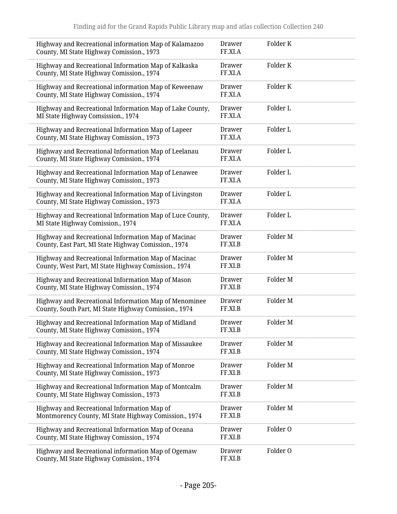| Highway and Recreational information Map of Kalamazoo<br>County, MI State Highway Comission., 1973             | Folder K<br><b>Drawer</b><br>FF.XI.A            |
|----------------------------------------------------------------------------------------------------------------|-------------------------------------------------|
| Highway and Recreational Information Map of Kalkaska<br>County, MI State Highway Comission., 1974              | Folder K<br><b>Drawer</b><br>FF.XI.A            |
| Highway and Recreational information Map of Keweenaw<br>County, MI State Highway Comission., 1974              | Folder K<br>Drawer<br>FF.XI.A                   |
| Highway and Recreational Information Map of Lake County,<br>MI State Highway Comsission., 1974                 | Folder L<br><b>Drawer</b><br>FF.XI.A            |
| Highway and Recreational Information Map of Lapeer<br>County, MI State Highway Comission., 1973                | Folder L<br><b>Drawer</b><br>FF.XI.A            |
| Highway and Recreational Information Map of Leelanau<br>County, MI State Highway Comission., 1974              | Folder L<br><b>Drawer</b><br>FF.XI.A            |
| Highway and Recreational Information Map of Lenawee<br>County, MI State Highway Comission., 1973               | Folder L<br><b>Drawer</b><br>FF.XI.A            |
| Highway and Recreational Information Map of Livingston<br>County, MI State Highway Comission., 1973            | Folder L<br><b>Drawer</b><br>FF.XI.A            |
| Highway and Recreational Information Map of Luce County,<br>MI State Highway Comission., 1974                  | Folder L<br>Drawer<br>FF.XI.A                   |
| Highway and Recreational Information Map of Macinac<br>County, East Part, MI State Highway Comission., 1974    | Folder M<br><b>Drawer</b><br>FF.XI.B            |
| Highway and Recreational Information Map of Macinac<br>County, West Part, MI State Highway Comission., 1974    | Folder M<br>Drawer<br>FF.XI.B                   |
| Highway and Recreational Information Map of Mason<br>County, MI State Highway Comission., 1974                 | Folder M<br>Drawer<br>FF.XI.B                   |
| Highway and Recreational Information Map of Menominee<br>County, South Part, MI State Highway Comission., 1974 | Folder <sub>M</sub><br><b>Drawer</b><br>FF.XI.B |
| Highway and Recreational Information Map of Midland<br>County, MI State Highway Comission., 1974               | Folder M<br>Drawer<br>FF.XI.B                   |
| Highway and Recreational Information Map of Missaukee<br>County, MI State Highway Comission., 1974             | Drawer<br>Folder M<br>FF.XI.B                   |
| Highway and Recreational Information Map of Monroe<br>County, MI State Highway Comission., 1973                | Folder M<br><b>Drawer</b><br>FF.XI.B            |
| Highway and Recreational Information Map of Montcalm<br>County, MI State Highway Comission., 1973              | Folder M<br>Drawer<br>FF.XI.B                   |
| Highway and Recreational Information Map of<br>Montmorency County, MI State Highway Comission., 1974           | Folder M<br>Drawer<br>FF.XI.B                   |
| Highway and Recreational Information Map of Oceana<br>County, MI State Highway Comission., 1974                | Folder O<br>Drawer<br>FF.XI.B                   |
| Highway and Recreational information Map of Ogemaw<br>County, MI State Highway Comission., 1974                | Folder O<br>Drawer<br>FF.XI.B                   |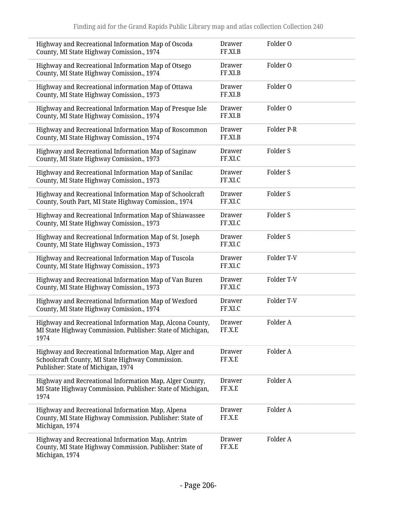| Highway and Recreational Information Map of Oscoda<br>County, MI State Highway Comission., 1974                                               | <b>Drawer</b><br>FF.XI.B | Folder O            |
|-----------------------------------------------------------------------------------------------------------------------------------------------|--------------------------|---------------------|
| Highway and Recreational Information Map of Otsego<br>County, MI State Highway Comission., 1974                                               | Drawer<br>FF.XI.B        | Folder O            |
| Highway and Recreational information Map of Ottawa<br>County, MI State Highway Comission., 1973                                               | Drawer<br>FF.XI.B        | Folder O            |
| Highway and Recreational Information Map of Presque Isle<br>County, MI State Highway Comission., 1974                                         | Drawer<br>FF.XI.B        | Folder O            |
| Highway and Recreational Information Map of Roscommon<br>County, MI State Highway Comission., 1974                                            | <b>Drawer</b><br>FF.XI.B | Folder P-R          |
| Highway and Recreational Information Map of Saginaw<br>County, MI State Highway Comission., 1973                                              | Drawer<br>FF.XI.C        | Folder <sub>S</sub> |
| Highway and Recreational Information Map of Sanilac<br>County, MI State Highway Comission., 1973                                              | <b>Drawer</b><br>FF.XI.C | Folder S            |
| Highway and Recreational Information Map of Schoolcraft<br>County, South Part, MI State Highway Comission., 1974                              | <b>Drawer</b><br>FF.XI.C | Folder <sub>S</sub> |
| Highway and Recreational Information Map of Shiawassee<br>County, MI State Highway Comission., 1973                                           | Drawer<br>FF.XI.C        | Folder <sub>S</sub> |
| Highway and Recreational Information Map of St. Joseph<br>County, MI State Highway Comission., 1973                                           | <b>Drawer</b><br>FF.XI.C | Folder <sub>S</sub> |
| Highway and Recreational Information Map of Tuscola<br>County, MI State Highway Comission., 1973                                              | <b>Drawer</b><br>FF.XI.C | Folder T-V          |
| Highway and Recreational Information Map of Van Buren<br>County, MI State Highway Comission., 1973                                            | Drawer<br>FF.XI.C        | Folder T-V          |
| Highway and Recreational Information Map of Wexford<br>County, MI State Highway Comission., 1974                                              | <b>Drawer</b><br>FF.XI.C | Folder T-V          |
| Highway and Recreational Information Map, Alcona County,<br>MI State Highway Commission. Publisher: State of Michigan,<br>1974                | Drawer<br>FF.X.E         | Folder A            |
| Highway and Recreational Information Map, Alger and<br>Schoolcraft County, MI State Highway Commission.<br>Publisher: State of Michigan, 1974 | Drawer<br>FF.X.E         | Folder A            |
| Highway and Recreational Information Map, Alger County,<br>MI State Highway Commission. Publisher: State of Michigan,<br>1974                 | Drawer<br>FF.X.E         | Folder A            |
| Highway and Recreational Information Map, Alpena<br>County, MI State Highway Commission. Publisher: State of<br>Michigan, 1974                | Drawer<br>FF.X.E         | Folder A            |
| Highway and Recreational Information Map, Antrim<br>County, MI State Highway Commission. Publisher: State of<br>Michigan, 1974                | Drawer<br>FF.X.E         | Folder A            |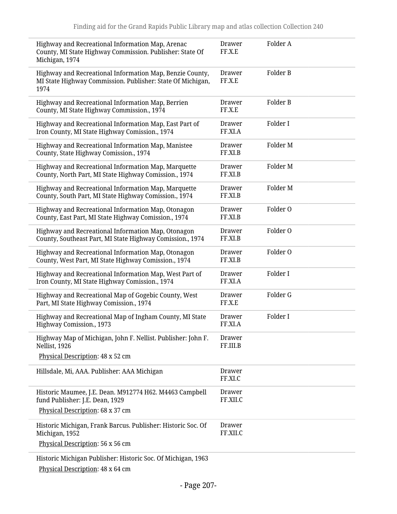| Highway and Recreational Information Map, Arenac<br>County, MI State Highway Commission. Publisher: State Of<br>Michigan, 1974 | Drawer<br>FF.X.E          | Folder A            |
|--------------------------------------------------------------------------------------------------------------------------------|---------------------------|---------------------|
| Highway and Recreational Information Map, Benzie County,<br>MI State Highway Commission. Publisher: State Of Michigan,<br>1974 | Drawer<br>FF.X.E          | Folder B            |
| Highway and Recreational Information Map, Berrien<br>County, MI State Highway Commission., 1974                                | <b>Drawer</b><br>FF.X.E   | Folder B            |
| Highway and Recreational Information Map, East Part of<br>Iron County, MI State Highway Comission., 1974                       | Drawer<br>FF.XI.A         | Folder I            |
| Highway and Recreational Information Map, Manistee<br>County, State Highway Comission., 1974                                   | <b>Drawer</b><br>FF.XI.B  | Folder M            |
| Highway and Recreational Information Map, Marquette<br>County, North Part, MI State Highway Comission., 1974                   | <b>Drawer</b><br>FF.XI.B  | Folder <sub>M</sub> |
| Highway and Recreational Information Map, Marquette<br>County, South Part, MI State Highway Comission., 1974                   | Drawer<br>FF.XI.B         | Folder <sub>M</sub> |
| Highway and Recreational Information Map, Otonagon<br>County, East Part, MI State Highway Comission., 1974                     | <b>Drawer</b><br>FF.XI.B  | Folder O            |
| Highway and Recreational Information Map, Otonagon<br>County, Southeast Part, MI State Highway Comission., 1974                | <b>Drawer</b><br>FF.XI.B  | Folder O            |
| Highway and Recreational Information Map, Otonagon<br>County, West Part, MI State Highway Comission., 1974                     | <b>Drawer</b><br>FF.XI.B  | Folder O            |
| Highway and Recreational Information Map, West Part of<br>Iron County, MI State Highway Comission., 1974                       | Drawer<br>FF.XI.A         | Folder I            |
| Highway and Recreational Map of Gogebic County, West<br>Part, MI State Highway Comission., 1974                                | Drawer<br>FF.X.E          | Folder G            |
| Highway and Recreational Map of Ingham County, MI State<br>Highway Comission., 1973                                            | <b>Drawer</b><br>FF.XI.A  | Folder I            |
| Highway Map of Michigan, John F. Nellist. Publisher: John F.<br>Nellist, 1926                                                  | Drawer<br>FF.III.B        |                     |
| Physical Description: 48 x 52 cm                                                                                               |                           |                     |
| Hillsdale, Mi, AAA. Publisher: AAA Michigan                                                                                    | Drawer<br>FF.XI.C         |                     |
| Historic Maumee, J.E. Dean. M912774 H62. M4463 Campbell<br>fund Publisher: J.E. Dean, 1929                                     | <b>Drawer</b><br>FF.XII.C |                     |
| Physical Description: 68 x 37 cm                                                                                               |                           |                     |
| Historic Michigan, Frank Barcus. Publisher: Historic Soc. Of<br>Michigan, 1952                                                 | <b>Drawer</b><br>FF.XII.C |                     |
| Physical Description: 56 x 56 cm                                                                                               |                           |                     |
| Historic Michigan Publisher: Historic Soc. Of Michigan, 1963<br>Physical Description: 48 x 64 cm                               |                           |                     |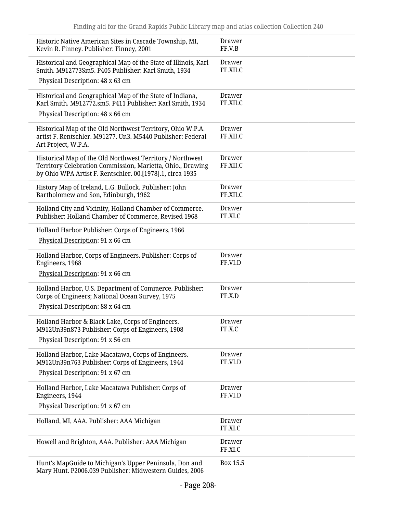| Historic Native American Sites in Cascade Township, MI,<br>Kevin R. Finney. Publisher: Finney, 2001                                                                                  | Drawer<br>FF.V.B          |
|--------------------------------------------------------------------------------------------------------------------------------------------------------------------------------------|---------------------------|
| Historical and Geographical Map of the State of Illinois, Karl<br>Smith. M912773Sm5. P405 Publisher: Karl Smith, 1934                                                                | <b>Drawer</b><br>FF.XII.C |
| Physical Description: 48 x 63 cm                                                                                                                                                     |                           |
| Historical and Geographical Map of the State of Indiana,<br>Karl Smith. M912772.sm5. P411 Publisher: Karl Smith, 1934                                                                | Drawer<br>FF.XII.C        |
| Physical Description: 48 x 66 cm                                                                                                                                                     |                           |
| Historical Map of the Old Northwest Territory, Ohio W.P.A.<br>artist F. Rentschler. M91277. Un3. M5440 Publisher: Federal<br>Art Project, W.P.A.                                     | Drawer<br>FF.XII.C        |
| Historical Map of the Old Northwest Territory / Northwest<br>Territory Celebration Commission, Marietta, Ohio., Drawing<br>by Ohio WPA Artist F. Rentschler. 00.[1978].1, circa 1935 | Drawer<br>FF.XII.C        |
| History Map of Ireland, L.G. Bullock. Publisher: John<br>Bartholomew and Son, Edinburgh, 1962                                                                                        | Drawer<br>FF.XII.C        |
| Holland City and Vicinity, Holland Chamber of Commerce.<br>Publisher: Holland Chamber of Commerce, Revised 1968                                                                      | Drawer<br>FF.XI.C         |
| Holland Harbor Publisher: Corps of Engineers, 1966<br>Physical Description: 91 x 66 cm                                                                                               |                           |
| Holland Harbor, Corps of Engineers. Publisher: Corps of<br>Engineers, 1968                                                                                                           | <b>Drawer</b><br>FF.VI.D  |
| Physical Description: 91 x 66 cm                                                                                                                                                     |                           |
| Holland Harbor, U.S. Department of Commerce. Publisher:<br>Corps of Engineers; National Ocean Survey, 1975                                                                           | <b>Drawer</b><br>FF.X.D   |
| Physical Description: 88 x 64 cm                                                                                                                                                     |                           |
| Holland Harbor & Black Lake, Corps of Engineers.<br>M912Un39n873 Publisher: Corps of Engineers, 1908                                                                                 | <b>Drawer</b><br>FF.X.C   |
| Physical Description: 91 x 56 cm                                                                                                                                                     |                           |
| Holland Harbor, Lake Macatawa, Corps of Engineers.<br>M912Un39n763 Publisher: Corps of Engineers, 1944                                                                               | <b>Drawer</b><br>FF.VI.D  |
| Physical Description: 91 x 67 cm                                                                                                                                                     |                           |
| Holland Harbor, Lake Macatawa Publisher: Corps of<br>Engineers, 1944                                                                                                                 | <b>Drawer</b><br>FF.VI.D  |
| Physical Description: 91 x 67 cm                                                                                                                                                     |                           |
| Holland, MI, AAA. Publisher: AAA Michigan                                                                                                                                            | <b>Drawer</b><br>FF.XI.C  |
| Howell and Brighton, AAA. Publisher: AAA Michigan                                                                                                                                    | <b>Drawer</b><br>FF.XI.C  |
| Hunt's MapGuide to Michigan's Upper Peninsula, Don and<br>Mary Hunt. P2006.039 Publisher: Midwestern Guides, 2006                                                                    | Box 15.5                  |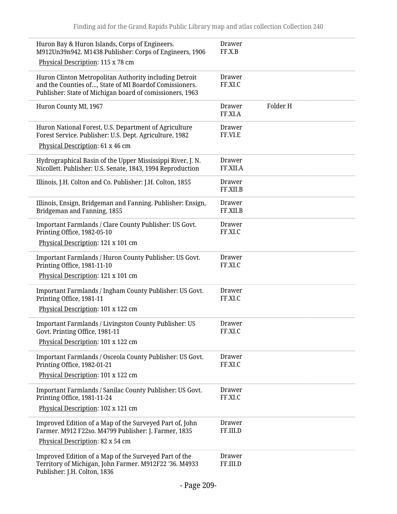| Huron Bay & Huron Islands, Corps of Engineers.<br>M912Un39n942. M1438 Publisher: Corps of Engineers, 1906                                                                    | Drawer<br>FF.X.B          |          |
|------------------------------------------------------------------------------------------------------------------------------------------------------------------------------|---------------------------|----------|
| Physical Description: 115 x 78 cm                                                                                                                                            |                           |          |
| Huron Clinton Metropolitan Authority including Detroit<br>and the Counties of, State of MI Boardof Comissioners.<br>Publisher: State of Michigan board of comissioners, 1963 | Drawer<br>FF.XI.C         |          |
| Huron County MI, 1967                                                                                                                                                        | Drawer<br>FF.XI.A         | Folder H |
| Huron National Forest, U.S. Department of Agriculture<br>Forest Service. Publisher: U.S. Dept. Agriculture, 1982                                                             | <b>Drawer</b><br>FF.VI.E  |          |
| Physical Description: 61 x 46 cm                                                                                                                                             |                           |          |
| Hydrographical Basin of the Upper Mississippi River, J. N.<br>Nicollett. Publisher: U.S. Senate, 1843, 1994 Reproduction                                                     | <b>Drawer</b><br>FF.XII.A |          |
| Illinois, J.H. Colton and Co. Publisher: J.H. Colton, 1855                                                                                                                   | <b>Drawer</b><br>FF.XII.B |          |
| Illinois, Ensign, Bridgeman and Fanning. Publisher: Ensign,<br>Bridgeman and Fanning, 1855                                                                                   | <b>Drawer</b><br>FF.XII.B |          |
| Important Farmlands / Clare County Publisher: US Govt.<br>Printing Office, 1982-05-10                                                                                        | <b>Drawer</b><br>FF.XI.C  |          |
| Physical Description: 121 x 101 cm                                                                                                                                           |                           |          |
| Important Farmlands / Huron County Publisher: US Govt.<br>Printing Office, 1981-11-10                                                                                        | <b>Drawer</b><br>FF.XI.C  |          |
| Physical Description: 121 x 101 cm                                                                                                                                           |                           |          |
| Important Farmlands / Ingham County Publisher: US Govt.<br>Printing Office, 1981-11                                                                                          | <b>Drawer</b><br>FF.XI.C  |          |
| Physical Description: 101 x 122 cm                                                                                                                                           |                           |          |
| <b>Important Farmlands / Livingston County Publisher: US</b><br>Govt. Printing Office, 1981-11                                                                               | Drawer<br>FF.XI.C         |          |
| Physical Description: 101 x 122 cm                                                                                                                                           |                           |          |
| Important Farmlands / Osceola County Publisher: US Govt.<br>Printing Office, 1982-01-21                                                                                      | Drawer<br>FF.XI.C         |          |
| Physical Description: 101 x 122 cm                                                                                                                                           |                           |          |
| Important Farmlands / Sanilac County Publisher: US Govt.<br>Printing Office, 1981-11-24                                                                                      | <b>Drawer</b><br>FF.XI.C  |          |
| Physical Description: 102 x 121 cm                                                                                                                                           |                           |          |
| Improved Edition of a Map of the Surveyed Part of, John<br>Farmer. M912 F22so. M4799 Publisher: J. Farmer, 1835                                                              | Drawer<br>FF.III.D        |          |
| Physical Description: 82 x 54 cm                                                                                                                                             |                           |          |
| Improved Edition of a Map of the Surveyed Part of the<br>Territory of Michigan, John Farmer. M912F22 '36. M4933<br>Publisher: J.H. Colton, 1836                              | Drawer<br>FF.III.D        |          |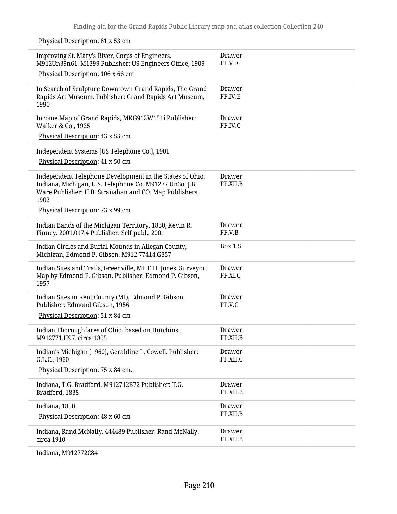Physical Description: 81 x 53 cm

 $\overline{a}$ 

| Improving St. Mary's River, Corps of Engineers.<br>M912Un39n61. M1399 Publisher: US Engineers Office, 1909                                                                            | Drawer<br>FF.VI.C         |
|---------------------------------------------------------------------------------------------------------------------------------------------------------------------------------------|---------------------------|
| Physical Description: 106 x 66 cm                                                                                                                                                     |                           |
| In Search of Sculpture Downtown Grand Rapids, The Grand<br>Rapids Art Museum. Publisher: Grand Rapids Art Museum,<br>1990                                                             | Drawer<br>FF.IV.E         |
| Income Map of Grand Rapids, MKG912W151i Publisher:<br>Walker & Co., 1925                                                                                                              | Drawer<br>FF.IV.C         |
| Physical Description: 43 x 55 cm                                                                                                                                                      |                           |
| Independent Systems [US Telephone Co.], 1901                                                                                                                                          |                           |
| Physical Description: 41 x 50 cm                                                                                                                                                      |                           |
| Independent Telephone Development in the States of Ohio,<br>Indiana, Michigan, U.S. Telephone Co. M91277 Un3o. J.B.<br>Ware Publisher: H.B. Stranahan and CO. Map Publishers,<br>1902 | <b>Drawer</b><br>FF.XII.B |
| Physical Description: 73 x 99 cm                                                                                                                                                      |                           |
| Indian Bands of the Michigan Territory, 1830, Kevin R.<br>Finney. 2001.017.4 Publisher: Self publ., 2001                                                                              | <b>Drawer</b><br>FF.V.B   |
| Indian Circles and Burial Mounds in Allegan County,<br>Michigan, Edmond P. Gibson. M912.77414.G357                                                                                    | Box 1.5                   |
| Indian Sites and Trails, Greenville, MI, E.H. Jones, Surveyor,<br>Map by Edmond P. Gibson. Publisher: Edmond P. Gibson,<br>1957                                                       | Drawer<br>FF.XI.C         |
| Indian Sites in Kent County (MI), Edmond P. Gibson.<br>Publisher: Edmond Gibson, 1956                                                                                                 | Drawer<br>FF.V.C          |
| Physical Description: 51 x 84 cm                                                                                                                                                      |                           |
| Indian Thoroughfares of Ohio, based on Hutchins,<br>M912771.H97, circa 1805                                                                                                           | <b>Drawer</b><br>FF.XII.B |
| Indian's Michigan [1960], Geraldine L. Cowell. Publisher:<br>G.L.C., 1960                                                                                                             | Drawer<br>FF.XII.C        |
| Physical Description: 75 x 84 cm.                                                                                                                                                     |                           |
| Indiana, T.G. Bradford. M912712B72 Publisher: T.G.<br>Bradford, 1838                                                                                                                  | <b>Drawer</b><br>FF.XII.B |
| Indiana, 1850<br>Physical Description: 48 x 60 cm                                                                                                                                     | Drawer<br>FF.XII.B        |
| Indiana, Rand McNally. 444489 Publisher: Rand McNally,<br>circa 1910                                                                                                                  | <b>Drawer</b><br>FF.XII.B |

Indiana, M912772C84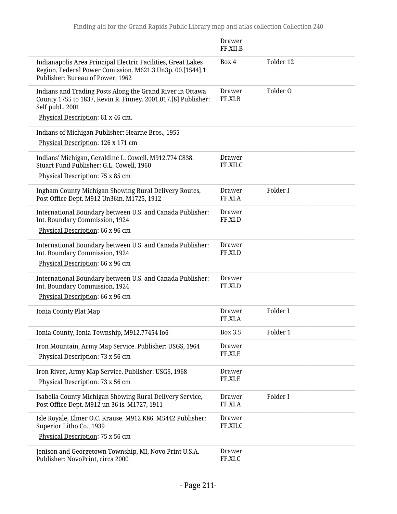|                                                                                                                                                                                     | Drawer<br>FF.XII.B       |                     |
|-------------------------------------------------------------------------------------------------------------------------------------------------------------------------------------|--------------------------|---------------------|
| Indianapolis Area Principal Electric Facilities, Great Lakes<br>Region, Federal Power Comission. M621.3.Un3p. 00.[1544].1<br>Publisher: Bureau of Power, 1962                       | Box 4                    | Folder 12           |
| Indians and Trading Posts Along the Grand River in Ottawa<br>County 1755 to 1837, Kevin R. Finney. 2001.017.[8] Publisher:<br>Self publ., 2001<br>Physical Description: 61 x 46 cm. | Drawer<br>FF.XI.B        | Folder <sub>0</sub> |
| Indians of Michigan Publisher: Hearne Bros., 1955<br>Physical Description: 126 x 171 cm                                                                                             |                          |                     |
| Indians' Michigan, Geraldine L. Cowell. M912.774 C838.<br>Stuart Fund Publisher: G.L. Cowell, 1960<br>Physical Description: 75 x 85 cm                                              | Drawer<br>FF.XII.C       |                     |
| Ingham County Michigan Showing Rural Delivery Routes,<br>Post Office Dept. M912 Un36in. M1725, 1912                                                                                 | Drawer<br>FF.XI.A        | Folder I            |
| International Boundary between U.S. and Canada Publisher:<br>Int. Boundary Commission, 1924<br>Physical Description: 66 x 96 cm                                                     | <b>Drawer</b><br>FF.XI.D |                     |
| International Boundary between U.S. and Canada Publisher:<br>Int. Boundary Commission, 1924<br>Physical Description: 66 x 96 cm                                                     | Drawer<br>FF.XI.D        |                     |
| International Boundary between U.S. and Canada Publisher:<br>Int. Boundary Commission, 1924<br>Physical Description: 66 x 96 cm                                                     | Drawer<br>FF.XI.D        |                     |
| Ionia County Plat Map                                                                                                                                                               | <b>Drawer</b><br>FF.XI.A | Folder I            |
| Ionia County, Ionia Township, M912.77454 Io6                                                                                                                                        | <b>Box 3.5</b>           | Folder 1            |
| Iron Mountain, Army Map Service. Publisher: USGS, 1964<br>Physical Description: 73 x 56 cm                                                                                          | <b>Drawer</b><br>FF.XI.E |                     |
| Iron River, Army Map Service. Publisher: USGS, 1968<br>Physical Description: 73 x 56 cm                                                                                             | <b>Drawer</b><br>FF.XI.E |                     |
| Isabella County Michigan Showing Rural Delivery Service,<br>Post Office Dept. M912 un 36 is. M1727, 1911                                                                            | <b>Drawer</b><br>FF.XI.A | Folder I            |
| Isle Royale, Elmer O.C. Krause. M912 K86. M5442 Publisher:<br>Superior Litho Co., 1939<br>Physical Description: 75 x 56 cm                                                          | Drawer<br>FF.XII.C       |                     |
| Jenison and Georgetown Township, MI, Novo Print U.S.A.<br>Publisher: NovoPrint, circa 2000                                                                                          | <b>Drawer</b><br>FF.XI.C |                     |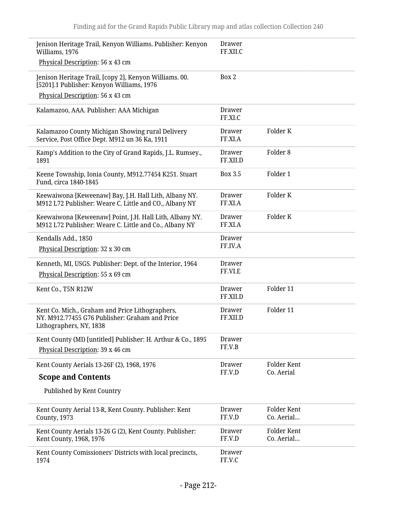| Jenison Heritage Trail, Kenyon Williams. Publisher: Kenyon<br>Williams, 1976                                                            | <b>Drawer</b><br>FF.XII.C |                           |
|-----------------------------------------------------------------------------------------------------------------------------------------|---------------------------|---------------------------|
| Physical Description: 56 x 43 cm                                                                                                        |                           |                           |
| Jenison Heritage Trail, [copy 2], Kenyon Williams. 00.<br>[5201].1 Publisher: Kenyon Williams, 1976<br>Physical Description: 56 x 43 cm | Box 2                     |                           |
|                                                                                                                                         |                           |                           |
| Kalamazoo, AAA. Publisher: AAA Michigan                                                                                                 | <b>Drawer</b><br>FF.XI.C  |                           |
| Kalamazoo County Michigan Showing rural Delivery<br>Service, Post Office Dept. M912 un 36 Ka, 1911                                      | <b>Drawer</b><br>FF.XI.A  | Folder K                  |
| Kamp's Addition to the City of Grand Rapids, J.L. Rumsey.,<br>1891                                                                      | <b>Drawer</b><br>FF.XII.D | Folder <sub>8</sub>       |
| Keene Township, Ionia County, M912.77454 K251. Stuart<br>Fund, circa 1840-1845                                                          | Box 3.5                   | Folder 1                  |
| Keewaiwona [Keweenaw] Bay, J.H. Hall Lith, Albany NY.<br>M912 L72 Publisher: Weare C. Little and CO., Albany NY                         | <b>Drawer</b><br>FF.XI.A  | Folder K                  |
| Keewaiwona [Keweenaw] Point, J.H. Hall Lith, Albany NY.<br>M912 L72 Publisher: Weare C. Little and Co., Albany NY                       | <b>Drawer</b><br>FF.XI.A  | Folder K                  |
| Kendalls Add., 1850                                                                                                                     | <b>Drawer</b><br>FF.IV.A  |                           |
| Physical Description: 32 x 30 cm                                                                                                        |                           |                           |
| Kenneth, MI, USGS. Publisher: Dept. of the Interior, 1964<br>Physical Description: 55 x 69 cm                                           | <b>Drawer</b><br>FF.VI.E  |                           |
| Kent Co., T5N R12W                                                                                                                      | <b>Drawer</b><br>FF.XII.D | Folder 11                 |
| Kent Co. Mich., Graham and Price Lithographers,<br>NY. M912.77455 G76 Publisher: Graham and Price<br>Lithographers, NY, 1838            | <b>Drawer</b><br>FF.XII.D | Folder 11                 |
| Kent County (MI) [untitled] Publisher: H. Arthur & Co., 1895<br>Physical Description: 39 x 46 cm                                        | <b>Drawer</b><br>FF.V.B   |                           |
| Kent County Aerials 13-26F (2), 1968, 1976                                                                                              | <b>Drawer</b>             | Folder Kent               |
| <b>Scope and Contents</b>                                                                                                               | FF.V.D                    | Co. Aerial                |
| Published by Kent Country                                                                                                               |                           |                           |
| Kent County Aerial 13-R, Kent County. Publisher: Kent<br>County, 1973                                                                   | Drawer<br>FF.V.D          | Folder Kent<br>Co. Aerial |
| Kent County Aerials 13-26 G (2), Kent County. Publisher:<br>Kent County, 1968, 1976                                                     | Drawer<br>FF.V.D          | Folder Kent<br>Co. Aerial |
| Kent County Comissioners' Districts with local precincts,<br>1974                                                                       | <b>Drawer</b><br>FF.V.C   |                           |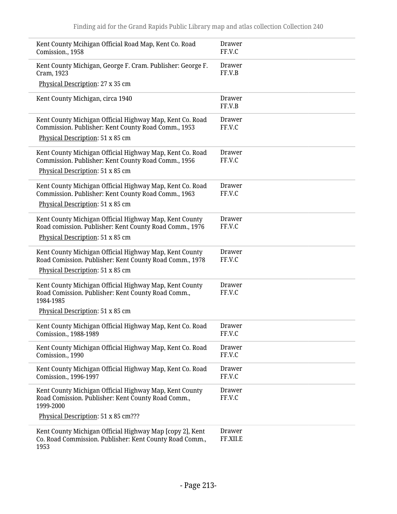| Kent County Mcihigan Official Road Map, Kent Co. Road<br>Comission., 1958                                                                                     | <b>Drawer</b><br>FF.V.C   |
|---------------------------------------------------------------------------------------------------------------------------------------------------------------|---------------------------|
| Kent County Michigan, George F. Cram. Publisher: George F.<br>Cram, 1923                                                                                      | <b>Drawer</b><br>FF.V.B   |
| Physical Description: 27 x 35 cm                                                                                                                              |                           |
| Kent County Michigan, circa 1940                                                                                                                              | Drawer<br>FF.V.B          |
| Kent County Michigan Official Highway Map, Kent Co. Road<br>Commission. Publisher: Kent County Road Comm., 1953<br>Physical Description: 51 x 85 cm           | <b>Drawer</b><br>FF.V.C   |
| Kent County Michigan Official Highway Map, Kent Co. Road<br>Commission. Publisher: Kent County Road Comm., 1956<br>Physical Description: 51 x 85 cm           | Drawer<br>FF.V.C          |
| Kent County Michigan Official Highway Map, Kent Co. Road<br>Commission. Publisher: Kent County Road Comm., 1963<br>Physical Description: 51 x 85 cm           | <b>Drawer</b><br>FF.V.C   |
| Kent County Michigan Official Highway Map, Kent County<br>Road comission. Publisher: Kent County Road Comm., 1976<br>Physical Description: 51 x 85 cm         | Drawer<br>FF.V.C          |
| Kent County Michigan Official Highway Map, Kent County<br>Road Comission. Publisher: Kent County Road Comm., 1978<br>Physical Description: 51 x 85 cm         | <b>Drawer</b><br>FF.V.C   |
| Kent County Michigan Official Highway Map, Kent County<br>Road Comission. Publisher: Kent County Road Comm.,<br>1984-1985<br>Physical Description: 51 x 85 cm | Drawer<br>FF.V.C          |
|                                                                                                                                                               |                           |
| Kent County Michigan Official Highway Map, Kent Co. Road<br>Comission., 1988-1989                                                                             | Drawer<br>FF.V.C          |
| Kent County Michigan Official Highway Map, Kent Co. Road<br>Comission., 1990                                                                                  | <b>Drawer</b><br>FF.V.C   |
| Kent County Michigan Official Highway Map, Kent Co. Road<br>Comission., 1996-1997                                                                             | <b>Drawer</b><br>FF.V.C   |
| Kent County Michigan Official Highway Map, Kent County<br>Road Comission. Publisher: Kent County Road Comm.,<br>1999-2000                                     | Drawer<br>FF.V.C          |
| Physical Description: 51 x 85 cm???                                                                                                                           |                           |
| Kent County Michigan Official Highway Map [copy 2], Kent<br>Co. Road Commission. Publisher: Kent County Road Comm.,<br>1953                                   | <b>Drawer</b><br>FF.XII.E |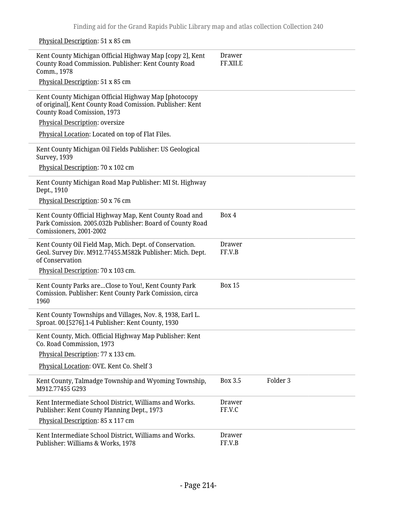Physical Description: 51 x 85 cm

| Kent County Michigan Official Highway Map [copy 2], Kent<br>County Road Commission. Publisher: Kent County Road<br>Comm., 1978                   | Drawer<br>FF.XII.E         |
|--------------------------------------------------------------------------------------------------------------------------------------------------|----------------------------|
| Physical Description: 51 x 85 cm                                                                                                                 |                            |
| Kent County Michigan Official Highway Map [photocopy<br>of original], Kent County Road Comission. Publisher: Kent<br>County Road Comission, 1973 |                            |
| Physical Description: oversize                                                                                                                   |                            |
| Physical Location: Located on top of Flat Files.                                                                                                 |                            |
| Kent County Michigan Oil Fields Publisher: US Geological<br><b>Survey, 1939</b>                                                                  |                            |
| Physical Description: 70 x 102 cm                                                                                                                |                            |
| Kent County Michigan Road Map Publisher: MI St. Highway<br>Dept., 1910                                                                           |                            |
| Physical Description: 50 x 76 cm                                                                                                                 |                            |
| Kent County Official Highway Map, Kent County Road and<br>Park Comission. 2005.032b Publisher: Board of County Road<br>Comissioners, 2001-2002   | Box 4                      |
| Kent County Oil Field Map, Mich. Dept. of Conservation.<br>Geol. Survey Div. M912.77455.M582k Publisher: Mich. Dept.<br>of Conservation          | <b>Drawer</b><br>FF.V.B    |
| Physical Description: 70 x 103 cm.                                                                                                               |                            |
| Kent County Parks areClose to You!, Kent County Park<br>Comission. Publisher: Kent County Park Comission, circa<br>1960                          | <b>Box 15</b>              |
| Kent County Townships and Villages, Nov. 8, 1938, Earl L.<br>Sproat. 00.[5276].1-4 Publisher: Kent County, 1930                                  |                            |
| Kent County, Mich. Official Highway Map Publisher: Kent<br>Co. Road Commission, 1973                                                             |                            |
| Physical Description: 77 x 133 cm.                                                                                                               |                            |
| Physical Location: OVE. Kent Co. Shelf 3                                                                                                         |                            |
| Kent County, Talmadge Township and Wyoming Township,<br>M912.77455 G293                                                                          | <b>Box 3.5</b><br>Folder 3 |
| Kent Intermediate School District, Williams and Works.<br>Publisher: Kent County Planning Dept., 1973                                            | <b>Drawer</b><br>FF.V.C    |
| Physical Description: 85 x 117 cm                                                                                                                |                            |
| Kent Intermediate School District, Williams and Works.<br>Publisher: Williams & Works, 1978                                                      | <b>Drawer</b><br>FF.V.B    |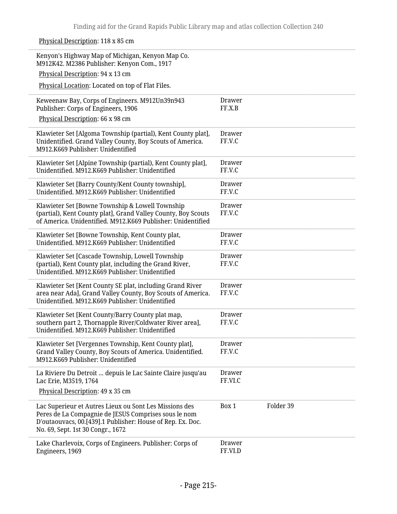| Physical Description: 118 x 85 cm                                                                                                                                                                                 |                         |           |
|-------------------------------------------------------------------------------------------------------------------------------------------------------------------------------------------------------------------|-------------------------|-----------|
| Kenyon's Highway Map of Michigan, Kenyon Map Co.<br>M912K42. M2386 Publisher: Kenyon Com., 1917<br>Physical Description: 94 x 13 cm                                                                               |                         |           |
| Physical Location: Located on top of Flat Files.                                                                                                                                                                  |                         |           |
| Keweenaw Bay, Corps of Engineers. M912Un39n943<br>Publisher: Corps of Engineers, 1906<br>Physical Description: 66 x 98 cm                                                                                         | <b>Drawer</b><br>FF.X.B |           |
| Klawieter Set [Algoma Township (partial), Kent County plat],<br>Unidentified. Grand Valley County, Boy Scouts of America.<br>M912.K669 Publisher: Unidentified                                                    | Drawer<br>FF.V.C        |           |
| Klawieter Set [Alpine Township (partial), Kent County plat],<br>Unidentified. M912.K669 Publisher: Unidentified                                                                                                   | Drawer<br>FF.V.C        |           |
| Klawieter Set [Barry County/Kent County township],<br>Unidentified. M912.K669 Publisher: Unidentified                                                                                                             | Drawer<br>FF.V.C        |           |
| Klawieter Set [Bowne Township & Lowell Township<br>(partial), Kent County plat], Grand Valley County, Boy Scouts<br>of America. Unidentified. M912.K669 Publisher: Unidentified                                   | Drawer<br>FF.V.C        |           |
| Klawieter Set [Bowne Township, Kent County plat,<br>Unidentified. M912.K669 Publisher: Unidentified                                                                                                               | Drawer<br>FF.V.C        |           |
| Klawieter Set [Cascade Township, Lowell Township<br>(partial), Kent County plat, including the Grand River,<br>Unidentified, M912.K669 Publisher: Unidentified                                                    | <b>Drawer</b><br>FF.V.C |           |
| Klawieter Set [Kent County SE plat, including Grand River<br>area near Ada], Grand Valley County, Boy Scouts of America.<br>Unidentified. M912.K669 Publisher: Unidentified                                       | Drawer<br>FF.V.C        |           |
| Klawieter Set [Kent County/Barry County plat map,<br>southern part 2, Thornapple River/Coldwater River area],<br>Unidentified. M912.K669 Publisher: Unidentified                                                  | <b>Drawer</b><br>FF.V.C |           |
| Klawieter Set [Vergennes Township, Kent County plat],<br>Grand Valley County, Boy Scouts of America. Unidentified.<br>M912.K669 Publisher: Unidentified                                                           | Drawer<br>FF.V.C        |           |
| La Riviere Du Detroit  depuis le Lac Sainte Claire jusqu'au<br>Lac Erie, M3519, 1764                                                                                                                              | Drawer<br>FF.VI.C       |           |
| Physical Description: 49 x 35 cm                                                                                                                                                                                  |                         |           |
| Lac Superieur et Autres Lieux ou Sont Les Missions des<br>Peres de La Compagnie de JESUS Comprises sous le nom<br>D'outaouvacs, 00.[439].1 Publisher: House of Rep. Ex. Doc.<br>No. 69, Sept. 1st 30 Congr., 1672 | Box 1                   | Folder 39 |
| Lake Charlevoix, Corps of Engineers. Publisher: Corps of<br>Engineers, 1969                                                                                                                                       | Drawer<br>FF.VI.D       |           |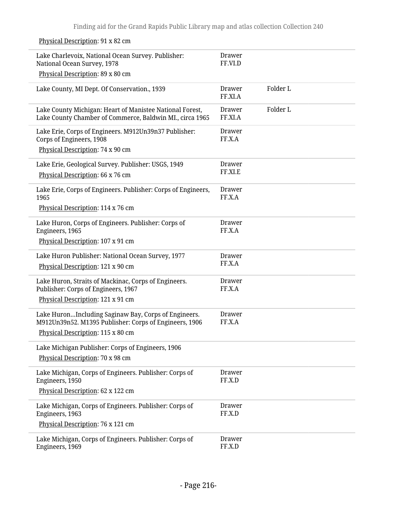| Lake Charlevoix, National Ocean Survey. Publisher:<br>National Ocean Survey, 1978                                    | <b>Drawer</b><br>FF.VI.D |          |
|----------------------------------------------------------------------------------------------------------------------|--------------------------|----------|
| Physical Description: 89 x 80 cm                                                                                     |                          |          |
| Lake County, MI Dept. Of Conservation., 1939                                                                         | Drawer<br>FF.XI.A        | Folder L |
| Lake County Michigan: Heart of Manistee National Forest,<br>Lake County Chamber of Commerce, Baldwin MI., circa 1965 | <b>Drawer</b><br>FF.XI.A | Folder L |
| Lake Erie, Corps of Engineers. M912Un39n37 Publisher:<br>Corps of Engineers, 1908                                    | <b>Drawer</b><br>FF.X.A  |          |
| Physical Description: 74 x 90 cm                                                                                     |                          |          |
| Lake Erie, Geological Survey. Publisher: USGS, 1949<br>Physical Description: 66 x 76 cm                              | <b>Drawer</b><br>FF.XI.E |          |
| Lake Erie, Corps of Engineers. Publisher: Corps of Engineers,<br>1965                                                | <b>Drawer</b><br>FF.X.A  |          |
| Physical Description: 114 x 76 cm                                                                                    |                          |          |
| Lake Huron, Corps of Engineers. Publisher: Corps of<br>Engineers, 1965                                               | <b>Drawer</b><br>FF.X.A  |          |
| Physical Description: 107 x 91 cm                                                                                    |                          |          |
| Lake Huron Publisher: National Ocean Survey, 1977<br>Physical Description: 121 x 90 cm                               | Drawer<br>FF.X.A         |          |
|                                                                                                                      |                          |          |
| Lake Huron, Straits of Mackinac, Corps of Engineers.<br>Publisher: Corps of Engineers, 1967                          | <b>Drawer</b><br>FF.X.A  |          |
| Physical Description: 121 x 91 cm                                                                                    |                          |          |
| Lake HuronIncluding Saginaw Bay, Corps of Engineers.<br>M912Un39n52. M1395 Publisher: Corps of Engineers, 1906       | <b>Drawer</b><br>FF.X.A  |          |
| Physical Description: 115 x 80 cm                                                                                    |                          |          |
| Lake Michigan Publisher: Corps of Engineers, 1906                                                                    |                          |          |
| Physical Description: 70 x 98 cm                                                                                     |                          |          |
| Lake Michigan, Corps of Engineers. Publisher: Corps of<br>Engineers, 1950                                            | Drawer<br>FF.X.D         |          |
| Physical Description: 62 x 122 cm                                                                                    |                          |          |
| Lake Michigan, Corps of Engineers. Publisher: Corps of<br>Engineers, 1963                                            | <b>Drawer</b><br>FF.X.D  |          |
| Physical Description: 76 x 121 cm                                                                                    |                          |          |
| Lake Michigan, Corps of Engineers. Publisher: Corps of<br>Engineers, 1969                                            | <b>Drawer</b><br>FF.X.D  |          |

Physical Description: 91 x 82 cm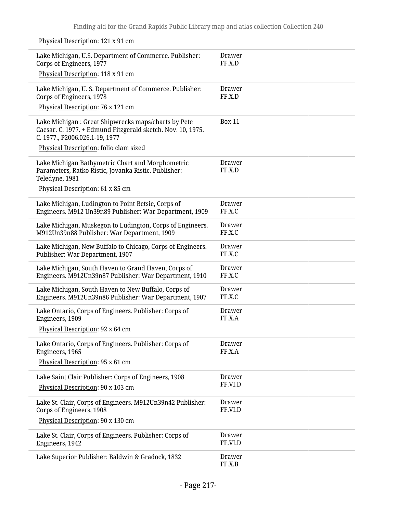Physical Description: 121 x 91 cm

| Lake Michigan, U.S. Department of Commerce. Publisher:<br>Corps of Engineers, 1977                                                                   | Drawer<br>FF.X.D        |
|------------------------------------------------------------------------------------------------------------------------------------------------------|-------------------------|
| Physical Description: 118 x 91 cm                                                                                                                    |                         |
| Lake Michigan, U. S. Department of Commerce. Publisher:<br>Corps of Engineers, 1978                                                                  | Drawer<br>FF.X.D        |
| Physical Description: 76 x 121 cm                                                                                                                    |                         |
| Lake Michigan: Great Shipwrecks maps/charts by Pete<br>Caesar. C. 1977. + Edmund Fitzgerald sketch. Nov. 10, 1975.<br>C. 1977., P2006.026.1-19, 1977 | <b>Box 11</b>           |
| Physical Description: folio clam sized                                                                                                               |                         |
| Lake Michigan Bathymetric Chart and Morphometric<br>Parameters, Ratko Ristic, Jovanka Ristic. Publisher:<br>Teledyne, 1981                           | Drawer<br>FF.X.D        |
| Physical Description: 61 x 85 cm                                                                                                                     |                         |
| Lake Michigan, Ludington to Point Betsie, Corps of<br>Engineers. M912 Un39n89 Publisher: War Department, 1909                                        | Drawer<br>FF.X.C        |
| Lake Michigan, Muskegon to Ludington, Corps of Engineers.<br>M912Un39n88 Publisher: War Department, 1909                                             | Drawer<br>FF.X.C        |
| Lake Michigan, New Buffalo to Chicago, Corps of Engineers.<br>Publisher: War Department, 1907                                                        | Drawer<br>FF.X.C        |
| Lake Michigan, South Haven to Grand Haven, Corps of<br>Engineers. M912Un39n87 Publisher: War Department, 1910                                        | Drawer<br>FF.X.C        |
| Lake Michigan, South Haven to New Buffalo, Corps of<br>Engineers. M912Un39n86 Publisher: War Department, 1907                                        | Drawer<br>FF.X.C        |
| Lake Ontario, Corps of Engineers. Publisher: Corps of<br>Engineers, 1909                                                                             | Drawer<br>FF.X.A        |
| Physical Description: 92 x 64 cm                                                                                                                     |                         |
| Lake Ontario, Corps of Engineers. Publisher: Corps of<br>Engineers, 1965                                                                             | <b>Drawer</b><br>FF.X.A |
| Physical Description: 95 x 61 cm                                                                                                                     |                         |
| Lake Saint Clair Publisher: Corps of Engineers, 1908                                                                                                 | Drawer<br>FF.VI.D       |
| Physical Description: 90 x 103 cm                                                                                                                    |                         |
| Lake St. Clair, Corps of Engineers. M912Un39n42 Publisher:<br>Corps of Engineers, 1908                                                               | Drawer<br>FF.VI.D       |
| Physical Description: 90 x 130 cm                                                                                                                    |                         |
| Lake St. Clair, Corps of Engineers. Publisher: Corps of<br>Engineers, 1942                                                                           | Drawer<br>FF.VI.D       |
| Lake Superior Publisher: Baldwin & Gradock, 1832                                                                                                     | Drawer<br>FF.X.B        |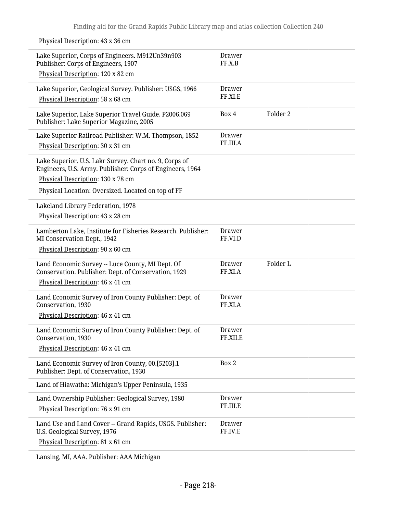Lake Superior, Corps of Engineers. M912Un39n903 Publisher: Corps of Engineers, 1907 Physical Description: 120 x 82 cm Drawer FF.X.B Lake Superior, Geological Survey. Publisher: USGS, 1966 Physical Description: 58 x 68 cm Drawer FF.XI.E Lake Superior, Lake Superior Travel Guide. P2006.069 Publisher: Lake Superior Magazine, 2005 Box 4 Folder 2 Lake Superior Railroad Publisher: W.M. Thompson, 1852 Physical Description: 30 x 31 cm Drawer FF.III.A Lake Superior. U.S. Lakr Survey. Chart no. 9, Corps of Engineers, U.S. Army. Publisher: Corps of Engineers, 1964 Physical Description: 130 x 78 cm Physical Location: Oversized. Located on top of FF Lakeland Library Federation, 1978 Physical Description: 43 x 28 cm Lamberton Lake, Institute for Fisheries Research. Publisher: MI Conservation Dept., 1942 Physical Description: 90 x 60 cm Drawer FF.VI.D Land Economic Survey -- Luce County, MI Dept. Of Conservation. Publisher: Dept. of Conservation, 1929 Physical Description: 46 x 41 cm Drawer FF.XI.A Folder L Land Economic Survey of Iron County Publisher: Dept. of Conservation, 1930 Physical Description: 46 x 41 cm Drawer FF.XI.A Land Economic Survey of Iron County Publisher: Dept. of Conservation, 1930 Physical Description: 46 x 41 cm Drawer FF.XII.E Land Economic Survey of Iron County, 00.[5203].1 Publisher: Dept. of Conservation, 1930 Box 2 Land of Hiawatha: Michigan's Upper Peninsula, 1935 Land Ownership Publisher: Geological Survey, 1980 Physical Description: 76 x 91 cm Drawer FF.III.E Land Use and Land Cover -- Grand Rapids, USGS. Publisher: U.S. Geological Survey, 1976 Physical Description: 81 x 61 cm Drawer FF.IV.E

Lansing, MI, AAA. Publisher: AAA Michigan

Physical Description: 43 x 36 cm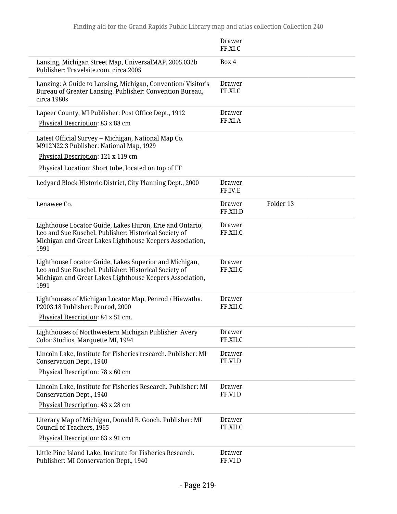|                                                                                                                                                                                       | Drawer<br>FF.XI.C                      |
|---------------------------------------------------------------------------------------------------------------------------------------------------------------------------------------|----------------------------------------|
| Lansing, Michigan Street Map, UniversalMAP. 2005.032b<br>Publisher: Travelsite.com, circa 2005                                                                                        | Box 4                                  |
| Lanzing: A Guide to Lansing, Michigan, Convention/Visitor's<br>Bureau of Greater Lansing. Publisher: Convention Bureau,<br>circa 1980s                                                | <b>Drawer</b><br>FF.XI.C               |
| Lapeer County, MI Publisher: Post Office Dept., 1912<br>Physical Description: 83 x 88 cm                                                                                              | <b>Drawer</b><br>FF.XI.A               |
| Latest Official Survey -- Michigan, National Map Co.<br>M912N22:3 Publisher: National Map, 1929                                                                                       |                                        |
| Physical Description: 121 x 119 cm                                                                                                                                                    |                                        |
| Physical Location: Short tube, located on top of FF                                                                                                                                   |                                        |
| Ledyard Block Historic District, City Planning Dept., 2000                                                                                                                            | <b>Drawer</b><br>FF.IV.E               |
| Lenawee Co.                                                                                                                                                                           | Folder 13<br><b>Drawer</b><br>FF.XII.D |
| Lighthouse Locator Guide, Lakes Huron, Erie and Ontario,<br>Leo and Sue Kuschel. Publisher: Historical Society of<br>Michigan and Great Lakes Lighthouse Keepers Association,<br>1991 | <b>Drawer</b><br>FF.XII.C              |
| Lighthouse Locator Guide, Lakes Superior and Michigan,<br>Leo and Sue Kuschel. Publisher: Historical Society of<br>Michigan and Great Lakes Lighthouse Keepers Association,<br>1991   | <b>Drawer</b><br>FF.XII.C              |
| Lighthouses of Michigan Locator Map, Penrod / Hiawatha.<br>P2003.18 Publisher: Penrod, 2000<br>Physical Description: 84 x 51 cm.                                                      | Drawer<br>FF.XII.C                     |
| Lighthouses of Northwestern Michigan Publisher: Avery<br>Color Studios, Marquette MI, 1994                                                                                            | <b>Drawer</b><br>FF.XII.C              |
| Lincoln Lake, Institute for Fisheries research. Publisher: MI<br>Conservation Dept., 1940<br>Physical Description: 78 x 60 cm                                                         | <b>Drawer</b><br>FF.VI.D               |
| Lincoln Lake, Institute for Fisheries Research. Publisher: MI<br><b>Conservation Dept., 1940</b><br>Physical Description: 43 x 28 cm                                                  | <b>Drawer</b><br>FF.VI.D               |
| Literary Map of Michigan, Donald B. Gooch. Publisher: MI<br>Council of Teachers, 1965                                                                                                 | <b>Drawer</b><br>FF.XII.C              |
| Physical Description: 63 x 91 cm                                                                                                                                                      |                                        |
| Little Pine Island Lake, Institute for Fisheries Research.<br>Publisher: MI Conservation Dept., 1940                                                                                  | <b>Drawer</b><br>FF.VI.D               |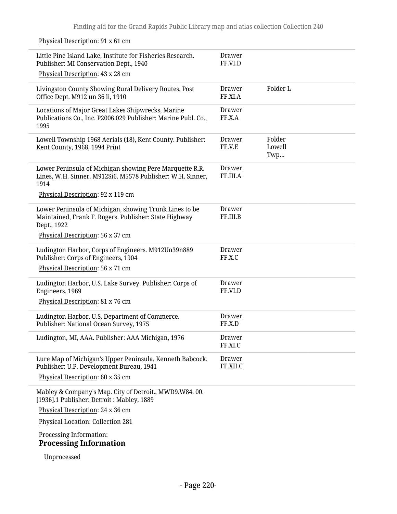| Little Pine Island Lake, Institute for Fisheries Research.<br>Publisher: MI Conservation Dept., 1940                           | Drawer<br>FF.VI.D         |                         |
|--------------------------------------------------------------------------------------------------------------------------------|---------------------------|-------------------------|
| Physical Description: 43 x 28 cm                                                                                               |                           |                         |
| Livingston County Showing Rural Delivery Routes, Post<br>Office Dept. M912 un 36 li, 1910                                      | <b>Drawer</b><br>FF.XI.A  | Folder L                |
| Locations of Major Great Lakes Shipwrecks, Marine<br>Publications Co., Inc. P2006.029 Publisher: Marine Publ. Co.,<br>1995     | <b>Drawer</b><br>FF.X.A   |                         |
| Lowell Township 1968 Aerials (18), Kent County. Publisher:<br>Kent County, 1968, 1994 Print                                    | Drawer<br>FF.V.E          | Folder<br>Lowell<br>Twp |
| Lower Peninsula of Michigan showing Pere Marquette R.R.<br>Lines, W.H. Sinner. M912Si6. M5578 Publisher: W.H. Sinner,<br>1914  | Drawer<br>FF.III.A        |                         |
| Physical Description: 92 x 119 cm                                                                                              |                           |                         |
| Lower Peninsula of Michigan, showing Trunk Lines to be<br>Maintained, Frank F. Rogers. Publisher: State Highway<br>Dept., 1922 | <b>Drawer</b><br>FF.III.B |                         |
| Physical Description: 56 x 37 cm                                                                                               |                           |                         |
| Ludington Harbor, Corps of Engineers. M912Un39n889<br>Publisher: Corps of Engineers, 1904                                      | Drawer<br>FF.X.C          |                         |
| Physical Description: 56 x 71 cm                                                                                               |                           |                         |
| Ludington Harbor, U.S. Lake Survey. Publisher: Corps of<br>Engineers, 1969                                                     | Drawer<br>FF.VI.D         |                         |
| Physical Description: 81 x 76 cm                                                                                               |                           |                         |
| Ludington Harbor, U.S. Department of Commerce.<br>Publisher: National Ocean Survey, 1975                                       | <b>Drawer</b><br>FF.X.D   |                         |
| Ludington, MI, AAA. Publisher: AAA Michigan, 1976                                                                              | Drawer<br>FF.XI.C         |                         |
| Lure Map of Michigan's Upper Peninsula, Kenneth Babcock.<br>Publisher: U.P. Development Bureau, 1941                           | <b>Drawer</b><br>FF.XII.C |                         |
| Physical Description: 60 x 35 cm                                                                                               |                           |                         |
| Mabley & Company's Map. City of Detroit., MWD9.W84.00.<br>[1936].1 Publisher: Detroit: Mabley, 1889                            |                           |                         |
| Physical Description: 24 x 36 cm                                                                                               |                           |                         |
| <b>Physical Location: Collection 281</b>                                                                                       |                           |                         |
| Processing Information:<br><b>Processing Information</b>                                                                       |                           |                         |
| Unprocessed                                                                                                                    |                           |                         |

## Physical Description: 91 x 61 cm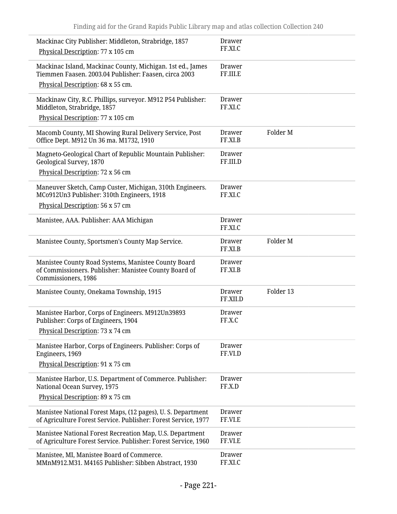| Mackinac City Publisher: Middleton, Strabridge, 1857<br>Physical Description: 77 x 105 cm                                           | <b>Drawer</b><br>FF.XI.C  |                     |
|-------------------------------------------------------------------------------------------------------------------------------------|---------------------------|---------------------|
| Mackinac Island, Mackinac County, Michigan. 1st ed., James<br>Tiemmen Faasen, 2003.04 Publisher: Faasen, circa 2003                 | Drawer<br>FF.III.E        |                     |
| Physical Description: 68 x 55 cm.                                                                                                   |                           |                     |
| Mackinaw City, R.C. Phillips, surveyor. M912 P54 Publisher:<br>Middleton, Strabridge, 1857                                          | <b>Drawer</b><br>FF.XI.C  |                     |
| Physical Description: 77 x 105 cm                                                                                                   |                           |                     |
| Macomb County, MI Showing Rural Delivery Service, Post<br>Office Dept. M912 Un 36 ma. M1732, 1910                                   | Drawer<br>FF.XI.B         | Folder <sub>M</sub> |
| Magneto-Geological Chart of Republic Mountain Publisher:<br>Geological Survey, 1870                                                 | Drawer<br>FF.III.D        |                     |
| Physical Description: 72 x 56 cm                                                                                                    |                           |                     |
| Maneuver Sketch, Camp Custer, Michigan, 310th Engineers.<br>MCo912Un3 Publisher: 310th Engineers, 1918                              | Drawer<br>FF.XI.C         |                     |
| Physical Description: 56 x 57 cm                                                                                                    |                           |                     |
| Manistee, AAA. Publisher: AAA Michigan                                                                                              | Drawer<br>FF.XI.C         |                     |
| Manistee County, Sportsmen's County Map Service.                                                                                    | Drawer<br>FF.XI.B         | Folder <sub>M</sub> |
| Manistee County Road Systems, Manistee County Board<br>of Commissioners. Publisher: Manistee County Board of<br>Commissioners, 1986 | <b>Drawer</b><br>FF.XI.B  |                     |
| Manistee County, Onekama Township, 1915                                                                                             | <b>Drawer</b><br>FF.XII.D | Folder 13           |
| Manistee Harbor, Corps of Engineers. M912Un39893<br>Publisher: Corps of Engineers, 1904<br>Physical Description: 73 x 74 cm         | <b>Drawer</b><br>FF.X.C   |                     |
|                                                                                                                                     |                           |                     |
| Manistee Harbor, Corps of Engineers. Publisher: Corps of<br>Engineers, 1969                                                         | <b>Drawer</b><br>FF.VI.D  |                     |
| Physical Description: 91 x 75 cm                                                                                                    |                           |                     |
| Manistee Harbor, U.S. Department of Commerce. Publisher:<br>National Ocean Survey, 1975                                             | Drawer<br>FF.X.D          |                     |
| Physical Description: 89 x 75 cm                                                                                                    |                           |                     |
| Manistee National Forest Maps, (12 pages), U. S. Department<br>of Agriculture Forest Service. Publisher: Forest Service, 1977       | Drawer<br>FF.VI.E         |                     |
| Manistee National Forest Recreation Map, U.S. Department<br>of Agriculture Forest Service. Publisher: Forest Service, 1960          | <b>Drawer</b><br>FF.VI.E  |                     |
| Manistee, MI, Manistee Board of Commerce.<br>MMnM912.M31. M4165 Publisher: Sibben Abstract, 1930                                    | <b>Drawer</b><br>FF.XI.C  |                     |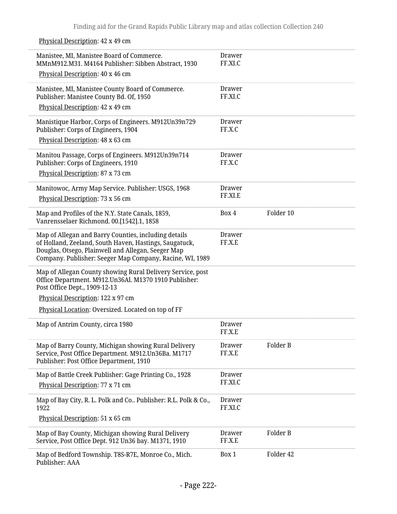Physical Description: 42 x 49 cm

| Manistee, MI, Manistee Board of Commerce.<br>MMnM912.M31. M4164 Publisher: Sibben Abstract, 1930                                                                                                                                 | <b>Drawer</b><br>FF.XI.C |           |
|----------------------------------------------------------------------------------------------------------------------------------------------------------------------------------------------------------------------------------|--------------------------|-----------|
| Physical Description: 40 x 46 cm                                                                                                                                                                                                 |                          |           |
| Manistee, MI, Manistee County Board of Commerce.<br>Publisher: Manistee County Bd. Of, 1950                                                                                                                                      | <b>Drawer</b><br>FF.XI.C |           |
| Physical Description: 42 x 49 cm                                                                                                                                                                                                 |                          |           |
| Manistique Harbor, Corps of Engineers. M912Un39n729<br>Publisher: Corps of Engineers, 1904                                                                                                                                       | <b>Drawer</b><br>FF.X.C  |           |
| Physical Description: 48 x 63 cm                                                                                                                                                                                                 |                          |           |
| Manitou Passage, Corps of Engineers. M912Un39n714<br>Publisher: Corps of Engineers, 1910                                                                                                                                         | <b>Drawer</b><br>FF.X.C  |           |
| Physical Description: 87 x 73 cm                                                                                                                                                                                                 |                          |           |
| Manitowoc, Army Map Service. Publisher: USGS, 1968                                                                                                                                                                               | <b>Drawer</b>            |           |
| Physical Description: 73 x 56 cm                                                                                                                                                                                                 | FF.XI.E                  |           |
| Map and Profiles of the N.Y. State Canals, 1859,<br>Vanrensselaer Richmond. 00.[1542].1, 1858                                                                                                                                    | Box 4                    | Folder 10 |
| Map of Allegan and Barry Counties, including details<br>of Holland, Zeeland, South Haven, Hastings, Saugatuck,<br>Douglas, Otsego, Plainwell and Allegan, Seeger Map<br>Company. Publisher: Seeger Map Company, Racine, WI, 1989 | <b>Drawer</b><br>FF.X.E  |           |
| Map of Allegan County showing Rural Delivery Service, post<br>Office Department. M912.Un36Al. M1370 1910 Publisher:<br>Post Office Dept., 1909-12-13                                                                             |                          |           |
| Physical Description: 122 x 97 cm                                                                                                                                                                                                |                          |           |
| Physical Location: Oversized. Located on top of FF                                                                                                                                                                               |                          |           |
| Map of Antrim County, circa 1980                                                                                                                                                                                                 | <b>Drawer</b><br>FF.X.E  |           |
| Map of Barry County, Michigan showing Rural Delivery<br>Service, Post Office Department. M912.Un36Ba. M1717<br>Publisher: Post Office Department, 1910                                                                           | Drawer<br>FF.X.E         | Folder B  |
| Map of Battle Creek Publisher: Gage Printing Co., 1928                                                                                                                                                                           | <b>Drawer</b>            |           |
| Physical Description: 77 x 71 cm                                                                                                                                                                                                 | FF.XI.C                  |           |
| Map of Bay City, R. L. Polk and Co Publisher: R.L. Polk & Co.,<br>1922                                                                                                                                                           | <b>Drawer</b><br>FF.XI.C |           |
| Physical Description: 51 x 65 cm                                                                                                                                                                                                 |                          |           |
| Map of Bay County, Michigan showing Rural Delivery<br>Service, Post Office Dept. 912 Un36 bay. M1371, 1910                                                                                                                       | <b>Drawer</b><br>FF.X.E  | Folder B  |
| Map of Bedford Township. T8S-R7E, Monroe Co., Mich.<br>Publisher: AAA                                                                                                                                                            | Box 1                    | Folder 42 |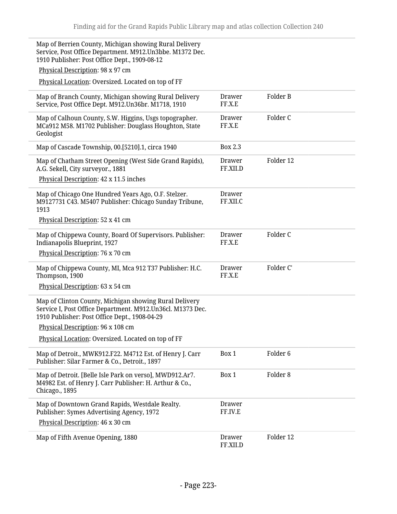Map of Berrien County, Michigan showing Rural Delivery Service, Post Office Department. M912.Un3bbe. M1372 Dec. 1910 Publisher: Post Office Dept., 1909-08-12 Physical Description: 98 x 97 cm Physical Location: Oversized. Located on top of FF Map of Branch County, Michigan showing Rural Delivery Service, Post Office Dept. M912.Un36br. M1718, 1910 Drawer FF.X.E Folder B Map of Calhoun County, S.W. Higgins, Usgs topographer. MCa912 M58. M1702 Publisher: Douglass Houghton, State Geologist Drawer FF.X.E Folder C Map of Cascade Township, 00.[5210].1, circa 1940 Box 2.3 Map of Chatham Street Opening (West Side Grand Rapids), A.G. Sekell, City surveyor., 1881 Physical Description: 42 x 11.5 inches Drawer FF.XII.D Folder 12 Map of Chicago One Hundred Years Ago, O.F. Stelzer. M9127731 C43. M5407 Publisher: Chicago Sunday Tribune, 1913 Physical Description: 52 x 41 cm Drawer FF.XII.C Map of Chippewa County, Board Of Supervisors. Publisher: Indianapolis Blueprint, 1927 Physical Description: 76 x 70 cm Drawer FF.X.E Folder C Map of Chippewa County, MI, Mca 912 T37 Publisher: H.C. Thompson, 1900 Physical Description: 63 x 54 cm Drawer FF.X.E Folder C' Map of Clinton County, Michigan showing Rural Delivery Service I, Post Office Department. M912.Un36cl. M1373 Dec. 1910 Publisher: Post Office Dept., 1908-04-29 Physical Description: 96 x 108 cm Physical Location: Oversized. Located on top of FF Map of Detroit., MWK912.F22. M4712 Est. of Henry J. Carr Publisher: Silar Farmer & Co., Detroit., 1897 Box 1 Folder 6 Map of Detroit. [Belle Isle Park on verso], MWD912.Ar7. M4982 Est. of Henry J. Carr Publisher: H. Arthur & Co., Chicago., 1895 Box 1 Folder 8 Map of Downtown Grand Rapids, Westdale Realty. Publisher: Symes Advertising Agency, 1972 Physical Description: 46 x 30 cm Drawer FF.IV.E Map of Fifth Avenue Opening, 1880 FF.XII.D Folder 12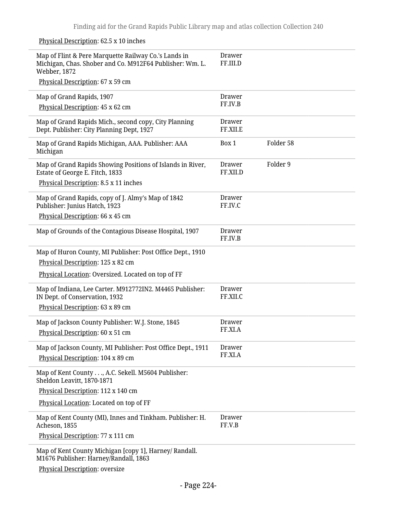## Physical Description: 62.5 x 10 inches

| Map of Flint & Pere Marquette Railway Co.'s Lands in<br>Michigan, Chas. Shober and Co. M912F64 Publisher: Wm. L.<br>Webber, 1872<br>Physical Description: 67 x 59 cm | <b>Drawer</b><br>FF.III.D |           |
|----------------------------------------------------------------------------------------------------------------------------------------------------------------------|---------------------------|-----------|
| Map of Grand Rapids, 1907                                                                                                                                            | <b>Drawer</b>             |           |
| Physical Description: 45 x 62 cm                                                                                                                                     | FF.IV.B                   |           |
| Map of Grand Rapids Mich., second copy, City Planning<br>Dept. Publisher: City Planning Dept, 1927                                                                   | <b>Drawer</b><br>FF.XII.E |           |
| Map of Grand Rapids Michigan, AAA. Publisher: AAA<br>Michigan                                                                                                        | Box 1                     | Folder 58 |
| Map of Grand Rapids Showing Positions of Islands in River,<br>Estate of George E. Fitch, 1833                                                                        | Drawer<br>FF.XII.D        | Folder 9  |
| Physical Description: 8.5 x 11 inches                                                                                                                                |                           |           |
| Map of Grand Rapids, copy of J. Almy's Map of 1842<br>Publisher: Junius Hatch, 1923                                                                                  | Drawer<br>FF.IV.C         |           |
| Physical Description: 66 x 45 cm                                                                                                                                     |                           |           |
| Map of Grounds of the Contagious Disease Hospital, 1907                                                                                                              | <b>Drawer</b><br>FF.IV.B  |           |
| Map of Huron County, MI Publisher: Post Office Dept., 1910                                                                                                           |                           |           |
| Physical Description: 125 x 82 cm                                                                                                                                    |                           |           |
| Physical Location: Oversized. Located on top of FF                                                                                                                   |                           |           |
| Map of Indiana, Lee Carter. M912772IN2. M4465 Publisher:                                                                                                             | <b>Drawer</b>             |           |
| IN Dept. of Conservation, 1932                                                                                                                                       | FF.XII.C                  |           |
| Physical Description: 63 x 89 cm                                                                                                                                     |                           |           |
| Map of Jackson County Publisher: W.J. Stone, 1845                                                                                                                    | <b>Drawer</b><br>FF.XI.A  |           |
| Physical Description: 60 x 51 cm                                                                                                                                     |                           |           |
| Map of Jackson County, MI Publisher: Post Office Dept., 1911                                                                                                         | <b>Drawer</b>             |           |
| Physical Description: 104 x 89 cm                                                                                                                                    | FF.XI.A                   |           |
| Map of Kent County, A.C. Sekell. M5604 Publisher:<br>Sheldon Leavitt, 1870-1871                                                                                      |                           |           |
| Physical Description: 112 x 140 cm                                                                                                                                   |                           |           |
| Physical Location: Located on top of FF                                                                                                                              |                           |           |
| Map of Kent County (MI), Innes and Tinkham. Publisher: H.<br>Acheson, 1855                                                                                           | <b>Drawer</b><br>FF.V.B   |           |
| Physical Description: 77 x 111 cm                                                                                                                                    |                           |           |
| Map of Kent County Michigan [copy 1], Harney/ Randall.<br>M1676 Publisher: Harney/Randall, 1863                                                                      |                           |           |
|                                                                                                                                                                      |                           |           |

Physical Description: oversize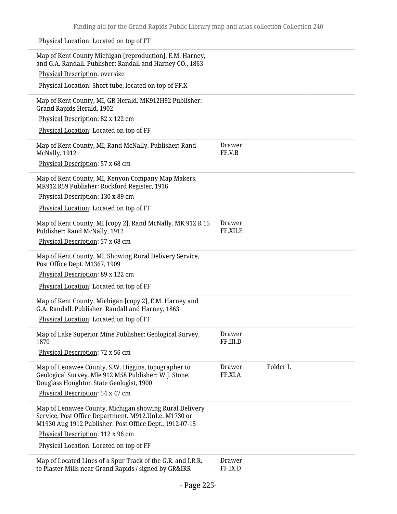| Physical Location: Located on top of FF                                                                                                                                   |                               |
|---------------------------------------------------------------------------------------------------------------------------------------------------------------------------|-------------------------------|
| Map of Kent County Michigan [reproduction], E.M. Harney,<br>and G.A. Randall. Publisher: Randall and Harney CO., 1863                                                     |                               |
| Physical Description: oversize                                                                                                                                            |                               |
| Physical Location: Short tube, located on top of FF.X                                                                                                                     |                               |
| Map of Kent County, MI, GR Herald. MK912H92 Publisher:<br>Grand Rapids Herald, 1902                                                                                       |                               |
| Physical Description: 82 x 122 cm                                                                                                                                         |                               |
| Physical Location: Located on top of FF                                                                                                                                   |                               |
| Map of Kent County, MI, Rand McNally. Publisher: Rand<br>McNally, 1912                                                                                                    | Drawer<br>FF.V.B              |
| Physical Description: 57 x 68 cm                                                                                                                                          |                               |
| Map of Kent County, MI, Kenyon Company Map Makers.<br>MK912.R59 Publisher: Rockford Register, 1916                                                                        |                               |
| Physical Description: 130 x 89 cm                                                                                                                                         |                               |
| Physical Location: Located on top of FF                                                                                                                                   |                               |
| Map of Kent County, MI [copy 2], Rand McNally. MK 912 R 15<br>Publisher: Rand McNally, 1912                                                                               | Drawer<br>FF.XII.E            |
| Physical Description: 57 x 68 cm                                                                                                                                          |                               |
| Map of Kent County, MI, Showing Rural Delivery Service,<br>Post Office Dept. M1367, 1909                                                                                  |                               |
| Physical Description: 89 x 122 cm                                                                                                                                         |                               |
| Physical Location: Located on top of FF                                                                                                                                   |                               |
| Map of Kent County, Michigan [copy 2], E.M. Harney and<br>G.A. Randall. Publisher: Randall and Harney, 1863                                                               |                               |
| Physical Location: Located on top of FF                                                                                                                                   |                               |
| Map of Lake Superior Mine Publisher: Geological Survey,<br>1870                                                                                                           | <b>Drawer</b><br>FF.III.D     |
| Physical Description: 72 x 56 cm                                                                                                                                          |                               |
| Map of Lenawee County, S.W. Higgins, topographer to<br>Geological Survey. Mle 912 M58 Publisher: W.J. Stone,<br>Douglass Houghton State Geologist, 1900                   | Folder L<br>Drawer<br>FF.XI.A |
| Physical Description: 54 x 47 cm                                                                                                                                          |                               |
| Map of Lenawee County, Michigan showing Rural Delivery<br>Service, Post Office Department. M912.UnLe. M1730 or<br>M1930 Aug 1912 Publisher: Post Office Dept., 1912-07-15 |                               |
| Physical Description: 112 x 96 cm                                                                                                                                         |                               |
| Physical Location: Located on top of FF                                                                                                                                   |                               |
| Map of Located Lines of a Spur Track of the G.R. and I.R.R.<br>to Plaster Mills near Grand Rapids / signed by GR&IRR                                                      | Drawer<br>FF.IX.D             |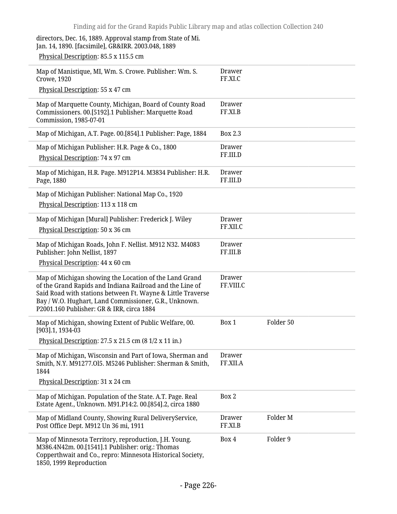directors, Dec. 16, 1889. Approval stamp from State of Mi. Jan. 14, 1890. [facsimile], GR&IRR. 2003.048, 1889

Physical Description: 85.5 x 115.5 cm

| Map of Manistique, MI, Wm. S. Crowe. Publisher: Wm. S.<br><b>Crowe, 1920</b>                                                                                                                                                                                                            | <b>Drawer</b><br>FF.XI.C   |           |
|-----------------------------------------------------------------------------------------------------------------------------------------------------------------------------------------------------------------------------------------------------------------------------------------|----------------------------|-----------|
| Physical Description: 55 x 47 cm                                                                                                                                                                                                                                                        |                            |           |
| Map of Marquette County, Michigan, Board of County Road<br>Commissioners. 00.[5192].1 Publisher: Marquette Road<br>Commission, 1985-07-01                                                                                                                                               | <b>Drawer</b><br>FF.XI.B   |           |
| Map of Michigan, A.T. Page. 00.[854].1 Publisher: Page, 1884                                                                                                                                                                                                                            | <b>Box 2.3</b>             |           |
| Map of Michigan Publisher: H.R. Page & Co., 1800<br>Physical Description: 74 x 97 cm                                                                                                                                                                                                    | <b>Drawer</b><br>FF.III.D  |           |
| Map of Michigan, H.R. Page. M912P14. M3834 Publisher: H.R.<br>Page, 1880                                                                                                                                                                                                                | <b>Drawer</b><br>FF.III.D  |           |
| Map of Michigan Publisher: National Map Co., 1920                                                                                                                                                                                                                                       |                            |           |
| Physical Description: 113 x 118 cm                                                                                                                                                                                                                                                      |                            |           |
| Map of Michigan [Mural] Publisher: Frederick J. Wiley                                                                                                                                                                                                                                   | <b>Drawer</b>              |           |
| Physical Description: 50 x 36 cm                                                                                                                                                                                                                                                        | FF.XII.C                   |           |
| Map of Michigan Roads, John F. Nellist. M912 N32. M4083<br>Publisher: John Nellist, 1897                                                                                                                                                                                                | <b>Drawer</b><br>FF.III.B  |           |
| Physical Description: 44 x 60 cm                                                                                                                                                                                                                                                        |                            |           |
| Map of Michigan showing the Location of the Land Grand<br>of the Grand Rapids and Indiana Railroad and the Line of<br>Said Road with stations between Ft. Wayne & Little Traverse<br>Bay / W.O. Hughart, Land Commissioner, G.R., Unknown.<br>P2001.160 Publisher: GR & IRR, circa 1884 | <b>Drawer</b><br>FF.VIII.C |           |
| Map of Michigan, showing Extent of Public Welfare, 00.<br>[903].1, 1934-03                                                                                                                                                                                                              | Box 1                      | Folder 50 |
| Physical Description: 27.5 x 21.5 cm (8 1/2 x 11 in.)                                                                                                                                                                                                                                   |                            |           |
| Map of Michigan, Wisconsin and Part of Iowa, Sherman and<br>Smith, N.Y. M91277.Ol5. M5246 Publisher: Sherman & Smith,<br>1844                                                                                                                                                           | Drawer<br>FF.XII.A         |           |
| Physical Description: 31 x 24 cm                                                                                                                                                                                                                                                        |                            |           |
| Map of Michigan. Population of the State. A.T. Page. Real<br>Estate Agent., Unknown. M91.P14:2. 00.[854].2, circa 1880                                                                                                                                                                  | Box 2                      |           |
| Map of Midland County, Showing Rural DeliveryService,<br>Post Office Dept. M912 Un 36 mi, 1911                                                                                                                                                                                          | <b>Drawer</b><br>FF.XI.B   | Folder M  |
| Map of Minnesota Territory, reproduction, J.H. Young.<br>M386.4N42m. 00.[1541].1 Publisher: orig.: Thomas<br>Copperthwait and Co., repro: Minnesota Historical Society,<br>1850, 1999 Reproduction                                                                                      | Box 4                      | Folder 9  |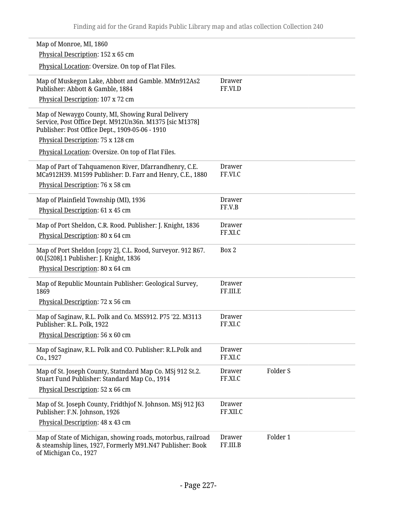| Map of Monroe, MI, 1860                                                                                                                                         |                           |          |  |
|-----------------------------------------------------------------------------------------------------------------------------------------------------------------|---------------------------|----------|--|
| Physical Description: 152 x 65 cm                                                                                                                               |                           |          |  |
| Physical Location: Oversize. On top of Flat Files.                                                                                                              |                           |          |  |
| Map of Muskegon Lake, Abbott and Gamble. MMn912As2<br>Publisher: Abbott & Gamble, 1884                                                                          | Drawer<br>FF.VI.D         |          |  |
| Physical Description: 107 x 72 cm                                                                                                                               |                           |          |  |
| Map of Newaygo County, MI, Showing Rural Delivery<br>Service, Post Office Dept. M912Un36n. M1375 [sic M1378]<br>Publisher: Post Office Dept., 1909-05-06 - 1910 |                           |          |  |
| Physical Description: 75 x 128 cm                                                                                                                               |                           |          |  |
| Physical Location: Oversize. On top of Flat Files.                                                                                                              |                           |          |  |
| Map of Part of Tahquamenon River, Dfarrandhenry, C.E.<br>MCa912H39. M1599 Publisher: D. Farr and Henry, C.E., 1880<br>Physical Description: 76 x 58 cm          | <b>Drawer</b><br>FF.VI.C  |          |  |
| Map of Plainfield Township (MI), 1936                                                                                                                           | <b>Drawer</b>             |          |  |
| Physical Description: 61 x 45 cm                                                                                                                                | FF.V.B                    |          |  |
|                                                                                                                                                                 |                           |          |  |
| Map of Port Sheldon, C.R. Rood. Publisher: J. Knight, 1836                                                                                                      | <b>Drawer</b><br>FF.XI.C  |          |  |
| Physical Description: 80 x 64 cm                                                                                                                                |                           |          |  |
| Map of Port Sheldon [copy 2], C.L. Rood, Surveyor. 912 R67.<br>00.[5208].1 Publisher: J. Knight, 1836                                                           | Box 2                     |          |  |
| Physical Description: 80 x 64 cm                                                                                                                                |                           |          |  |
| Map of Republic Mountain Publisher: Geological Survey,<br>1869                                                                                                  | <b>Drawer</b><br>FF.III.E |          |  |
| Physical Description: 72 x 56 cm                                                                                                                                |                           |          |  |
| Map of Saginaw, R.L. Polk and Co. MSS912. P75 '22. M3113<br>Publisher: R.L. Polk, 1922                                                                          | <b>Drawer</b><br>FF.XI.C  |          |  |
| Physical Description: 56 x 60 cm                                                                                                                                |                           |          |  |
| Map of Saginaw, R.L. Polk and CO. Publisher: R.L.Polk and<br>Co., 1927                                                                                          | <b>Drawer</b><br>FF.XI.C  |          |  |
| Map of St. Joseph County, Statndard Map Co. MSj 912 St.2.<br>Stuart Fund Publisher: Standard Map Co., 1914                                                      | <b>Drawer</b><br>FF.XI.C  | Folder S |  |
| Physical Description: 52 x 66 cm                                                                                                                                |                           |          |  |
| Map of St. Joseph County, Fridthjof N. Johnson. MSj 912 J63<br>Publisher: F.N. Johnson, 1926                                                                    | <b>Drawer</b><br>FF.XII.C |          |  |
| Physical Description: 48 x 43 cm                                                                                                                                |                           |          |  |
| Map of State of Michigan, showing roads, motorbus, railroad<br>& steamship lines, 1927, Formerly M91.N47 Publisher: Book<br>of Michigan Co., 1927               | <b>Drawer</b><br>FF.III.B | Folder 1 |  |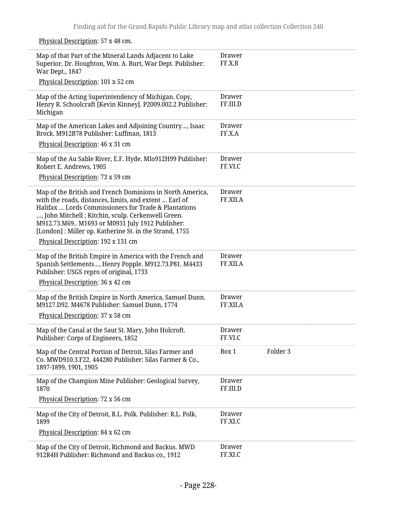Physical Description: 57 x 48 cm.

| Map of that Part of the Mineral Lands Adjacent to Lake<br>Superior, Dr. Houghton, Wm. A. Burt, War Dept. Publisher:<br>War Dept., 1847                                                                                                                                                                                                                                                | Drawer<br>FF.X.B          |          |
|---------------------------------------------------------------------------------------------------------------------------------------------------------------------------------------------------------------------------------------------------------------------------------------------------------------------------------------------------------------------------------------|---------------------------|----------|
| Physical Description: 101 x 52 cm                                                                                                                                                                                                                                                                                                                                                     |                           |          |
| Map of the Acting Superintendency of Michigan. Copy,<br>Henry R. Schoolcraft [Kevin Kinney]. P2009.002.2 Publisher:<br>Michigan                                                                                                                                                                                                                                                       | Drawer<br>FF.III.D        |          |
| Map of the American Lakes and Adjoining Country, Isaac<br>Brock. M912B78 Publisher: Luffman, 1813                                                                                                                                                                                                                                                                                     | Drawer<br>FF.X.A          |          |
| Physical Description: 46 x 31 cm                                                                                                                                                                                                                                                                                                                                                      |                           |          |
| Map of the Au Sable River, E.F. Hyde. MI0912H99 Publisher:<br>Robert E. Andrews, 1905                                                                                                                                                                                                                                                                                                 | Drawer<br>FF.VI.C         |          |
| Physical Description: 73 x 59 cm                                                                                                                                                                                                                                                                                                                                                      |                           |          |
| Map of the British and French Dominions in North America,<br>with the roads, distances, limits, and extent  Earl of<br>Halifax  Lords Commissioners for Trade & Plantations<br>, John Mitchell ; Kitchin, sculp. Cerkenwell Green.<br>M912.73.M69 M1693 or M0931 July 1912 Publisher:<br>[London]: Miller op. Katherine St. in the Strand, 1755<br>Physical Description: 192 x 131 cm | Drawer<br>FF.XII.A        |          |
| Map of the British Empire in America with the French and<br>Spanish Settlements, Henry Popple. M912.73.P81. M4433<br>Publisher: USGS repro of original, 1733<br>Physical Description: 36 x 42 cm                                                                                                                                                                                      | <b>Drawer</b><br>FF.XII.A |          |
| Map of the British Empire in North America, Samuel Dunn.<br>M9127.D92. M4678 Publisher: Samuel Dunn, 1774<br>Physical Description: 37 x 58 cm                                                                                                                                                                                                                                         | Drawer<br>FF.XII.A        |          |
| Map of the Canal at the Saut St. Mary, John Holcroft.<br>Publisher: Corps of Engineers, 1852                                                                                                                                                                                                                                                                                          | <b>Drawer</b><br>FF.VI.C  |          |
| Map of the Central Portion of Detroit, Silas Farmer and<br>Co. MWD910.3.F22. 444280 Publisher: Silas Farmer & Co.,<br>1897-1899, 1901, 1905                                                                                                                                                                                                                                           | Box 1                     | Folder 3 |
| Map of the Champion Mine Publisher: Geological Survey,<br>1870                                                                                                                                                                                                                                                                                                                        | Drawer<br>FF.III.D        |          |
| Physical Description: 72 x 56 cm                                                                                                                                                                                                                                                                                                                                                      |                           |          |
| Map of the City of Detroit, R.L. Polk. Publisher: R.L. Polk,<br>1899                                                                                                                                                                                                                                                                                                                  | Drawer<br>FF.XI.C         |          |
| Physical Description: 84 x 62 cm                                                                                                                                                                                                                                                                                                                                                      |                           |          |
| Map of the City of Detroit, Richmond and Backus. MWD<br>912R4H Publisher: Richmond and Backus co., 1912                                                                                                                                                                                                                                                                               | Drawer<br>FF.XI.C         |          |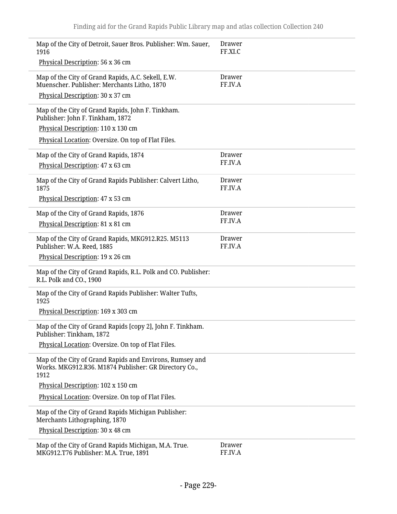| Map of the City of Detroit, Sauer Bros. Publisher: Wm. Sauer,<br>1916                                                     | <b>Drawer</b><br>FF.XI.C |
|---------------------------------------------------------------------------------------------------------------------------|--------------------------|
| Physical Description: 56 x 36 cm                                                                                          |                          |
| Map of the City of Grand Rapids, A.C. Sekell, E.W.<br>Muenscher. Publisher: Merchants Litho, 1870                         | <b>Drawer</b><br>FF.IV.A |
| Physical Description: 30 x 37 cm                                                                                          |                          |
| Map of the City of Grand Rapids, John F. Tinkham.<br>Publisher: John F. Tinkham, 1872                                     |                          |
| Physical Description: 110 x 130 cm                                                                                        |                          |
| Physical Location: Oversize. On top of Flat Files.                                                                        |                          |
| Map of the City of Grand Rapids, 1874                                                                                     | Drawer                   |
| Physical Description: 47 x 63 cm                                                                                          | FF.IV.A                  |
| Map of the City of Grand Rapids Publisher: Calvert Litho,<br>1875                                                         | <b>Drawer</b><br>FF.IV.A |
| Physical Description: 47 x 53 cm                                                                                          |                          |
| Map of the City of Grand Rapids, 1876                                                                                     | Drawer                   |
| Physical Description: 81 x 81 cm                                                                                          | FF.IV.A                  |
| Map of the City of Grand Rapids, MKG912.R25. M5113<br>Publisher: W.A. Reed, 1885                                          | <b>Drawer</b><br>FF.IV.A |
| Physical Description: 19 x 26 cm                                                                                          |                          |
| Map of the City of Grand Rapids, R.L. Polk and CO. Publisher:<br>R.L. Polk and CO., 1900                                  |                          |
| Map of the City of Grand Rapids Publisher: Walter Tufts,<br>1925                                                          |                          |
| Physical Description: 169 x 303 cm                                                                                        |                          |
| Map of the City of Grand Rapids [copy 2], John F. Tinkham.<br>Publisher: Tinkham, 1872                                    |                          |
| Physical Location: Oversize. On top of Flat Files.                                                                        |                          |
| Map of the City of Grand Rapids and Environs, Rumsey and<br>Works. MKG912.R36. M1874 Publisher: GR Directory Co.,<br>1912 |                          |
| Physical Description: 102 x 150 cm                                                                                        |                          |
| Physical Location: Oversize. On top of Flat Files.                                                                        |                          |
| Map of the City of Grand Rapids Michigan Publisher:<br>Merchants Lithographing, 1870                                      |                          |
| Physical Description: 30 x 48 cm                                                                                          |                          |
| Map of the City of Grand Rapids Michigan, M.A. True.<br>MKG912.T76 Publisher: M.A. True, 1891                             | <b>Drawer</b><br>FF.IV.A |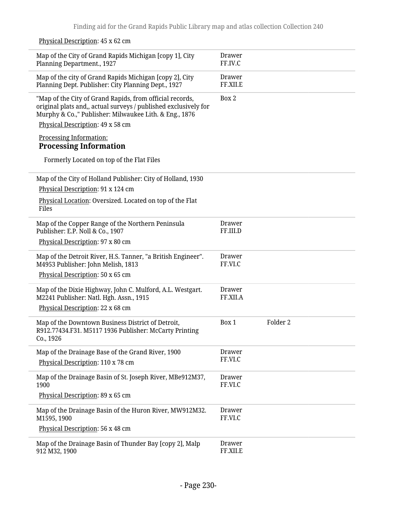|  | Physical Description: 45 x 62 cm |  |
|--|----------------------------------|--|
|--|----------------------------------|--|

| Map of the City of Grand Rapids Michigan [copy 1], City<br>Planning Department., 1927                                                                                                 | Drawer<br>FF.IV.C         |                     |
|---------------------------------------------------------------------------------------------------------------------------------------------------------------------------------------|---------------------------|---------------------|
| Map of the city of Grand Rapids Michigan [copy 2], City<br>Planning Dept. Publisher: City Planning Dept., 1927                                                                        | Drawer<br>FF.XII.E        |                     |
| "Map of the City of Grand Rapids, from official records,<br>original plats and,, actual surveys / published exclusively for<br>Murphy & Co.," Publisher: Milwaukee Lith. & Eng., 1876 | Box 2                     |                     |
| Physical Description: 49 x 58 cm                                                                                                                                                      |                           |                     |
| Processing Information:<br><b>Processing Information</b>                                                                                                                              |                           |                     |
| Formerly Located on top of the Flat Files                                                                                                                                             |                           |                     |
| Map of the City of Holland Publisher: City of Holland, 1930                                                                                                                           |                           |                     |
| Physical Description: 91 x 124 cm                                                                                                                                                     |                           |                     |
| Physical Location: Oversized. Located on top of the Flat<br>Files                                                                                                                     |                           |                     |
| Map of the Copper Range of the Northern Peninsula<br>Publisher: E.P. Noll & Co., 1907                                                                                                 | Drawer<br>FF.III.D        |                     |
| Physical Description: 97 x 80 cm                                                                                                                                                      |                           |                     |
| Map of the Detroit River, H.S. Tanner, "a British Engineer".<br>M4953 Publisher: John Melish, 1813                                                                                    | <b>Drawer</b><br>FF.VI.C  |                     |
| Physical Description: 50 x 65 cm                                                                                                                                                      |                           |                     |
| Map of the Dixie Highway, John C. Mulford, A.L. Westgart.<br>M2241 Publisher: Natl. Hgh. Assn., 1915                                                                                  | <b>Drawer</b><br>FF.XII.A |                     |
| Physical Description: 22 x 68 cm                                                                                                                                                      |                           |                     |
| Map of the Downtown Business District of Detroit,<br>R912.77434.F31. M5117 1936 Publisher: McCarty Printing<br>Co., 1926                                                              | Box 1                     | Folder <sub>2</sub> |
| Map of the Drainage Base of the Grand River, 1900                                                                                                                                     | Drawer                    |                     |
| Physical Description: 110 x 78 cm                                                                                                                                                     | FF.VI.C                   |                     |
| Map of the Drainage Basin of St. Joseph River, MBe912M37,<br>1900                                                                                                                     | <b>Drawer</b><br>FF.VI.C  |                     |
| Physical Description: 89 x 65 cm                                                                                                                                                      |                           |                     |
| Map of the Drainage Basin of the Huron River, MW912M32.<br>M1595, 1900                                                                                                                | <b>Drawer</b><br>FF.VI.C  |                     |
| Physical Description: 56 x 48 cm                                                                                                                                                      |                           |                     |
| Map of the Drainage Basin of Thunder Bay [copy 2], Malp<br>912 M32, 1900                                                                                                              | Drawer<br>FF.XII.E        |                     |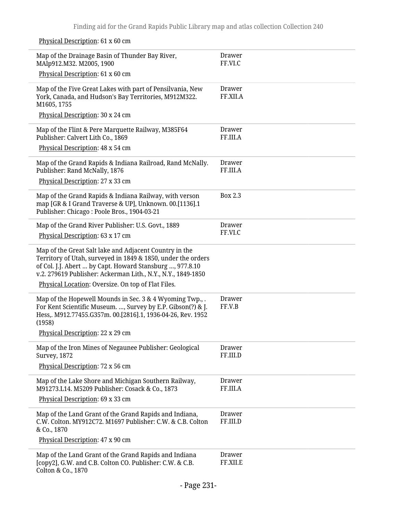Physical Description: 61 x 60 cm

 $\overline{a}$ 

| Map of the Drainage Basin of Thunder Bay River,<br>MAlp912.M32. M2005, 1900                                                                                                                                                                        | <b>Drawer</b><br>FF.VI.C  |
|----------------------------------------------------------------------------------------------------------------------------------------------------------------------------------------------------------------------------------------------------|---------------------------|
| Physical Description: 61 x 60 cm                                                                                                                                                                                                                   |                           |
| Map of the Five Great Lakes with part of Pensilvania, New<br>York, Canada, and Hudson's Bay Territories, M912M322.<br>M1605, 1755                                                                                                                  | <b>Drawer</b><br>FF.XII.A |
| Physical Description: 30 x 24 cm                                                                                                                                                                                                                   |                           |
| Map of the Flint & Pere Marquette Railway, M385F64<br>Publisher: Calvert Lith Co., 1869                                                                                                                                                            | <b>Drawer</b><br>FF.III.A |
| Physical Description: 48 x 54 cm                                                                                                                                                                                                                   |                           |
| Map of the Grand Rapids & Indiana Railroad, Rand McNally.<br>Publisher: Rand McNally, 1876                                                                                                                                                         | Drawer<br>FF.III.A        |
| Physical Description: 27 x 33 cm                                                                                                                                                                                                                   |                           |
| Map of the Grand Rapids & Indiana Railway, with verson<br>map [GR & I Grand Traverse & UP], Unknown. 00.[1136].1<br>Publisher: Chicago: Poole Bros., 1904-03-21                                                                                    | Box 2.3                   |
| Map of the Grand River Publisher: U.S. Govt., 1889                                                                                                                                                                                                 | Drawer                    |
| Physical Description: 63 x 17 cm                                                                                                                                                                                                                   | FF.VI.C                   |
| Map of the Great Salt lake and Adjacent Country in the<br>Territory of Utah, surveyed in 1849 & 1850, under the orders<br>of Col. J.J. Abert  by Capt. Howard Stansburg , 977.8.10<br>v.2. 279619 Publisher: Ackerman Lith., N.Y., N.Y., 1849-1850 |                           |
| Physical Location: Oversize. On top of Flat Files.                                                                                                                                                                                                 |                           |
| Map of the Hopewell Mounds in Sec. 3 & 4 Wyoming Twp., .<br>For Kent Scientific Museum. , Survey by E.P. Gibson(?) & J.<br>Hess,. M912.77455.G357m. 00.[2816].1, 1936-04-26, Rev. 1952<br>(1958)                                                   | Drawer<br>FF.V.B          |
| Physical Description: 22 x 29 cm                                                                                                                                                                                                                   |                           |
| Map of the Iron Mines of Negaunee Publisher: Geological<br><b>Survey</b> , 1872                                                                                                                                                                    | <b>Drawer</b><br>FF.III.D |
| Physical Description: 72 x 56 cm                                                                                                                                                                                                                   |                           |
| Map of the Lake Shore and Michigan Southern Railway,<br>M91273.L14. M5209 Publisher: Cosack & Co., 1873                                                                                                                                            | <b>Drawer</b><br>FF.III.A |
| Physical Description: 69 x 33 cm                                                                                                                                                                                                                   |                           |
| Map of the Land Grant of the Grand Rapids and Indiana,<br>C.W. Colton. MY912C72. M1697 Publisher: C.W. & C.B. Colton<br>& Co., 1870                                                                                                                | <b>Drawer</b><br>FF.III.D |
| Physical Description: 47 x 90 cm                                                                                                                                                                                                                   |                           |
| Map of the Land Grant of the Grand Rapids and Indiana<br>[copy2], G.W. and C.B. Colton CO. Publisher: C.W. & C.B.<br>Colton & Co., 1870                                                                                                            | <b>Drawer</b><br>FF.XII.E |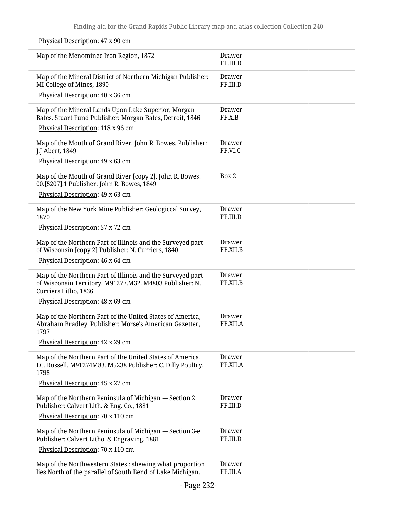Physical Description: 47 x 90 cm

| Map of the Menominee Iron Region, 1872                                                                                                        | Drawer<br>FF.III.D        |
|-----------------------------------------------------------------------------------------------------------------------------------------------|---------------------------|
| Map of the Mineral District of Northern Michigan Publisher:<br>MI College of Mines, 1890                                                      | Drawer<br>FF.III.D        |
| Physical Description: 40 x 36 cm                                                                                                              |                           |
| Map of the Mineral Lands Upon Lake Superior, Morgan<br>Bates. Stuart Fund Publisher: Morgan Bates, Detroit, 1846                              | <b>Drawer</b><br>FF.X.B   |
| Physical Description: 118 x 96 cm                                                                                                             |                           |
| Map of the Mouth of Grand River, John R. Bowes. Publisher:<br>J.J Abert, 1849                                                                 | <b>Drawer</b><br>FF.VI.C  |
| Physical Description: 49 x 63 cm                                                                                                              |                           |
| Map of the Mouth of Grand River [copy 2], John R. Bowes.<br>00.[5207].1 Publisher: John R. Bowes, 1849<br>Physical Description: 49 x 63 cm    | Box 2                     |
| Map of the New York Mine Publisher: Geologiccal Survey,<br>1870                                                                               | Drawer<br>FF.III.D        |
| Physical Description: 57 x 72 cm                                                                                                              |                           |
| Map of the Northern Part of Illinois and the Surveyed part<br>of Wisconsin [copy 2] Publisher: N. Curriers, 1840                              | <b>Drawer</b><br>FF.XII.B |
| Physical Description: 46 x 64 cm                                                                                                              |                           |
| Map of the Northern Part of Illinois and the Surveyed part<br>of Wisconsin Territory, M91277.M32. M4803 Publisher: N.<br>Curriers Litho, 1836 | <b>Drawer</b><br>FF.XII.B |
| Physical Description: 48 x 69 cm                                                                                                              |                           |
| Map of the Northern Part of the United States of America,<br>Abraham Bradley. Publisher: Morse's American Gazetter,<br>1797                   | <b>Drawer</b><br>FF.XII.A |
| Physical Description: 42 x 29 cm                                                                                                              |                           |
| Map of the Northern Part of the United States of America,<br>I.C. Russell. M91274M83. M5238 Publisher: C. Dilly Poultry,<br>1798              | <b>Drawer</b><br>FF.XII.A |
| Physical Description: 45 x 27 cm                                                                                                              |                           |
| Map of the Northern Peninsula of Michigan --- Section 2<br>Publisher: Calvert Lith. & Eng. Co., 1881                                          | <b>Drawer</b><br>FF.III.D |
| Physical Description: 70 x 110 cm                                                                                                             |                           |
| Map of the Northern Peninsula of Michigan --- Section 3-e<br>Publisher: Calvert Litho. & Engraving, 1881                                      | <b>Drawer</b><br>FF.III.D |
| Physical Description: 70 x 110 cm                                                                                                             |                           |
| Map of the Northwestern States : shewing what proportion<br>lies North of the parallel of South Bend of Lake Michigan.                        | <b>Drawer</b><br>FF.III.A |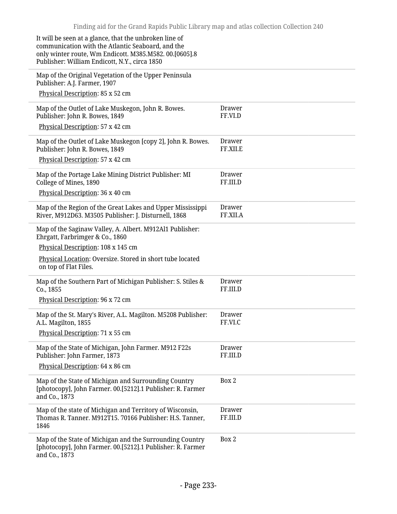| It will be seen at a glance, that the unbroken line of<br>communication with the Atlantic Seaboard, and the<br>only winter route, Wm Endicott. M385.M582. 00.[0605].8<br>Publisher: William Endicott, N.Y., circa 1850 |                           |
|------------------------------------------------------------------------------------------------------------------------------------------------------------------------------------------------------------------------|---------------------------|
| Map of the Original Vegetation of the Upper Peninsula<br>Publisher: A.J. Farmer, 1907                                                                                                                                  |                           |
| Physical Description: 85 x 52 cm                                                                                                                                                                                       |                           |
| Map of the Outlet of Lake Muskegon, John R. Bowes.<br>Publisher: John R. Bowes, 1849                                                                                                                                   | Drawer<br>FF.VI.D         |
| Physical Description: 57 x 42 cm                                                                                                                                                                                       |                           |
| Map of the Outlet of Lake Muskegon [copy 2], John R. Bowes.<br>Publisher: John R. Bowes, 1849                                                                                                                          | Drawer<br>FF.XII.E        |
| Physical Description: 57 x 42 cm                                                                                                                                                                                       |                           |
| Map of the Portage Lake Mining District Publisher: MI<br>College of Mines, 1890                                                                                                                                        | <b>Drawer</b><br>FF.III.D |
| Physical Description: 36 x 40 cm                                                                                                                                                                                       |                           |
| Map of the Region of the Great Lakes and Upper Mississippi<br>River, M912D63. M3505 Publisher: J. Disturnell, 1868                                                                                                     | <b>Drawer</b><br>FF.XII.A |
| Map of the Saginaw Valley, A. Albert. M912Al1 Publisher:<br>Ehrgatt, Farbrimger & Co., 1860                                                                                                                            |                           |
| Physical Description: 108 x 145 cm                                                                                                                                                                                     |                           |
| Physical Location: Oversize. Stored in short tube located<br>on top of Flat Files.                                                                                                                                     |                           |
| Map of the Southern Part of Michigan Publisher: S. Stiles &<br>Co., 1855                                                                                                                                               | Drawer<br>FF.III.D        |
| Physical Description: 96 x 72 cm                                                                                                                                                                                       |                           |
| Map of the St. Mary's River, A.L. Magilton. M5208 Publisher:<br>A.L. Magilton, 1855                                                                                                                                    | Drawer<br>FF.VI.C         |
| Physical Description: 71 x 55 cm                                                                                                                                                                                       |                           |
| Map of the State of Michigan, John Farmer. M912 F22s<br>Publisher: John Farmer, 1873                                                                                                                                   | <b>Drawer</b><br>FF.III.D |
| Physical Description: 64 x 86 cm                                                                                                                                                                                       |                           |
| Map of the State of Michigan and Surrounding Country<br>[photocopy], John Farmer. 00.[5212].1 Publisher: R. Farmer<br>and Co., 1873                                                                                    | Box 2                     |
| Map of the state of Michigan and Territory of Wisconsin,<br>Thomas R. Tanner. M912T15. 70166 Publisher: H.S. Tanner,<br>1846                                                                                           | Drawer<br>FF.III.D        |
| Map of the State of Michigan and the Surrounding Country<br>[photocopy], John Farmer. 00.[5212].1 Publisher: R. Farmer<br>and Co., 1873                                                                                | Box 2                     |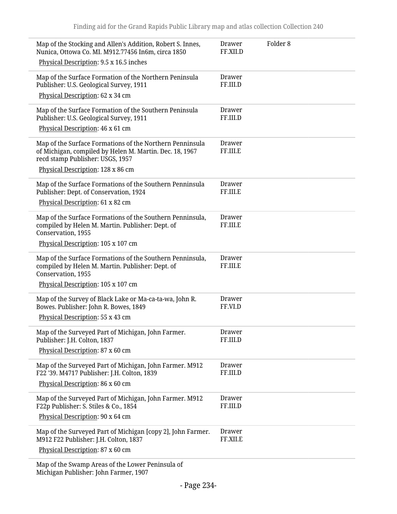| Map of the Stocking and Allen's Addition, Robert S. Innes,<br>Nunica, Ottowa Co. MI. M912.77456 In6m, circa 1850<br>Physical Description: 9.5 x 16.5 inches                                  | Drawer<br>FF.XII.D        | Folder <sub>8</sub> |
|----------------------------------------------------------------------------------------------------------------------------------------------------------------------------------------------|---------------------------|---------------------|
| Map of the Surface Formation of the Northern Peninsula<br>Publisher: U.S. Geological Survey, 1911<br>Physical Description: 62 x 34 cm                                                        | Drawer<br>FF.III.D        |                     |
| Map of the Surface Formation of the Southern Peninsula<br>Publisher: U.S. Geological Survey, 1911<br>Physical Description: 46 x 61 cm                                                        | <b>Drawer</b><br>FF.III.D |                     |
| Map of the Surface Formations of the Northern Penninsula<br>of Michigan, compiled by Helen M. Martin. Dec. 18, 1967<br>recd stamp Publisher: USGS, 1957<br>Physical Description: 128 x 86 cm | Drawer<br>FF.III.E        |                     |
| Map of the Surface Formations of the Southern Penninsula<br>Publisher: Dept. of Conservation, 1924<br>Physical Description: 61 x 82 cm                                                       | Drawer<br>FF.III.E        |                     |
| Map of the Surface Formations of the Southern Penninsula,<br>compiled by Helen M. Martin. Publisher: Dept. of<br>Conservation, 1955<br>Physical Description: 105 x 107 cm                    | <b>Drawer</b><br>FF.III.E |                     |
| Map of the Surface Formations of the Southern Penninsula,<br>compiled by Helen M. Martin. Publisher: Dept. of<br>Conservation, 1955<br>Physical Description: 105 x 107 cm                    | Drawer<br>FF.III.E        |                     |
| Map of the Survey of Black Lake or Ma-ca-ta-wa, John R.<br>Bowes. Publisher: John R. Bowes, 1849<br>Physical Description: 55 x 43 cm                                                         | Drawer<br>FF.VI.D         |                     |
| Map of the Surveyed Part of Michigan, John Farmer.<br>Publisher: J.H. Colton, 1837<br>Physical Description: 87 x 60 cm                                                                       | Drawer<br>FF.III.D        |                     |
| Map of the Surveyed Part of Michigan, John Farmer. M912<br>F22 '39. M4717 Publisher: J.H. Colton, 1839<br>Physical Description: 86 x 60 cm                                                   | <b>Drawer</b><br>FF.III.D |                     |
| Map of the Surveyed Part of Michigan, John Farmer. M912<br>F22p Publisher: S. Stiles & Co., 1854<br>Physical Description: 90 x 64 cm                                                         | <b>Drawer</b><br>FF.III.D |                     |
| Map of the Surveyed Part of Michigan [copy 2], John Farmer.<br>M912 F22 Publisher: J.H. Colton, 1837<br>Physical Description: 87 x 60 cm                                                     | <b>Drawer</b><br>FF.XII.E |                     |
| Map of the Swamp Areas of the Lower Peninsula of<br>Michigan Publisher: John Farmer, 1907                                                                                                    |                           |                     |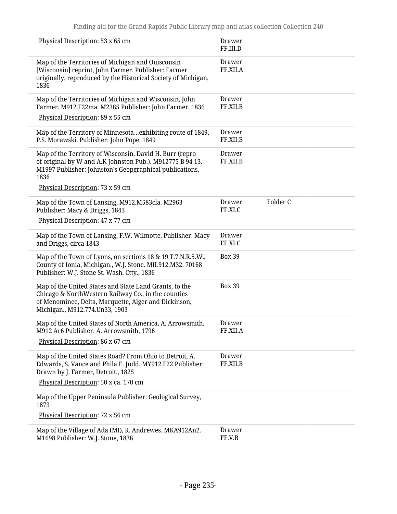| Physical Description: 53 x 65 cm                                                                                                                                                                                            | <b>Drawer</b><br>FF.III.D |          |
|-----------------------------------------------------------------------------------------------------------------------------------------------------------------------------------------------------------------------------|---------------------------|----------|
| Map of the Territories of Michigan and Ouisconsin<br>[Wisconsin] reprint, John Farmer. Publisher: Farmer<br>originally, reproduced by the Historical Society of Michigan,<br>1836                                           | <b>Drawer</b><br>FF.XII.A |          |
| Map of the Territories of Michigan and Wisconsin, John<br>Farmer. M912.F22ma. M2385 Publisher: John Farmer, 1836<br>Physical Description: 89 x 55 cm                                                                        | <b>Drawer</b><br>FF.XII.B |          |
| Map of the Territory of Minnesotaexhibiting route of 1849,<br>P.S. Morawski. Publisher: John Pope, 1849                                                                                                                     | <b>Drawer</b><br>FF.XII.B |          |
| Map of the Territory of Wisconsin, David H. Burr (repro<br>of original by W and A.K Johnston Pub.). M912775 B 94 13.<br>M1997 Publisher: Johnston's Geopgraphical publications,<br>1836<br>Physical Description: 73 x 59 cm | <b>Drawer</b><br>FF.XII.B |          |
| Map of the Town of Lansing, M912.M583cla. M2963<br>Publisher: Macy & Driggs, 1843<br>Physical Description: 47 x 77 cm                                                                                                       | <b>Drawer</b><br>FF.XI.C  | Folder C |
| Map of the Town of Lansing, F.W. Wilmotte. Publisher: Macy<br>and Driggs, circa 1843                                                                                                                                        | <b>Drawer</b><br>FF.XI.C  |          |
| Map of the Town of Lyons, on sections 18 & 19 T.7.N.R.5.W.,<br>County of Ionia, Michigan., W.J. Stone. MIL912.M32. 70168<br>Publisher: W.J. Stone St. Wash. Ctty., 1836                                                     | <b>Box 39</b>             |          |
| Map of the United States and State Land Grants, to the<br>Chicago & NorthWestern Railway Co., in the counties<br>of Menominee, Delta, Marquette, Alger and Dickinson,<br>Michigan., M912.774.Un33, 1903                     | <b>Box 39</b>             |          |
| Map of the United States of North America, A. Arrowsmith.<br>M912 Ar6 Publisher: A. Arrowsmith, 1796<br>Physical Description: 86 x 67 cm                                                                                    | Drawer<br>FF.XII.A        |          |
| Map of the United States Road? From Ohio to Detroit, A.<br>Edwards, S. Vance and Phila E. Judd. MY912.F22 Publisher:<br>Drawn by J. Farmer, Detroit., 1825<br>Physical Description: 50 x ca. 170 cm                         | <b>Drawer</b><br>FF.XII.B |          |
| Map of the Upper Peninsula Publisher: Geological Survey,<br>1873<br>Physical Description: 72 x 56 cm                                                                                                                        |                           |          |
| Map of the Village of Ada (MI), R. Andrewes. MKA912An2.<br>M1698 Publisher: W.J. Stone, 1836                                                                                                                                | <b>Drawer</b><br>FF.V.B   |          |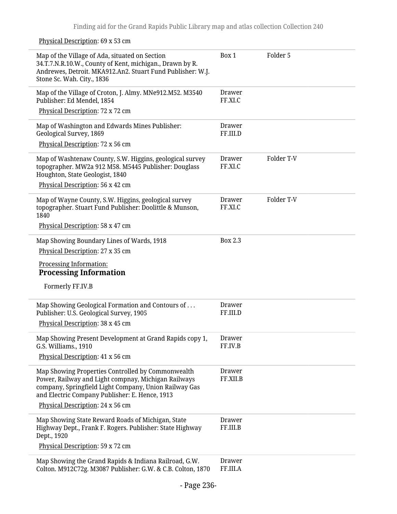Physical Description: 69 x 53 cm

| Map of the Village of Ada, situated on Section<br>34.T.7.N.R.10.W., County of Kent, michigan., Drawn by R.<br>Andrewes, Detroit. MKA912.An2. Stuart Fund Publisher: W.J.<br>Stone Sc. Wah. City., 1836              | Box 1                     | Folder 5   |
|---------------------------------------------------------------------------------------------------------------------------------------------------------------------------------------------------------------------|---------------------------|------------|
| Map of the Village of Croton, J. Almy. MNe912.M52. M3540<br>Publisher: Ed Mendel, 1854                                                                                                                              | <b>Drawer</b><br>FF.XI.C  |            |
| Physical Description: 72 x 72 cm                                                                                                                                                                                    |                           |            |
| Map of Washington and Edwards Mines Publisher:<br>Geological Survey, 1869                                                                                                                                           | <b>Drawer</b><br>FF.III.D |            |
| Physical Description: 72 x 56 cm                                                                                                                                                                                    |                           |            |
| Map of Washtenaw County, S.W. Higgins, geological survey<br>topographer. MW2a 912 M58. M5445 Publisher: Douglass<br>Houghton, State Geologist, 1840                                                                 | Drawer<br>FF.XI.C         | Folder T-V |
| Physical Description: 56 x 42 cm                                                                                                                                                                                    |                           |            |
| Map of Wayne County, S.W. Higgins, geological survey<br>topographer. Stuart Fund Publisher: Doolittle & Munson,<br>1840                                                                                             | <b>Drawer</b><br>FF.XI.C  | Folder T-V |
| Physical Description: 58 x 47 cm                                                                                                                                                                                    |                           |            |
| Map Showing Boundary Lines of Wards, 1918                                                                                                                                                                           | <b>Box 2.3</b>            |            |
| Physical Description: 27 x 35 cm                                                                                                                                                                                    |                           |            |
|                                                                                                                                                                                                                     |                           |            |
| Processing Information:<br><b>Processing Information</b>                                                                                                                                                            |                           |            |
| Formerly FF.IV.B                                                                                                                                                                                                    |                           |            |
| Map Showing Geological Formation and Contours of<br>Publisher: U.S. Geological Survey, 1905                                                                                                                         | Drawer<br>FF.III.D        |            |
| Physical Description: 38 x 45 cm                                                                                                                                                                                    |                           |            |
| Map Showing Present Development at Grand Rapids copy 1,<br>G.S. Williams., 1910                                                                                                                                     | Drawer<br>FF.IV.B         |            |
| Physical Description: 41 x 56 cm                                                                                                                                                                                    |                           |            |
| Map Showing Properties Controlled by Commonwealth<br>Power, Railway and Light compnay, Michigan Railways<br>company, Springfield Light Company, Union Railway Gas<br>and Electric Company Publisher: E. Hence, 1913 | Drawer<br>FF.XII.B        |            |
| Physical Description: 24 x 56 cm                                                                                                                                                                                    |                           |            |
| Map Showing State Reward Roads of Michigan, State<br>Highway Dept., Frank F. Rogers. Publisher: State Highway<br>Dept., 1920                                                                                        | <b>Drawer</b><br>FF.III.B |            |
| Physical Description: 59 x 72 cm                                                                                                                                                                                    |                           |            |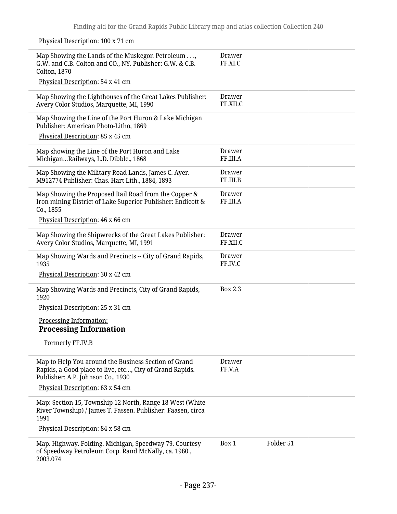Physical Description: 100 x 71 cm Map Showing the Lands of the Muskegon Petroleum . . ., G.W. and C.B. Colton and CO., NY. Publisher: G.W. & C.B. Colton, 1870 Physical Description: 54 x 41 cm Drawer FF.XI.C Map Showing the Lighthouses of the Great Lakes Publisher: Avery Color Studios, Marquette, MI, 1990 Drawer FF.XII.C Map Showing the Line of the Port Huron & Lake Michigan Publisher: American Photo-Litho, 1869 Physical Description: 85 x 45 cm Map showing the Line of the Port Huron and Lake Michigan…Railways, L.D. Dibble., 1868 Drawer FF.III.A Map Showing the Military Road Lands, James C. Ayer. M912774 Publisher: Chas. Hart Lith., 1884, 1893 Drawer FF.III.B Map Showing the Proposed Rail Road from the Copper & Iron mining District of Lake Superior Publisher: Endicott & Co., 1855 Physical Description: 46 x 66 cm Drawer FF.III.A Map Showing the Shipwrecks of the Great Lakes Publisher: Avery Color Studios, Marquette, MI, 1991 Drawer FF.XII.C Map Showing Wards and Precincts -- City of Grand Rapids, 1935 Physical Description: 30 x 42 cm Drawer FF.IV.C Map Showing Wards and Precincts, City of Grand Rapids, 1920 Physical Description: 25 x 31 cm Processing Information: **Processing Information** Formerly FF.IV.B Box 2.3 Map to Help You around the Business Section of Grand Rapids, a Good place to live, etc…, City of Grand Rapids. Publisher: A.P. Johnson Co., 1930 Physical Description: 63 x 54 cm Drawer FF.V.A Map: Section 15, Township 12 North, Range 18 West (White River Township) / James T. Fassen. Publisher: Faasen, circa 1991 Physical Description: 84 x 58 cm Map. Highway. Folding. Michigan, Speedway 79. Courtesy of Speedway Petroleum Corp. Rand McNally, ca. 1960., 2003.074 Box 1 Folder 51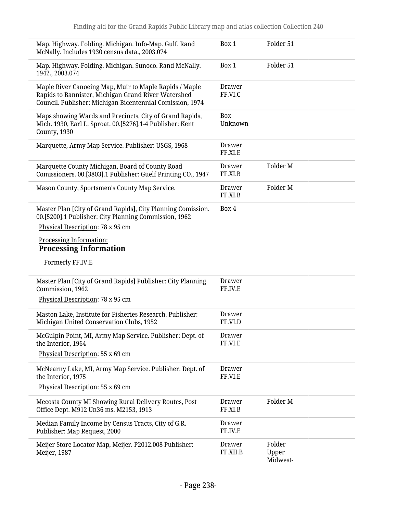| Map. Highway. Folding. Michigan. Info-Map. Gulf. Rand<br>McNally. Includes 1930 census data., 2003.074                                                                     | Box 1                     | Folder 51           |
|----------------------------------------------------------------------------------------------------------------------------------------------------------------------------|---------------------------|---------------------|
| Map. Highway. Folding. Michigan. Sunoco. Rand McNally.<br>1942., 2003.074                                                                                                  | Box 1                     | Folder 51           |
| Maple River Canoeing Map, Muir to Maple Rapids / Maple<br>Rapids to Bannister, Michigan Grand River Watershed<br>Council. Publisher: Michigan Bicentennial Comission, 1974 | Drawer<br>FF.VI.C         |                     |
| Maps showing Wards and Precincts, City of Grand Rapids,<br>Mich. 1930, Earl L. Sproat. 00.[5276].1-4 Publisher: Kent<br>County, 1930                                       | Box<br>Unknown            |                     |
| Marquette, Army Map Service. Publisher: USGS, 1968                                                                                                                         | Drawer<br>FF.XI.E         |                     |
| Marquette County Michigan, Board of County Road<br>Comissioners. 00.[3803].1 Publisher: Guelf Printing CO., 1947                                                           | <b>Drawer</b><br>FF.XI.B  | Folder M            |
| Mason County, Sportsmen's County Map Service.                                                                                                                              | Drawer<br>FF.XI.B         | Folder M            |
| Master Plan [City of Grand Rapids], City Planning Comission.<br>00.[5200].1 Publisher: City Planning Commission, 1962<br>Physical Description: 78 x 95 cm                  | Box 4                     |                     |
| <b>Processing Information:</b><br><b>Processing Information</b>                                                                                                            |                           |                     |
| Formerly FF.IV.E                                                                                                                                                           |                           |                     |
| Master Plan [City of Grand Rapids] Publisher: City Planning<br>Commission, 1962                                                                                            | Drawer<br>FF.IV.E         |                     |
| Physical Description: 78 x 95 cm                                                                                                                                           |                           |                     |
| Maston Lake, Institute for Fisheries Research. Publisher:<br>Michigan United Conservation Clubs, 1952                                                                      | Drawer<br>FF.VI.D         |                     |
| McGulpin Point, MI, Army Map Service. Publisher: Dept. of<br>the Interior, 1964                                                                                            | Drawer<br>FF.VI.E         |                     |
| Physical Description: 55 x 69 cm                                                                                                                                           |                           |                     |
| McNearny Lake, MI, Army Map Service. Publisher: Dept. of<br>the Interior, 1975                                                                                             | Drawer<br>FF.VI.E         |                     |
| Physical Description: 55 x 69 cm                                                                                                                                           |                           |                     |
| Mecosta County MI Showing Rural Delivery Routes, Post<br>Office Dept. M912 Un36 ms. M2153, 1913                                                                            | <b>Drawer</b><br>FF.XI.B  | Folder <sub>M</sub> |
| Median Family Income by Census Tracts, City of G.R.<br>Publisher: Map Request, 2000                                                                                        | Drawer<br>FF.IV.E         |                     |
| Meijer Store Locator Map, Meijer. P2012.008 Publisher:<br>Meijer, 1987                                                                                                     | <b>Drawer</b><br>FF.XII.B | Folder<br>Upper     |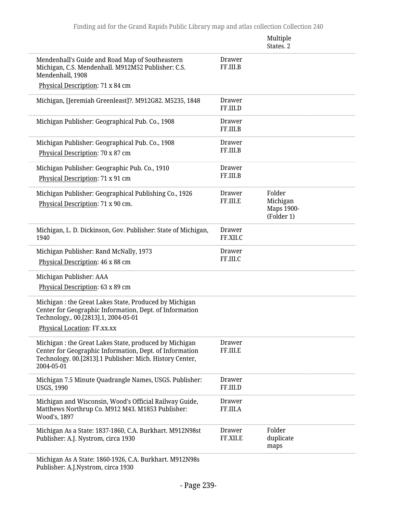|                                                                                                                                                                                             |                           | Multiple<br>States. 2                          |
|---------------------------------------------------------------------------------------------------------------------------------------------------------------------------------------------|---------------------------|------------------------------------------------|
| Mendenhall's Guide and Road Map of Southeastern<br>Michigan, C.S. Mendenhall. M912M52 Publisher: C.S.<br>Mendenhall, 1908                                                                   | <b>Drawer</b><br>FF.III.B |                                                |
| Physical Description: 71 x 84 cm                                                                                                                                                            |                           |                                                |
| Michigan, [Jeremiah Greenleast]?. M912G82. M5235, 1848                                                                                                                                      | <b>Drawer</b><br>FF.III.D |                                                |
| Michigan Publisher: Geographical Pub. Co., 1908                                                                                                                                             | <b>Drawer</b><br>FF.III.B |                                                |
| Michigan Publisher: Geographical Pub. Co., 1908<br>Physical Description: 70 x 87 cm                                                                                                         | Drawer<br>FF.III.B        |                                                |
| Michigan Publisher: Geographic Pub. Co., 1910<br>Physical Description: 71 x 91 cm                                                                                                           | <b>Drawer</b><br>FF.III.B |                                                |
| Michigan Publisher: Geographical Publishing Co., 1926<br>Physical Description: 71 x 90 cm.                                                                                                  | <b>Drawer</b><br>FF.III.E | Folder<br>Michigan<br>Maps 1900-<br>(Folder 1) |
| Michigan, L. D. Dickinson, Gov. Publisher: State of Michigan,<br>1940                                                                                                                       | <b>Drawer</b><br>FF.XII.C |                                                |
| Michigan Publisher: Rand McNally, 1973<br>Physical Description: 46 x 88 cm                                                                                                                  | <b>Drawer</b><br>FF.III.C |                                                |
| Michigan Publisher: AAA                                                                                                                                                                     |                           |                                                |
| Physical Description: 63 x 89 cm                                                                                                                                                            |                           |                                                |
| Michigan : the Great Lakes State, Produced by Michigan<br>Center for Geographic Information, Dept. of Information<br>Technology,. 00.[2813].1, 2004-05-01                                   |                           |                                                |
| Physical Location: FF.xx.xx                                                                                                                                                                 |                           |                                                |
| Michigan : the Great Lakes State, produced by Michigan<br>Center for Geographic Information, Dept. of Information<br>Technology. 00.[2813].1 Publisher: Mich. History Center,<br>2004-05-01 | <b>Drawer</b><br>FF.III.E |                                                |
| Michigan 7.5 Minute Quadrangle Names, USGS. Publisher:<br><b>USGS, 1990</b>                                                                                                                 | <b>Drawer</b><br>FF.III.D |                                                |
| Michigan and Wisconsin, Wood's Official Railway Guide,<br>Matthews Northrup Co. M912 M43. M1853 Publisher:<br>Wood's, 1897                                                                  | <b>Drawer</b><br>FF.III.A |                                                |
| Michigan As a State: 1837-1860, C.A. Burkhart. M912N98st<br>Publisher: A.J. Nystrom, circa 1930                                                                                             | <b>Drawer</b><br>FF.XII.E | Folder<br>duplicate<br>maps                    |
| Michigan As A State: 1860-1926, C.A. Burkhart. M912N98s                                                                                                                                     |                           |                                                |

Publisher: A.J.Nystrom, circa 1930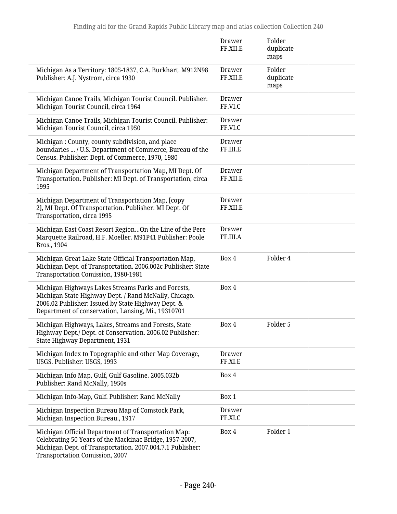|                                                                                                                                                                                                                         | Drawer<br>FF.XII.E        | Folder<br>duplicate<br>maps |
|-------------------------------------------------------------------------------------------------------------------------------------------------------------------------------------------------------------------------|---------------------------|-----------------------------|
| Michigan As a Territory: 1805-1837, C.A. Burkhart. M912N98<br>Publisher: A.J. Nystrom, circa 1930                                                                                                                       | Drawer<br>FF.XII.E        | Folder<br>duplicate<br>maps |
| Michigan Canoe Trails, Michigan Tourist Council. Publisher:<br>Michigan Tourist Council, circa 1964                                                                                                                     | Drawer<br>FF.VI.C         |                             |
| Michigan Canoe Trails, Michigan Tourist Council. Publisher:<br>Michigan Tourist Council, circa 1950                                                                                                                     | Drawer<br>FF.VI.C         |                             |
| Michigan: County, county subdivision, and place<br>boundaries  / U.S. Department of Commerce, Bureau of the<br>Census. Publisher: Dept. of Commerce, 1970, 1980                                                         | <b>Drawer</b><br>FF.III.E |                             |
| Michigan Department of Transportation Map, MI Dept. Of<br>Transportation. Publisher: MI Dept. of Transportation, circa<br>1995                                                                                          | <b>Drawer</b><br>FF.XII.E |                             |
| Michigan Department of Transportation Map, [copy<br>2], MI Dept. Of Transportation. Publisher: MI Dept. Of<br>Transportation, circa 1995                                                                                | Drawer<br>FF.XII.E        |                             |
| Michigan East Coast Resort RegionOn the Line of the Pere<br>Marquette Railroad, H.F. Moeller. M91P41 Publisher: Poole<br>Bros., 1904                                                                                    | <b>Drawer</b><br>FF.III.A |                             |
| Michigan Great Lake State Official Transportation Map,<br>Michigan Dept. of Transportation. 2006.002c Publisher: State<br>Transportation Comission, 1980-1981                                                           | Box 4                     | Folder 4                    |
| Michigan Highways Lakes Streams Parks and Forests,<br>Michigan State Highway Dept. / Rand McNally, Chicago.<br>2006.02 Publisher: Issued by State Highway Dept. &<br>Department of conservation, Lansing, Mi., 19310701 | Box 4                     |                             |
| Michigan Highways, Lakes, Streams and Forests, State<br>Highway Dept./ Dept. of Conservation. 2006.02 Publisher:<br>State Highway Department, 1931                                                                      | Box 4                     | Folder 5                    |
| Michigan Index to Topographic and other Map Coverage,<br>USGS. Publisher: USGS, 1993                                                                                                                                    | <b>Drawer</b><br>FF.XI.E  |                             |
| Michigan Info Map, Gulf, Gulf Gasoline. 2005.032b<br>Publisher: Rand McNally, 1950s                                                                                                                                     | Box 4                     |                             |
| Michigan Info-Map, Gulf. Publisher: Rand McNally                                                                                                                                                                        | Box 1                     |                             |
| Michigan Inspection Bureau Map of Comstock Park,<br>Michigan Inspection Bureau., 1917                                                                                                                                   | Drawer<br>FF.XI.C         |                             |
| Michigan Official Department of Transportation Map:<br>Celebrating 50 Years of the Mackinac Bridge, 1957-2007,<br>Michigan Dept. of Transportation. 2007.004.7.1 Publisher:<br><b>Transportation Comission, 2007</b>    | Box 4                     | Folder 1                    |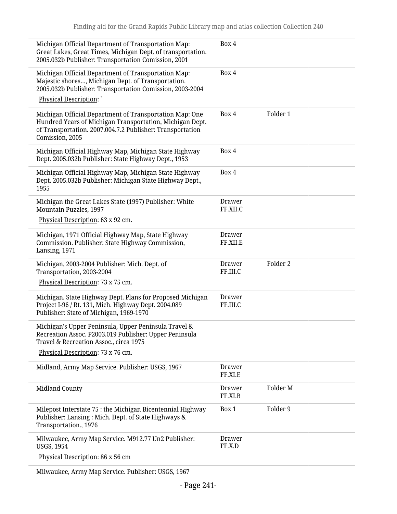| Michigan Official Department of Transportation Map:<br>Great Lakes, Great Times, Michigan Dept. of transportation.<br>2005.032b Publisher: Transportation Comission, 2001                           | Box 4                     |          |
|-----------------------------------------------------------------------------------------------------------------------------------------------------------------------------------------------------|---------------------------|----------|
| Michigan Official Department of Transportation Map:<br>Majestic shores, Michigan Dept. of Transportation.<br>2005.032b Publisher: Transportation Comission, 2003-2004                               | Box 4                     |          |
| Physical Description:                                                                                                                                                                               |                           |          |
| Michigan Official Department of Transportation Map: One<br>Hundred Years of Michigan Transportation, Michigan Dept.<br>of Transportation. 2007.004.7.2 Publisher: Transportation<br>Comission, 2005 | Box 4                     | Folder 1 |
| Michigan Official Highway Map, Michigan State Highway<br>Dept. 2005.032b Publisher: State Highway Dept., 1953                                                                                       | Box 4                     |          |
| Michigan Official Highway Map, Michigan State Highway<br>Dept. 2005.032b Publisher: Michigan State Highway Dept.,<br>1955                                                                           | Box 4                     |          |
| Michigan the Great Lakes State (1997) Publisher: White<br>Mountain Puzzles, 1997<br>Physical Description: 63 x 92 cm.                                                                               | Drawer<br>FF.XII.C        |          |
| Michigan, 1971 Official Highway Map, State Highway<br>Commission. Publisher: State Highway Commission,<br>Lansing, 1971                                                                             | Drawer<br>FF.XII.E        |          |
| Michigan, 2003-2004 Publisher: Mich. Dept. of<br>Transportation, 2003-2004<br>Physical Description: 73 x 75 cm.                                                                                     | <b>Drawer</b><br>FF.III.C | Folder 2 |
| Michigan. State Highway Dept. Plans for Proposed Michigan<br>Project I-96 / Rt. 131, Mich. Highway Dept. 2004.089<br>Publisher: State of Michigan, 1969-1970                                        | <b>Drawer</b><br>FF.III.C |          |
| Michigan's Upper Peninsula, Upper Peninsula Travel &<br>Recreation Assoc. P2003.019 Publisher: Upper Peninsula<br>Travel & Recreation Assoc., circa 1975                                            |                           |          |
| Physical Description: 73 x 76 cm.                                                                                                                                                                   |                           |          |
| Midland, Army Map Service. Publisher: USGS, 1967                                                                                                                                                    | <b>Drawer</b><br>FF.XI.E  |          |
| <b>Midland County</b>                                                                                                                                                                               | Drawer<br>FF.XI.B         | Folder M |
| Milepost Interstate 75 : the Michigan Bicentennial Highway<br>Publisher: Lansing: Mich. Dept. of State Highways &<br>Transportation., 1976                                                          | Box 1                     | Folder 9 |
| Milwaukee, Army Map Service. M912.77 Un2 Publisher:<br><b>USGS, 1954</b>                                                                                                                            | <b>Drawer</b><br>FF.X.D   |          |
| Physical Description: 86 x 56 cm                                                                                                                                                                    |                           |          |

Milwaukee, Army Map Service. Publisher: USGS, 1967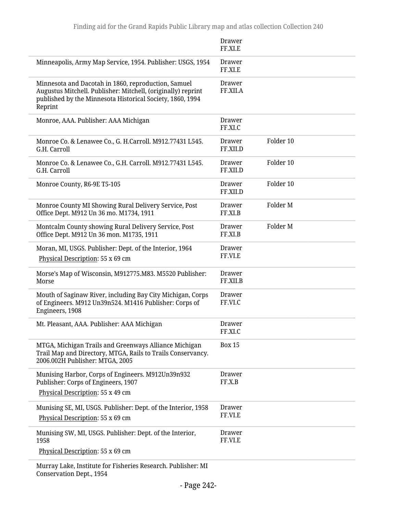|                                                                                                                                                                                             | Drawer<br>FF.XI.E         |           |
|---------------------------------------------------------------------------------------------------------------------------------------------------------------------------------------------|---------------------------|-----------|
| Minneapolis, Army Map Service, 1954. Publisher: USGS, 1954                                                                                                                                  | Drawer<br>FF.XI.E         |           |
| Minnesota and Dacotah in 1860, reproduction, Samuel<br>Augustus Mitchell. Publisher: Mitchell, (originally) reprint<br>published by the Minnesota Historical Society, 1860, 1994<br>Reprint | <b>Drawer</b><br>FF.XII.A |           |
| Monroe, AAA. Publisher: AAA Michigan                                                                                                                                                        | <b>Drawer</b><br>FF.XI.C  |           |
| Monroe Co. & Lenawee Co., G. H.Carroll. M912.77431 L545.<br>G.H. Carroll                                                                                                                    | <b>Drawer</b><br>FF.XII.D | Folder 10 |
| Monroe Co. & Lenawee Co., G.H. Carroll. M912.77431 L545.<br>G.H. Carroll                                                                                                                    | <b>Drawer</b><br>FF.XII.D | Folder 10 |
| Monroe County, R6-9E T5-105                                                                                                                                                                 | <b>Drawer</b><br>FF.XII.D | Folder 10 |
| Monroe County MI Showing Rural Delivery Service, Post<br>Office Dept. M912 Un 36 mo. M1734, 1911                                                                                            | Drawer<br>FF.XI.B         | Folder M  |
| Montcalm County showing Rural Delivery Service, Post<br>Office Dept. M912 Un 36 mon. M1735, 1911                                                                                            | <b>Drawer</b><br>FF.XI.B  | Folder M  |
| Moran, MI, USGS. Publisher: Dept. of the Interior, 1964<br>Physical Description: 55 x 69 cm                                                                                                 | Drawer<br>FF.VI.E         |           |
| Morse's Map of Wisconsin, M912775.M83. M5520 Publisher:<br>Morse                                                                                                                            | <b>Drawer</b><br>FF.XII.B |           |
| Mouth of Saginaw River, including Bay City Michigan, Corps<br>of Engineers. M912 Un39n524. M1416 Publisher: Corps of<br>Engineers, 1908                                                     | Drawer<br>FF.VI.C         |           |
| Mt. Pleasant, AAA. Publisher: AAA Michigan                                                                                                                                                  | Drawer<br>FF.XI.C         |           |
| MTGA, Michigan Trails and Greenways Alliance Michigan<br>Trail Map and Directory, MTGA, Rails to Trails Conservancy.<br>2006.002H Publisher: MTGA, 2005                                     | <b>Box 15</b>             |           |
| Munising Harbor, Corps of Engineers. M912Un39n932<br>Publisher: Corps of Engineers, 1907<br>Physical Description: 55 x 49 cm                                                                | <b>Drawer</b><br>FF.X.B   |           |
| Munising SE, MI, USGS. Publisher: Dept. of the Interior, 1958<br>Physical Description: 55 x 69 cm                                                                                           | <b>Drawer</b><br>FF.VI.E  |           |
| Munising SW, MI, USGS. Publisher: Dept. of the Interior,<br>1958                                                                                                                            | <b>Drawer</b><br>FF.VI.E  |           |
| Physical Description: 55 x 69 cm                                                                                                                                                            |                           |           |
| Murray Lake, Institute for Fisheries Research. Publisher: MI                                                                                                                                |                           |           |

Conservation Dept., 1954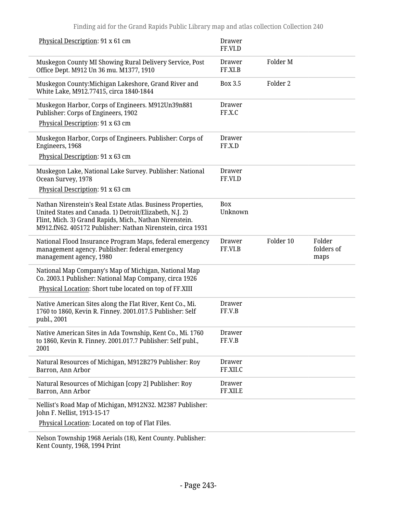| Physical Description: 91 x 61 cm                                                                                                                                                                                                                | <b>Drawer</b><br>FF.VI.D  |                     |                              |
|-------------------------------------------------------------------------------------------------------------------------------------------------------------------------------------------------------------------------------------------------|---------------------------|---------------------|------------------------------|
| Muskegon County MI Showing Rural Delivery Service, Post<br>Office Dept. M912 Un 36 mu. M1377, 1910                                                                                                                                              | Drawer<br>FF.XI.B         | Folder <sub>M</sub> |                              |
| Muskegon County: Michigan Lakeshore, Grand River and<br>White Lake, M912.77415, circa 1840-1844                                                                                                                                                 | <b>Box 3.5</b>            | Folder 2            |                              |
| Muskegon Harbor, Corps of Engineers. M912Un39n881<br>Publisher: Corps of Engineers, 1902<br>Physical Description: 91 x 63 cm                                                                                                                    | Drawer<br>FF.X.C          |                     |                              |
| Muskegon Harbor, Corps of Engineers. Publisher: Corps of<br>Engineers, 1968<br>Physical Description: 91 x 63 cm                                                                                                                                 | <b>Drawer</b><br>FF.X.D   |                     |                              |
| Muskegon Lake, National Lake Survey. Publisher: National<br>Ocean Survey, 1978<br>Physical Description: 91 x 63 cm                                                                                                                              | <b>Drawer</b><br>FF.VI.D  |                     |                              |
| Nathan Nirenstein's Real Estate Atlas. Business Properties,<br>United States and Canada. 1) Detroit/Elizabeth, N.J. 2)<br>Flint, Mich. 3) Grand Rapids, Mich., Nathan Nirenstein.<br>M912.fN62. 405172 Publisher: Nathan Nirenstein, circa 1931 | Box<br>Unknown            |                     |                              |
| National Flood Insurance Program Maps, federal emergency<br>management agency. Publisher: federal emergency                                                                                                                                     | <b>Drawer</b><br>FF.VI.B  | Folder 10           | Folder<br>folders of<br>maps |
| management agency, 1980                                                                                                                                                                                                                         |                           |                     |                              |
| National Map Company's Map of Michigan, National Map<br>Co. 2003.1 Publisher: National Map Company, circa 1926<br>Physical Location: Short tube located on top of FF.XIII                                                                       |                           |                     |                              |
| Native American Sites along the Flat River, Kent Co., Mi.<br>1760 to 1860, Kevin R. Finney. 2001.017.5 Publisher: Self<br>publ., 2001                                                                                                           | Drawer<br>FF.V.B          |                     |                              |
| Native American Sites in Ada Township, Kent Co., Mi. 1760<br>to 1860, Kevin R. Finney. 2001.017.7 Publisher: Self publ.,<br>2001                                                                                                                | <b>Drawer</b><br>FF.V.B   |                     |                              |
| Natural Resources of Michigan, M912B279 Publisher: Roy<br>Barron, Ann Arbor                                                                                                                                                                     | Drawer<br>FF.XII.C        |                     |                              |
| Natural Resources of Michigan [copy 2] Publisher: Roy<br>Barron, Ann Arbor                                                                                                                                                                      | <b>Drawer</b><br>FF.XII.E |                     |                              |
| Nellist's Road Map of Michigan, M912N32. M2387 Publisher:<br>John F. Nellist, 1913-15-17                                                                                                                                                        |                           |                     |                              |
| Physical Location: Located on top of Flat Files.                                                                                                                                                                                                |                           |                     |                              |

Kent County, 1968, 1994 Print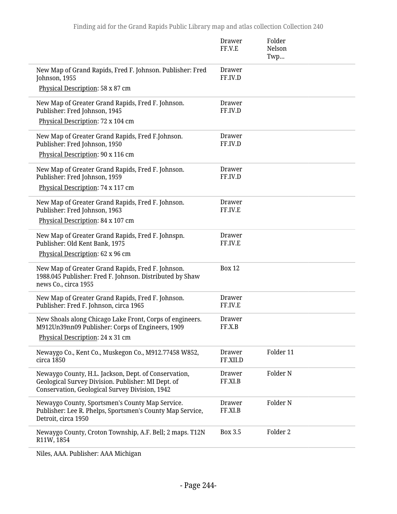|                                                                                                                                                              | Drawer<br>FF.V.E         | Folder<br>Nelson<br>Twp |  |
|--------------------------------------------------------------------------------------------------------------------------------------------------------------|--------------------------|-------------------------|--|
| New Map of Grand Rapids, Fred F. Johnson. Publisher: Fred<br>Johnson, 1955                                                                                   | Drawer<br>FF.IV.D        |                         |  |
| Physical Description: 58 x 87 cm                                                                                                                             |                          |                         |  |
| New Map of Greater Grand Rapids, Fred F. Johnson.<br>Publisher: Fred Johnson, 1945                                                                           | <b>Drawer</b><br>FF.IV.D |                         |  |
| Physical Description: 72 x 104 cm                                                                                                                            |                          |                         |  |
| New Map of Greater Grand Rapids, Fred F.Johnson.<br>Publisher: Fred Johnson, 1950                                                                            | <b>Drawer</b><br>FF.IV.D |                         |  |
| Physical Description: 90 x 116 cm                                                                                                                            |                          |                         |  |
| New Map of Greater Grand Rapids, Fred F. Johnson.<br>Publisher: Fred Johnson, 1959                                                                           | <b>Drawer</b><br>FF.IV.D |                         |  |
| Physical Description: 74 x 117 cm                                                                                                                            |                          |                         |  |
| New Map of Greater Grand Rapids, Fred F. Johnson.<br>Publisher: Fred Johnson, 1963                                                                           | <b>Drawer</b><br>FF.IV.E |                         |  |
| Physical Description: 84 x 107 cm                                                                                                                            |                          |                         |  |
| New Map of Greater Grand Rapids, Fred F. Johnspn.<br>Publisher: Old Kent Bank, 1975                                                                          | <b>Drawer</b><br>FF.IV.E |                         |  |
| Physical Description: 62 x 96 cm                                                                                                                             |                          |                         |  |
| New Map of Greater Grand Rapids, Fred F. Johnson.<br>1988.045 Publisher: Fred F. Johnson. Distributed by Shaw<br>news Co., circa 1955                        | <b>Box 12</b>            |                         |  |
| New Map of Greater Grand Rapids, Fred F. Johnson.<br>Publisher: Fred F. Johnson, circa 1965                                                                  | <b>Drawer</b><br>FF.IV.E |                         |  |
| New Shoals along Chicago Lake Front, Corps of engineers.<br>M912Un39nn09 Publisher: Corps of Engineers, 1909                                                 | Drawer<br>FF.X.B         |                         |  |
| Physical Description: 24 x 31 cm                                                                                                                             |                          |                         |  |
| Newaygo Co., Kent Co., Muskegon Co., M912.77458 W852,<br>circa 1850                                                                                          | Drawer<br>FF.XII.D       | Folder 11               |  |
| Newaygo County, H.L. Jackson, Dept. of Conservation,<br>Geological Survey Division. Publisher: MI Dept. of<br>Conservation, Geological Survey Division, 1942 | Drawer<br>FF.XI.B        | Folder <sub>N</sub>     |  |
| Newaygo County, Sportsmen's County Map Service.<br>Publisher: Lee R. Phelps, Sportsmen's County Map Service,<br>Detroit, circa 1950                          | Drawer<br>FF.XI.B        | Folder <sub>N</sub>     |  |
| Newaygo County, Croton Township, A.F. Bell; 2 maps. T12N<br>R11W, 1854                                                                                       | <b>Box 3.5</b>           | Folder <sub>2</sub>     |  |

Niles, AAA. Publisher: AAA Michigan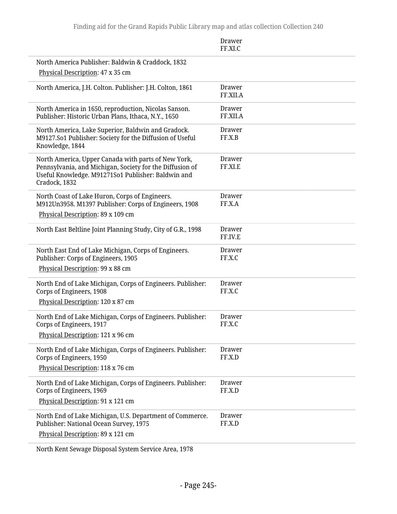|                                                                                                                                                                                        | Drawer<br>FF.XI.C         |
|----------------------------------------------------------------------------------------------------------------------------------------------------------------------------------------|---------------------------|
| North America Publisher: Baldwin & Craddock, 1832<br>Physical Description: 47 x 35 cm                                                                                                  |                           |
| North America, J.H. Colton. Publisher: J.H. Colton, 1861                                                                                                                               | <b>Drawer</b><br>FF.XII.A |
| North America in 1650, reproduction, Nicolas Sanson.<br>Publisher: Historic Urban Plans, Ithaca, N.Y., 1650                                                                            | <b>Drawer</b><br>FF.XII.A |
| North America, Lake Superior, Baldwin and Gradock.<br>M9127.So1 Publisher: Society for the Diffusion of Useful<br>Knowledge, 1844                                                      | <b>Drawer</b><br>FF.X.B   |
| North America, Upper Canada with parts of New York,<br>Pennsylvania, and Michigan, Society for the Diffusion of<br>Useful Knowledge. M91271So1 Publisher: Baldwin and<br>Cradock, 1832 | Drawer<br>FF.XI.E         |
| North Coast of Lake Huron, Corps of Engineers.<br>M912Un3958. M1397 Publisher: Corps of Engineers, 1908                                                                                | <b>Drawer</b><br>FF.X.A   |
| Physical Description: 89 x 109 cm                                                                                                                                                      |                           |
| North East Beltline Joint Planning Study, City of G.R., 1998                                                                                                                           | Drawer<br>FF.IV.E         |
| North East End of Lake Michigan, Corps of Engineers.<br>Publisher: Corps of Engineers, 1905<br>Physical Description: 99 x 88 cm                                                        | <b>Drawer</b><br>FF.X.C   |
| North End of Lake Michigan, Corps of Engineers. Publisher:<br>Corps of Engineers, 1908<br>Physical Description: 120 x 87 cm                                                            | Drawer<br>FF.X.C          |
| North End of Lake Michigan, Corps of Engineers. Publisher:<br>Corps of Engineers, 1917<br>Physical Description: 121 x 96 cm                                                            | <b>Drawer</b><br>FF.X.C   |
| North End of Lake Michigan, Corps of Engineers. Publisher:<br>Corps of Engineers, 1950                                                                                                 | Drawer<br>FF.X.D          |
| Physical Description: 118 x 76 cm                                                                                                                                                      |                           |
| North End of Lake Michigan, Corps of Engineers. Publisher:<br>Corps of Engineers, 1969                                                                                                 | <b>Drawer</b><br>FF.X.D   |
| Physical Description: 91 x 121 cm                                                                                                                                                      |                           |
| North End of Lake Michigan, U.S. Department of Commerce.<br>Publisher: National Ocean Survey, 1975                                                                                     | <b>Drawer</b><br>FF.X.D   |
| Physical Description: 89 x 121 cm                                                                                                                                                      |                           |

North Kent Sewage Disposal System Service Area, 1978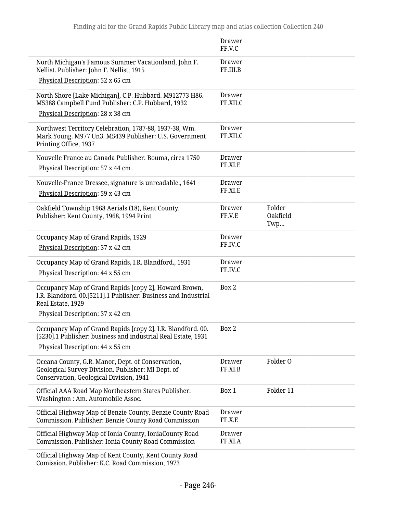|                                                                                                                                                                  | <b>Drawer</b><br>FF.V.C   |                           |
|------------------------------------------------------------------------------------------------------------------------------------------------------------------|---------------------------|---------------------------|
| North Michigan's Famous Summer Vacationland, John F.<br>Nellist. Publisher: John F. Nellist, 1915                                                                | <b>Drawer</b><br>FF.III.B |                           |
| Physical Description: 52 x 65 cm                                                                                                                                 |                           |                           |
| North Shore [Lake Michigan], C.P. Hubbard. M912773 H86.<br>M5388 Campbell Fund Publisher: C.P. Hubbard, 1932<br>Physical Description: 28 x 38 cm                 | <b>Drawer</b><br>FF.XII.C |                           |
| Northwest Territory Celebration, 1787-88, 1937-38, Wm.<br>Mark Young. M977 Un3. M5439 Publisher: U.S. Government<br>Printing Office, 1937                        | <b>Drawer</b><br>FF.XII.C |                           |
| Nouvelle France au Canada Publisher: Bouma, circa 1750<br>Physical Description: 57 x 44 cm                                                                       | Drawer<br>FF.XI.E         |                           |
| Nouvelle-France Dressee, signature is unreadable., 1641<br>Physical Description: 59 x 43 cm                                                                      | Drawer<br>FF.XI.E         |                           |
| Oakfield Township 1968 Aerials (18), Kent County.<br>Publisher: Kent County, 1968, 1994 Print                                                                    | Drawer<br>FF.V.E          | Folder<br>Oakfield<br>Twp |
| Occupancy Map of Grand Rapids, 1929<br>Physical Description: 37 x 42 cm                                                                                          | Drawer<br>FF.IV.C         |                           |
| Occupancy Map of Grand Rapids, I.R. Blandford., 1931<br>Physical Description: 44 x 55 cm                                                                         | <b>Drawer</b><br>FF.IV.C  |                           |
| Occupancy Map of Grand Rapids [copy 2], Howard Brown,<br>I.R. Blandford. 00.[5211].1 Publisher: Business and Industrial<br>Real Estate, 1929                     | Box 2                     |                           |
| Physical Description: 37 x 42 cm                                                                                                                                 |                           |                           |
| Occupancy Map of Grand Rapids [copy 2], I.R. Blandford. 00.<br>[5230].1 Publisher: business and industrial Real Estate, 1931<br>Physical Description: 44 x 55 cm | Box 2                     |                           |
| Oceana County, G.R. Manor, Dept. of Conservation,<br>Geological Survey Division. Publisher: MI Dept. of<br>Conservation, Geological Division, 1941               | Drawer<br>FF.XI.B         | Folder O                  |
| Official AAA Road Map Northeastern States Publisher:<br>Washington: Am. Automobile Assoc.                                                                        | Box 1                     | Folder 11                 |
| Official Highway Map of Benzie County, Benzie County Road<br>Commission. Publisher: Benzie County Road Commission                                                | <b>Drawer</b><br>FF.X.E   |                           |
| Official Highway Map of Ionia County, IoniaCounty Road<br>Commission. Publisher: Ionia County Road Commission                                                    | <b>Drawer</b><br>FF.XI.A  |                           |
| Official Highway Map of Kent County, Kent County Road<br>Comission. Publisher: K.C. Road Commission, 1973                                                        |                           |                           |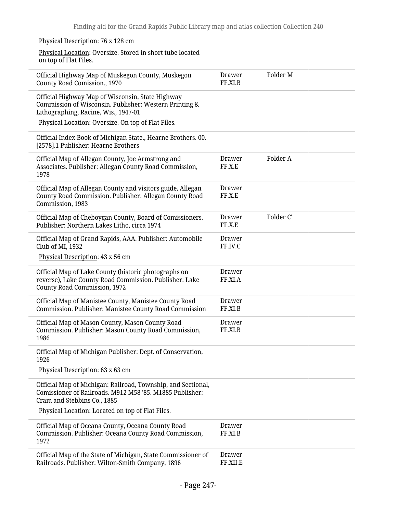| Physical Description: 76 x 128 cm                                                                                                                                                                           |                           |           |
|-------------------------------------------------------------------------------------------------------------------------------------------------------------------------------------------------------------|---------------------------|-----------|
| Physical Location: Oversize. Stored in short tube located<br>on top of Flat Files.                                                                                                                          |                           |           |
| Official Highway Map of Muskegon County, Muskegon<br>County Road Comission., 1970                                                                                                                           | Drawer<br>FF.XI.B         | Folder M  |
| Official Highway Map of Wisconsin, State Highway<br>Commission of Wisconsin. Publisher: Western Printing &<br>Lithographing, Racine, Wis., 1947-01<br>Physical Location: Oversize. On top of Flat Files.    |                           |           |
| Official Index Book of Michigan State., Hearne Brothers. 00.<br>[2578].1 Publisher: Hearne Brothers                                                                                                         |                           |           |
| Official Map of Allegan County, Joe Armstrong and<br>Associates. Publisher: Allegan County Road Commission,<br>1978                                                                                         | <b>Drawer</b><br>FF.X.E   | Folder A  |
| Official Map of Allegan County and visitors guide, Allegan<br>County Road Commission. Publisher: Allegan County Road<br>Commission, 1983                                                                    | <b>Drawer</b><br>FF.X.E   |           |
| Official Map of Cheboygan County, Board of Comissioners.<br>Publisher: Northern Lakes Litho, circa 1974                                                                                                     | <b>Drawer</b><br>FF.X.E   | Folder C' |
| Official Map of Grand Rapids, AAA. Publisher: Automobile<br>Club of MI, 1932<br>Physical Description: 43 x 56 cm                                                                                            | Drawer<br>FF.IV.C         |           |
| Official Map of Lake County (historic photographs on<br>reverse), Lake County Road Commission. Publisher: Lake<br>County Road Commission, 1972                                                              | Drawer<br>FF.XI.A         |           |
| Official Map of Manistee County, Manistee County Road<br>Commission. Publisher: Manistee County Road Commission                                                                                             | Drawer<br>FF.XI.B         |           |
| Official Map of Mason County, Mason County Road<br>Commission. Publisher: Mason County Road Commission,<br>1986                                                                                             | Drawer<br>FF.XI.B         |           |
| Official Map of Michigan Publisher: Dept. of Conservation,<br>1926                                                                                                                                          |                           |           |
| Physical Description: 63 x 63 cm                                                                                                                                                                            |                           |           |
| Official Map of Michigan: Railroad, Township, and Sectional,<br>Comissioner of Railroads. M912 M58 '85. M1885 Publisher:<br>Cram and Stebbins Co., 1885<br>Physical Location: Located on top of Flat Files. |                           |           |
| Official Map of Oceana County, Oceana County Road<br>Commission. Publisher: Oceana County Road Commission,<br>1972                                                                                          | <b>Drawer</b><br>FF.XI.B  |           |
| Official Map of the State of Michigan, State Commissioner of<br>Railroads. Publisher: Wilton-Smith Company, 1896                                                                                            | <b>Drawer</b><br>FF.XII.E |           |
|                                                                                                                                                                                                             |                           |           |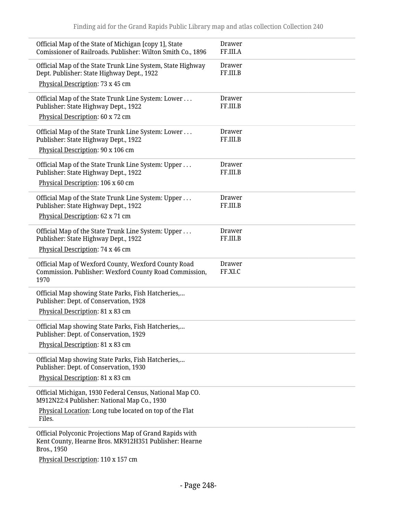| Official Map of the State of Michigan [copy 1], State<br>Comissioner of Railroads. Publisher: Wilton Smith Co., 1896                         | Drawer<br>FF.III.A        |
|----------------------------------------------------------------------------------------------------------------------------------------------|---------------------------|
| Official Map of the State Trunk Line System, State Highway<br>Dept. Publisher: State Highway Dept., 1922<br>Physical Description: 73 x 45 cm | <b>Drawer</b><br>FF.III.B |
| Official Map of the State Trunk Line System: Lower<br>Publisher: State Highway Dept., 1922                                                   | Drawer<br>FF.III.B        |
| Physical Description: 60 x 72 cm                                                                                                             |                           |
| Official Map of the State Trunk Line System: Lower<br>Publisher: State Highway Dept., 1922                                                   | <b>Drawer</b><br>FF.III.B |
| Physical Description: 90 x 106 cm                                                                                                            |                           |
| Official Map of the State Trunk Line System: Upper<br>Publisher: State Highway Dept., 1922                                                   | <b>Drawer</b><br>FF.III.B |
| Physical Description: 106 x 60 cm                                                                                                            |                           |
| Official Map of the State Trunk Line System: Upper<br>Publisher: State Highway Dept., 1922                                                   | Drawer<br>FF.III.B        |
| Physical Description: 62 x 71 cm                                                                                                             |                           |
| Official Map of the State Trunk Line System: Upper<br>Publisher: State Highway Dept., 1922                                                   | Drawer<br>FF.III.B        |
| Physical Description: 74 x 46 cm                                                                                                             |                           |
| Official Map of Wexford County, Wexford County Road<br>Commission. Publisher: Wexford County Road Commission,<br>1970                        | <b>Drawer</b><br>FF.XI.C  |
| Official Map showing State Parks, Fish Hatcheries,<br>Publisher: Dept. of Conservation, 1928                                                 |                           |
| Physical Description: 81 x 83 cm                                                                                                             |                           |
| Official Map showing State Parks, Fish Hatcheries,<br>Publisher: Dept. of Conservation, 1929                                                 |                           |
| Physical Description: 81 x 83 cm                                                                                                             |                           |
| Official Map showing State Parks, Fish Hatcheries,<br>Publisher: Dept. of Conservation, 1930                                                 |                           |
| Physical Description: 81 x 83 cm                                                                                                             |                           |
| Official Michigan, 1930 Federal Census, National Map CO.<br>M912N22:4 Publisher: National Map Co., 1930                                      |                           |
| Physical Location: Long tube located on top of the Flat<br>Files.                                                                            |                           |
| Official Polyconic Projections Map of Grand Rapids with<br>Kent County, Hearne Bros. MK912H351 Publisher: Hearne<br>Bros., 1950              |                           |
| Physical Description: 110 x 157 cm                                                                                                           |                           |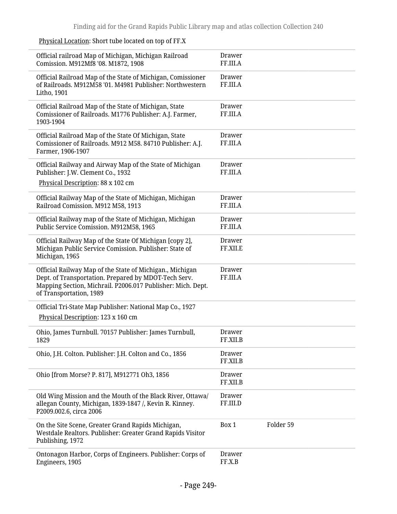|  | Physical Location: Short tube located on top of FF.X |  |
|--|------------------------------------------------------|--|
|  |                                                      |  |

| Official railroad Map of Michigan, Michigan Railroad<br>Comission. M912Mf8 '08. M1872, 1908                                                                                                                | <b>Drawer</b><br>FF.III.A |           |
|------------------------------------------------------------------------------------------------------------------------------------------------------------------------------------------------------------|---------------------------|-----------|
| Official Railroad Map of the State of Michigan, Comissioner<br>of Railroads, M912M58 '01, M4981 Publisher: Northwestern<br>Litho, 1901                                                                     | <b>Drawer</b><br>FF.III.A |           |
| Official Railroad Map of the State of Michigan, State<br>Comissioner of Railroads. M1776 Publisher: A.J. Farmer,<br>1903-1904                                                                              | Drawer<br>FF.III.A        |           |
| Official Railroad Map of the State Of Michigan, State<br>Comissioner of Railroads. M912 M58. 84710 Publisher: A.J.<br>Farmer, 1906-1907                                                                    | <b>Drawer</b><br>FF.III.A |           |
| Official Railway and Airway Map of the State of Michigan<br>Publisher: J.W. Clement Co., 1932                                                                                                              | Drawer<br>FF.III.A        |           |
| Physical Description: 88 x 102 cm                                                                                                                                                                          |                           |           |
| Official Railway Map of the State of Michigan, Michigan<br>Railroad Comission. M912 M58, 1913                                                                                                              | <b>Drawer</b><br>FF.III.A |           |
| Official Railway map of the State of Michigan, Michigan<br>Public Service Comission. M912M58, 1965                                                                                                         | <b>Drawer</b><br>FF.III.A |           |
| Official Railway Map of the State Of Michigan [copy 2],<br>Michigan Public Service Comission. Publisher: State of<br>Michigan, 1965                                                                        | <b>Drawer</b><br>FF.XII.E |           |
| Official Railway Map of the State of Michigan., Michigan<br>Dept. of Transportation. Prepared by MDOT-Tech Serv.<br>Mapping Section, Michrail. P2006.017 Publisher: Mich. Dept.<br>of Transportation, 1989 | <b>Drawer</b><br>FF.III.A |           |
| Official Tri-State Map Publisher: National Map Co., 1927                                                                                                                                                   |                           |           |
| Physical Description: 123 x 160 cm                                                                                                                                                                         |                           |           |
| Ohio, James Turnbull. 70157 Publisher: James Turnbull,<br>1829                                                                                                                                             | Drawer<br>FF.XII.B        |           |
| Ohio, J.H. Colton. Publisher: J.H. Colton and Co., 1856                                                                                                                                                    | Drawer<br>FF.XII.B        |           |
| Ohio [from Morse? P. 817], M912771 Oh3, 1856                                                                                                                                                               | <b>Drawer</b><br>FF.XII.B |           |
| Old Wing Mission and the Mouth of the Black River, Ottawa/<br>allegan County, Michigan, 1839-1847 /, Kevin R. Kinney.<br>P2009.002.6, circa 2006                                                           | Drawer<br>FF.III.D        |           |
| On the Site Scene, Greater Grand Rapids Michigan,<br>Westdale Realtors. Publisher: Greater Grand Rapids Visitor<br>Publishing, 1972                                                                        | Box 1                     | Folder 59 |
| Ontonagon Harbor, Corps of Engineers. Publisher: Corps of<br>Engineers, 1905                                                                                                                               | <b>Drawer</b><br>FF.X.B   |           |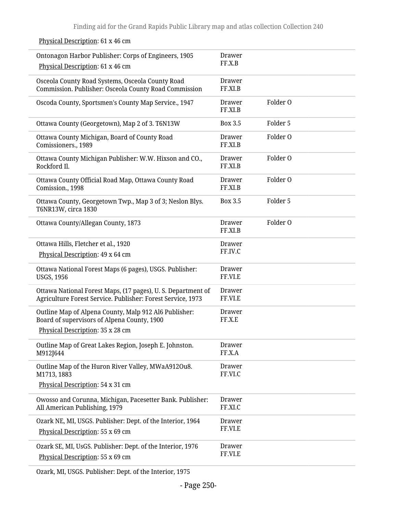| Ontonagon Harbor Publisher: Corps of Engineers, 1905<br>Physical Description: 61 x 46 cm                                    | Drawer<br>FF.X.B         |          |
|-----------------------------------------------------------------------------------------------------------------------------|--------------------------|----------|
| Osceola County Road Systems, Osceola County Road<br>Commission. Publisher: Osceola County Road Commission                   | <b>Drawer</b><br>FF.XI.B |          |
| Oscoda County, Sportsmen's County Map Service., 1947                                                                        | Drawer<br>FF.XI.B        | Folder O |
| Ottawa County (Georgetown), Map 2 of 3. T6N13W                                                                              | Box 3.5                  | Folder 5 |
| Ottawa County Michigan, Board of County Road<br>Comissioners., 1989                                                         | <b>Drawer</b><br>FF.XI.B | Folder O |
| Ottawa County Michigan Publisher: W.W. Hixson and CO.,<br>Rockford Il.                                                      | Drawer<br>FF.XI.B        | Folder O |
| Ottawa County Official Road Map, Ottawa County Road<br>Comission., 1998                                                     | Drawer<br>FF.XI.B        | Folder O |
| Ottawa County, Georgetown Twp., Map 3 of 3; Neslon Blys.<br>T6NR13W, circa 1830                                             | <b>Box 3.5</b>           | Folder 5 |
| Ottawa County/Allegan County, 1873                                                                                          | Drawer<br>FF.XI.B        | Folder O |
| Ottawa Hills, Fletcher et al., 1920                                                                                         | Drawer                   |          |
| Physical Description: 49 x 64 cm                                                                                            | FF.IV.C                  |          |
| Ottawa National Forest Maps (6 pages), USGS. Publisher:<br><b>USGS, 1956</b>                                                | <b>Drawer</b><br>FF.VI.E |          |
| Ottawa National Forest Maps, (17 pages), U. S. Department of<br>Agriculture Forest Service. Publisher: Forest Service, 1973 | <b>Drawer</b><br>FF.VI.E |          |
| Outline Map of Alpena County, Malp 912 Al6 Publisher:<br>Board of supervisors of Alpena County, 1900                        | <b>Drawer</b><br>FF.X.E  |          |
| Physical Description: 35 x 28 cm                                                                                            |                          |          |
| Outline Map of Great Lakes Region, Joseph E. Johnston.<br>M912J644                                                          | <b>Drawer</b><br>FF.X.A  |          |
| Outline Map of the Huron River Valley, MWaA912Ou8.<br>M1713, 1883                                                           | Drawer<br>FF.VI.C        |          |
| Physical Description: 54 x 31 cm                                                                                            |                          |          |
| Owosso and Corunna, Michigan, Pacesetter Bank. Publisher:<br>All American Publishing, 1979                                  | Drawer<br>FF.XI.C        |          |
| Ozark NE, MI, USGS. Publisher: Dept. of the Interior, 1964<br>Physical Description: 55 x 69 cm                              | Drawer<br>FF.VI.E        |          |
| Ozark SE, MI, UsGS. Publisher: Dept. of the Interior, 1976<br>Physical Description: 55 x 69 cm                              | Drawer<br>FF.VI.E        |          |

## Physical Description: 61 x 46 cm

Ozark, MI, USGS. Publisher: Dept. of the Interior, 1975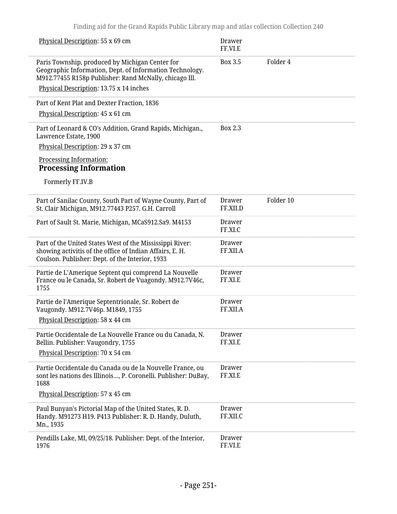| Physical Description: 55 x 69 cm                                                                                                                                        | <b>Drawer</b><br>FF.VI.E  |           |
|-------------------------------------------------------------------------------------------------------------------------------------------------------------------------|---------------------------|-----------|
| Paris Township, produced by Michigan Center for<br>Geographic Information, Dept. of Information Technology.<br>M912.77455 R158p Publisher: Rand McNally, chicago Ill.   | <b>Box 3.5</b>            | Folder 4  |
| Physical Description: 13.75 x 14 inches                                                                                                                                 |                           |           |
| Part of Kent Plat and Dexter Fraction, 1836                                                                                                                             |                           |           |
| Physical Description: 45 x 61 cm                                                                                                                                        |                           |           |
| Part of Leonard & CO's Addition, Grand Rapids, Michigan.,<br>Lawrence Estate, 1900                                                                                      | Box 2.3                   |           |
| Physical Description: 29 x 37 cm                                                                                                                                        |                           |           |
| Processing Information:<br><b>Processing Information</b>                                                                                                                |                           |           |
| Formerly FF.IV.B                                                                                                                                                        |                           |           |
| Part of Sanilac County, South Part of Wayne County, Part of<br>St. Clair Michigan, M912.77443 P257. G.H. Carroll                                                        | Drawer<br>FF.XII.D        | Folder 10 |
| Part of Sault St. Marie, Michigan, MCaS912.Sa9. M4153                                                                                                                   | <b>Drawer</b><br>FF.XI.C  |           |
| Part of the United States West of the Mississippi River:<br>showing activitis of the office of Indian Affairs, E. H.<br>Coulson. Publisher: Dept. of the Interior, 1933 | <b>Drawer</b><br>FF.XII.A |           |
| Partie de L'Amerique Septent qui comprend La Nouvelle<br>France ou le Canada, Sr. Robert de Vuagondy. M912.7V46c,<br>1755                                               | Drawer<br>FF.XI.E         |           |
| Partie de l'Amerique Septentrionale, Sr. Robert de<br>Vaugondy. M912.7V46p. M1849, 1755<br>Physical Description: 58 x 44 cm                                             | <b>Drawer</b><br>FF.XII.A |           |
| Partie Occidentale de La Nouvelle France ou du Canada, N.<br>Bellin. Publisher: Vaugondry, 1755<br>Physical Description: 70 x 54 cm                                     | <b>Drawer</b><br>FF.XI.E  |           |
| Partie Occidentale du Canada ou de la Nouvelle France, ou<br>sont les nations des Illinois, P. Coronelli. Publisher: DuBay,<br>1688                                     | <b>Drawer</b><br>FF.XI.E  |           |
| Physical Description: 57 x 45 cm                                                                                                                                        |                           |           |
| Paul Bunyan's Pictorial Map of the United States, R. D.<br>Handy. M91273 H19. P413 Publisher: R. D. Handy, Duluth,<br>Mn., 1935                                         | <b>Drawer</b><br>FF.XII.C |           |
| Pendills Lake, MI, 09/25/18. Publisher: Dept. of the Interior,<br>1976                                                                                                  | Drawer<br>FF.VI.E         |           |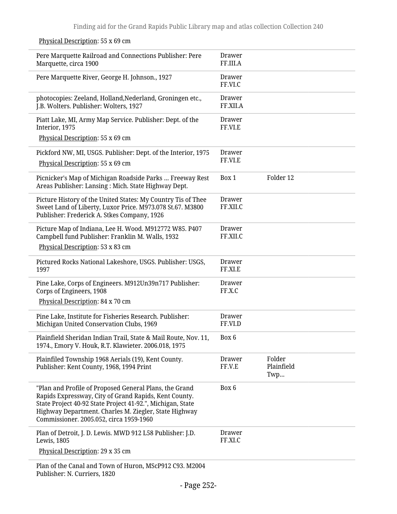| Pere Marquette Railroad and Connections Publisher: Pere<br>Marquette, circa 1900                                                                                                                                                                                                  | <b>Drawer</b><br>FF.III.A |                             |  |
|-----------------------------------------------------------------------------------------------------------------------------------------------------------------------------------------------------------------------------------------------------------------------------------|---------------------------|-----------------------------|--|
| Pere Marquette River, George H. Johnson., 1927                                                                                                                                                                                                                                    | <b>Drawer</b><br>FF.VI.C  |                             |  |
| photocopies: Zeeland, Holland, Nederland, Groningen etc.,<br>J.B. Wolters. Publisher: Wolters, 1927                                                                                                                                                                               | <b>Drawer</b><br>FF.XII.A |                             |  |
| Piatt Lake, MI, Army Map Service. Publisher: Dept. of the<br>Interior, 1975                                                                                                                                                                                                       | <b>Drawer</b><br>FF.VI.E  |                             |  |
| Physical Description: 55 x 69 cm                                                                                                                                                                                                                                                  |                           |                             |  |
| Pickford NW, MI, USGS. Publisher: Dept. of the Interior, 1975                                                                                                                                                                                                                     | <b>Drawer</b><br>FF.VI.E  |                             |  |
| Physical Description: 55 x 69 cm                                                                                                                                                                                                                                                  |                           |                             |  |
| Picnicker's Map of Michigan Roadside Parks  Freeway Rest<br>Areas Publisher: Lansing: Mich. State Highway Dept.                                                                                                                                                                   | Box 1                     | Folder 12                   |  |
| Picture History of the United States: My Country Tis of Thee                                                                                                                                                                                                                      | <b>Drawer</b>             |                             |  |
| Sweet Land of Liberty, Luxor Price. M973.078 St.67. M3800<br>Publisher: Frederick A. Stkes Company, 1926                                                                                                                                                                          | FF.XII.C                  |                             |  |
| Picture Map of Indiana, Lee H. Wood. M912772 W85. P407                                                                                                                                                                                                                            | <b>Drawer</b><br>FF.XII.C |                             |  |
| Campbell fund Publisher: Franklin M. Walls, 1932<br>Physical Description: 53 x 83 cm                                                                                                                                                                                              |                           |                             |  |
| Pictured Rocks National Lakeshore, USGS. Publisher: USGS,                                                                                                                                                                                                                         | <b>Drawer</b>             |                             |  |
| 1997                                                                                                                                                                                                                                                                              | FF.XI.E                   |                             |  |
| Pine Lake, Corps of Engineers. M912Un39n717 Publisher:<br>Corps of Engineers, 1908                                                                                                                                                                                                | <b>Drawer</b><br>FF.X.C   |                             |  |
| Physical Description: 84 x 70 cm                                                                                                                                                                                                                                                  |                           |                             |  |
| Pine Lake, Institute for Fisheries Research. Publisher:                                                                                                                                                                                                                           | <b>Drawer</b>             |                             |  |
| Michigan United Conservation Clubs, 1969                                                                                                                                                                                                                                          | FF.VI.D                   |                             |  |
| Plainfield Sheridan Indian Trail, State & Mail Route, Nov. 11,<br>1974., Emory V. Houk, R.T. Klawieter. 2006.018, 1975                                                                                                                                                            | Box 6                     |                             |  |
| Plainfiled Township 1968 Aerials (19), Kent County.<br>Publisher: Kent County, 1968, 1994 Print                                                                                                                                                                                   | <b>Drawer</b><br>FF.V.E   | Folder<br>Plainfield<br>Twp |  |
| "Plan and Profile of Proposed General Plans, the Grand<br>Rapids Expressway, City of Grand Rapids, Kent County.<br>State Project 40-92 State Project 41-92.", Michigan, State<br>Highway Department. Charles M. Ziegler, State Highway<br>Commissioner. 2005.052, circa 1959-1960 | Box 6                     |                             |  |
| Plan of Detroit, J. D. Lewis. MWD 912 L58 Publisher: J.D.<br>Lewis, 1805                                                                                                                                                                                                          | Drawer<br>FF.XI.C         |                             |  |
| Physical Description: 29 x 35 cm                                                                                                                                                                                                                                                  |                           |                             |  |
| Plan of the Canal and Town of Huron, MScP912 C93. M2004<br>Publisher: N. Curriers, 1820                                                                                                                                                                                           |                           |                             |  |

## Physical Description: 55 x 69 cm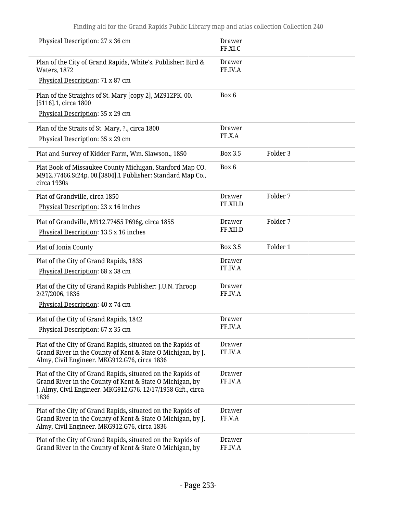| Physical Description: 27 x 36 cm                                                                                                      | Drawer<br>FF.XI.C        |          |  |
|---------------------------------------------------------------------------------------------------------------------------------------|--------------------------|----------|--|
| Plan of the City of Grand Rapids, White's. Publisher: Bird &<br>Waters, 1872                                                          | Drawer<br>FF.IV.A        |          |  |
| Physical Description: 71 x 87 cm                                                                                                      |                          |          |  |
| Plan of the Straights of St. Mary [copy 2], MZ912PK. 00.<br>[5116].1, circa 1800                                                      | Box 6                    |          |  |
| Physical Description: 35 x 29 cm                                                                                                      |                          |          |  |
| Plan of the Straits of St. Mary, ?., circa 1800                                                                                       | Drawer                   |          |  |
| Physical Description: 35 x 29 cm                                                                                                      | FF.X.A                   |          |  |
| Plat and Survey of Kidder Farm, Wm. Slawson., 1850                                                                                    | Box 3.5                  | Folder 3 |  |
| Plat Book of Missaukee County Michigan, Stanford Map CO.<br>M912.77466.St24p. 00.[3804].1 Publisher: Standard Map Co.,<br>circa 1930s | Box 6                    |          |  |
| Plat of Grandville, circa 1850                                                                                                        | <b>Drawer</b>            | Folder 7 |  |
| Physical Description: 23 x 16 inches                                                                                                  | FF.XII.D                 |          |  |
| Plat of Grandville, M912.77455 P696g, circa 1855                                                                                      | <b>Drawer</b>            | Folder 7 |  |
| Physical Description: 13.5 x 16 inches                                                                                                | FF.XII.D                 |          |  |
| Plat of Ionia County                                                                                                                  | Box 3.5                  | Folder 1 |  |
| Plat of the City of Grand Rapids, 1835                                                                                                | Drawer                   |          |  |
| Physical Description: 68 x 38 cm                                                                                                      | FF.IV.A                  |          |  |
| Plat of the City of Grand Rapids Publisher: J.U.N. Throop<br>2/27/2006, 1836                                                          | <b>Drawer</b><br>FF.IV.A |          |  |
| Physical Description: 40 x 74 cm                                                                                                      |                          |          |  |
| Plat of the City of Grand Rapids, 1842                                                                                                | Drawer                   |          |  |
| Physical Description: 67 x 35 cm                                                                                                      | FF.IV.A                  |          |  |
| Plat of the City of Grand Rapids, situated on the Rapids of                                                                           | Drawer                   |          |  |
| Grand River in the County of Kent & State O Michigan, by J.<br>Almy, Civil Engineer. MKG912.G76, circa 1836                           | FF.IV.A                  |          |  |
| Plat of the City of Grand Rapids, situated on the Rapids of                                                                           | <b>Drawer</b>            |          |  |
| Grand River in the County of Kent & State O Michigan, by<br>J. Almy, Civil Engineer. MKG912.G76. 12/17/1958 Gift., circa<br>1836      | FF.IV.A                  |          |  |
| Plat of the City of Grand Rapids, situated on the Rapids of                                                                           | Drawer                   |          |  |
| Grand River in the County of Kent & State O Michigan, by J.<br>Almy, Civil Engineer. MKG912.G76, circa 1836                           | FF.V.A                   |          |  |
| Plat of the City of Grand Rapids, situated on the Rapids of                                                                           | <b>Drawer</b>            |          |  |
| Grand River in the County of Kent & State O Michigan, by                                                                              | FF.IV.A                  |          |  |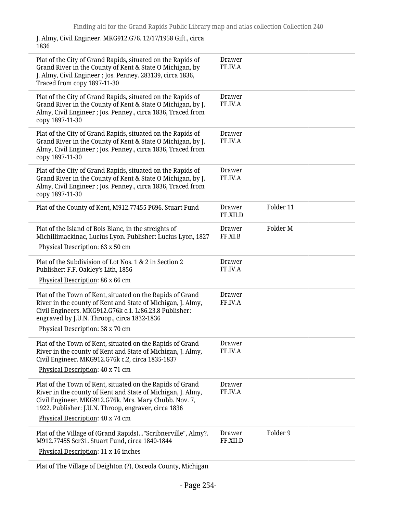J. Almy, Civil Engineer. MKG912.G76. 12/17/1958 Gift., circa 1836

| Plat of the City of Grand Rapids, situated on the Rapids of<br>Grand River in the County of Kent & State O Michigan, by<br>J. Almy, Civil Engineer ; Jos. Penney. 283139, circa 1836,<br>Traced from copy 1897-11-30                                                          | Drawer<br>FF.IV.A         |           |
|-------------------------------------------------------------------------------------------------------------------------------------------------------------------------------------------------------------------------------------------------------------------------------|---------------------------|-----------|
| Plat of the City of Grand Rapids, situated on the Rapids of<br>Grand River in the County of Kent & State O Michigan, by J.<br>Almy, Civil Engineer ; Jos. Penney., circa 1836, Traced from<br>copy 1897-11-30                                                                 | Drawer<br>FF.IV.A         |           |
| Plat of the City of Grand Rapids, situated on the Rapids of<br>Grand River in the County of Kent & State O Michigan, by J.<br>Almy, Civil Engineer ; Jos. Penney., circa 1836, Traced from<br>copy 1897-11-30                                                                 | Drawer<br>FF.IV.A         |           |
| Plat of the City of Grand Rapids, situated on the Rapids of<br>Grand River in the County of Kent & State O Michigan, by J.<br>Almy, Civil Engineer ; Jos. Penney., circa 1836, Traced from<br>copy 1897-11-30                                                                 | Drawer<br>FF.IV.A         |           |
| Plat of the County of Kent, M912.77455 P696. Stuart Fund                                                                                                                                                                                                                      | <b>Drawer</b><br>FF.XII.D | Folder 11 |
| Plat of the Island of Bois Blanc, in the streights of<br>Michillimackinac, Lucius Lyon. Publisher: Lucius Lyon, 1827<br>Physical Description: 63 x 50 cm                                                                                                                      | <b>Drawer</b><br>FF.XI.B  | Folder M  |
| Plat of the Subdivision of Lot Nos. 1 & 2 in Section 2<br>Publisher: F.F. Oakley's Lith, 1856<br>Physical Description: 86 x 66 cm                                                                                                                                             | Drawer<br>FF.IV.A         |           |
| Plat of the Town of Kent, situated on the Rapids of Grand<br>River in the county of Kent and State of Michigan, J. Almy,<br>Civil Engineers. MKG912.G76k c.1. L:86.23.8 Publisher:<br>engraved by J.U.N. Throop., circa 1832-1836<br>Physical Description: 38 x 70 cm         | Drawer<br>FF.IV.A         |           |
| Plat of the Town of Kent, situated on the Rapids of Grand<br>River in the county of Kent and State of Michigan, J. Almy,<br>Civil Engineer. MKG912.G76k c.2, circa 1835-1837<br>Physical Description: 40 x 71 cm                                                              | Drawer<br>FF.IV.A         |           |
| Plat of the Town of Kent, situated on the Rapids of Grand<br>River in the county of Kent and State of Michigan, J. Almy,<br>Civil Engineer. MKG912.G76k. Mrs. Mary Chubb. Nov. 7,<br>1922. Publisher: J.U.N. Throop, engraver, circa 1836<br>Physical Description: 40 x 74 cm | Drawer<br>FF.IV.A         |           |
| Plat of the Village of (Grand Rapids)"Scribnerville", Almy?.<br>M912.77455 Scr31. Stuart Fund, circa 1840-1844<br>Physical Description: 11 x 16 inches                                                                                                                        | <b>Drawer</b><br>FF.XII.D | Folder 9  |
|                                                                                                                                                                                                                                                                               |                           |           |

Plat of The Village of Deighton (?), Osceola County, Michigan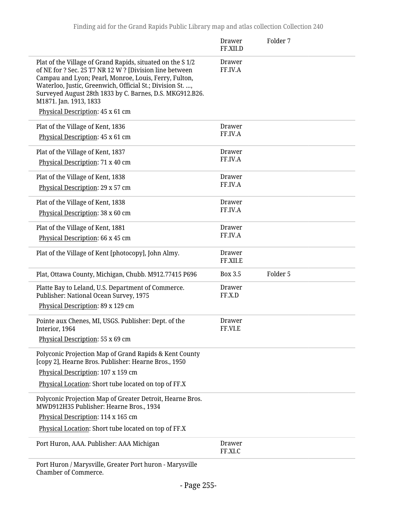|                                                                                                                                                                                                                                                                                                                                                                       | Drawer<br>FF.XII.D        | Folder 7 |
|-----------------------------------------------------------------------------------------------------------------------------------------------------------------------------------------------------------------------------------------------------------------------------------------------------------------------------------------------------------------------|---------------------------|----------|
| Plat of the Village of Grand Rapids, situated on the S 1/2<br>of NE for ? Sec. 25 T7 NR 12 W ? [Division line between<br>Campau and Lyon; Pearl, Monroe, Louis, Ferry, Fulton,<br>Waterloo, Justic, Greenwich, Official St.; Division St. ,<br>Surveyed August 28th 1833 by C. Barnes, D.S. MKG912.B26.<br>M1871. Jan. 1913, 1833<br>Physical Description: 45 x 61 cm | <b>Drawer</b><br>FF.IV.A  |          |
| Plat of the Village of Kent, 1836<br>Physical Description: 45 x 61 cm                                                                                                                                                                                                                                                                                                 | <b>Drawer</b><br>FF.IV.A  |          |
| Plat of the Village of Kent, 1837<br>Physical Description: 71 x 40 cm                                                                                                                                                                                                                                                                                                 | Drawer<br>FF.IV.A         |          |
| Plat of the Village of Kent, 1838<br>Physical Description: 29 x 57 cm                                                                                                                                                                                                                                                                                                 | <b>Drawer</b><br>FF.IV.A  |          |
| Plat of the Village of Kent, 1838<br>Physical Description: 38 x 60 cm                                                                                                                                                                                                                                                                                                 | Drawer<br>FF.IV.A         |          |
| Plat of the Village of Kent, 1881<br>Physical Description: 66 x 45 cm                                                                                                                                                                                                                                                                                                 | <b>Drawer</b><br>FF.IV.A  |          |
| Plat of the Village of Kent [photocopy], John Almy.                                                                                                                                                                                                                                                                                                                   | <b>Drawer</b><br>FF.XII.E |          |
| Plat, Ottawa County, Michigan, Chubb. M912.77415 P696                                                                                                                                                                                                                                                                                                                 | <b>Box 3.5</b>            | Folder 5 |
| Platte Bay to Leland, U.S. Department of Commerce.<br>Publisher: National Ocean Survey, 1975                                                                                                                                                                                                                                                                          | <b>Drawer</b><br>FF.X.D   |          |
| Physical Description: 89 x 129 cm                                                                                                                                                                                                                                                                                                                                     |                           |          |
| Pointe aux Chenes, MI, USGS. Publisher: Dept. of the<br>Interior, 1964                                                                                                                                                                                                                                                                                                | <b>Drawer</b><br>FF.VI.E  |          |
| Physical Description: 55 x 69 cm                                                                                                                                                                                                                                                                                                                                      |                           |          |
| Polyconic Projection Map of Grand Rapids & Kent County<br>[copy 2], Hearne Bros. Publisher: Hearne Bros., 1950                                                                                                                                                                                                                                                        |                           |          |
| Physical Description: 107 x 159 cm                                                                                                                                                                                                                                                                                                                                    |                           |          |
| Physical Location: Short tube located on top of FF.X                                                                                                                                                                                                                                                                                                                  |                           |          |
| Polyconic Projection Map of Greater Detroit, Hearne Bros.<br>MWD912H35 Publisher: Hearne Bros., 1934                                                                                                                                                                                                                                                                  |                           |          |
| Physical Description: 114 x 165 cm                                                                                                                                                                                                                                                                                                                                    |                           |          |
| Physical Location: Short tube located on top of FF.X                                                                                                                                                                                                                                                                                                                  |                           |          |
| Port Huron, AAA. Publisher: AAA Michigan                                                                                                                                                                                                                                                                                                                              | Drawer<br>FF.XI.C         |          |
| Port Huron / Marysville, Greater Port huron - Marysville                                                                                                                                                                                                                                                                                                              |                           |          |

Chamber of Commerce.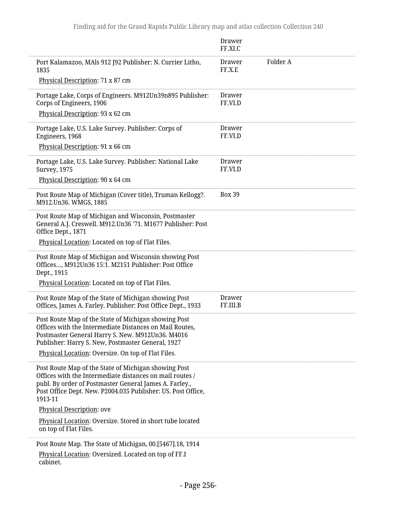|                                                                                                                                                                                                                                                                                | <b>Drawer</b><br>FF.XI.C  |          |
|--------------------------------------------------------------------------------------------------------------------------------------------------------------------------------------------------------------------------------------------------------------------------------|---------------------------|----------|
| Port Kalamazoo, MAls 912 J92 Publisher: N. Currier Litho,<br>1835                                                                                                                                                                                                              | Drawer<br>FF.X.E          | Folder A |
| Physical Description: 71 x 87 cm                                                                                                                                                                                                                                               |                           |          |
| Portage Lake, Corps of Engineers. M912Un39n895 Publisher:<br>Corps of Engineers, 1906                                                                                                                                                                                          | <b>Drawer</b><br>FF.VI.D  |          |
| Physical Description: 93 x 62 cm                                                                                                                                                                                                                                               |                           |          |
| Portage Lake, U.S. Lake Survey. Publisher: Corps of<br>Engineers, 1968                                                                                                                                                                                                         | Drawer<br>FF.VI.D         |          |
| Physical Description: 91 x 66 cm                                                                                                                                                                                                                                               |                           |          |
| Portage Lake, U.S. Lake Survey. Publisher: National Lake<br><b>Survey, 1975</b>                                                                                                                                                                                                | Drawer<br>FF.VI.D         |          |
| Physical Description: 90 x 64 cm                                                                                                                                                                                                                                               |                           |          |
| Post Route Map of Michigan (Cover title), Truman Kellogg?.<br>M912.Un36. WMGS, 1885                                                                                                                                                                                            | <b>Box 39</b>             |          |
| Post Route Map of Michigan and Wisconsin, Postmaster<br>General A.J. Creswell. M912.Un36 '71. M1677 Publisher: Post<br>Office Dept., 1871                                                                                                                                      |                           |          |
| Physical Location: Located on top of Flat Files.                                                                                                                                                                                                                               |                           |          |
| Post Route Map of Michigan and Wisconsin showing Post<br>Offices, M912Un36 15:1. M2151 Publisher: Post Office<br>Dept., 1915<br>Physical Location: Located on top of Flat Files.                                                                                               |                           |          |
| Post Route Map of the State of Michigan showing Post<br>Offices, James A. Farley. Publisher: Post Office Dept., 1933                                                                                                                                                           | <b>Drawer</b><br>FF.III.B |          |
| Post Route Map of the State of Michigan showing Post<br>Offices with the Intermediate Distances on Mail Routes,<br>Postmaster General Harry S. New. M912Un36. M4016<br>Publisher: Harry S. New, Postmaster General, 1927<br>Physical Location: Oversize. On top of Flat Files. |                           |          |
| Post Route Map of the State of Michigan showing Post<br>Offices with the Intermediate distances on mail routes /<br>publ. By order of Postmaster General James A. Farley.,<br>Post Office Dept. New. P2004.035 Publisher: US. Post Office,<br>1913-11                          |                           |          |
| Physical Description: ove                                                                                                                                                                                                                                                      |                           |          |
| Physical Location: Oversize. Stored in short tube located<br>on top of Flat Files.                                                                                                                                                                                             |                           |          |
| Post Route Map. The State of Michigan, 00.[5467].18, 1914                                                                                                                                                                                                                      |                           |          |
| Physical Location: Oversized. Located on top of FF.I<br>cabinet.                                                                                                                                                                                                               |                           |          |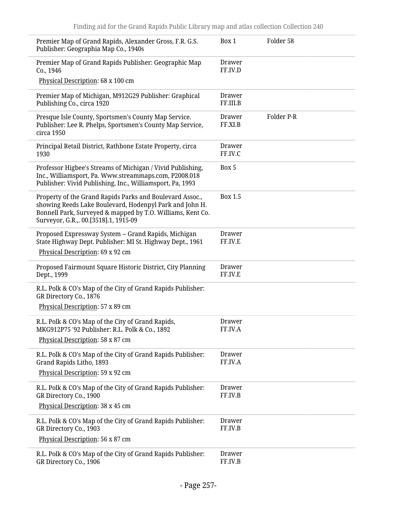| Premier Map of Grand Rapids, Alexander Gross, F.R. G.S.<br>Publisher: Geographia Map Co., 1940s                                                                                                                            | Box 1                    | Folder 58  |
|----------------------------------------------------------------------------------------------------------------------------------------------------------------------------------------------------------------------------|--------------------------|------------|
| Premier Map of Grand Rapids Publisher: Geographic Map<br>Co., 1946                                                                                                                                                         | <b>Drawer</b><br>FF.IV.D |            |
| Physical Description: 68 x 100 cm                                                                                                                                                                                          |                          |            |
| Premier Map of Michigan, M912G29 Publisher: Graphical<br>Publishing Co., circa 1920                                                                                                                                        | Drawer<br>FF.III.B       |            |
| Presque Isle County, Sportsmen's County Map Service.<br>Publisher: Lee R. Phelps, Sportsmen's County Map Service,<br>circa 1950                                                                                            | <b>Drawer</b><br>FF.XI.B | Folder P-R |
| Principal Retail District, Rathbone Estate Property, circa<br>1930                                                                                                                                                         | <b>Drawer</b><br>FF.IV.C |            |
| Professor Higbee's Streams of Michigan / Vivid Publishing,<br>Inc., Williamsport, Pa. Www.streammaps.com, P2008.018<br>Publisher: Vivid Publishing, Inc., Williamsport, Pa, 1993                                           | Box 5                    |            |
| Property of the Grand Rapids Parks and Boulevard Assoc.,<br>showing Reeds Lake Boulevard, Hodenpyl Park and John H.<br>Bonnell Park, Surveyed & mapped by T.O. Williams, Kent Co.<br>Surveyor, G.R.,. 00.[3518].1, 1915-09 | <b>Box 1.5</b>           |            |
| Proposed Expressway System -- Grand Rapids, Michigan<br>State Highway Dept. Publisher: MI St. Highway Dept., 1961<br>Physical Description: 69 x 92 cm                                                                      | <b>Drawer</b><br>FF.IV.E |            |
| Proposed Fairmount Square Historic District, City Planning<br>Dept., 1999                                                                                                                                                  | <b>Drawer</b><br>FF.IV.E |            |
| R.L. Polk & CO's Map of the City of Grand Rapids Publisher:<br>GR Directory Co., 1876                                                                                                                                      |                          |            |
| Physical Description: 57 x 89 cm                                                                                                                                                                                           |                          |            |
| R.L. Polk & CO's Map of the City of Grand Rapids,<br>MKG912P75 '92 Publisher: R.L. Polk & Co., 1892                                                                                                                        | <b>Drawer</b><br>FF.IV.A |            |
| Physical Description: 58 x 87 cm                                                                                                                                                                                           |                          |            |
| R.L. Polk & CO's Map of the City of Grand Rapids Publisher:<br>Grand Rapids Litho, 1893                                                                                                                                    | Drawer<br>FF.IV.A        |            |
| Physical Description: 59 x 92 cm                                                                                                                                                                                           |                          |            |
| R.L. Polk & CO's Map of the City of Grand Rapids Publisher:<br>GR Directory Co., 1900                                                                                                                                      | <b>Drawer</b><br>FF.IV.B |            |
| Physical Description: 38 x 45 cm                                                                                                                                                                                           |                          |            |
| R.L. Polk & CO's Map of the City of Grand Rapids Publisher:<br>GR Directory Co., 1903                                                                                                                                      | <b>Drawer</b><br>FF.IV.B |            |
| Physical Description: 56 x 87 cm                                                                                                                                                                                           |                          |            |
| R.L. Polk & CO's Map of the City of Grand Rapids Publisher:<br>GR Directory Co., 1906                                                                                                                                      | Drawer<br>FF.IV.B        |            |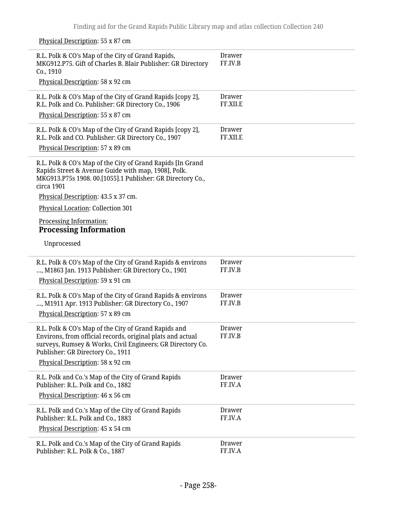Physical Description: 55 x 87 cm

| R.L. Polk & CO's Map of the City of Grand Rapids,<br>MKG912.P75. Gift of Charles B. Blair Publisher: GR Directory<br>Co., 1910                                                                                        | <b>Drawer</b><br>FF.IV.B  |
|-----------------------------------------------------------------------------------------------------------------------------------------------------------------------------------------------------------------------|---------------------------|
| Physical Description: 58 x 92 cm                                                                                                                                                                                      |                           |
| R.L. Polk & CO's Map of the City of Grand Rapids [copy 2],<br>R.L. Polk and Co. Publisher: GR Directory Co., 1906<br>Physical Description: 55 x 87 cm                                                                 | Drawer<br>FF.XII.E        |
| R.L. Polk & CO's Map of the City of Grand Rapids [copy 2],<br>R.L. Polk and CO. Publisher: GR Directory Co., 1907<br>Physical Description: 57 x 89 cm                                                                 | <b>Drawer</b><br>FF.XII.E |
| R.L. Polk & CO's Map of the City of Grand Rapids [In Grand<br>Rapids Street & Avenue Guide with map, 1908], Polk.<br>MKG913.P75s 1908. 00.[1055].1 Publisher: GR Directory Co.,<br>circa 1901                         |                           |
| Physical Description: 43.5 x 37 cm.<br>Physical Location: Collection 301                                                                                                                                              |                           |
| Processing Information:<br><b>Processing Information</b>                                                                                                                                                              |                           |
| Unprocessed                                                                                                                                                                                                           |                           |
| R.L. Polk & CO's Map of the City of Grand Rapids & environs<br>, M1863 Jan. 1913 Publisher: GR Directory Co., 1901<br>Physical Description: 59 x 91 cm                                                                | <b>Drawer</b><br>FF.IV.B  |
| R.L. Polk & CO's Map of the City of Grand Rapids & environs<br>, M1911 Apr. 1913 Publisher: GR Directory Co., 1907<br>Physical Description: 57 x 89 cm                                                                | <b>Drawer</b><br>FF.IV.B  |
|                                                                                                                                                                                                                       |                           |
| R.L. Polk & CO's Map of the City of Grand Rapids and<br>Environs, from official records, original plats and actual<br>surveys, Rumsey & Works, Civil Engineers; GR Directory Co.<br>Publisher: GR Directory Co., 1911 | <b>Drawer</b><br>FF.IV.B  |
| Physical Description: 58 x 92 cm                                                                                                                                                                                      |                           |
| R.L. Polk and Co.'s Map of the City of Grand Rapids<br>Publisher: R.L. Polk and Co., 1882                                                                                                                             | <b>Drawer</b><br>FF.IV.A  |
| Physical Description: 46 x 56 cm                                                                                                                                                                                      |                           |
| R.L. Polk and Co.'s Map of the City of Grand Rapids<br>Publisher: R.L. Polk and Co., 1883                                                                                                                             | <b>Drawer</b><br>FF.IV.A  |
| Physical Description: 45 x 54 cm                                                                                                                                                                                      |                           |
| R.L. Polk and Co.'s Map of the City of Grand Rapids<br>Publisher: R.L. Polk & Co., 1887                                                                                                                               | <b>Drawer</b><br>FF.IV.A  |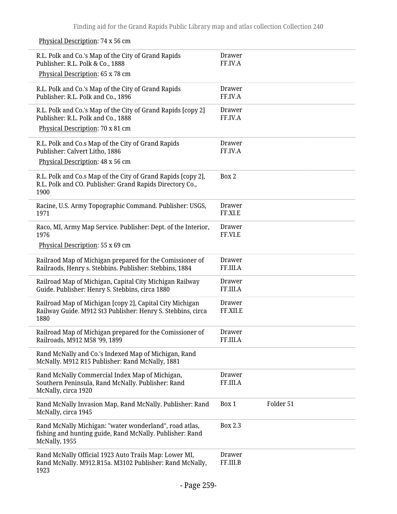R.L. Polk and Co.'s Map of the City of Grand Rapids Publisher: R.L. Polk & Co., 1888 Physical Description: 65 x 78 cm Drawer FF.IV.A R.L. Polk and Co.'s Map of the City of Grand Rapids Publisher: R.L. Polk and Co., 1896 Drawer FF.IV.A R.L. Polk and Co.'s Map of the City of Grand Rapids [copy 2] Publisher: R.L. Polk and Co., 1888 Physical Description: 70 x 81 cm Drawer FF.IV.A R.L. Polk and Co.s Map of the City of Grand Rapids Publisher: Calvert Litho, 1886 Physical Description: 48 x 56 cm Drawer FF.IV.A R.L. Polk and Co.s Map of the City of Grand Rapids [copy 2], R.L. Polk and CO. Publisher: Grand Rapids Directory Co., 1900 Box 2 Racine, U.S. Army Topographic Command. Publisher: USGS, 1971 Drawer FF.XI.E Raco, MI, Army Map Service. Publisher: Dept. of the Interior, 1976 Physical Description: 55 x 69 cm Drawer FF.VI.E Railraod Map of Michigan prepared for the Comissioner of Railraods, Henry s. Stebbins. Publisher: Stebbins, 1884 Drawer FF.III.A Railroad Map of Michigan, Capital City Michigan Railway Guide. Publisher: Henry S. Stebbins, circa 1880 Drawer FF.III.A Railroad Map of Michigan [copy 2], Capital City Michigan Railway Guide. M912 St3 Publisher: Henry S. Stebbins, circa 1880 Drawer FF.XII.E Railroad Map of Michigan prepared for the Comissioner of Railroads, M912 M58 '99, 1899 Drawer FF.III.A Rand McNally and Co.'s Indexed Map of Michigan, Rand McNally. M912 R15 Publisher: Rand McNally, 1881 Rand McNally Commercial Index Map of Michigan, Southern Peninsula, Rand McNally. Publisher: Rand McNally, circa 1920 Drawer FF.III.A Rand McNally Invasion Map, Rand McNally. Publisher: Rand McNally, circa 1945 Box 1 Folder 51 Rand McNally Michigan: "water wonderland", road atlas, fishing and hunting guide, Rand McNally. Publisher: Rand McNally, 1955 Box 2.3 Rand McNally Official 1923 Auto Trails Map: Lower MI, Rand McNally. M912.R15a. M3102 Publisher: Rand McNally, 1923 Drawer FF.III.B

#### Physical Description: 74 x 56 cm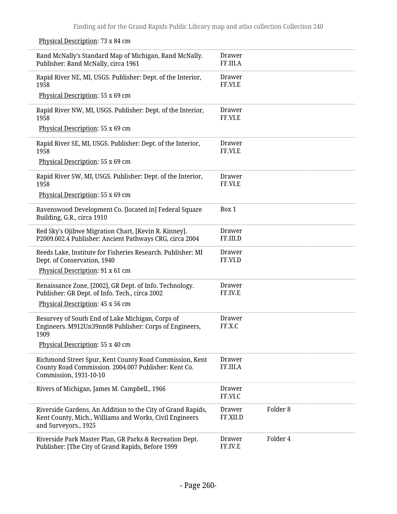Physical Description: 73 x 84 cm

Rand McNally's Standard Map of Michigan, Rand McNally. Publisher: Rand McNally, circa 1961 Drawer FF.III.A Rapid River NE, MI, USGS. Publisher: Dept. of the Interior, 1958 Physical Description: 55 x 69 cm Drawer FF.VI.E Rapid River NW, MI, USGS. Publisher: Dept. of the Interior, 1958 Physical Description: 55 x 69 cm Drawer FF.VI.E Rapid River SE, MI, USGS. Publisher: Dept. of the Interior, 1958 Physical Description: 55 x 69 cm Drawer FF.VI.E Rapid River SW, MI, USGS. Publisher: Dept. of the Interior, 1958 Physical Description: 55 x 69 cm Drawer FF.VI.E Ravenswood Development Co. [located in] Federal Square Building, G.R., circa 1910 Box 1 Red Sky's Ojibwe Migration Chart, [Kevin R. Kinney]. P2009.002.4 Publisher: Ancient Pathways CRG, circa 2004 Drawer FF.III.D Reeds Lake, Institute for Fisheries Research. Publisher: MI Dept. of Conservation, 1940 Physical Description: 91 x 61 cm Drawer FF.VI.D Renaissance Zone, [2002], GR Dept. of Info. Technology. Publisher: GR Dept. of Info. Tech., circa 2002 Physical Description: 45 x 56 cm Drawer FF.IV.E Resurvey of South End of Lake Michigan, Corps of Engineers. M912Un39nn08 Publisher: Corps of Engineers, 1909 Physical Description: 55 x 40 cm Drawer FF.X.C Richmond Street Spur, Kent County Road Commission, Kent County Road Commission. 2004.007 Publisher: Kent Co. Commission, 1931-10-10 Drawer FF.III.A Rivers of Michigan, James M. Campbell., 1966 Drawer FF.VI.C Riverside Gardens, An Addition to the City of Grand Rapids, Kent County, Mich., Williams and Works, Civil Engineers and Surveyors., 1925 Drawer FF.XII.D Folder 8 Riverside Park Master Plan, GR Parks & Recreation Dept. Publisher: [The City of Grand Rapids, Before 1999 Drawer FF.IV.E Folder 4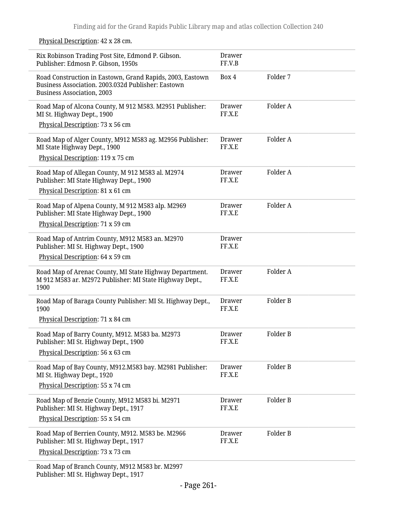Physical Description: 42 x 28 cm.

| Rix Robinson Trading Post Site, Edmond P. Gibson.<br>Publisher: Edmosn P. Gibson, 1950s                                                              | <b>Drawer</b><br>FF.V.B |          |
|------------------------------------------------------------------------------------------------------------------------------------------------------|-------------------------|----------|
| Road Construction in Eastown, Grand Rapids, 2003, Eastown<br>Business Association. 2003.032d Publisher: Eastown<br><b>Business Association, 2003</b> | Box 4                   | Folder 7 |
| Road Map of Alcona County, M 912 M583. M2951 Publisher:<br>MI St. Highway Dept., 1900<br>Physical Description: 73 x 56 cm                            | <b>Drawer</b><br>FF.X.E | Folder A |
| Road Map of Alger County, M912 M583 ag. M2956 Publisher:<br>MI State Highway Dept., 1900<br>Physical Description: 119 x 75 cm                        | Drawer<br>FF.X.E        | Folder A |
| Road Map of Allegan County, M 912 M583 al. M2974<br>Publisher: MI State Highway Dept., 1900<br>Physical Description: 81 x 61 cm                      | <b>Drawer</b><br>FF.X.E | Folder A |
| Road Map of Alpena County, M 912 M583 alp. M2969<br>Publisher: MI State Highway Dept., 1900<br>Physical Description: 71 x 59 cm                      | Drawer<br>FF.X.E        | Folder A |
| Road Map of Antrim County, M912 M583 an. M2970<br>Publisher: MI St. Highway Dept., 1900<br>Physical Description: 64 x 59 cm                          | <b>Drawer</b><br>FF.X.E |          |
| Road Map of Arenac County, MI State Highway Department.<br>M 912 M583 ar. M2972 Publisher: MI State Highway Dept.,<br>1900                           | <b>Drawer</b><br>FF.X.E | Folder A |
| Road Map of Baraga County Publisher: MI St. Highway Dept.,<br>1900                                                                                   | <b>Drawer</b><br>FF.X.E | Folder B |
| Physical Description: 71 x 84 cm                                                                                                                     |                         |          |
| Road Map of Barry County, M912. M583 ba. M2973<br>Publisher: MI St. Highway Dept., 1900                                                              | Drawer<br>FF.X.E        | Folder B |
| Physical Description: 56 x 63 cm                                                                                                                     |                         |          |
| Road Map of Bay County, M912.M583 bay. M2981 Publisher:<br>MI St. Highway Dept., 1920                                                                | Drawer<br>FF.X.E        | Folder B |
| Physical Description: 55 x 74 cm                                                                                                                     |                         |          |
| Road Map of Benzie County, M912 M583 bi. M2971<br>Publisher: MI St. Highway Dept., 1917                                                              | <b>Drawer</b><br>FF.X.E | Folder B |
| Physical Description: 55 x 54 cm                                                                                                                     |                         |          |
| Road Map of Berrien County, M912. M583 be. M2966<br>Publisher: MI St. Highway Dept., 1917                                                            | Drawer<br>FF.X.E        | Folder B |
| Physical Description: 73 x 73 cm                                                                                                                     |                         |          |
| Road Map of Branch County, M912 M583 br. M2997<br>Publisher: MI St. Highway Dept., 1917                                                              |                         |          |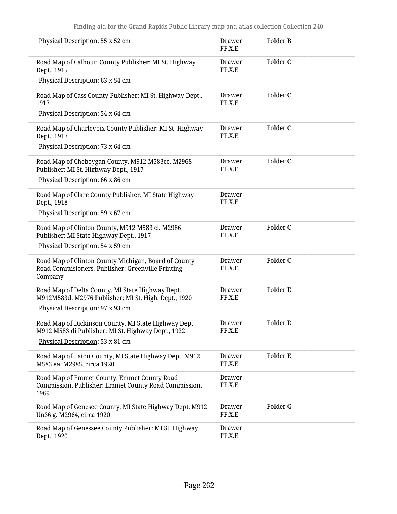| Physical Description: 55 x 52 cm                                                                                     | Drawer<br>FF.X.E        | Folder B |
|----------------------------------------------------------------------------------------------------------------------|-------------------------|----------|
| Road Map of Calhoun County Publisher: MI St. Highway<br>Dept., 1915                                                  | Drawer<br>FF.X.E        | Folder C |
| Physical Description: 63 x 54 cm                                                                                     |                         |          |
| Road Map of Cass County Publisher: MI St. Highway Dept.,<br>1917                                                     | <b>Drawer</b><br>FF.X.E | Folder C |
| Physical Description: 54 x 64 cm                                                                                     |                         |          |
| Road Map of Charlevoix County Publisher: MI St. Highway<br>Dept., 1917                                               | Drawer<br>FF.X.E        | Folder C |
| Physical Description: 73 x 64 cm                                                                                     |                         |          |
| Road Map of Cheboygan County, M912 M583ce. M2968<br>Publisher: MI St. Highway Dept., 1917                            | Drawer<br>FF.X.E        | Folder C |
| Physical Description: 66 x 86 cm                                                                                     |                         |          |
| Road Map of Clare County Publisher: MI State Highway<br>Dept., 1918                                                  | Drawer<br>FF.X.E        |          |
| Physical Description: 59 x 67 cm                                                                                     |                         |          |
| Road Map of Clinton County, M912 M583 cl. M2986<br>Publisher: MI State Highway Dept., 1917                           | <b>Drawer</b><br>FF.X.E | Folder C |
| Physical Description: 54 x 59 cm                                                                                     |                         |          |
| Road Map of Clinton County Michigan, Board of County<br>Road Commisioners. Publisher: Greenville Printing<br>Company | Drawer<br>FF.X.E        | Folder C |
| Road Map of Delta County, MI State Highway Dept.<br>M912M583d. M2976 Publisher: MI St. High. Dept., 1920             | <b>Drawer</b><br>FF.X.E | Folder D |
| Physical Description: 97 x 93 cm                                                                                     |                         |          |
| Road Map of Dickinson County, MI State Highway Dept.<br>M912 M583 di Publisher: MI St. Highway Dept., 1922           | Drawer<br>FF.X.E        | Folder D |
| Physical Description: 53 x 81 cm                                                                                     |                         |          |
| Road Map of Eaton County, MI State Highway Dept. M912<br>M583 ea. M2985, circa 1920                                  | <b>Drawer</b><br>FF.X.E | Folder E |
| Road Map of Emmet County, Emmet County Road<br>Commission. Publisher: Emmet County Road Commission,<br>1969          | <b>Drawer</b><br>FF.X.E |          |
| Road Map of Genesee County, MI State Highway Dept. M912<br>Un36 g. M2964, circa 1920                                 | <b>Drawer</b><br>FF.X.E | Folder G |
| Road Map of Genessee County Publisher: MI St. Highway<br>Dept., 1920                                                 | Drawer<br>FF.X.E        |          |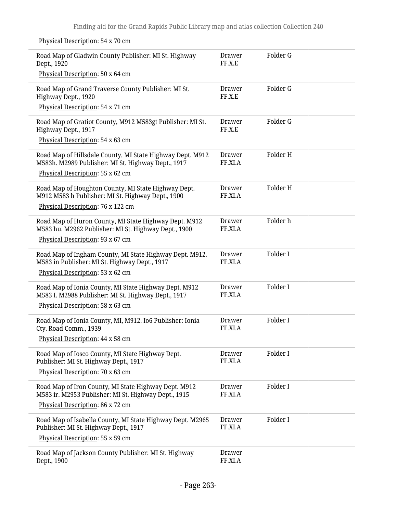Physical Description: 54 x 70 cm

| Road Map of Gladwin County Publisher: MI St. Highway<br>Dept., 1920                                             | <b>Drawer</b><br>FF.X.E  | Folder G |
|-----------------------------------------------------------------------------------------------------------------|--------------------------|----------|
| Physical Description: 50 x 64 cm                                                                                |                          |          |
| Road Map of Grand Traverse County Publisher: MI St.<br>Highway Dept., 1920                                      | <b>Drawer</b><br>FF.X.E  | Folder G |
| Physical Description: 54 x 71 cm                                                                                |                          |          |
| Road Map of Gratiot County, M912 M583gt Publisher: MI St.<br>Highway Dept., 1917                                | <b>Drawer</b><br>FF.X.E  | Folder G |
| Physical Description: 54 x 63 cm                                                                                |                          |          |
| Road Map of Hillsdale County, MI State Highway Dept. M912<br>M583h. M2989 Publisher: MI St. Highway Dept., 1917 | <b>Drawer</b><br>FF.XI.A | Folder H |
| Physical Description: 55 x 62 cm                                                                                |                          |          |
| Road Map of Houghton County, MI State Highway Dept.<br>M912 M583 h Publisher: MI St. Highway Dept., 1900        | <b>Drawer</b><br>FF.XI.A | Folder H |
| Physical Description: 76 x 122 cm                                                                               |                          |          |
| Road Map of Huron County, MI State Highway Dept. M912<br>M583 hu. M2962 Publisher: MI St. Highway Dept., 1900   | <b>Drawer</b><br>FF.XI.A | Folder h |
| Physical Description: 93 x 67 cm                                                                                |                          |          |
| Road Map of Ingham County, MI State Highway Dept. M912.<br>M583 in Publisher: MI St. Highway Dept., 1917        | <b>Drawer</b><br>FF.XI.A | Folder I |
| Physical Description: 53 x 62 cm                                                                                |                          |          |
| Road Map of Ionia County, MI State Highway Dept. M912<br>M583 I. M2988 Publisher: MI St. Highway Dept., 1917    | <b>Drawer</b><br>FF.XI.A | Folder I |
| Physical Description: 58 x 63 cm                                                                                |                          |          |
| Road Map of Ionia County, MI, M912. Io6 Publisher: Ionia<br>Cty. Road Comm., 1939                               | <b>Drawer</b><br>FF.XI.A | Folder I |
| Physical Description: 44 x 58 cm                                                                                |                          |          |
| Road Map of Iosco County, MI State Highway Dept.<br>Publisher: MI St. Highway Dept., 1917                       | <b>Drawer</b><br>FF.XI.A | Folder I |
| Physical Description: 70 x 63 cm                                                                                |                          |          |
| Road Map of Iron County, MI State Highway Dept. M912<br>M583 ir. M2953 Publisher: MI St. Highway Dept., 1915    | <b>Drawer</b><br>FF.XI.A | Folder I |
| Physical Description: 86 x 72 cm                                                                                |                          |          |
| Road Map of Isabella County, MI State Highway Dept. M2965<br>Publisher: MI St. Highway Dept., 1917              | <b>Drawer</b><br>FF.XI.A | Folder I |
| Physical Description: 55 x 59 cm                                                                                |                          |          |
| Road Map of Jackson County Publisher: MI St. Highway<br>Dept., 1900                                             | <b>Drawer</b><br>FF.XI.A |          |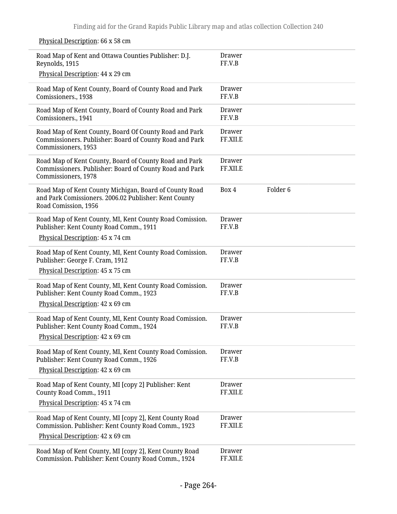| Road Map of Kent and Ottawa Counties Publisher: D.J.<br>Reynolds, 1915                                                                   | Drawer<br>FF.V.B          |                     |
|------------------------------------------------------------------------------------------------------------------------------------------|---------------------------|---------------------|
| Physical Description: 44 x 29 cm                                                                                                         |                           |                     |
| Road Map of Kent County, Board of County Road and Park<br>Comissioners., 1938                                                            | Drawer<br>FF.V.B          |                     |
| Road Map of Kent County, Board of County Road and Park<br>Comissioners., 1941                                                            | Drawer<br>FF.V.B          |                     |
| Road Map of Kent County, Board Of County Road and Park<br>Commissioners. Publisher: Board of County Road and Park<br>Commissioners, 1953 | Drawer<br>FF.XII.E        |                     |
| Road Map of Kent County, Board of County Road and Park<br>Commissioners. Publisher: Board of County Road and Park<br>Commissioners, 1978 | Drawer<br>FF.XII.E        |                     |
| Road Map of Kent County Michigan, Board of County Road<br>and Park Comissioners. 2006.02 Publisher: Kent County<br>Road Comission, 1956  | Box 4                     | Folder <sub>6</sub> |
| Road Map of Kent County, MI, Kent County Road Comission.<br>Publisher: Kent County Road Comm., 1911                                      | Drawer<br>FF.V.B          |                     |
| Physical Description: 45 x 74 cm                                                                                                         |                           |                     |
| Road Map of Kent County, MI, Kent County Road Comission.<br>Publisher: George F. Cram, 1912                                              | Drawer<br>FF.V.B          |                     |
| Physical Description: 45 x 75 cm                                                                                                         |                           |                     |
| Road Map of Kent County, MI, Kent County Road Comission.<br>Publisher: Kent County Road Comm., 1923<br>Physical Description: 42 x 69 cm  | Drawer<br>FF.V.B          |                     |
|                                                                                                                                          | Drawer                    |                     |
| Road Map of Kent County, MI, Kent County Road Comission.<br>Publisher: Kent County Road Comm., 1924                                      | FF.V.B                    |                     |
| Physical Description: 42 x 69 cm                                                                                                         |                           |                     |
| Road Map of Kent County, MI, Kent County Road Comission.<br>Publisher: Kent County Road Comm., 1926                                      | <b>Drawer</b><br>FF.V.B   |                     |
| Physical Description: 42 x 69 cm                                                                                                         |                           |                     |
| Road Map of Kent County, MI [copy 2] Publisher: Kent<br>County Road Comm., 1911                                                          | <b>Drawer</b><br>FF.XII.E |                     |
| Physical Description: 45 x 74 cm                                                                                                         |                           |                     |
| Road Map of Kent County, MI [copy 2], Kent County Road<br>Commission. Publisher: Kent County Road Comm., 1923                            | <b>Drawer</b><br>FF.XII.E |                     |
| Physical Description: 42 x 69 cm                                                                                                         |                           |                     |
| Road Map of Kent County, MI [copy 2], Kent County Road<br>Commission. Publisher: Kent County Road Comm., 1924                            | <b>Drawer</b><br>FF.XII.E |                     |

## Physical Description: 66 x 58 cm

 $\overline{a}$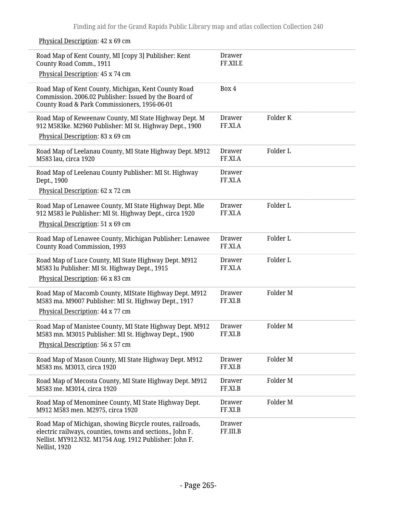Physical Description: 42 x 69 cm

| Road Map of Kent County, MI [copy 3] Publisher: Kent<br>County Road Comm., 1911<br>Physical Description: 45 x 74 cm                                                                              | Drawer<br>FF.XII.E        |          |
|--------------------------------------------------------------------------------------------------------------------------------------------------------------------------------------------------|---------------------------|----------|
| Road Map of Kent County, Michigan, Kent County Road<br>Commission. 2006.02 Publisher: Issued by the Board of<br>County Road & Park Commissioners, 1956-06-01                                     | Box 4                     |          |
| Road Map of Keweenaw County, MI State Highway Dept. M<br>912 M583ke. M2960 Publisher: MI St. Highway Dept., 1900<br>Physical Description: 83 x 69 cm                                             | <b>Drawer</b><br>FF.XI.A  | Folder K |
|                                                                                                                                                                                                  |                           |          |
| Road Map of Leelanau County, MI State Highway Dept. M912<br>M583 lau, circa 1920                                                                                                                 | <b>Drawer</b><br>FF.XI.A  | Folder L |
| Road Map of Leelenau County Publisher: MI St. Highway<br>Dept., 1900                                                                                                                             | <b>Drawer</b><br>FF.XI.A  |          |
| Physical Description: 62 x 72 cm                                                                                                                                                                 |                           |          |
| Road Map of Lenawee County, MI State Highway Dept. Mle<br>912 M583 le Publisher: MI St. Highway Dept., circa 1920                                                                                | <b>Drawer</b><br>FF.XI.A  | Folder L |
| Physical Description: 51 x 69 cm                                                                                                                                                                 |                           |          |
| Road Map of Lenawee County, Michigan Publisher: Lenawee<br><b>County Road Commission, 1993</b>                                                                                                   | <b>Drawer</b><br>FF.XI.A  | Folder L |
| Road Map of Luce County, MI State Highway Dept. M912<br>M583 lu Publisher: MI St. Highway Dept., 1915                                                                                            | <b>Drawer</b><br>FF.XI.A  | Folder L |
| Physical Description: 66 x 83 cm                                                                                                                                                                 |                           |          |
| Road Map of Macomb County, MIState Highway Dept. M912<br>M583 ma. M9007 Publisher: MI St. Highway Dept., 1917<br>Physical Description: 44 x 77 cm                                                | <b>Drawer</b><br>FF.XI.B  | Folder M |
| Road Map of Manistee County, MI State Highway Dept. M912<br>M583 mn. M3015 Publisher: MI St. Highway Dept., 1900<br>Physical Description: 56 x 57 cm                                             | <b>Drawer</b><br>FF.XI.B  | Folder M |
| Road Map of Mason County, MI State Highway Dept. M912<br>M583 ms. M3013, circa 1920                                                                                                              | <b>Drawer</b><br>FF.XI.B  | Folder M |
| Road Map of Mecosta County, MI State Highway Dept. M912<br>M583 me. M3014, circa 1920                                                                                                            | <b>Drawer</b><br>FF.XI.B  | Folder M |
| Road Map of Menominee County, MI State Highway Dept.<br>M912 M583 men. M2975, circa 1920                                                                                                         | <b>Drawer</b><br>FF.XI.B  | Folder M |
| Road Map of Michigan, showing Bicycle routes, railroads,<br>electric railways, counties, towns and sections., John F.<br>Nellist. MY912.N32. M1754 Aug. 1912 Publisher: John F.<br>Nellist, 1920 | <b>Drawer</b><br>FF.III.B |          |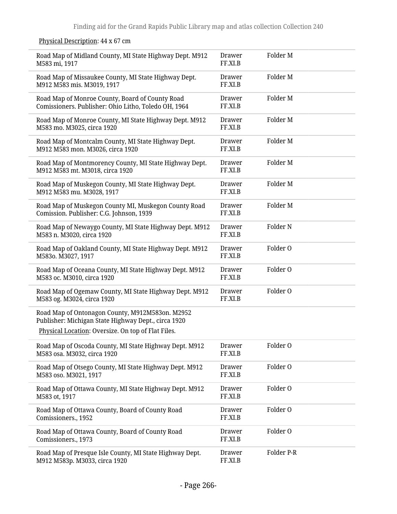| Road Map of Midland County, MI State Highway Dept. M912<br>M583 mi, 1917                                                                                     | Drawer<br>FF.XI.B        | Folder M            |  |
|--------------------------------------------------------------------------------------------------------------------------------------------------------------|--------------------------|---------------------|--|
| Road Map of Missaukee County, MI State Highway Dept.<br>M912 M583 mis. M3019, 1917                                                                           | <b>Drawer</b><br>FF.XI.B | Folder M            |  |
| Road Map of Monroe County, Board of County Road<br>Comissioners. Publisher: Ohio Litho, Toledo OH, 1964                                                      | <b>Drawer</b><br>FF.XI.B | Folder M            |  |
| Road Map of Monroe County, MI State Highway Dept. M912<br>M583 mo. M3025, circa 1920                                                                         | Drawer<br>FF.XI.B        | Folder M            |  |
| Road Map of Montcalm County, MI State Highway Dept.<br>M912 M583 mon. M3026, circa 1920                                                                      | <b>Drawer</b><br>FF.XI.B | Folder M            |  |
| Road Map of Montmorency County, MI State Highway Dept.<br>M912 M583 mt. M3018, circa 1920                                                                    | <b>Drawer</b><br>FF.XI.B | Folder M            |  |
| Road Map of Muskegon County, MI State Highway Dept.<br>M912 M583 mu. M3028, 1917                                                                             | <b>Drawer</b><br>FF.XI.B | Folder M            |  |
| Road Map of Muskegon County MI, Muskegon County Road<br>Comission. Publisher: C.G. Johnson, 1939                                                             | Drawer<br>FF.XI.B        | Folder M            |  |
| Road Map of Newaygo County, MI State Highway Dept. M912<br>M583 n. M3020, circa 1920                                                                         | <b>Drawer</b><br>FF.XI.B | Folder <sub>N</sub> |  |
| Road Map of Oakland County, MI State Highway Dept. M912<br>M583o. M3027, 1917                                                                                | <b>Drawer</b><br>FF.XI.B | Folder O            |  |
| Road Map of Oceana County, MI State Highway Dept. M912<br>M583 oc. M3010, circa 1920                                                                         | <b>Drawer</b><br>FF.XI.B | Folder O            |  |
| Road Map of Ogemaw County, MI State Highway Dept. M912<br>M583 og. M3024, circa 1920                                                                         | <b>Drawer</b><br>FF.XI.B | Folder O            |  |
| Road Map of Ontonagon County, M912M583on. M2952<br>Publisher: Michigan State Highway Dept., circa 1920<br>Physical Location: Oversize. On top of Flat Files. |                          |                     |  |
| Road Map of Oscoda County, MI State Highway Dept. M912<br>M583 osa. M3032, circa 1920                                                                        | <b>Drawer</b><br>FF.XI.B | Folder O            |  |
| Road Map of Otsego County, MI State Highway Dept. M912<br>M583 oso. M3021, 1917                                                                              | Drawer<br>FF.XI.B        | Folder O            |  |
| Road Map of Ottawa County, MI State Highway Dept. M912<br>M583 ot, 1917                                                                                      | <b>Drawer</b><br>FF.XI.B | Folder O            |  |
| Road Map of Ottawa County, Board of County Road<br>Comissioners., 1952                                                                                       | Drawer<br>FF.XI.B        | Folder O            |  |
| Road Map of Ottawa County, Board of County Road<br>Comissioners., 1973                                                                                       | <b>Drawer</b><br>FF.XI.B | Folder O            |  |
| Road Map of Presque Isle County, MI State Highway Dept.<br>M912 M583p. M3033, circa 1920                                                                     | Drawer<br>FF.XI.B        | Folder P-R          |  |

## Physical Description: 44 x 67 cm

 $\overline{a}$ 

L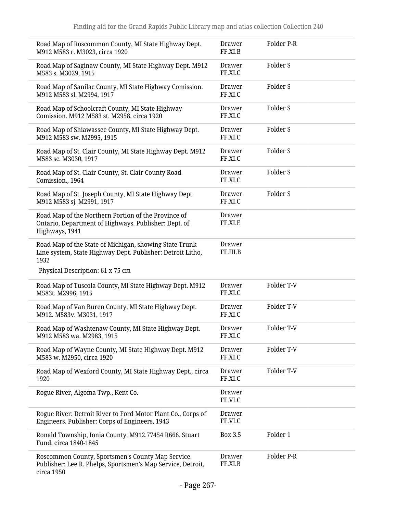| Road Map of Roscommon County, MI State Highway Dept.<br>M912 M583 r. M3023, circa 1920                                                                           | Drawer<br>FF.XI.B         | Folder P-R          |
|------------------------------------------------------------------------------------------------------------------------------------------------------------------|---------------------------|---------------------|
| Road Map of Saginaw County, MI State Highway Dept. M912<br>M583 s. M3029, 1915                                                                                   | <b>Drawer</b><br>FF.XI.C  | Folder S            |
| Road Map of Sanilac County, MI State Highway Comission.<br>M912 M583 sl. M2994, 1917                                                                             | <b>Drawer</b><br>FF.XI.C  | Folder S            |
| Road Map of Schoolcraft County, MI State Highway<br>Comission. M912 M583 st. M2958, circa 1920                                                                   | Drawer<br>FF.XI.C         | Folder S            |
| Road Map of Shiawassee County, MI State Highway Dept.<br>M912 M583 sw. M2995, 1915                                                                               | Drawer<br>FF.XI.C         | Folder <sub>S</sub> |
| Road Map of St. Clair County, MI State Highway Dept. M912<br>M583 sc. M3030, 1917                                                                                | <b>Drawer</b><br>FF.XI.C  | Folder S            |
| Road Map of St. Clair County, St. Clair County Road<br>Comission., 1964                                                                                          | Drawer<br>FF.XI.C         | Folder S            |
| Road Map of St. Joseph County, MI State Highway Dept.<br>M912 M583 sj. M2991, 1917                                                                               | Drawer<br>FF.XI.C         | Folder S            |
| Road Map of the Northern Portion of the Province of<br>Ontario, Department of Highways. Publisher: Dept. of<br>Highways, 1941                                    | <b>Drawer</b><br>FF.XI.E  |                     |
| Road Map of the State of Michigan, showing State Trunk<br>Line system, State Highway Dept. Publisher: Detroit Litho,<br>1932<br>Physical Description: 61 x 75 cm | <b>Drawer</b><br>FF.III.B |                     |
| Road Map of Tuscola County, MI State Highway Dept. M912<br>M583t. M2996, 1915                                                                                    | <b>Drawer</b><br>FF.XI.C  | Folder T-V          |
| Road Map of Van Buren County, MI State Highway Dept.<br>M912. M583v. M3031, 1917                                                                                 | <b>Drawer</b><br>FF.XI.C  | Folder T-V          |
| Road Map of Washtenaw County, MI State Highway Dept.<br>M912 M583 wa. M2983, 1915                                                                                | Drawer<br>FF.XI.C         | Folder T-V          |
| Road Map of Wayne County, MI State Highway Dept. M912<br>M583 w. M2950, circa 1920                                                                               | <b>Drawer</b><br>FF.XI.C  | Folder T-V          |
| Road Map of Wexford County, MI State Highway Dept., circa<br>1920                                                                                                | <b>Drawer</b><br>FF.XI.C  | Folder T-V          |
| Rogue River, Algoma Twp., Kent Co.                                                                                                                               | <b>Drawer</b><br>FF.VI.C  |                     |
| Rogue River: Detroit River to Ford Motor Plant Co., Corps of<br>Engineers. Publisher: Corps of Engineers, 1943                                                   | Drawer<br>FF.VI.C         |                     |
| Ronald Township, Ionia County, M912.77454 R666. Stuart<br>Fund, circa 1840-1845                                                                                  | Box 3.5                   | Folder 1            |
| Roscommon County, Sportsmen's County Map Service.<br>Publisher: Lee R. Phelps, Sportsmen's Map Service, Detroit,<br>circa 1950                                   | Drawer<br>FF.XI.B         | Folder P-R          |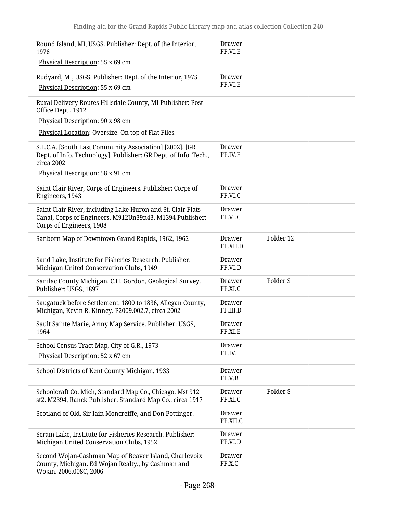| Round Island, MI, USGS. Publisher: Dept. of the Interior,<br>1976                                                                                   | Drawer<br>FF.VI.E         |                     |
|-----------------------------------------------------------------------------------------------------------------------------------------------------|---------------------------|---------------------|
| Physical Description: 55 x 69 cm                                                                                                                    |                           |                     |
| Rudyard, MI, USGS. Publisher: Dept. of the Interior, 1975<br>Physical Description: 55 x 69 cm                                                       | Drawer<br>FF.VI.E         |                     |
| Rural Delivery Routes Hillsdale County, MI Publisher: Post<br>Office Dept., 1912                                                                    |                           |                     |
| Physical Description: 90 x 98 cm                                                                                                                    |                           |                     |
| Physical Location: Oversize. On top of Flat Files.                                                                                                  |                           |                     |
| S.E.C.A. [South East Community Association] [2002], [GR<br>Dept. of Info. Technology]. Publisher: GR Dept. of Info. Tech.,<br>circa 2002            | Drawer<br>FF.IV.E         |                     |
| Physical Description: 58 x 91 cm                                                                                                                    |                           |                     |
| Saint Clair River, Corps of Engineers. Publisher: Corps of<br>Engineers, 1943                                                                       | <b>Drawer</b><br>FF.VI.C  |                     |
| Saint Clair River, including Lake Huron and St. Clair Flats<br>Canal, Corps of Engineers. M912Un39n43. M1394 Publisher:<br>Corps of Engineers, 1908 | <b>Drawer</b><br>FF.VI.C  |                     |
| Sanborn Map of Downtown Grand Rapids, 1962, 1962                                                                                                    | <b>Drawer</b><br>FF.XII.D | Folder 12           |
| Sand Lake, Institute for Fisheries Research. Publisher:<br>Michigan United Conservation Clubs, 1949                                                 | <b>Drawer</b><br>FF.VI.D  |                     |
| Sanilac County Michigan, C.H. Gordon, Geological Survey.<br>Publisher: USGS, 1897                                                                   | <b>Drawer</b><br>FF.XI.C  | Folder <sub>S</sub> |
| Saugatuck before Settlement, 1800 to 1836, Allegan County,<br>Michigan, Kevin R. Kinney. P2009.002.7, circa 2002                                    | <b>Drawer</b><br>FF.III.D |                     |
| Sault Sainte Marie, Army Map Service. Publisher: USGS,<br>1964                                                                                      | Drawer<br>FF.XI.E         |                     |
| School Census Tract Map, City of G.R., 1973                                                                                                         | <b>Drawer</b>             |                     |
| Physical Description: 52 x 67 cm                                                                                                                    | FF.IV.E                   |                     |
| School Districts of Kent County Michigan, 1933                                                                                                      | <b>Drawer</b><br>FF.V.B   |                     |
| Schoolcraft Co. Mich, Standard Map Co., Chicago. Mst 912<br>st2. M2394, Ranck Publisher: Standard Map Co., circa 1917                               | <b>Drawer</b><br>FF.XI.C  | Folder <sub>S</sub> |
| Scotland of Old, Sir Iain Moncreiffe, and Don Pottinger.                                                                                            | <b>Drawer</b><br>FF.XII.C |                     |
| Scram Lake, Institute for Fisheries Research. Publisher:<br>Michigan United Conservation Clubs, 1952                                                | <b>Drawer</b><br>FF.VI.D  |                     |
| Second Wojan-Cashman Map of Beaver Island, Charlevoix<br>County, Michigan. Ed Wojan Realty., by Cashman and<br>Wojan. 2006.008C, 2006               | <b>Drawer</b><br>FF.X.C   |                     |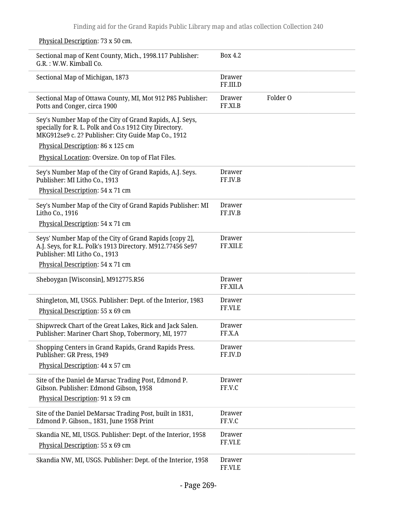Sectional map of Kent County, Mich., 1998.117 Publisher: G.R. : W.W. Kimball Co. Box 4.2 Sectional Map of Michigan, 1873 Drawer FF.III.D Sectional Map of Ottawa County, MI, Mot 912 P85 Publisher: Potts and Conger, circa 1900 Drawer FF.XI.B Folder O Sey's Number Map of the City of Grand Rapids, A.J. Seys, specially for R. L. Polk and Co.s 1912 City Directory. MKG912se9 c. 2? Publisher: City Guide Map Co., 1912 Physical Description: 86 x 125 cm Physical Location: Oversize. On top of Flat Files. Sey's Number Map of the City of Grand Rapids, A.J. Seys. Publisher: MI Litho Co., 1913 Physical Description: 54 x 71 cm Drawer FF.IV.B Sey's Number Map of the City of Grand Rapids Publisher: MI Litho Co., 1916 Physical Description: 54 x 71 cm Drawer FF.IV.B Seys' Number Map of the City of Grand Rapids [copy 2], A.J. Seys, for R.L. Polk's 1913 Directory. M912.77456 Se97 Publisher: MI Litho Co., 1913 Physical Description: 54 x 71 cm Drawer FF.XII.E Sheboygan [Wisconsin], M912775.R56 Drawer FF.XII.A Shingleton, MI, USGS. Publisher: Dept. of the Interior, 1983 Physical Description: 55 x 69 cm Drawer FF.VI.E Shipwreck Chart of the Great Lakes, Rick and Jack Salen. Publisher: Mariner Chart Shop, Tobermory, MI, 1977 Drawer FF.X.A Shopping Centers in Grand Rapids, Grand Rapids Press. Publisher: GR Press, 1949 Physical Description: 44 x 57 cm Drawer FF.IV.D Site of the Daniel de Marsac Trading Post, Edmond P. Gibson. Publisher: Edmond Gibson, 1958 Physical Description: 91 x 59 cm Drawer FF.V.C Site of the Daniel DeMarsac Trading Post, built in 1831, Edmond P. Gibson., 1831, June 1958 Print Drawer FF.V.C Skandia NE, MI, USGS. Publisher: Dept. of the Interior, 1958 Physical Description: 55 x 69 cm Drawer FF.VI.E Skandia NW, MI, USGS. Publisher: Dept. of the Interior, 1958 Drawer FF.VI.E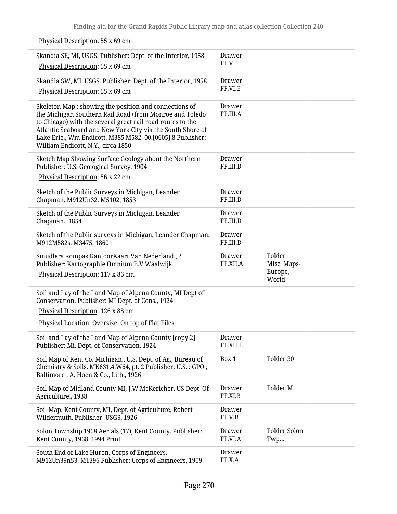| Skandia SE, MI, USGS. Publisher: Dept. of the Interior, 1958<br>Physical Description: 55 x 69 cm                                                                                                                                                                                                                                                  | <b>Drawer</b><br>FF.VI.E  |                       |
|---------------------------------------------------------------------------------------------------------------------------------------------------------------------------------------------------------------------------------------------------------------------------------------------------------------------------------------------------|---------------------------|-----------------------|
| Skandia SW, MI, USGS. Publisher: Dept. of the Interior, 1958<br>Physical Description: 55 x 69 cm                                                                                                                                                                                                                                                  | Drawer<br>FF.VI.E         |                       |
| Skeleton Map : showing the position and connections of<br>the Michigan Southern Rail Road (from Monroe and Toledo<br>to Chicago) with the several great rail road routes to the<br>Atlantic Seaboard and New York City via the South Shore of<br>Lake Erie., Wm Endicott. M385.M582. 00.[0605].8 Publisher:<br>William Endicott, N.Y., circa 1850 | <b>Drawer</b><br>FF.III.A |                       |
| Sketch Map Showing Surface Geology about the Northern<br>Publisher: U.S. Geological Survey, 1904                                                                                                                                                                                                                                                  | <b>Drawer</b><br>FF.III.D |                       |
| Physical Description: 56 x 22 cm                                                                                                                                                                                                                                                                                                                  |                           |                       |
| Sketch of the Public Surveys in Michigan, Leander<br>Chapman. M912Un32. M5102, 1853                                                                                                                                                                                                                                                               | Drawer<br>FF.III.D        |                       |
| Sketch of the Public Surveys in Michigan, Leander<br>Chapman., 1854                                                                                                                                                                                                                                                                               | Drawer<br>FF.III.D        |                       |
| Sketch of the Public surveys in Michigan, Leander Chapman.<br>M912M582s. M3475, 1860                                                                                                                                                                                                                                                              | Drawer<br>FF.III.D        |                       |
| Smudlers Kompas KantoorKaart Van Nederland., ?<br>Publisher: Kartographie Omnium B.V.Waalwijk                                                                                                                                                                                                                                                     | Drawer<br>FF.XII.A        | Folder<br>Misc. Maps- |
| Physical Description: 117 x 86 cm.                                                                                                                                                                                                                                                                                                                |                           | Europe,<br>World      |
| Soil and Lay of the Land Map of Alpena County, MI Dept of<br>Conservation. Publisher: MI Dept. of Cons., 1924                                                                                                                                                                                                                                     |                           |                       |
| Physical Description: 126 x 88 cm                                                                                                                                                                                                                                                                                                                 |                           |                       |
| Physical Location: Oversize. On top of Flat Files.                                                                                                                                                                                                                                                                                                |                           |                       |
| Soil and Lay of the Land Map of Alpena County [copy 2]<br>Publisher: Mi. Dept. of Conservation, 1924                                                                                                                                                                                                                                              | Drawer<br>FF.XII.E        |                       |
| Soil Map of Kent Co. Michigan., U.S. Dept. of Ag., Bureau of<br>Chemistry & Soils. MK631.4.W64, pt. 2 Publisher: U.S.: GPO;<br>Baltimore: A. Hoen & Co., Lith., 1926                                                                                                                                                                              | Box 1                     | Folder 30             |
| Soil Map of Midland County MI, J.W.McKericher, US Dept. Of<br>Agriculture., 1938                                                                                                                                                                                                                                                                  | Drawer<br>FF.XI.B         | Folder M              |
| Soil Map, Kent County, MI, Dept. of Agriculture, Robert<br>Wildermuth. Publisher: USGS, 1926                                                                                                                                                                                                                                                      | Drawer<br>FF.V.B          |                       |
| Solon Township 1968 Aerials (17), Kent County. Publisher:<br>Kent County, 1968, 1994 Print                                                                                                                                                                                                                                                        | Drawer<br>FF.VI.A         | Folder Solon<br>Twp   |
| South End of Lake Huron, Corps of Engineers.<br>M912Un39n53. M1396 Publisher: Corps of Engineers, 1909                                                                                                                                                                                                                                            | <b>Drawer</b><br>FF.X.A   |                       |

## Physical Description: 55 x 69 cm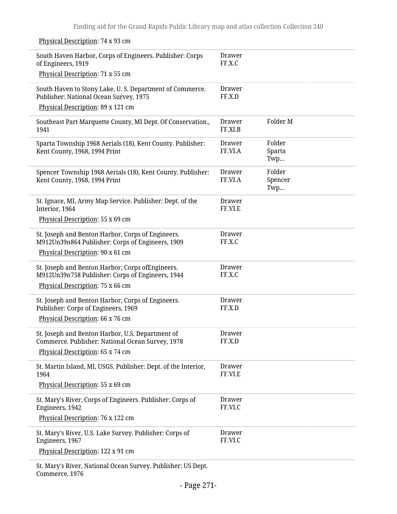Physical Description: 74 x 93 cm

i.

| South Haven Harbor, Corps of Engineers. Publisher: Corps<br>of Engineers, 1919<br>Physical Description: 71 x 55 cm                        | Drawer<br>FF.X.C         |                          |  |
|-------------------------------------------------------------------------------------------------------------------------------------------|--------------------------|--------------------------|--|
| South Haven to Stony Lake, U.S. Department of Commerce.<br>Publisher: National Ocean Survey, 1975<br>Physical Description: 89 x 121 cm    | Drawer<br>FF.X.D         |                          |  |
| Southeast Part Marquette County, MI Dept. Of Conservation.,<br>1941                                                                       | <b>Drawer</b><br>FF.XI.B | Folder M                 |  |
| Sparta Township 1968 Aerials (18), Kent County. Publisher:<br>Kent County, 1968, 1994 Print                                               | <b>Drawer</b><br>FF.VI.A | Folder<br>Sparta<br>Twp  |  |
| Spencer Township 1968 Aerials (18), Kent County. Publisher:<br>Kent County, 1968, 1994 Print                                              | <b>Drawer</b><br>FF.VI.A | Folder<br>Spencer<br>Twp |  |
| St. Ignace, MI, Army Map Service. Publisher: Dept. of the<br>Interior, 1964                                                               | <b>Drawer</b><br>FF.VI.E |                          |  |
| Physical Description: 55 x 69 cm                                                                                                          |                          |                          |  |
| St. Joseph and Benton Harbor, Corps of Engineers.<br>M912Un39n864 Publisher: Corps of Engineers, 1909                                     | <b>Drawer</b><br>FF.X.C  |                          |  |
| Physical Description: 90 x 61 cm                                                                                                          |                          |                          |  |
| St. Joseph and Benton Harbor, Corps of Engineers.<br>M912Un39n758 Publisher: Corps of Engineers, 1944<br>Physical Description: 75 x 66 cm | <b>Drawer</b><br>FF.X.C  |                          |  |
| St. Joseph and Benton Harbor, Corps of Engineers.<br>Publisher: Corps of Engineers, 1969<br>Physical Description: 66 x 76 cm              | <b>Drawer</b><br>FF.X.D  |                          |  |
| St. Joseph and Benton Harbor, U.S. Department of<br>Commerce. Publisher: National Ocean Survey, 1978<br>Physical Description: 65 x 74 cm  | Drawer<br>FF.X.D         |                          |  |
| St. Martin Island, MI, USGS. Publisher: Dept. of the Interior,<br>1964                                                                    | <b>Drawer</b><br>FF.VI.E |                          |  |
| Physical Description: 55 x 69 cm                                                                                                          |                          |                          |  |
| St. Mary's River, Corps of Engineers. Publisher: Corps of<br>Engineers, 1942                                                              | <b>Drawer</b><br>FF.VI.C |                          |  |
| Physical Description: 76 x 122 cm                                                                                                         |                          |                          |  |
| St. Mary's River, U.S. Lake Survey. Publisher: Corps of<br>Engineers, 1967                                                                | <b>Drawer</b><br>FF.VI.C |                          |  |
| Physical Description: 122 x 91 cm                                                                                                         |                          |                          |  |
| St. Mary's River, National Ocean Survey. Publisher: US Dept.<br>Commerce, 1976                                                            |                          |                          |  |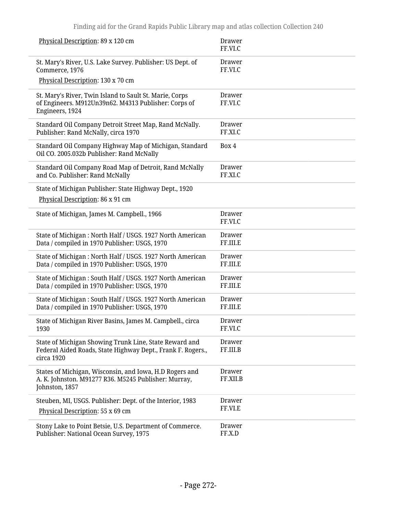| Physical Description: 89 x 120 cm                                                                                                   | Drawer<br>FF.VI.C         |
|-------------------------------------------------------------------------------------------------------------------------------------|---------------------------|
| St. Mary's River, U.S. Lake Survey. Publisher: US Dept. of<br>Commerce, 1976                                                        | <b>Drawer</b><br>FF.VI.C  |
| Physical Description: 130 x 70 cm                                                                                                   |                           |
| St. Mary's River, Twin Island to Sault St. Marie, Corps<br>of Engineers. M912Un39n62. M4313 Publisher: Corps of<br>Engineers, 1924  | Drawer<br>FF.VI.C         |
| Standard Oil Company Detroit Street Map, Rand McNally.<br>Publisher: Rand McNally, circa 1970                                       | <b>Drawer</b><br>FF.XI.C  |
| Standard Oil Company Highway Map of Michigan, Standard<br>Oil CO. 2005.032b Publisher: Rand McNally                                 | Box 4                     |
| Standard Oil Company Road Map of Detroit, Rand McNally<br>and Co. Publisher: Rand McNally                                           | <b>Drawer</b><br>FF.XI.C  |
| State of Michigan Publisher: State Highway Dept., 1920<br>Physical Description: 86 x 91 cm                                          |                           |
| State of Michigan, James M. Campbell., 1966                                                                                         | <b>Drawer</b><br>FF.VI.C  |
| State of Michigan: North Half / USGS. 1927 North American<br>Data / compiled in 1970 Publisher: USGS, 1970                          | <b>Drawer</b><br>FF.III.E |
| State of Michigan: North Half / USGS. 1927 North American<br>Data / compiled in 1970 Publisher: USGS, 1970                          | <b>Drawer</b><br>FF.III.E |
| State of Michigan: South Half / USGS. 1927 North American<br>Data / compiled in 1970 Publisher: USGS, 1970                          | <b>Drawer</b><br>FF.III.E |
| State of Michigan: South Half / USGS. 1927 North American<br>Data / compiled in 1970 Publisher: USGS, 1970                          | <b>Drawer</b><br>FF.III.E |
| State of Michigan River Basins, James M. Campbell., circa<br>1930                                                                   | Drawer<br>FF.VI.C         |
| State of Michigan Showing Trunk Line, State Reward and<br>Federal Aided Roads, State Highway Dept., Frank F. Rogers.,<br>circa 1920 | <b>Drawer</b><br>FF.III.B |
| States of Michigan, Wisconsin, and Iowa, H.D Rogers and<br>A. K. Johnston. M91277 R36. M5245 Publisher: Murray,<br>Johnston, 1857   | <b>Drawer</b><br>FF.XII.B |
| Steuben, MI, USGS. Publisher: Dept. of the Interior, 1983                                                                           | <b>Drawer</b>             |
| Physical Description: 55 x 69 cm                                                                                                    | FF.VI.E                   |
| Stony Lake to Point Betsie, U.S. Department of Commerce.<br>Publisher: National Ocean Survey, 1975                                  | <b>Drawer</b><br>FF.X.D   |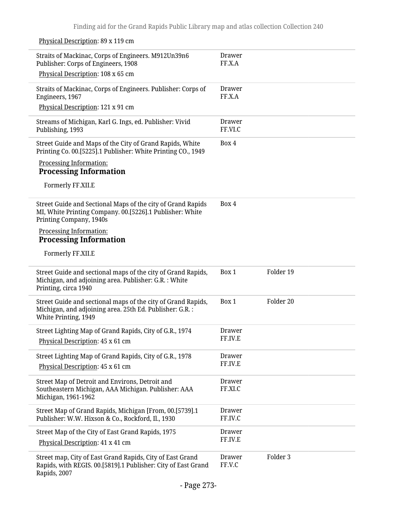#### Physical Description: 89 x 119 cm Straits of Mackinac, Corps of Engineers. M912Un39n6 Publisher: Corps of Engineers, 1908 Physical Description: 108 x 65 cm Drawer FF.X.A Straits of Mackinac, Corps of Engineers. Publisher: Corps of Engineers, 1967 Physical Description: 121 x 91 cm Drawer FF.X.A Streams of Michigan, Karl G. Ings, ed. Publisher: Vivid Publishing, 1993 Drawer FF.VI.C Street Guide and Maps of the City of Grand Rapids, White Printing Co. 00.[5225].1 Publisher: White Printing CO., 1949 Processing Information: **Processing Information** Formerly FF.XII.E Box 4 Street Guide and Sectional Maps of the city of Grand Rapids MI, White Printing Company. 00.[5226].1 Publisher: White Printing Company, 1940s Processing Information: **Processing Information** Formerly FF.XII.E Box 4 Street Guide and sectional maps of the city of Grand Rapids, Michigan, and adjoining area. Publisher: G.R. : White Printing, circa 1940 Box 1 Folder 19 Street Guide and sectional maps of the city of Grand Rapids, Michigan, and adjoining area. 25th Ed. Publisher: G.R. : White Printing, 1949 Box 1 Folder 20 Street Lighting Map of Grand Rapids, City of G.R., 1974 Physical Description: 45 x 61 cm Drawer FF.IV.E Street Lighting Map of Grand Rapids, City of G.R., 1978 Physical Description: 45 x 61 cm Drawer FF.IV.E Street Map of Detroit and Environs, Detroit and Southeastern Michigan, AAA Michigan. Publisher: AAA Michigan, 1961-1962 Drawer FF.XI.C Street Map of Grand Rapids, Michigan [From, 00.[5739].1 Publisher: W.W. Hixson & Co., Rockford, Il., 1930 Drawer FF.IV.C Street Map of the City of East Grand Rapids, 1975 Physical Description: 41 x 41 cm Drawer FF.IV.E Street map, City of East Grand Rapids, City of East Grand Rapids, with REGIS. 00.[5819].1 Publisher: City of East Grand Rapids, 2007 Drawer FF.V.C Folder 3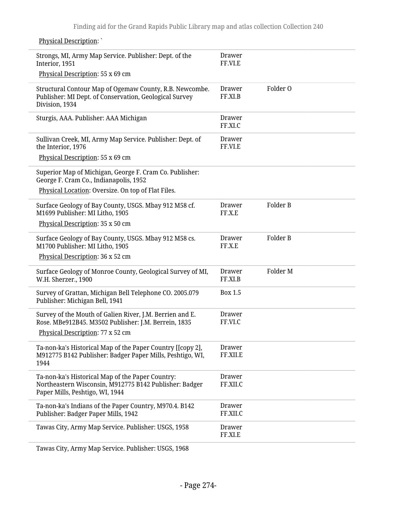| <b>Physical Description:</b>                                                                                                                  |                    |          |
|-----------------------------------------------------------------------------------------------------------------------------------------------|--------------------|----------|
| Strongs, MI, Army Map Service. Publisher: Dept. of the<br>Interior, 1951<br>Physical Description: 55 x 69 cm                                  | Drawer<br>FF.VI.E  |          |
|                                                                                                                                               |                    |          |
| Structural Contour Map of Ogemaw County, R.B. Newcombe.<br>Publisher: MI Dept. of Conservation, Geological Survey<br>Division, 1934           | Drawer<br>FF.XI.B  | Folder O |
| Sturgis, AAA. Publisher: AAA Michigan                                                                                                         | Drawer<br>FF.XI.C  |          |
| Sullivan Creek, MI, Army Map Service. Publisher: Dept. of<br>the Interior, 1976                                                               | Drawer<br>FF.VI.E  |          |
| Physical Description: 55 x 69 cm                                                                                                              |                    |          |
| Superior Map of Michigan, George F. Cram Co. Publisher:<br>George F. Cram Co., Indianapolis, 1952                                             |                    |          |
| Physical Location: Oversize. On top of Flat Files.                                                                                            |                    |          |
| Surface Geology of Bay County, USGS. Mbay 912 M58 cf.<br>M1699 Publisher: MI Litho, 1905                                                      | Drawer<br>FF.X.E   | Folder B |
| Physical Description: 35 x 50 cm                                                                                                              |                    |          |
| Surface Geology of Bay County, USGS. Mbay 912 M58 cs.<br>M1700 Publisher: MI Litho, 1905                                                      | Drawer<br>FF.X.E   | Folder B |
| Physical Description: 36 x 52 cm                                                                                                              |                    |          |
| Surface Geology of Monroe County, Geological Survey of MI,<br>W.H. Sherzer., 1900                                                             | Drawer<br>FF.XI.B  | Folder M |
| Survey of Grattan, Michigan Bell Telephone CO. 2005.079<br>Publisher: Michigan Bell, 1941                                                     | Box 1.5            |          |
| Survey of the Mouth of Galien River, J.M. Berrien and E.<br>Rose. MBe912B45. M3502 Publisher: J.M. Berrein, 1835                              | Drawer<br>FF.VI.C  |          |
| Physical Description: 77 x 52 cm                                                                                                              |                    |          |
| Ta-non-ka's Historical Map of the Paper Country [[copy 2],<br>M912775 B142 Publisher: Badger Paper Mills, Peshtigo, WI,<br>1944               | Drawer<br>FF.XII.E |          |
| Ta-non-ka's Historical Map of the Paper Country:<br>Northeastern Wisconsin, M912775 B142 Publisher: Badger<br>Paper Mills, Peshtigo, WI, 1944 | Drawer<br>FF.XII.C |          |
| Ta-non-ka's Indians of the Paper Country, M970.4. B142<br>Publisher: Badger Paper Mills, 1942                                                 | Drawer<br>FF.XII.C |          |
| Tawas City, Army Map Service. Publisher: USGS, 1958                                                                                           | Drawer<br>FF.XI.E  |          |
|                                                                                                                                               |                    |          |

Tawas City, Army Map Service. Publisher: USGS, 1968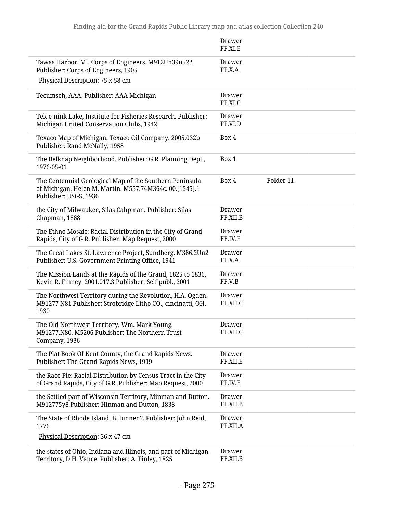|                                                                                                                                             | <b>Drawer</b><br>FF.XI.E  |           |  |
|---------------------------------------------------------------------------------------------------------------------------------------------|---------------------------|-----------|--|
| Tawas Harbor, MI, Corps of Engineers. M912Un39n522<br>Publisher: Corps of Engineers, 1905                                                   | <b>Drawer</b><br>FF.X.A   |           |  |
| Physical Description: 75 x 58 cm                                                                                                            |                           |           |  |
| Tecumseh, AAA. Publisher: AAA Michigan                                                                                                      | <b>Drawer</b><br>FF.XI.C  |           |  |
| Tek-e-nink Lake, Institute for Fisheries Research. Publisher:<br>Michigan United Conservation Clubs, 1942                                   | <b>Drawer</b><br>FF.VI.D  |           |  |
| Texaco Map of Michigan, Texaco Oil Company. 2005.032b<br>Publisher: Rand McNally, 1958                                                      | Box 4                     |           |  |
| The Belknap Neighborhood. Publisher: G.R. Planning Dept.,<br>1976-05-01                                                                     | Box 1                     |           |  |
| The Centennial Geological Map of the Southern Peninsula<br>of Michigan, Helen M. Martin. M557.74M364c. 00.[1545].1<br>Publisher: USGS, 1936 | Box 4                     | Folder 11 |  |
| the City of Milwaukee, Silas Cahpman. Publisher: Silas<br>Chapman, 1888                                                                     | <b>Drawer</b><br>FF.XII.B |           |  |
| The Ethno Mosaic: Racial Distribution in the City of Grand<br>Rapids, City of G.R. Publisher: Map Request, 2000                             | <b>Drawer</b><br>FF.IV.E  |           |  |
| The Great Lakes St. Lawrence Project, Sundberg. M386.2Un2<br>Publisher: U.S. Government Printing Office, 1941                               | <b>Drawer</b><br>FF.X.A   |           |  |
| The Mission Lands at the Rapids of the Grand, 1825 to 1836,<br>Kevin R. Finney. 2001.017.3 Publisher: Self publ., 2001                      | <b>Drawer</b><br>FF.V.B   |           |  |
| The Northwest Territory during the Revolution, H.A. Ogden.<br>M91277 N81 Publisher: Strobridge Litho CO., cincinatti, OH,<br>1930           | <b>Drawer</b><br>FF.XII.C |           |  |
| The Old Northwest Territory, Wm. Mark Young,<br>M91277.N80. M5206 Publisher: The Northern Trust<br>Company, 1936                            | Drawer<br>FF.XII.C        |           |  |
| The Plat Book Of Kent County, the Grand Rapids News.<br>Publisher: The Grand Rapids News, 1919                                              | Drawer<br>FF.XII.E        |           |  |
| the Race Pie: Racial Distribution by Census Tract in the City<br>of Grand Rapids, City of G.R. Publisher: Map Request, 2000                 | Drawer<br>FF.IV.E         |           |  |
| the Settled part of Wisconsin Territory, Minman and Dutton.<br>M912775y8 Publisher: Hinman and Dutton, 1838                                 | <b>Drawer</b><br>FF.XII.B |           |  |
| The State of Rhode Island, B. Iunnen?. Publisher: John Reid,<br>1776                                                                        | <b>Drawer</b><br>FF.XII.A |           |  |
| Physical Description: 36 x 47 cm                                                                                                            |                           |           |  |
| the states of Ohio, Indiana and Illinois, and part of Michigan<br>Territory, D.H. Vance. Publisher: A. Finley, 1825                         | <b>Drawer</b><br>FF.XII.B |           |  |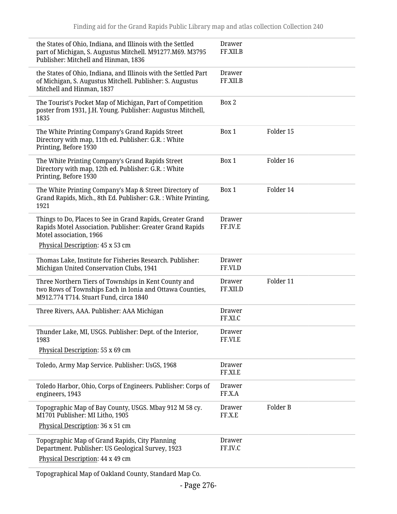| the States of Ohio, Indiana, and Illinois with the Settled<br>part of Michigan, S. Augustus Mitchell. M91277.M69. M3795<br>Publisher: Mitchell and Hinman, 1836 | <b>Drawer</b><br>FF.XII.B |           |
|-----------------------------------------------------------------------------------------------------------------------------------------------------------------|---------------------------|-----------|
| the States of Ohio, Indiana, and Illinois with the Settled Part<br>of Michigan, S. Augustus Mitchell. Publisher: S. Augustus<br>Mitchell and Hinman, 1837       | <b>Drawer</b><br>FF.XII.B |           |
| The Tourist's Pocket Map of Michigan, Part of Competition<br>poster from 1931, J.H. Young. Publisher: Augustus Mitchell,<br>1835                                | Box 2                     |           |
| The White Printing Company's Grand Rapids Street<br>Directory with map, 11th ed. Publisher: G.R. : White<br>Printing, Before 1930                               | Box 1                     | Folder 15 |
| The White Printing Company's Grand Rapids Street<br>Directory with map, 12th ed. Publisher: G.R.: White<br>Printing, Before 1930                                | Box 1                     | Folder 16 |
| The White Printing Company's Map & Street Directory of<br>Grand Rapids, Mich., 8th Ed. Publisher: G.R. : White Printing,<br>1921                                | Box 1                     | Folder 14 |
| Things to Do, Places to See in Grand Rapids, Greater Grand<br>Rapids Motel Association. Publisher: Greater Grand Rapids<br>Motel association, 1966              | Drawer<br>FF.IV.E         |           |
| Physical Description: 45 x 53 cm                                                                                                                                |                           |           |
| Thomas Lake, Institute for Fisheries Research. Publisher:<br>Michigan United Conservation Clubs, 1941                                                           | <b>Drawer</b><br>FF.VI.D  |           |
| Three Northern Tiers of Townships in Kent County and<br>two Rows of Townships Each in Ionia and Ottawa Counties,<br>M912.774 T714. Stuart Fund, circa 1840      | <b>Drawer</b><br>FF.XII.D | Folder 11 |
| Three Rivers, AAA. Publisher: AAA Michigan                                                                                                                      | Drawer<br>FF.XI.C         |           |
| Thunder Lake, MI, USGS. Publisher: Dept. of the Interior,<br>1983                                                                                               | <b>Drawer</b><br>FF.VI.E  |           |
| Physical Description: 55 x 69 cm                                                                                                                                |                           |           |
| Toledo, Army Map Service. Publisher: UsGS, 1968                                                                                                                 | <b>Drawer</b><br>FF.XI.E  |           |
| Toledo Harbor, Ohio, Corps of Engineers. Publisher: Corps of<br>engineers, 1943                                                                                 | <b>Drawer</b><br>FF.X.A   |           |
| Topographic Map of Bay County, USGS. Mbay 912 M 58 cy.<br>M1701 Publisher: MI Litho, 1905                                                                       | <b>Drawer</b><br>FF.X.E   | Folder B  |
| Physical Description: 36 x 51 cm                                                                                                                                |                           |           |
| Topographic Map of Grand Rapids, City Planning<br>Department. Publisher: US Geological Survey, 1923                                                             | <b>Drawer</b><br>FF.IV.C  |           |
| Physical Description: 44 x 49 cm                                                                                                                                |                           |           |

Topographical Map of Oakland County, Standard Map Co.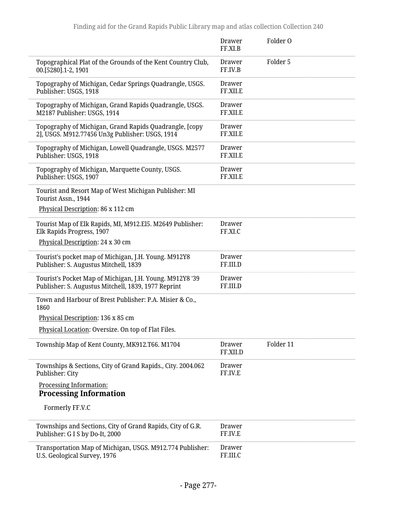|                                                                                                                 | <b>Drawer</b><br>FF.XI.B  | Folder O  |
|-----------------------------------------------------------------------------------------------------------------|---------------------------|-----------|
| Topographical Plat of the Grounds of the Kent Country Club,<br>00.[5280].1-2, 1901                              | Drawer<br>FF.IV.B         | Folder 5  |
| Topography of Michigan, Cedar Springs Quadrangle, USGS.<br>Publisher: USGS, 1918                                | Drawer<br>FF.XII.E        |           |
| Topography of Michigan, Grand Rapids Quadrangle, USGS.<br>M2187 Publisher: USGS, 1914                           | <b>Drawer</b><br>FF.XII.E |           |
| Topography of Michigan, Grand Rapids Quadrangle, [copy<br>2], USGS. M912.77456 Un3g Publisher: USGS, 1914       | Drawer<br>FF.XII.E        |           |
| Topography of Michigan, Lowell Quadrangle, USGS. M2577<br>Publisher: USGS, 1918                                 | <b>Drawer</b><br>FF.XII.E |           |
| Topography of Michigan, Marquette County, USGS.<br>Publisher: USGS, 1907                                        | Drawer<br>FF.XII.E        |           |
| Tourist and Resort Map of West Michigan Publisher: MI<br>Tourist Assn., 1944                                    |                           |           |
| Physical Description: 86 x 112 cm                                                                               |                           |           |
| Tourist Map of Elk Rapids, MI, M912.El5. M2649 Publisher:<br>Elk Rapids Progress, 1907                          | <b>Drawer</b><br>FF.XI.C  |           |
| Physical Description: 24 x 30 cm                                                                                |                           |           |
| Tourist's pocket map of Michigan, J.H. Young. M912Y8<br>Publisher: S. Augustus Mitchell, 1839                   | <b>Drawer</b><br>FF.III.D |           |
| Tourist's Pocket Map of Michigan, J.H. Young. M912Y8 '39<br>Publisher: S. Augustus Mitchell, 1839, 1977 Reprint | <b>Drawer</b><br>FF.III.D |           |
| Town and Harbour of Brest Publisher: P.A. Misier & Co.,<br>1860                                                 |                           |           |
| Physical Description: 136 x 85 cm                                                                               |                           |           |
| Physical Location: Oversize. On top of Flat Files.                                                              |                           |           |
| Township Map of Kent County, MK912.T66. M1704                                                                   | <b>Drawer</b><br>FF.XII.D | Folder 11 |
| Townships & Sections, City of Grand Rapids., City. 2004.062<br>Publisher: City                                  | <b>Drawer</b><br>FF.IV.E  |           |
| Processing Information:                                                                                         |                           |           |
| <b>Processing Information</b>                                                                                   |                           |           |
| Formerly FF.V.C                                                                                                 |                           |           |
| Townships and Sections, City of Grand Rapids, City of G.R.<br>Publisher: G I S by Do-It, 2000                   | <b>Drawer</b><br>FF.IV.E  |           |
| Transportation Map of Michigan, USGS. M912.774 Publisher:<br>U.S. Geological Survey, 1976                       | <b>Drawer</b><br>FF.III.C |           |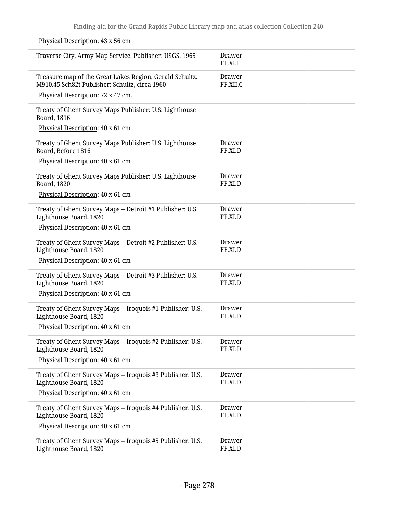| 1 h ysiedd Desemption. To A 90 cm                                                                        |                           |
|----------------------------------------------------------------------------------------------------------|---------------------------|
| Traverse City, Army Map Service. Publisher: USGS, 1965                                                   | <b>Drawer</b><br>FF.XI.E  |
| Treasure map of the Great Lakes Region, Gerald Schultz.<br>M910.45.Sch82t Publisher: Schultz, circa 1960 | <b>Drawer</b><br>FF.XII.C |
| Physical Description: 72 x 47 cm.                                                                        |                           |
| Treaty of Ghent Survey Maps Publisher: U.S. Lighthouse<br>Board, 1816                                    |                           |
| Physical Description: 40 x 61 cm                                                                         |                           |
| Treaty of Ghent Survey Maps Publisher: U.S. Lighthouse<br>Board, Before 1816                             | Drawer<br>FF.XI.D         |
| Physical Description: 40 x 61 cm                                                                         |                           |
| Treaty of Ghent Survey Maps Publisher: U.S. Lighthouse<br><b>Board</b> , 1820                            | Drawer<br>FF.XI.D         |
| Physical Description: 40 x 61 cm                                                                         |                           |
| Treaty of Ghent Survey Maps -- Detroit #1 Publisher: U.S.<br>Lighthouse Board, 1820                      | Drawer<br>FF.XI.D         |
| Physical Description: 40 x 61 cm                                                                         |                           |
| Treaty of Ghent Survey Maps -- Detroit #2 Publisher: U.S.<br>Lighthouse Board, 1820                      | Drawer<br>FF.XI.D         |
| Physical Description: 40 x 61 cm                                                                         |                           |
| Treaty of Ghent Survey Maps -- Detroit #3 Publisher: U.S.<br>Lighthouse Board, 1820                      | Drawer<br>FF.XI.D         |
| Physical Description: 40 x 61 cm                                                                         |                           |
| Treaty of Ghent Survey Maps -- Iroquois #1 Publisher: U.S.<br>Lighthouse Board, 1820                     | <b>Drawer</b><br>FF.XI.D  |
| Physical Description: 40 x 61 cm                                                                         |                           |
| Treaty of Ghent Survey Maps -- Iroquois #2 Publisher: U.S.<br>Lighthouse Board, 1820                     | <b>Drawer</b><br>FF.XI.D  |
| Physical Description: 40 x 61 cm                                                                         |                           |
| Treaty of Ghent Survey Maps -- Iroquois #3 Publisher: U.S.<br>Lighthouse Board, 1820                     | <b>Drawer</b><br>FF.XI.D  |
| Physical Description: 40 x 61 cm                                                                         |                           |
| Treaty of Ghent Survey Maps -- Iroquois #4 Publisher: U.S.<br>Lighthouse Board, 1820                     | <b>Drawer</b><br>FF.XI.D  |
| Physical Description: 40 x 61 cm                                                                         |                           |
| Treaty of Ghent Survey Maps -- Iroquois #5 Publisher: U.S.<br>Lighthouse Board, 1820                     | <b>Drawer</b><br>FF.XI.D  |

Physical Description: 43 x 56 cm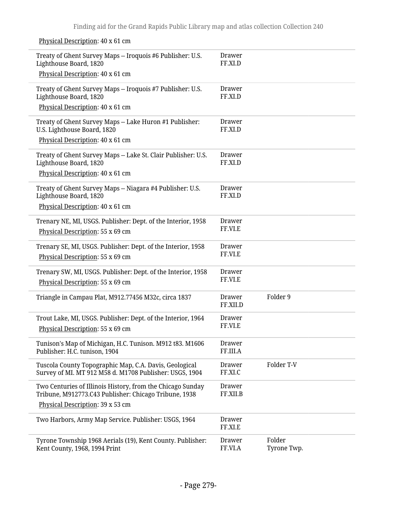Physical Description: 40 x 61 cm

| Treaty of Ghent Survey Maps -- Iroquois #6 Publisher: U.S.<br>Lighthouse Board, 1820                                | Drawer<br>FF.XI.D         |                       |
|---------------------------------------------------------------------------------------------------------------------|---------------------------|-----------------------|
| Physical Description: 40 x 61 cm                                                                                    |                           |                       |
| Treaty of Ghent Survey Maps -- Iroquois #7 Publisher: U.S.<br>Lighthouse Board, 1820                                | <b>Drawer</b><br>FF.XI.D  |                       |
| Physical Description: 40 x 61 cm                                                                                    |                           |                       |
| Treaty of Ghent Survey Maps -- Lake Huron #1 Publisher:<br>U.S. Lighthouse Board, 1820                              | <b>Drawer</b><br>FF.XI.D  |                       |
| Physical Description: 40 x 61 cm                                                                                    |                           |                       |
| Treaty of Ghent Survey Maps -- Lake St. Clair Publisher: U.S.<br>Lighthouse Board, 1820                             | <b>Drawer</b><br>FF.XI.D  |                       |
| Physical Description: 40 x 61 cm                                                                                    |                           |                       |
| Treaty of Ghent Survey Maps -- Niagara #4 Publisher: U.S.<br>Lighthouse Board, 1820                                 | <b>Drawer</b><br>FF.XI.D  |                       |
| Physical Description: 40 x 61 cm                                                                                    |                           |                       |
| Trenary NE, MI, USGS. Publisher: Dept. of the Interior, 1958<br>Physical Description: 55 x 69 cm                    | <b>Drawer</b><br>FF.VI.E  |                       |
| Trenary SE, MI, USGS. Publisher: Dept. of the Interior, 1958<br>Physical Description: 55 x 69 cm                    | <b>Drawer</b><br>FF.VI.E  |                       |
| Trenary SW, MI, USGS. Publisher: Dept. of the Interior, 1958<br>Physical Description: 55 x 69 cm                    | <b>Drawer</b><br>FF.VI.E  |                       |
| Triangle in Campau Plat, M912.77456 M32c, circa 1837                                                                | <b>Drawer</b><br>FF.XII.D | Folder 9              |
| Trout Lake, MI, USGS. Publisher: Dept. of the Interior, 1964<br>Physical Description: 55 x 69 cm                    | <b>Drawer</b><br>FF.VI.E  |                       |
| Tunison's Map of Michigan, H.C. Tunison. M912 t83. M1606<br>Publisher: H.C. tunison, 1904                           | <b>Drawer</b><br>FF.III.A |                       |
| Tuscola County Topographic Map, C.A. Davis, Geological<br>Survey of MI. MT 912 M58 d. M1708 Publisher: USGS, 1904   | <b>Drawer</b><br>FF.XI.C  | Folder T-V            |
| Two Centuries of Illinois History, from the Chicago Sunday<br>Tribune, M912773.C43 Publisher: Chicago Tribune, 1938 | <b>Drawer</b><br>FF.XII.B |                       |
| Physical Description: 39 x 53 cm                                                                                    |                           |                       |
| Two Harbors, Army Map Service. Publisher: USGS, 1964                                                                | <b>Drawer</b><br>FF.XI.E  |                       |
| Tyrone Township 1968 Aerials (19), Kent County. Publisher:<br>Kent County, 1968, 1994 Print                         | <b>Drawer</b><br>FF.VI.A  | Folder<br>Tyrone Twp. |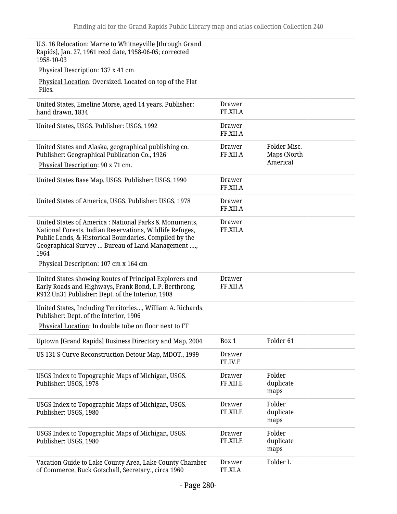U.S. 16 Relocation: Marne to Whitneyville [through Grand Rapids], Jan. 27, 1961 recd date, 1958-06-05; corrected 1958-10-03

Physical Description: 137 x 41 cm

Physical Location: Oversized. Located on top of the Flat Files.

| United States, Emeline Morse, aged 14 years. Publisher:<br>hand drawn, 1834                                                                                                                                                             | Drawer<br>FF.XII.A        |                             |
|-----------------------------------------------------------------------------------------------------------------------------------------------------------------------------------------------------------------------------------------|---------------------------|-----------------------------|
| United States, USGS. Publisher: USGS, 1992                                                                                                                                                                                              | Drawer<br>FF.XII.A        |                             |
| United States and Alaska, geographical publishing co.<br>Publisher: Geographical Publication Co., 1926                                                                                                                                  | <b>Drawer</b><br>FF.XII.A | Folder Misc.<br>Maps (North |
| Physical Description: 90 x 71 cm.                                                                                                                                                                                                       |                           | America)                    |
| United States Base Map, USGS. Publisher: USGS, 1990                                                                                                                                                                                     | Drawer<br>FF.XII.A        |                             |
| United States of America, USGS. Publisher: USGS, 1978                                                                                                                                                                                   | Drawer<br>FF.XII.A        |                             |
| United States of America: National Parks & Monuments,<br>National Forests, Indian Reservations, Wildlife Refuges,<br>Public Lands, & Historical Boundaries. Compiled by the<br>Geographical Survey  Bureau of Land Management ,<br>1964 | Drawer<br>FF.XII.A        |                             |
| Physical Description: 107 cm x 164 cm                                                                                                                                                                                                   |                           |                             |
| United States showing Routes of Principal Explorers and<br>Early Roads and Highways, Frank Bond, L.P. Berthrong.<br>R912.Un31 Publisher: Dept. of the Interior, 1908                                                                    | <b>Drawer</b><br>FF.XII.A |                             |
| United States, Including Territories, William A. Richards.<br>Publisher: Dept. of the Interior, 1906                                                                                                                                    |                           |                             |
| Physical Location: In double tube on floor next to FF                                                                                                                                                                                   |                           |                             |
| Uptown [Grand Rapids] Business Directory and Map, 2004                                                                                                                                                                                  | Box 1                     | Folder <sub>61</sub>        |
| US 131 S-Curve Reconstruction Detour Map, MDOT., 1999                                                                                                                                                                                   | Drawer<br>FF.IV.E         |                             |
| USGS Index to Topographic Maps of Michigan, USGS.<br>Publisher: USGS, 1978                                                                                                                                                              | <b>Drawer</b><br>FF.XII.E | Folder<br>duplicate<br>maps |
| USGS Index to Topographic Maps of Michigan, USGS.<br>Publisher: USGS, 1980                                                                                                                                                              | <b>Drawer</b><br>FF.XII.E | Folder<br>duplicate<br>maps |
| USGS Index to Topographic Maps of Michigan, USGS.<br>Publisher: USGS, 1980                                                                                                                                                              | <b>Drawer</b><br>FF.XII.E | Folder<br>duplicate<br>maps |
| Vacation Guide to Lake County Area, Lake County Chamber<br>of Commerce, Buck Gotschall, Secretary., circa 1960                                                                                                                          | <b>Drawer</b><br>FF.XI.A  | Folder L                    |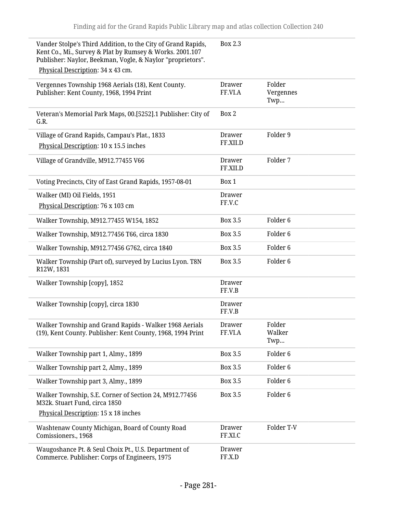| Vander Stolpe's Third Addition, to the City of Grand Rapids,<br>Kent Co., Mi., Survey & Plat by Rumsey & Works. 2001.107<br>Publisher: Naylor, Beekman, Vogle, & Naylor "proprietors".<br>Physical Description: 34 x 43 cm. | <b>Box 2.3</b>            |                            |
|-----------------------------------------------------------------------------------------------------------------------------------------------------------------------------------------------------------------------------|---------------------------|----------------------------|
| Vergennes Township 1968 Aerials (18), Kent County.<br>Publisher: Kent County, 1968, 1994 Print                                                                                                                              | <b>Drawer</b><br>FF.VI.A  | Folder<br>Vergennes<br>Twp |
| Veteran's Memorial Park Maps, 00.[5252].1 Publisher: City of<br>G.R.                                                                                                                                                        | Box 2                     |                            |
| Village of Grand Rapids, Campau's Plat., 1833<br>Physical Description: 10 x 15.5 inches                                                                                                                                     | <b>Drawer</b><br>FF.XII.D | Folder 9                   |
| Village of Grandville, M912.77455 V66                                                                                                                                                                                       | <b>Drawer</b><br>FF.XII.D | Folder 7                   |
| Voting Precincts, City of East Grand Rapids, 1957-08-01                                                                                                                                                                     | Box 1                     |                            |
| Walker (MI) Oil Fields, 1951<br>Physical Description: 76 x 103 cm                                                                                                                                                           | <b>Drawer</b><br>FF.V.C   |                            |
| Walker Township, M912.77455 W154, 1852                                                                                                                                                                                      | <b>Box 3.5</b>            | Folder <sub>6</sub>        |
| Walker Township, M912.77456 T66, circa 1830                                                                                                                                                                                 | <b>Box 3.5</b>            | Folder <sub>6</sub>        |
| Walker Township, M912.77456 G762, circa 1840                                                                                                                                                                                | <b>Box 3.5</b>            | Folder <sub>6</sub>        |
| Walker Township (Part of), surveyed by Lucius Lyon. T8N<br>R12W, 1831                                                                                                                                                       | <b>Box 3.5</b>            | Folder <sub>6</sub>        |
| Walker Township [copy], 1852                                                                                                                                                                                                | <b>Drawer</b><br>FF.V.B   |                            |
| Walker Township [copy], circa 1830                                                                                                                                                                                          | <b>Drawer</b><br>FF.V.B   |                            |
| Walker Township and Grand Rapids - Walker 1968 Aerials<br>(19), Kent County. Publisher: Kent County, 1968, 1994 Print                                                                                                       | Drawer<br>FF.VI.A         | Folder<br>Walker<br>Twp    |
| Walker Township part 1, Almy., 1899                                                                                                                                                                                         | <b>Box 3.5</b>            | Folder <sub>6</sub>        |
| Walker Township part 2, Almy., 1899                                                                                                                                                                                         | Box 3.5                   | Folder <sub>6</sub>        |
| Walker Township part 3, Almy., 1899                                                                                                                                                                                         | <b>Box 3.5</b>            | Folder <sub>6</sub>        |
| Walker Township, S.E. Corner of Section 24, M912.77456<br>M32k. Stuart Fund, circa 1850<br>Physical Description: 15 x 18 inches                                                                                             | <b>Box 3.5</b>            | Folder <sub>6</sub>        |
| Washtenaw County Michigan, Board of County Road<br>Comissioners., 1968                                                                                                                                                      | <b>Drawer</b><br>FF.XI.C  | Folder T-V                 |
| Waugoshance Pt. & Seul Choix Pt., U.S. Department of<br>Commerce. Publisher: Corps of Engineers, 1975                                                                                                                       | Drawer<br>FF.X.D          |                            |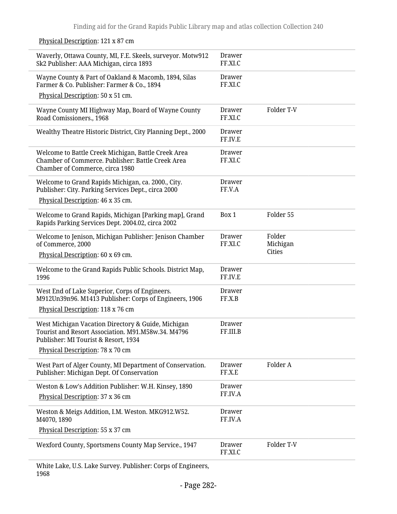Physical Description: 121 x 87 cm

| Waverly, Ottawa County, MI, F.E. Skeels, surveyor. Motw912<br>Sk2 Publisher: AAA Michigan, circa 1893                                                                                | Drawer<br>FF.XI.C         |                                     |
|--------------------------------------------------------------------------------------------------------------------------------------------------------------------------------------|---------------------------|-------------------------------------|
| Wayne County & Part of Oakland & Macomb, 1894, Silas<br>Farmer & Co. Publisher: Farmer & Co., 1894                                                                                   | <b>Drawer</b><br>FF.XI.C  |                                     |
| Physical Description: 50 x 51 cm.                                                                                                                                                    |                           |                                     |
| Wayne County MI Highway Map, Board of Wayne County<br>Road Comissioners., 1968                                                                                                       | Drawer<br>FF.XI.C         | Folder T-V                          |
| Wealthy Theatre Historic District, City Planning Dept., 2000                                                                                                                         | <b>Drawer</b><br>FF.IV.E  |                                     |
| Welcome to Battle Creek Michigan, Battle Creek Area<br>Chamber of Commerce. Publisher: Battle Creek Area<br>Chamber of Commerce, circa 1980                                          | Drawer<br>FF.XI.C         |                                     |
| Welcome to Grand Rapids Michigan, ca. 2000., City.<br>Publisher: City. Parking Services Dept., circa 2000<br>Physical Description: 46 x 35 cm.                                       | <b>Drawer</b><br>FF.V.A   |                                     |
| Welcome to Grand Rapids, Michigan [Parking map], Grand<br>Rapids Parking Services Dept. 2004.02, circa 2002                                                                          | Box 1                     | Folder 55                           |
| Welcome to Jenison, Michigan Publisher: Jenison Chamber<br>of Commerce, 2000<br>Physical Description: 60 x 69 cm.                                                                    | Drawer<br>FF.XI.C         | Folder<br>Michigan<br><b>Cities</b> |
| Welcome to the Grand Rapids Public Schools. District Map,<br>1996                                                                                                                    | <b>Drawer</b><br>FF.IV.E  |                                     |
| West End of Lake Superior, Corps of Engineers.<br>M912Un39n96. M1413 Publisher: Corps of Engineers, 1906<br>Physical Description: 118 x 76 cm                                        | <b>Drawer</b><br>FF.X.B   |                                     |
| West Michigan Vacation Directory & Guide, Michigan<br>Tourist and Resort Association, M91.M58w.34, M4796<br>Publisher: MI Tourist & Resort, 1934<br>Physical Description: 78 x 70 cm | <b>Drawer</b><br>FF.III.B |                                     |
| West Part of Alger County, MI Department of Conservation.<br>Publisher: Michigan Dept. Of Conservation                                                                               | <b>Drawer</b><br>FF.X.E   | Folder A                            |
| Weston & Low's Addition Publisher: W.H. Kinsey, 1890<br>Physical Description: 37 x 36 cm                                                                                             | <b>Drawer</b><br>FF.IV.A  |                                     |
| Weston & Meigs Addition, I.M. Weston. MKG912.W52.<br>M4070, 1890                                                                                                                     | <b>Drawer</b><br>FF.IV.A  |                                     |
| Physical Description: 55 x 37 cm                                                                                                                                                     |                           |                                     |
| Wexford County, Sportsmens County Map Service., 1947                                                                                                                                 | <b>Drawer</b><br>FF.XI.C  | Folder T-V                          |
|                                                                                                                                                                                      |                           |                                     |

White Lake, U.S. Lake Survey. Publisher: Corps of Engineers, 1968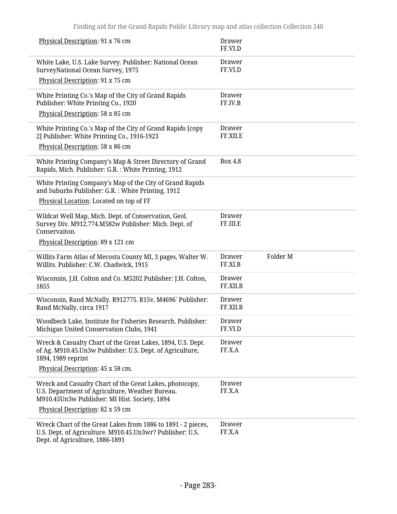| Physical Description: 91 x 76 cm                                                                                                                            | Drawer<br>FF.VI.D         |                     |  |
|-------------------------------------------------------------------------------------------------------------------------------------------------------------|---------------------------|---------------------|--|
| White Lake, U.S. Lake Survey. Publisher: National Ocean<br>SurveyNational Ocean Survey, 1975                                                                | Drawer<br>FF.VI.D         |                     |  |
| Physical Description: 91 x 75 cm                                                                                                                            |                           |                     |  |
| White Printing Co.'s Map of the City of Grand Rapids<br>Publisher: White Printing Co., 1920                                                                 | Drawer<br>FF.IV.B         |                     |  |
| Physical Description: 58 x 85 cm                                                                                                                            |                           |                     |  |
| White Printing Co.'s Map of the City of Grand Rapids [copy<br>2] Publisher: White Printing Co., 1916-1923                                                   | <b>Drawer</b><br>FF.XII.E |                     |  |
| Physical Description: 58 x 86 cm                                                                                                                            |                           |                     |  |
| White Printing Company's Map & Street Directory of Grand<br>Rapids, Mich. Publisher: G.R.: White Printing, 1912                                             | Box 4.8                   |                     |  |
| White Printing Company's Map of the City of Grand Rapids<br>and Suburbs Publisher: G.R. : White Printing, 1912                                              |                           |                     |  |
| Physical Location: Located on top of FF                                                                                                                     |                           |                     |  |
| Wildcat Well Map, Mich. Dept. of Conservation, Geol.<br>Survey Div. M912.774.M582w Publisher: Mich. Dept. of<br>Conservaiton.                               | <b>Drawer</b><br>FF.III.E |                     |  |
| Physical Description: 89 x 121 cm                                                                                                                           |                           |                     |  |
| Willits Farm Atlas of Mecosta County MI, 3 pages, Walter W.<br>Willits. Publisher: C.W. Chadwick, 1915                                                      | Drawer<br>FF.XI.B         | Folder <sub>M</sub> |  |
| Wisconsin, J.H. Colton and Co. M5202 Publisher: J.H. Colton,<br>1855                                                                                        | Drawer<br>FF.XII.B        |                     |  |
| Wisconsin, Rand McNally. R912775. R15v. M4696` Publisher:<br>Rand McNally, circa 1917                                                                       | Drawer<br>FF.XII.B        |                     |  |
| Woodbeck Lake, Institute for Fisheries Research. Publisher:                                                                                                 |                           |                     |  |
| Michigan United Conservation Clubs, 1941                                                                                                                    | Drawer<br>FF.VI.D         |                     |  |
| Wreck & Casualty Chart of the Great Lakes, 1894, U.S. Dept.<br>of Ag. M910.45. Un3w Publisher: U.S. Dept. of Agriculture,<br>1894, 1989 reprint             | <b>Drawer</b><br>FF.X.A   |                     |  |
| Physical Description: 45 x 58 cm.                                                                                                                           |                           |                     |  |
| Wreck and Casualty Chart of the Great Lakes, photocopy,<br>U.S. Department of Agriculture, Weather Bureau.<br>M910.45Un3w Publisher: MI Hist. Society, 1894 | Drawer<br>FF.X.A          |                     |  |
| Physical Description: 82 x 59 cm                                                                                                                            |                           |                     |  |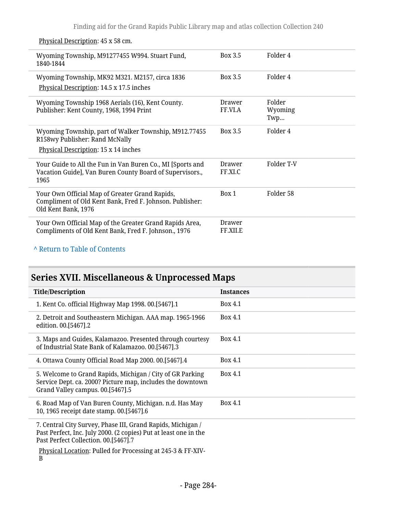| Wyoming Township, M91277455 W994. Stuart Fund,<br>1840-1844                                                                       | Box 3.5            | Folder 4                 |
|-----------------------------------------------------------------------------------------------------------------------------------|--------------------|--------------------------|
| Wyoming Township, MK92 M321. M2157, circa 1836<br>Physical Description: 14.5 x 17.5 inches                                        | Box 3.5            | Folder 4                 |
| Wyoming Township 1968 Aerials (16), Kent County.<br>Publisher: Kent County, 1968, 1994 Print                                      | Drawer<br>FF.VI.A  | Folder<br>Wyoming<br>Twp |
| Wyoming Township, part of Walker Township, M912.77455<br>R158wy Publisher: Rand McNally<br>Physical Description: 15 x 14 inches   | Box 3.5            | Folder 4                 |
| Your Guide to All the Fun in Van Buren Co., MI [Sports and<br>Vacation Guide], Van Buren County Board of Supervisors.,<br>1965    | Drawer<br>FF.XI.C  | Folder T-V               |
| Your Own Official Map of Greater Grand Rapids,<br>Compliment of Old Kent Bank, Fred F. Johnson. Publisher:<br>Old Kent Bank, 1976 | Box 1              | Folder 58                |
| Your Own Official Map of the Greater Grand Rapids Area,<br>Compliments of Old Kent Bank, Fred F. Johnson., 1976                   | Drawer<br>FF.XII.E |                          |

### Physical Description: 45 x 58 cm.

## **^** [Return to Table of Contents](#page-1-0)

# **Series XVII. Miscellaneous & Unprocessed Maps**

| <b>Title/Description</b>                                                                                                                                                | <b>Instances</b> |
|-------------------------------------------------------------------------------------------------------------------------------------------------------------------------|------------------|
| 1. Kent Co. official Highway Map 1998. 00. [5467]. 1                                                                                                                    | Box 4.1          |
| 2. Detroit and Southeastern Michigan. AAA map. 1965-1966<br>edition. 00.[5467].2                                                                                        | Box 4.1          |
| 3. Maps and Guides, Kalamazoo. Presented through courtesy<br>of Industrial State Bank of Kalamazoo. 00.[5467].3                                                         | Box 4.1          |
| 4. Ottawa County Official Road Map 2000. 00.[5467].4                                                                                                                    | Box 4.1          |
| 5. Welcome to Grand Rapids, Michigan / City of GR Parking<br>Service Dept. ca. 2000? Picture map, includes the downtown<br>Grand Valley campus. 00.[5467].5             | Box 4.1          |
| 6. Road Map of Van Buren County, Michigan. n.d. Has May<br>10, 1965 receipt date stamp. 00.[5467].6                                                                     | Box 4.1          |
| 7. Central City Survey, Phase III, Grand Rapids, Michigan /<br>Past Perfect, Inc. July 2000. (2 copies) Put at least one in the<br>Past Perfect Collection. 00.[5467].7 |                  |
| Physical Location: Pulled for Processing at 245-3 & FF-XIV-<br>B                                                                                                        |                  |